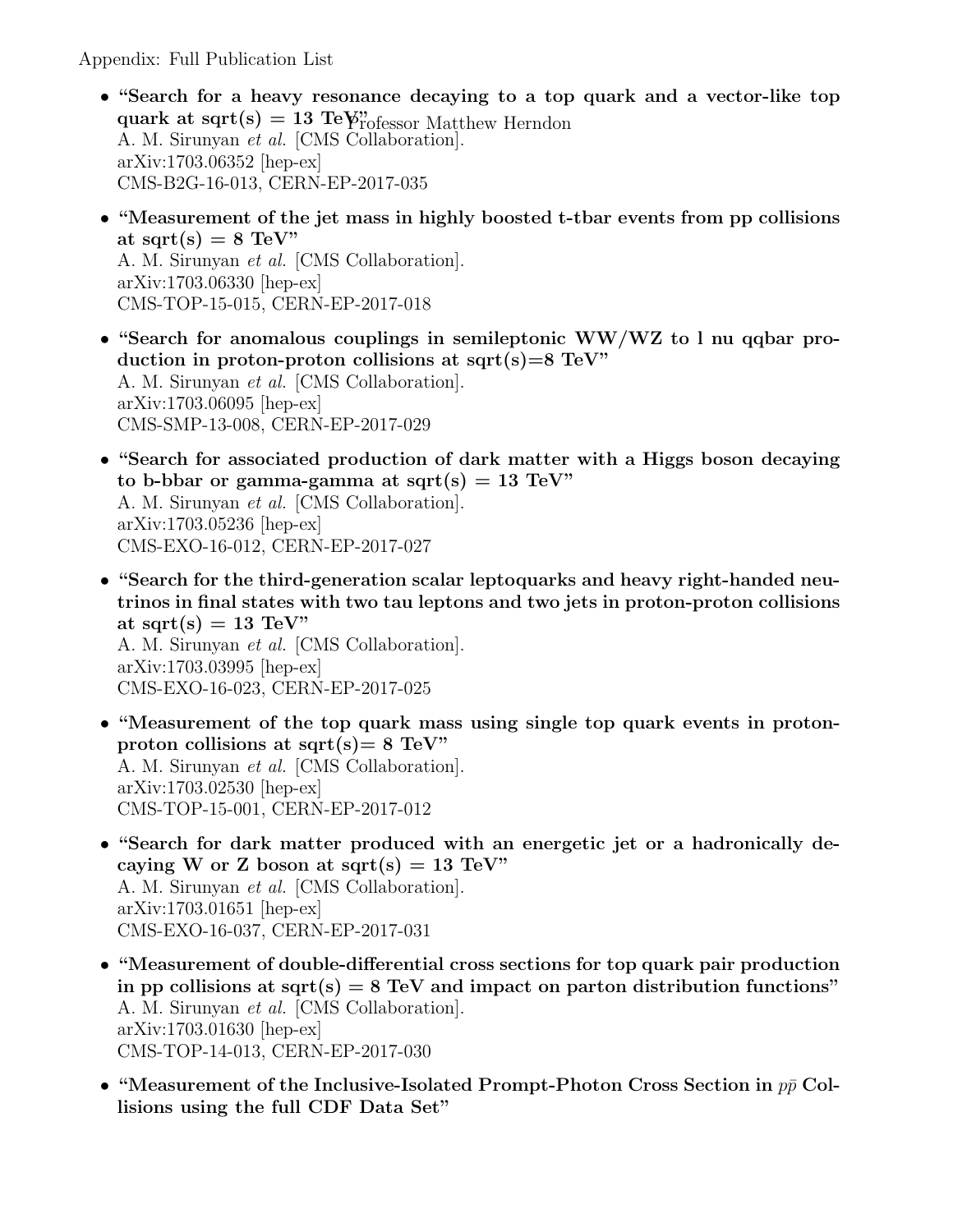Appendix: Full Publication List

- quark at sqrt(s) = 13 Te $\gamma$ " rofessor Matthew Herndon • "Search for a heavy resonance decaying to a top quark and a vector-like top A. M. Sirunyan et al. [CMS Collaboration]. arXiv:1703.06352 [hep-ex] CMS-B2G-16-013, CERN-EP-2017-035
- "Measurement of the jet mass in highly boosted t-tbar events from pp collisions at sqrt $(s) = 8$  TeV" A. M. Sirunyan et al. [CMS Collaboration]. arXiv:1703.06330 [hep-ex]

CMS-TOP-15-015, CERN-EP-2017-018

- "Search for anomalous couplings in semileptonic WW/WZ to l nu qqbar production in proton-proton collisions at sqrt $(s)=8$  TeV" A. M. Sirunyan et al. [CMS Collaboration]. arXiv:1703.06095 [hep-ex] CMS-SMP-13-008, CERN-EP-2017-029
- "Search for associated production of dark matter with a Higgs boson decaying to b-bbar or gamma-gamma at sqrt(s) = 13 TeV" A. M. Sirunyan et al. [CMS Collaboration]. arXiv:1703.05236 [hep-ex] CMS-EXO-16-012, CERN-EP-2017-027
- "Search for the third-generation scalar leptoquarks and heavy right-handed neutrinos in final states with two tau leptons and two jets in proton-proton collisions at sqrt(s)  $= 13$  TeV" A. M. Sirunyan et al. [CMS Collaboration]. arXiv:1703.03995 [hep-ex] CMS-EXO-16-023, CERN-EP-2017-025
- "Measurement of the top quark mass using single top quark events in protonproton collisions at sqrt(s) =  $8 \text{ TeV}$ " A. M. Sirunyan et al. [CMS Collaboration]. arXiv:1703.02530 [hep-ex] CMS-TOP-15-001, CERN-EP-2017-012
- "Search for dark matter produced with an energetic jet or a hadronically decaying W or Z boson at sqrt(s) = 13 TeV" A. M. Sirunyan et al. [CMS Collaboration]. arXiv:1703.01651 [hep-ex] CMS-EXO-16-037, CERN-EP-2017-031
- "Measurement of double-differential cross sections for top quark pair production in pp collisions at sqrt(s)  $= 8 \text{ TeV}$  and impact on parton distribution functions" A. M. Sirunyan et al. [CMS Collaboration]. arXiv:1703.01630 [hep-ex] CMS-TOP-14-013, CERN-EP-2017-030
- "Measurement of the Inclusive-Isolated Prompt-Photon Cross Section in  $p\bar{p}$  Collisions using the full CDF Data Set"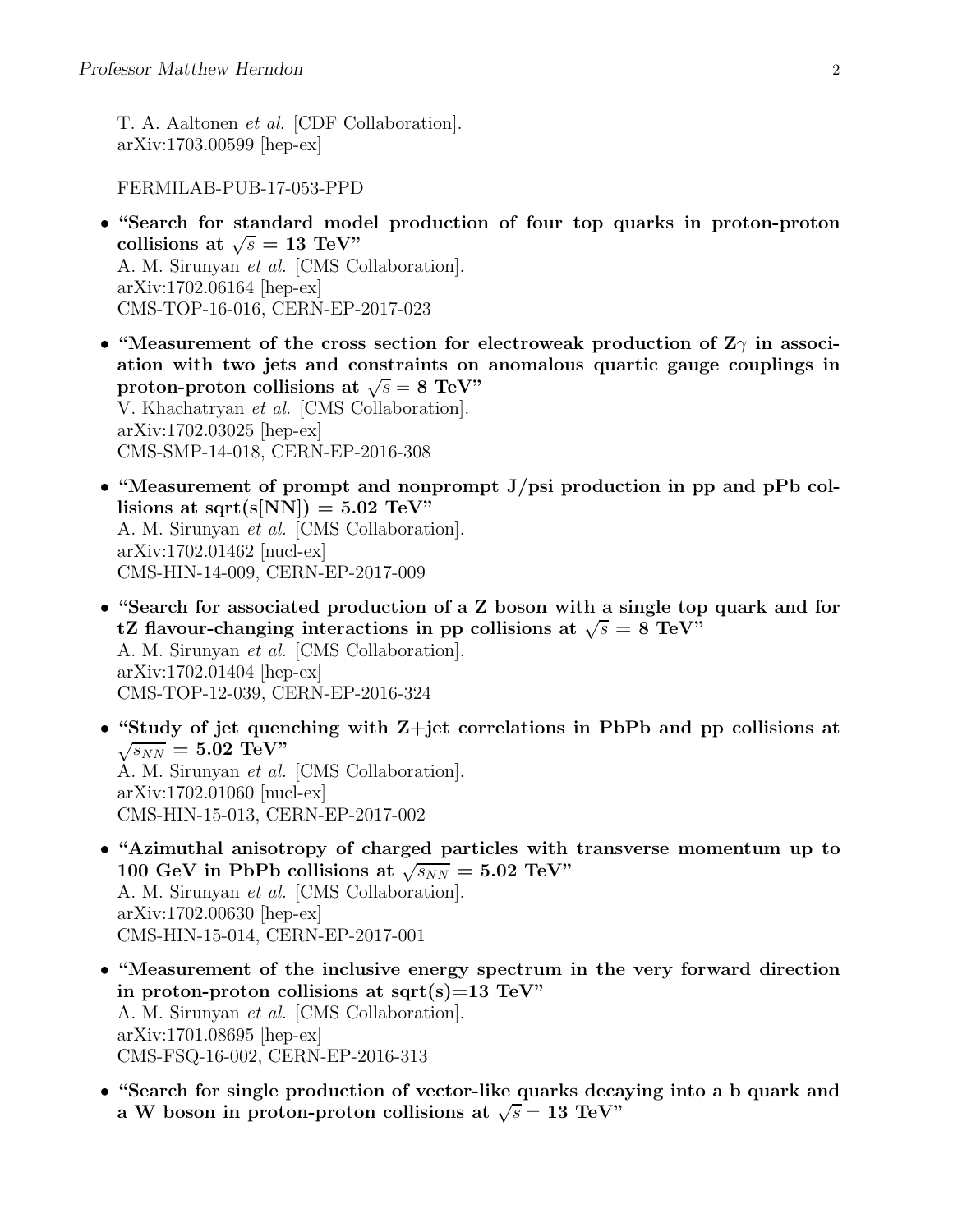T. A. Aaltonen et al. [CDF Collaboration]. arXiv:1703.00599 [hep-ex]

FERMILAB-PUB-17-053-PPD

- "Search for standard model production of four top quarks in proton-proton collisions at  $\sqrt{s} = 13$  TeV" A. M. Sirunyan et al. [CMS Collaboration]. arXiv:1702.06164 [hep-ex] CMS-TOP-16-016, CERN-EP-2017-023
- "Measurement of the cross section for electroweak production of  $Z_{\gamma}$  in association with two jets and constraints on anomalous quartic gauge couplings in proton-proton collisions at  $\sqrt{s} = 8$  TeV" V. Khachatryan et al. [CMS Collaboration]. arXiv:1702.03025 [hep-ex] CMS-SMP-14-018, CERN-EP-2016-308
- "Measurement of prompt and nonprompt  $J/psi$  production in pp and pPb collisions at sqrt(s[NN]) =  $5.02$  TeV" A. M. Sirunyan et al. [CMS Collaboration]. arXiv:1702.01462 [nucl-ex] CMS-HIN-14-009, CERN-EP-2017-009
- "Search for associated production of a Z boson with a single top quark and for tZ flavour-changing interactions in pp collisions at  $\sqrt{s} = 8$  TeV" A. M. Sirunyan et al. [CMS Collaboration]. arXiv:1702.01404 [hep-ex] CMS-TOP-12-039, CERN-EP-2016-324
- "Study of jet quenching with Z+jet correlations in PbPb and pp collisions at  $\sqrt{s_{NN}} = 5.02 \text{ TeV}$ " A. M. Sirunyan et al. [CMS Collaboration]. arXiv:1702.01060 [nucl-ex] CMS-HIN-15-013, CERN-EP-2017-002
- "Azimuthal anisotropy of charged particles with transverse momentum up to 100 GeV in PbPb collisions at  $\sqrt{s_{NN}} = 5.02 \text{ TeV}$ " A. M. Sirunyan et al. [CMS Collaboration]. arXiv:1702.00630 [hep-ex] CMS-HIN-15-014, CERN-EP-2017-001
- "Measurement of the inclusive energy spectrum in the very forward direction in proton-proton collisions at sqrt(s)=13 TeV" A. M. Sirunyan et al. [CMS Collaboration]. arXiv:1701.08695 [hep-ex] CMS-FSQ-16-002, CERN-EP-2016-313
- "Search for single production of vector-like quarks decaying into a b quark and a W boson in proton-proton collisions at  $\sqrt{s} = 13$  TeV"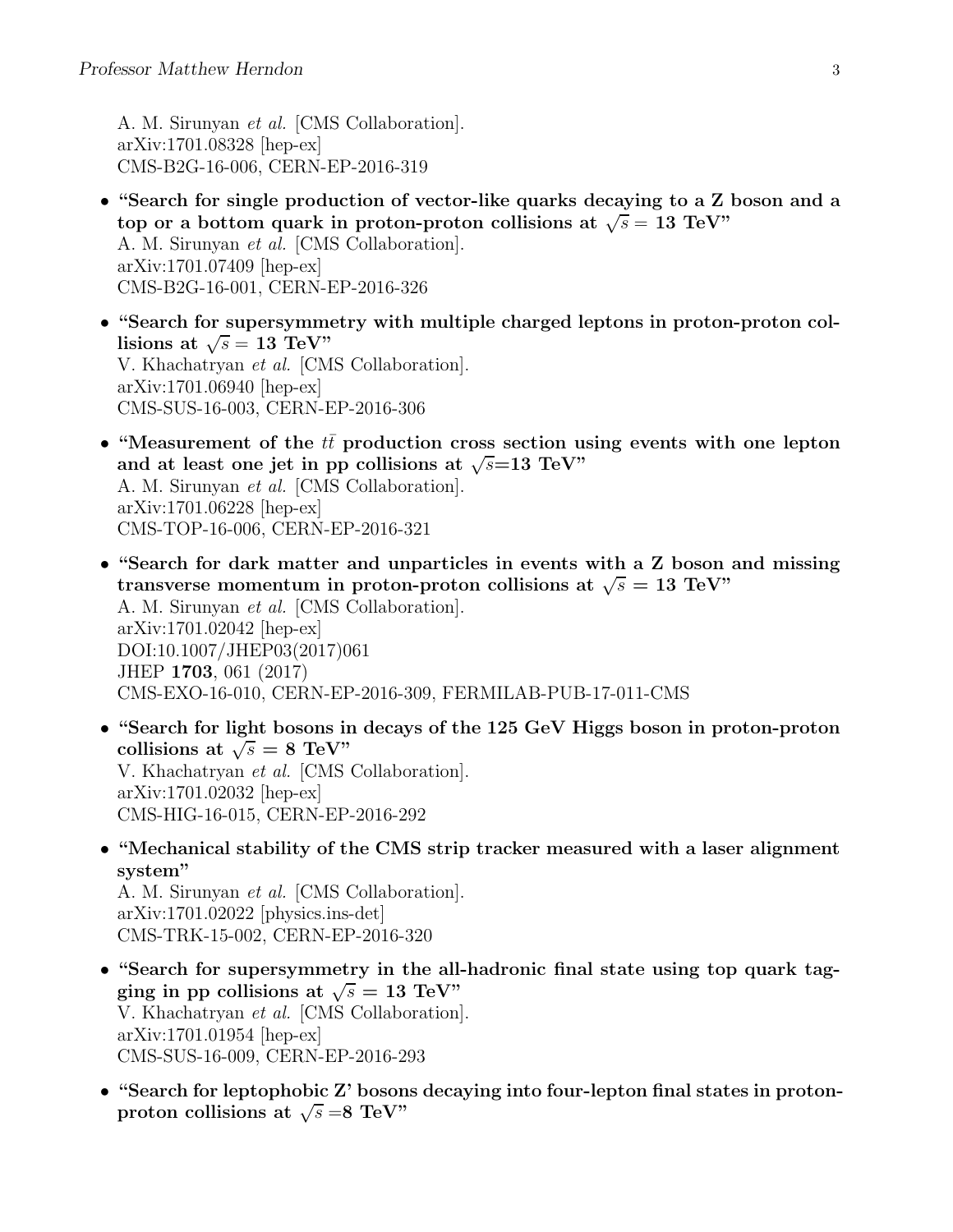A. M. Sirunyan et al. [CMS Collaboration]. arXiv:1701.08328 [hep-ex] CMS-B2G-16-006, CERN-EP-2016-319

- "Search for single production of vector-like quarks decaying to a Z boson and a top or a bottom quark in proton-proton collisions at  $\sqrt{s} = 13$  TeV" A. M. Sirunyan et al. [CMS Collaboration]. arXiv:1701.07409 [hep-ex] CMS-B2G-16-001, CERN-EP-2016-326
- "Search for supersymmetry with multiple charged leptons in proton-proton collisions at  $\sqrt{s} = 13 \text{ TeV}$ " V. Khachatryan et al. [CMS Collaboration]. arXiv:1701.06940 [hep-ex] CMS-SUS-16-003, CERN-EP-2016-306
- "Measurement of the  $tt$  production cross section using events with one lepton and at least one jet in pp collisions at  $\sqrt{s}$ =13 TeV" A. M. Sirunyan et al. [CMS Collaboration]. arXiv:1701.06228 [hep-ex] CMS-TOP-16-006, CERN-EP-2016-321
- "Search for dark matter and unparticles in events with a Z boson and missing transverse momentum in proton-proton collisions at  $\sqrt{s} = 13$  TeV" A. M. Sirunyan et al. [CMS Collaboration]. arXiv:1701.02042 [hep-ex] DOI:10.1007/JHEP03(2017)061 JHEP 1703, 061 (2017) CMS-EXO-16-010, CERN-EP-2016-309, FERMILAB-PUB-17-011-CMS
- "Search for light bosons in decays of the 125 GeV Higgs boson in proton-proton collisions at  $\sqrt{s} = 8$  TeV" V. Khachatryan et al. [CMS Collaboration]. arXiv:1701.02032 [hep-ex] CMS-HIG-16-015, CERN-EP-2016-292
- "Mechanical stability of the CMS strip tracker measured with a laser alignment system"

A. M. Sirunyan et al. [CMS Collaboration]. arXiv:1701.02022 [physics.ins-det] CMS-TRK-15-002, CERN-EP-2016-320

- "Search for supersymmetry in the all-hadronic final state using top quark tagging in pp collisions at  $\sqrt{s} = 13$  TeV" V. Khachatryan et al. [CMS Collaboration]. arXiv:1701.01954 [hep-ex] CMS-SUS-16-009, CERN-EP-2016-293
- "Search for leptophobic Z' bosons decaying into four-lepton final states in protonproton collisions at  $\sqrt{s} = 8$  TeV"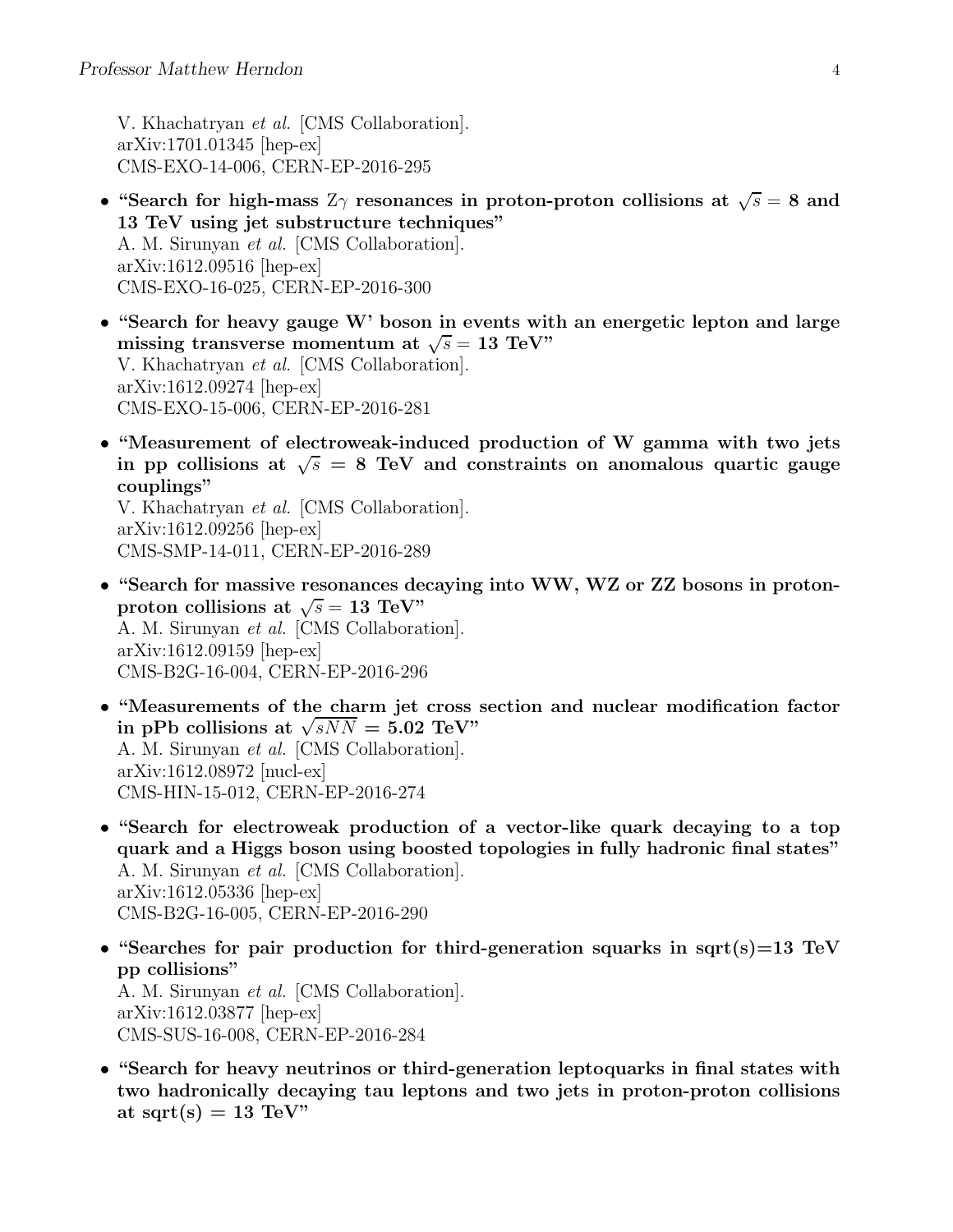V. Khachatryan et al. [CMS Collaboration]. arXiv:1701.01345 [hep-ex] CMS-EXO-14-006, CERN-EP-2016-295

- "Search for high-mass  $Z\gamma$  resonances in proton-proton collisions at  $\sqrt{s} = 8$  and 13 TeV using jet substructure techniques" A. M. Sirunyan et al. [CMS Collaboration]. arXiv:1612.09516 [hep-ex] CMS-EXO-16-025, CERN-EP-2016-300
- "Search for heavy gauge W' boson in events with an energetic lepton and large missing transverse momentum at  $\sqrt{s} = 13$  TeV" V. Khachatryan et al. [CMS Collaboration]. arXiv:1612.09274 [hep-ex] CMS-EXO-15-006, CERN-EP-2016-281
- "Measurement of electroweak-induced production of W gamma with two jets in pp collisions at  $\sqrt{s} = 8$  TeV and constraints on anomalous quartic gauge couplings"

V. Khachatryan et al. [CMS Collaboration]. arXiv:1612.09256 [hep-ex] CMS-SMP-14-011, CERN-EP-2016-289

- "Search for massive resonances decaying into WW, WZ or ZZ bosons in protonproton collisions at  $\sqrt{s} = 13$  TeV" A. M. Sirunyan et al. [CMS Collaboration]. arXiv:1612.09159 [hep-ex] CMS-B2G-16-004, CERN-EP-2016-296
- "Measurements of the charm jet cross section and nuclear modification factor in pPb collisions at  $\sqrt{sNN} = 5.02 \text{ TeV}$ " A. M. Sirunyan et al. [CMS Collaboration]. arXiv:1612.08972 [nucl-ex] CMS-HIN-15-012, CERN-EP-2016-274
- "Search for electroweak production of a vector-like quark decaying to a top quark and a Higgs boson using boosted topologies in fully hadronic final states" A. M. Sirunyan et al. [CMS Collaboration]. arXiv:1612.05336 [hep-ex] CMS-B2G-16-005, CERN-EP-2016-290
- "Searches for pair production for third-generation squarks in sqrt(s)=13 TeV pp collisions" A. M. Sirunyan et al. [CMS Collaboration]. arXiv:1612.03877 [hep-ex] CMS-SUS-16-008, CERN-EP-2016-284
- "Search for heavy neutrinos or third-generation leptoquarks in final states with two hadronically decaying tau leptons and two jets in proton-proton collisions at sqrt $(s) = 13$  TeV"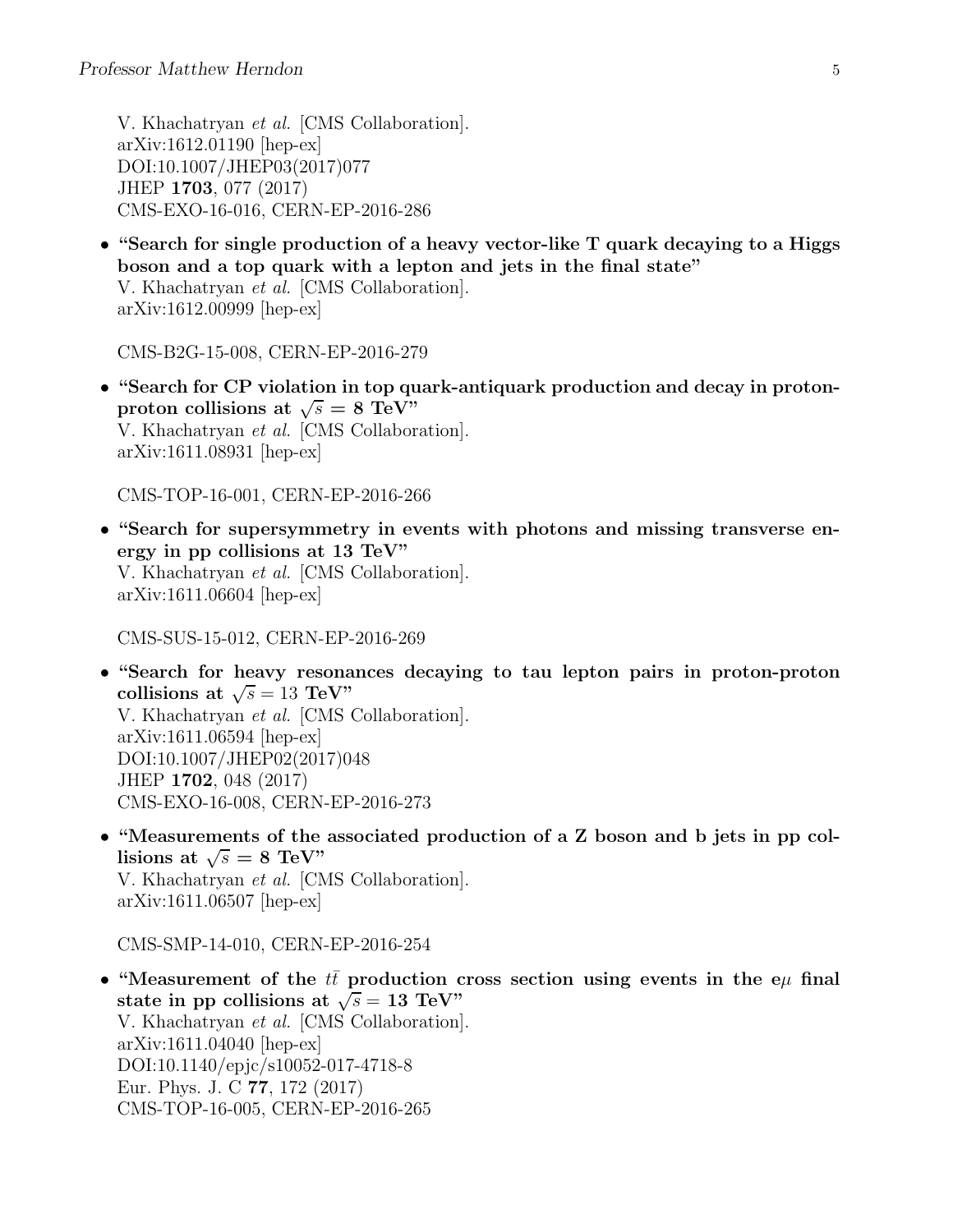V. Khachatryan et al. [CMS Collaboration]. arXiv:1612.01190 [hep-ex] DOI:10.1007/JHEP03(2017)077 JHEP 1703, 077 (2017) CMS-EXO-16-016, CERN-EP-2016-286

• "Search for single production of a heavy vector-like T quark decaying to a Higgs boson and a top quark with a lepton and jets in the final state" V. Khachatryan et al. [CMS Collaboration]. arXiv:1612.00999 [hep-ex]

CMS-B2G-15-008, CERN-EP-2016-279

• "Search for CP violation in top quark-antiquark production and decay in protonproton collisions at  $\sqrt{s} = 8$  TeV" V. Khachatryan et al. [CMS Collaboration]. arXiv:1611.08931 [hep-ex]

CMS-TOP-16-001, CERN-EP-2016-266

• "Search for supersymmetry in events with photons and missing transverse energy in pp collisions at 13 TeV" V. Khachatryan et al. [CMS Collaboration]. arXiv:1611.06604 [hep-ex]

CMS-SUS-15-012, CERN-EP-2016-269

- "Search for heavy resonances decaying to tau lepton pairs in proton-proton collisions at  $\sqrt{s} = 13$  TeV" V. Khachatryan et al. [CMS Collaboration]. arXiv:1611.06594 [hep-ex] DOI:10.1007/JHEP02(2017)048 JHEP 1702, 048 (2017) CMS-EXO-16-008, CERN-EP-2016-273
- "Measurements of the associated production of a Z boson and b jets in pp collisions at  $\sqrt{s} = 8$  TeV" V. Khachatryan et al. [CMS Collaboration]. arXiv:1611.06507 [hep-ex]

CMS-SMP-14-010, CERN-EP-2016-254

• "Measurement of the  $t\bar{t}$  production cross section using events in the e $\mu$  final state in pp collisions at  $\sqrt{s} = 13$  TeV" V. Khachatryan et al. [CMS Collaboration]. arXiv:1611.04040 [hep-ex] DOI:10.1140/epjc/s10052-017-4718-8 Eur. Phys. J. C 77, 172 (2017) CMS-TOP-16-005, CERN-EP-2016-265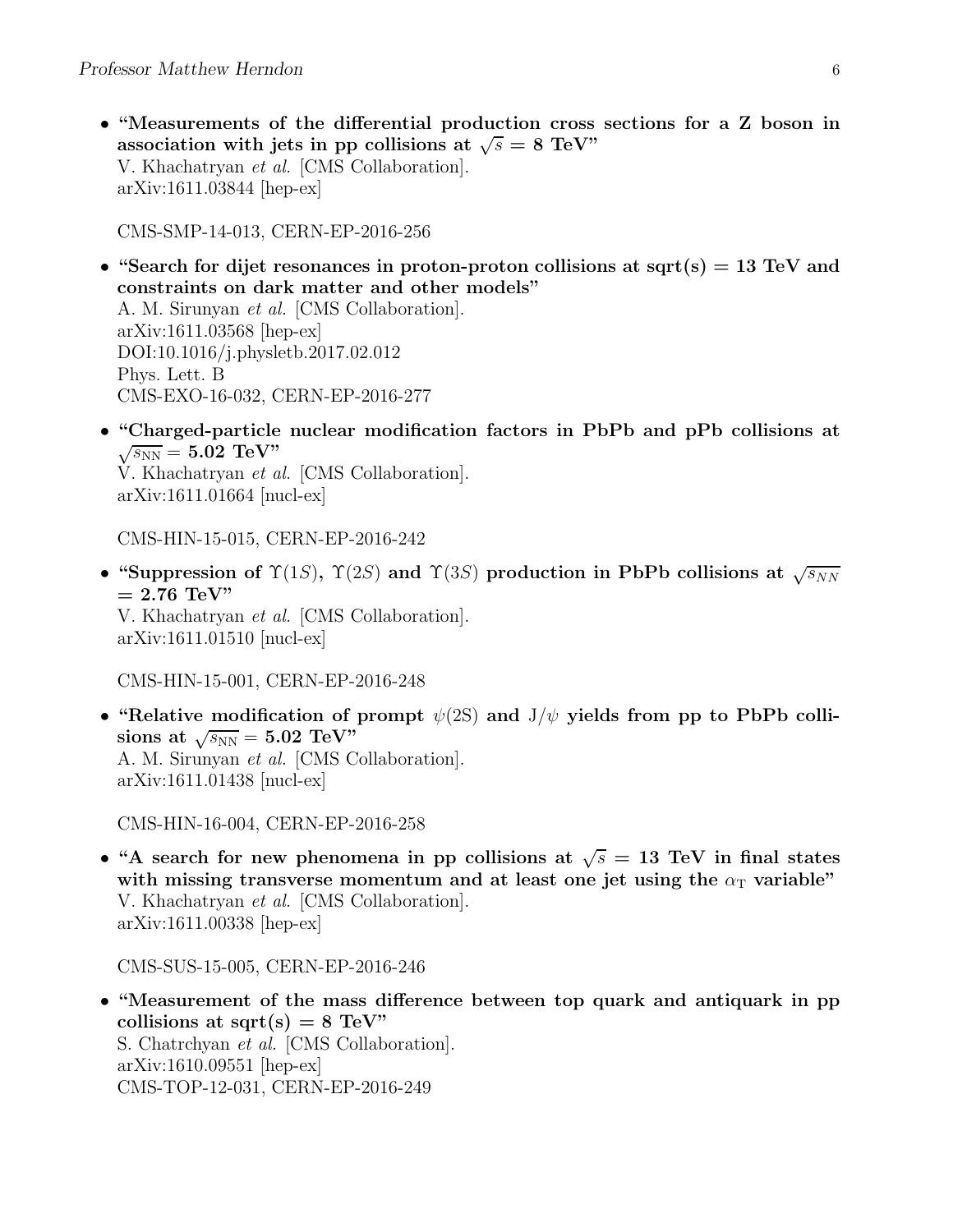• "Measurements of the differential production cross sections for a Z boson in association with jets in pp collisions at  $\sqrt{s} = 8$  TeV" V. Khachatryan et al. [CMS Collaboration]. arXiv:1611.03844 [hep-ex]

CMS-SMP-14-013, CERN-EP-2016-256

- "Search for dijet resonances in proton-proton collisions at sqrt(s) = 13 TeV and constraints on dark matter and other models" A. M. Sirunyan et al. [CMS Collaboration]. arXiv:1611.03568 [hep-ex] DOI:10.1016/j.physletb.2017.02.012 Phys. Lett. B CMS-EXO-16-032, CERN-EP-2016-277
- "Charged-particle nuclear modification factors in PbPb and pPb collisions at  $\sqrt{s_\mathrm{NN}}=5.02\,\, \mathrm{TeV}$ "

V. Khachatryan et al. [CMS Collaboration]. arXiv:1611.01664 [nucl-ex]

CMS-HIN-15-015, CERN-EP-2016-242

• "Suppression of  $\Upsilon(1S)$ ,  $\Upsilon(2S)$  and  $\Upsilon(3S)$  production in PbPb collisions at  $\sqrt{s_{NN}}$  $= 2.76$  TeV" V. Khachatryan et al. [CMS Collaboration]. arXiv:1611.01510 [nucl-ex]

CMS-HIN-15-001, CERN-EP-2016-248

• "Relative modification of prompt  $\psi(2S)$  and  $J/\psi$  yields from pp to PbPb colli- ${\rm sions\,\, at}\,\,\sqrt{s_{\rm NN}}=5.02\,\,{\rm TeV}^{\rm ,s}$ A. M. Sirunyan et al. [CMS Collaboration]. arXiv:1611.01438 [nucl-ex]

CMS-HIN-16-004, CERN-EP-2016-258

• "A search for new phenomena in pp collisions at  $\sqrt{s} = 13$  TeV in final states with missing transverse momentum and at least one jet using the  $\alpha<sub>T</sub>$  variable" V. Khachatryan et al. [CMS Collaboration]. arXiv:1611.00338 [hep-ex]

CMS-SUS-15-005, CERN-EP-2016-246

• "Measurement of the mass difference between top quark and antiquark in pp collisions at sqrt(s) =  $8 \text{ TeV}$ " S. Chatrchyan et al. [CMS Collaboration]. arXiv:1610.09551 [hep-ex] CMS-TOP-12-031, CERN-EP-2016-249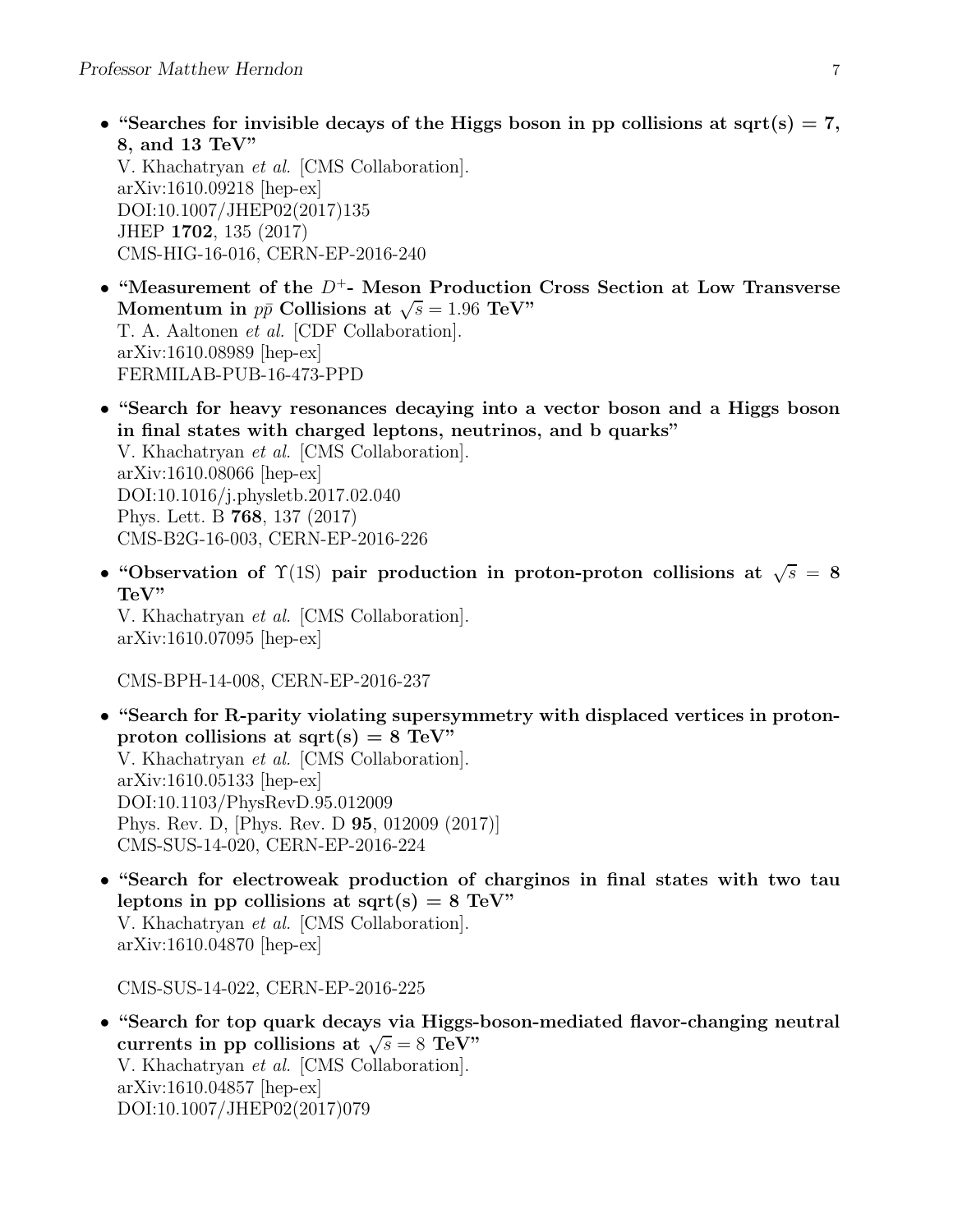- "Searches for invisible decays of the Higgs boson in pp collisions at sqrt(s) = 7, 8, and 13 TeV" V. Khachatryan et al. [CMS Collaboration]. arXiv:1610.09218 [hep-ex] DOI:10.1007/JHEP02(2017)135 JHEP 1702, 135 (2017) CMS-HIG-16-016, CERN-EP-2016-240
- "Measurement of the  $D^+$  Meson Production Cross Section at Low Transverse Momentum in  $p\bar{p}$  Collisions at  $\sqrt{s} = 1.96$  TeV" T. A. Aaltonen et al. [CDF Collaboration]. arXiv:1610.08989 [hep-ex] FERMILAB-PUB-16-473-PPD
- "Search for heavy resonances decaying into a vector boson and a Higgs boson in final states with charged leptons, neutrinos, and b quarks" V. Khachatryan et al. [CMS Collaboration]. arXiv:1610.08066 [hep-ex] DOI:10.1016/j.physletb.2017.02.040 Phys. Lett. B 768, 137 (2017) CMS-B2G-16-003, CERN-EP-2016-226
- "Observation of  $\Upsilon(1S)$  pair production in proton-proton collisions at  $\sqrt{s} = 8$ TeV"

V. Khachatryan et al. [CMS Collaboration]. arXiv:1610.07095 [hep-ex]

CMS-BPH-14-008, CERN-EP-2016-237

- "Search for R-parity violating supersymmetry with displaced vertices in protonproton collisions at sqrt(s) =  $8 \text{ TeV}$ " V. Khachatryan et al. [CMS Collaboration]. arXiv:1610.05133 [hep-ex] DOI:10.1103/PhysRevD.95.012009 Phys. Rev. D, [Phys. Rev. D 95, 012009 (2017)] CMS-SUS-14-020, CERN-EP-2016-224
- "Search for electroweak production of charginos in final states with two tau leptons in pp collisions at sqrt(s) =  $8 \text{ TeV}$ " V. Khachatryan et al. [CMS Collaboration]. arXiv:1610.04870 [hep-ex]

CMS-SUS-14-022, CERN-EP-2016-225

• "Search for top quark decays via Higgs-boson-mediated flavor-changing neutral currents in pp collisions at  $\sqrt{s} = 8$  TeV" V. Khachatryan et al. [CMS Collaboration]. arXiv:1610.04857 [hep-ex] DOI:10.1007/JHEP02(2017)079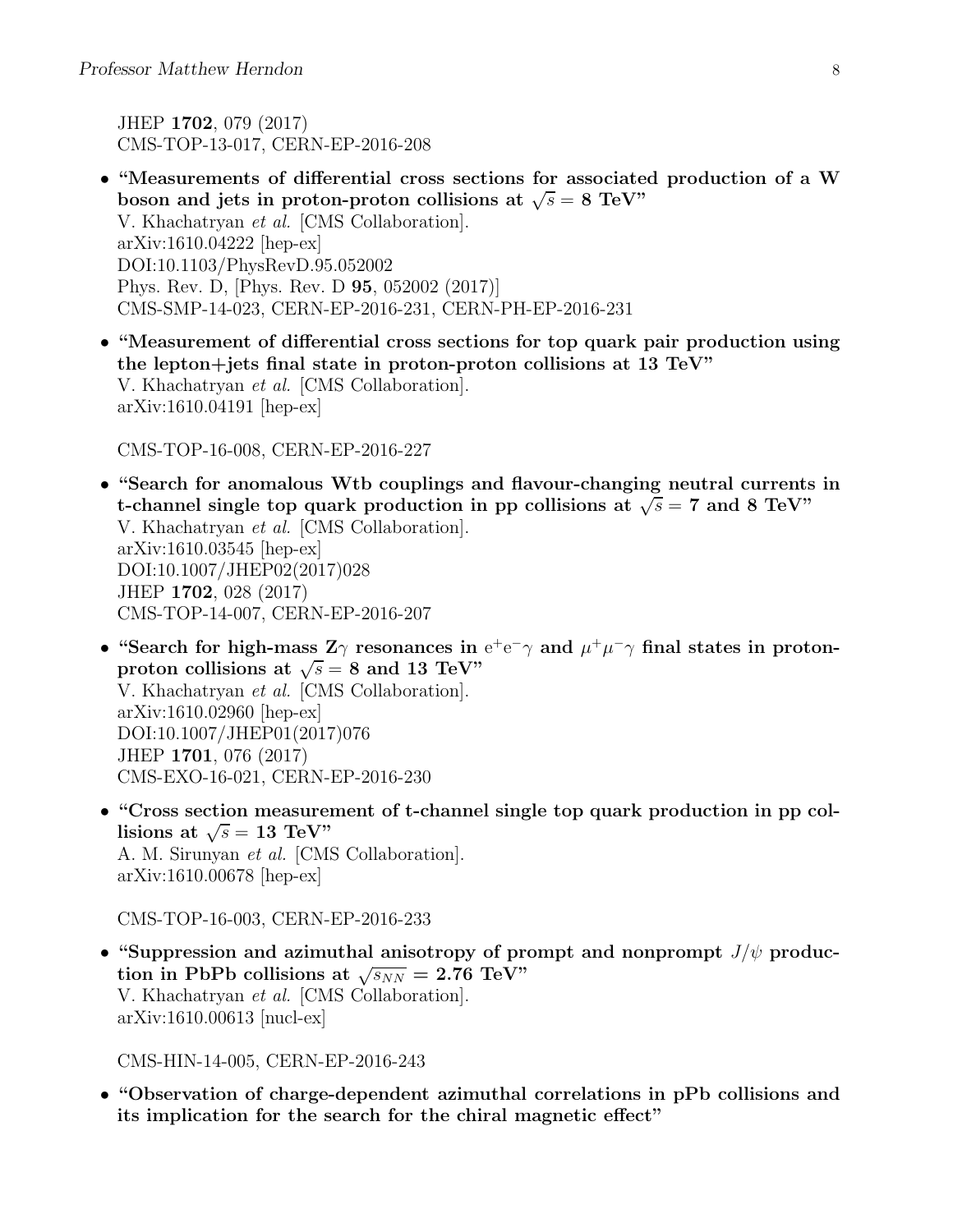JHEP 1702, 079 (2017) CMS-TOP-13-017, CERN-EP-2016-208

- "Measurements of differential cross sections for associated production of a W boson and jets in proton-proton collisions at  $\sqrt{s} = 8$  TeV" V. Khachatryan et al. [CMS Collaboration]. arXiv:1610.04222 [hep-ex] DOI:10.1103/PhysRevD.95.052002 Phys. Rev. D, [Phys. Rev. D 95, 052002 (2017)] CMS-SMP-14-023, CERN-EP-2016-231, CERN-PH-EP-2016-231
- "Measurement of differential cross sections for top quark pair production using the lepton+jets final state in proton-proton collisions at 13 TeV" V. Khachatryan et al. [CMS Collaboration]. arXiv:1610.04191 [hep-ex]

CMS-TOP-16-008, CERN-EP-2016-227

- "Search for anomalous Wtb couplings and flavour-changing neutral currents in t-channel single top quark production in pp collisions at  $\sqrt{s} = 7$  and 8 TeV" V. Khachatryan et al. [CMS Collaboration]. arXiv:1610.03545 [hep-ex] DOI:10.1007/JHEP02(2017)028 JHEP 1702, 028 (2017) CMS-TOP-14-007, CERN-EP-2016-207
- "Search for high-mass  $Z\gamma$  resonances in  $e^+e^-\gamma$  and  $\mu^+\mu^-\gamma$  final states in protonproton collisions at  $\sqrt{s} = 8$  and 13 TeV" V. Khachatryan et al. [CMS Collaboration]. arXiv:1610.02960 [hep-ex]

DOI:10.1007/JHEP01(2017)076 JHEP 1701, 076 (2017) CMS-EXO-16-021, CERN-EP-2016-230

• "Cross section measurement of t-channel single top quark production in pp collisions at  $\sqrt{s} = 13$  TeV" A. M. Sirunyan et al. [CMS Collaboration]. arXiv:1610.00678 [hep-ex]

CMS-TOP-16-003, CERN-EP-2016-233

• "Suppression and azimuthal anisotropy of prompt and nonprompt  $J/\psi$  production in PbPb collisions at  $\sqrt{s_{NN}} = 2.76 \text{ TeV}$ " V. Khachatryan et al. [CMS Collaboration]. arXiv:1610.00613 [nucl-ex]

CMS-HIN-14-005, CERN-EP-2016-243

• "Observation of charge-dependent azimuthal correlations in pPb collisions and its implication for the search for the chiral magnetic effect"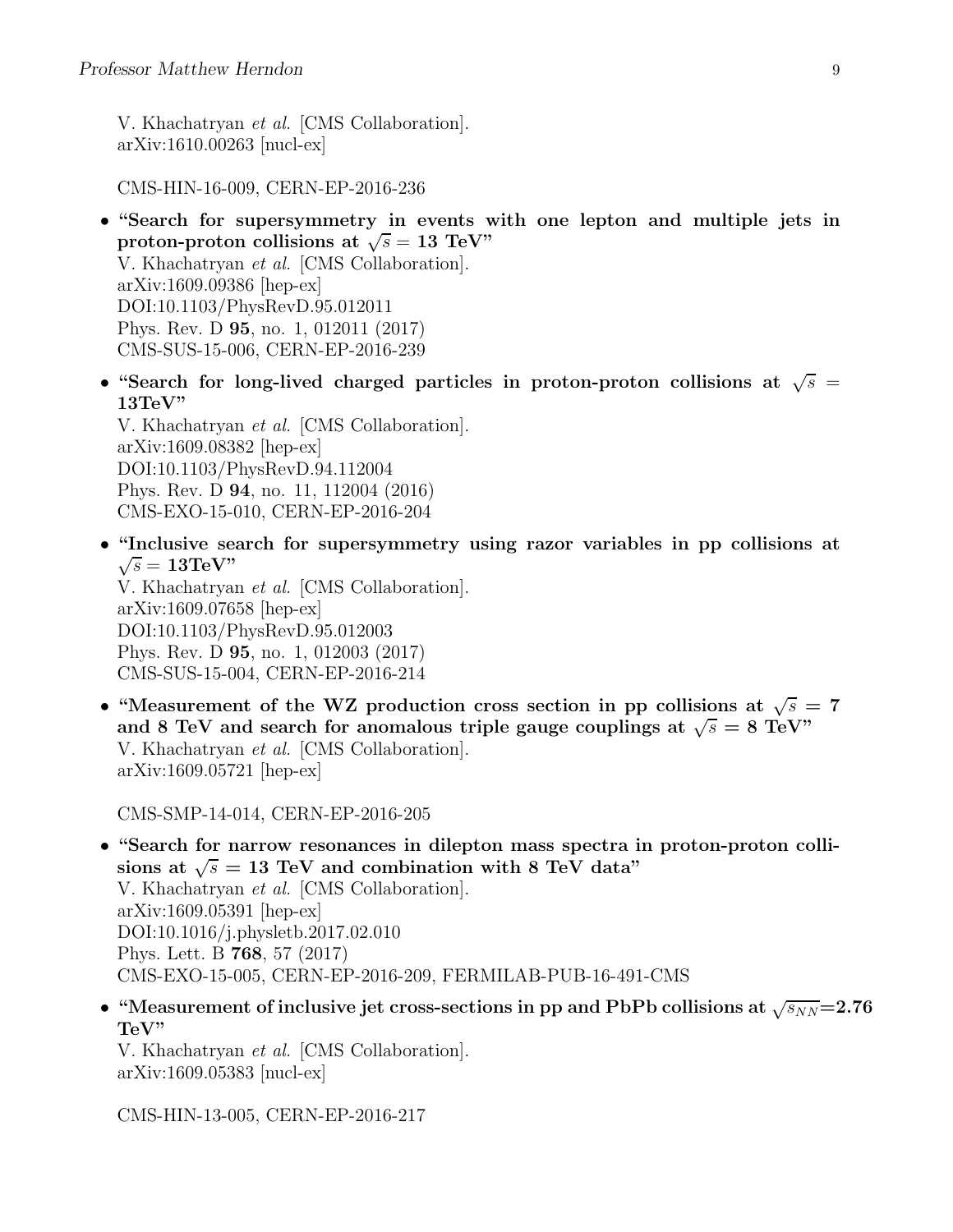V. Khachatryan et al. [CMS Collaboration]. arXiv:1610.00263 [nucl-ex]

CMS-HIN-16-009, CERN-EP-2016-236

• "Search for supersymmetry in events with one lepton and multiple jets in proton-proton collisions at  $\sqrt{s} = 13$  TeV"

V. Khachatryan et al. [CMS Collaboration]. arXiv:1609.09386 [hep-ex] DOI:10.1103/PhysRevD.95.012011 Phys. Rev. D 95, no. 1, 012011 (2017) CMS-SUS-15-006, CERN-EP-2016-239

• "Search for long-lived charged particles in proton-proton collisions at  $\sqrt{s}$  = 13TeV"

V. Khachatryan et al. [CMS Collaboration]. arXiv:1609.08382 [hep-ex] DOI:10.1103/PhysRevD.94.112004 Phys. Rev. D 94, no. 11, 112004 (2016) CMS-EXO-15-010, CERN-EP-2016-204

• "Inclusive search for supersymmetry using razor variables in pp collisions at  $\sqrt{s} = 13 \text{TeV}$ "

V. Khachatryan et al. [CMS Collaboration]. arXiv:1609.07658 [hep-ex] DOI:10.1103/PhysRevD.95.012003 Phys. Rev. D 95, no. 1, 012003 (2017) CMS-SUS-15-004, CERN-EP-2016-214

• "Measurement of the WZ production cross section in pp collisions at  $\sqrt{s} = 7$ and 8 TeV and search for anomalous triple gauge couplings at  $\sqrt{s} = 8$  TeV" V. Khachatryan et al. [CMS Collaboration]. arXiv:1609.05721 [hep-ex]

CMS-SMP-14-014, CERN-EP-2016-205

- "Search for narrow resonances in dilepton mass spectra in proton-proton collisions at  $\sqrt{s} = 13$  TeV and combination with 8 TeV data" V. Khachatryan et al. [CMS Collaboration]. arXiv:1609.05391 [hep-ex] DOI:10.1016/j.physletb.2017.02.010 Phys. Lett. B 768, 57 (2017) CMS-EXO-15-005, CERN-EP-2016-209, FERMILAB-PUB-16-491-CMS
- "Measurement of inclusive jet cross-sections in pp and PbPb collisions at  $\sqrt{s_{NN}}$ =2.76 TeV"

V. Khachatryan et al. [CMS Collaboration]. arXiv:1609.05383 [nucl-ex]

CMS-HIN-13-005, CERN-EP-2016-217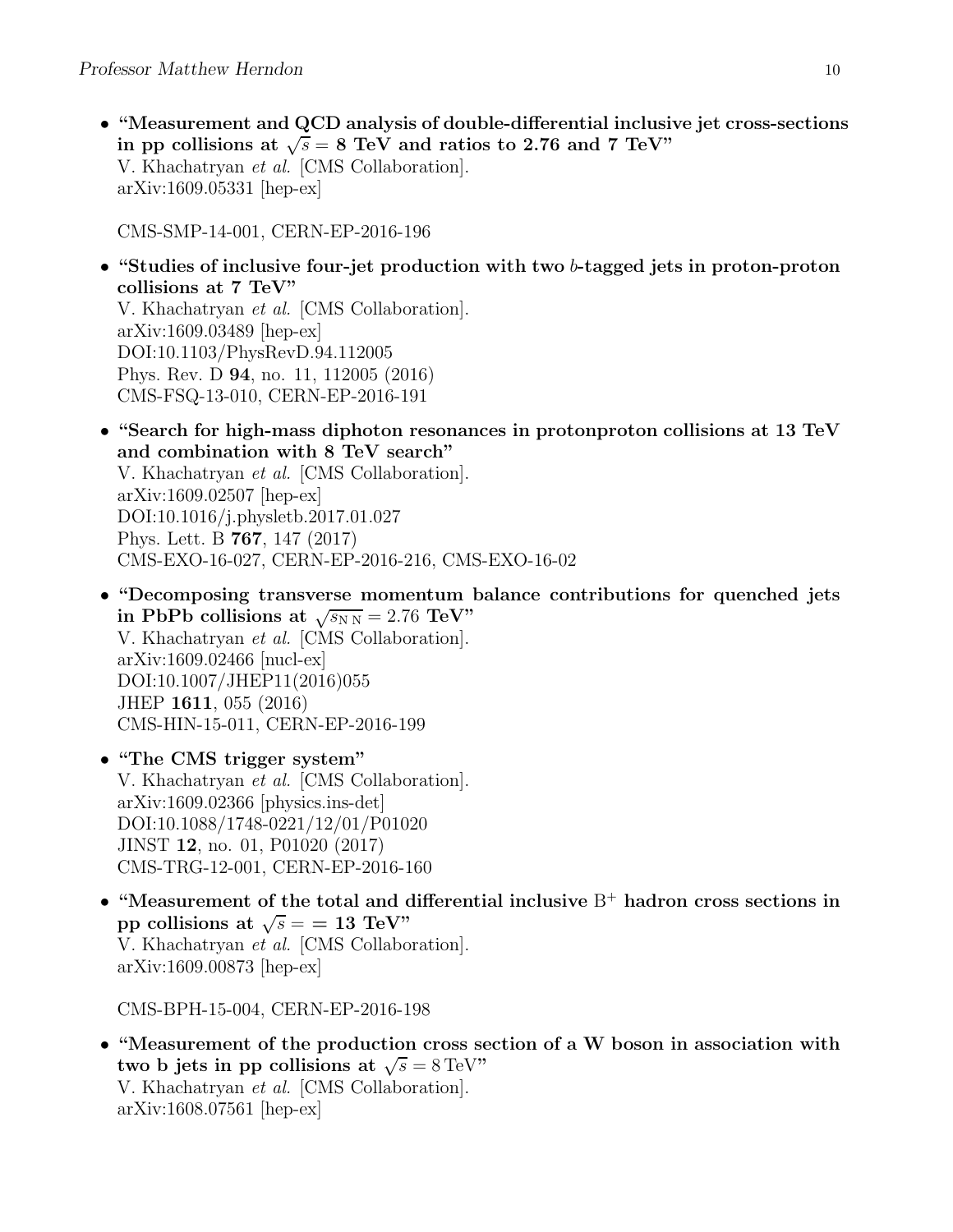• "Measurement and QCD analysis of double-differential inclusive jet cross-sections in pp collisions at  $\sqrt{s} = 8$  TeV and ratios to 2.76 and 7 TeV" V. Khachatryan et al. [CMS Collaboration]. arXiv:1609.05331 [hep-ex]

CMS-SMP-14-001, CERN-EP-2016-196

• "Studies of inclusive four-jet production with two b-tagged jets in proton-proton collisions at 7 TeV"

V. Khachatryan et al. [CMS Collaboration]. arXiv:1609.03489 [hep-ex] DOI:10.1103/PhysRevD.94.112005 Phys. Rev. D 94, no. 11, 112005 (2016) CMS-FSQ-13-010, CERN-EP-2016-191

- "Search for high-mass diphoton resonances in protonproton collisions at 13 TeV and combination with 8 TeV search" V. Khachatryan et al. [CMS Collaboration]. arXiv:1609.02507 [hep-ex] DOI:10.1016/j.physletb.2017.01.027 Phys. Lett. B 767, 147 (2017) CMS-EXO-16-027, CERN-EP-2016-216, CMS-EXO-16-02
- "Decomposing transverse momentum balance contributions for quenched jets in PbPb collisions at  $\sqrt{s_{NN}} = 2.76 \text{ TeV}$ " V. Khachatryan et al. [CMS Collaboration]. arXiv:1609.02466 [nucl-ex] DOI:10.1007/JHEP11(2016)055 JHEP 1611, 055 (2016) CMS-HIN-15-011, CERN-EP-2016-199
- "The CMS trigger system" V. Khachatryan et al. [CMS Collaboration]. arXiv:1609.02366 [physics.ins-det] DOI:10.1088/1748-0221/12/01/P01020 JINST 12, no. 01, P01020 (2017) CMS-TRG-12-001, CERN-EP-2016-160
- "Measurement of the total and differential inclusive  $B^+$  hadron cross sections in pp collisions at  $\sqrt{s} =$  = 13 TeV" V. Khachatryan et al. [CMS Collaboration]. arXiv:1609.00873 [hep-ex]

CMS-BPH-15-004, CERN-EP-2016-198

• "Measurement of the production cross section of a W boson in association with two b jets in pp collisions at  $\sqrt{s} = 8 \,\text{TeV}$ " V. Khachatryan et al. [CMS Collaboration]. arXiv:1608.07561 [hep-ex]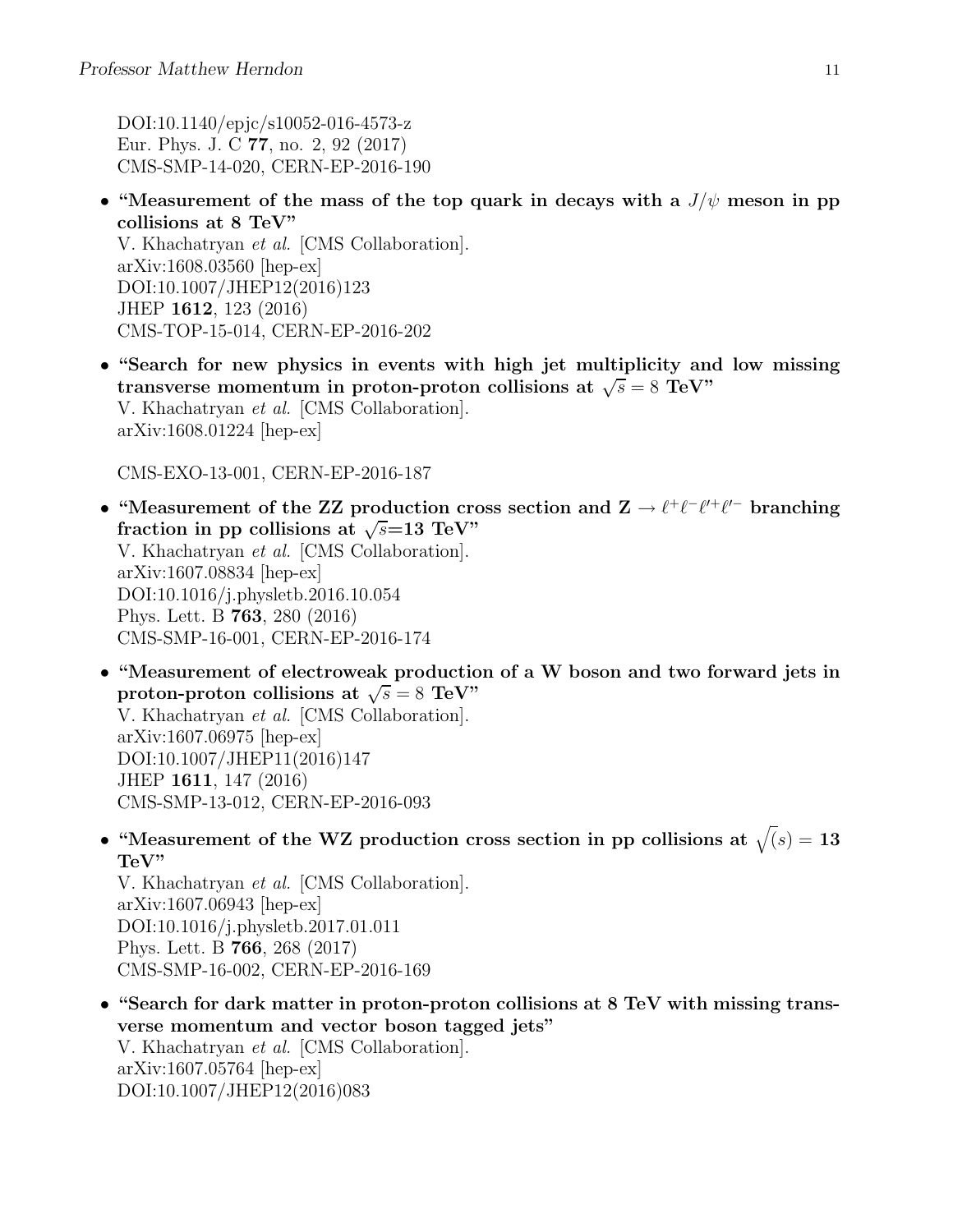DOI:10.1140/epjc/s10052-016-4573-z Eur. Phys. J. C 77, no. 2, 92 (2017) CMS-SMP-14-020, CERN-EP-2016-190

• "Measurement of the mass of the top quark in decays with a  $J/\psi$  meson in pp collisions at 8 TeV"

V. Khachatryan et al. [CMS Collaboration]. arXiv:1608.03560 [hep-ex] DOI:10.1007/JHEP12(2016)123 JHEP 1612, 123 (2016) CMS-TOP-15-014, CERN-EP-2016-202

• "Search for new physics in events with high jet multiplicity and low missing transverse momentum in proton-proton collisions at  $\sqrt{s} = 8$  TeV" V. Khachatryan et al. [CMS Collaboration]. arXiv:1608.01224 [hep-ex]

CMS-EXO-13-001, CERN-EP-2016-187

- "Measurement of the ZZ production cross section and  $\mathbf{Z} \to \ell^+ \ell^- \ell^+ \ell^-$  branching fraction in pp collisions at  $\sqrt{s}$ =13 TeV" V. Khachatryan et al. [CMS Collaboration]. arXiv:1607.08834 [hep-ex] DOI:10.1016/j.physletb.2016.10.054 Phys. Lett. B 763, 280 (2016) CMS-SMP-16-001, CERN-EP-2016-174
- "Measurement of electroweak production of a W boson and two forward jets in proton-proton collisions at  $\sqrt{s} = 8$  TeV" V. Khachatryan et al. [CMS Collaboration]. arXiv:1607.06975 [hep-ex] DOI:10.1007/JHEP11(2016)147 JHEP 1611, 147 (2016) CMS-SMP-13-012, CERN-EP-2016-093
- "Measurement of the WZ production cross section in pp collisions at  $\sqrt{s}$  = 13 TeV"

V. Khachatryan et al. [CMS Collaboration]. arXiv:1607.06943 [hep-ex] DOI:10.1016/j.physletb.2017.01.011 Phys. Lett. B 766, 268 (2017) CMS-SMP-16-002, CERN-EP-2016-169

• "Search for dark matter in proton-proton collisions at 8 TeV with missing transverse momentum and vector boson tagged jets" V. Khachatryan et al. [CMS Collaboration]. arXiv:1607.05764 [hep-ex] DOI:10.1007/JHEP12(2016)083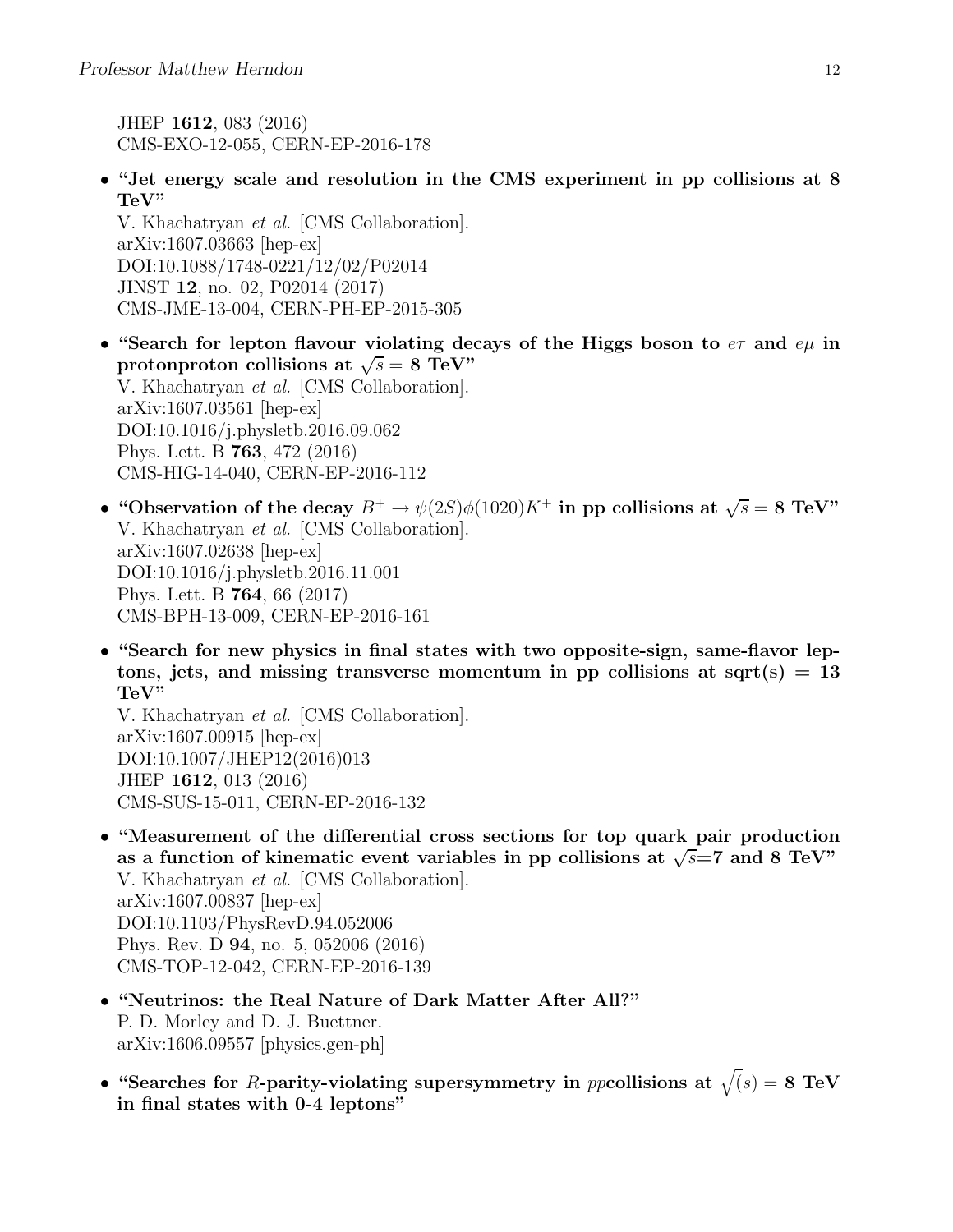JHEP 1612, 083 (2016) CMS-EXO-12-055, CERN-EP-2016-178

• "Jet energy scale and resolution in the CMS experiment in pp collisions at 8 TeV"

V. Khachatryan et al. [CMS Collaboration]. arXiv:1607.03663 [hep-ex] DOI:10.1088/1748-0221/12/02/P02014 JINST 12, no. 02, P02014 (2017) CMS-JME-13-004, CERN-PH-EP-2015-305

- "Search for lepton flavour violating decays of the Higgs boson to  $e\tau$  and  $e\mu$  in protonproton collisions at  $\sqrt{s} = 8$  TeV" V. Khachatryan et al. [CMS Collaboration]. arXiv:1607.03561 [hep-ex] DOI:10.1016/j.physletb.2016.09.062 Phys. Lett. B 763, 472 (2016) CMS-HIG-14-040, CERN-EP-2016-112
- "Observation of the decay  $B^+ \to \psi(2S)\phi(1020)K^+$  in pp collisions at  $\sqrt{s} = 8$  TeV" V. Khachatryan et al. [CMS Collaboration]. arXiv:1607.02638 [hep-ex] DOI:10.1016/j.physletb.2016.11.001 Phys. Lett. B 764, 66 (2017) CMS-BPH-13-009, CERN-EP-2016-161
- "Search for new physics in final states with two opposite-sign, same-flavor leptons, jets, and missing transverse momentum in pp collisions at sqrt(s)  $= 13$ TeV"

V. Khachatryan et al. [CMS Collaboration]. arXiv:1607.00915 [hep-ex] DOI:10.1007/JHEP12(2016)013 JHEP 1612, 013 (2016) CMS-SUS-15-011, CERN-EP-2016-132

- "Measurement of the differential cross sections for top quark pair production as a function of kinematic event variables in pp collisions at  $\sqrt{s}$ =7 and 8 TeV" V. Khachatryan et al. [CMS Collaboration]. arXiv:1607.00837 [hep-ex] DOI:10.1103/PhysRevD.94.052006 Phys. Rev. D 94, no. 5, 052006 (2016) CMS-TOP-12-042, CERN-EP-2016-139
- "Neutrinos: the Real Nature of Dark Matter After All?" P. D. Morley and D. J. Buettner. arXiv:1606.09557 [physics.gen-ph]
- "Searches for R-parity-violating supersymmetry in ppcollisions at  $\sqrt(s) = 8$  TeV in final states with 0-4 leptons"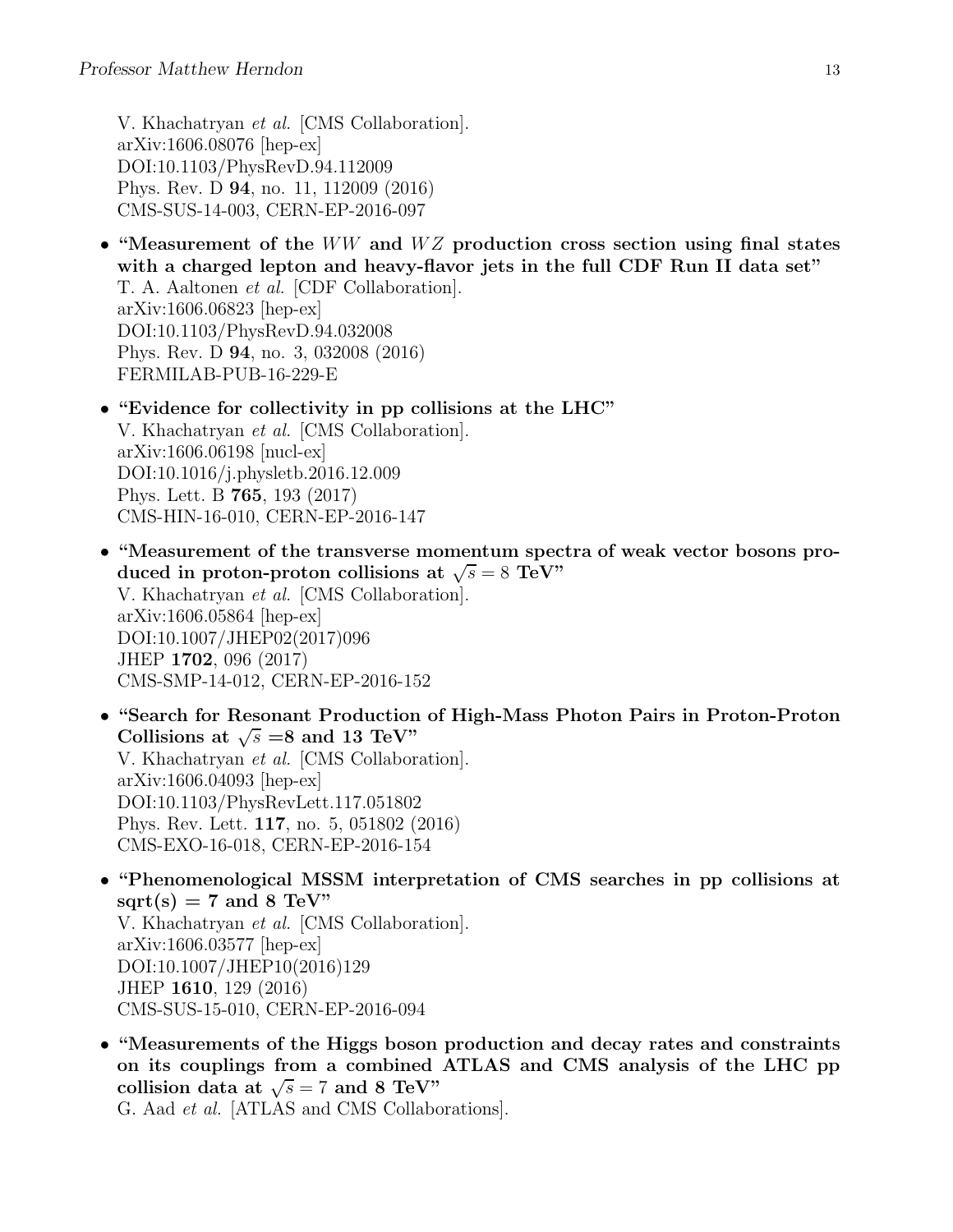V. Khachatryan et al. [CMS Collaboration]. arXiv:1606.08076 [hep-ex] DOI:10.1103/PhysRevD.94.112009 Phys. Rev. D 94, no. 11, 112009 (2016) CMS-SUS-14-003, CERN-EP-2016-097

- "Measurement of the  $WW$  and  $WZ$  production cross section using final states with a charged lepton and heavy-flavor jets in the full CDF Run II data set" T. A. Aaltonen et al. [CDF Collaboration]. arXiv:1606.06823 [hep-ex] DOI:10.1103/PhysRevD.94.032008 Phys. Rev. D 94, no. 3, 032008 (2016) FERMILAB-PUB-16-229-E
- "Evidence for collectivity in pp collisions at the LHC" V. Khachatryan et al. [CMS Collaboration]. arXiv:1606.06198 [nucl-ex] DOI:10.1016/j.physletb.2016.12.009 Phys. Lett. B 765, 193 (2017) CMS-HIN-16-010, CERN-EP-2016-147
- "Measurement of the transverse momentum spectra of weak vector bosons produced in proton-proton collisions at  $\sqrt{s} = 8$  TeV" V. Khachatryan et al. [CMS Collaboration]. arXiv:1606.05864 [hep-ex] DOI:10.1007/JHEP02(2017)096 JHEP 1702, 096 (2017) CMS-SMP-14-012, CERN-EP-2016-152
- "Search for Resonant Production of High-Mass Photon Pairs in Proton-Proton Collisions at  $\sqrt{s} = 8$  and 13 TeV" V. Khachatryan et al. [CMS Collaboration]. arXiv:1606.04093 [hep-ex] DOI:10.1103/PhysRevLett.117.051802 Phys. Rev. Lett. 117, no. 5, 051802 (2016) CMS-EXO-16-018, CERN-EP-2016-154
- "Phenomenological MSSM interpretation of CMS searches in pp collisions at  $sqrt(s) = 7$  and 8 TeV" V. Khachatryan et al. [CMS Collaboration]. arXiv:1606.03577 [hep-ex] DOI:10.1007/JHEP10(2016)129 JHEP 1610, 129 (2016) CMS-SUS-15-010, CERN-EP-2016-094
- "Measurements of the Higgs boson production and decay rates and constraints on its couplings from a combined ATLAS and CMS analysis of the LHC pp collision data at  $\sqrt{s} = 7$  and 8 TeV"

G. Aad et al. [ATLAS and CMS Collaborations].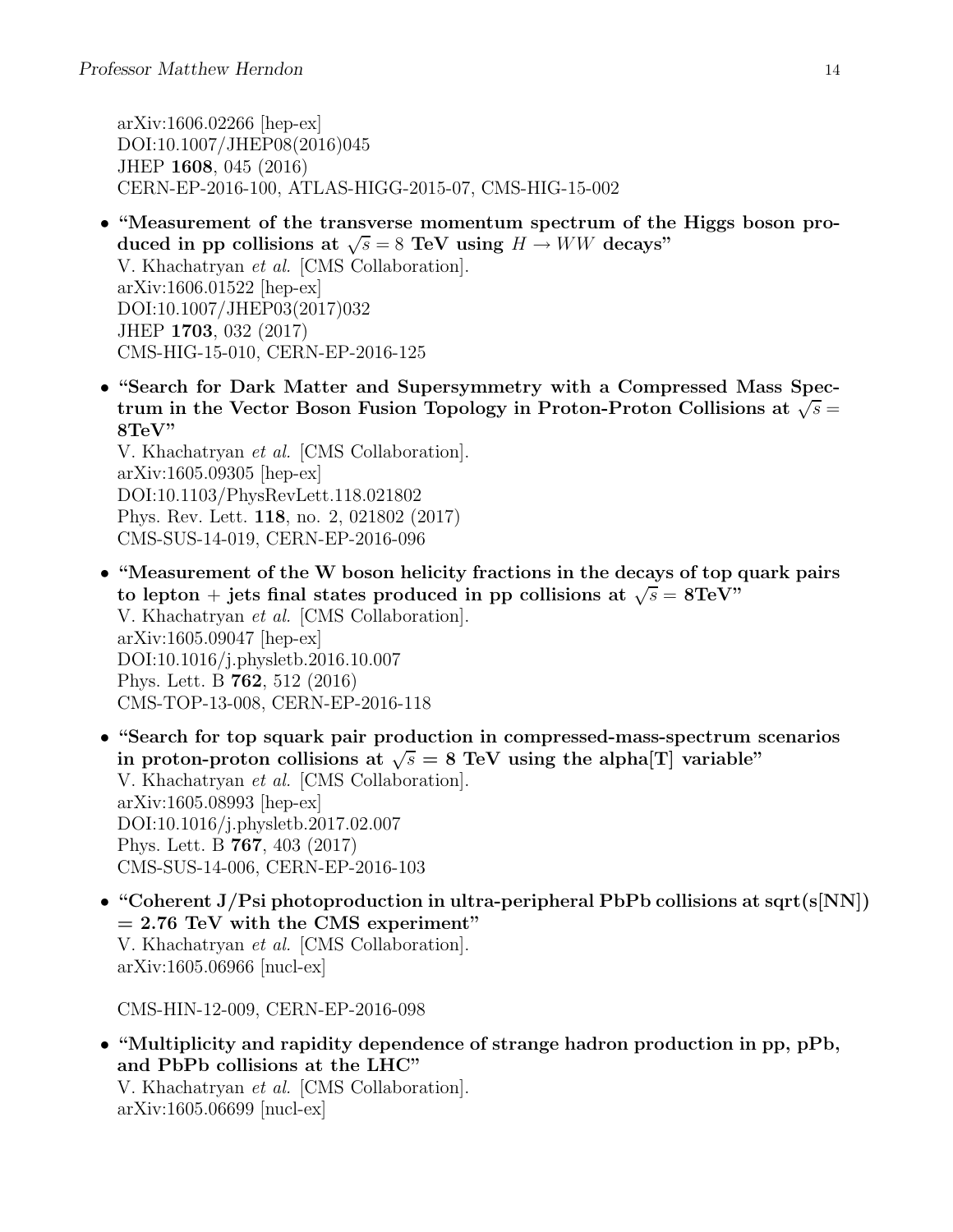arXiv:1606.02266 [hep-ex] DOI:10.1007/JHEP08(2016)045 JHEP 1608, 045 (2016) CERN-EP-2016-100, ATLAS-HIGG-2015-07, CMS-HIG-15-002

- "Measurement of the transverse momentum spectrum of the Higgs boson produced in pp collisions at  $\sqrt{s} = 8$  TeV using  $H \to WW$  decays" V. Khachatryan et al. [CMS Collaboration]. arXiv:1606.01522 [hep-ex] DOI:10.1007/JHEP03(2017)032 JHEP 1703, 032 (2017) CMS-HIG-15-010, CERN-EP-2016-125
- "Search for Dark Matter and Supersymmetry with a Compressed Mass Spectrum in the Vector Boson Fusion Topology in Proton-Proton Collisions at  $\sqrt{s}$  = 8TeV"

V. Khachatryan et al. [CMS Collaboration]. arXiv:1605.09305 [hep-ex] DOI:10.1103/PhysRevLett.118.021802 Phys. Rev. Lett. 118, no. 2, 021802 (2017) CMS-SUS-14-019, CERN-EP-2016-096

- "Measurement of the W boson helicity fractions in the decays of top quark pairs to lepton + jets final states produced in pp collisions at  $\sqrt{s} = 8 \text{TeV}$ " V. Khachatryan et al. [CMS Collaboration]. arXiv:1605.09047 [hep-ex] DOI:10.1016/j.physletb.2016.10.007 Phys. Lett. B 762, 512 (2016) CMS-TOP-13-008, CERN-EP-2016-118
- "Search for top squark pair production in compressed-mass-spectrum scenarios in proton-proton collisions at  $\sqrt{s} = 8$  TeV using the alpha[T] variable" V. Khachatryan et al. [CMS Collaboration]. arXiv:1605.08993 [hep-ex] DOI:10.1016/j.physletb.2017.02.007 Phys. Lett. B 767, 403 (2017) CMS-SUS-14-006, CERN-EP-2016-103
- "Coherent J/Psi photoproduction in ultra-peripheral PbPb collisions at sqrt(s[NN])  $= 2.76$  TeV with the CMS experiment" V. Khachatryan et al. [CMS Collaboration]. arXiv:1605.06966 [nucl-ex]

CMS-HIN-12-009, CERN-EP-2016-098

• "Multiplicity and rapidity dependence of strange hadron production in pp, pPb, and PbPb collisions at the LHC" V. Khachatryan et al. [CMS Collaboration]. arXiv:1605.06699 [nucl-ex]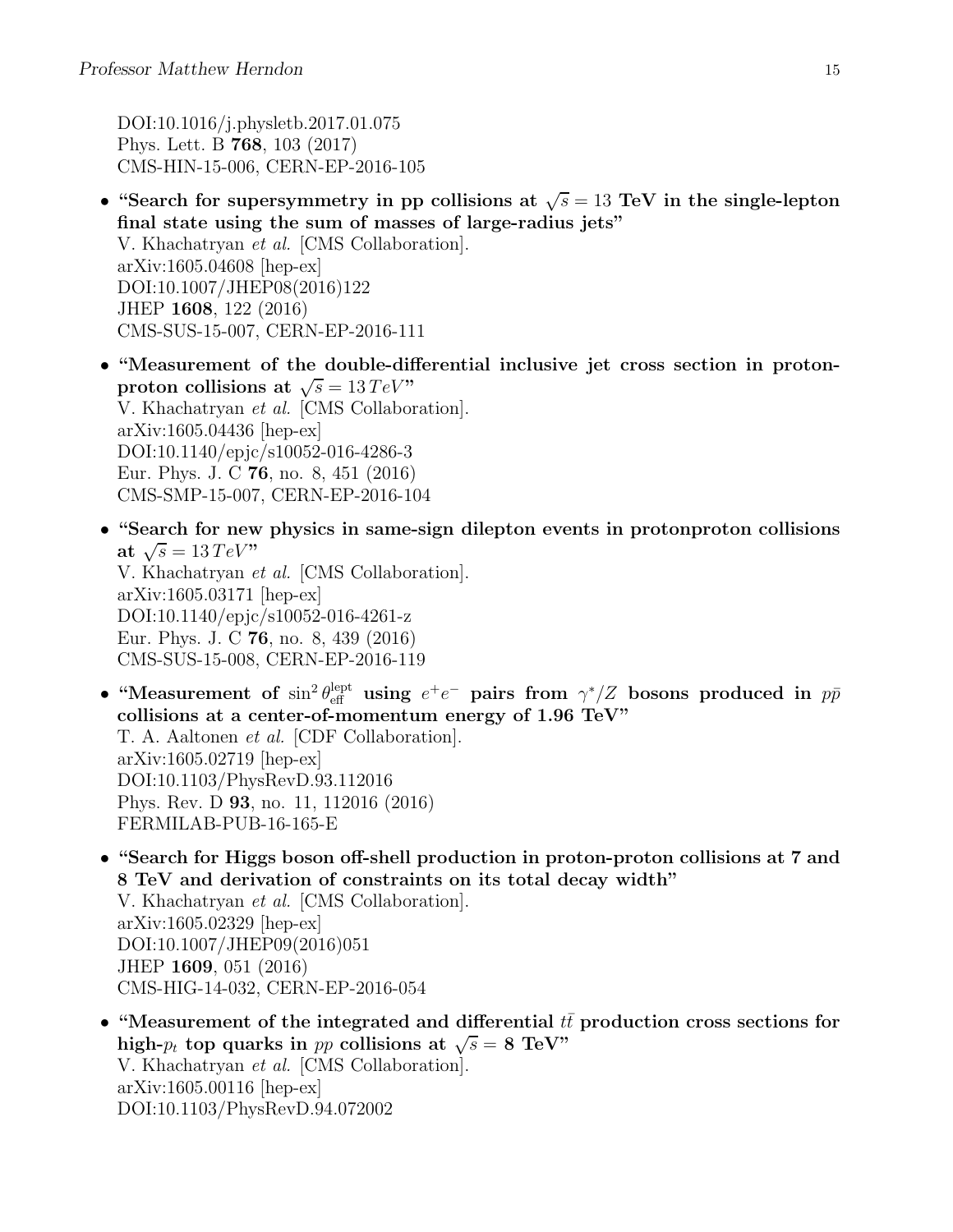DOI:10.1016/j.physletb.2017.01.075 Phys. Lett. B 768, 103 (2017) CMS-HIN-15-006, CERN-EP-2016-105

- "Search for supersymmetry in pp collisions at  $\sqrt{s} = 13$  TeV in the single-lepton final state using the sum of masses of large-radius jets" V. Khachatryan et al. [CMS Collaboration]. arXiv:1605.04608 [hep-ex] DOI:10.1007/JHEP08(2016)122 JHEP 1608, 122 (2016) CMS-SUS-15-007, CERN-EP-2016-111
- "Measurement of the double-differential inclusive jet cross section in protonproton collisions at  $\sqrt{s} = 13 \, TeV$ " V. Khachatryan et al. [CMS Collaboration]. arXiv:1605.04436 [hep-ex] DOI:10.1140/epjc/s10052-016-4286-3 Eur. Phys. J. C 76, no. 8, 451 (2016) CMS-SMP-15-007, CERN-EP-2016-104
- "Search for new physics in same-sign dilepton events in protonproton collisions at  $\sqrt{s} = 13 \, TeV$ " V. Khachatryan et al. [CMS Collaboration]. arXiv:1605.03171 [hep-ex] DOI:10.1140/epjc/s10052-016-4261-z Eur. Phys. J. C 76, no. 8, 439 (2016) CMS-SUS-15-008, CERN-EP-2016-119
- "Measurement of  $\sin^2 \theta_{\text{eff}}^{\text{lept}}$  using  $e^+e^-$  pairs from  $\gamma^*/Z$  bosons produced in  $p\bar{p}$ collisions at a center-of-momentum energy of 1.96 TeV" T. A. Aaltonen et al. [CDF Collaboration]. arXiv:1605.02719 [hep-ex] DOI:10.1103/PhysRevD.93.112016 Phys. Rev. D 93, no. 11, 112016 (2016) FERMILAB-PUB-16-165-E
- "Search for Higgs boson off-shell production in proton-proton collisions at 7 and 8 TeV and derivation of constraints on its total decay width" V. Khachatryan et al. [CMS Collaboration]. arXiv:1605.02329 [hep-ex] DOI:10.1007/JHEP09(2016)051 JHEP 1609, 051 (2016) CMS-HIG-14-032, CERN-EP-2016-054
- "Measurement of the integrated and differential  $t\bar{t}$  production cross sections for high- $p_t$  top quarks in pp collisions at  $\sqrt{s} = 8$  TeV" V. Khachatryan et al. [CMS Collaboration]. arXiv:1605.00116 [hep-ex] DOI:10.1103/PhysRevD.94.072002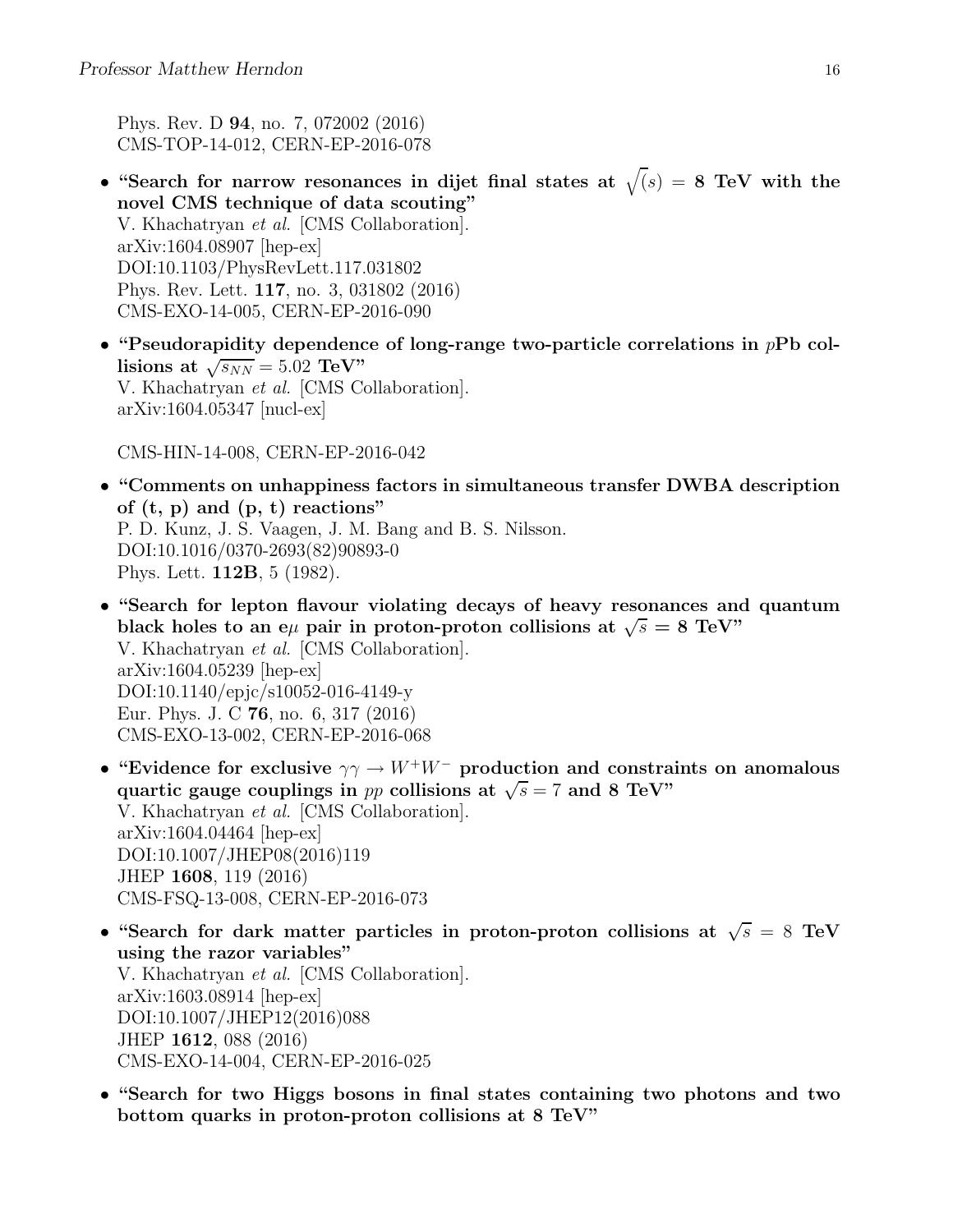Phys. Rev. D 94, no. 7, 072002 (2016) CMS-TOP-14-012, CERN-EP-2016-078

- "Search for narrow resonances in dijet final states at  $\sqrt(s) = 8$  TeV with the novel CMS technique of data scouting" V. Khachatryan et al. [CMS Collaboration]. arXiv:1604.08907 [hep-ex] DOI:10.1103/PhysRevLett.117.031802 Phys. Rev. Lett. 117, no. 3, 031802 (2016) CMS-EXO-14-005, CERN-EP-2016-090
- "Pseudorapidity dependence of long-range two-particle correlations in  $pPb$  collisions at  $\sqrt{s_{NN}}$  = 5.02 TeV" V. Khachatryan et al. [CMS Collaboration]. arXiv:1604.05347 [nucl-ex]

CMS-HIN-14-008, CERN-EP-2016-042

- "Comments on unhappiness factors in simultaneous transfer DWBA description of  $(t, p)$  and  $(p, t)$  reactions" P. D. Kunz, J. S. Vaagen, J. M. Bang and B. S. Nilsson. DOI:10.1016/0370-2693(82)90893-0 Phys. Lett. 112B, 5 (1982).
- "Search for lepton flavour violating decays of heavy resonances and quantum black holes to an eµ pair in proton-proton collisions at  $\sqrt{s} = 8$  TeV" V. Khachatryan et al. [CMS Collaboration]. arXiv:1604.05239 [hep-ex] DOI:10.1140/epjc/s10052-016-4149-y Eur. Phys. J. C 76, no. 6, 317 (2016) CMS-EXO-13-002, CERN-EP-2016-068
- "Evidence for exclusive  $\gamma \gamma \rightarrow W^+W^-$  production and constraints on anomalous quartic gauge couplings in pp collisions at  $\sqrt{s} = 7$  and 8 TeV" V. Khachatryan et al. [CMS Collaboration]. arXiv:1604.04464 [hep-ex] DOI:10.1007/JHEP08(2016)119 JHEP 1608, 119 (2016) CMS-FSQ-13-008, CERN-EP-2016-073
- "Search for dark matter particles in proton-proton collisions at  $\sqrt{s} = 8$  TeV using the razor variables" V. Khachatryan et al. [CMS Collaboration]. arXiv:1603.08914 [hep-ex] DOI:10.1007/JHEP12(2016)088 JHEP 1612, 088 (2016) CMS-EXO-14-004, CERN-EP-2016-025
- "Search for two Higgs bosons in final states containing two photons and two bottom quarks in proton-proton collisions at 8 TeV"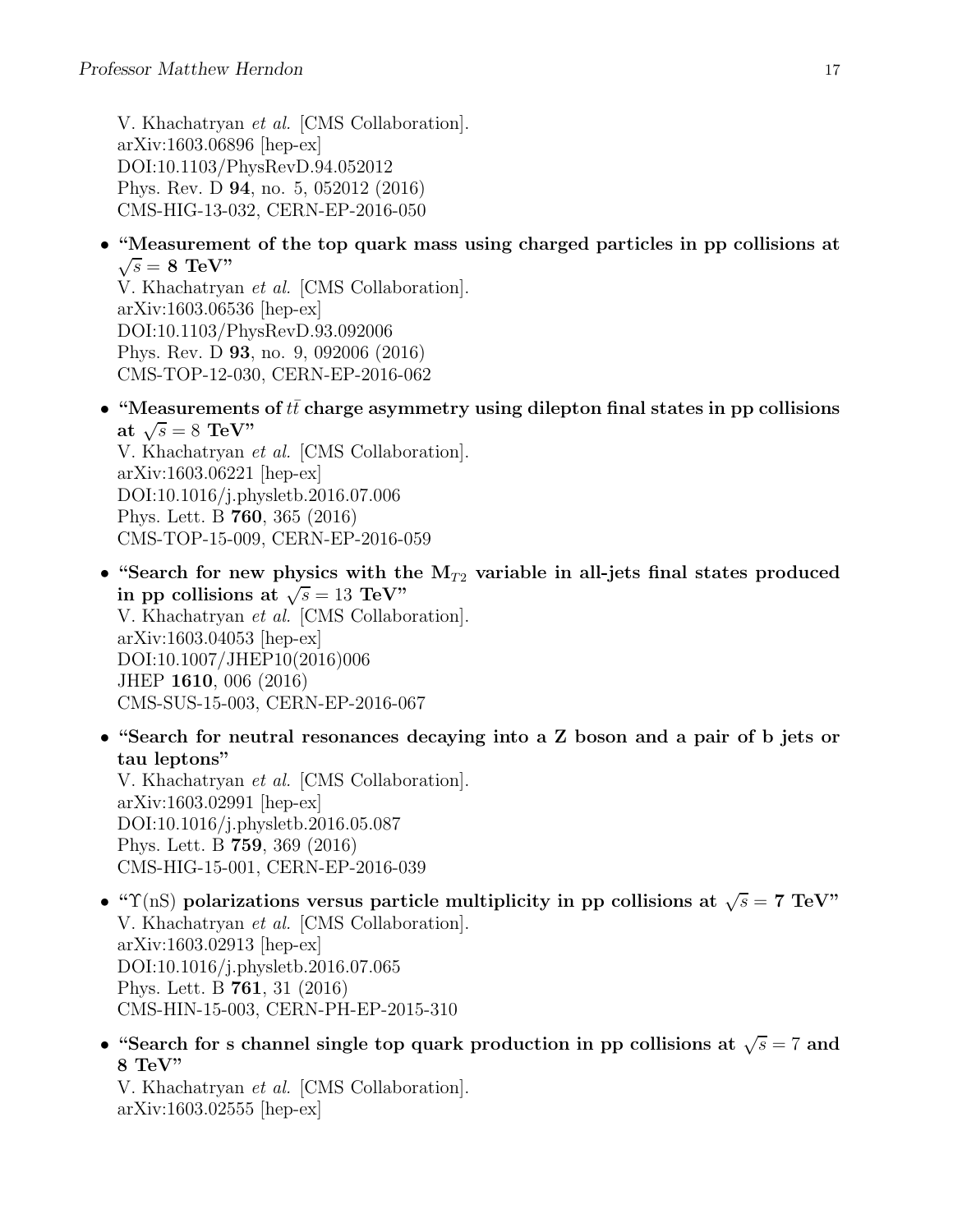V. Khachatryan et al. [CMS Collaboration]. arXiv:1603.06896 [hep-ex] DOI:10.1103/PhysRevD.94.052012 Phys. Rev. D 94, no. 5, 052012 (2016) CMS-HIG-13-032, CERN-EP-2016-050

• "Measurement of the top quark mass using charged particles in pp collisions at  $\sqrt{s} = 8$  TeV"

V. Khachatryan et al. [CMS Collaboration]. arXiv:1603.06536 [hep-ex] DOI:10.1103/PhysRevD.93.092006 Phys. Rev. D 93, no. 9, 092006 (2016) CMS-TOP-12-030, CERN-EP-2016-062

• "Measurements of  $t\bar{t}$  charge asymmetry using dilepton final states in pp collisions at  $\sqrt{s} = 8$  TeV"

V. Khachatryan et al. [CMS Collaboration]. arXiv:1603.06221 [hep-ex] DOI:10.1016/j.physletb.2016.07.006 Phys. Lett. B 760, 365 (2016) CMS-TOP-15-009, CERN-EP-2016-059

- "Search for new physics with the  $M_{T2}$  variable in all-jets final states produced in pp collisions at  $\sqrt{s} = 13$  TeV" V. Khachatryan et al. [CMS Collaboration]. arXiv:1603.04053 [hep-ex] DOI:10.1007/JHEP10(2016)006 JHEP 1610, 006 (2016) CMS-SUS-15-003, CERN-EP-2016-067
- "Search for neutral resonances decaying into a Z boson and a pair of b jets or tau leptons"

V. Khachatryan et al. [CMS Collaboration]. arXiv:1603.02991 [hep-ex] DOI:10.1016/j.physletb.2016.05.087 Phys. Lett. B 759, 369 (2016) CMS-HIG-15-001, CERN-EP-2016-039

- " $\Upsilon$ (nS) polarizations versus particle multiplicity in pp collisions at  $\sqrt{s} = 7$  TeV" V. Khachatryan et al. [CMS Collaboration]. arXiv:1603.02913 [hep-ex] DOI:10.1016/j.physletb.2016.07.065 Phys. Lett. B 761, 31 (2016) CMS-HIN-15-003, CERN-PH-EP-2015-310
- "Search for s channel single top quark production in pp collisions at  $\sqrt{s} = 7$  and 8 TeV"

V. Khachatryan et al. [CMS Collaboration]. arXiv:1603.02555 [hep-ex]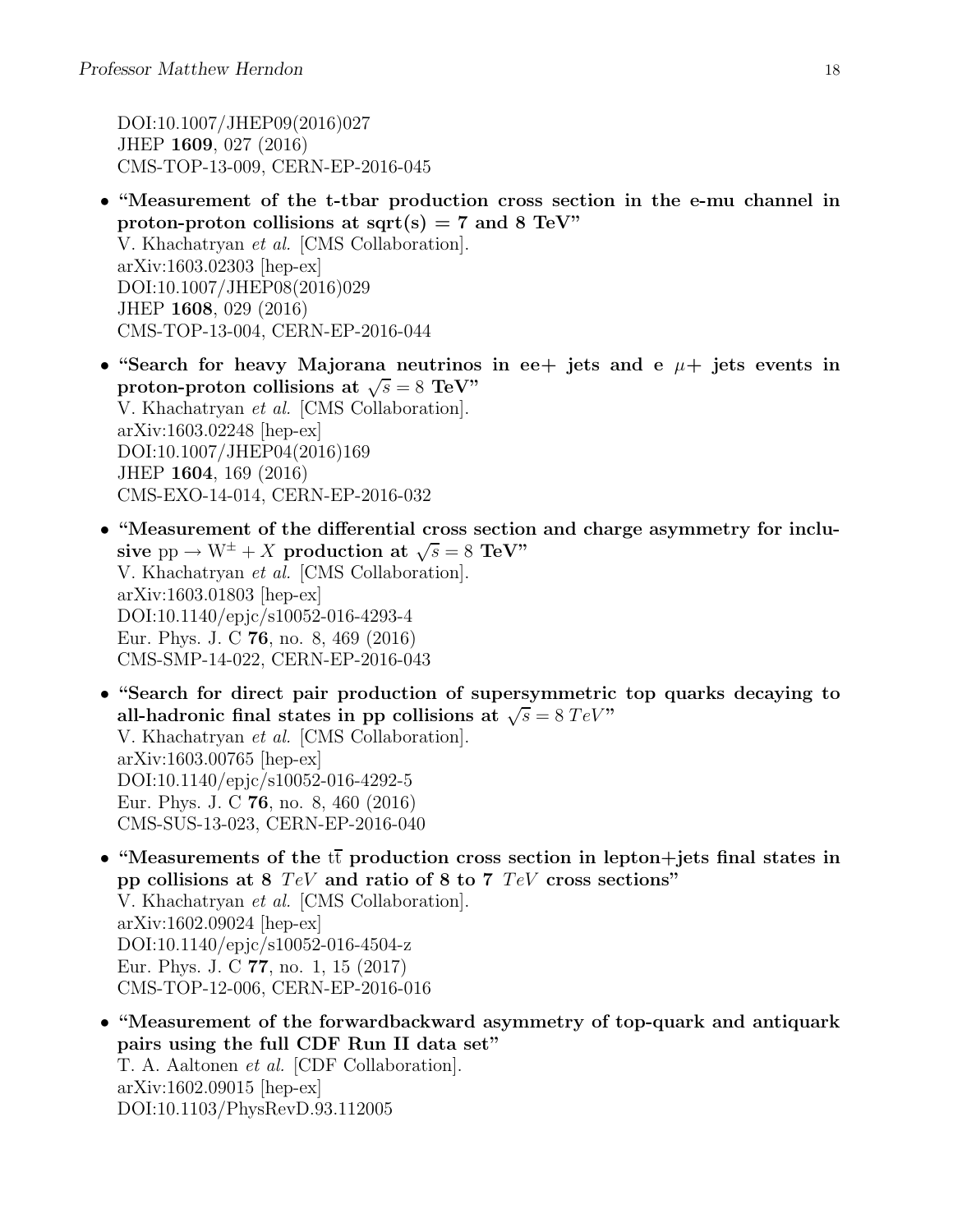DOI:10.1007/JHEP09(2016)027 JHEP 1609, 027 (2016) CMS-TOP-13-009, CERN-EP-2016-045

- "Measurement of the t-tbar production cross section in the e-mu channel in proton-proton collisions at  $sqrt(s) = 7$  and 8 TeV" V. Khachatryan et al. [CMS Collaboration]. arXiv:1603.02303 [hep-ex] DOI:10.1007/JHEP08(2016)029 JHEP 1608, 029 (2016) CMS-TOP-13-004, CERN-EP-2016-044
- "Search for heavy Majorana neutrinos in ee+ jets and e  $\mu$ + jets events in proton-proton collisions at  $\sqrt{s} = 8$  TeV" V. Khachatryan et al. [CMS Collaboration]. arXiv:1603.02248 [hep-ex] DOI:10.1007/JHEP04(2016)169 JHEP 1604, 169 (2016) CMS-EXO-14-014, CERN-EP-2016-032
- "Measurement of the differential cross section and charge asymmetry for inclusive  $pp \rightarrow W^{\pm} + X$  production at  $\sqrt{s} = 8$  TeV" V. Khachatryan et al. [CMS Collaboration]. arXiv:1603.01803 [hep-ex] DOI:10.1140/epjc/s10052-016-4293-4 Eur. Phys. J. C 76, no. 8, 469 (2016) CMS-SMP-14-022, CERN-EP-2016-043
- "Search for direct pair production of supersymmetric top quarks decaying to all-hadronic final states in pp collisions at  $\sqrt{s} = 8 \text{ TeV}$ " V. Khachatryan et al. [CMS Collaboration]. arXiv:1603.00765 [hep-ex] DOI:10.1140/epjc/s10052-016-4292-5 Eur. Phys. J. C 76, no. 8, 460 (2016) CMS-SUS-13-023, CERN-EP-2016-040
- "Measurements of the  $t\bar{t}$  production cross section in lepton+jets final states in pp collisions at 8  $TeV$  and ratio of 8 to 7  $TeV$  cross sections" V. Khachatryan et al. [CMS Collaboration]. arXiv:1602.09024 [hep-ex] DOI:10.1140/epjc/s10052-016-4504-z Eur. Phys. J. C 77, no. 1, 15 (2017) CMS-TOP-12-006, CERN-EP-2016-016
- "Measurement of the forwardbackward asymmetry of top-quark and antiquark pairs using the full CDF Run II data set" T. A. Aaltonen et al. [CDF Collaboration]. arXiv:1602.09015 [hep-ex] DOI:10.1103/PhysRevD.93.112005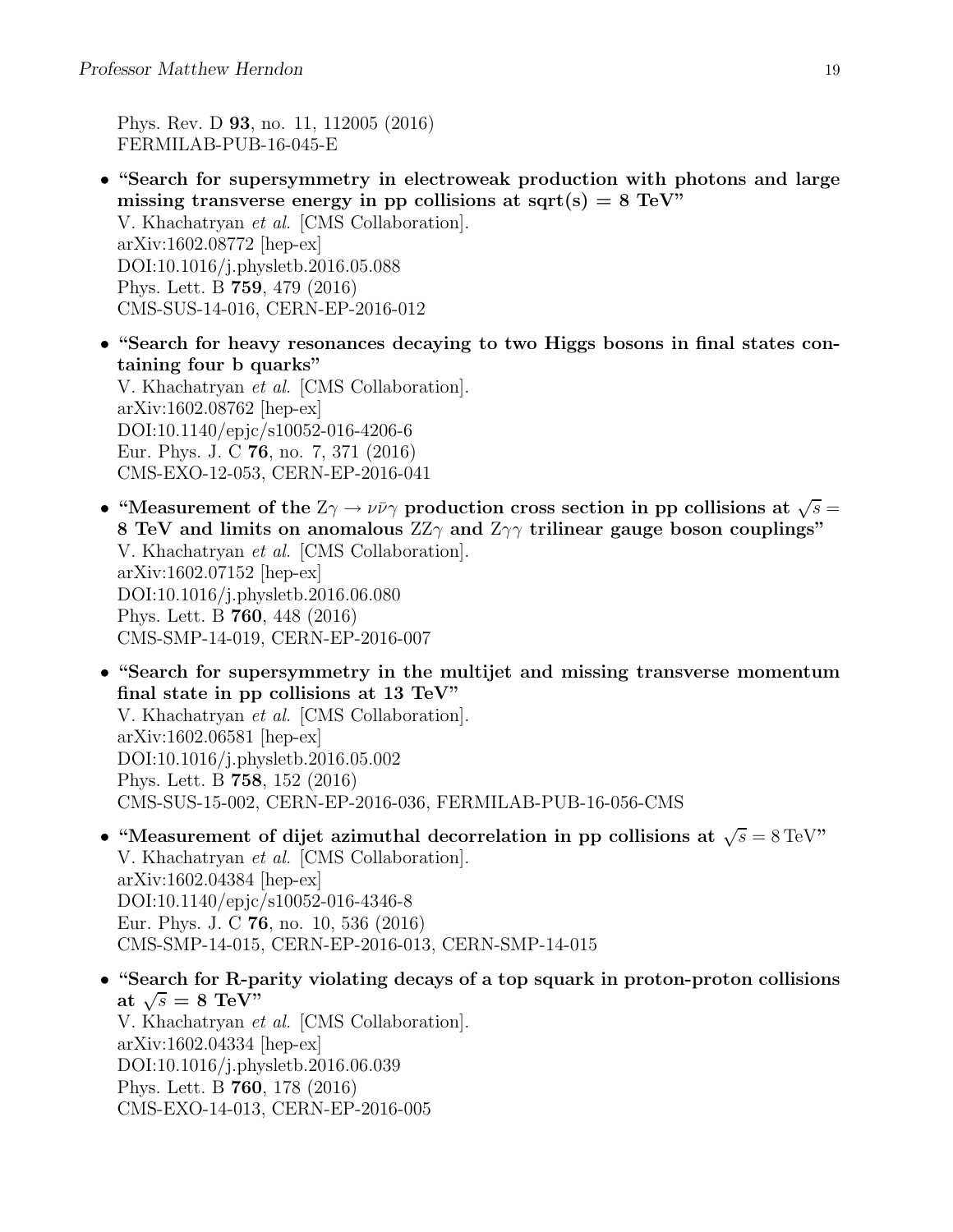Phys. Rev. D 93, no. 11, 112005 (2016) FERMILAB-PUB-16-045-E

- "Search for supersymmetry in electroweak production with photons and large missing transverse energy in pp collisions at sqrt(s) =  $8 \text{ TeV}$ " V. Khachatryan et al. [CMS Collaboration]. arXiv:1602.08772 [hep-ex] DOI:10.1016/j.physletb.2016.05.088 Phys. Lett. B 759, 479 (2016) CMS-SUS-14-016, CERN-EP-2016-012
- "Search for heavy resonances decaying to two Higgs bosons in final states containing four b quarks" V. Khachatryan et al. [CMS Collaboration]. arXiv:1602.08762 [hep-ex] DOI:10.1140/epjc/s10052-016-4206-6 Eur. Phys. J. C 76, no. 7, 371 (2016) CMS-EXO-12-053, CERN-EP-2016-041
- "Measurement of the  $Z\gamma \to \nu \bar{\nu} \gamma$  production cross section in pp collisions at  $\sqrt{s} =$ 8 TeV and limits on anomalous  $ZZ\gamma$  and  $Z\gamma\gamma$  trilinear gauge boson couplings" V. Khachatryan et al. [CMS Collaboration]. arXiv:1602.07152 [hep-ex] DOI:10.1016/j.physletb.2016.06.080 Phys. Lett. B 760, 448 (2016) CMS-SMP-14-019, CERN-EP-2016-007
- "Search for supersymmetry in the multijet and missing transverse momentum final state in pp collisions at 13 TeV" V. Khachatryan et al. [CMS Collaboration]. arXiv:1602.06581 [hep-ex] DOI:10.1016/j.physletb.2016.05.002 Phys. Lett. B 758, 152 (2016) CMS-SUS-15-002, CERN-EP-2016-036, FERMILAB-PUB-16-056-CMS
- "Measurement of dijet azimuthal decorrelation in pp collisions at  $\sqrt{s} = 8 \text{ TeV}$ " V. Khachatryan et al. [CMS Collaboration]. arXiv:1602.04384 [hep-ex] DOI:10.1140/epjc/s10052-016-4346-8 Eur. Phys. J. C 76, no. 10, 536 (2016) CMS-SMP-14-015, CERN-EP-2016-013, CERN-SMP-14-015
- "Search for R-parity violating decays of a top squark in proton-proton collisions at  $\sqrt{s} = 8$  TeV" V. Khachatryan et al. [CMS Collaboration]. arXiv:1602.04334 [hep-ex] DOI:10.1016/j.physletb.2016.06.039 Phys. Lett. B 760, 178 (2016) CMS-EXO-14-013, CERN-EP-2016-005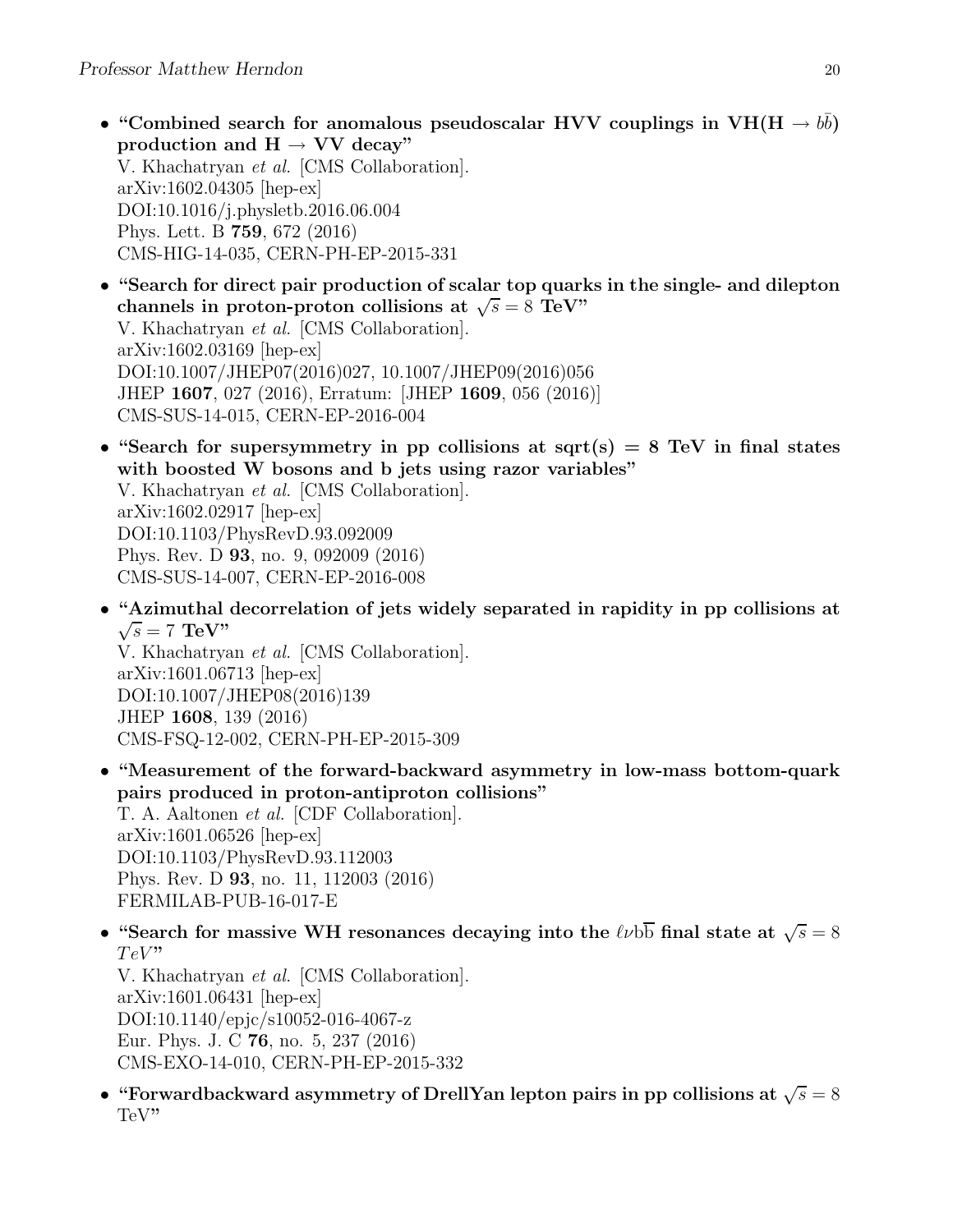- "Combined search for anomalous pseudoscalar HVV couplings in  $VH(H \rightarrow b\bar{b})$ production and  $H \rightarrow VV$  decay" V. Khachatryan et al. [CMS Collaboration]. arXiv:1602.04305 [hep-ex] DOI:10.1016/j.physletb.2016.06.004 Phys. Lett. B 759, 672 (2016) CMS-HIG-14-035, CERN-PH-EP-2015-331
- "Search for direct pair production of scalar top quarks in the single- and dilepton channels in proton-proton collisions at  $\sqrt{s} = 8$  TeV" V. Khachatryan et al. [CMS Collaboration]. arXiv:1602.03169 [hep-ex] DOI:10.1007/JHEP07(2016)027, 10.1007/JHEP09(2016)056 JHEP 1607, 027 (2016), Erratum: [JHEP 1609, 056 (2016)] CMS-SUS-14-015, CERN-EP-2016-004
- "Search for supersymmetry in pp collisions at sqrt(s)  $= 8$  TeV in final states with boosted W bosons and b jets using razor variables" V. Khachatryan et al. [CMS Collaboration]. arXiv:1602.02917 [hep-ex] DOI:10.1103/PhysRevD.93.092009 Phys. Rev. D 93, no. 9, 092009 (2016) CMS-SUS-14-007, CERN-EP-2016-008
- "Azimuthal decorrelation of jets widely separated in rapidity in pp collisions at  $\sqrt{s} = 7$  TeV" V. Khachatryan et al. [CMS Collaboration]. arXiv:1601.06713 [hep-ex] DOI:10.1007/JHEP08(2016)139 JHEP 1608, 139 (2016) CMS-FSQ-12-002, CERN-PH-EP-2015-309
- "Measurement of the forward-backward asymmetry in low-mass bottom-quark pairs produced in proton-antiproton collisions" T. A. Aaltonen et al. [CDF Collaboration]. arXiv:1601.06526 [hep-ex] DOI:10.1103/PhysRevD.93.112003 Phys. Rev. D 93, no. 11, 112003 (2016) FERMILAB-PUB-16-017-E
- "Search for massive WH resonances decaying into the  $\ell\nu b\overline{b}$  final state at  $\sqrt{s} = 8$  $TeV"$

V. Khachatryan et al. [CMS Collaboration].  $arXiv:1601.06431$  [hep-ex] DOI:10.1140/epjc/s10052-016-4067-z Eur. Phys. J. C 76, no. 5, 237 (2016) CMS-EXO-14-010, CERN-PH-EP-2015-332

• "Forwardbackward asymmetry of DrellYan lepton pairs in pp collisions at  $\sqrt{s} = 8$ TeV"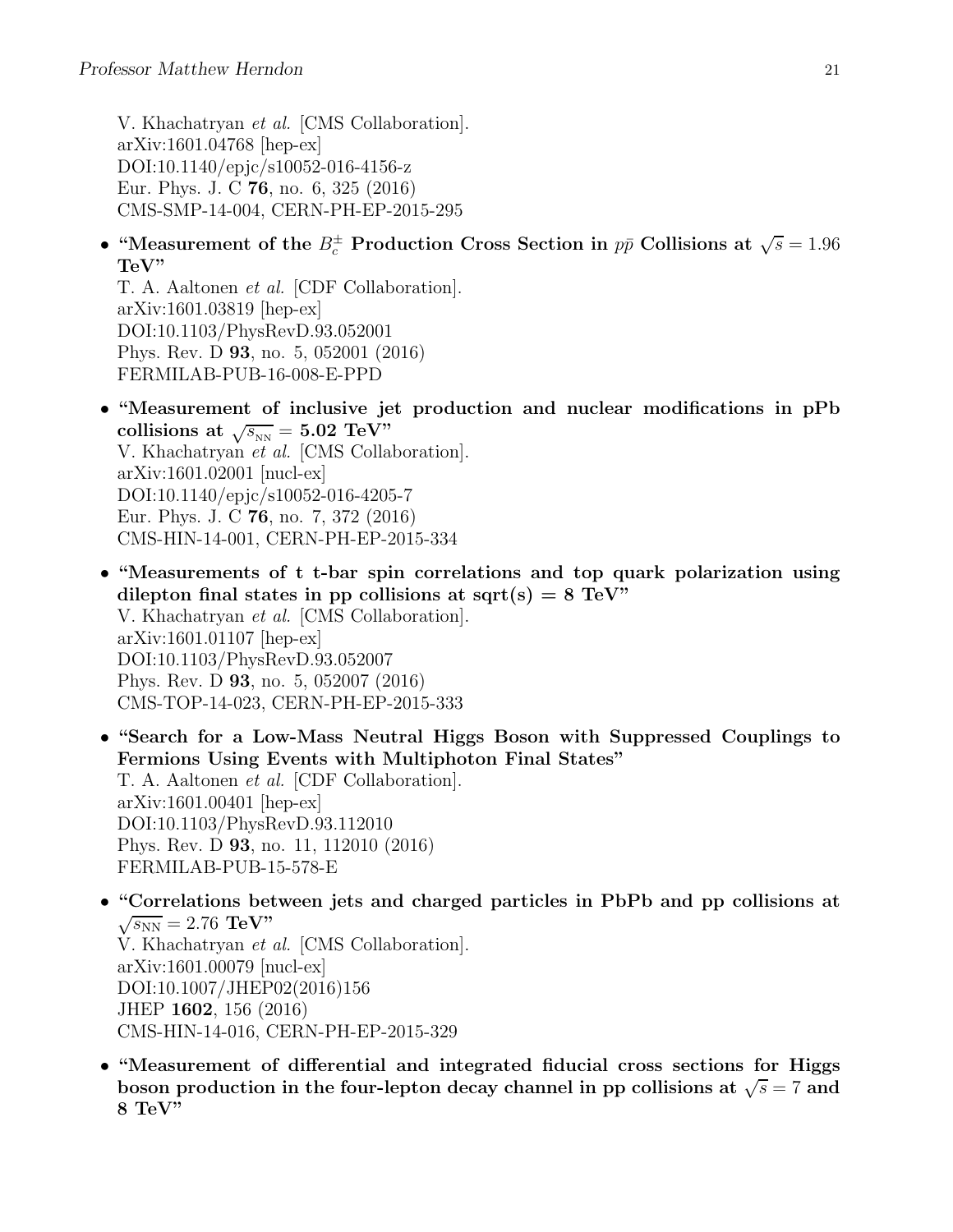V. Khachatryan et al. [CMS Collaboration]. arXiv:1601.04768 [hep-ex] DOI:10.1140/epjc/s10052-016-4156-z Eur. Phys. J. C 76, no. 6, 325 (2016) CMS-SMP-14-004, CERN-PH-EP-2015-295

• "Measurement of the  $B_c^{\pm}$  Production Cross Section in  $p\bar{p}$  Collisions at  $\sqrt{s} = 1.96$ TeV"

T. A. Aaltonen et al. [CDF Collaboration]. arXiv:1601.03819 [hep-ex] DOI:10.1103/PhysRevD.93.052001 Phys. Rev. D 93, no. 5, 052001 (2016) FERMILAB-PUB-16-008-E-PPD

- "Measurement of inclusive jet production and nuclear modifications in pPb collisions at  $\sqrt{s_{_{\rm NN}}}$  = 5.02 TeV" V. Khachatryan et al. [CMS Collaboration]. arXiv:1601.02001 [nucl-ex] DOI:10.1140/epjc/s10052-016-4205-7 Eur. Phys. J. C 76, no. 7, 372 (2016) CMS-HIN-14-001, CERN-PH-EP-2015-334
- "Measurements of t t-bar spin correlations and top quark polarization using dilepton final states in pp collisions at sqrt(s)  $= 8 \text{ TeV}$ " V. Khachatryan et al. [CMS Collaboration]. arXiv:1601.01107 [hep-ex] DOI:10.1103/PhysRevD.93.052007 Phys. Rev. D 93, no. 5, 052007 (2016) CMS-TOP-14-023, CERN-PH-EP-2015-333
- "Search for a Low-Mass Neutral Higgs Boson with Suppressed Couplings to Fermions Using Events with Multiphoton Final States" T. A. Aaltonen et al. [CDF Collaboration]. arXiv:1601.00401 [hep-ex] DOI:10.1103/PhysRevD.93.112010 Phys. Rev. D 93, no. 11, 112010 (2016) FERMILAB-PUB-15-578-E
- "Correlations between jets and charged particles in PbPb and pp collisions at  $\sqrt{s_{NN}} = 2.76 \text{ TeV}$ " V. Khachatryan et al. [CMS Collaboration]. arXiv:1601.00079 [nucl-ex] DOI:10.1007/JHEP02(2016)156 JHEP 1602, 156 (2016) CMS-HIN-14-016, CERN-PH-EP-2015-329
- "Measurement of differential and integrated fiducial cross sections for Higgs boson production in the four-lepton decay channel in pp collisions at  $\sqrt{s} = 7$  and 8 TeV"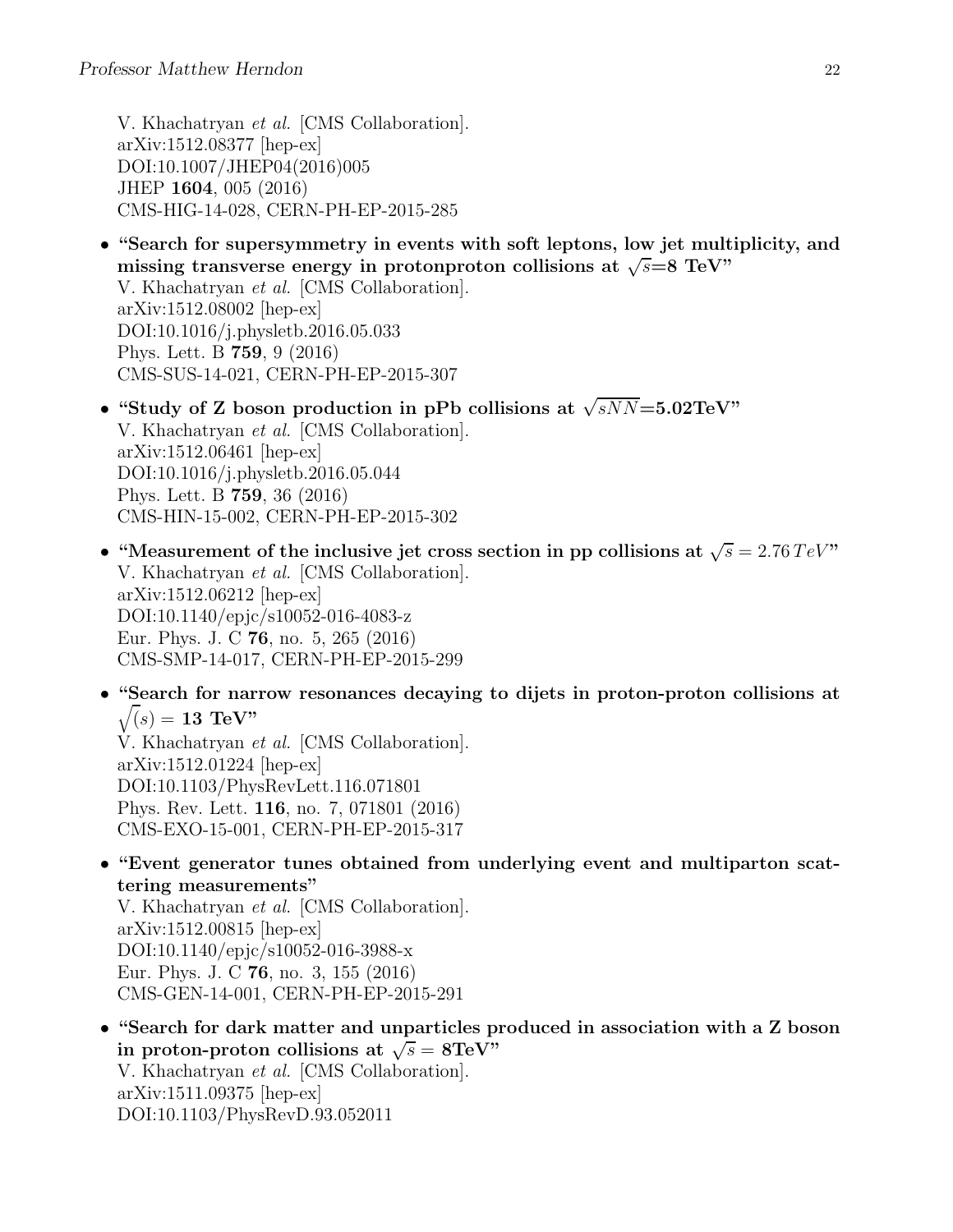V. Khachatryan et al. [CMS Collaboration]. arXiv:1512.08377 [hep-ex] DOI:10.1007/JHEP04(2016)005 JHEP 1604, 005 (2016) CMS-HIG-14-028, CERN-PH-EP-2015-285

- "Search for supersymmetry in events with soft leptons, low jet multiplicity, and missing transverse energy in protonproton collisions at  $\sqrt{s}=8$  TeV" V. Khachatryan et al. [CMS Collaboration]. arXiv:1512.08002 [hep-ex] DOI:10.1016/j.physletb.2016.05.033 Phys. Lett. B 759, 9 (2016) CMS-SUS-14-021, CERN-PH-EP-2015-307
- "Study of Z boson production in pPb collisions at  $\sqrt{sNN}$ =5.02TeV" V. Khachatryan et al. [CMS Collaboration]. arXiv:1512.06461 [hep-ex] DOI:10.1016/j.physletb.2016.05.044 Phys. Lett. B 759, 36 (2016) CMS-HIN-15-002, CERN-PH-EP-2015-302
- "Measurement of the inclusive jet cross section in pp collisions at  $\sqrt{s} = 2.76 \, TeV$ " V. Khachatryan et al. [CMS Collaboration]. arXiv:1512.06212 [hep-ex] DOI:10.1140/epjc/s10052-016-4083-z Eur. Phys. J. C 76, no. 5, 265 (2016) CMS-SMP-14-017, CERN-PH-EP-2015-299
- "Search for narrow resonances decaying to dijets in proton-proton collisions at  $\sqrt(s) = 13$  TeV"

V. Khachatryan et al. [CMS Collaboration]. arXiv:1512.01224 [hep-ex] DOI:10.1103/PhysRevLett.116.071801 Phys. Rev. Lett. 116, no. 7, 071801 (2016) CMS-EXO-15-001, CERN-PH-EP-2015-317

• "Event generator tunes obtained from underlying event and multiparton scattering measurements"

V. Khachatryan et al. [CMS Collaboration]. arXiv:1512.00815 [hep-ex] DOI:10.1140/epjc/s10052-016-3988-x Eur. Phys. J. C 76, no. 3, 155 (2016) CMS-GEN-14-001, CERN-PH-EP-2015-291

• "Search for dark matter and unparticles produced in association with a Z boson in proton-proton collisions at  $\sqrt{s} = 8 \text{TeV}$ " V. Khachatryan et al. [CMS Collaboration]. arXiv:1511.09375 [hep-ex] DOI:10.1103/PhysRevD.93.052011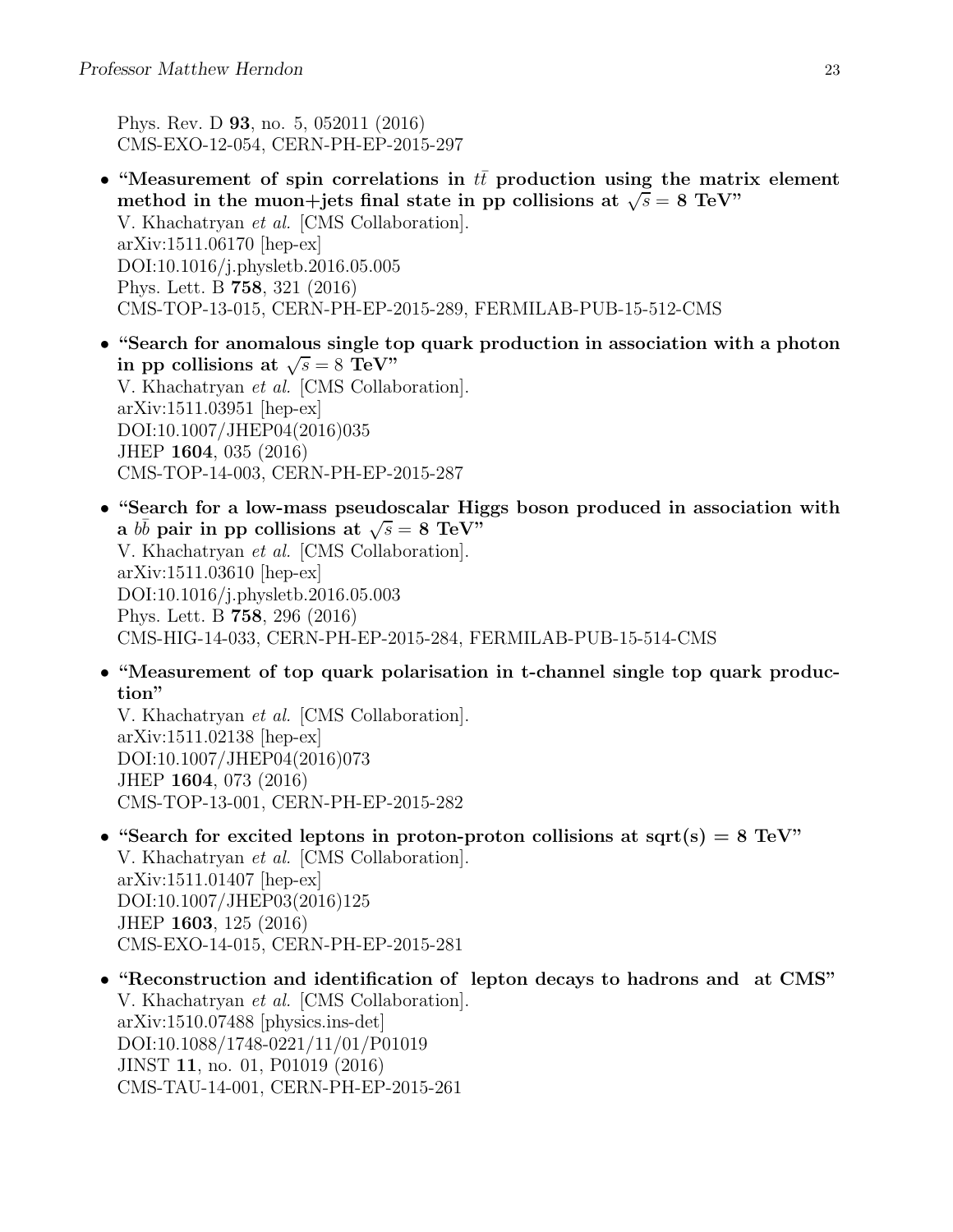Phys. Rev. D 93, no. 5, 052011 (2016) CMS-EXO-12-054, CERN-PH-EP-2015-297

- "Measurement of spin correlations in  $t\bar{t}$  production using the matrix element method in the muon+jets final state in pp collisions at  $\sqrt{s} = 8$  TeV" V. Khachatryan et al. [CMS Collaboration]. arXiv:1511.06170 [hep-ex] DOI:10.1016/j.physletb.2016.05.005 Phys. Lett. B 758, 321 (2016) CMS-TOP-13-015, CERN-PH-EP-2015-289, FERMILAB-PUB-15-512-CMS
- "Search for anomalous single top quark production in association with a photon in pp collisions at  $\sqrt{s} = 8$  TeV" V. Khachatryan et al. [CMS Collaboration]. arXiv:1511.03951 [hep-ex] DOI:10.1007/JHEP04(2016)035 JHEP 1604, 035 (2016) CMS-TOP-14-003, CERN-PH-EP-2015-287
- "Search for a low-mass pseudoscalar Higgs boson produced in association with a  $b\bar{b}$  pair in pp collisions at  $\sqrt{s} = 8$  TeV<sup>"</sup> V. Khachatryan et al. [CMS Collaboration]. arXiv:1511.03610 [hep-ex] DOI:10.1016/j.physletb.2016.05.003 Phys. Lett. B 758, 296 (2016) CMS-HIG-14-033, CERN-PH-EP-2015-284, FERMILAB-PUB-15-514-CMS
- "Measurement of top quark polarisation in t-channel single top quark production"

V. Khachatryan et al. [CMS Collaboration]. arXiv:1511.02138 [hep-ex] DOI:10.1007/JHEP04(2016)073 JHEP 1604, 073 (2016) CMS-TOP-13-001, CERN-PH-EP-2015-282

- "Search for excited leptons in proton-proton collisions at sqrt(s) =  $8 \text{ TeV}$ " V. Khachatryan et al. [CMS Collaboration]. arXiv:1511.01407 [hep-ex] DOI:10.1007/JHEP03(2016)125 JHEP 1603, 125 (2016) CMS-EXO-14-015, CERN-PH-EP-2015-281
- "Reconstruction and identification of lepton decays to hadrons and at CMS" V. Khachatryan et al. [CMS Collaboration]. arXiv:1510.07488 [physics.ins-det] DOI:10.1088/1748-0221/11/01/P01019 JINST 11, no. 01, P01019 (2016) CMS-TAU-14-001, CERN-PH-EP-2015-261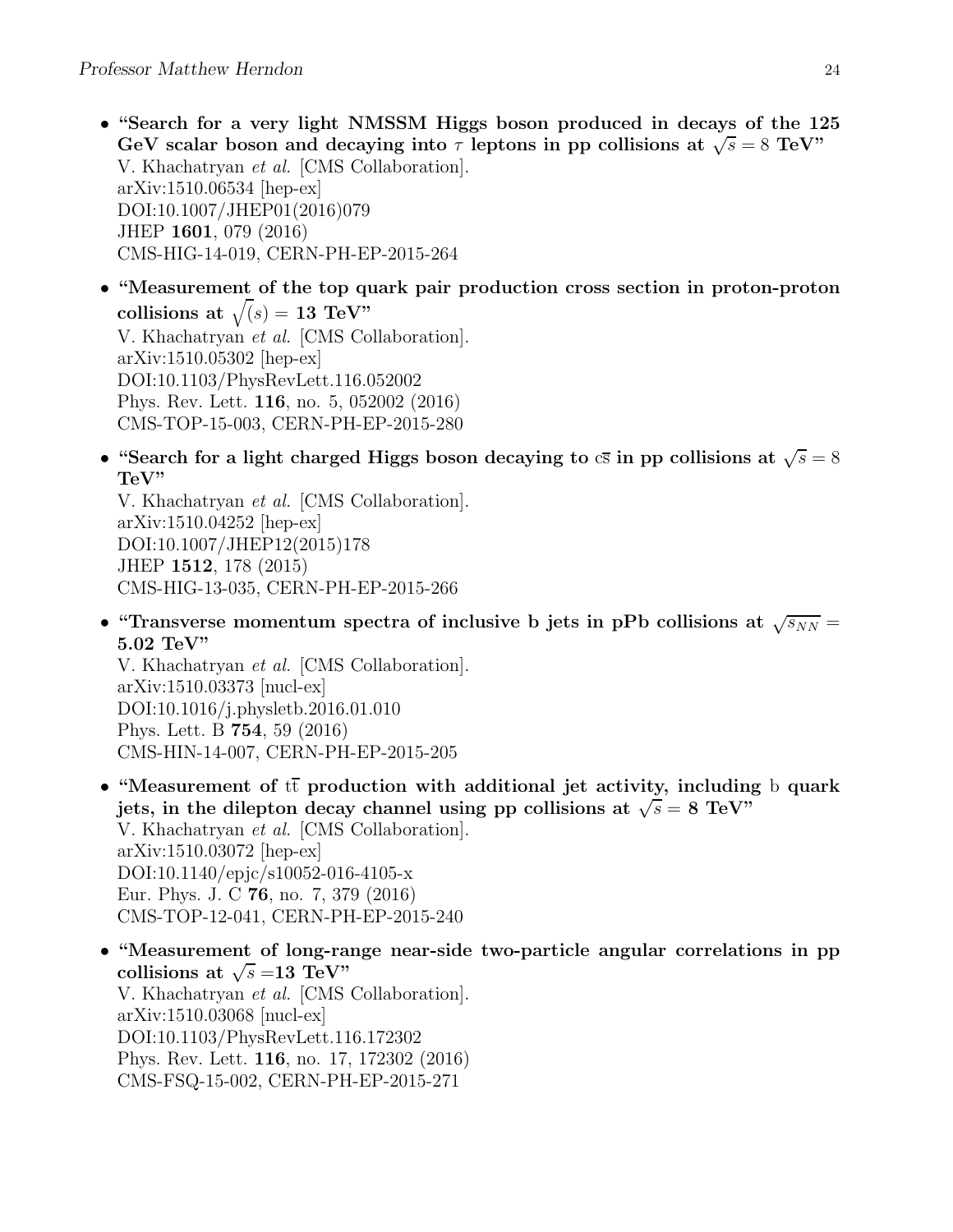• "Search for a very light NMSSM Higgs boson produced in decays of the 125 GeV scalar boson and decaying into  $\tau$  leptons in pp collisions at  $\sqrt{s} = 8$  TeV" V. Khachatryan et al. [CMS Collaboration]. arXiv:1510.06534 [hep-ex] DOI:10.1007/JHEP01(2016)079 JHEP 1601, 079 (2016) CMS-HIG-14-019, CERN-PH-EP-2015-264

• "Measurement of the top quark pair production cross section in proton-proton collisions at  $\sqrt(s) = 13$  TeV" V. Khachatryan et al. [CMS Collaboration]. arXiv:1510.05302 [hep-ex] DOI:10.1103/PhysRevLett.116.052002 Phys. Rev. Lett. 116, no. 5, 052002 (2016) CMS-TOP-15-003, CERN-PH-EP-2015-280

• "Search for a light charged Higgs boson decaying to  $c\bar{s}$  in pp collisions at  $\sqrt{s} = 8$ TeV"

V. Khachatryan et al. [CMS Collaboration]. arXiv:1510.04252 [hep-ex] DOI:10.1007/JHEP12(2015)178 JHEP 1512, 178 (2015) CMS-HIG-13-035, CERN-PH-EP-2015-266

• "Transverse momentum spectra of inclusive b jets in pPb collisions at  $\sqrt{s_{NN}}$  = 5.02 TeV"

V. Khachatryan et al. [CMS Collaboration]. arXiv:1510.03373 [nucl-ex] DOI:10.1016/j.physletb.2016.01.010 Phys. Lett. B 754, 59 (2016) CMS-HIN-14-007, CERN-PH-EP-2015-205

- "Measurement of  $t\bar{t}$  production with additional jet activity, including b quark jets, in the dilepton decay channel using pp collisions at  $\sqrt{s} = 8$  TeV" V. Khachatryan et al. [CMS Collaboration]. arXiv:1510.03072 [hep-ex] DOI:10.1140/epjc/s10052-016-4105-x Eur. Phys. J. C 76, no. 7, 379 (2016) CMS-TOP-12-041, CERN-PH-EP-2015-240
- "Measurement of long-range near-side two-particle angular correlations in pp collisions at  $\sqrt{s} = 13 \text{ TeV}$ " V. Khachatryan et al. [CMS Collaboration]. arXiv:1510.03068 [nucl-ex] DOI:10.1103/PhysRevLett.116.172302 Phys. Rev. Lett. 116, no. 17, 172302 (2016) CMS-FSQ-15-002, CERN-PH-EP-2015-271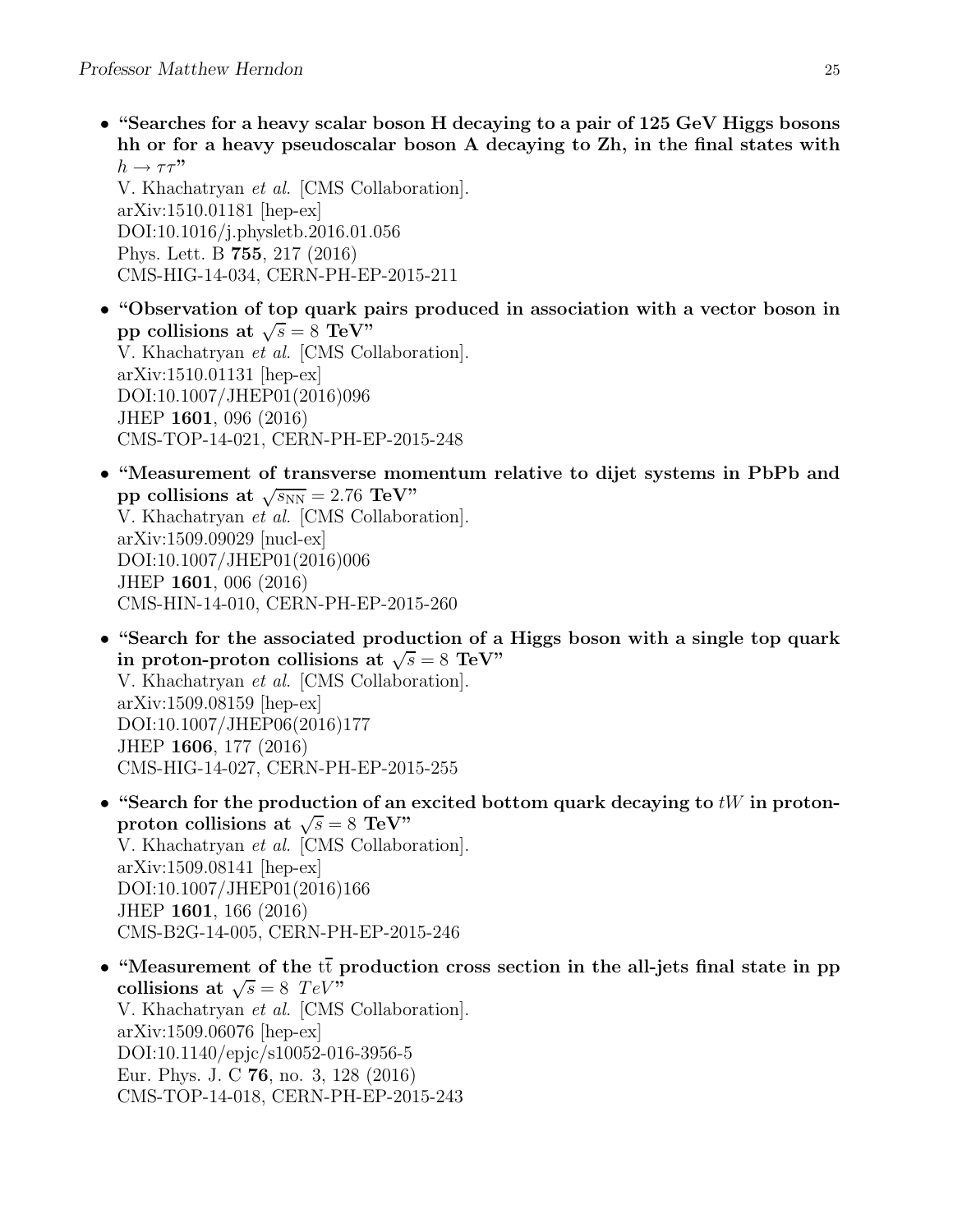• "Searches for a heavy scalar boson H decaying to a pair of 125 GeV Higgs bosons hh or for a heavy pseudoscalar boson A decaying to Zh, in the final states with  $h \to \tau \tau$ "

V. Khachatryan et al. [CMS Collaboration]. arXiv:1510.01181 [hep-ex] DOI:10.1016/j.physletb.2016.01.056 Phys. Lett. B 755, 217 (2016) CMS-HIG-14-034, CERN-PH-EP-2015-211

- "Observation of top quark pairs produced in association with a vector boson in pp collisions at  $\sqrt{s} = 8 \text{ TeV}^{\frac{1}{2}}$ V. Khachatryan et al. [CMS Collaboration]. arXiv:1510.01131 [hep-ex] DOI:10.1007/JHEP01(2016)096 JHEP 1601, 096 (2016) CMS-TOP-14-021, CERN-PH-EP-2015-248
- "Measurement of transverse momentum relative to dijet systems in PbPb and pp collisions at  $\sqrt{s_{NN}} = 2.76 \text{ TeV}$ " V. Khachatryan et al. [CMS Collaboration]. arXiv:1509.09029 [nucl-ex] DOI:10.1007/JHEP01(2016)006 JHEP 1601, 006 (2016) CMS-HIN-14-010, CERN-PH-EP-2015-260
- "Search for the associated production of a Higgs boson with a single top quark in proton-proton collisions at  $\sqrt{s} = 8$  TeV" V. Khachatryan et al. [CMS Collaboration]. arXiv:1509.08159 [hep-ex] DOI:10.1007/JHEP06(2016)177 JHEP 1606, 177 (2016) CMS-HIG-14-027, CERN-PH-EP-2015-255
- "Search for the production of an excited bottom quark decaying to  $tW$  in protonproton collisions at  $\sqrt{s} = 8$  TeV" V. Khachatryan et al. [CMS Collaboration]. arXiv:1509.08141 [hep-ex] DOI:10.1007/JHEP01(2016)166 JHEP 1601, 166 (2016) CMS-B2G-14-005, CERN-PH-EP-2015-246
- "Measurement of the  $t\bar{t}$  production cross section in the all-jets final state in pp collisions at  $\sqrt{s} = 8$  TeV" V. Khachatryan et al. [CMS Collaboration]. arXiv:1509.06076 [hep-ex] DOI:10.1140/epjc/s10052-016-3956-5 Eur. Phys. J. C 76, no. 3, 128 (2016) CMS-TOP-14-018, CERN-PH-EP-2015-243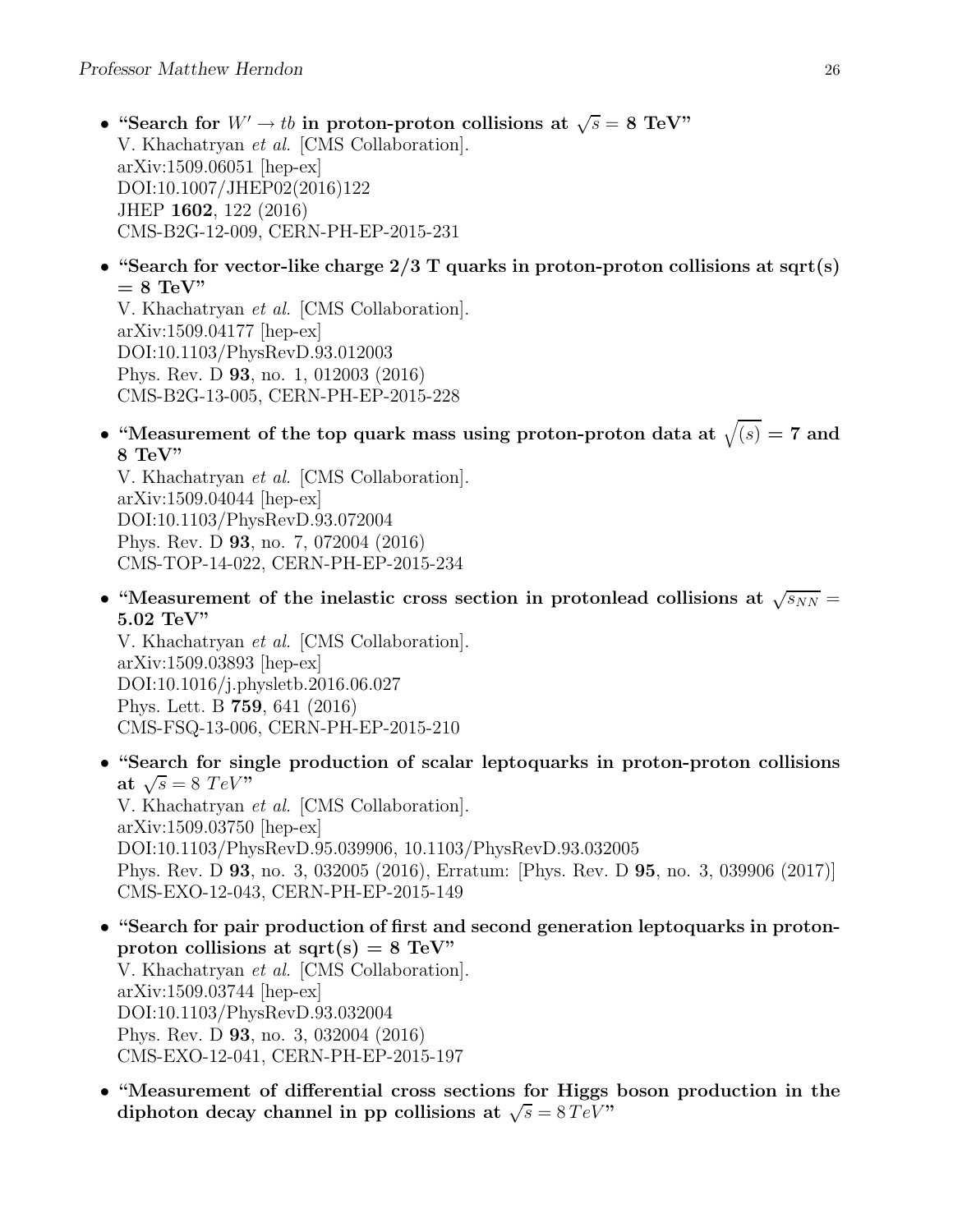- "Search for  $W' \to tb$  in proton-proton collisions at  $\sqrt{s} = 8$  TeV" V. Khachatryan et al. [CMS Collaboration]. arXiv:1509.06051 [hep-ex] DOI:10.1007/JHEP02(2016)122 JHEP 1602, 122 (2016) CMS-B2G-12-009, CERN-PH-EP-2015-231
- "Search for vector-like charge  $2/3$  T quarks in proton-proton collisions at sqrt(s)  $= 8$  TeV"

V. Khachatryan et al. [CMS Collaboration]. arXiv:1509.04177 [hep-ex] DOI:10.1103/PhysRevD.93.012003 Phys. Rev. D 93, no. 1, 012003 (2016) CMS-B2G-13-005, CERN-PH-EP-2015-228

• "Measurement of the top quark mass using proton-proton data at  $\sqrt{(s)} = 7$  and 8 TeV"

V. Khachatryan et al. [CMS Collaboration]. arXiv:1509.04044 [hep-ex] DOI:10.1103/PhysRevD.93.072004 Phys. Rev. D 93, no. 7, 072004 (2016) CMS-TOP-14-022, CERN-PH-EP-2015-234

• "Measurement of the inelastic cross section in protonlead collisions at  $\sqrt{s_{NN}}$  = 5.02 TeV"

V. Khachatryan et al. [CMS Collaboration]. arXiv:1509.03893 [hep-ex] DOI:10.1016/j.physletb.2016.06.027 Phys. Lett. B 759, 641 (2016) CMS-FSQ-13-006, CERN-PH-EP-2015-210

• "Search for single production of scalar leptoquarks in proton-proton collisions at  $\sqrt{s} = 8 \; TeV$ " V. Khachatryan et al. [CMS Collaboration]. arXiv:1509.03750 [hep-ex]

DOI:10.1103/PhysRevD.95.039906, 10.1103/PhysRevD.93.032005 Phys. Rev. D 93, no. 3, 032005 (2016), Erratum: [Phys. Rev. D 95, no. 3, 039906 (2017)] CMS-EXO-12-043, CERN-PH-EP-2015-149

- "Search for pair production of first and second generation leptoquarks in protonproton collisions at sqrt(s) =  $8 \text{ TeV}$ " V. Khachatryan et al. [CMS Collaboration]. arXiv:1509.03744 [hep-ex] DOI:10.1103/PhysRevD.93.032004 Phys. Rev. D 93, no. 3, 032004 (2016) CMS-EXO-12-041, CERN-PH-EP-2015-197
- "Measurement of differential cross sections for Higgs boson production in the diphoton decay channel in pp collisions at  $\sqrt{s} = 8 \, TeV$ "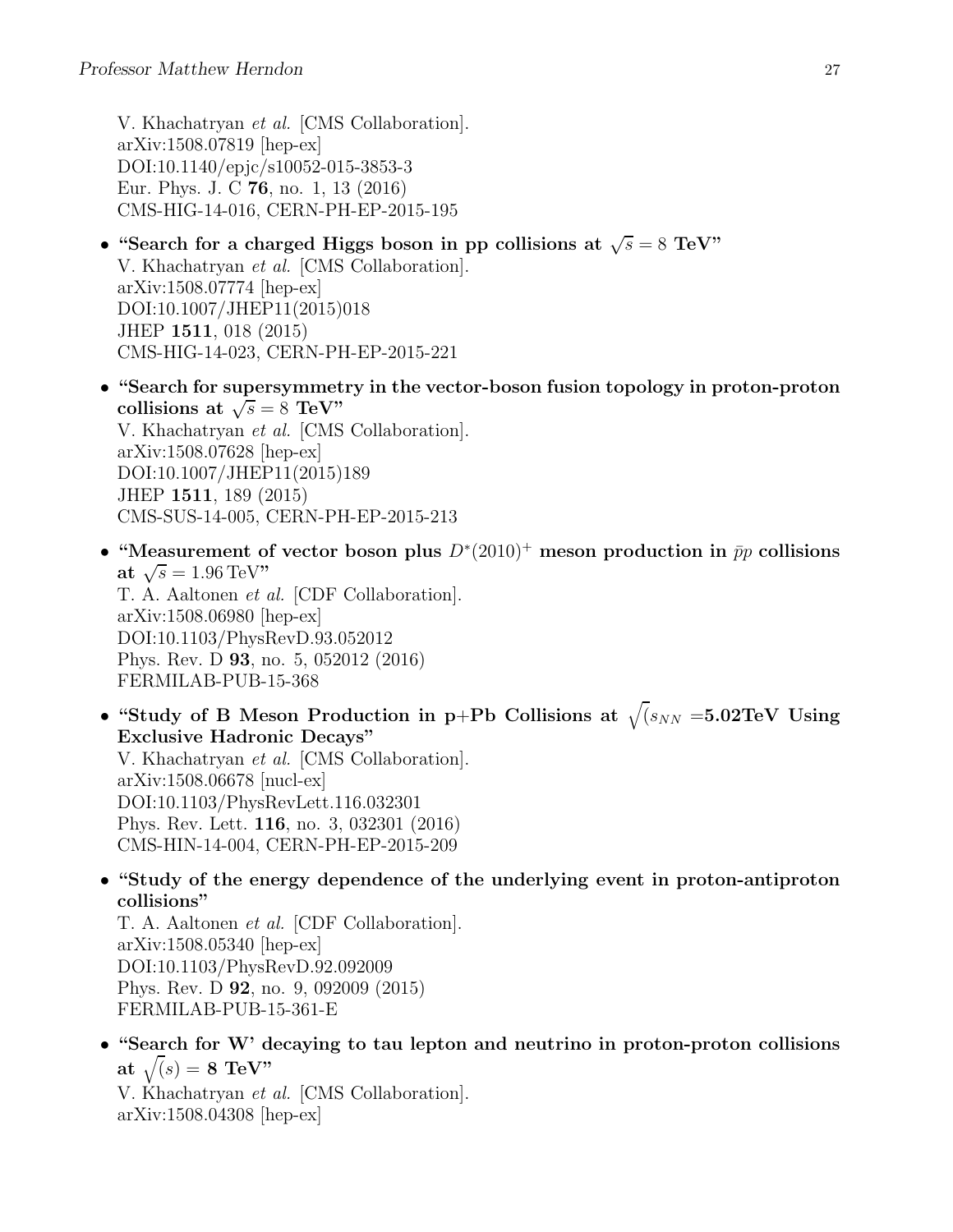V. Khachatryan et al. [CMS Collaboration]. arXiv:1508.07819 [hep-ex] DOI:10.1140/epjc/s10052-015-3853-3 Eur. Phys. J. C 76, no. 1, 13 (2016) CMS-HIG-14-016, CERN-PH-EP-2015-195

- "Search for a charged Higgs boson in pp collisions at  $\sqrt{s} = 8$  TeV" V. Khachatryan et al. [CMS Collaboration]. arXiv:1508.07774 [hep-ex] DOI:10.1007/JHEP11(2015)018 JHEP 1511, 018 (2015) CMS-HIG-14-023, CERN-PH-EP-2015-221
- "Search for supersymmetry in the vector-boson fusion topology in proton-proton collisions at  $\sqrt{s} = 8 \text{ TeV}$ " V. Khachatryan et al. [CMS Collaboration]. arXiv:1508.07628 [hep-ex] DOI:10.1007/JHEP11(2015)189 JHEP 1511, 189 (2015) CMS-SUS-14-005, CERN-PH-EP-2015-213
- "Measurement of vector boson plus  $D^*(2010)^+$  meson production in  $\bar{p}p$  collisions at  $\sqrt{s} = 1.96 \,\text{TeV}$ " T. A. Aaltonen et al. [CDF Collaboration]. arXiv:1508.06980 [hep-ex] DOI:10.1103/PhysRevD.93.052012 Phys. Rev. D 93, no. 5, 052012 (2016) FERMILAB-PUB-15-368
- "Study of B Meson Production in p+Pb Collisions at  $\sqrt{(s_{NN} = 5.02 \text{TeV})}$  Using Exclusive Hadronic Decays" V. Khachatryan et al. [CMS Collaboration]. arXiv:1508.06678 [nucl-ex] DOI:10.1103/PhysRevLett.116.032301 Phys. Rev. Lett. 116, no. 3, 032301 (2016) CMS-HIN-14-004, CERN-PH-EP-2015-209
- "Study of the energy dependence of the underlying event in proton-antiproton collisions"

T. A. Aaltonen et al. [CDF Collaboration]. arXiv:1508.05340 [hep-ex] DOI:10.1103/PhysRevD.92.092009 Phys. Rev. D 92, no. 9, 092009 (2015) FERMILAB-PUB-15-361-E

• "Search for W' decaying to tau lepton and neutrino in proton-proton collisions at  $\sqrt(s) = 8$  TeV"

V. Khachatryan et al. [CMS Collaboration]. arXiv:1508.04308 [hep-ex]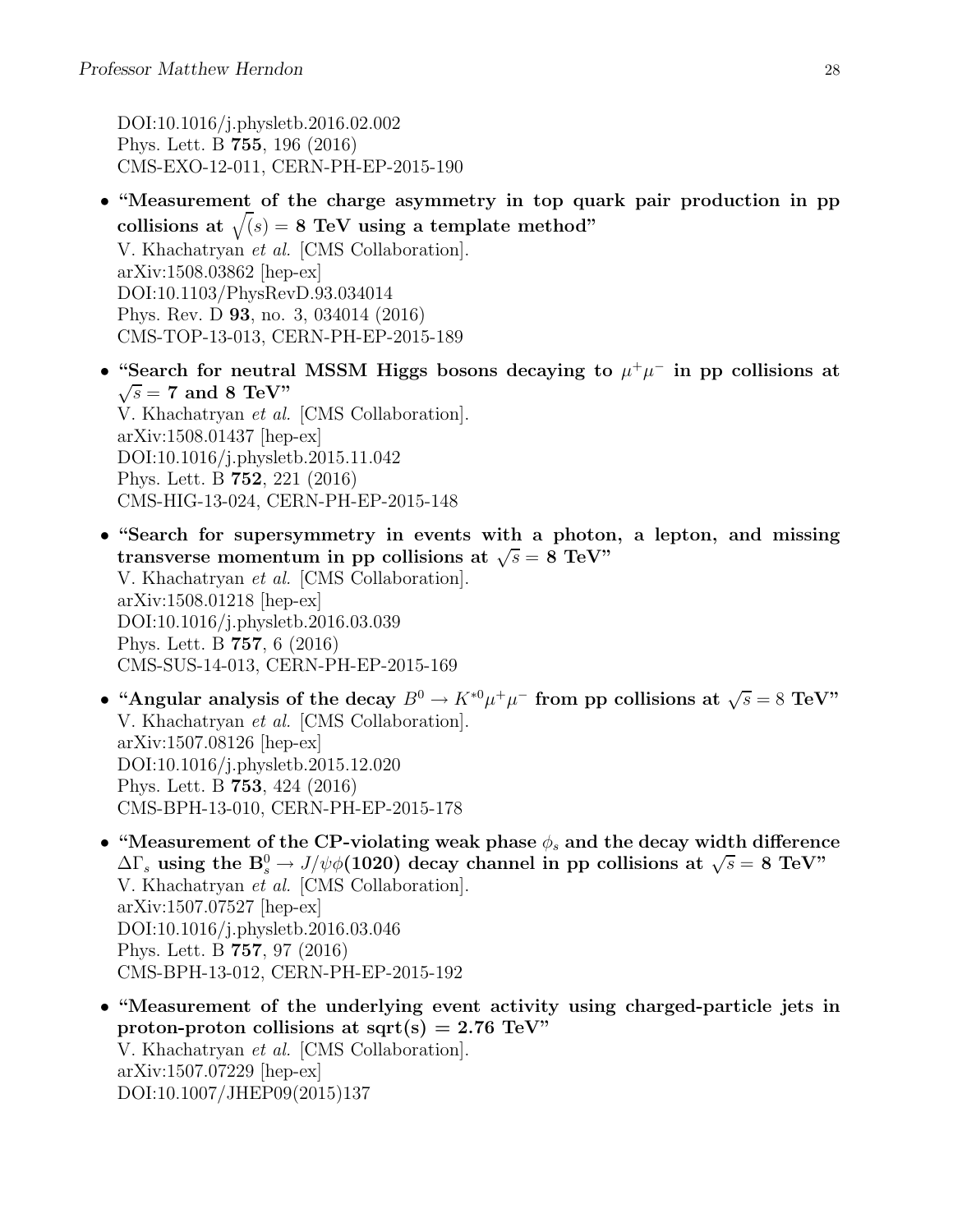DOI:10.1016/j.physletb.2016.02.002 Phys. Lett. B 755, 196 (2016) CMS-EXO-12-011, CERN-PH-EP-2015-190

- "Measurement of the charge asymmetry in top quark pair production in pp collisions at  $\sqrt(s) = 8$  TeV using a template method" V. Khachatryan et al. [CMS Collaboration]. arXiv:1508.03862 [hep-ex] DOI:10.1103/PhysRevD.93.034014 Phys. Rev. D 93, no. 3, 034014 (2016) CMS-TOP-13-013, CERN-PH-EP-2015-189
- "Search for neutral MSSM Higgs bosons decaying to  $\mu^+\mu^-$  in pp collisions at  $\sqrt{s}$  = 7 and 8 TeV" V. Khachatryan et al. [CMS Collaboration]. arXiv:1508.01437 [hep-ex] DOI:10.1016/j.physletb.2015.11.042 Phys. Lett. B 752, 221 (2016) CMS-HIG-13-024, CERN-PH-EP-2015-148
- "Search for supersymmetry in events with a photon, a lepton, and missing transverse momentum in pp collisions at  $\sqrt{s} = 8$  TeV" V. Khachatryan et al. [CMS Collaboration]. arXiv:1508.01218 [hep-ex] DOI:10.1016/j.physletb.2016.03.039 Phys. Lett. B 757, 6 (2016) CMS-SUS-14-013, CERN-PH-EP-2015-169
- "Angular analysis of the decay  $B^0 \to K^{*0} \mu^+ \mu^-$  from pp collisions at  $\sqrt{s} = 8$  TeV" V. Khachatryan et al. [CMS Collaboration]. arXiv:1507.08126 [hep-ex] DOI:10.1016/j.physletb.2015.12.020 Phys. Lett. B 753, 424 (2016) CMS-BPH-13-010, CERN-PH-EP-2015-178
- "Measurement of the CP-violating weak phase  $\phi_s$  and the decay width difference  $\Delta\Gamma_s$  using the  $B_s^0 \to J/\psi \phi(1020)$  decay channel in pp collisions at  $\sqrt{s} = 8$  TeV" V. Khachatryan et al. [CMS Collaboration]. arXiv:1507.07527 [hep-ex] DOI:10.1016/j.physletb.2016.03.046 Phys. Lett. B 757, 97 (2016) CMS-BPH-13-012, CERN-PH-EP-2015-192
- "Measurement of the underlying event activity using charged-particle jets in proton-proton collisions at sqrt(s) = 2.76 TeV" V. Khachatryan et al. [CMS Collaboration]. arXiv:1507.07229 [hep-ex] DOI:10.1007/JHEP09(2015)137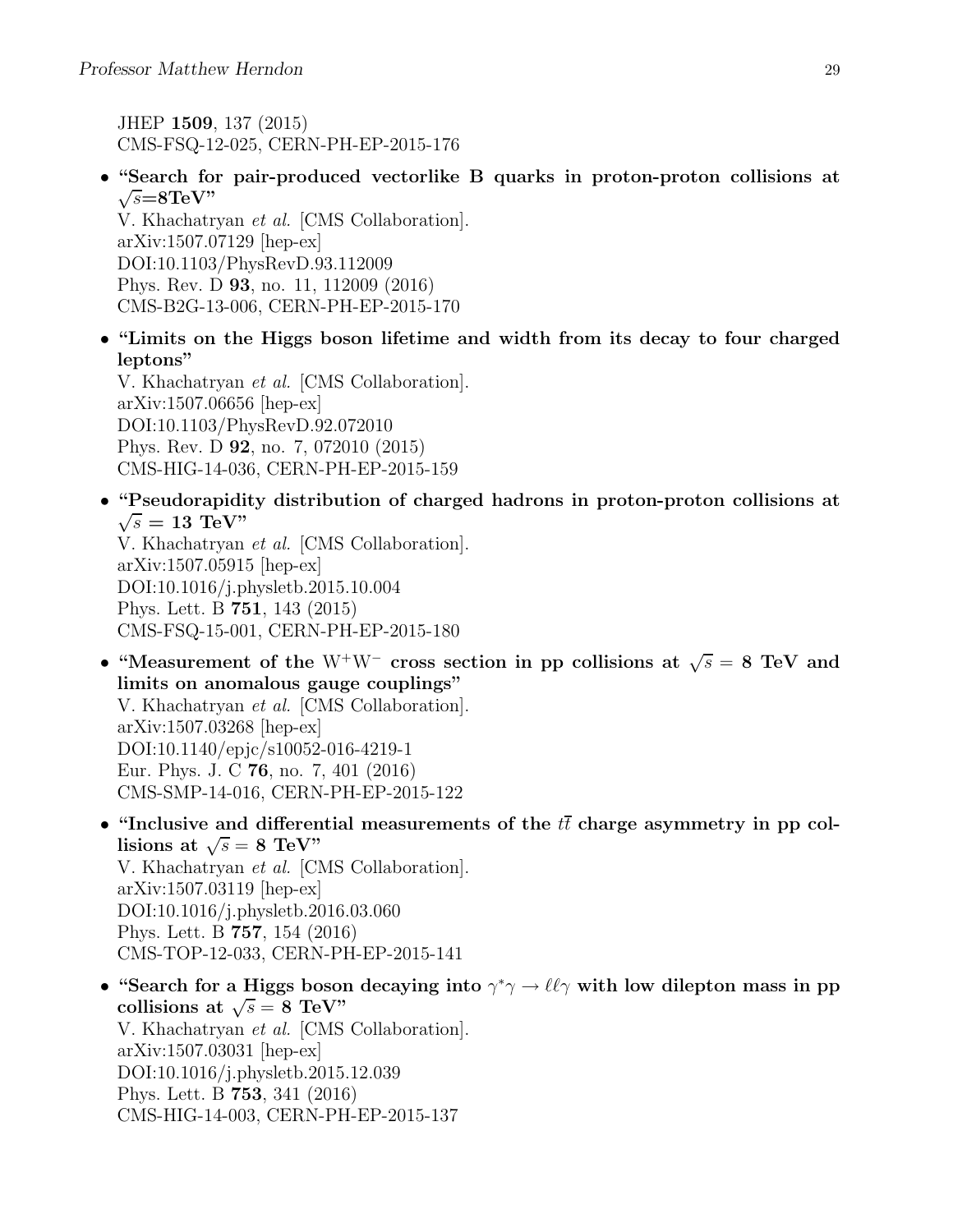JHEP 1509, 137 (2015) CMS-FSQ-12-025, CERN-PH-EP-2015-176

• "Search for pair-produced vectorlike B quarks in proton-proton collisions at  $\sqrt{s} = 8 \text{TeV}$ "

V. Khachatryan et al. [CMS Collaboration]. arXiv:1507.07129 [hep-ex] DOI:10.1103/PhysRevD.93.112009 Phys. Rev. D 93, no. 11, 112009 (2016) CMS-B2G-13-006, CERN-PH-EP-2015-170

• "Limits on the Higgs boson lifetime and width from its decay to four charged leptons"

V. Khachatryan et al. [CMS Collaboration]. arXiv:1507.06656 [hep-ex] DOI:10.1103/PhysRevD.92.072010 Phys. Rev. D 92, no. 7, 072010 (2015) CMS-HIG-14-036, CERN-PH-EP-2015-159

• "Pseudorapidity distribution of charged hadrons in proton-proton collisions at  $\sqrt{s}=13{\rm\,\,TeV}$ 

V. Khachatryan et al. [CMS Collaboration]. arXiv:1507.05915 [hep-ex] DOI:10.1016/j.physletb.2015.10.004 Phys. Lett. B 751, 143 (2015) CMS-FSQ-15-001, CERN-PH-EP-2015-180

- "Measurement of the W<sup>+</sup>W<sup>-</sup> cross section in pp collisions at  $\sqrt{s} = 8$  TeV and limits on anomalous gauge couplings" V. Khachatryan et al. [CMS Collaboration]. arXiv:1507.03268 [hep-ex] DOI:10.1140/epjc/s10052-016-4219-1 Eur. Phys. J. C 76, no. 7, 401 (2016) CMS-SMP-14-016, CERN-PH-EP-2015-122
- "Inclusive and differential measurements of the  $t\bar{t}$  charge asymmetry in pp collisions at  $\sqrt{s} = 8$  TeV" V. Khachatryan et al. [CMS Collaboration]. arXiv:1507.03119 [hep-ex] DOI:10.1016/j.physletb.2016.03.060 Phys. Lett. B 757, 154 (2016) CMS-TOP-12-033, CERN-PH-EP-2015-141
- "Search for a Higgs boson decaying into  $\gamma^* \gamma \to \ell \ell \gamma$  with low dilepton mass in pp collisions at  $\sqrt{s} = 8$  TeV" V. Khachatryan et al. [CMS Collaboration]. arXiv:1507.03031 [hep-ex] DOI:10.1016/j.physletb.2015.12.039 Phys. Lett. B 753, 341 (2016) CMS-HIG-14-003, CERN-PH-EP-2015-137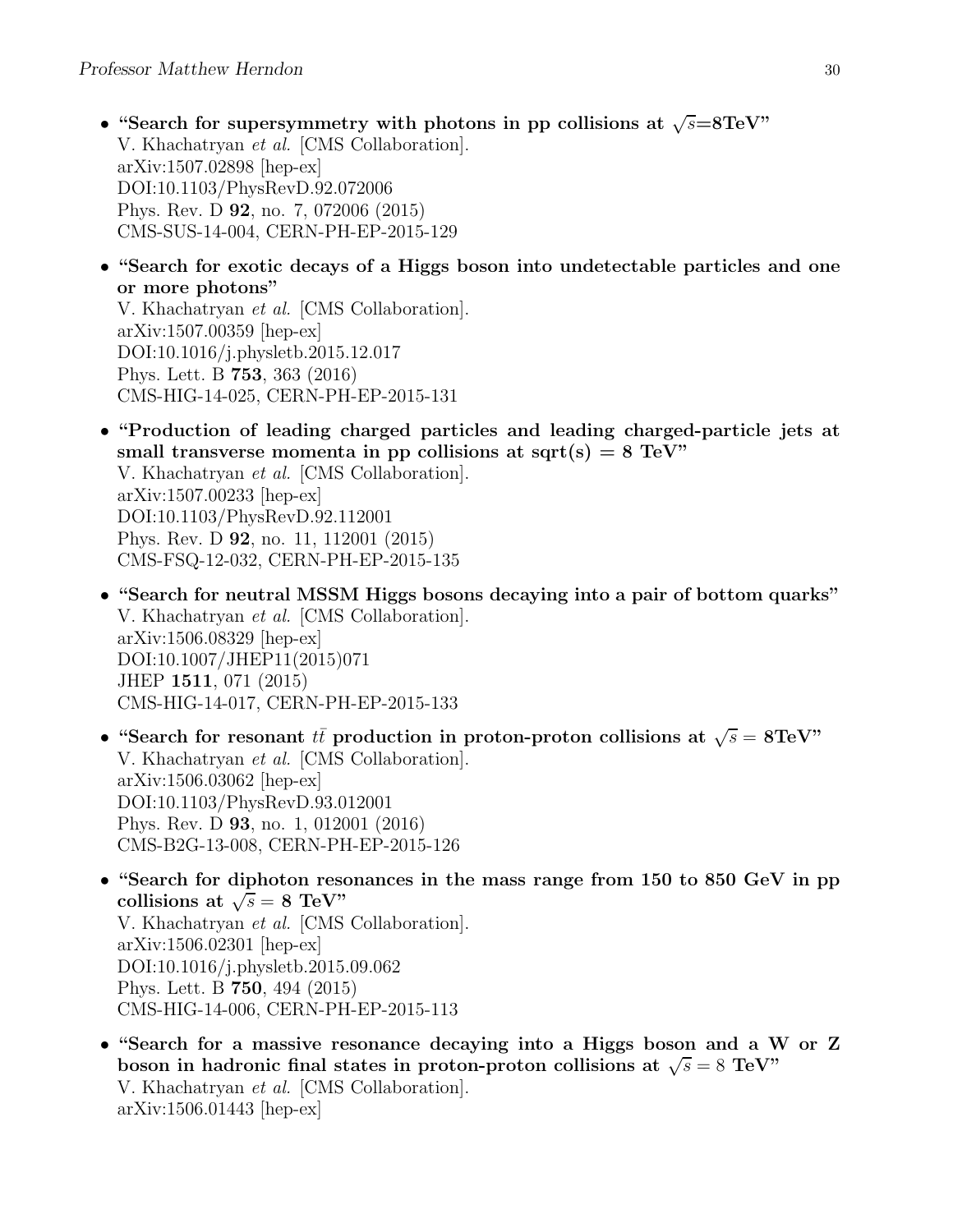- "Search for supersymmetry with photons in pp collisions at  $\sqrt{s}=8\text{TeV}$ " V. Khachatryan et al. [CMS Collaboration]. arXiv:1507.02898 [hep-ex] DOI:10.1103/PhysRevD.92.072006 Phys. Rev. D 92, no. 7, 072006 (2015) CMS-SUS-14-004, CERN-PH-EP-2015-129
- "Search for exotic decays of a Higgs boson into undetectable particles and one or more photons"

V. Khachatryan et al. [CMS Collaboration]. arXiv:1507.00359 [hep-ex] DOI:10.1016/j.physletb.2015.12.017 Phys. Lett. B 753, 363 (2016) CMS-HIG-14-025, CERN-PH-EP-2015-131

- "Production of leading charged particles and leading charged-particle jets at small transverse momenta in pp collisions at sqrt(s) =  $8 \text{ TeV}$ " V. Khachatryan et al. [CMS Collaboration]. arXiv:1507.00233 [hep-ex] DOI:10.1103/PhysRevD.92.112001 Phys. Rev. D 92, no. 11, 112001 (2015) CMS-FSQ-12-032, CERN-PH-EP-2015-135
- "Search for neutral MSSM Higgs bosons decaying into a pair of bottom quarks" V. Khachatryan et al. [CMS Collaboration]. arXiv:1506.08329 [hep-ex] DOI:10.1007/JHEP11(2015)071 JHEP 1511, 071 (2015) CMS-HIG-14-017, CERN-PH-EP-2015-133
- "Search for resonant  $t\bar{t}$  production in proton-proton collisions at  $\sqrt{s} = 8 \text{TeV}$ " V. Khachatryan et al. [CMS Collaboration]. arXiv:1506.03062 [hep-ex] DOI:10.1103/PhysRevD.93.012001 Phys. Rev. D 93, no. 1, 012001 (2016) CMS-B2G-13-008, CERN-PH-EP-2015-126
- "Search for diphoton resonances in the mass range from 150 to 850 GeV in pp collisions at  $\sqrt{s} = 8 \text{ TeV}$ " V. Khachatryan et al. [CMS Collaboration]. arXiv:1506.02301 [hep-ex] DOI:10.1016/j.physletb.2015.09.062 Phys. Lett. B 750, 494 (2015) CMS-HIG-14-006, CERN-PH-EP-2015-113
- "Search for a massive resonance decaying into a Higgs boson and a W or Z boson in hadronic final states in proton-proton collisions at  $\sqrt{s} = 8$  TeV" V. Khachatryan et al. [CMS Collaboration]. arXiv:1506.01443 [hep-ex]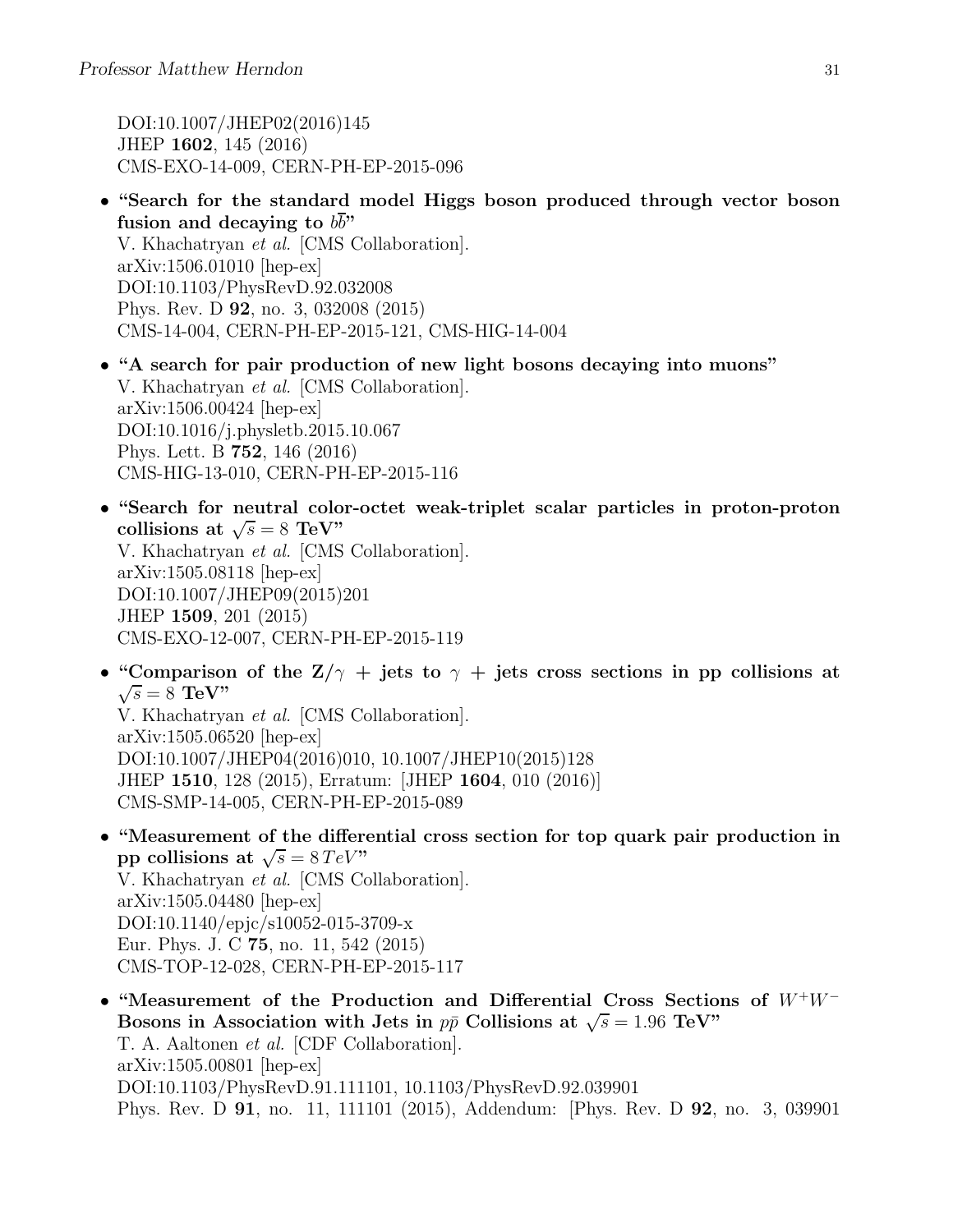DOI:10.1007/JHEP02(2016)145 JHEP 1602, 145 (2016) CMS-EXO-14-009, CERN-PH-EP-2015-096

- "Search for the standard model Higgs boson produced through vector boson fusion and decaying to  $b\overline{b}$ " V. Khachatryan et al. [CMS Collaboration]. arXiv:1506.01010 [hep-ex] DOI:10.1103/PhysRevD.92.032008 Phys. Rev. D 92, no. 3, 032008 (2015) CMS-14-004, CERN-PH-EP-2015-121, CMS-HIG-14-004
- "A search for pair production of new light bosons decaying into muons" V. Khachatryan et al. [CMS Collaboration]. arXiv:1506.00424 [hep-ex] DOI:10.1016/j.physletb.2015.10.067 Phys. Lett. B 752, 146 (2016) CMS-HIG-13-010, CERN-PH-EP-2015-116
- "Search for neutral color-octet weak-triplet scalar particles in proton-proton collisions at  $\sqrt{s} = 8$  TeV" V. Khachatryan et al. [CMS Collaboration]. arXiv:1505.08118 [hep-ex] DOI:10.1007/JHEP09(2015)201 JHEP 1509, 201 (2015) CMS-EXO-12-007, CERN-PH-EP-2015-119
- "Comparison of the  $Z/\gamma$  + jets to  $\gamma$  + jets cross sections in pp collisions at  $\sqrt{s} = 8$  TeV" V. Khachatryan et al. [CMS Collaboration]. arXiv:1505.06520 [hep-ex] DOI:10.1007/JHEP04(2016)010, 10.1007/JHEP10(2015)128 JHEP 1510, 128 (2015), Erratum: [JHEP 1604, 010 (2016)] CMS-SMP-14-005, CERN-PH-EP-2015-089
- "Measurement of the differential cross section for top quark pair production in pp collisions at  $\sqrt{s} = 8 \, TeV$ " V. Khachatryan et al. [CMS Collaboration]. arXiv:1505.04480 [hep-ex] DOI:10.1140/epjc/s10052-015-3709-x Eur. Phys. J. C 75, no. 11, 542 (2015) CMS-TOP-12-028, CERN-PH-EP-2015-117
- "Measurement of the Production and Differential Cross Sections of <sup>W</sup><sup>+</sup>W<sup>−</sup> Bosons in Association with Jets in  $p\bar{p}$  Collisions at  $\sqrt{s} = 1.96$  TeV" T. A. Aaltonen et al. [CDF Collaboration]. arXiv:1505.00801 [hep-ex] DOI:10.1103/PhysRevD.91.111101, 10.1103/PhysRevD.92.039901 Phys. Rev. D 91, no. 11, 111101 (2015), Addendum: [Phys. Rev. D 92, no. 3, 039901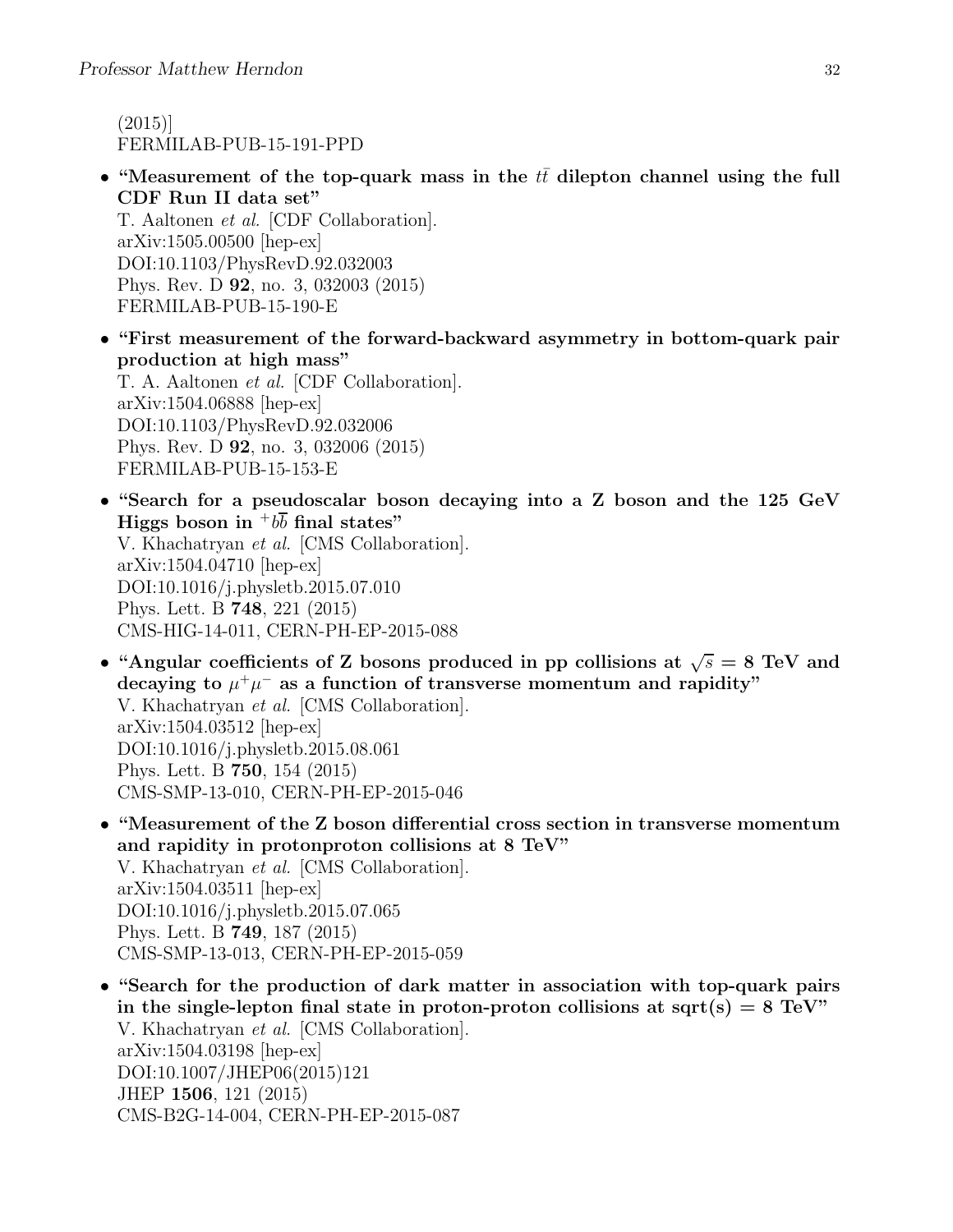(2015)] FERMILAB-PUB-15-191-PPD

• "Measurement of the top-quark mass in the  $tt$  dilepton channel using the full CDF Run II data set"

T. Aaltonen et al. [CDF Collaboration]. arXiv:1505.00500 [hep-ex] DOI:10.1103/PhysRevD.92.032003 Phys. Rev. D 92, no. 3, 032003 (2015) FERMILAB-PUB-15-190-E

- "First measurement of the forward-backward asymmetry in bottom-quark pair production at high mass" T. A. Aaltonen et al. [CDF Collaboration]. arXiv:1504.06888 [hep-ex] DOI:10.1103/PhysRevD.92.032006 Phys. Rev. D 92, no. 3, 032006 (2015) FERMILAB-PUB-15-153-E
- "Search for a pseudoscalar boson decaying into a Z boson and the 125 GeV Higgs boson in  $b\bar{b}$  final states" V. Khachatryan et al. [CMS Collaboration]. arXiv:1504.04710 [hep-ex] DOI:10.1016/j.physletb.2015.07.010 Phys. Lett. B 748, 221 (2015) CMS-HIG-14-011, CERN-PH-EP-2015-088
- "Angular coefficients of Z bosons produced in pp collisions at  $\sqrt{s} = 8$  TeV and decaying to  $\mu^+\mu^-$  as a function of transverse momentum and rapidity" V. Khachatryan et al. [CMS Collaboration]. arXiv:1504.03512 [hep-ex] DOI:10.1016/j.physletb.2015.08.061 Phys. Lett. B 750, 154 (2015) CMS-SMP-13-010, CERN-PH-EP-2015-046
- "Measurement of the Z boson differential cross section in transverse momentum and rapidity in protonproton collisions at 8 TeV" V. Khachatryan et al. [CMS Collaboration]. arXiv:1504.03511 [hep-ex] DOI:10.1016/j.physletb.2015.07.065 Phys. Lett. B 749, 187 (2015) CMS-SMP-13-013, CERN-PH-EP-2015-059
- "Search for the production of dark matter in association with top-quark pairs in the single-lepton final state in proton-proton collisions at sqrt(s)  $= 8 \text{ TeV}$ " V. Khachatryan et al. [CMS Collaboration]. arXiv:1504.03198 [hep-ex] DOI:10.1007/JHEP06(2015)121 JHEP 1506, 121 (2015) CMS-B2G-14-004, CERN-PH-EP-2015-087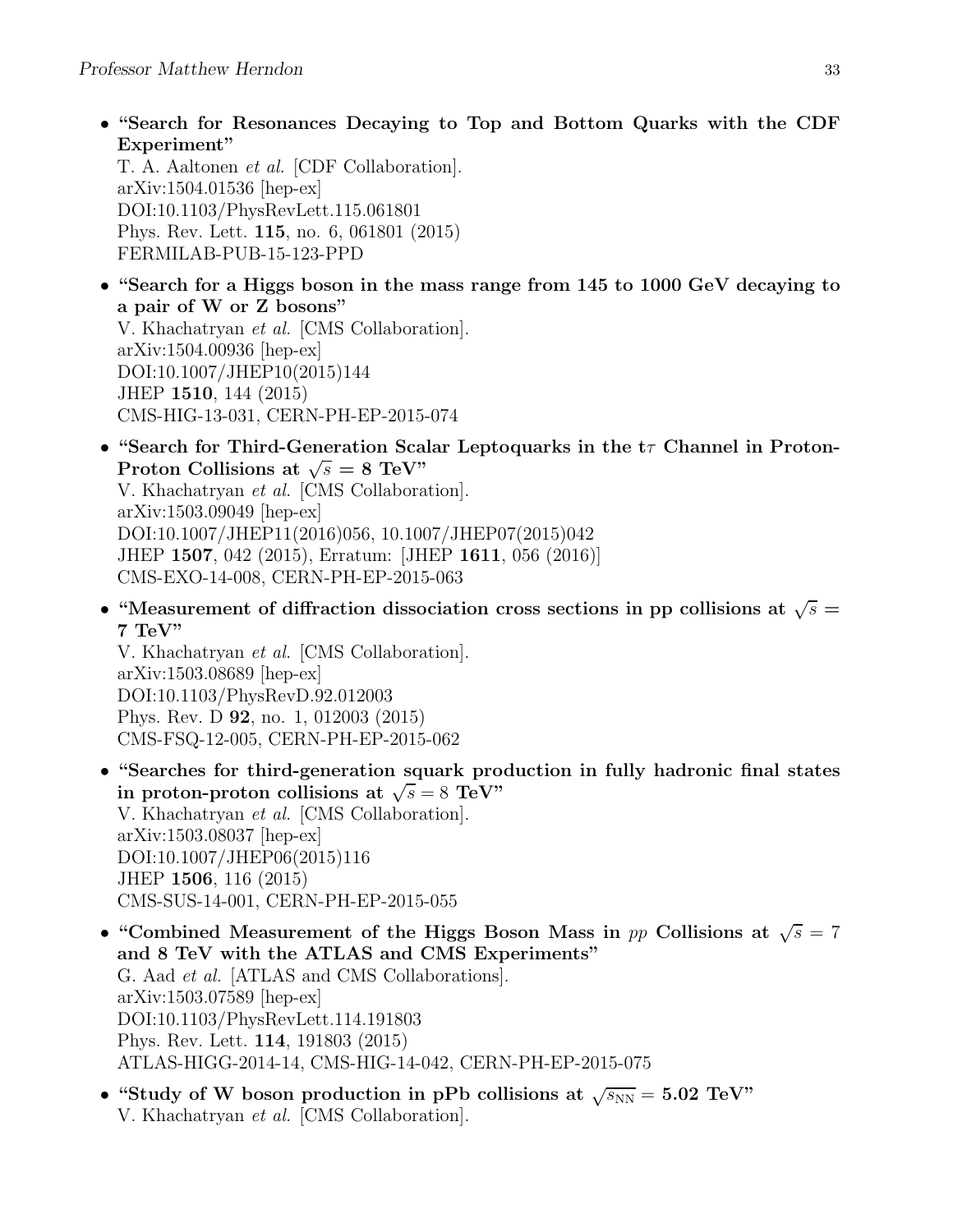• "Search for Resonances Decaying to Top and Bottom Quarks with the CDF Experiment"

T. A. Aaltonen et al. [CDF Collaboration]. arXiv:1504.01536 [hep-ex] DOI:10.1103/PhysRevLett.115.061801 Phys. Rev. Lett. 115, no. 6, 061801 (2015) FERMILAB-PUB-15-123-PPD

• "Search for a Higgs boson in the mass range from 145 to 1000 GeV decaying to a pair of W or Z bosons" V. Khachatryan et al. [CMS Collaboration].

arXiv:1504.00936 [hep-ex] DOI:10.1007/JHEP10(2015)144 JHEP 1510, 144 (2015) CMS-HIG-13-031, CERN-PH-EP-2015-074

- "Search for Third-Generation Scalar Leptoquarks in the  $t\tau$  Channel in Proton-Proton Collisions at  $\sqrt{s} = 8$  TeV" V. Khachatryan et al. [CMS Collaboration]. arXiv:1503.09049 [hep-ex] DOI:10.1007/JHEP11(2016)056, 10.1007/JHEP07(2015)042 JHEP 1507, 042 (2015), Erratum: [JHEP 1611, 056 (2016)] CMS-EXO-14-008, CERN-PH-EP-2015-063
- "Measurement of diffraction dissociation cross sections in pp collisions at  $\sqrt{s} =$ 7 TeV"

V. Khachatryan et al. [CMS Collaboration]. arXiv:1503.08689 [hep-ex] DOI:10.1103/PhysRevD.92.012003 Phys. Rev. D 92, no. 1, 012003 (2015) CMS-FSQ-12-005, CERN-PH-EP-2015-062

- "Searches for third-generation squark production in fully hadronic final states in proton-proton collisions at  $\sqrt{s} = 8$  TeV" V. Khachatryan et al. [CMS Collaboration]. arXiv:1503.08037 [hep-ex] DOI:10.1007/JHEP06(2015)116 JHEP 1506, 116 (2015) CMS-SUS-14-001, CERN-PH-EP-2015-055
- "Combined Measurement of the Higgs Boson Mass in pp Collisions at  $\sqrt{s} = 7$ and 8 TeV with the ATLAS and CMS Experiments" G. Aad et al. [ATLAS and CMS Collaborations]. arXiv:1503.07589 [hep-ex] DOI:10.1103/PhysRevLett.114.191803 Phys. Rev. Lett. 114, 191803 (2015) ATLAS-HIGG-2014-14, CMS-HIG-14-042, CERN-PH-EP-2015-075
- "Study of W boson production in pPb collisions at  $\sqrt{s_{NN}} = 5.02 \text{ TeV}$ " V. Khachatryan et al. [CMS Collaboration].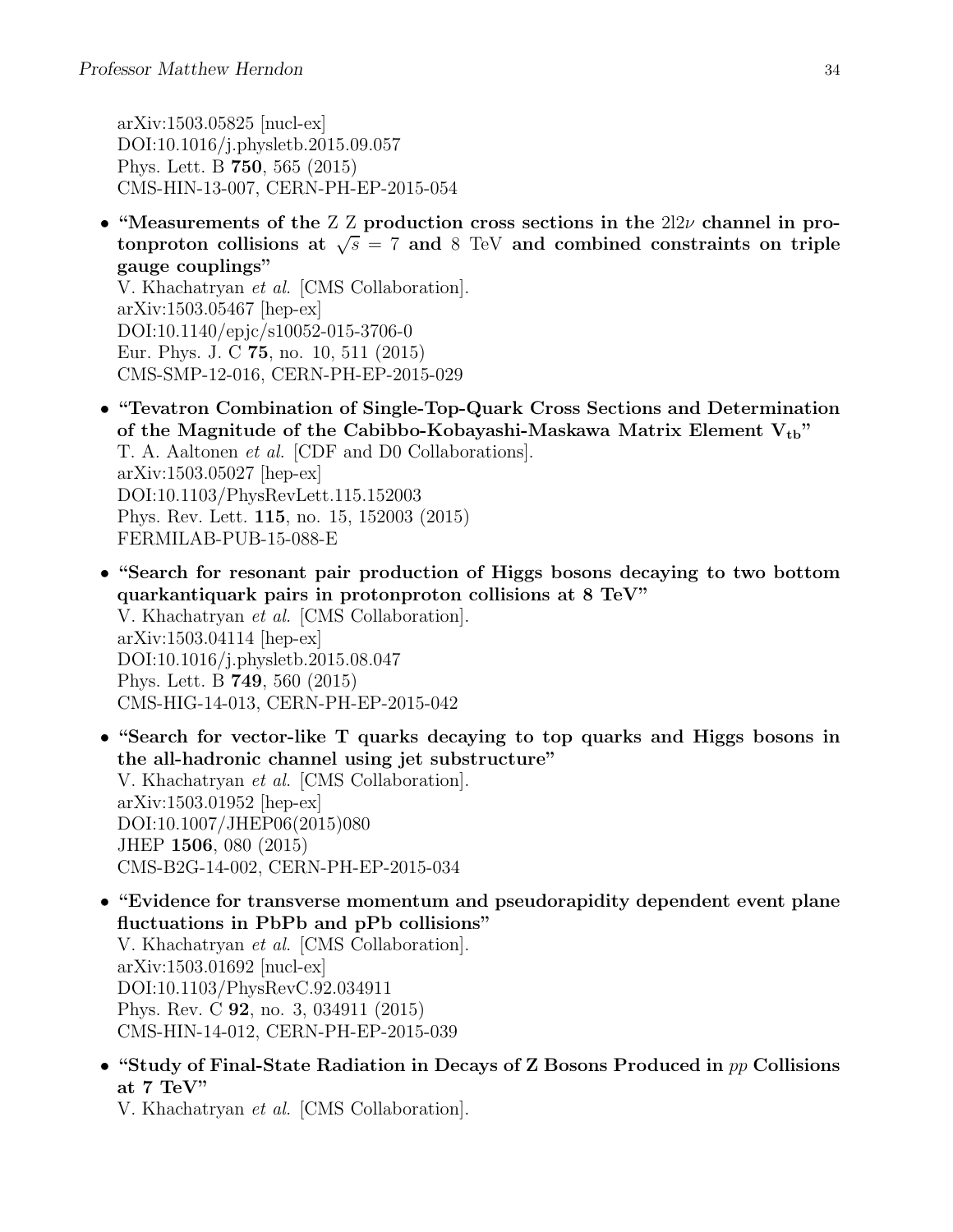arXiv:1503.05825 [nucl-ex] DOI:10.1016/j.physletb.2015.09.057 Phys. Lett. B 750, 565 (2015) CMS-HIN-13-007, CERN-PH-EP-2015-054

• "Measurements of the Z Z production cross sections in the  $2l2\nu$  channel in protonproton collisions at  $\sqrt{s}$  = 7 and 8 TeV and combined constraints on triple gauge couplings"

V. Khachatryan et al. [CMS Collaboration]. arXiv:1503.05467 [hep-ex] DOI:10.1140/epjc/s10052-015-3706-0 Eur. Phys. J. C 75, no. 10, 511 (2015) CMS-SMP-12-016, CERN-PH-EP-2015-029

- "Tevatron Combination of Single-Top-Quark Cross Sections and Determination of the Magnitude of the Cabibbo-Kobayashi-Maskawa Matrix Element  $V_{\text{tb}}$ " T. A. Aaltonen et al. [CDF and D0 Collaborations]. arXiv:1503.05027 [hep-ex] DOI:10.1103/PhysRevLett.115.152003 Phys. Rev. Lett. 115, no. 15, 152003 (2015) FERMILAB-PUB-15-088-E
- "Search for resonant pair production of Higgs bosons decaying to two bottom quarkantiquark pairs in protonproton collisions at 8 TeV" V. Khachatryan et al. [CMS Collaboration]. arXiv:1503.04114 [hep-ex] DOI:10.1016/j.physletb.2015.08.047 Phys. Lett. B 749, 560 (2015) CMS-HIG-14-013, CERN-PH-EP-2015-042
- "Search for vector-like T quarks decaying to top quarks and Higgs bosons in the all-hadronic channel using jet substructure" V. Khachatryan et al. [CMS Collaboration]. arXiv:1503.01952 [hep-ex] DOI:10.1007/JHEP06(2015)080 JHEP 1506, 080 (2015) CMS-B2G-14-002, CERN-PH-EP-2015-034
- "Evidence for transverse momentum and pseudorapidity dependent event plane fluctuations in PbPb and pPb collisions" V. Khachatryan et al. [CMS Collaboration]. arXiv:1503.01692 [nucl-ex] DOI:10.1103/PhysRevC.92.034911 Phys. Rev. C 92, no. 3, 034911 (2015) CMS-HIN-14-012, CERN-PH-EP-2015-039
- "Study of Final-State Radiation in Decays of Z Bosons Produced in  $pp$  Collisions at 7 TeV"

V. Khachatryan et al. [CMS Collaboration].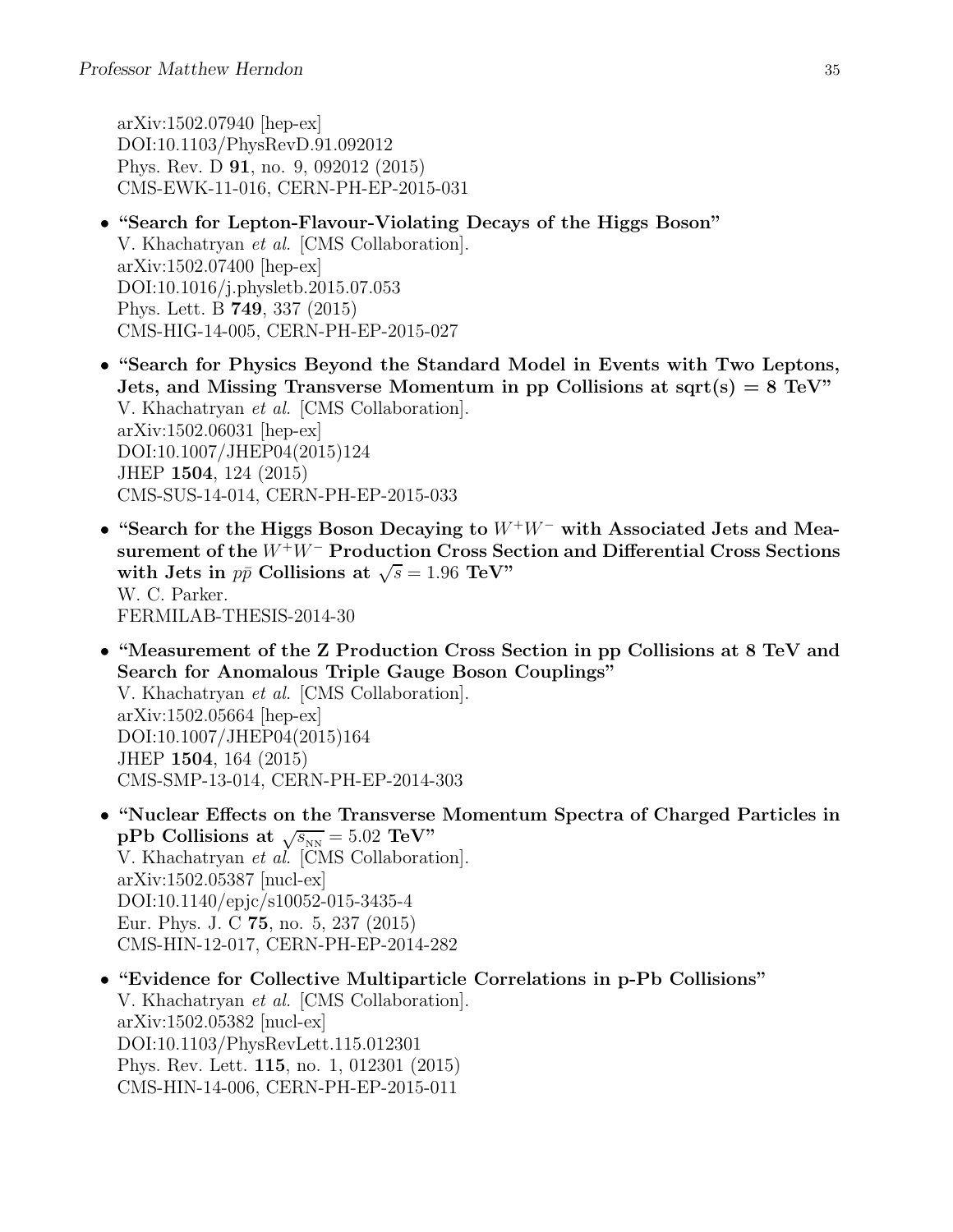arXiv:1502.07940 [hep-ex] DOI:10.1103/PhysRevD.91.092012 Phys. Rev. D 91, no. 9, 092012 (2015) CMS-EWK-11-016, CERN-PH-EP-2015-031

- "Search for Lepton-Flavour-Violating Decays of the Higgs Boson" V. Khachatryan et al. [CMS Collaboration]. arXiv:1502.07400 [hep-ex] DOI:10.1016/j.physletb.2015.07.053 Phys. Lett. B 749, 337 (2015) CMS-HIG-14-005, CERN-PH-EP-2015-027
- "Search for Physics Beyond the Standard Model in Events with Two Leptons, Jets, and Missing Transverse Momentum in pp Collisions at sqrt(s)  $= 8 \text{ TeV}$ " V. Khachatryan et al. [CMS Collaboration]. arXiv:1502.06031 [hep-ex] DOI:10.1007/JHEP04(2015)124 JHEP 1504, 124 (2015) CMS-SUS-14-014, CERN-PH-EP-2015-033
- "Search for the Higgs Boson Decaying to <sup>W</sup><sup>+</sup>W<sup>−</sup> with Associated Jets and Measurement of the W<sup>+</sup>W<sup>−</sup> Production Cross Section and Differential Cross Sections with Jets in  $p\bar{p}$  Collisions at  $\sqrt{s} = 1.96$  TeV" W. C. Parker. FERMILAB-THESIS-2014-30
- "Measurement of the Z Production Cross Section in pp Collisions at 8 TeV and Search for Anomalous Triple Gauge Boson Couplings"

V. Khachatryan et al. [CMS Collaboration]. arXiv:1502.05664 [hep-ex] DOI:10.1007/JHEP04(2015)164 JHEP 1504, 164 (2015) CMS-SMP-13-014, CERN-PH-EP-2014-303

- "Nuclear Effects on the Transverse Momentum Spectra of Charged Particles in pPb Collisions at  $\sqrt{s_{NN}} = 5.02 \text{ TeV}$ " V. Khachatryan et al. [CMS Collaboration]. arXiv:1502.05387 [nucl-ex] DOI:10.1140/epjc/s10052-015-3435-4 Eur. Phys. J. C 75, no. 5, 237 (2015) CMS-HIN-12-017, CERN-PH-EP-2014-282
- "Evidence for Collective Multiparticle Correlations in p-Pb Collisions" V. Khachatryan et al. [CMS Collaboration]. arXiv:1502.05382 [nucl-ex] DOI:10.1103/PhysRevLett.115.012301 Phys. Rev. Lett. 115, no. 1, 012301 (2015) CMS-HIN-14-006, CERN-PH-EP-2015-011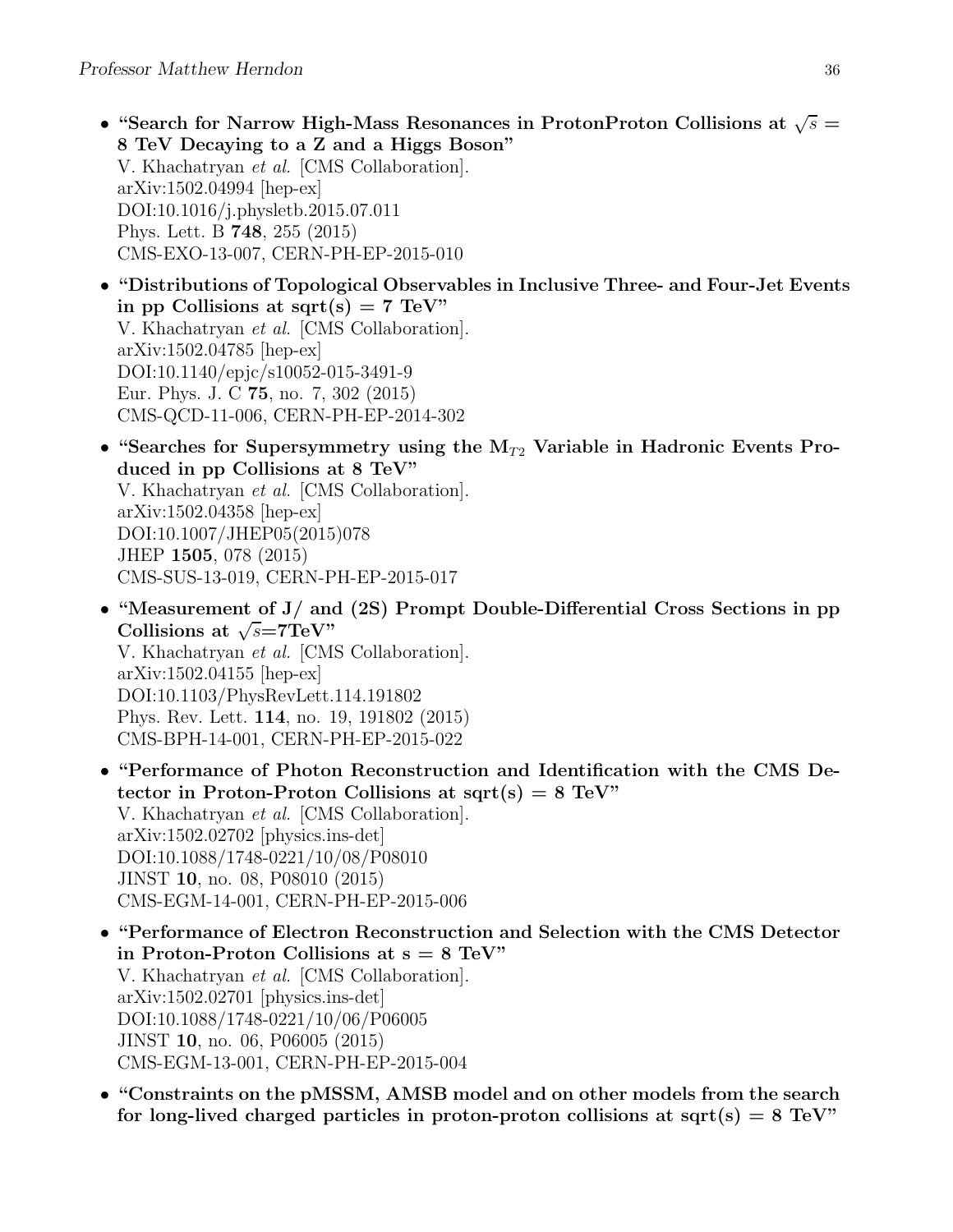- "Search for Narrow High-Mass Resonances in ProtonProton Collisions at  $\sqrt{s}$  = 8 TeV Decaying to a Z and a Higgs Boson" V. Khachatryan et al. [CMS Collaboration]. arXiv:1502.04994 [hep-ex] DOI:10.1016/j.physletb.2015.07.011 Phys. Lett. B 748, 255 (2015) CMS-EXO-13-007, CERN-PH-EP-2015-010
- "Distributions of Topological Observables in Inclusive Three- and Four-Jet Events in pp Collisions at sqrt(s) =  $7 \text{ TeV}$ " V. Khachatryan et al. [CMS Collaboration]. arXiv:1502.04785 [hep-ex] DOI:10.1140/epjc/s10052-015-3491-9 Eur. Phys. J. C 75, no. 7, 302 (2015) CMS-QCD-11-006, CERN-PH-EP-2014-302
- "Searches for Supersymmetry using the  $M_{T2}$  Variable in Hadronic Events Produced in pp Collisions at 8 TeV" V. Khachatryan et al. [CMS Collaboration]. arXiv:1502.04358 [hep-ex] DOI:10.1007/JHEP05(2015)078 JHEP 1505, 078 (2015) CMS-SUS-13-019, CERN-PH-EP-2015-017
- "Measurement of J/ and (2S) Prompt Double-Differential Cross Sections in pp Collisions at  $\sqrt{s}$ =7TeV" V. Khachatryan et al. [CMS Collaboration]. arXiv:1502.04155 [hep-ex] DOI:10.1103/PhysRevLett.114.191802 Phys. Rev. Lett. 114, no. 19, 191802 (2015) CMS-BPH-14-001, CERN-PH-EP-2015-022
- "Performance of Photon Reconstruction and Identification with the CMS Detector in Proton-Proton Collisions at  $sqrt(s) = 8$  TeV" V. Khachatryan et al. [CMS Collaboration]. arXiv:1502.02702 [physics.ins-det] DOI:10.1088/1748-0221/10/08/P08010 JINST 10, no. 08, P08010 (2015) CMS-EGM-14-001, CERN-PH-EP-2015-006
- "Performance of Electron Reconstruction and Selection with the CMS Detector in Proton-Proton Collisions at  $s = 8$  TeV" V. Khachatryan et al. [CMS Collaboration]. arXiv:1502.02701 [physics.ins-det] DOI:10.1088/1748-0221/10/06/P06005 JINST 10, no. 06, P06005 (2015) CMS-EGM-13-001, CERN-PH-EP-2015-004
- "Constraints on the pMSSM, AMSB model and on other models from the search for long-lived charged particles in proton-proton collisions at sqrt(s)  $= 8 \text{ TeV}$ "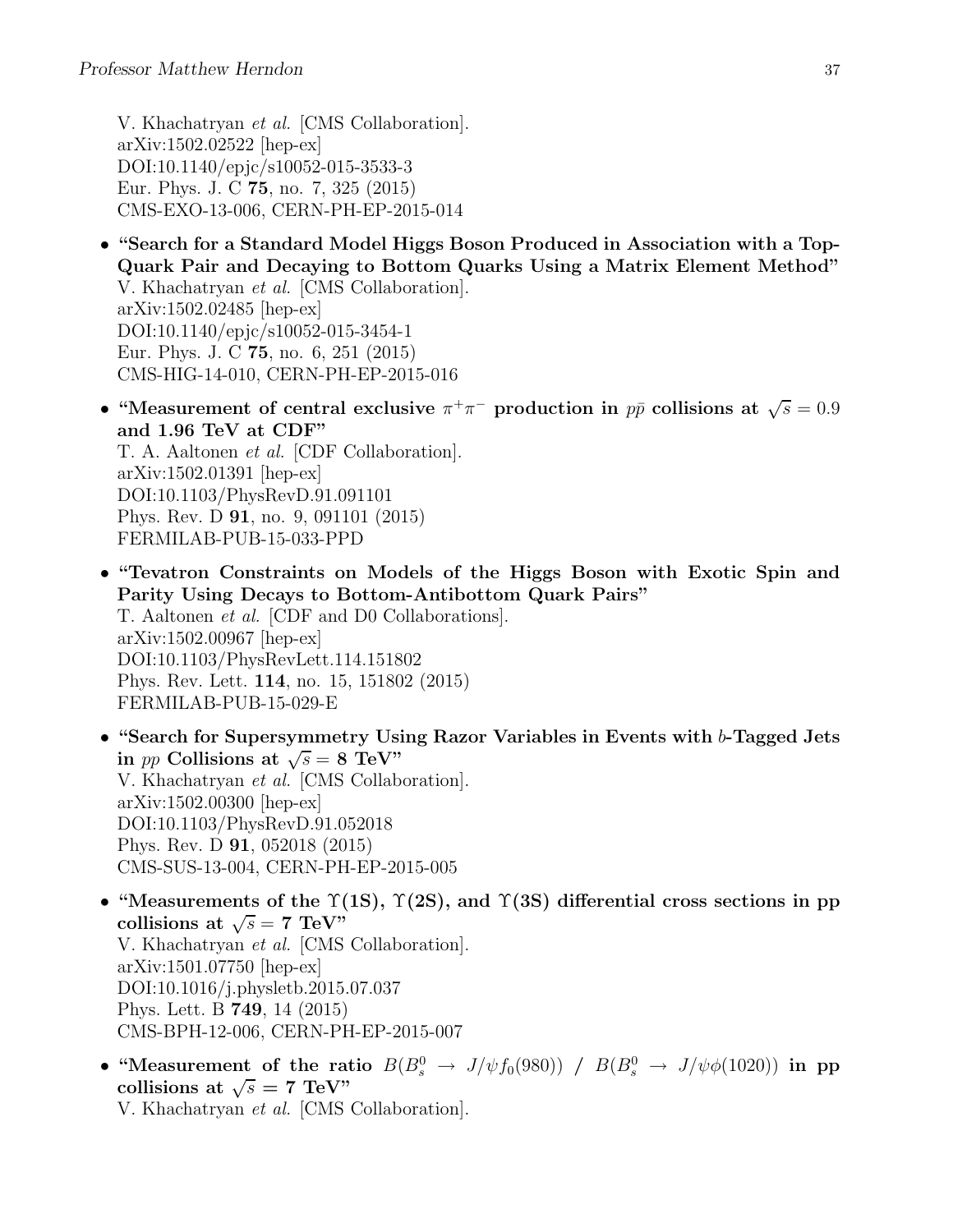V. Khachatryan et al. [CMS Collaboration]. arXiv:1502.02522 [hep-ex] DOI:10.1140/epjc/s10052-015-3533-3 Eur. Phys. J. C 75, no. 7, 325 (2015) CMS-EXO-13-006, CERN-PH-EP-2015-014

- "Search for a Standard Model Higgs Boson Produced in Association with a Top-Quark Pair and Decaying to Bottom Quarks Using a Matrix Element Method" V. Khachatryan et al. [CMS Collaboration]. arXiv:1502.02485 [hep-ex] DOI:10.1140/epjc/s10052-015-3454-1 Eur. Phys. J. C 75, no. 6, 251 (2015) CMS-HIG-14-010, CERN-PH-EP-2015-016
- "Measurement of central exclusive  $\pi^+\pi^-$  production in  $p\bar{p}$  collisions at  $\sqrt{s} = 0.9$ and 1.96 TeV at CDF" T. A. Aaltonen et al. [CDF Collaboration]. arXiv:1502.01391 [hep-ex] DOI:10.1103/PhysRevD.91.091101 Phys. Rev. D 91, no. 9, 091101 (2015) FERMILAB-PUB-15-033-PPD
- "Tevatron Constraints on Models of the Higgs Boson with Exotic Spin and Parity Using Decays to Bottom-Antibottom Quark Pairs" T. Aaltonen et al. [CDF and D0 Collaborations]. arXiv:1502.00967 [hep-ex] DOI:10.1103/PhysRevLett.114.151802 Phys. Rev. Lett. 114, no. 15, 151802 (2015) FERMILAB-PUB-15-029-E
- "Search for Supersymmetry Using Razor Variables in Events with b-Tagged Jets in *pp* Collisions at  $\sqrt{s} = 8$  TeV" V. Khachatryan et al. [CMS Collaboration]. arXiv:1502.00300 [hep-ex] DOI:10.1103/PhysRevD.91.052018 Phys. Rev. D 91, 052018 (2015) CMS-SUS-13-004, CERN-PH-EP-2015-005
- "Measurements of the  $\Upsilon(1S)$ ,  $\Upsilon(2S)$ , and  $\Upsilon(3S)$  differential cross sections in pp collisions at  $\sqrt{s} = 7$  TeV" V. Khachatryan et al. [CMS Collaboration]. arXiv:1501.07750 [hep-ex] DOI:10.1016/j.physletb.2015.07.037 Phys. Lett. B 749, 14 (2015) CMS-BPH-12-006, CERN-PH-EP-2015-007
- "Measurement of the ratio  $B(B_s^0 \to J/\psi f_0(980)) / B(B_s^0 \to J/\psi \phi(1020))$  in pp collisions at  $\sqrt{s} = 7 \text{ TeV}$ " V. Khachatryan et al. [CMS Collaboration].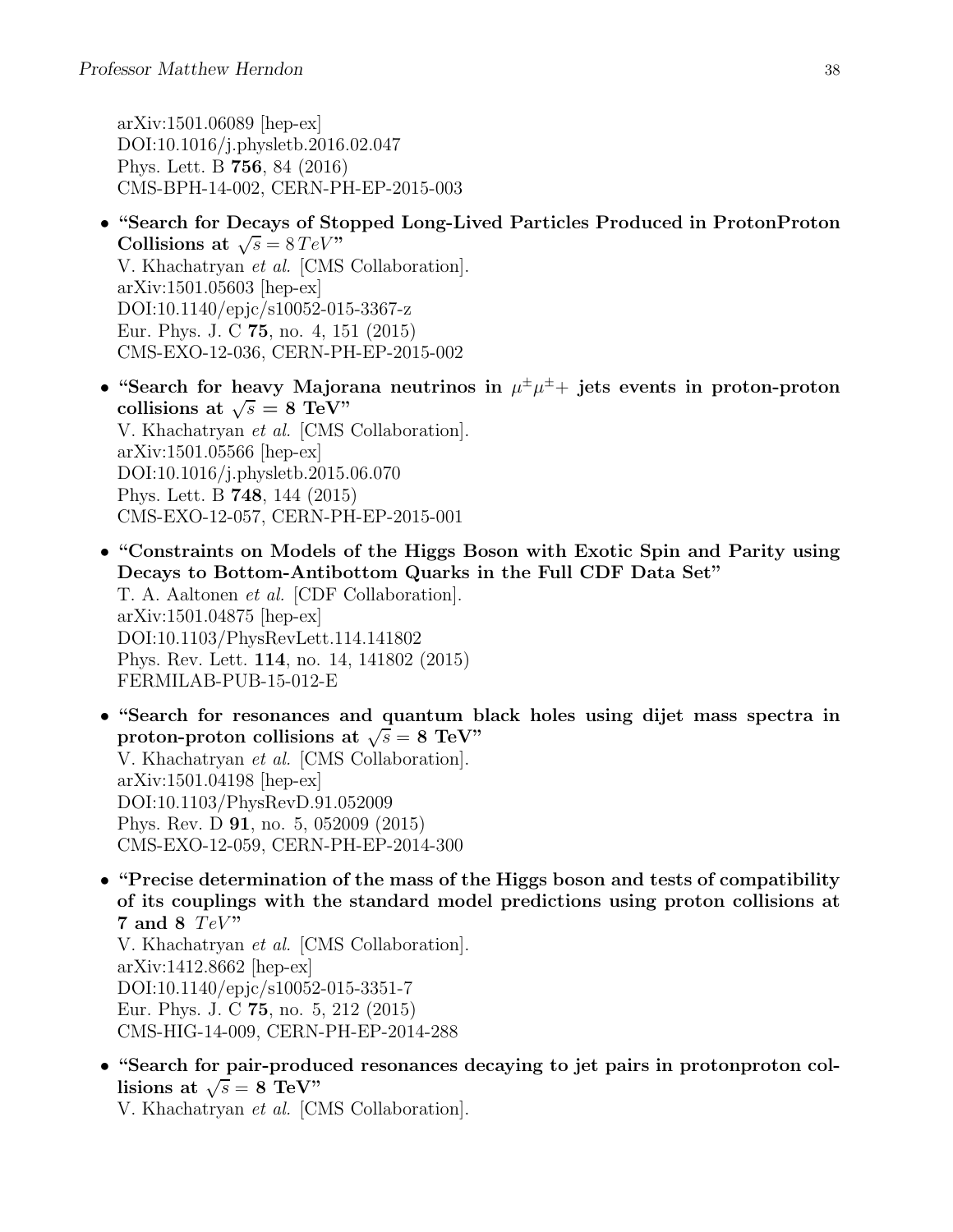arXiv:1501.06089 [hep-ex] DOI:10.1016/j.physletb.2016.02.047 Phys. Lett. B 756, 84 (2016) CMS-BPH-14-002, CERN-PH-EP-2015-003

- "Search for Decays of Stopped Long-Lived Particles Produced in ProtonProton Collisions at  $\sqrt{s} = 8 \, TeV$ " V. Khachatryan et al. [CMS Collaboration]. arXiv:1501.05603 [hep-ex] DOI:10.1140/epjc/s10052-015-3367-z Eur. Phys. J. C 75, no. 4, 151 (2015) CMS-EXO-12-036, CERN-PH-EP-2015-002
- "Search for heavy Majorana neutrinos in  $\mu^{\pm} \mu^{\pm}$  jets events in proton-proton collisions at  $\sqrt{s} = 8 \text{ TeV}$ " V. Khachatryan et al. [CMS Collaboration]. arXiv:1501.05566 [hep-ex] DOI:10.1016/j.physletb.2015.06.070 Phys. Lett. B 748, 144 (2015) CMS-EXO-12-057, CERN-PH-EP-2015-001
- "Constraints on Models of the Higgs Boson with Exotic Spin and Parity using Decays to Bottom-Antibottom Quarks in the Full CDF Data Set" T. A. Aaltonen et al. [CDF Collaboration]. arXiv:1501.04875 [hep-ex] DOI:10.1103/PhysRevLett.114.141802 Phys. Rev. Lett. 114, no. 14, 141802 (2015) FERMILAB-PUB-15-012-E
- "Search for resonances and quantum black holes using dijet mass spectra in proton-proton collisions at  $\sqrt{s} = 8$  TeV" V. Khachatryan et al. [CMS Collaboration]. arXiv:1501.04198 [hep-ex] DOI:10.1103/PhysRevD.91.052009 Phys. Rev. D 91, no. 5, 052009 (2015) CMS-EXO-12-059, CERN-PH-EP-2014-300
- "Precise determination of the mass of the Higgs boson and tests of compatibility of its couplings with the standard model predictions using proton collisions at 7 and 8  $TeV$ " V. Khachatryan et al. [CMS Collaboration]. arXiv:1412.8662 [hep-ex]

DOI:10.1140/epjc/s10052-015-3351-7 Eur. Phys. J. C 75, no. 5, 212 (2015) CMS-HIG-14-009, CERN-PH-EP-2014-288

• "Search for pair-produced resonances decaying to jet pairs in protonproton collisions at  $\sqrt{s} = 8 \text{ TeV}$ 

V. Khachatryan et al. [CMS Collaboration].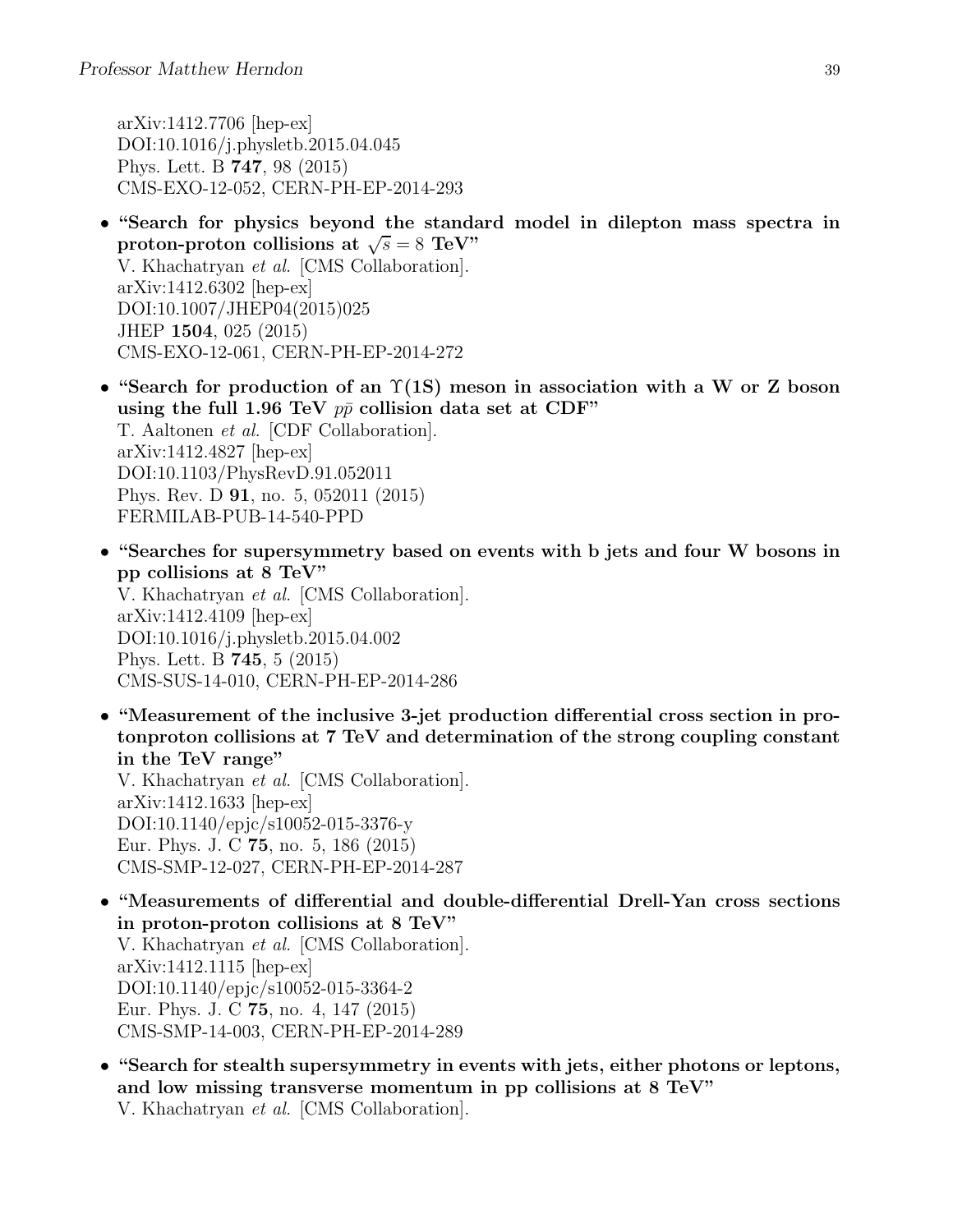arXiv:1412.7706 [hep-ex] DOI:10.1016/j.physletb.2015.04.045 Phys. Lett. B 747, 98 (2015) CMS-EXO-12-052, CERN-PH-EP-2014-293

- "Search for physics beyond the standard model in dilepton mass spectra in proton-proton collisions at  $\sqrt{s} = 8$  TeV" V. Khachatryan et al. [CMS Collaboration]. arXiv:1412.6302 [hep-ex] DOI:10.1007/JHEP04(2015)025 JHEP 1504, 025 (2015) CMS-EXO-12-061, CERN-PH-EP-2014-272
- "Search for production of an  $\Upsilon(1S)$  meson in association with a W or Z boson using the full 1.96 TeV  $p\bar{p}$  collision data set at CDF" T. Aaltonen et al. [CDF Collaboration]. arXiv:1412.4827 [hep-ex] DOI:10.1103/PhysRevD.91.052011 Phys. Rev. D 91, no. 5, 052011 (2015) FERMILAB-PUB-14-540-PPD
- "Searches for supersymmetry based on events with b jets and four W bosons in pp collisions at 8 TeV" V. Khachatryan et al. [CMS Collaboration]. arXiv:1412.4109 [hep-ex] DOI:10.1016/j.physletb.2015.04.002 Phys. Lett. B 745, 5 (2015) CMS-SUS-14-010, CERN-PH-EP-2014-286
- "Measurement of the inclusive 3-jet production differential cross section in protonproton collisions at 7 TeV and determination of the strong coupling constant in the TeV range" V. Khachatryan et al. [CMS Collaboration].

arXiv:1412.1633 [hep-ex] DOI:10.1140/epjc/s10052-015-3376-y Eur. Phys. J. C 75, no. 5, 186 (2015) CMS-SMP-12-027, CERN-PH-EP-2014-287

- "Measurements of differential and double-differential Drell-Yan cross sections in proton-proton collisions at 8 TeV" V. Khachatryan et al. [CMS Collaboration]. arXiv:1412.1115 [hep-ex] DOI:10.1140/epjc/s10052-015-3364-2 Eur. Phys. J. C 75, no. 4, 147 (2015) CMS-SMP-14-003, CERN-PH-EP-2014-289
- "Search for stealth supersymmetry in events with jets, either photons or leptons, and low missing transverse momentum in pp collisions at 8 TeV" V. Khachatryan et al. [CMS Collaboration].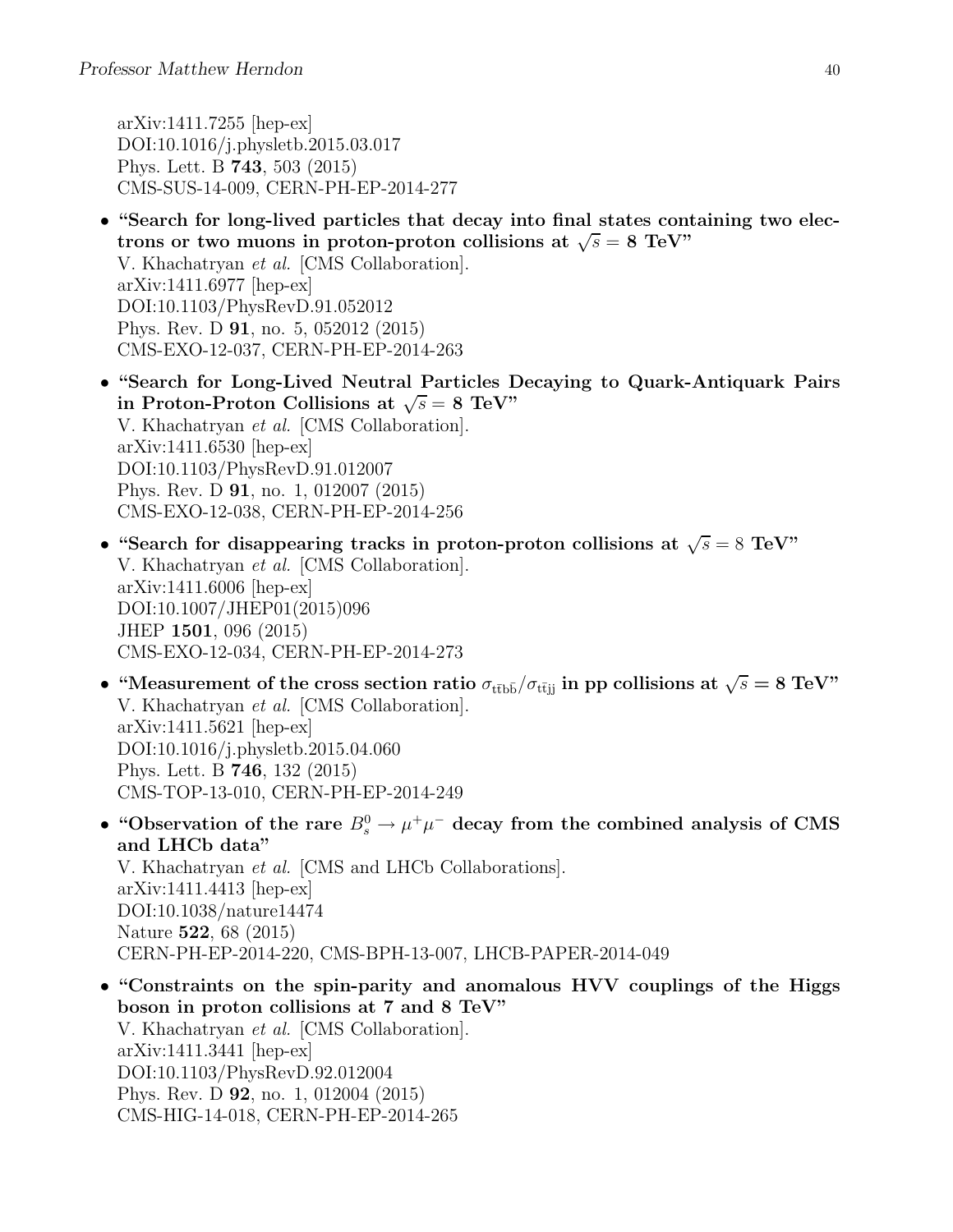arXiv:1411.7255 [hep-ex] DOI:10.1016/j.physletb.2015.03.017 Phys. Lett. B 743, 503 (2015) CMS-SUS-14-009, CERN-PH-EP-2014-277

- "Search for long-lived particles that decay into final states containing two electrons or two muons in proton-proton collisions at  $\sqrt{s} = 8$  TeV" V. Khachatryan et al. [CMS Collaboration]. arXiv:1411.6977 [hep-ex] DOI:10.1103/PhysRevD.91.052012 Phys. Rev. D 91, no. 5, 052012 (2015) CMS-EXO-12-037, CERN-PH-EP-2014-263
- "Search for Long-Lived Neutral Particles Decaying to Quark-Antiquark Pairs in Proton-Proton Collisions at  $\sqrt{s} = 8$  TeV" V. Khachatryan et al. [CMS Collaboration]. arXiv:1411.6530 [hep-ex] DOI:10.1103/PhysRevD.91.012007 Phys. Rev. D 91, no. 1, 012007 (2015) CMS-EXO-12-038, CERN-PH-EP-2014-256
- "Search for disappearing tracks in proton-proton collisions at  $\sqrt{s} = 8$  TeV" V. Khachatryan et al. [CMS Collaboration]. arXiv:1411.6006 [hep-ex] DOI:10.1007/JHEP01(2015)096 JHEP 1501, 096 (2015) CMS-EXO-12-034, CERN-PH-EP-2014-273
- "Measurement of the cross section ratio  $\sigma_{\text{t\bar{t}b\bar{b}}}/\sigma_{\text{t\bar{t}jj}}$  in pp collisions at  $\sqrt{s} = 8 \text{ TeV}$ " V. Khachatryan et al. [CMS Collaboration]. arXiv:1411.5621 [hep-ex] DOI:10.1016/j.physletb.2015.04.060 Phys. Lett. B 746, 132 (2015) CMS-TOP-13-010, CERN-PH-EP-2014-249
- "Observation of the rare  $B_s^0 \to \mu^+ \mu^-$  decay from the combined analysis of CMS and LHCb data" V. Khachatryan et al. [CMS and LHCb Collaborations]. arXiv:1411.4413 [hep-ex]

DOI:10.1038/nature14474 Nature 522, 68 (2015) CERN-PH-EP-2014-220, CMS-BPH-13-007, LHCB-PAPER-2014-049

• "Constraints on the spin-parity and anomalous HVV couplings of the Higgs boson in proton collisions at 7 and 8 TeV" V. Khachatryan et al. [CMS Collaboration]. arXiv:1411.3441 [hep-ex] DOI:10.1103/PhysRevD.92.012004 Phys. Rev. D 92, no. 1, 012004 (2015) CMS-HIG-14-018, CERN-PH-EP-2014-265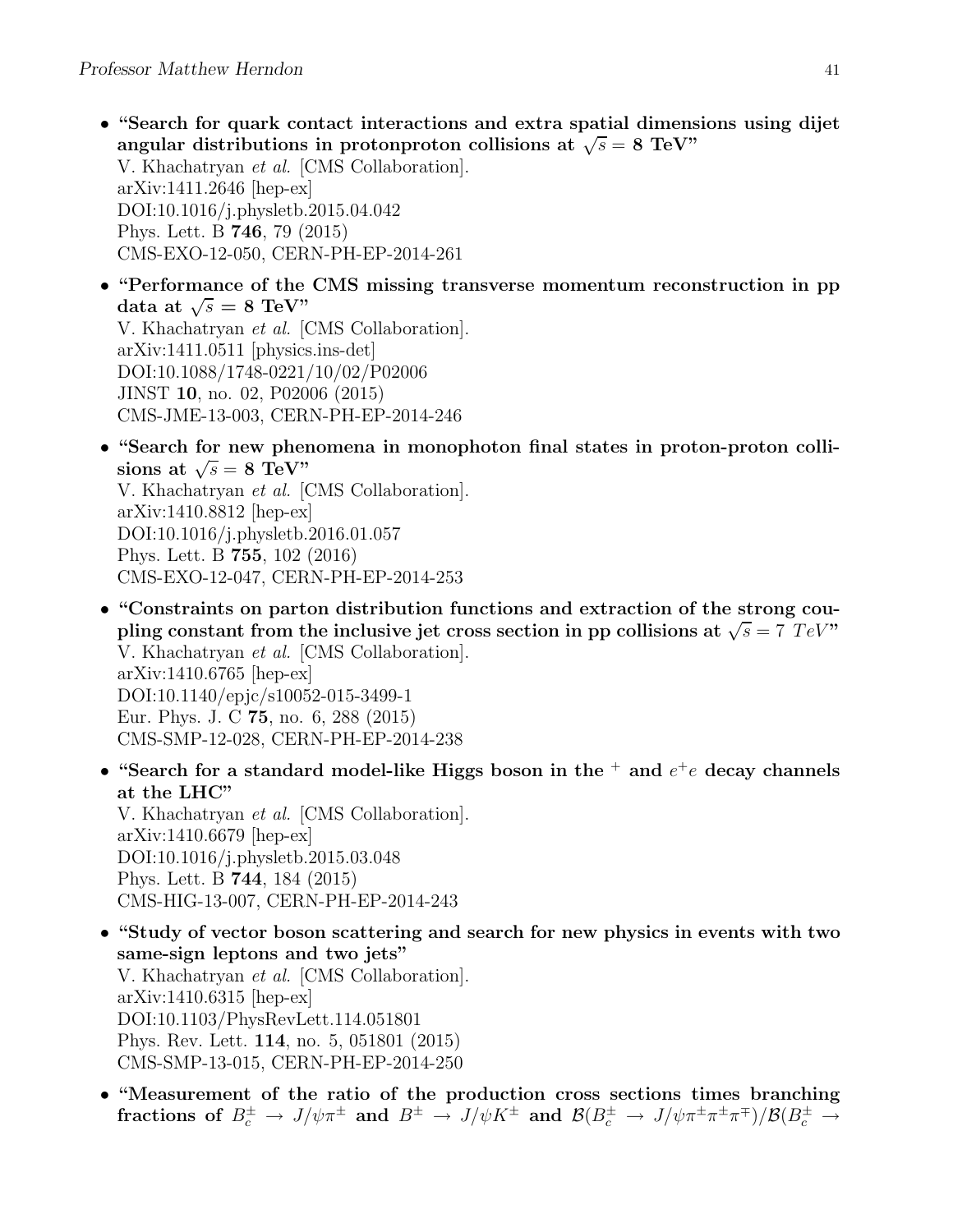- "Search for quark contact interactions and extra spatial dimensions using dijet angular distributions in protonproton collisions at  $\sqrt{s} = 8$  TeV" V. Khachatryan et al. [CMS Collaboration]. arXiv:1411.2646 [hep-ex] DOI:10.1016/j.physletb.2015.04.042 Phys. Lett. B 746, 79 (2015) CMS-EXO-12-050, CERN-PH-EP-2014-261
- "Performance of the CMS missing transverse momentum reconstruction in pp data at  $\sqrt{s} = 8$  TeV"

V. Khachatryan et al. [CMS Collaboration]. arXiv:1411.0511 [physics.ins-det] DOI:10.1088/1748-0221/10/02/P02006 JINST 10, no. 02, P02006 (2015) CMS-JME-13-003, CERN-PH-EP-2014-246

• "Search for new phenomena in monophoton final states in proton-proton collisions at  $\sqrt{s} = 8 \text{ TeV}$ 

V. Khachatryan et al. [CMS Collaboration]. arXiv:1410.8812 [hep-ex] DOI:10.1016/j.physletb.2016.01.057 Phys. Lett. B 755, 102 (2016) CMS-EXO-12-047, CERN-PH-EP-2014-253

- "Constraints on parton distribution functions and extraction of the strong coupling constant from the inclusive jet cross section in pp collisions at  $\sqrt{s} = 7 \text{ TeV}$ " V. Khachatryan et al. [CMS Collaboration]. arXiv:1410.6765 [hep-ex] DOI:10.1140/epjc/s10052-015-3499-1 Eur. Phys. J. C 75, no. 6, 288 (2015) CMS-SMP-12-028, CERN-PH-EP-2014-238
- "Search for a standard model-like Higgs boson in the  $^+$  and  $e^+e$  decay channels at the LHC"

V. Khachatryan et al. [CMS Collaboration]. arXiv:1410.6679 [hep-ex] DOI:10.1016/j.physletb.2015.03.048 Phys. Lett. B 744, 184 (2015) CMS-HIG-13-007, CERN-PH-EP-2014-243

- "Study of vector boson scattering and search for new physics in events with two same-sign leptons and two jets" V. Khachatryan et al. [CMS Collaboration]. arXiv:1410.6315 [hep-ex] DOI:10.1103/PhysRevLett.114.051801 Phys. Rev. Lett. 114, no. 5, 051801 (2015) CMS-SMP-13-015, CERN-PH-EP-2014-250
- "Measurement of the ratio of the production cross sections times branching fractions of  $B_c^{\pm} \to J/\psi \pi^{\pm}$  and  $B^{\pm} \to J/\psi K^{\pm}$  and  $\mathcal{B}(B_c^{\pm} \to J/\psi \pi^{\pm} \pi^{\pm} \pi^{\mp})/\mathcal{B}(B_c^{\pm} \to$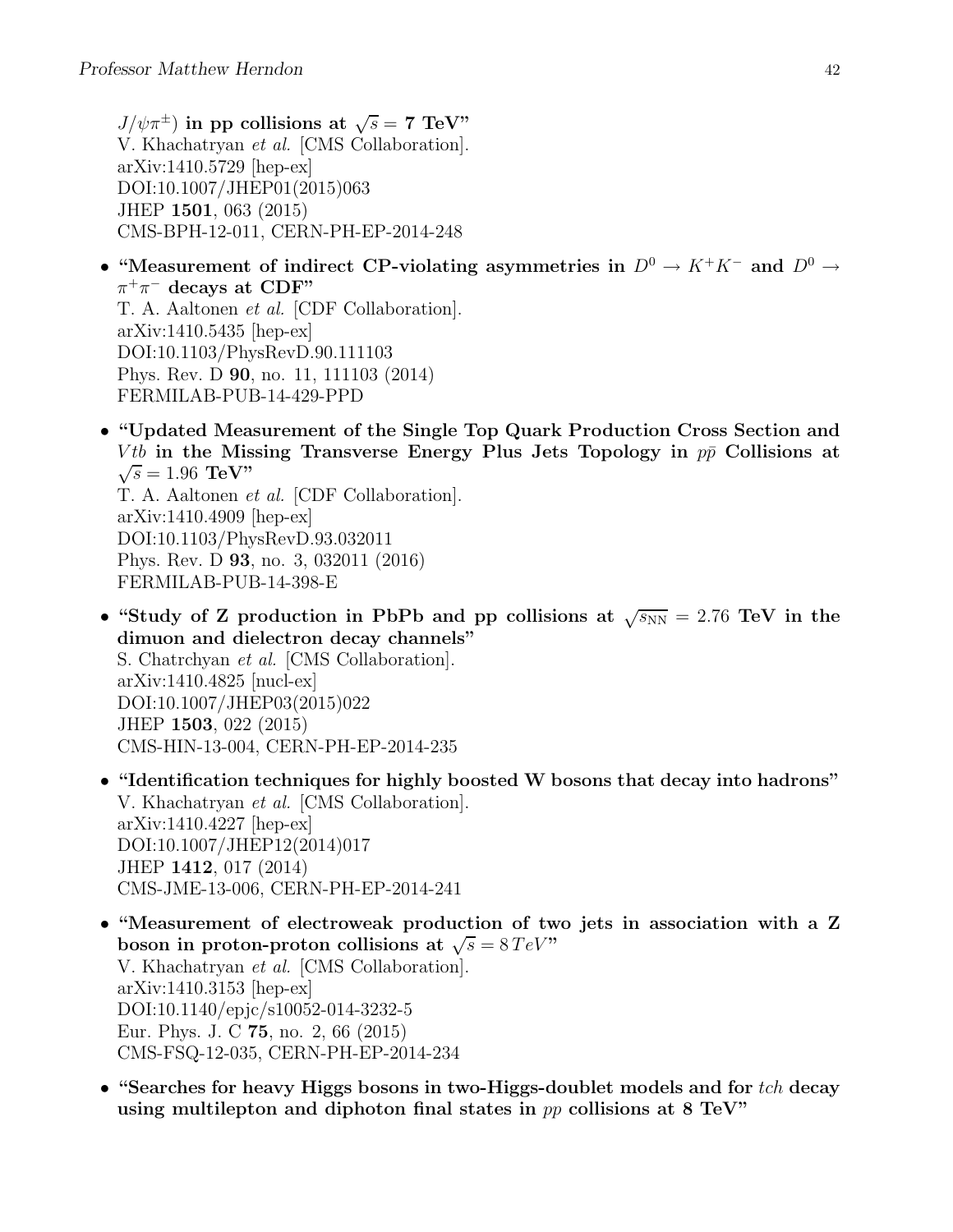$J/\psi \pi^{\pm}$ ) in pp collisions at  $\sqrt{s} = 7$  TeV" V. Khachatryan et al. [CMS Collaboration]. arXiv:1410.5729 [hep-ex] DOI:10.1007/JHEP01(2015)063 JHEP 1501, 063 (2015) CMS-BPH-12-011, CERN-PH-EP-2014-248

- "Measurement of indirect CP-violating asymmetries in  $D^0 \to K^+K^-$  and  $D^0 \to$  $\pi^+\pi^-$  decays at CDF" T. A. Aaltonen et al. [CDF Collaboration]. arXiv:1410.5435 [hep-ex] DOI:10.1103/PhysRevD.90.111103 Phys. Rev. D 90, no. 11, 111103 (2014) FERMILAB-PUB-14-429-PPD
- "Updated Measurement of the Single Top Quark Production Cross Section and *Vtb* in the Missing Transverse Energy Plus Jets Topology in  $p\bar{p}$  Collisions at  $\sqrt{s} = 1.96 \text{ TeV}$ " T. A. Aaltonen et al. [CDF Collaboration]. arXiv:1410.4909 [hep-ex]

DOI:10.1103/PhysRevD.93.032011 Phys. Rev. D 93, no. 3, 032011 (2016) FERMILAB-PUB-14-398-E

- "Study of Z production in PbPb and pp collisions at  $\sqrt{s_{NN}} = 2.76$  TeV in the dimuon and dielectron decay channels" S. Chatrchyan et al. [CMS Collaboration]. arXiv:1410.4825 [nucl-ex] DOI:10.1007/JHEP03(2015)022 JHEP 1503, 022 (2015) CMS-HIN-13-004, CERN-PH-EP-2014-235
- "Identification techniques for highly boosted W bosons that decay into hadrons" V. Khachatryan et al. [CMS Collaboration]. arXiv:1410.4227 [hep-ex] DOI:10.1007/JHEP12(2014)017 JHEP 1412, 017 (2014) CMS-JME-13-006, CERN-PH-EP-2014-241
- "Measurement of electroweak production of two jets in association with a Z boson in proton-proton collisions at  $\sqrt{s} = 8 \, TeV$ " V. Khachatryan et al. [CMS Collaboration]. arXiv:1410.3153 [hep-ex] DOI:10.1140/epjc/s10052-014-3232-5 Eur. Phys. J. C 75, no. 2, 66 (2015) CMS-FSQ-12-035, CERN-PH-EP-2014-234
- "Searches for heavy Higgs bosons in two-Higgs-doublet models and for  $tch$  decay using multilepton and diphoton final states in  $pp$  collisions at 8 TeV"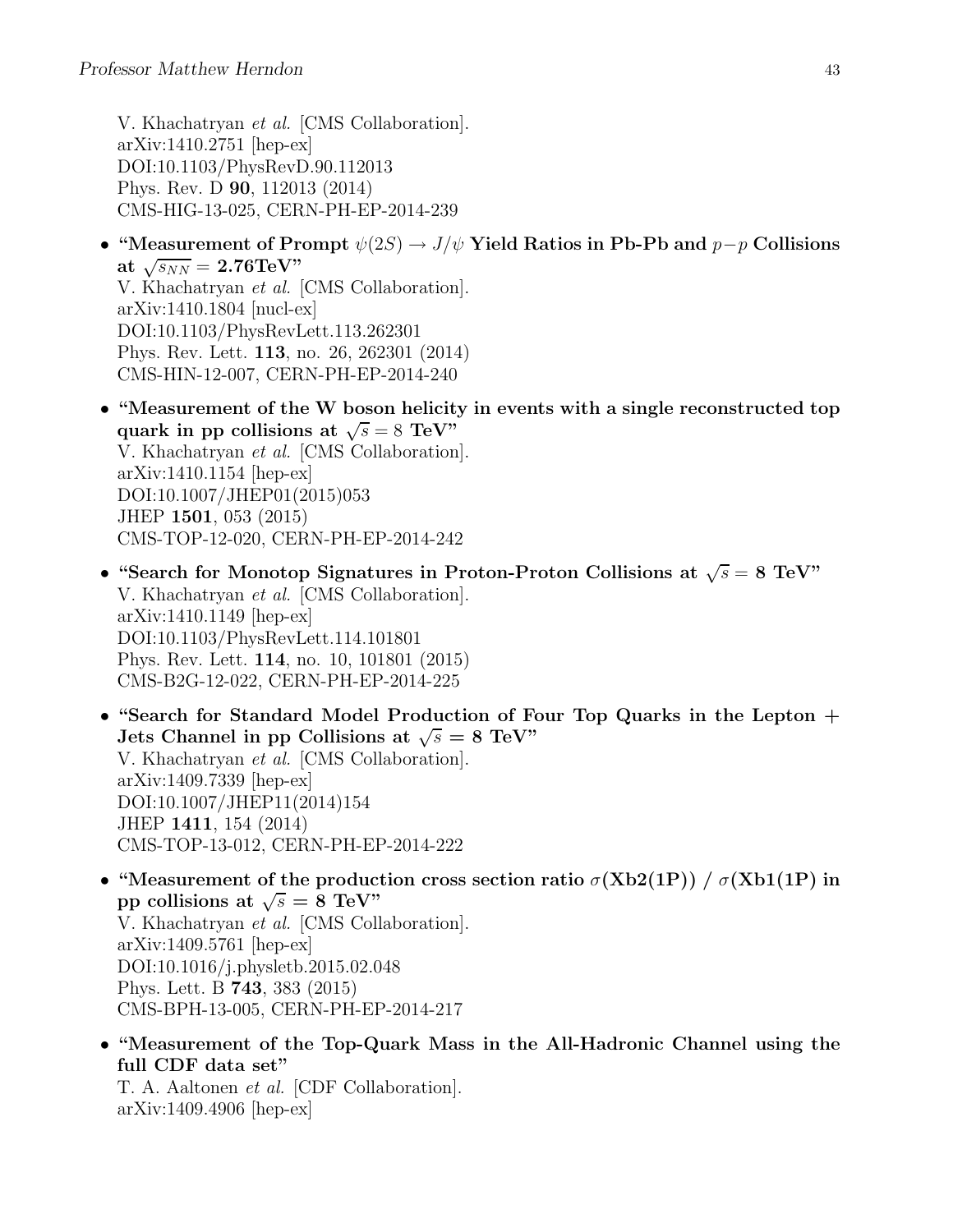V. Khachatryan et al. [CMS Collaboration]. arXiv:1410.2751 [hep-ex] DOI:10.1103/PhysRevD.90.112013 Phys. Rev. D 90, 112013 (2014) CMS-HIG-13-025, CERN-PH-EP-2014-239

- "Measurement of Prompt  $\psi(2S) \to J/\psi$  Yield Ratios in Pb-Pb and  $p-p$  Collisions at  $\sqrt{s_{NN}} = 2.76 \text{TeV}$ " V. Khachatryan et al. [CMS Collaboration]. arXiv:1410.1804 [nucl-ex] DOI:10.1103/PhysRevLett.113.262301 Phys. Rev. Lett. 113, no. 26, 262301 (2014) CMS-HIN-12-007, CERN-PH-EP-2014-240
- "Measurement of the W boson helicity in events with a single reconstructed top quark in pp collisions at  $\sqrt{s} = 8$  TeV" V. Khachatryan et al. [CMS Collaboration]. arXiv:1410.1154 [hep-ex] DOI:10.1007/JHEP01(2015)053 JHEP 1501, 053 (2015) CMS-TOP-12-020, CERN-PH-EP-2014-242
- "Search for Monotop Signatures in Proton-Proton Collisions at  $\sqrt{s} = 8$  TeV" V. Khachatryan et al. [CMS Collaboration]. arXiv:1410.1149 [hep-ex] DOI:10.1103/PhysRevLett.114.101801 Phys. Rev. Lett. 114, no. 10, 101801 (2015) CMS-B2G-12-022, CERN-PH-EP-2014-225
- "Search for Standard Model Production of Four Top Quarks in the Lepton + Jets Channel in pp Collisions at  $\sqrt{s} = 8$  TeV" V. Khachatryan et al. [CMS Collaboration]. arXiv:1409.7339 [hep-ex] DOI:10.1007/JHEP11(2014)154 JHEP 1411, 154 (2014) CMS-TOP-13-012, CERN-PH-EP-2014-222
- "Measurement of the production cross section ratio  $\sigma(Xb2(1P)) / \sigma(Xb1(1P))$  in pp collisions at  $\sqrt{s} = 8 \text{ TeV}$ " V. Khachatryan et al. [CMS Collaboration]. arXiv:1409.5761 [hep-ex] DOI:10.1016/j.physletb.2015.02.048 Phys. Lett. B 743, 383 (2015) CMS-BPH-13-005, CERN-PH-EP-2014-217
- "Measurement of the Top-Quark Mass in the All-Hadronic Channel using the full CDF data set"

T. A. Aaltonen et al. [CDF Collaboration]. arXiv:1409.4906 [hep-ex]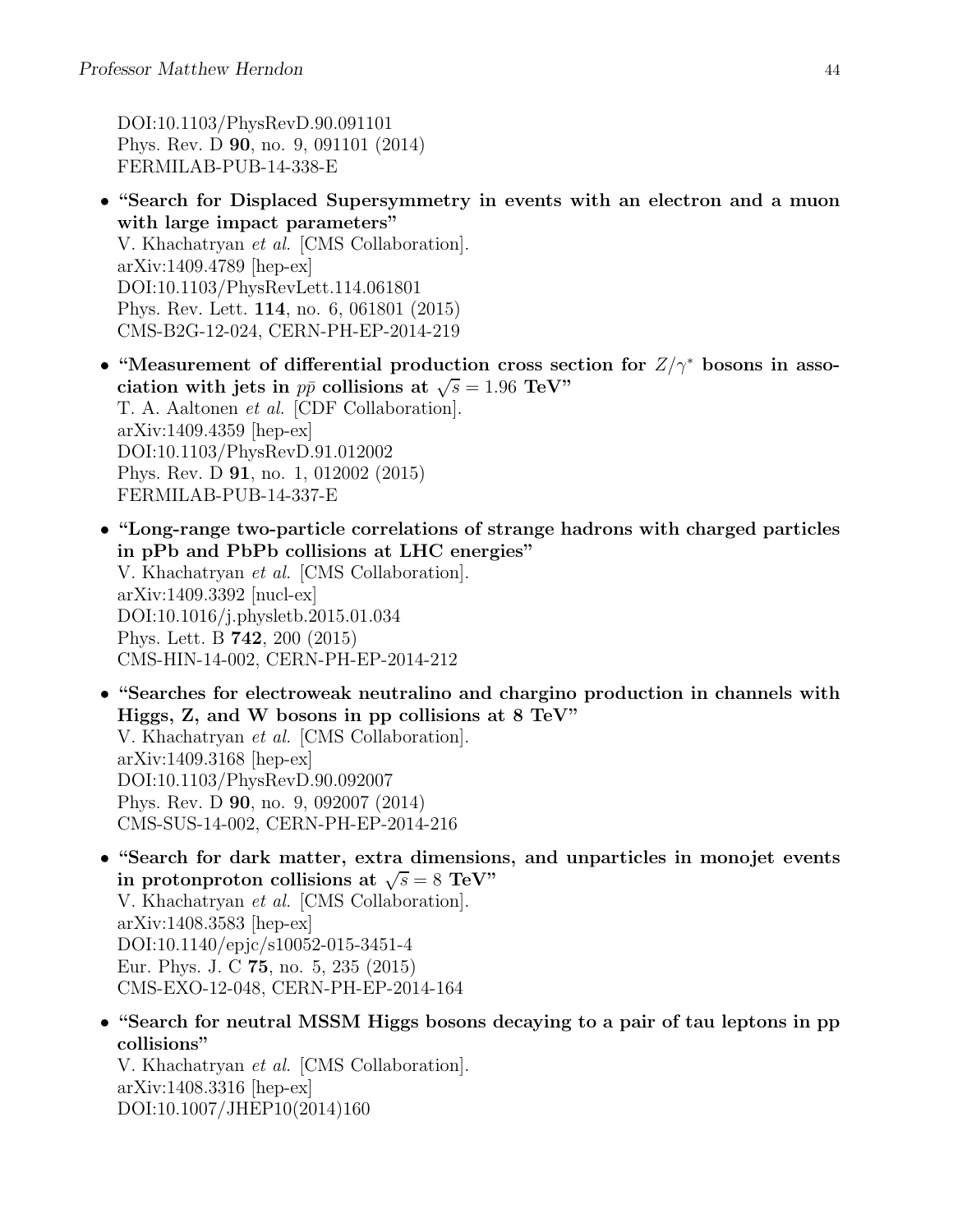DOI:10.1103/PhysRevD.90.091101 Phys. Rev. D 90, no. 9, 091101 (2014) FERMILAB-PUB-14-338-E

- "Search for Displaced Supersymmetry in events with an electron and a muon with large impact parameters" V. Khachatryan et al. [CMS Collaboration]. arXiv:1409.4789 [hep-ex] DOI:10.1103/PhysRevLett.114.061801 Phys. Rev. Lett. 114, no. 6, 061801 (2015) CMS-B2G-12-024, CERN-PH-EP-2014-219
- "Measurement of differential production cross section for  $Z/\gamma^*$  bosons in association with jets in  $p\bar{p}$  collisions at  $\sqrt{s} = 1.96 \text{ TeV}$ " T. A. Aaltonen et al. [CDF Collaboration]. arXiv:1409.4359 [hep-ex] DOI:10.1103/PhysRevD.91.012002 Phys. Rev. D 91, no. 1, 012002 (2015) FERMILAB-PUB-14-337-E
- "Long-range two-particle correlations of strange hadrons with charged particles in pPb and PbPb collisions at LHC energies" V. Khachatryan et al. [CMS Collaboration]. arXiv:1409.3392 [nucl-ex] DOI:10.1016/j.physletb.2015.01.034 Phys. Lett. B 742, 200 (2015) CMS-HIN-14-002, CERN-PH-EP-2014-212
- "Searches for electroweak neutralino and chargino production in channels with Higgs, Z, and W bosons in pp collisions at 8 TeV" V. Khachatryan et al. [CMS Collaboration]. arXiv:1409.3168 [hep-ex] DOI:10.1103/PhysRevD.90.092007 Phys. Rev. D 90, no. 9, 092007 (2014) CMS-SUS-14-002, CERN-PH-EP-2014-216
- "Search for dark matter, extra dimensions, and unparticles in monojet events in protonproton collisions at  $\sqrt{s} = 8$  TeV" V. Khachatryan et al. [CMS Collaboration]. arXiv:1408.3583 [hep-ex] DOI:10.1140/epjc/s10052-015-3451-4 Eur. Phys. J. C 75, no. 5, 235 (2015) CMS-EXO-12-048, CERN-PH-EP-2014-164
- "Search for neutral MSSM Higgs bosons decaying to a pair of tau leptons in pp collisions"

V. Khachatryan et al. [CMS Collaboration]. arXiv:1408.3316 [hep-ex] DOI:10.1007/JHEP10(2014)160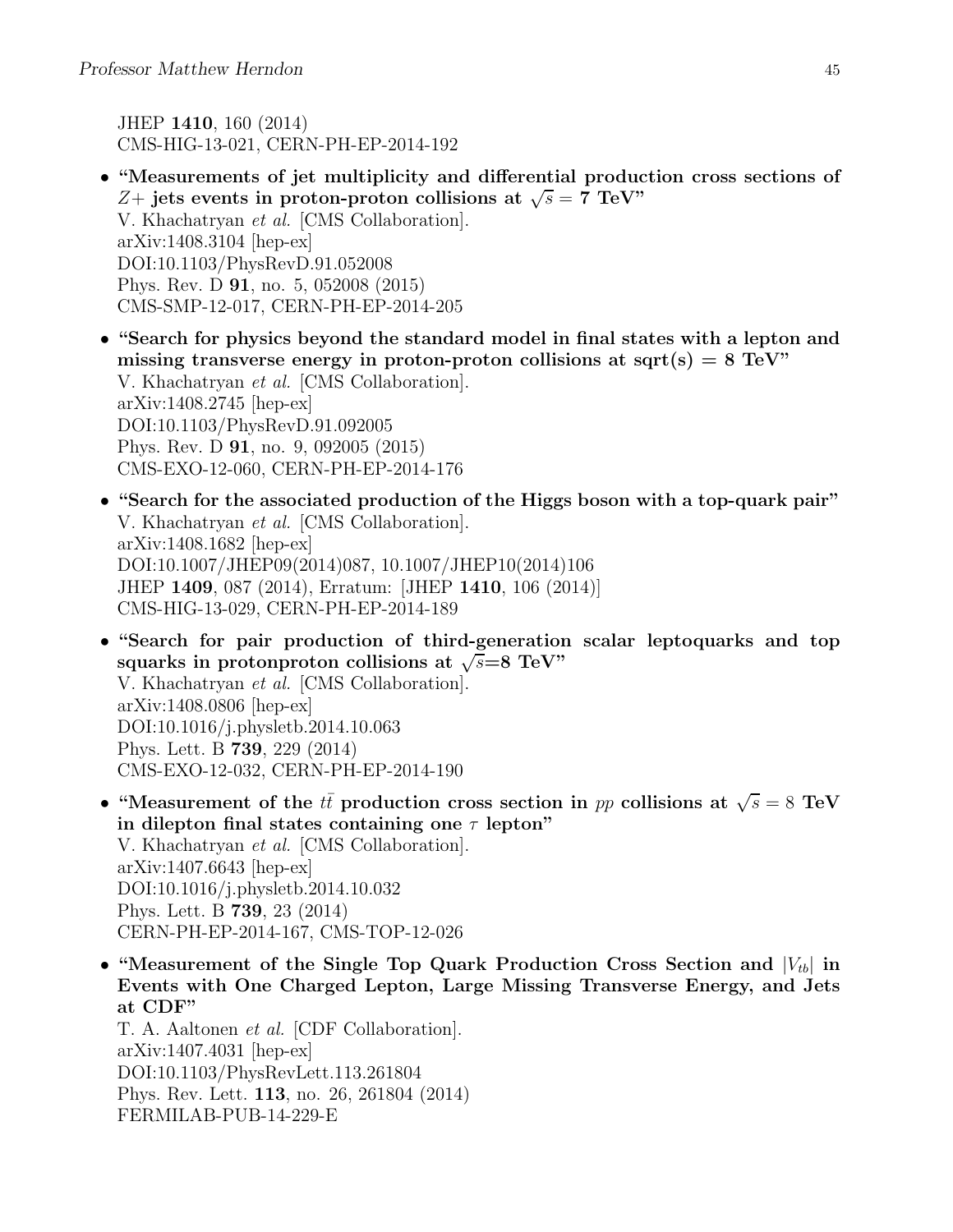JHEP 1410, 160 (2014) CMS-HIG-13-021, CERN-PH-EP-2014-192

- "Measurements of jet multiplicity and differential production cross sections of Z+ jets events in proton-proton collisions at  $\sqrt{s} = 7$  TeV" V. Khachatryan et al. [CMS Collaboration]. arXiv:1408.3104 [hep-ex] DOI:10.1103/PhysRevD.91.052008 Phys. Rev. D 91, no. 5, 052008 (2015) CMS-SMP-12-017, CERN-PH-EP-2014-205
- "Search for physics beyond the standard model in final states with a lepton and missing transverse energy in proton-proton collisions at sqrt(s)  $= 8 \text{ TeV}$ " V. Khachatryan et al. [CMS Collaboration]. arXiv:1408.2745 [hep-ex] DOI:10.1103/PhysRevD.91.092005 Phys. Rev. D 91, no. 9, 092005 (2015) CMS-EXO-12-060, CERN-PH-EP-2014-176
- "Search for the associated production of the Higgs boson with a top-quark pair" V. Khachatryan et al. [CMS Collaboration]. arXiv:1408.1682 [hep-ex] DOI:10.1007/JHEP09(2014)087, 10.1007/JHEP10(2014)106 JHEP 1409, 087 (2014), Erratum: [JHEP 1410, 106 (2014)] CMS-HIG-13-029, CERN-PH-EP-2014-189
- "Search for pair production of third-generation scalar leptoquarks and top squarks in protonproton collisions at  $\sqrt{s} = 8$  TeV" V. Khachatryan et al. [CMS Collaboration]. arXiv:1408.0806 [hep-ex] DOI:10.1016/j.physletb.2014.10.063 Phys. Lett. B 739, 229 (2014) CMS-EXO-12-032, CERN-PH-EP-2014-190
- "Measurement of the  $t\bar{t}$  production cross section in pp collisions at  $\sqrt{s} = 8$  TeV in dilepton final states containing one  $\tau$  lepton" V. Khachatryan et al. [CMS Collaboration]. arXiv:1407.6643 [hep-ex] DOI:10.1016/j.physletb.2014.10.032 Phys. Lett. B 739, 23 (2014) CERN-PH-EP-2014-167, CMS-TOP-12-026
- "Measurement of the Single Top Quark Production Cross Section and  $|V_{tb}|$  in Events with One Charged Lepton, Large Missing Transverse Energy, and Jets at CDF"

T. A. Aaltonen et al. [CDF Collaboration]. arXiv:1407.4031 [hep-ex] DOI:10.1103/PhysRevLett.113.261804 Phys. Rev. Lett. 113, no. 26, 261804 (2014) FERMILAB-PUB-14-229-E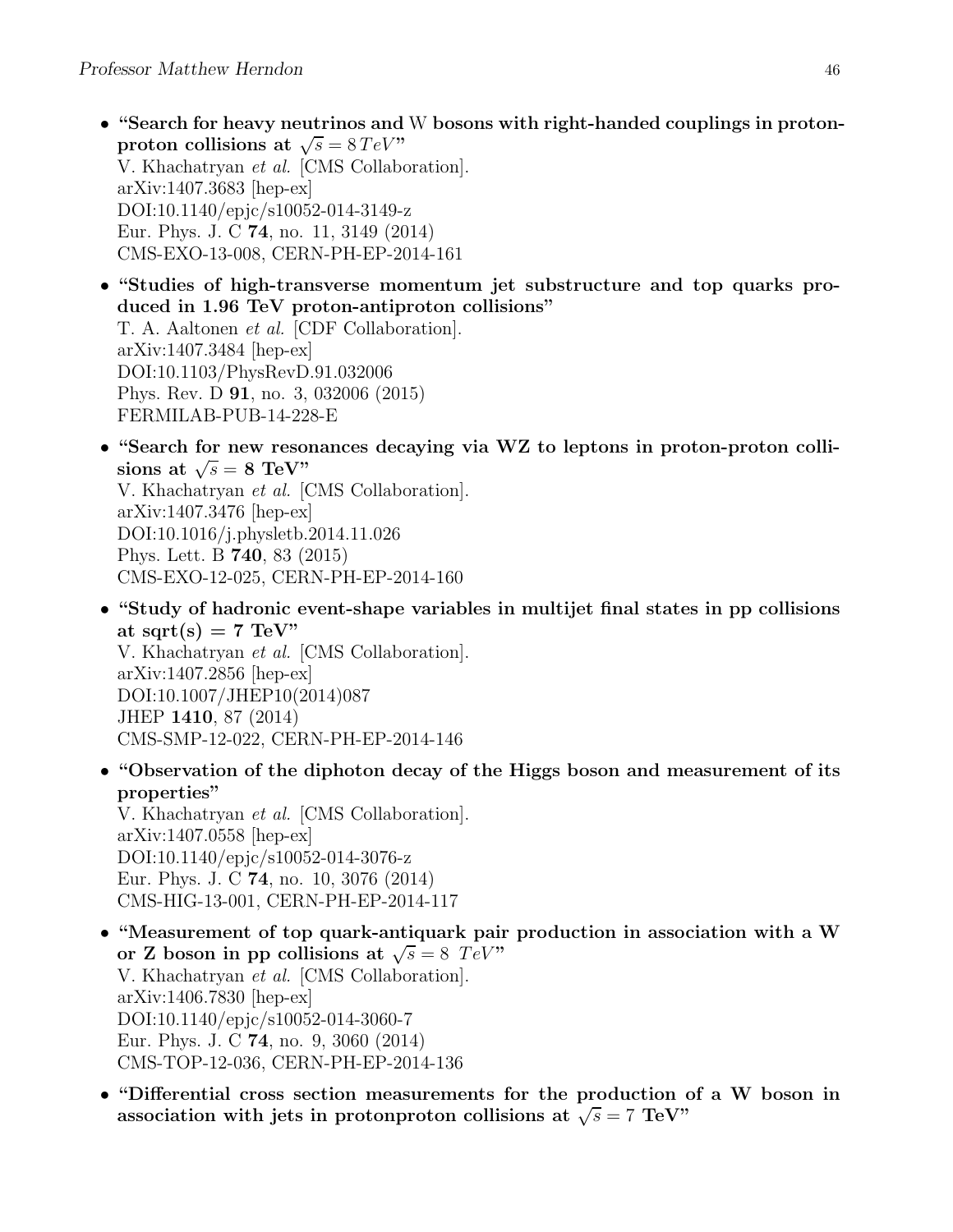- "Search for heavy neutrinos and W bosons with right-handed couplings in protonproton collisions at  $\sqrt{s} = 8 \, TeV$ " V. Khachatryan et al. [CMS Collaboration]. arXiv:1407.3683 [hep-ex] DOI:10.1140/epjc/s10052-014-3149-z Eur. Phys. J. C 74, no. 11, 3149 (2014) CMS-EXO-13-008, CERN-PH-EP-2014-161
- "Studies of high-transverse momentum jet substructure and top quarks produced in 1.96 TeV proton-antiproton collisions" T. A. Aaltonen et al. [CDF Collaboration]. arXiv:1407.3484 [hep-ex] DOI:10.1103/PhysRevD.91.032006 Phys. Rev. D 91, no. 3, 032006 (2015) FERMILAB-PUB-14-228-E
- "Search for new resonances decaying via WZ to leptons in proton-proton collisions at  $\sqrt{s} = 8$  TeV"

V. Khachatryan et al. [CMS Collaboration]. arXiv:1407.3476 [hep-ex] DOI:10.1016/j.physletb.2014.11.026 Phys. Lett. B 740, 83 (2015) CMS-EXO-12-025, CERN-PH-EP-2014-160

- "Study of hadronic event-shape variables in multijet final states in pp collisions at sqrt(s)  $= 7$  TeV" V. Khachatryan et al. [CMS Collaboration]. arXiv:1407.2856 [hep-ex] DOI:10.1007/JHEP10(2014)087 JHEP 1410, 87 (2014) CMS-SMP-12-022, CERN-PH-EP-2014-146
- "Observation of the diphoton decay of the Higgs boson and measurement of its properties"

V. Khachatryan et al. [CMS Collaboration]. arXiv:1407.0558 [hep-ex] DOI:10.1140/epjc/s10052-014-3076-z Eur. Phys. J. C 74, no. 10, 3076 (2014) CMS-HIG-13-001, CERN-PH-EP-2014-117

- "Measurement of top quark-antiquark pair production in association with a W or Z boson in pp collisions at  $\sqrt{s} = 8$  TeV" V. Khachatryan et al. [CMS Collaboration]. arXiv:1406.7830 [hep-ex] DOI:10.1140/epjc/s10052-014-3060-7 Eur. Phys. J. C 74, no. 9, 3060 (2014) CMS-TOP-12-036, CERN-PH-EP-2014-136
- "Differential cross section measurements for the production of a W boson in association with jets in protonproton collisions at  $\sqrt{s} = 7$  TeV"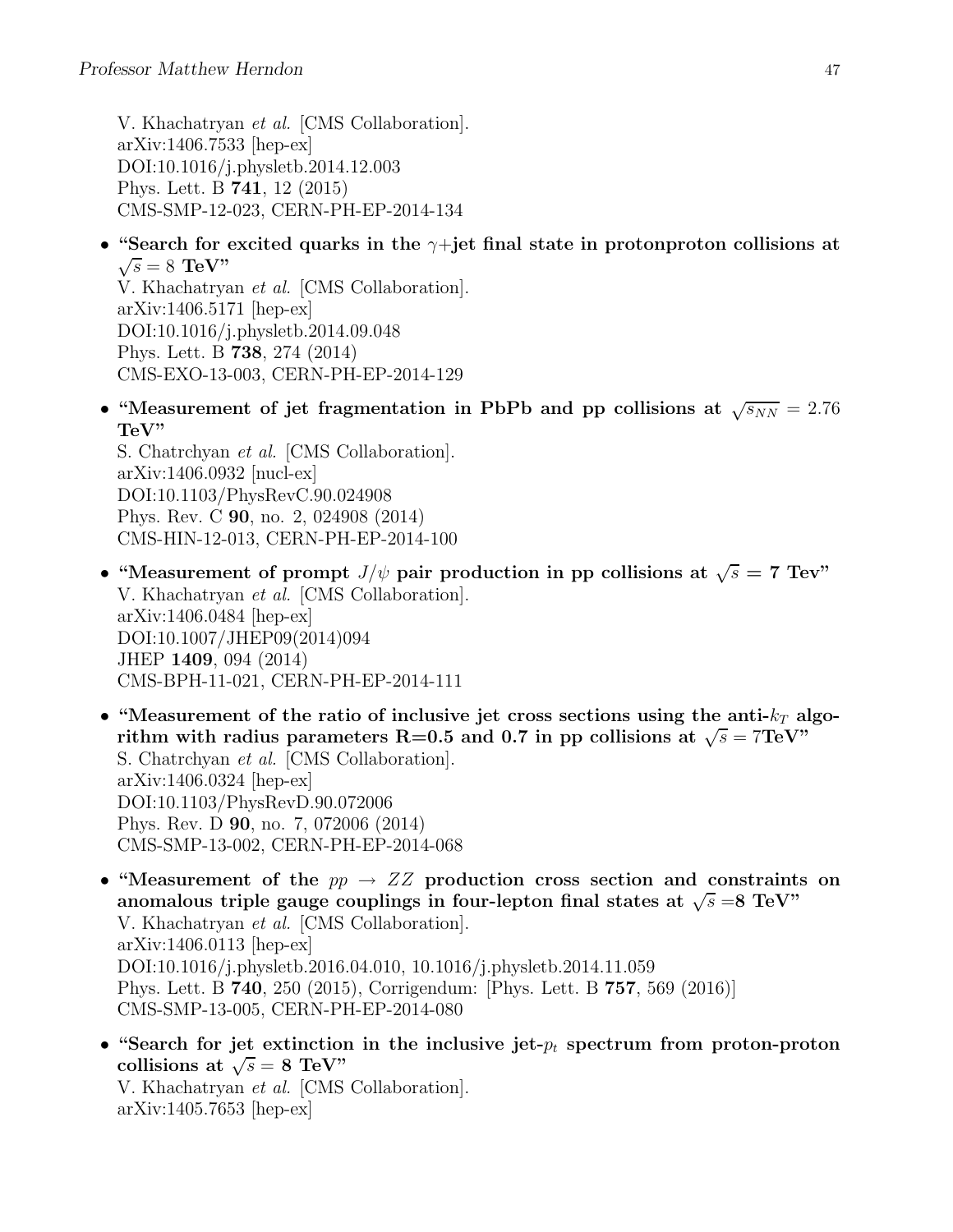V. Khachatryan et al. [CMS Collaboration]. arXiv:1406.7533 [hep-ex] DOI:10.1016/j.physletb.2014.12.003 Phys. Lett. B 741, 12 (2015) CMS-SMP-12-023, CERN-PH-EP-2014-134

• "Search for excited quarks in the  $\gamma$ +jet final state in protonproton collisions at  $\sqrt{s} = 8$  TeV"

V. Khachatryan et al. [CMS Collaboration]. arXiv:1406.5171 [hep-ex] DOI:10.1016/j.physletb.2014.09.048 Phys. Lett. B 738, 274 (2014) CMS-EXO-13-003, CERN-PH-EP-2014-129

• "Measurement of jet fragmentation in PbPb and pp collisions at  $\sqrt{s_{NN}} = 2.76$ TeV"

S. Chatrchyan et al. [CMS Collaboration]. arXiv:1406.0932 [nucl-ex] DOI:10.1103/PhysRevC.90.024908 Phys. Rev. C 90, no. 2, 024908 (2014) CMS-HIN-12-013, CERN-PH-EP-2014-100

- "Measurement of prompt  $J/\psi$  pair production in pp collisions at  $\sqrt{s} = 7$  Tev" V. Khachatryan et al. [CMS Collaboration]. arXiv:1406.0484 [hep-ex] DOI:10.1007/JHEP09(2014)094 JHEP 1409, 094 (2014) CMS-BPH-11-021, CERN-PH-EP-2014-111
- "Measurement of the ratio of inclusive jet cross sections using the anti- $k_T$  algorithm with radius parameters R=0.5 and 0.7 in pp collisions at  $\sqrt{s} = 7$ TeV" S. Chatrchyan et al. [CMS Collaboration]. arXiv:1406.0324 [hep-ex] DOI:10.1103/PhysRevD.90.072006 Phys. Rev. D 90, no. 7, 072006 (2014) CMS-SMP-13-002, CERN-PH-EP-2014-068
- "Measurement of the  $pp \rightarrow ZZ$  production cross section and constraints on anomalous triple gauge couplings in four-lepton final states at  $\sqrt{s} = 8 \text{ TeV}$ " V. Khachatryan et al. [CMS Collaboration]. arXiv:1406.0113 [hep-ex] DOI:10.1016/j.physletb.2016.04.010, 10.1016/j.physletb.2014.11.059 Phys. Lett. B 740, 250 (2015), Corrigendum: [Phys. Lett. B 757, 569 (2016)] CMS-SMP-13-005, CERN-PH-EP-2014-080
- "Search for jet extinction in the inclusive jet- $p_t$  spectrum from proton-proton collisions at  $\sqrt{s} = 8$  TeV" V. Khachatryan et al. [CMS Collaboration]. arXiv:1405.7653 [hep-ex]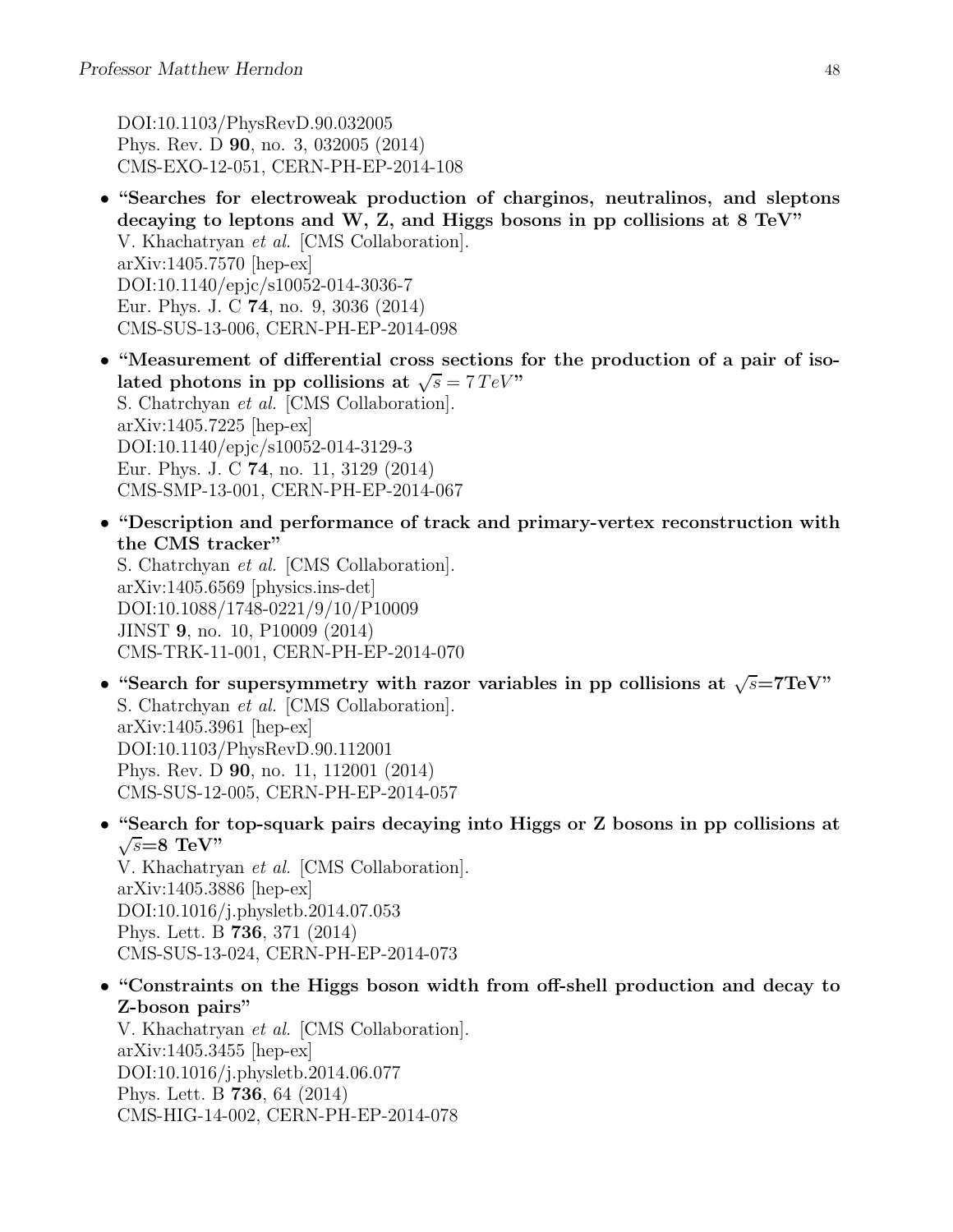DOI:10.1103/PhysRevD.90.032005 Phys. Rev. D 90, no. 3, 032005 (2014) CMS-EXO-12-051, CERN-PH-EP-2014-108

- "Searches for electroweak production of charginos, neutralinos, and sleptons decaying to leptons and W, Z, and Higgs bosons in pp collisions at 8 TeV" V. Khachatryan et al. [CMS Collaboration]. arXiv:1405.7570 [hep-ex] DOI:10.1140/epjc/s10052-014-3036-7 Eur. Phys. J. C 74, no. 9, 3036 (2014) CMS-SUS-13-006, CERN-PH-EP-2014-098
- "Measurement of differential cross sections for the production of a pair of isolated photons in pp collisions at  $\sqrt{s} = 7 \text{ TeV}$ " S. Chatrchyan et al. [CMS Collaboration]. arXiv:1405.7225 [hep-ex] DOI:10.1140/epjc/s10052-014-3129-3 Eur. Phys. J. C 74, no. 11, 3129 (2014) CMS-SMP-13-001, CERN-PH-EP-2014-067
- "Description and performance of track and primary-vertex reconstruction with the CMS tracker"

S. Chatrchyan et al. [CMS Collaboration]. arXiv:1405.6569 [physics.ins-det] DOI:10.1088/1748-0221/9/10/P10009 JINST 9, no. 10, P10009 (2014) CMS-TRK-11-001, CERN-PH-EP-2014-070

- "Search for supersymmetry with razor variables in pp collisions at  $\sqrt{s}$ =7TeV" S. Chatrchyan et al. [CMS Collaboration]. arXiv:1405.3961 [hep-ex] DOI:10.1103/PhysRevD.90.112001 Phys. Rev. D 90, no. 11, 112001 (2014) CMS-SUS-12-005, CERN-PH-EP-2014-057
- "Search for top-squark pairs decaying into Higgs or Z bosons in pp collisions at  $\sqrt{s} = 8$  TeV"

V. Khachatryan et al. [CMS Collaboration]. arXiv:1405.3886 [hep-ex] DOI:10.1016/j.physletb.2014.07.053 Phys. Lett. B 736, 371 (2014) CMS-SUS-13-024, CERN-PH-EP-2014-073

• "Constraints on the Higgs boson width from off-shell production and decay to Z-boson pairs"

V. Khachatryan et al. [CMS Collaboration]. arXiv:1405.3455 [hep-ex] DOI:10.1016/j.physletb.2014.06.077 Phys. Lett. B 736, 64 (2014) CMS-HIG-14-002, CERN-PH-EP-2014-078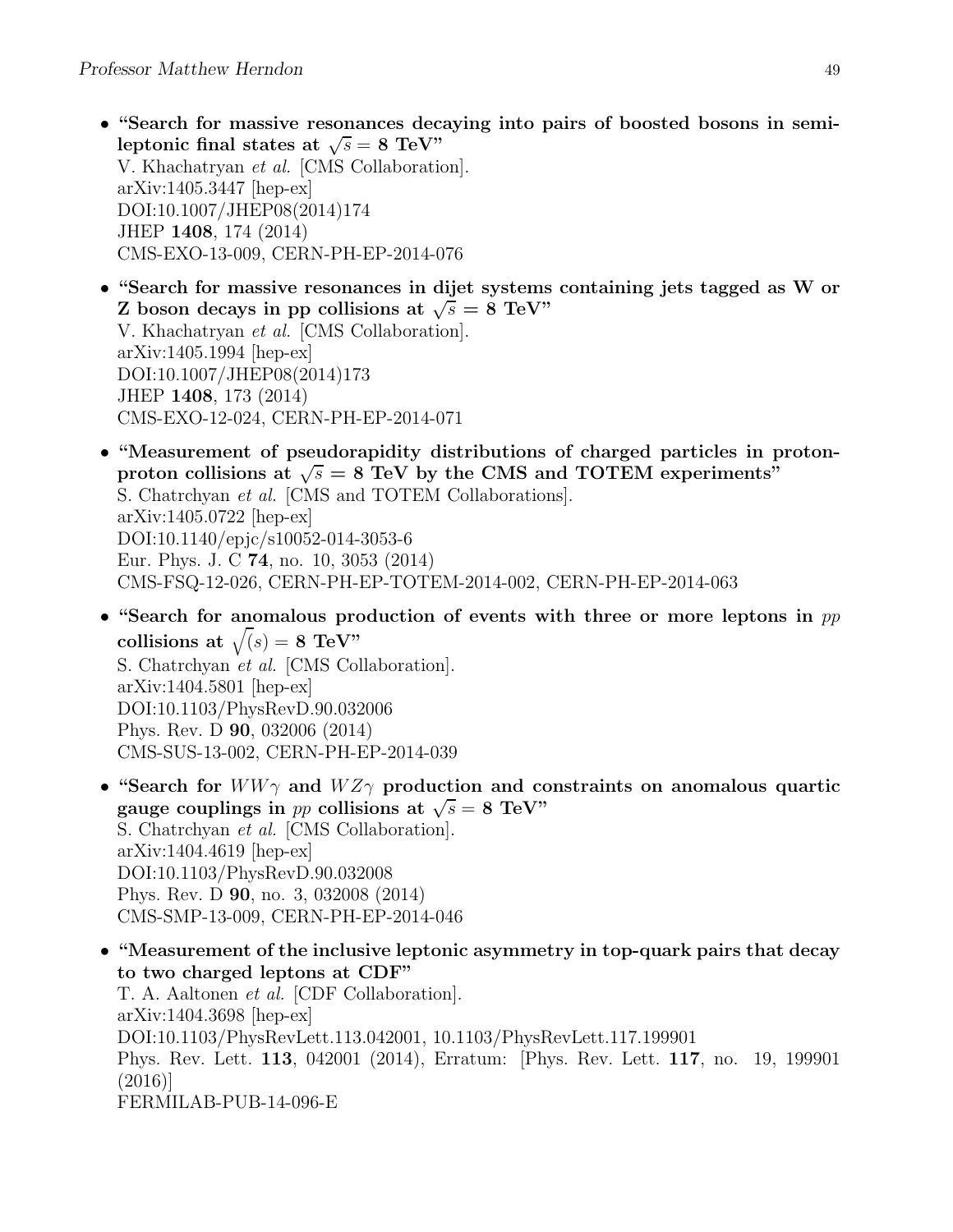- "Search for massive resonances decaying into pairs of boosted bosons in semileptonic final states at  $\sqrt{s} = 8$  TeV" V. Khachatryan et al. [CMS Collaboration]. arXiv:1405.3447 [hep-ex] DOI:10.1007/JHEP08(2014)174 JHEP 1408, 174 (2014) CMS-EXO-13-009, CERN-PH-EP-2014-076
- "Search for massive resonances in dijet systems containing jets tagged as W or Z boson decays in pp collisions at  $\sqrt{s} = 8$  TeV" V. Khachatryan et al. [CMS Collaboration]. arXiv:1405.1994 [hep-ex] DOI:10.1007/JHEP08(2014)173 JHEP 1408, 173 (2014) CMS-EXO-12-024, CERN-PH-EP-2014-071
- "Measurement of pseudorapidity distributions of charged particles in protonproton collisions at  $\sqrt{s} = 8$  TeV by the CMS and TOTEM experiments" S. Chatrchyan et al. [CMS and TOTEM Collaborations]. arXiv:1405.0722 [hep-ex] DOI:10.1140/epjc/s10052-014-3053-6 Eur. Phys. J. C 74, no. 10, 3053 (2014) CMS-FSQ-12-026, CERN-PH-EP-TOTEM-2014-002, CERN-PH-EP-2014-063
- "Search for anomalous production of events with three or more leptons in  $pp$ collisions at  $\sqrt(s) = 8$  TeV" S. Chatrchyan et al. [CMS Collaboration]. arXiv:1404.5801 [hep-ex] DOI:10.1103/PhysRevD.90.032006 Phys. Rev. D 90, 032006 (2014) CMS-SUS-13-002, CERN-PH-EP-2014-039
- "Search for  $WW\gamma$  and  $WZ\gamma$  production and constraints on anomalous quartic gauge couplings in pp collisions at  $\sqrt{s} = 8$  TeV" S. Chatrchyan et al. [CMS Collaboration]. arXiv:1404.4619 [hep-ex] DOI:10.1103/PhysRevD.90.032008 Phys. Rev. D 90, no. 3, 032008 (2014) CMS-SMP-13-009, CERN-PH-EP-2014-046
- "Measurement of the inclusive leptonic asymmetry in top-quark pairs that decay to two charged leptons at CDF" T. A. Aaltonen et al. [CDF Collaboration]. arXiv:1404.3698 [hep-ex] DOI:10.1103/PhysRevLett.113.042001, 10.1103/PhysRevLett.117.199901 Phys. Rev. Lett. 113, 042001 (2014), Erratum: [Phys. Rev. Lett. 117, no. 19, 199901 (2016)] FERMILAB-PUB-14-096-E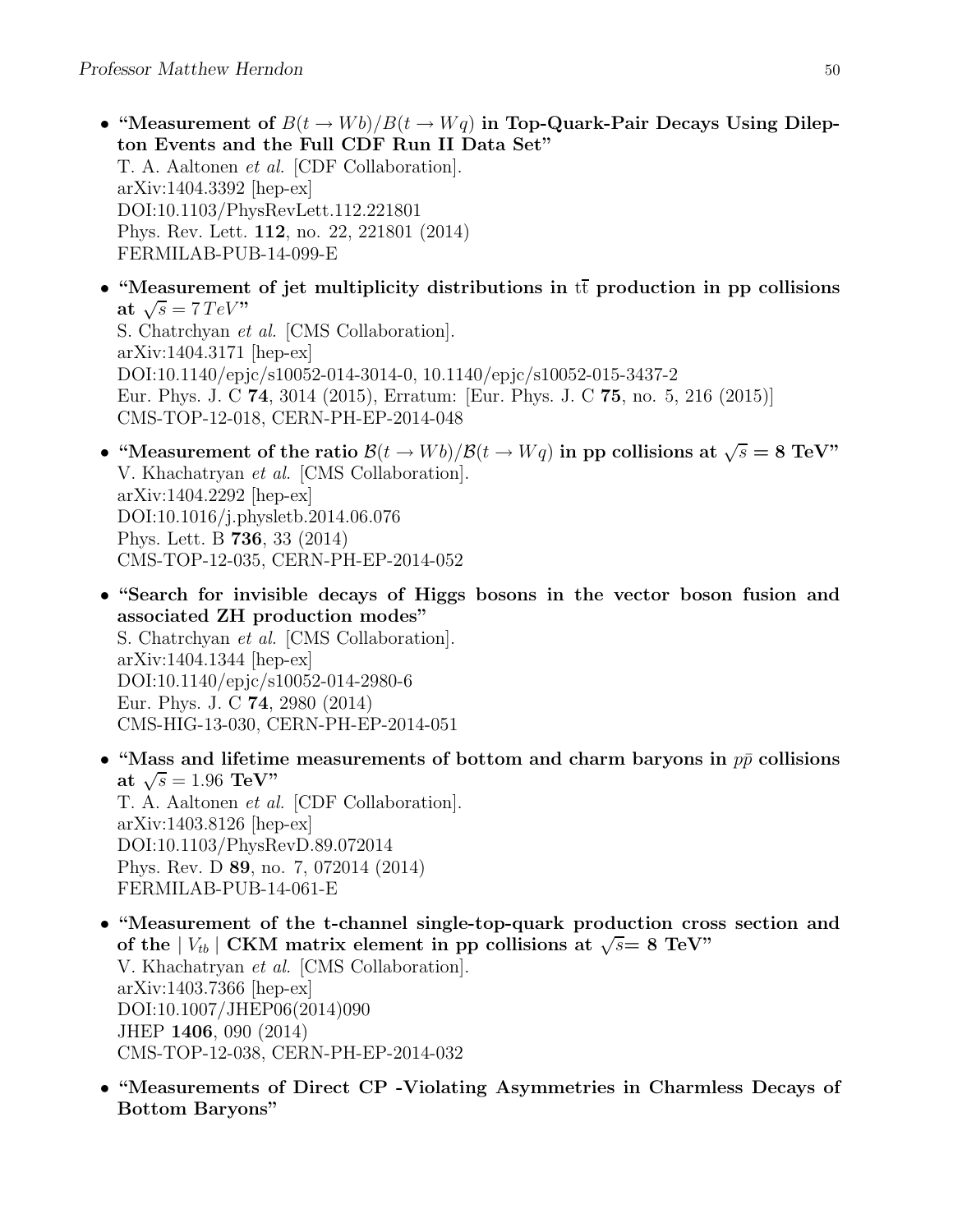- "Measurement of  $B(t \to Wb)/B(t \to Wq)$  in Top-Quark-Pair Decays Using Dilepton Events and the Full CDF Run II Data Set" T. A. Aaltonen et al. [CDF Collaboration]. arXiv:1404.3392 [hep-ex] DOI:10.1103/PhysRevLett.112.221801 Phys. Rev. Lett. 112, no. 22, 221801 (2014) FERMILAB-PUB-14-099-E
- "Measurement of jet multiplicity distributions in  $t\bar{t}$  production in pp collisions at  $\sqrt{s} = 7 \, TeV$ " S. Chatrchyan et al. [CMS Collaboration]. arXiv:1404.3171 [hep-ex] DOI:10.1140/epjc/s10052-014-3014-0, 10.1140/epjc/s10052-015-3437-2 Eur. Phys. J. C 74, 3014 (2015), Erratum: [Eur. Phys. J. C 75, no. 5, 216 (2015)] CMS-TOP-12-018, CERN-PH-EP-2014-048
- "Measurement of the ratio  $\mathcal{B}(t \to Wb)/\mathcal{B}(t \to Wq)$  in pp collisions at  $\sqrt{s} = 8 \text{ TeV}$ " V. Khachatryan et al. [CMS Collaboration]. arXiv:1404.2292 [hep-ex] DOI:10.1016/j.physletb.2014.06.076 Phys. Lett. B 736, 33 (2014) CMS-TOP-12-035, CERN-PH-EP-2014-052
- "Search for invisible decays of Higgs bosons in the vector boson fusion and associated ZH production modes" S. Chatrchyan et al. [CMS Collaboration]. arXiv:1404.1344 [hep-ex] DOI:10.1140/epjc/s10052-014-2980-6 Eur. Phys. J. C 74, 2980 (2014) CMS-HIG-13-030, CERN-PH-EP-2014-051
- "Mass and lifetime measurements of bottom and charm baryons in  $p\bar{p}$  collisions at  $\sqrt{s} = 1.96 \text{ TeV}$ " T. A. Aaltonen et al. [CDF Collaboration]. arXiv:1403.8126 [hep-ex] DOI:10.1103/PhysRevD.89.072014 Phys. Rev. D 89, no. 7, 072014 (2014) FERMILAB-PUB-14-061-E
- "Measurement of the t-channel single-top-quark production cross section and of the  $|V_{tb}|$  CKM matrix element in pp collisions at  $\sqrt{s}=8$  TeV" V. Khachatryan et al. [CMS Collaboration].  $arXiv:1403.7366$  [hep-ex] DOI:10.1007/JHEP06(2014)090 JHEP 1406, 090 (2014) CMS-TOP-12-038, CERN-PH-EP-2014-032
- "Measurements of Direct CP -Violating Asymmetries in Charmless Decays of Bottom Baryons"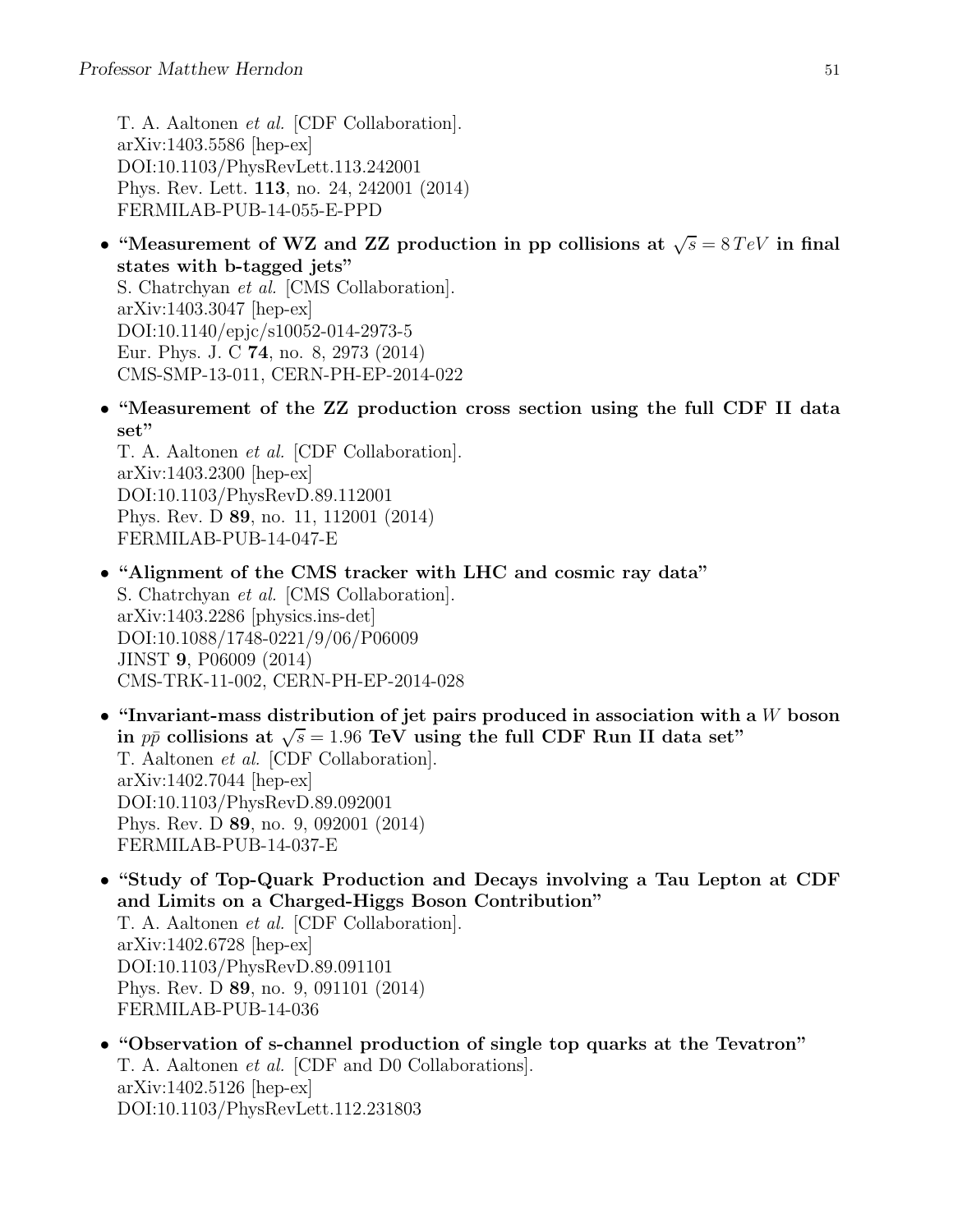T. A. Aaltonen et al. [CDF Collaboration]. arXiv:1403.5586 [hep-ex] DOI:10.1103/PhysRevLett.113.242001 Phys. Rev. Lett. 113, no. 24, 242001 (2014) FERMILAB-PUB-14-055-E-PPD

• "Measurement of WZ and ZZ production in pp collisions at  $\sqrt{s} = 8 \text{ TeV}$  in final states with b-tagged jets"

S. Chatrchyan et al. [CMS Collaboration]. arXiv:1403.3047 [hep-ex] DOI:10.1140/epjc/s10052-014-2973-5 Eur. Phys. J. C 74, no. 8, 2973 (2014) CMS-SMP-13-011, CERN-PH-EP-2014-022

• "Measurement of the ZZ production cross section using the full CDF II data set"

T. A. Aaltonen et al. [CDF Collaboration]. arXiv:1403.2300 [hep-ex] DOI:10.1103/PhysRevD.89.112001 Phys. Rev. D 89, no. 11, 112001 (2014) FERMILAB-PUB-14-047-E

- "Alignment of the CMS tracker with LHC and cosmic ray data" S. Chatrchyan et al. [CMS Collaboration]. arXiv:1403.2286 [physics.ins-det] DOI:10.1088/1748-0221/9/06/P06009 JINST 9, P06009 (2014) CMS-TRK-11-002, CERN-PH-EP-2014-028
- "Invariant-mass distribution of jet pairs produced in association with a  $W$  boson in  $p\bar{p}$  collisions at  $\sqrt{s} = 1.96$  TeV using the full CDF Run II data set" T. Aaltonen et al. [CDF Collaboration]. arXiv:1402.7044 [hep-ex] DOI:10.1103/PhysRevD.89.092001 Phys. Rev. D 89, no. 9, 092001 (2014) FERMILAB-PUB-14-037-E
- "Study of Top-Quark Production and Decays involving a Tau Lepton at CDF and Limits on a Charged-Higgs Boson Contribution"

T. A. Aaltonen et al. [CDF Collaboration]. arXiv:1402.6728 [hep-ex] DOI:10.1103/PhysRevD.89.091101 Phys. Rev. D 89, no. 9, 091101 (2014) FERMILAB-PUB-14-036

• "Observation of s-channel production of single top quarks at the Tevatron" T. A. Aaltonen et al. [CDF and D0 Collaborations]. arXiv:1402.5126 [hep-ex] DOI:10.1103/PhysRevLett.112.231803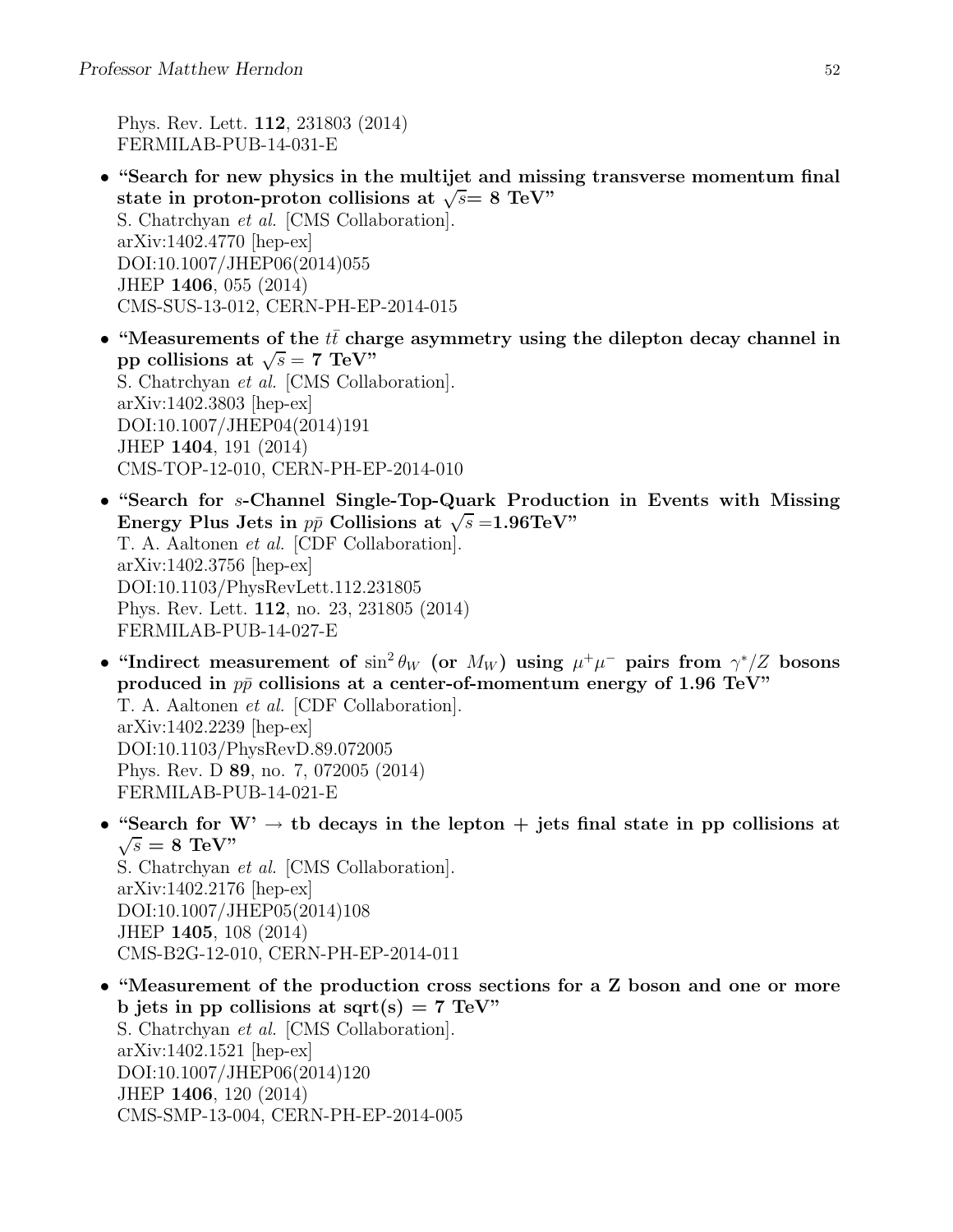Phys. Rev. Lett. 112, 231803 (2014) FERMILAB-PUB-14-031-E

- "Search for new physics in the multijet and missing transverse momentum final state in proton-proton collisions at  $\sqrt{s}$  = 8 TeV" S. Chatrchyan et al. [CMS Collaboration]. arXiv:1402.4770 [hep-ex] DOI:10.1007/JHEP06(2014)055 JHEP 1406, 055 (2014) CMS-SUS-13-012, CERN-PH-EP-2014-015
- "Measurements of the  $t\bar{t}$  charge asymmetry using the dilepton decay channel in pp collisions at  $\sqrt{s} = 7$  TeV" S. Chatrchyan et al. [CMS Collaboration]. arXiv:1402.3803 [hep-ex] DOI:10.1007/JHEP04(2014)191 JHEP 1404, 191 (2014) CMS-TOP-12-010, CERN-PH-EP-2014-010
- "Search for s-Channel Single-Top-Quark Production in Events with Missing Energy Plus Jets in  $p\bar{p}$  Collisions at  $\sqrt{s} = 1.96 \text{TeV}$ " T. A. Aaltonen et al. [CDF Collaboration]. arXiv:1402.3756 [hep-ex] DOI:10.1103/PhysRevLett.112.231805 Phys. Rev. Lett. 112, no. 23, 231805 (2014) FERMILAB-PUB-14-027-E
- "Indirect measurement of  $\sin^2 \theta_W$  (or  $M_W$ ) using  $\mu^+ \mu^-$  pairs from  $\gamma^*/Z$  bosons produced in  $p\bar{p}$  collisions at a center-of-momentum energy of 1.96 TeV" T. A. Aaltonen et al. [CDF Collaboration]. arXiv:1402.2239 [hep-ex] DOI:10.1103/PhysRevD.89.072005 Phys. Rev. D 89, no. 7, 072005 (2014) FERMILAB-PUB-14-021-E
- "Search for  $W' \rightarrow$  tb decays in the lepton  $+$  jets final state in pp collisions at  $\sqrt{s} = 8$  TeV" S. Chatrchyan et al. [CMS Collaboration]. arXiv:1402.2176 [hep-ex] DOI:10.1007/JHEP05(2014)108 JHEP 1405, 108 (2014) CMS-B2G-12-010, CERN-PH-EP-2014-011
- "Measurement of the production cross sections for a Z boson and one or more b jets in pp collisions at sqrt(s) =  $7 \text{ TeV}$ " S. Chatrchyan et al. [CMS Collaboration]. arXiv:1402.1521 [hep-ex] DOI:10.1007/JHEP06(2014)120 JHEP 1406, 120 (2014) CMS-SMP-13-004, CERN-PH-EP-2014-005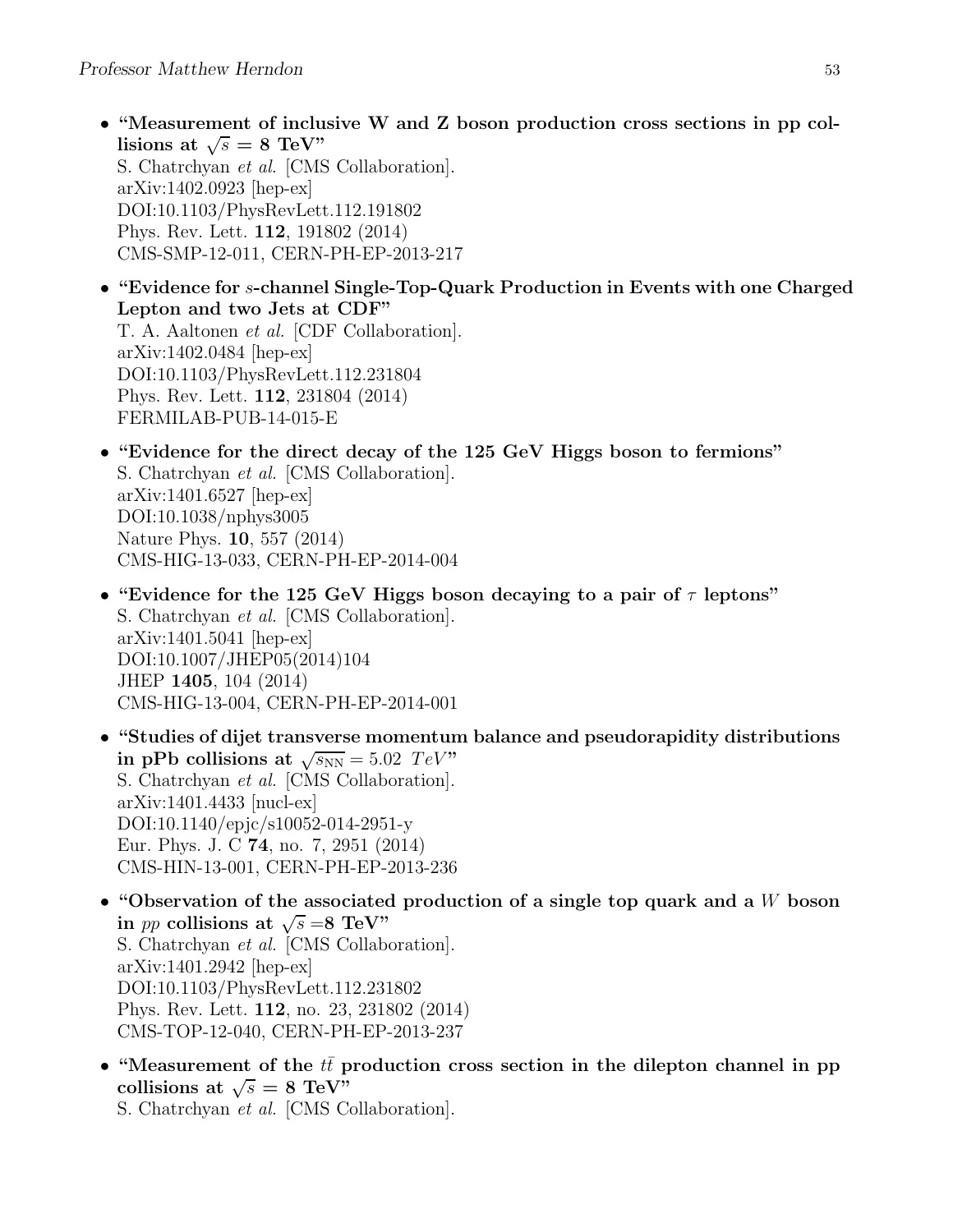- "Measurement of inclusive W and Z boson production cross sections in pp collisions at  $\sqrt{s} = 8$  TeV" S. Chatrchyan et al. [CMS Collaboration]. arXiv:1402.0923 [hep-ex] DOI:10.1103/PhysRevLett.112.191802 Phys. Rev. Lett. 112, 191802 (2014) CMS-SMP-12-011, CERN-PH-EP-2013-217
- "Evidence for s-channel Single-Top-Quark Production in Events with one Charged Lepton and two Jets at CDF" T. A. Aaltonen et al. [CDF Collaboration]. arXiv:1402.0484 [hep-ex] DOI:10.1103/PhysRevLett.112.231804 Phys. Rev. Lett. 112, 231804 (2014) FERMILAB-PUB-14-015-E
- "Evidence for the direct decay of the 125 GeV Higgs boson to fermions" S. Chatrchyan et al. [CMS Collaboration]. arXiv:1401.6527 [hep-ex] DOI:10.1038/nphys3005 Nature Phys. 10, 557 (2014) CMS-HIG-13-033, CERN-PH-EP-2014-004
- "Evidence for the 125 GeV Higgs boson decaying to a pair of  $\tau$  leptons" S. Chatrchyan et al. [CMS Collaboration]. arXiv:1401.5041 [hep-ex] DOI:10.1007/JHEP05(2014)104 JHEP 1405, 104 (2014) CMS-HIG-13-004, CERN-PH-EP-2014-001
- "Studies of dijet transverse momentum balance and pseudorapidity distributions in pPb collisions at  $\sqrt{s_{NN}} = 5.02 \text{ TeV}$ " S. Chatrchyan et al. [CMS Collaboration]. arXiv:1401.4433 [nucl-ex] DOI:10.1140/epjc/s10052-014-2951-y Eur. Phys. J. C 74, no. 7, 2951 (2014) CMS-HIN-13-001, CERN-PH-EP-2013-236
- "Observation of the associated production of a single top quark and a  $W$  boson in *pp* collisions at  $\sqrt{s} = 8$  TeV" S. Chatrchyan et al. [CMS Collaboration]. arXiv:1401.2942 [hep-ex] DOI:10.1103/PhysRevLett.112.231802 Phys. Rev. Lett. 112, no. 23, 231802 (2014) CMS-TOP-12-040, CERN-PH-EP-2013-237
- "Measurement of the  $tt$  production cross section in the dilepton channel in pp collisions at  $\sqrt{s} = 8$  TeV"

S. Chatrchyan et al. [CMS Collaboration].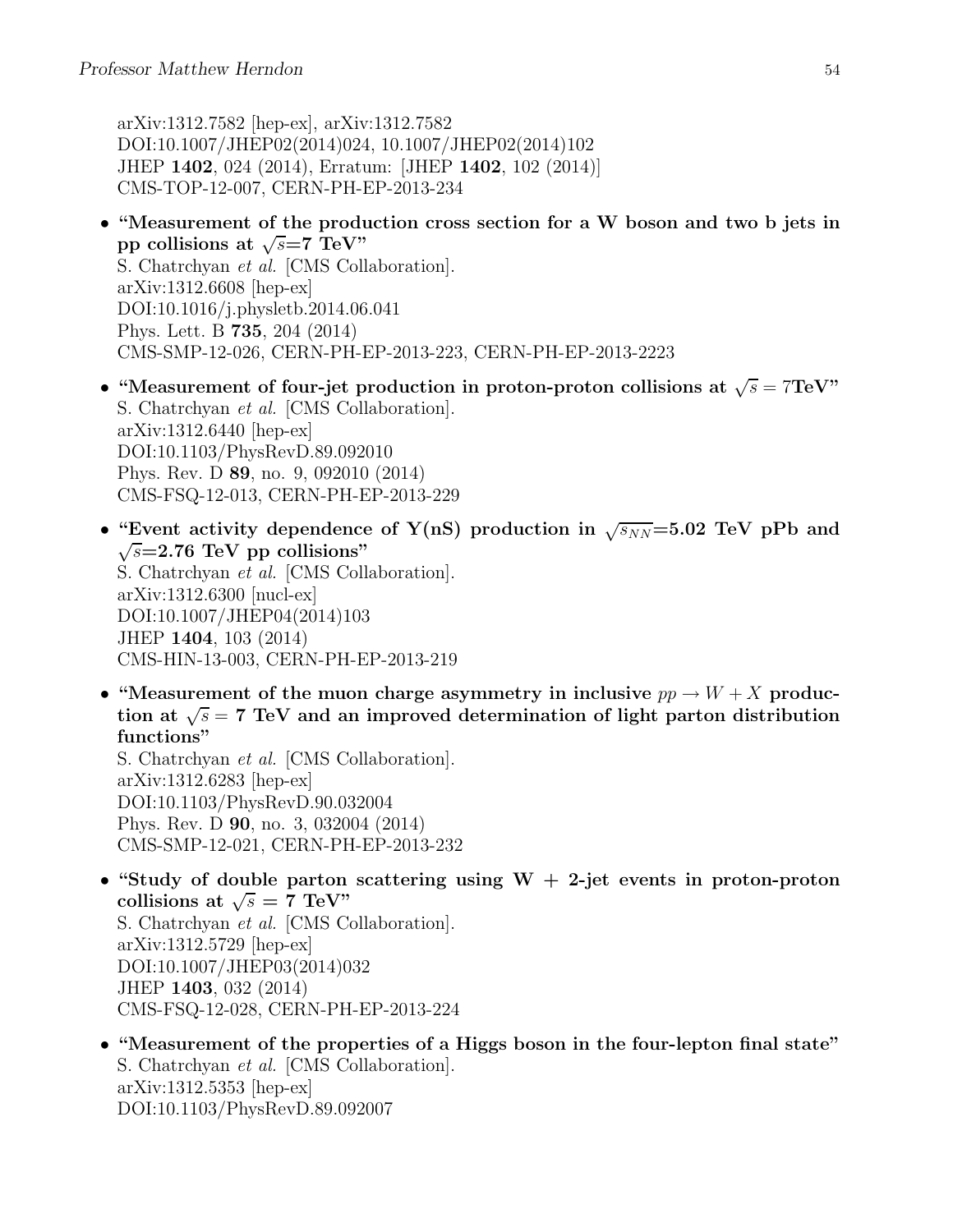arXiv:1312.7582 [hep-ex], arXiv:1312.7582 DOI:10.1007/JHEP02(2014)024, 10.1007/JHEP02(2014)102 JHEP 1402, 024 (2014), Erratum: [JHEP 1402, 102 (2014)] CMS-TOP-12-007, CERN-PH-EP-2013-234

- "Measurement of the production cross section for a W boson and two b jets in pp collisions at  $\sqrt{s}$ =7 TeV" S. Chatrchyan et al. [CMS Collaboration]. arXiv:1312.6608 [hep-ex] DOI:10.1016/j.physletb.2014.06.041 Phys. Lett. B 735, 204 (2014) CMS-SMP-12-026, CERN-PH-EP-2013-223, CERN-PH-EP-2013-2223
- "Measurement of four-jet production in proton-proton collisions at  $\sqrt{s} = 7 \text{TeV}$ " S. Chatrchyan et al. [CMS Collaboration]. arXiv:1312.6440 [hep-ex] DOI:10.1103/PhysRevD.89.092010 Phys. Rev. D 89, no. 9, 092010 (2014) CMS-FSQ-12-013, CERN-PH-EP-2013-229
- "Event activity dependence of Y(nS) production in  $\sqrt{s_{NN}}$ =5.02 TeV pPb and  $\sqrt{s}$ =2.76 TeV pp collisions" S. Chatrchyan et al. [CMS Collaboration]. arXiv:1312.6300 [nucl-ex] DOI:10.1007/JHEP04(2014)103 JHEP 1404, 103 (2014) CMS-HIN-13-003, CERN-PH-EP-2013-219
- "Measurement of the muon charge asymmetry in inclusive  $pp \to W + X$  production at  $\sqrt{s}$  = 7 TeV and an improved determination of light parton distribution functions"

S. Chatrchyan et al. [CMS Collaboration]. arXiv:1312.6283 [hep-ex] DOI:10.1103/PhysRevD.90.032004 Phys. Rev. D 90, no. 3, 032004 (2014) CMS-SMP-12-021, CERN-PH-EP-2013-232

- "Study of double parton scattering using  $W + 2$ -jet events in proton-proton collisions at  $\sqrt{s} = 7 \text{ TeV}$ " S. Chatrchyan et al. [CMS Collaboration]. arXiv:1312.5729 [hep-ex] DOI:10.1007/JHEP03(2014)032 JHEP 1403, 032 (2014) CMS-FSQ-12-028, CERN-PH-EP-2013-224
- "Measurement of the properties of a Higgs boson in the four-lepton final state" S. Chatrchyan et al. [CMS Collaboration]. arXiv:1312.5353 [hep-ex] DOI:10.1103/PhysRevD.89.092007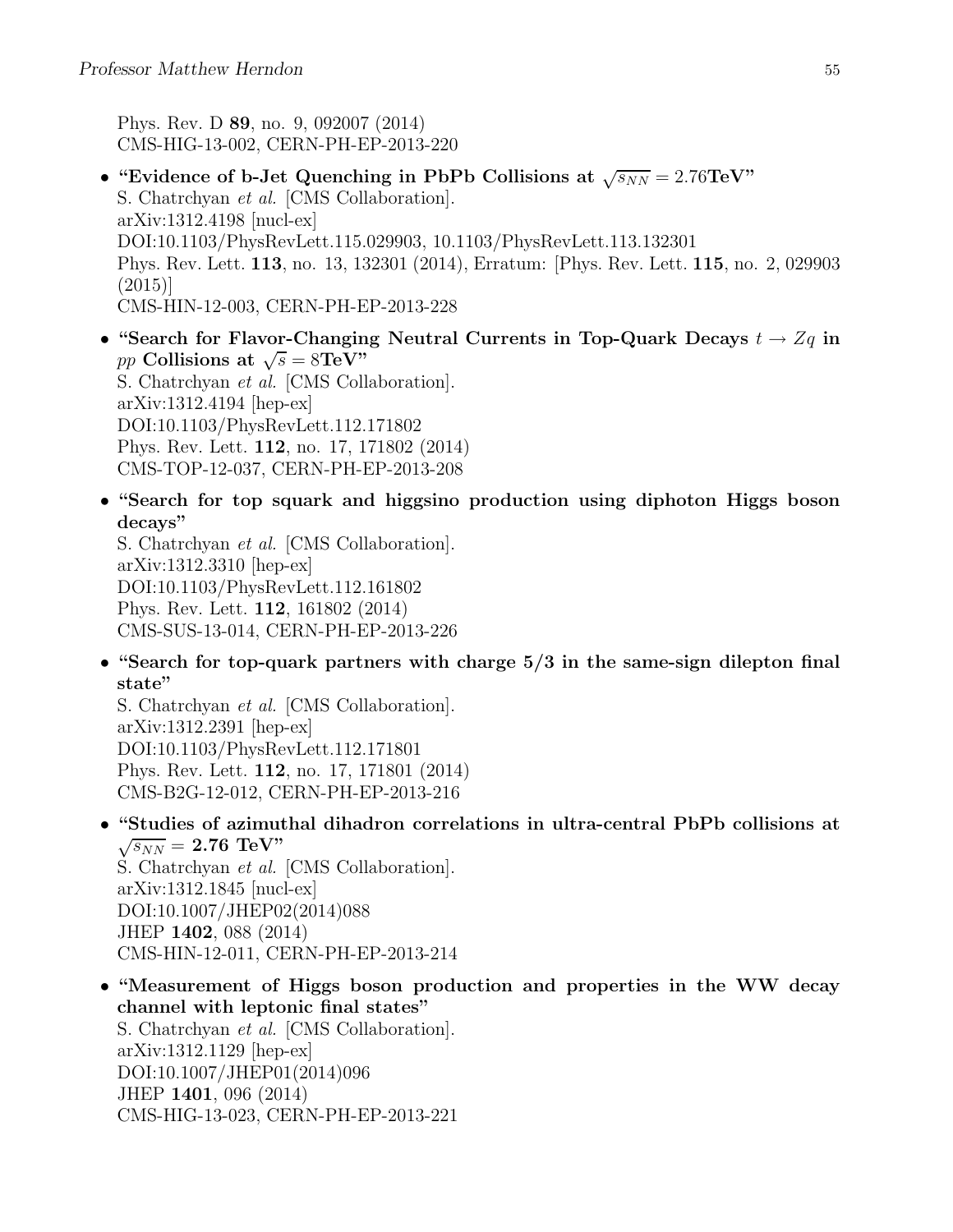Phys. Rev. D 89, no. 9, 092007 (2014) CMS-HIG-13-002, CERN-PH-EP-2013-220

- "Evidence of b-Jet Quenching in PbPb Collisions at  $\sqrt{s_{NN}} = 2.76 \text{TeV}$ " S. Chatrchyan et al. [CMS Collaboration]. arXiv:1312.4198 [nucl-ex] DOI:10.1103/PhysRevLett.115.029903, 10.1103/PhysRevLett.113.132301 Phys. Rev. Lett. 113, no. 13, 132301 (2014), Erratum: [Phys. Rev. Lett. 115, no. 2, 029903 (2015)] CMS-HIN-12-003, CERN-PH-EP-2013-228
- "Search for Flavor-Changing Neutral Currents in Top-Quark Decays  $t \to Zq$  in  $pp$  Collisions at  $\sqrt{s} = 8\text{TeV}$ " S. Chatrchyan et al. [CMS Collaboration]. arXiv:1312.4194 [hep-ex] DOI:10.1103/PhysRevLett.112.171802 Phys. Rev. Lett. 112, no. 17, 171802 (2014) CMS-TOP-12-037, CERN-PH-EP-2013-208
- "Search for top squark and higgsino production using diphoton Higgs boson decays"

S. Chatrchyan et al. [CMS Collaboration]. arXiv:1312.3310 [hep-ex] DOI:10.1103/PhysRevLett.112.161802 Phys. Rev. Lett. 112, 161802 (2014) CMS-SUS-13-014, CERN-PH-EP-2013-226

• "Search for top-quark partners with charge 5/3 in the same-sign dilepton final state"

S. Chatrchyan et al. [CMS Collaboration]. arXiv:1312.2391 [hep-ex] DOI:10.1103/PhysRevLett.112.171801 Phys. Rev. Lett. 112, no. 17, 171801 (2014) CMS-B2G-12-012, CERN-PH-EP-2013-216

- "Studies of azimuthal dihadron correlations in ultra-central PbPb collisions at  $\sqrt{s_{NN}}$  = 2.76 TeV" S. Chatrchyan et al. [CMS Collaboration]. arXiv:1312.1845 [nucl-ex] DOI:10.1007/JHEP02(2014)088 JHEP 1402, 088 (2014)
	- CMS-HIN-12-011, CERN-PH-EP-2013-214
- "Measurement of Higgs boson production and properties in the WW decay channel with leptonic final states" S. Chatrchyan et al. [CMS Collaboration]. arXiv:1312.1129 [hep-ex] DOI:10.1007/JHEP01(2014)096 JHEP 1401, 096 (2014) CMS-HIG-13-023, CERN-PH-EP-2013-221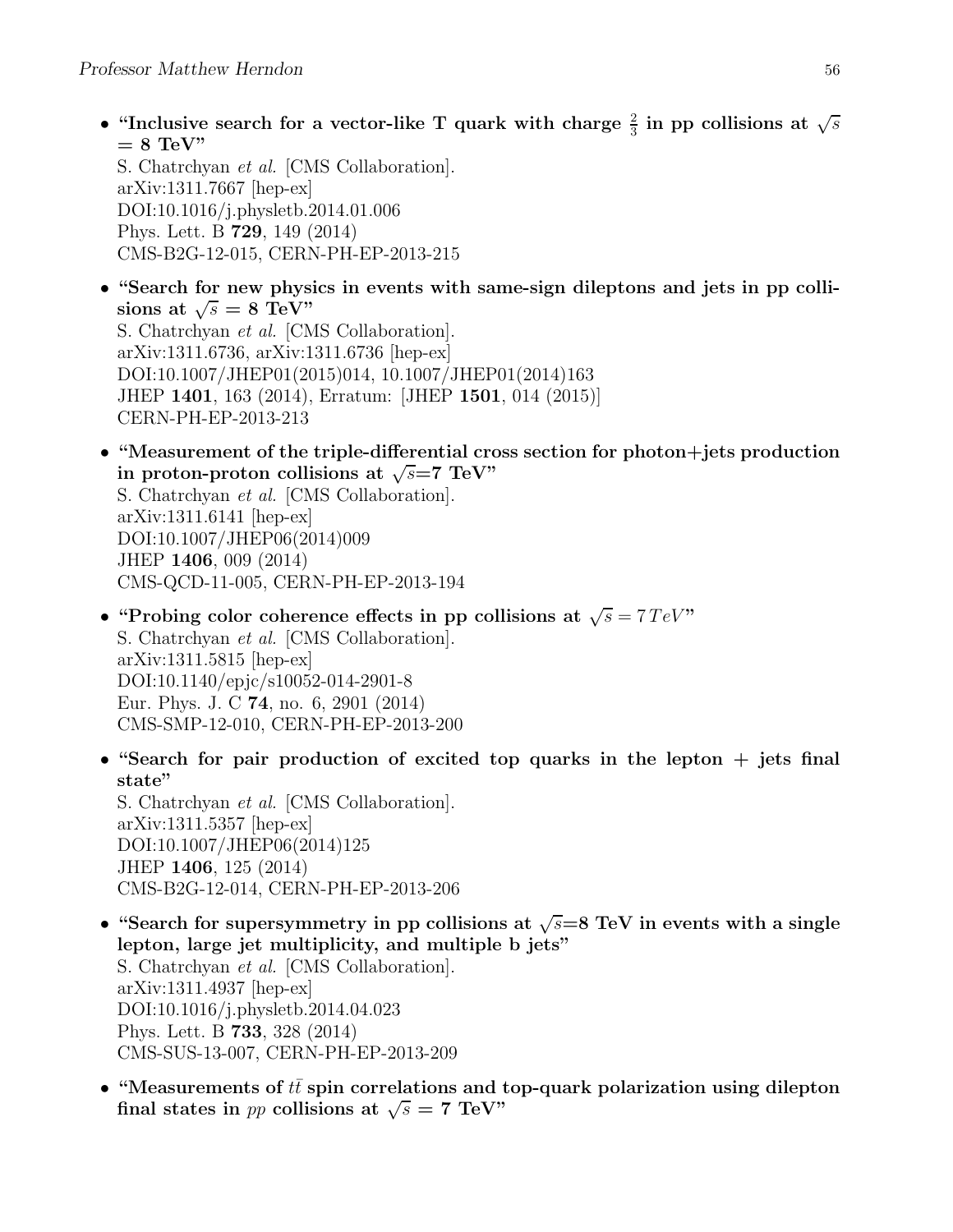• "Inclusive search for a vector-like T quark with charge  $\frac{2}{3}$  in pp collisions at  $\sqrt{s}$  $= 8$  TeV"

S. Chatrchyan et al. [CMS Collaboration]. arXiv:1311.7667 [hep-ex] DOI:10.1016/j.physletb.2014.01.006 Phys. Lett. B 729, 149 (2014) CMS-B2G-12-015, CERN-PH-EP-2013-215

- "Search for new physics in events with same-sign dileptons and jets in pp collisions at  $\sqrt{s} = 8 \text{ TeV}$ " S. Chatrchyan et al. [CMS Collaboration]. arXiv:1311.6736, arXiv:1311.6736 [hep-ex] DOI:10.1007/JHEP01(2015)014, 10.1007/JHEP01(2014)163 JHEP 1401, 163 (2014), Erratum: [JHEP 1501, 014 (2015)] CERN-PH-EP-2013-213
- "Measurement of the triple-differential cross section for photon+jets production in proton-proton collisions at  $\sqrt{s}$ =7 TeV" S. Chatrchyan et al. [CMS Collaboration].

arXiv:1311.6141 [hep-ex] DOI:10.1007/JHEP06(2014)009 JHEP 1406, 009 (2014) CMS-QCD-11-005, CERN-PH-EP-2013-194

JHEP 1406, 125 (2014)

- "Probing color coherence effects in pp collisions at  $\sqrt{s} = 7 \text{ TeV}$ " S. Chatrchyan et al. [CMS Collaboration]. arXiv:1311.5815 [hep-ex] DOI:10.1140/epjc/s10052-014-2901-8 Eur. Phys. J. C 74, no. 6, 2901 (2014) CMS-SMP-12-010, CERN-PH-EP-2013-200
- "Search for pair production of excited top quarks in the lepton  $+$  jets final state" S. Chatrchyan et al. [CMS Collaboration]. arXiv:1311.5357 [hep-ex] DOI:10.1007/JHEP06(2014)125

CMS-B2G-12-014, CERN-PH-EP-2013-206 • "Search for supersymmetry in pp collisions at  $\sqrt{s}=8$  TeV in events with a single lepton, large jet multiplicity, and multiple b jets" S. Chatrchyan et al. [CMS Collaboration]. arXiv:1311.4937 [hep-ex] DOI:10.1016/j.physletb.2014.04.023 Phys. Lett. B 733, 328 (2014) CMS-SUS-13-007, CERN-PH-EP-2013-209

• "Measurements of  $t\bar{t}$  spin correlations and top-quark polarization using dilepton final states in pp collisions at  $\sqrt{s} = 7$  TeV"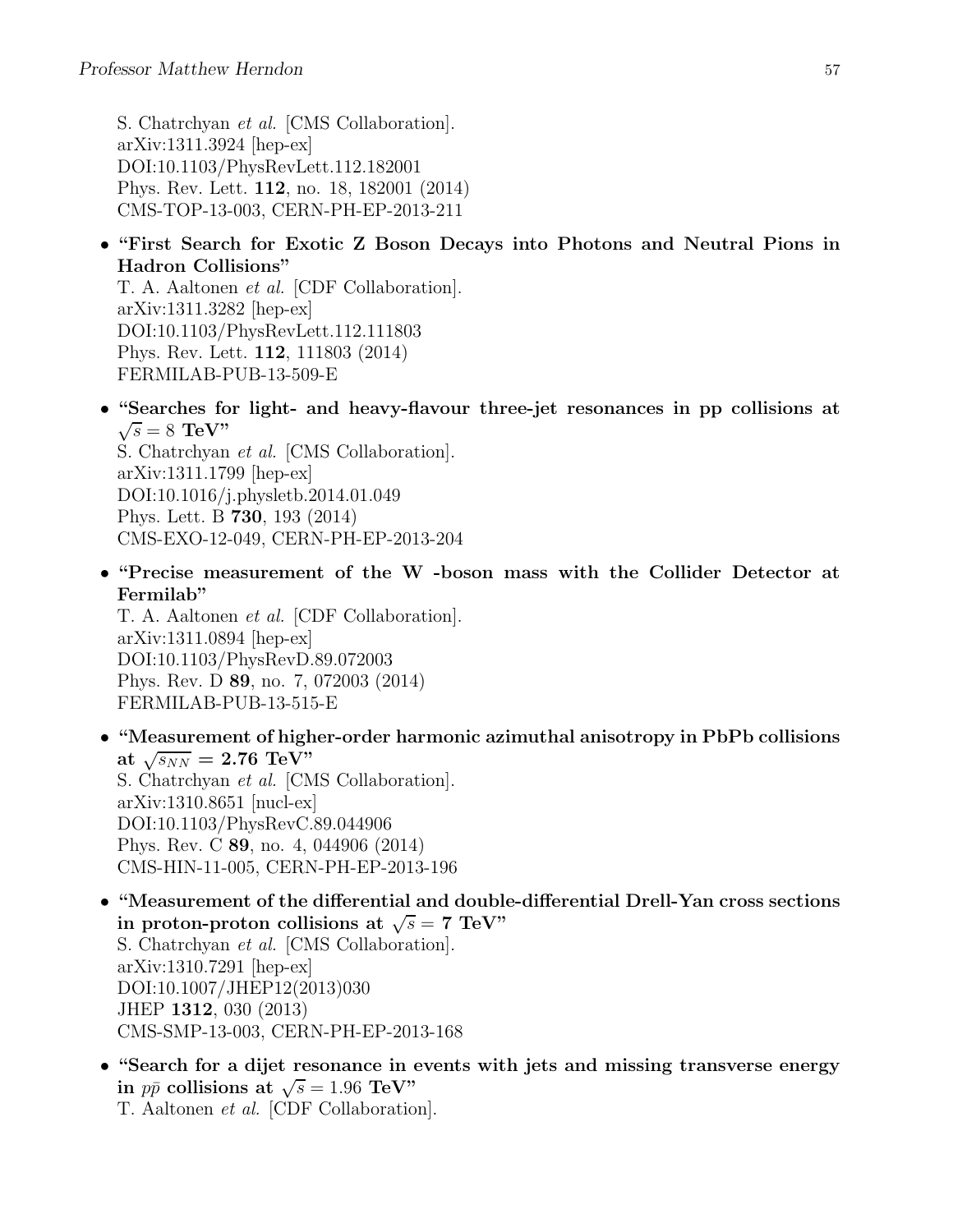S. Chatrchyan et al. [CMS Collaboration]. arXiv:1311.3924 [hep-ex] DOI:10.1103/PhysRevLett.112.182001 Phys. Rev. Lett. 112, no. 18, 182001 (2014) CMS-TOP-13-003, CERN-PH-EP-2013-211

• "First Search for Exotic Z Boson Decays into Photons and Neutral Pions in Hadron Collisions"

T. A. Aaltonen et al. [CDF Collaboration]. arXiv:1311.3282 [hep-ex] DOI:10.1103/PhysRevLett.112.111803 Phys. Rev. Lett. 112, 111803 (2014) FERMILAB-PUB-13-509-E

• "Searches for light- and heavy-flavour three-jet resonances in pp collisions at  $\sqrt{s} = 8$  TeV"

S. Chatrchyan et al. [CMS Collaboration]. arXiv:1311.1799 [hep-ex] DOI:10.1016/j.physletb.2014.01.049 Phys. Lett. B 730, 193 (2014) CMS-EXO-12-049, CERN-PH-EP-2013-204

• "Precise measurement of the W -boson mass with the Collider Detector at Fermilab"

T. A. Aaltonen et al. [CDF Collaboration]. arXiv:1311.0894 [hep-ex] DOI:10.1103/PhysRevD.89.072003 Phys. Rev. D 89, no. 7, 072003 (2014) FERMILAB-PUB-13-515-E

- "Measurement of higher-order harmonic azimuthal anisotropy in PbPb collisions at  $\sqrt{s_{NN}} = 2.76 \text{ TeV}$ S. Chatrchyan et al. [CMS Collaboration]. arXiv:1310.8651 [nucl-ex] DOI:10.1103/PhysRevC.89.044906 Phys. Rev. C 89, no. 4, 044906 (2014) CMS-HIN-11-005, CERN-PH-EP-2013-196
- "Measurement of the differential and double-differential Drell-Yan cross sections in proton-proton collisions at  $\sqrt{s} = 7$  TeV" S. Chatrchyan et al. [CMS Collaboration]. arXiv:1310.7291 [hep-ex] DOI:10.1007/JHEP12(2013)030 JHEP 1312, 030 (2013) CMS-SMP-13-003, CERN-PH-EP-2013-168
- "Search for a dijet resonance in events with jets and missing transverse energy in  $p\bar{p}$  collisions at  $\sqrt{s} = 1.96$  TeV" T. Aaltonen et al. [CDF Collaboration].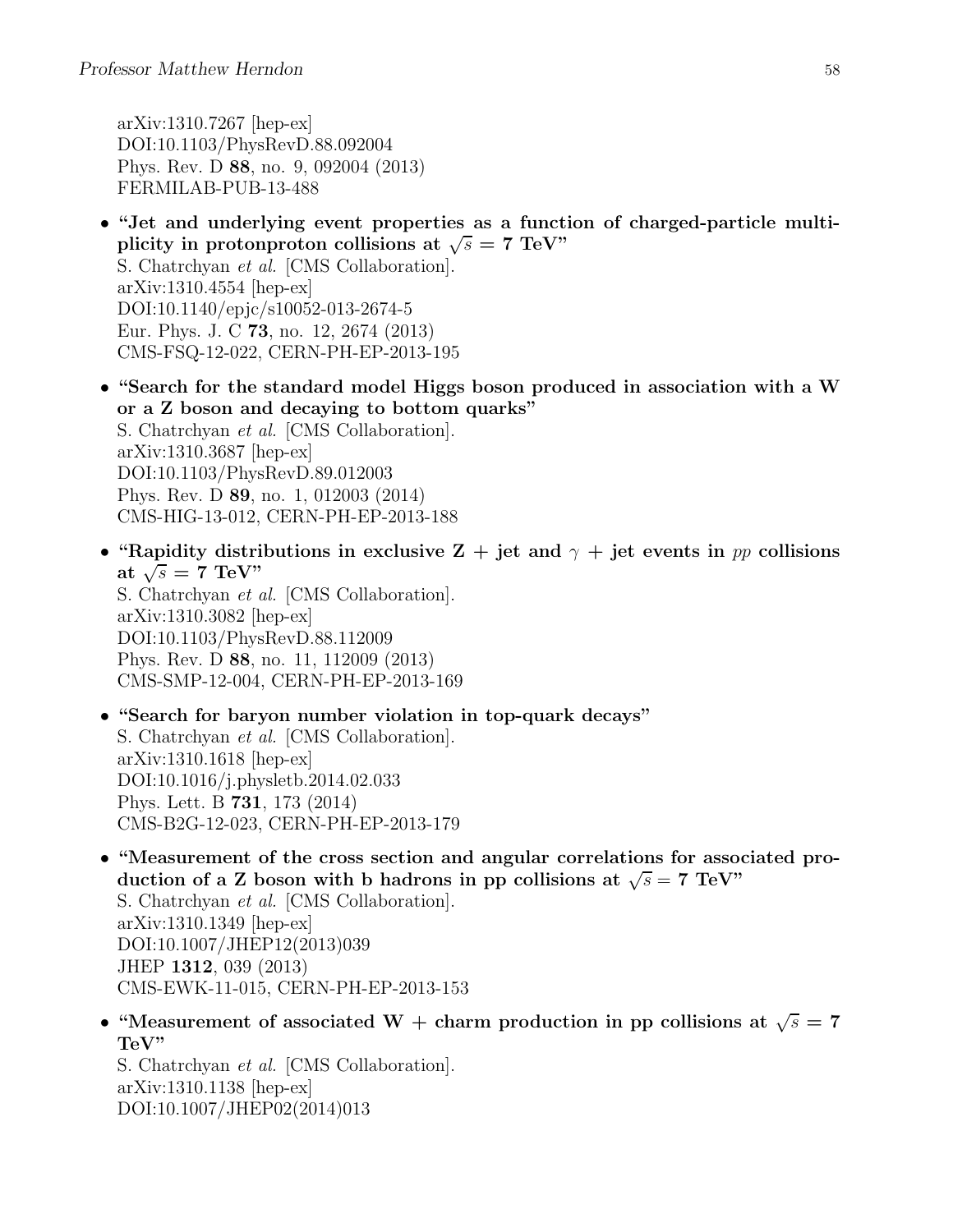arXiv:1310.7267 [hep-ex] DOI:10.1103/PhysRevD.88.092004 Phys. Rev. D 88, no. 9, 092004 (2013) FERMILAB-PUB-13-488

- "Jet and underlying event properties as a function of charged-particle multiplicity in protonproton collisions at  $\sqrt{s} = 7$  TeV" S. Chatrchyan et al. [CMS Collaboration]. arXiv:1310.4554 [hep-ex] DOI:10.1140/epjc/s10052-013-2674-5 Eur. Phys. J. C 73, no. 12, 2674 (2013) CMS-FSQ-12-022, CERN-PH-EP-2013-195
- "Search for the standard model Higgs boson produced in association with a W or a Z boson and decaying to bottom quarks" S. Chatrchyan et al. [CMS Collaboration]. arXiv:1310.3687 [hep-ex] DOI:10.1103/PhysRevD.89.012003 Phys. Rev. D 89, no. 1, 012003 (2014) CMS-HIG-13-012, CERN-PH-EP-2013-188
- "Rapidity distributions in exclusive  $Z + jet$  and  $\gamma + jet$  events in pp collisions at  $\sqrt{s} = 7$  TeV" S. Chatrchyan et al. [CMS Collaboration]. arXiv:1310.3082 [hep-ex] DOI:10.1103/PhysRevD.88.112009 Phys. Rev. D 88, no. 11, 112009 (2013) CMS-SMP-12-004, CERN-PH-EP-2013-169
- "Search for baryon number violation in top-quark decays" S. Chatrchyan et al. [CMS Collaboration]. arXiv:1310.1618 [hep-ex] DOI:10.1016/j.physletb.2014.02.033 Phys. Lett. B 731, 173 (2014) CMS-B2G-12-023, CERN-PH-EP-2013-179
- "Measurement of the cross section and angular correlations for associated production of a Z boson with b hadrons in pp collisions at  $\sqrt{s} = 7$  TeV" S. Chatrchyan et al. [CMS Collaboration]. arXiv:1310.1349 [hep-ex] DOI:10.1007/JHEP12(2013)039 JHEP 1312, 039 (2013) CMS-EWK-11-015, CERN-PH-EP-2013-153
- "Measurement of associated W + charm production in pp collisions at  $\sqrt{s} = 7$ TeV"

S. Chatrchyan et al. [CMS Collaboration]. arXiv:1310.1138 [hep-ex] DOI:10.1007/JHEP02(2014)013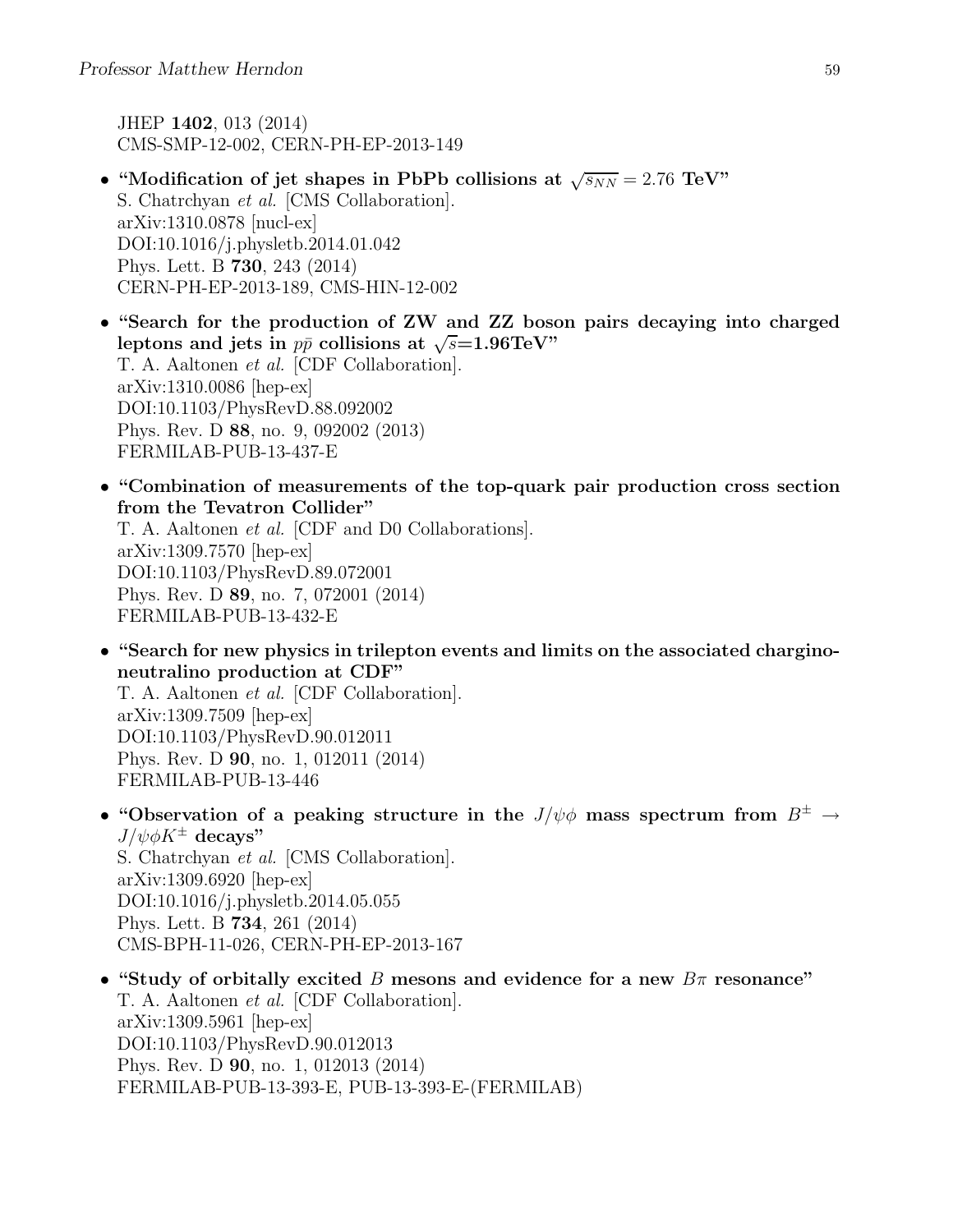JHEP 1402, 013 (2014) CMS-SMP-12-002, CERN-PH-EP-2013-149

- "Modification of jet shapes in PbPb collisions at  $\sqrt{s_{NN}} = 2.76 \text{ TeV}$ " S. Chatrchyan et al. [CMS Collaboration]. arXiv:1310.0878 [nucl-ex] DOI:10.1016/j.physletb.2014.01.042 Phys. Lett. B 730, 243 (2014) CERN-PH-EP-2013-189, CMS-HIN-12-002
- "Search for the production of ZW and ZZ boson pairs decaying into charged leptons and jets in  $p\bar{p}$  collisions at  $\sqrt{s}$ =1.96TeV" T. A. Aaltonen et al. [CDF Collaboration]. arXiv:1310.0086 [hep-ex] DOI:10.1103/PhysRevD.88.092002 Phys. Rev. D 88, no. 9, 092002 (2013) FERMILAB-PUB-13-437-E
- "Combination of measurements of the top-quark pair production cross section from the Tevatron Collider"

T. A. Aaltonen et al. [CDF and D0 Collaborations]. arXiv:1309.7570 [hep-ex] DOI:10.1103/PhysRevD.89.072001 Phys. Rev. D 89, no. 7, 072001 (2014) FERMILAB-PUB-13-432-E

• "Search for new physics in trilepton events and limits on the associated charginoneutralino production at CDF"

T. A. Aaltonen et al. [CDF Collaboration]. arXiv:1309.7509 [hep-ex] DOI:10.1103/PhysRevD.90.012011 Phys. Rev. D 90, no. 1, 012011 (2014) FERMILAB-PUB-13-446

• "Observation of a peaking structure in the  $J/\psi\phi$  mass spectrum from  $B^{\pm} \rightarrow$  $J/\psi \phi K^{\pm}$  decays" S. Chatrchyan et al. [CMS Collaboration]. arXiv:1309.6920 [hep-ex] DOI:10.1016/j.physletb.2014.05.055 Phys. Lett. B 734, 261 (2014)

CMS-BPH-11-026, CERN-PH-EP-2013-167

• "Study of orbitally excited B mesons and evidence for a new  $B\pi$  resonance" T. A. Aaltonen et al. [CDF Collaboration]. arXiv:1309.5961 [hep-ex] DOI:10.1103/PhysRevD.90.012013 Phys. Rev. D 90, no. 1, 012013 (2014) FERMILAB-PUB-13-393-E, PUB-13-393-E-(FERMILAB)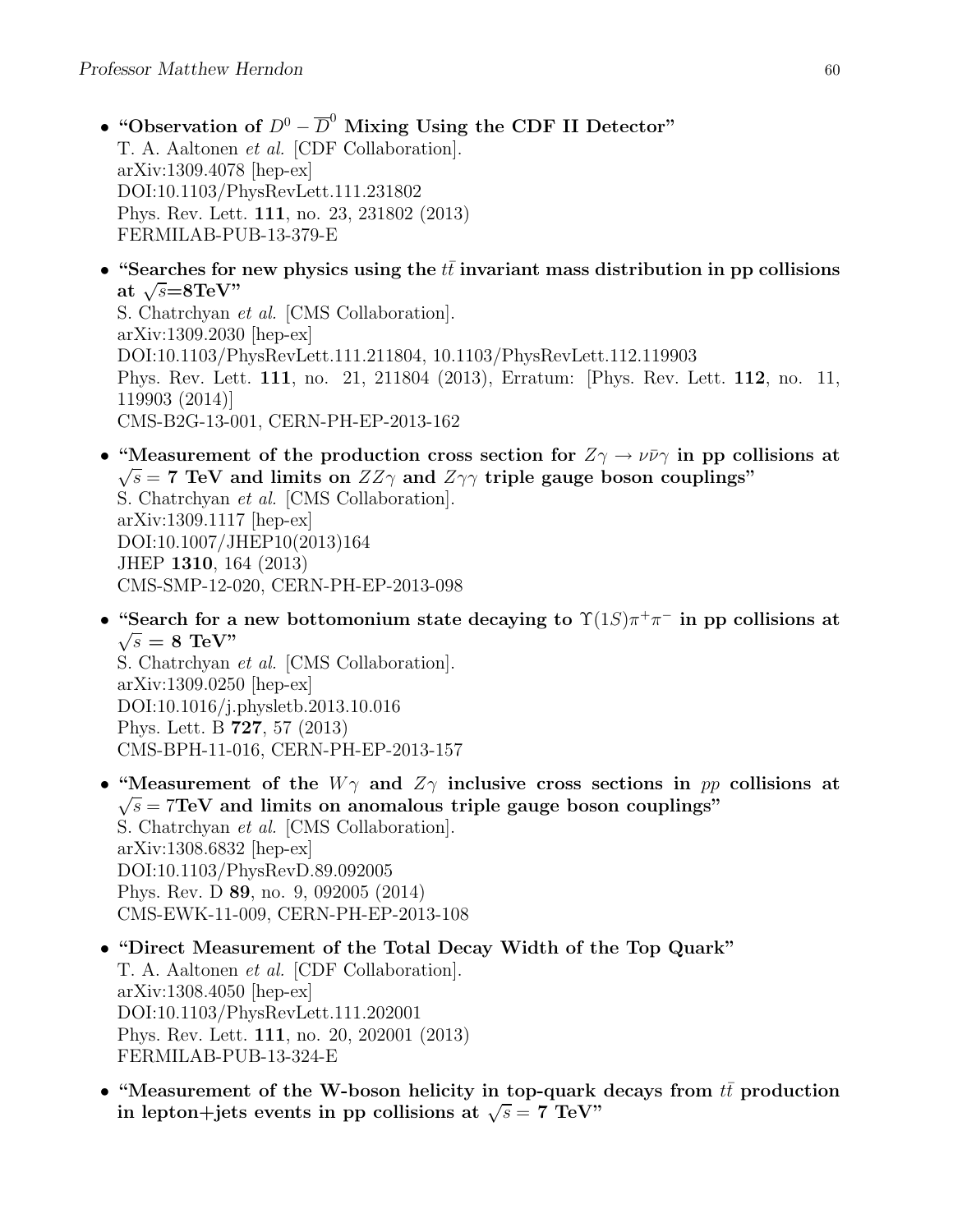- "Observation of  $D^0 \overline{D}^0$  Mixing Using the CDF II Detector" T. A. Aaltonen et al. [CDF Collaboration]. arXiv:1309.4078 [hep-ex] DOI:10.1103/PhysRevLett.111.231802 Phys. Rev. Lett. 111, no. 23, 231802 (2013) FERMILAB-PUB-13-379-E
- "Searches for new physics using the  $t\bar{t}$  invariant mass distribution in pp collisions at  $\sqrt{s} = 8 \text{TeV}$ "

S. Chatrchyan et al. [CMS Collaboration]. arXiv:1309.2030 [hep-ex] DOI:10.1103/PhysRevLett.111.211804, 10.1103/PhysRevLett.112.119903 Phys. Rev. Lett. 111, no. 21, 211804 (2013), Erratum: [Phys. Rev. Lett. 112, no. 11, 119903 (2014)] CMS-B2G-13-001, CERN-PH-EP-2013-162

- "Measurement of the production cross section for  $Z_{\gamma} \rightarrow \nu \bar{\nu} \gamma$  in pp collisions at  $\sqrt{s}$  = 7 TeV and limits on  $ZZ\gamma$  and  $Z\gamma\gamma$  triple gauge boson couplings" S. Chatrchyan et al. [CMS Collaboration]. arXiv:1309.1117 [hep-ex] DOI:10.1007/JHEP10(2013)164 JHEP 1310, 164 (2013) CMS-SMP-12-020, CERN-PH-EP-2013-098
- "Search for a new bottomonium state decaying to  $\Upsilon(1S)\pi^+\pi^-$  in pp collisions at  $\sqrt{s} = 8$  TeV" S. Chatrchyan et al. [CMS Collaboration].

arXiv:1309.0250 [hep-ex] DOI:10.1016/j.physletb.2013.10.016 Phys. Lett. B 727, 57 (2013) CMS-BPH-11-016, CERN-PH-EP-2013-157

- "Measurement of the  $W\gamma$  and  $Z\gamma$  inclusive cross sections in pp collisions at  $\sqrt{s}$  = 7TeV and limits on anomalous triple gauge boson couplings" S. Chatrchyan et al. [CMS Collaboration]. arXiv:1308.6832 [hep-ex] DOI:10.1103/PhysRevD.89.092005 Phys. Rev. D 89, no. 9, 092005 (2014) CMS-EWK-11-009, CERN-PH-EP-2013-108
- "Direct Measurement of the Total Decay Width of the Top Quark" T. A. Aaltonen et al. [CDF Collaboration]. arXiv:1308.4050 [hep-ex] DOI:10.1103/PhysRevLett.111.202001 Phys. Rev. Lett. 111, no. 20, 202001 (2013) FERMILAB-PUB-13-324-E
- "Measurement of the W-boson helicity in top-quark decays from  $t\bar{t}$  production in lepton+jets events in pp collisions at  $\sqrt{s} = 7$  TeV"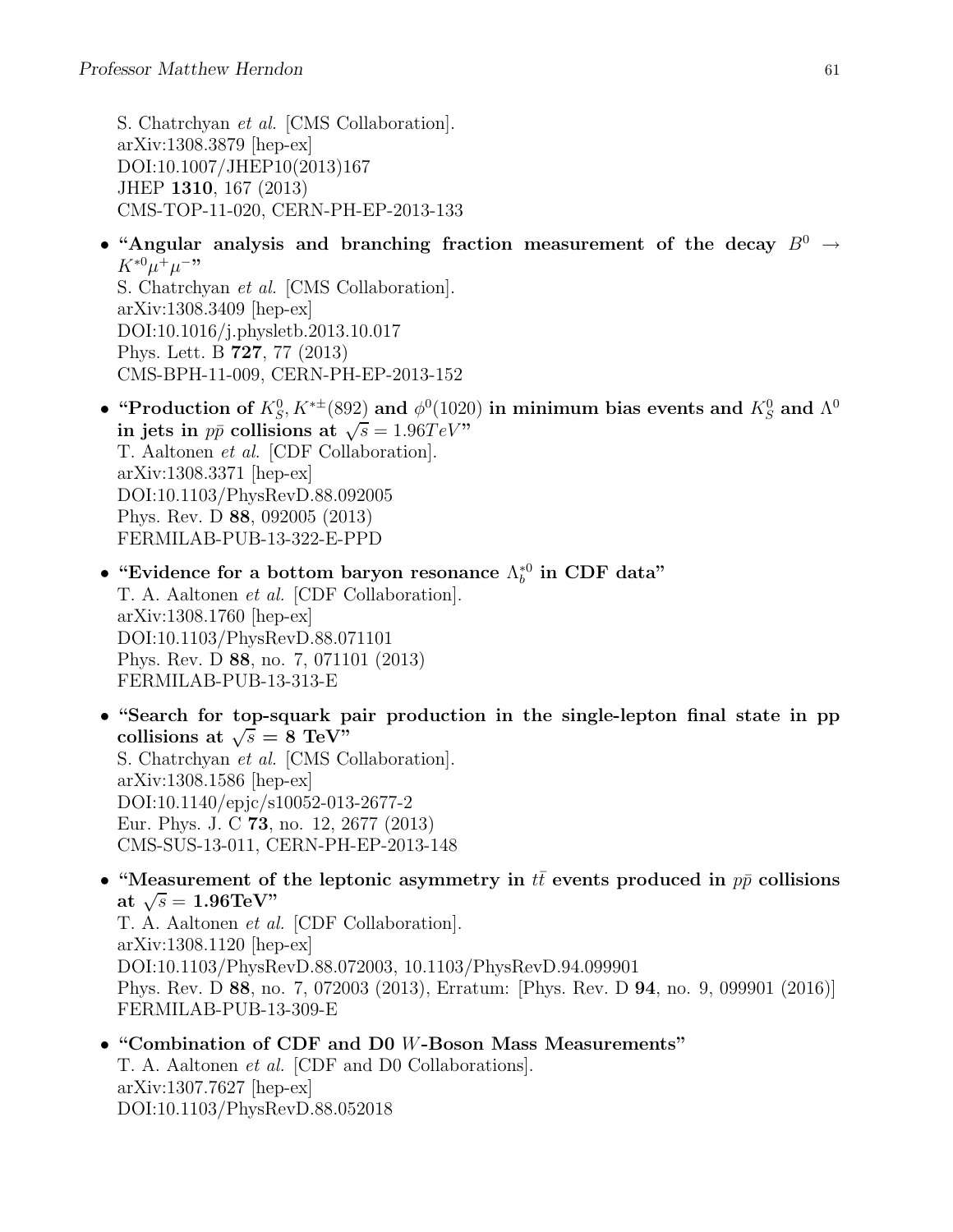S. Chatrchyan et al. [CMS Collaboration]. arXiv:1308.3879 [hep-ex] DOI:10.1007/JHEP10(2013)167 JHEP 1310, 167 (2013) CMS-TOP-11-020, CERN-PH-EP-2013-133

• "Angular analysis and branching fraction measurement of the decay  $B^0 \rightarrow$  $K^{*0}\mu^+\mu^{-,}$ S. Chatrchyan et al. [CMS Collaboration].

arXiv:1308.3409 [hep-ex] DOI:10.1016/j.physletb.2013.10.017 Phys. Lett. B 727, 77 (2013) CMS-BPH-11-009, CERN-PH-EP-2013-152

- "Production of  $K_S^0$ ,  $K^{*\pm}(892)$  and  $\phi^0(1020)$  in minimum bias events and  $K_S^0$  and  $\Lambda^0$ in jets in  $p\bar{p}$  collisions at  $\sqrt{s} = 1.96 TeV$ " T. Aaltonen et al. [CDF Collaboration]. arXiv:1308.3371 [hep-ex] DOI:10.1103/PhysRevD.88.092005 Phys. Rev. D 88, 092005 (2013) FERMILAB-PUB-13-322-E-PPD
- "Evidence for a bottom baryon resonance  $\Lambda_b^{*0}$  in CDF data" T. A. Aaltonen et al. [CDF Collaboration]. arXiv:1308.1760 [hep-ex] DOI:10.1103/PhysRevD.88.071101 Phys. Rev. D 88, no. 7, 071101 (2013) FERMILAB-PUB-13-313-E
- "Search for top-squark pair production in the single-lepton final state in pp collisions at  $\sqrt{s} = 8 \text{ TeV}^{\frac{1}{2}}$ S. Chatrchyan et al. [CMS Collaboration]. arXiv:1308.1586 [hep-ex] DOI:10.1140/epjc/s10052-013-2677-2 Eur. Phys. J. C 73, no. 12, 2677 (2013) CMS-SUS-13-011, CERN-PH-EP-2013-148
- "Measurement of the leptonic asymmetry in  $t\bar{t}$  events produced in  $p\bar{p}$  collisions at  $\sqrt{s} = 1.96 \text{TeV}$ " T. A. Aaltonen et al. [CDF Collaboration]. arXiv:1308.1120 [hep-ex] DOI:10.1103/PhysRevD.88.072003, 10.1103/PhysRevD.94.099901 Phys. Rev. D 88, no. 7, 072003 (2013), Erratum: [Phys. Rev. D 94, no. 9, 099901 (2016)] FERMILAB-PUB-13-309-E
- "Combination of CDF and D0 W-Boson Mass Measurements" T. A. Aaltonen et al. [CDF and D0 Collaborations]. arXiv:1307.7627 [hep-ex] DOI:10.1103/PhysRevD.88.052018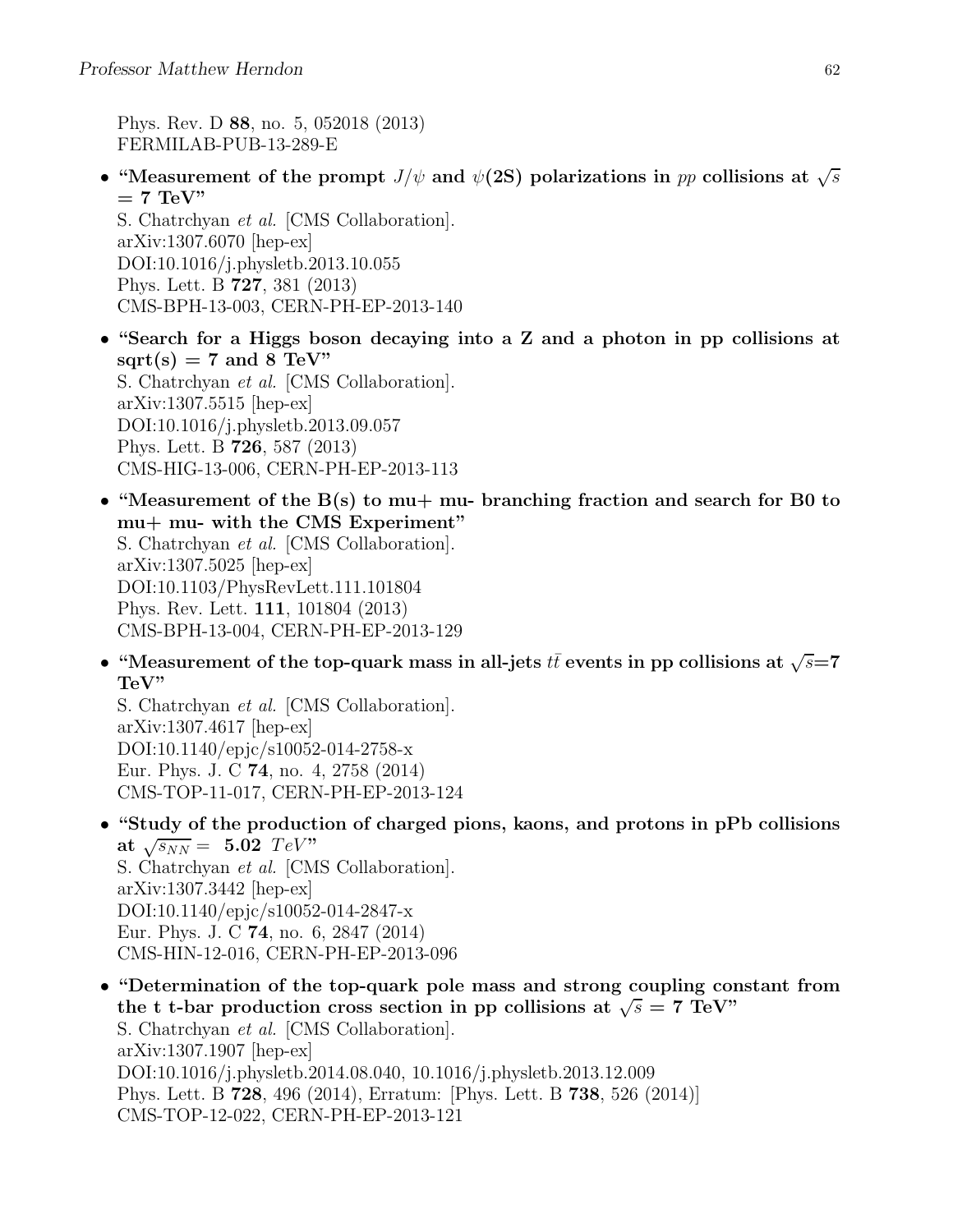Phys. Rev. D 88, no. 5, 052018 (2013) FERMILAB-PUB-13-289-E

• "Measurement of the prompt  $J/\psi$  and  $\psi$  (2S) polarizations in pp collisions at  $\sqrt{s}$  $= 7$  TeV" S. Chatrchyan et al. [CMS Collaboration].

arXiv:1307.6070 [hep-ex] DOI:10.1016/j.physletb.2013.10.055 Phys. Lett. B 727, 381 (2013) CMS-BPH-13-003, CERN-PH-EP-2013-140

- "Search for a Higgs boson decaying into a Z and a photon in pp collisions at  $sqrt(s) = 7$  and 8 TeV" S. Chatrchyan et al. [CMS Collaboration]. arXiv:1307.5515 [hep-ex] DOI:10.1016/j.physletb.2013.09.057 Phys. Lett. B 726, 587 (2013) CMS-HIG-13-006, CERN-PH-EP-2013-113
- "Measurement of the  $B(s)$  to mu+ mu- branching fraction and search for B0 to mu+ mu- with the CMS Experiment" S. Chatrchyan et al. [CMS Collaboration]. arXiv:1307.5025 [hep-ex] DOI:10.1103/PhysRevLett.111.101804 Phys. Rev. Lett. 111, 101804 (2013) CMS-BPH-13-004, CERN-PH-EP-2013-129
- "Measurement of the top-quark mass in all-jets  $t\bar{t}$  events in pp collisions at  $\sqrt{s}=7$ TeV"

S. Chatrchyan et al. [CMS Collaboration]. arXiv:1307.4617 [hep-ex] DOI:10.1140/epjc/s10052-014-2758-x Eur. Phys. J. C 74, no. 4, 2758 (2014) CMS-TOP-11-017, CERN-PH-EP-2013-124

- "Study of the production of charged pions, kaons, and protons in pPb collisions at  $\sqrt{s_{NN}} = 5.02$  TeV" S. Chatrchyan et al. [CMS Collaboration]. arXiv:1307.3442 [hep-ex] DOI:10.1140/epjc/s10052-014-2847-x Eur. Phys. J. C 74, no. 6, 2847 (2014) CMS-HIN-12-016, CERN-PH-EP-2013-096
- "Determination of the top-quark pole mass and strong coupling constant from the t t-bar production cross section in pp collisions at  $\sqrt{s} = 7$  TeV" S. Chatrchyan et al. [CMS Collaboration]. arXiv:1307.1907 [hep-ex] DOI:10.1016/j.physletb.2014.08.040, 10.1016/j.physletb.2013.12.009 Phys. Lett. B 728, 496 (2014), Erratum: [Phys. Lett. B 738, 526 (2014)] CMS-TOP-12-022, CERN-PH-EP-2013-121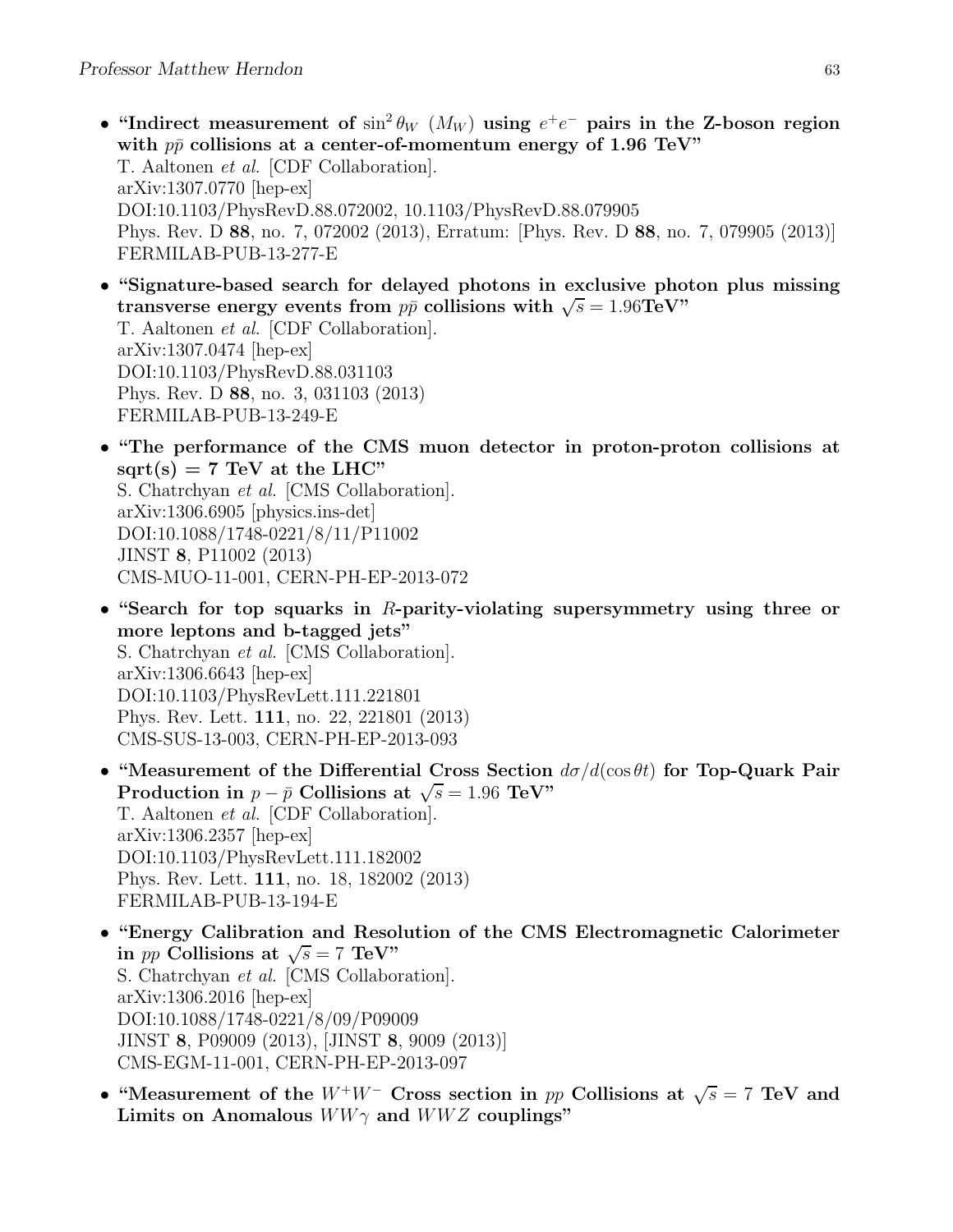- "Indirect measurement of  $\sin^2 \theta_W$  ( $M_W$ ) using  $e^+e^-$  pairs in the Z-boson region with  $p\bar{p}$  collisions at a center-of-momentum energy of 1.96 TeV" T. Aaltonen et al. [CDF Collaboration]. arXiv:1307.0770 [hep-ex] DOI:10.1103/PhysRevD.88.072002, 10.1103/PhysRevD.88.079905 Phys. Rev. D 88, no. 7, 072002 (2013), Erratum: [Phys. Rev. D 88, no. 7, 079905 (2013)] FERMILAB-PUB-13-277-E
- "Signature-based search for delayed photons in exclusive photon plus missing transverse energy events from  $p\bar{p}$  collisions with  $\sqrt{s} = 1.96 \text{TeV}$ " T. Aaltonen et al. [CDF Collaboration]. arXiv:1307.0474 [hep-ex] DOI:10.1103/PhysRevD.88.031103 Phys. Rev. D 88, no. 3, 031103 (2013) FERMILAB-PUB-13-249-E
- "The performance of the CMS muon detector in proton-proton collisions at  $sqrt(s) = 7$  TeV at the LHC" S. Chatrchyan et al. [CMS Collaboration]. arXiv:1306.6905 [physics.ins-det] DOI:10.1088/1748-0221/8/11/P11002 JINST 8, P11002 (2013) CMS-MUO-11-001, CERN-PH-EP-2013-072
- "Search for top squarks in  $R$ -parity-violating supersymmetry using three or more leptons and b-tagged jets" S. Chatrchyan et al. [CMS Collaboration]. arXiv:1306.6643 [hep-ex] DOI:10.1103/PhysRevLett.111.221801 Phys. Rev. Lett. 111, no. 22, 221801 (2013) CMS-SUS-13-003, CERN-PH-EP-2013-093
- "Measurement of the Differential Cross Section  $d\sigma/d(\cos\theta t)$  for Top-Quark Pair Production in  $p - \bar{p}$  Collisions at  $\sqrt{s} = 1.96$  TeV" T. Aaltonen et al. [CDF Collaboration]. arXiv:1306.2357 [hep-ex] DOI:10.1103/PhysRevLett.111.182002 Phys. Rev. Lett. 111, no. 18, 182002 (2013) FERMILAB-PUB-13-194-E
- "Energy Calibration and Resolution of the CMS Electromagnetic Calorimeter in pp Collisions at  $\sqrt{s} = 7$  TeV" S. Chatrchyan et al. [CMS Collaboration]. arXiv:1306.2016 [hep-ex] DOI:10.1088/1748-0221/8/09/P09009 JINST 8, P09009 (2013), [JINST 8, 9009 (2013)] CMS-EGM-11-001, CERN-PH-EP-2013-097
- "Measurement of the  $W^+W^-$  Cross section in pp Collisions at  $\sqrt{s} = 7$  TeV and Limits on Anomalous  $WW\gamma$  and  $WWZ$  couplings"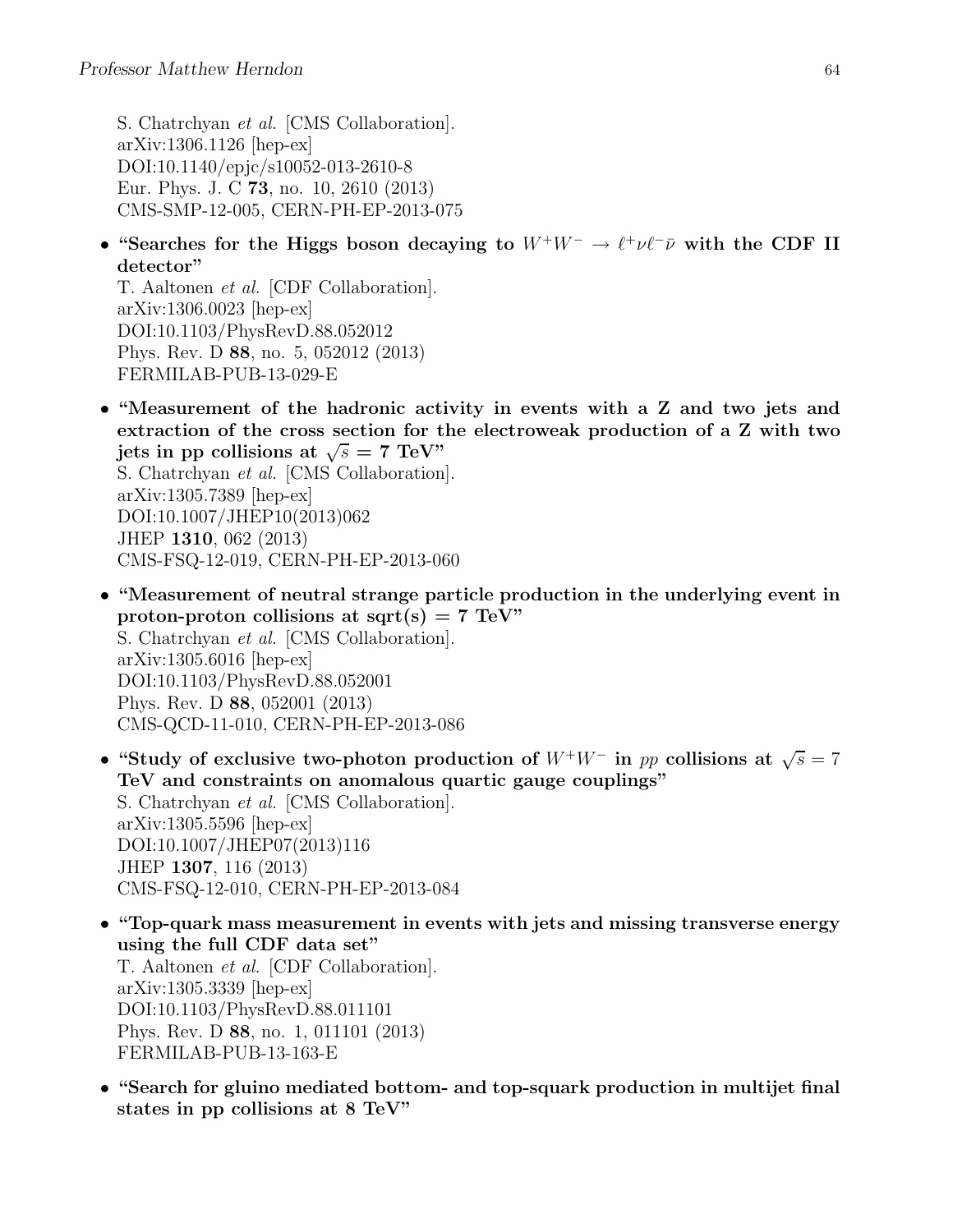S. Chatrchyan et al. [CMS Collaboration]. arXiv:1306.1126 [hep-ex] DOI:10.1140/epjc/s10052-013-2610-8 Eur. Phys. J. C 73, no. 10, 2610 (2013) CMS-SMP-12-005, CERN-PH-EP-2013-075

• "Searches for the Higgs boson decaying to  $W^+W^- \to \ell^+\nu\ell^-\bar{\nu}$  with the CDF II detector"

T. Aaltonen et al. [CDF Collaboration]. arXiv:1306.0023 [hep-ex] DOI:10.1103/PhysRevD.88.052012 Phys. Rev. D 88, no. 5, 052012 (2013) FERMILAB-PUB-13-029-E

• "Measurement of the hadronic activity in events with a Z and two jets and extraction of the cross section for the electroweak production of a Z with two jets in pp collisions at  $\sqrt{s} = 7$  TeV"

S. Chatrchyan et al. [CMS Collaboration]. arXiv:1305.7389 [hep-ex] DOI:10.1007/JHEP10(2013)062 JHEP 1310, 062 (2013) CMS-FSQ-12-019, CERN-PH-EP-2013-060

- "Measurement of neutral strange particle production in the underlying event in proton-proton collisions at sqrt(s) =  $7 \text{ TeV}$ " S. Chatrchyan et al. [CMS Collaboration]. arXiv:1305.6016 [hep-ex] DOI:10.1103/PhysRevD.88.052001 Phys. Rev. D 88, 052001 (2013) CMS-QCD-11-010, CERN-PH-EP-2013-086
- "Study of exclusive two-photon production of  $W^+W^-$  in pp collisions at  $\sqrt{s} = 7$ TeV and constraints on anomalous quartic gauge couplings" S. Chatrchyan et al. [CMS Collaboration]. arXiv:1305.5596 [hep-ex] DOI:10.1007/JHEP07(2013)116 JHEP 1307, 116 (2013) CMS-FSQ-12-010, CERN-PH-EP-2013-084
- "Top-quark mass measurement in events with jets and missing transverse energy using the full CDF data set" T. Aaltonen et al. [CDF Collaboration]. arXiv:1305.3339 [hep-ex] DOI:10.1103/PhysRevD.88.011101 Phys. Rev. D 88, no. 1, 011101 (2013) FERMILAB-PUB-13-163-E
- "Search for gluino mediated bottom- and top-squark production in multijet final states in pp collisions at 8 TeV"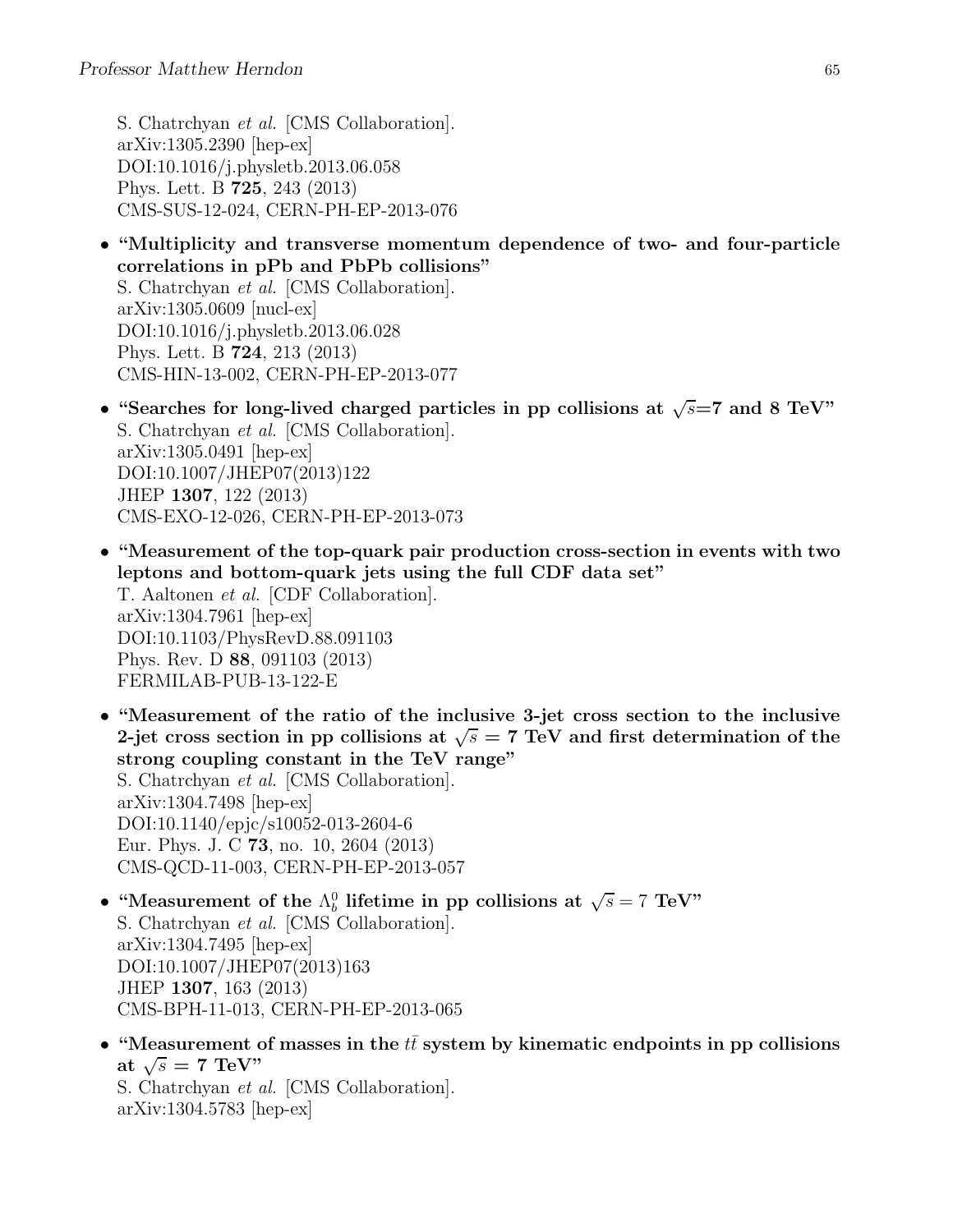S. Chatrchyan et al. [CMS Collaboration]. arXiv:1305.2390 [hep-ex] DOI:10.1016/j.physletb.2013.06.058 Phys. Lett. B 725, 243 (2013) CMS-SUS-12-024, CERN-PH-EP-2013-076

- "Multiplicity and transverse momentum dependence of two- and four-particle correlations in pPb and PbPb collisions" S. Chatrchyan et al. [CMS Collaboration]. arXiv:1305.0609 [nucl-ex] DOI:10.1016/j.physletb.2013.06.028 Phys. Lett. B 724, 213 (2013) CMS-HIN-13-002, CERN-PH-EP-2013-077
- "Searches for long-lived charged particles in pp collisions at  $\sqrt{s}$ =7 and 8 TeV" S. Chatrchyan et al. [CMS Collaboration]. arXiv:1305.0491 [hep-ex] DOI:10.1007/JHEP07(2013)122 JHEP 1307, 122 (2013) CMS-EXO-12-026, CERN-PH-EP-2013-073
- "Measurement of the top-quark pair production cross-section in events with two leptons and bottom-quark jets using the full CDF data set" T. Aaltonen et al. [CDF Collaboration]. arXiv:1304.7961 [hep-ex] DOI:10.1103/PhysRevD.88.091103 Phys. Rev. D 88, 091103 (2013) FERMILAB-PUB-13-122-E
- "Measurement of the ratio of the inclusive 3-jet cross section to the inclusive 2-jet cross section in pp collisions at  $\sqrt{s} = 7$  TeV and first determination of the strong coupling constant in the TeV range" S. Chatrchyan et al. [CMS Collaboration]. arXiv:1304.7498 [hep-ex] DOI:10.1140/epjc/s10052-013-2604-6 Eur. Phys. J. C 73, no. 10, 2604 (2013) CMS-QCD-11-003, CERN-PH-EP-2013-057
- "Measurement of the  $\Lambda_b^0$  lifetime in pp collisions at  $\sqrt{s} = 7 \text{ TeV}$ " S. Chatrchyan et al. [CMS Collaboration]. arXiv:1304.7495 [hep-ex] DOI:10.1007/JHEP07(2013)163 JHEP 1307, 163 (2013) CMS-BPH-11-013, CERN-PH-EP-2013-065
- "Measurement of masses in the  $t\bar{t}$  system by kinematic endpoints in pp collisions at  $\sqrt{s} = 7 \text{ TeV}$ " S. Chatrchyan et al. [CMS Collaboration]. arXiv:1304.5783 [hep-ex]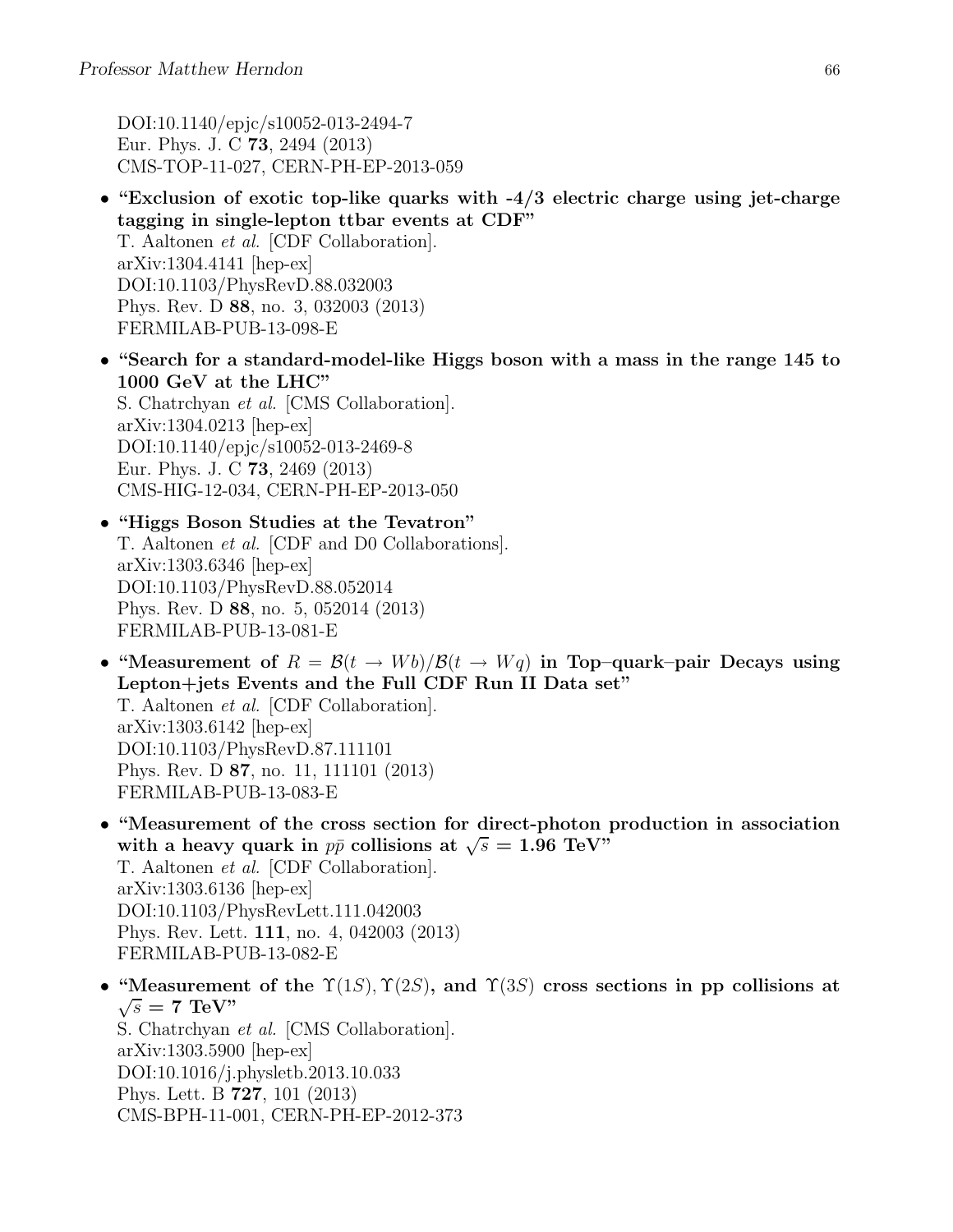DOI:10.1140/epjc/s10052-013-2494-7 Eur. Phys. J. C 73, 2494 (2013) CMS-TOP-11-027, CERN-PH-EP-2013-059

- "Exclusion of exotic top-like quarks with -4/3 electric charge using jet-charge tagging in single-lepton ttbar events at CDF" T. Aaltonen et al. [CDF Collaboration]. arXiv:1304.4141 [hep-ex] DOI:10.1103/PhysRevD.88.032003 Phys. Rev. D 88, no. 3, 032003 (2013) FERMILAB-PUB-13-098-E
- "Search for a standard-model-like Higgs boson with a mass in the range 145 to 1000 GeV at the LHC" S. Chatrchyan et al. [CMS Collaboration]. arXiv:1304.0213 [hep-ex] DOI:10.1140/epjc/s10052-013-2469-8 Eur. Phys. J. C 73, 2469 (2013) CMS-HIG-12-034, CERN-PH-EP-2013-050

• "Higgs Boson Studies at the Tevatron" T. Aaltonen et al. [CDF and D0 Collaborations]. arXiv:1303.6346 [hep-ex] DOI:10.1103/PhysRevD.88.052014 Phys. Rev. D 88, no. 5, 052014 (2013) FERMILAB-PUB-13-081-E

- "Measurement of  $R = \mathcal{B}(t \to W_0)/\mathcal{B}(t \to W_q)$  in Top-quark-pair Decays using Lepton+jets Events and the Full CDF Run II Data set" T. Aaltonen et al. [CDF Collaboration]. arXiv:1303.6142 [hep-ex] DOI:10.1103/PhysRevD.87.111101 Phys. Rev. D 87, no. 11, 111101 (2013) FERMILAB-PUB-13-083-E
- "Measurement of the cross section for direct-photon production in association with a heavy quark in  $p\bar{p}$  collisions at  $\sqrt{s} = 1.96 \text{ TeV}$ . T. Aaltonen et al. [CDF Collaboration]. arXiv:1303.6136 [hep-ex] DOI:10.1103/PhysRevLett.111.042003 Phys. Rev. Lett. 111, no. 4, 042003 (2013) FERMILAB-PUB-13-082-E
- "Measurement of the  $\Upsilon(1S)$ ,  $\Upsilon(2S)$ , and  $\Upsilon(3S)$  cross sections in pp collisions at  $\sqrt{s} = 7$  TeV" S. Chatrchyan et al. [CMS Collaboration]. arXiv:1303.5900 [hep-ex] DOI:10.1016/j.physletb.2013.10.033 Phys. Lett. B 727, 101 (2013)

CMS-BPH-11-001, CERN-PH-EP-2012-373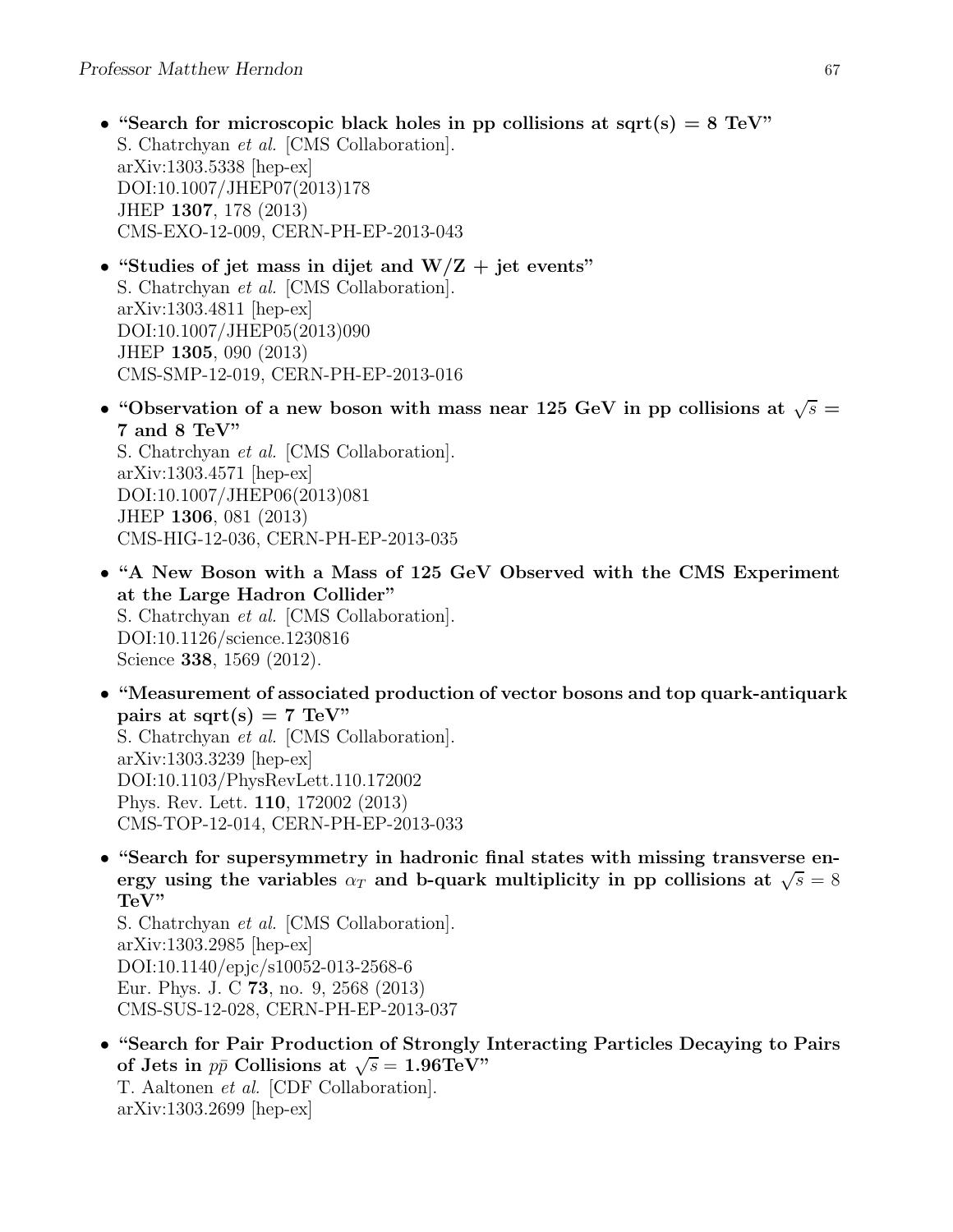- "Search for microscopic black holes in pp collisions at sqrt(s)  $= 8 \text{ TeV}$ " S. Chatrchyan et al. [CMS Collaboration]. arXiv:1303.5338 [hep-ex] DOI:10.1007/JHEP07(2013)178 JHEP 1307, 178 (2013) CMS-EXO-12-009, CERN-PH-EP-2013-043
- "Studies of jet mass in dijet and  $W/Z + jet$  events" S. Chatrchyan et al. [CMS Collaboration]. arXiv:1303.4811 [hep-ex] DOI:10.1007/JHEP05(2013)090 JHEP 1305, 090 (2013) CMS-SMP-12-019, CERN-PH-EP-2013-016
- "Observation of a new boson with mass near 125 GeV in pp collisions at  $\sqrt{s}$  = 7 and 8 TeV"

S. Chatrchyan et al. [CMS Collaboration]. arXiv:1303.4571 [hep-ex] DOI:10.1007/JHEP06(2013)081 JHEP 1306, 081 (2013) CMS-HIG-12-036, CERN-PH-EP-2013-035

- "A New Boson with a Mass of 125 GeV Observed with the CMS Experiment at the Large Hadron Collider" S. Chatrchyan et al. [CMS Collaboration]. DOI:10.1126/science.1230816 Science 338, 1569 (2012).
- "Measurement of associated production of vector bosons and top quark-antiquark pairs at sqrt(s) = 7 TeV" S. Chatrchyan et al. [CMS Collaboration]. arXiv:1303.3239 [hep-ex] DOI:10.1103/PhysRevLett.110.172002 Phys. Rev. Lett. 110, 172002 (2013) CMS-TOP-12-014, CERN-PH-EP-2013-033
- "Search for supersymmetry in hadronic final states with missing transverse energy using the variables  $\alpha_T$  and b-quark multiplicity in pp collisions at  $\sqrt{s} = 8$ TeV"

S. Chatrchyan et al. [CMS Collaboration]. arXiv:1303.2985 [hep-ex] DOI:10.1140/epjc/s10052-013-2568-6 Eur. Phys. J. C 73, no. 9, 2568 (2013) CMS-SUS-12-028, CERN-PH-EP-2013-037

• "Search for Pair Production of Strongly Interacting Particles Decaying to Pairs of Jets in  $p\bar{p}$  Collisions at  $\sqrt{s} = 1.96 \text{TeV}$ " T. Aaltonen et al. [CDF Collaboration]. arXiv:1303.2699 [hep-ex]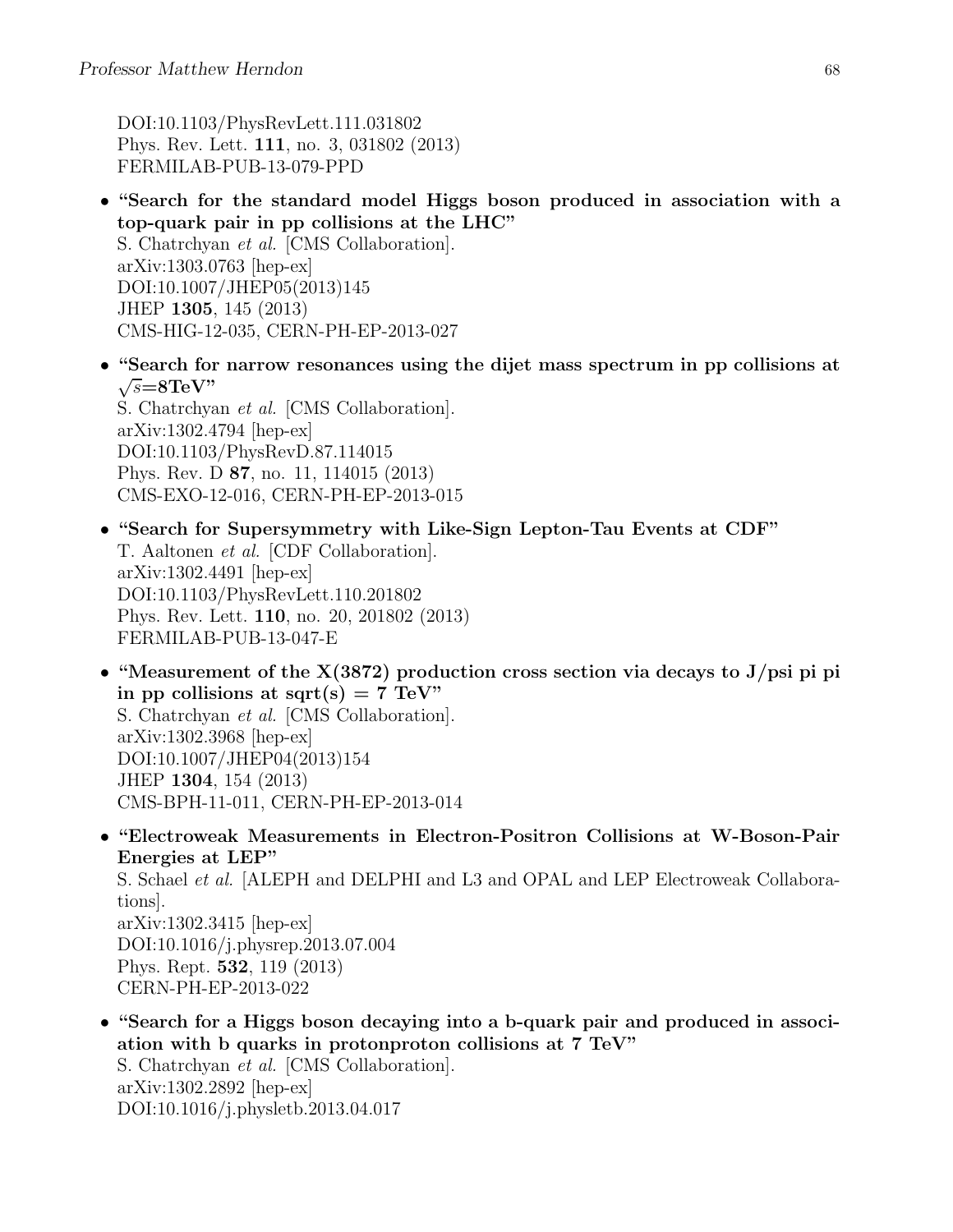DOI:10.1103/PhysRevLett.111.031802 Phys. Rev. Lett. 111, no. 3, 031802 (2013) FERMILAB-PUB-13-079-PPD

- "Search for the standard model Higgs boson produced in association with a top-quark pair in pp collisions at the LHC" S. Chatrchyan et al. [CMS Collaboration]. arXiv:1303.0763 [hep-ex] DOI:10.1007/JHEP05(2013)145 JHEP 1305, 145 (2013) CMS-HIG-12-035, CERN-PH-EP-2013-027
- "Search for narrow resonances using the dijet mass spectrum in pp collisions at  $\sqrt{s} = 8 \text{TeV}$ "

S. Chatrchyan et al. [CMS Collaboration]. arXiv:1302.4794 [hep-ex] DOI:10.1103/PhysRevD.87.114015 Phys. Rev. D 87, no. 11, 114015 (2013) CMS-EXO-12-016, CERN-PH-EP-2013-015

- "Search for Supersymmetry with Like-Sign Lepton-Tau Events at CDF" T. Aaltonen et al. [CDF Collaboration]. arXiv:1302.4491 [hep-ex] DOI:10.1103/PhysRevLett.110.201802 Phys. Rev. Lett. 110, no. 20, 201802 (2013) FERMILAB-PUB-13-047-E
- "Measurement of the  $X(3872)$  production cross section via decays to J/psi pi pi in pp collisions at sqrt(s) = 7 TeV" S. Chatrchyan et al. [CMS Collaboration]. arXiv:1302.3968 [hep-ex] DOI:10.1007/JHEP04(2013)154 JHEP 1304, 154 (2013) CMS-BPH-11-011, CERN-PH-EP-2013-014
- "Electroweak Measurements in Electron-Positron Collisions at W-Boson-Pair Energies at LEP" S. Schael *et al.* [ALEPH and DELPHI and L3 and OPAL and LEP Electroweak Collaborations]. arXiv:1302.3415 [hep-ex] DOI:10.1016/j.physrep.2013.07.004 Phys. Rept. 532, 119 (2013) CERN-PH-EP-2013-022
- "Search for a Higgs boson decaying into a b-quark pair and produced in association with b quarks in protonproton collisions at 7 TeV" S. Chatrchyan et al. [CMS Collaboration]. arXiv:1302.2892 [hep-ex] DOI:10.1016/j.physletb.2013.04.017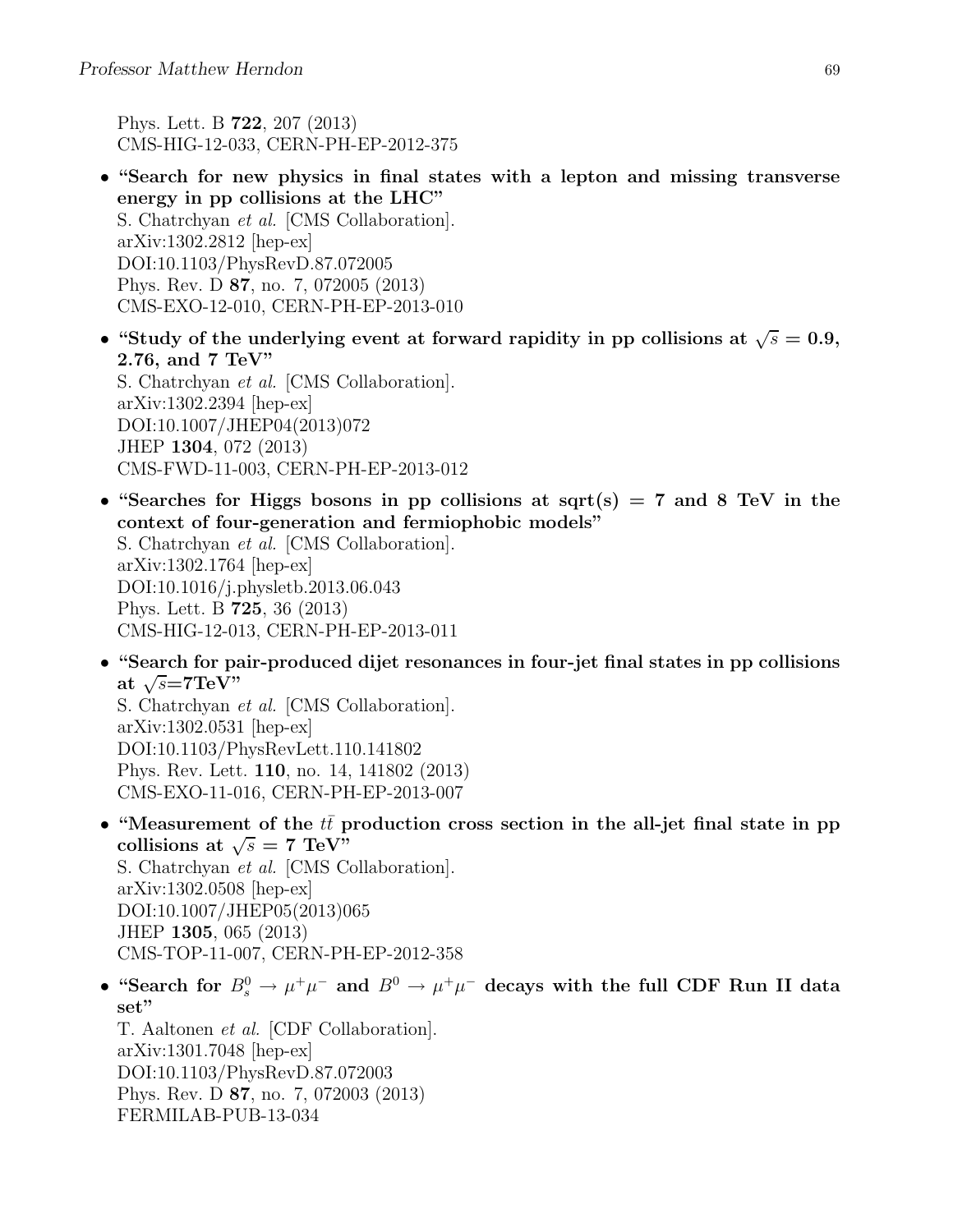Phys. Lett. B 722, 207 (2013) CMS-HIG-12-033, CERN-PH-EP-2012-375

- "Search for new physics in final states with a lepton and missing transverse energy in pp collisions at the LHC" S. Chatrchyan et al. [CMS Collaboration]. arXiv:1302.2812 [hep-ex] DOI:10.1103/PhysRevD.87.072005 Phys. Rev. D 87, no. 7, 072005 (2013) CMS-EXO-12-010, CERN-PH-EP-2013-010
- "Study of the underlying event at forward rapidity in pp collisions at  $\sqrt{s} = 0.9$ , 2.76, and 7 TeV" S. Chatrchyan et al. [CMS Collaboration]. arXiv:1302.2394 [hep-ex]

DOI:10.1007/JHEP04(2013)072 JHEP 1304, 072 (2013) CMS-FWD-11-003, CERN-PH-EP-2013-012

- "Searches for Higgs bosons in pp collisions at sqrt(s) = 7 and 8 TeV in the context of four-generation and fermiophobic models" S. Chatrchyan et al. [CMS Collaboration]. arXiv:1302.1764 [hep-ex] DOI:10.1016/j.physletb.2013.06.043 Phys. Lett. B 725, 36 (2013) CMS-HIG-12-013, CERN-PH-EP-2013-011
- "Search for pair-produced dijet resonances in four-jet final states in pp collisions at  $\sqrt{s}$ =7TeV"

S. Chatrchyan et al. [CMS Collaboration]. arXiv:1302.0531 [hep-ex] DOI:10.1103/PhysRevLett.110.141802 Phys. Rev. Lett. 110, no. 14, 141802 (2013) CMS-EXO-11-016, CERN-PH-EP-2013-007

- "Measurement of the  $t\bar{t}$  production cross section in the all-jet final state in pp collisions at  $\sqrt{s} = 7 \text{ TeV}^{\prime\prime}$ S. Chatrchyan et al. [CMS Collaboration]. arXiv:1302.0508 [hep-ex] DOI:10.1007/JHEP05(2013)065 JHEP 1305, 065 (2013) CMS-TOP-11-007, CERN-PH-EP-2012-358
- "Search for  $B_s^0 \to \mu^+\mu^-$  and  $B^0 \to \mu^+\mu^-$  decays with the full CDF Run II data set"

T. Aaltonen et al. [CDF Collaboration]. arXiv:1301.7048 [hep-ex] DOI:10.1103/PhysRevD.87.072003 Phys. Rev. D 87, no. 7, 072003 (2013) FERMILAB-PUB-13-034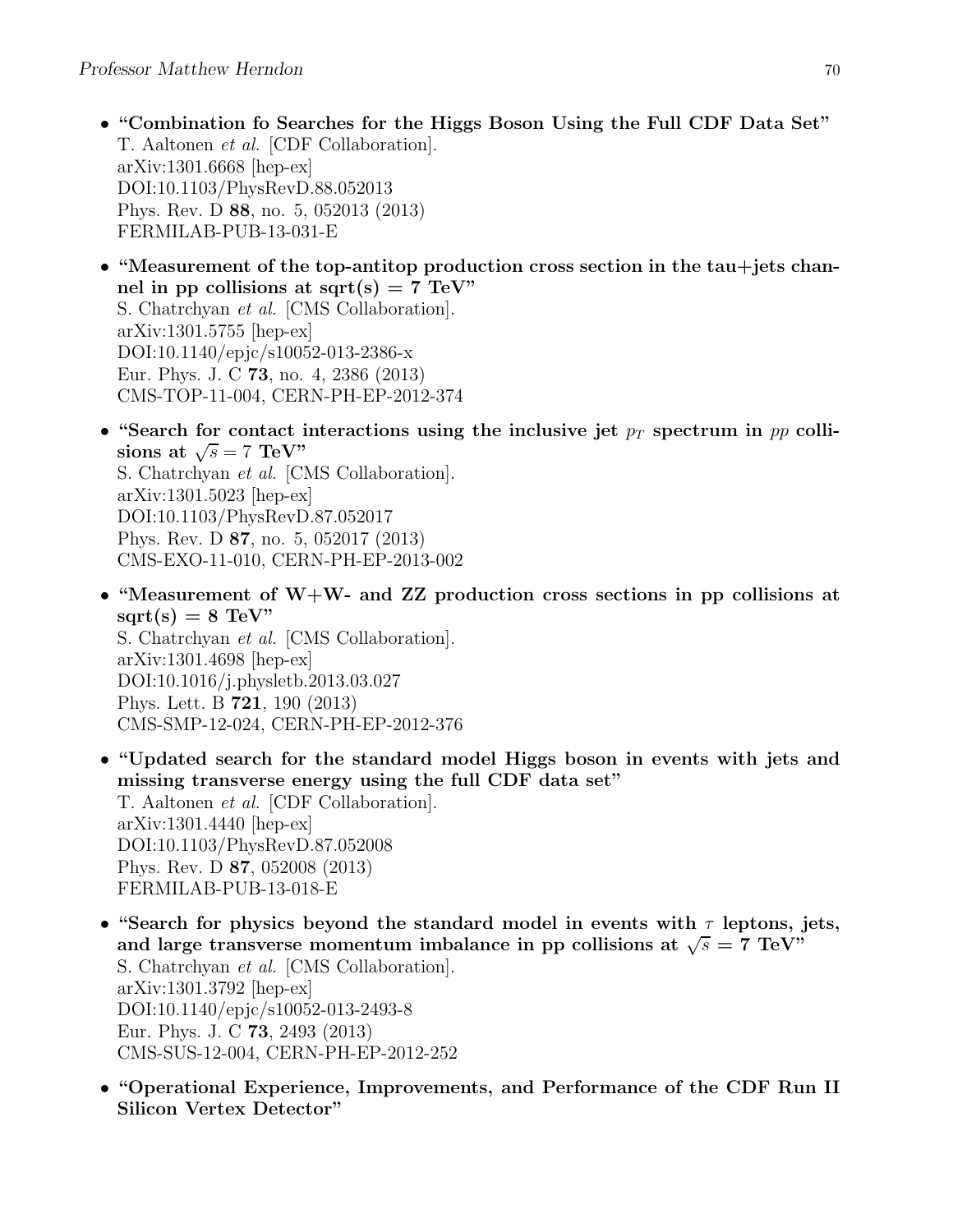- "Combination fo Searches for the Higgs Boson Using the Full CDF Data Set" T. Aaltonen et al. [CDF Collaboration]. arXiv:1301.6668 [hep-ex] DOI:10.1103/PhysRevD.88.052013 Phys. Rev. D 88, no. 5, 052013 (2013) FERMILAB-PUB-13-031-E
- "Measurement of the top-antitop production cross section in the tau+jets channel in pp collisions at sqrt $(s) = 7$  TeV" S. Chatrchyan et al. [CMS Collaboration]. arXiv:1301.5755 [hep-ex] DOI:10.1140/epjc/s10052-013-2386-x Eur. Phys. J. C 73, no. 4, 2386 (2013) CMS-TOP-11-004, CERN-PH-EP-2012-374
- "Search for contact interactions using the inclusive jet  $p_T$  spectrum in pp collisions at  $\sqrt{s} = 7 \text{ TeV}$ " S. Chatrchyan et al. [CMS Collaboration]. arXiv:1301.5023 [hep-ex] DOI:10.1103/PhysRevD.87.052017 Phys. Rev. D 87, no. 5, 052017 (2013) CMS-EXO-11-010, CERN-PH-EP-2013-002
- "Measurement of W+W- and ZZ production cross sections in pp collisions at  $sqrt(s) = 8$  TeV" S. Chatrchyan et al. [CMS Collaboration]. arXiv:1301.4698 [hep-ex] DOI:10.1016/j.physletb.2013.03.027 Phys. Lett. B 721, 190 (2013) CMS-SMP-12-024, CERN-PH-EP-2012-376
- "Updated search for the standard model Higgs boson in events with jets and missing transverse energy using the full CDF data set" T. Aaltonen et al. [CDF Collaboration]. arXiv:1301.4440 [hep-ex] DOI:10.1103/PhysRevD.87.052008 Phys. Rev. D 87, 052008 (2013) FERMILAB-PUB-13-018-E
- "Search for physics beyond the standard model in events with  $\tau$  leptons, jets, and large transverse momentum imbalance in pp collisions at  $\sqrt{s} = 7$  TeV" S. Chatrchyan et al. [CMS Collaboration]. arXiv:1301.3792 [hep-ex] DOI:10.1140/epjc/s10052-013-2493-8 Eur. Phys. J. C 73, 2493 (2013) CMS-SUS-12-004, CERN-PH-EP-2012-252
- "Operational Experience, Improvements, and Performance of the CDF Run II Silicon Vertex Detector"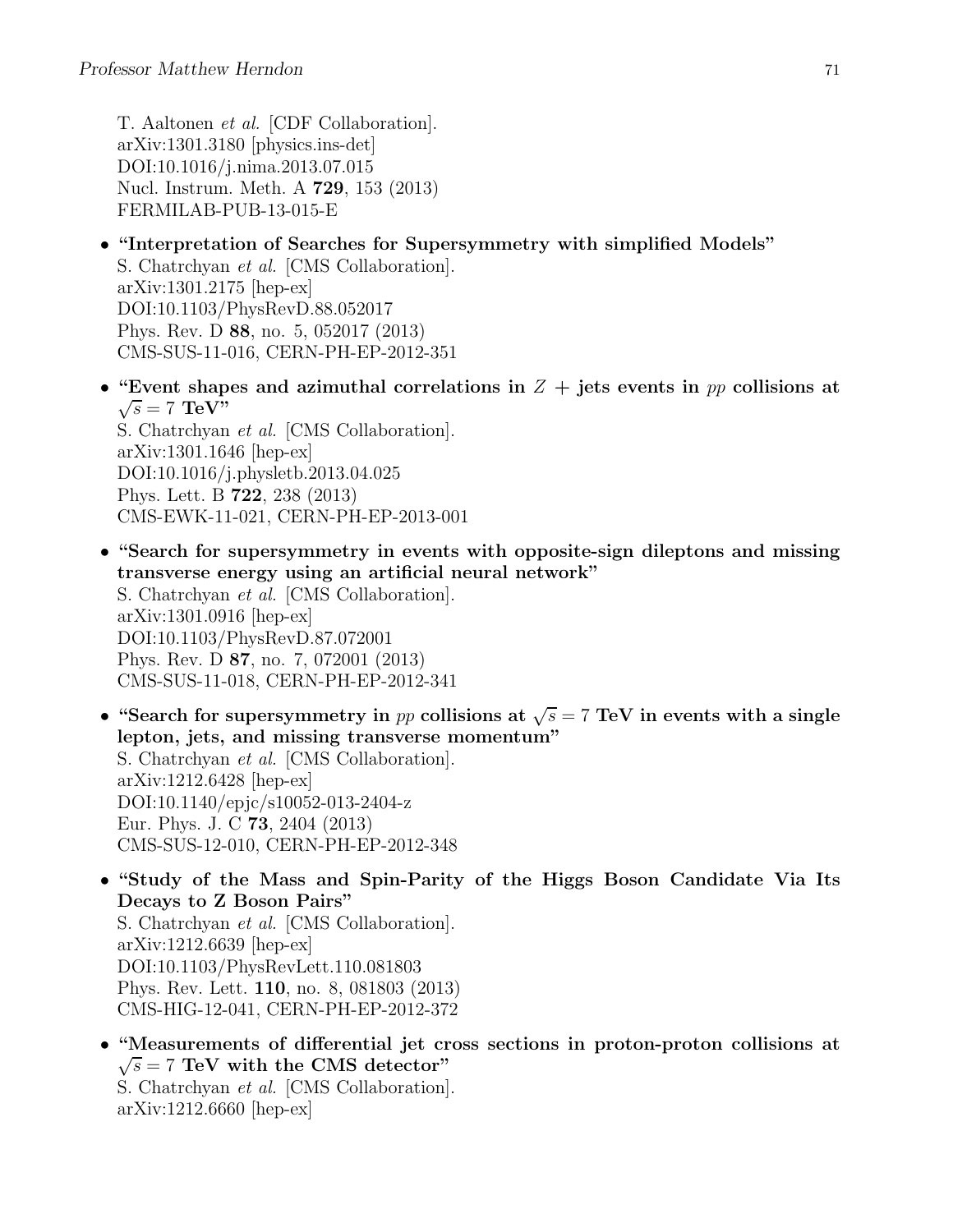T. Aaltonen et al. [CDF Collaboration]. arXiv:1301.3180 [physics.ins-det] DOI:10.1016/j.nima.2013.07.015 Nucl. Instrum. Meth. A 729, 153 (2013) FERMILAB-PUB-13-015-E

- "Interpretation of Searches for Supersymmetry with simplified Models" S. Chatrchyan et al. [CMS Collaboration]. arXiv:1301.2175 [hep-ex] DOI:10.1103/PhysRevD.88.052017 Phys. Rev. D 88, no. 5, 052017 (2013) CMS-SUS-11-016, CERN-PH-EP-2012-351
- "Event shapes and azimuthal correlations in  $Z +$  jets events in pp collisions at  $\sqrt{s} = 7$  TeV" S. Chatrchyan et al. [CMS Collaboration]. arXiv:1301.1646 [hep-ex] DOI:10.1016/j.physletb.2013.04.025 Phys. Lett. B 722, 238 (2013) CMS-EWK-11-021, CERN-PH-EP-2013-001
- "Search for supersymmetry in events with opposite-sign dileptons and missing transverse energy using an artificial neural network" S. Chatrchyan et al. [CMS Collaboration]. arXiv:1301.0916 [hep-ex] DOI:10.1103/PhysRevD.87.072001 Phys. Rev. D 87, no. 7, 072001 (2013) CMS-SUS-11-018, CERN-PH-EP-2012-341
- "Search for supersymmetry in pp collisions at  $\sqrt{s} = 7$  TeV in events with a single lepton, jets, and missing transverse momentum" S. Chatrchyan et al. [CMS Collaboration]. arXiv:1212.6428 [hep-ex] DOI:10.1140/epjc/s10052-013-2404-z Eur. Phys. J. C 73, 2404 (2013) CMS-SUS-12-010, CERN-PH-EP-2012-348
- "Study of the Mass and Spin-Parity of the Higgs Boson Candidate Via Its Decays to Z Boson Pairs" S. Chatrchyan et al. [CMS Collaboration]. arXiv:1212.6639 [hep-ex] DOI:10.1103/PhysRevLett.110.081803 Phys. Rev. Lett. 110, no. 8, 081803 (2013) CMS-HIG-12-041, CERN-PH-EP-2012-372
- "Measurements of differential jet cross sections in proton-proton collisions at  $\sqrt{s}$  = 7 TeV with the CMS detector" S. Chatrchyan et al. [CMS Collaboration]. arXiv:1212.6660 [hep-ex]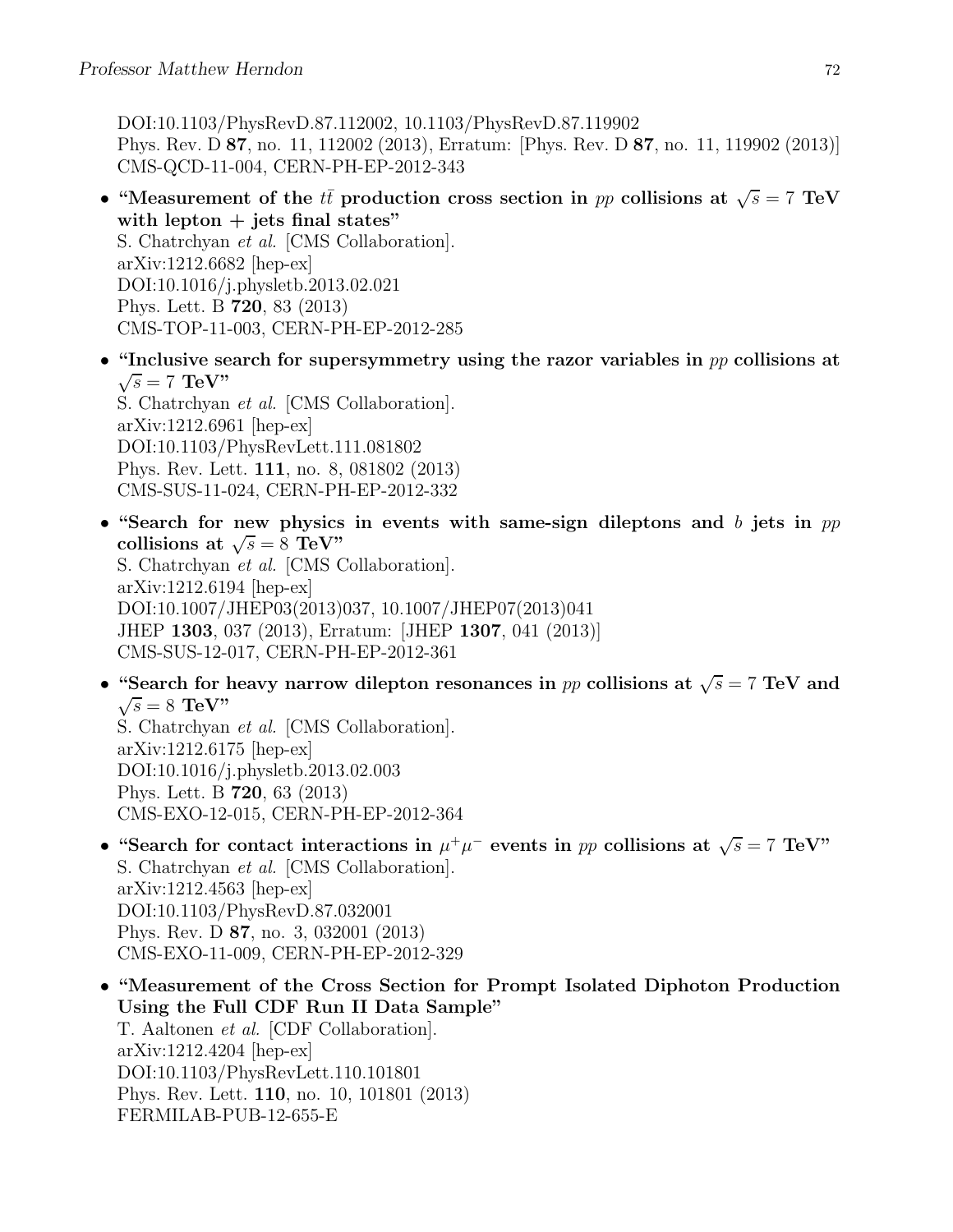DOI:10.1103/PhysRevD.87.112002, 10.1103/PhysRevD.87.119902 Phys. Rev. D 87, no. 11, 112002 (2013), Erratum: [Phys. Rev. D 87, no. 11, 119902 (2013)] CMS-QCD-11-004, CERN-PH-EP-2012-343

- "Measurement of the  $t\bar{t}$  production cross section in pp collisions at  $\sqrt{s} = 7$  TeV with lepton  $+$  jets final states" S. Chatrchyan et al. [CMS Collaboration]. arXiv:1212.6682 [hep-ex] DOI:10.1016/j.physletb.2013.02.021 Phys. Lett. B 720, 83 (2013) CMS-TOP-11-003, CERN-PH-EP-2012-285
- "Inclusive search for supersymmetry using the razor variables in  $pp$  collisions at  $\sqrt{s} = 7$  TeV" S. Chatrchyan et al. [CMS Collaboration]. arXiv:1212.6961 [hep-ex] DOI:10.1103/PhysRevLett.111.081802 Phys. Rev. Lett. 111, no. 8, 081802 (2013) CMS-SUS-11-024, CERN-PH-EP-2012-332
- "Search for new physics in events with same-sign dileptons and b jets in  $pp$ collisions at  $\sqrt{s} = 8$  TeV" S. Chatrchyan et al. [CMS Collaboration]. arXiv:1212.6194 [hep-ex] DOI:10.1007/JHEP03(2013)037, 10.1007/JHEP07(2013)041 JHEP 1303, 037 (2013), Erratum: [JHEP 1307, 041 (2013)] CMS-SUS-12-017, CERN-PH-EP-2012-361
- "Search for heavy narrow dilepton resonances in pp collisions at  $\sqrt{s} = 7$  TeV and  $\sqrt{s} = 8$  TeV" S. Chatrchyan et al. [CMS Collaboration]. arXiv:1212.6175 [hep-ex] DOI:10.1016/j.physletb.2013.02.003 Phys. Lett. B 720, 63 (2013)
- CMS-EXO-12-015, CERN-PH-EP-2012-364 • "Search for contact interactions in  $\mu^+\mu^-$  events in pp collisions at  $\sqrt{s} = 7$  TeV" S. Chatrchyan et al. [CMS Collaboration]. arXiv:1212.4563 [hep-ex] DOI:10.1103/PhysRevD.87.032001 Phys. Rev. D 87, no. 3, 032001 (2013) CMS-EXO-11-009, CERN-PH-EP-2012-329
- "Measurement of the Cross Section for Prompt Isolated Diphoton Production Using the Full CDF Run II Data Sample" T. Aaltonen et al. [CDF Collaboration]. arXiv:1212.4204 [hep-ex] DOI:10.1103/PhysRevLett.110.101801 Phys. Rev. Lett. 110, no. 10, 101801 (2013) FERMILAB-PUB-12-655-E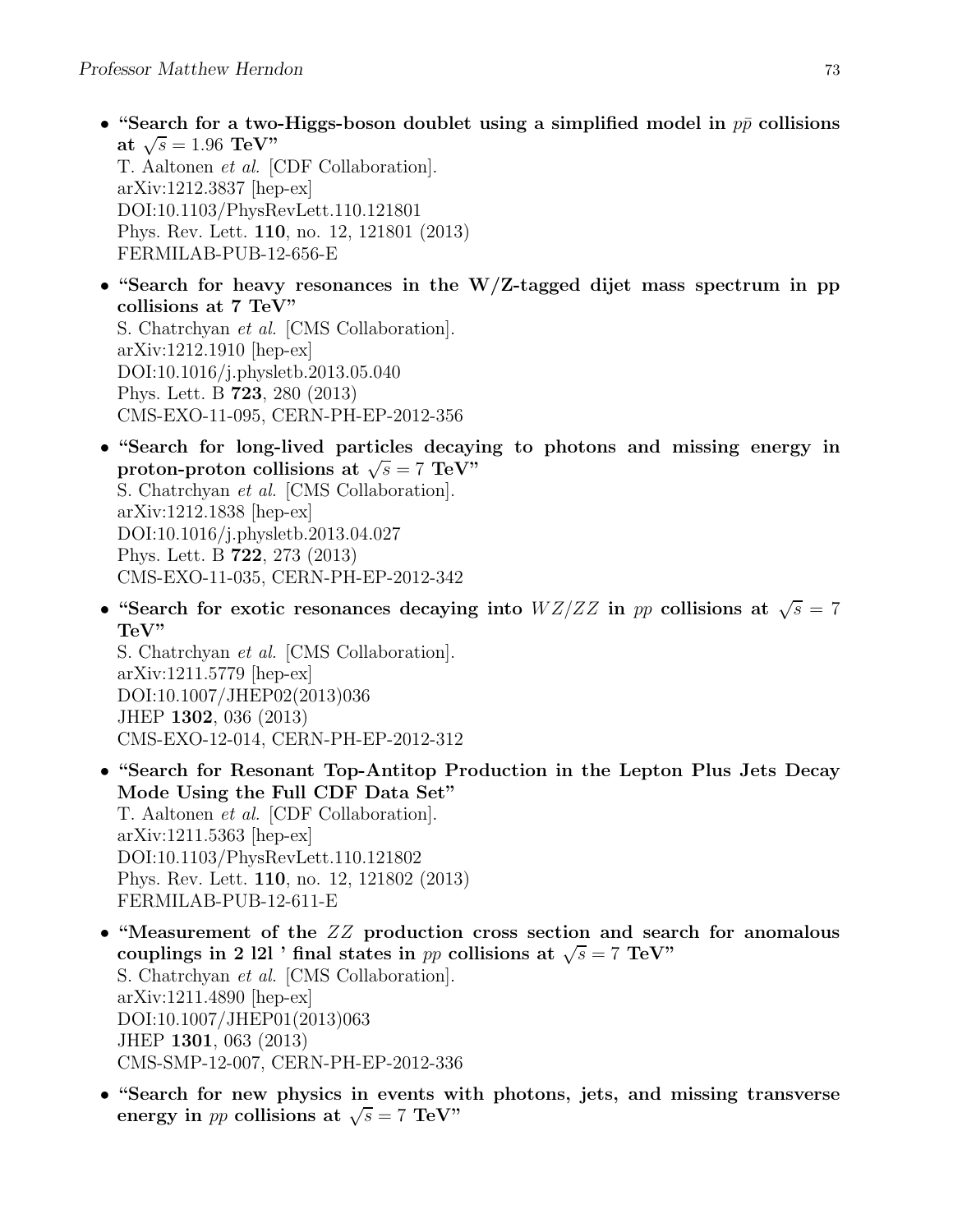• "Search for a two-Higgs-boson doublet using a simplified model in  $p\bar{p}$  collisions at  $\sqrt{s} = 1.96 \text{ TeV}$ " T. Aaltonen et al. [CDF Collaboration]. arXiv:1212.3837 [hep-ex] DOI:10.1103/PhysRevLett.110.121801

Phys. Rev. Lett. 110, no. 12, 121801 (2013) FERMILAB-PUB-12-656-E

- "Search for heavy resonances in the W/Z-tagged dijet mass spectrum in pp collisions at 7 TeV" S. Chatrchyan et al. [CMS Collaboration]. arXiv:1212.1910 [hep-ex] DOI:10.1016/j.physletb.2013.05.040 Phys. Lett. B 723, 280 (2013) CMS-EXO-11-095, CERN-PH-EP-2012-356
- "Search for long-lived particles decaying to photons and missing energy in proton-proton collisions at  $\sqrt{s} = 7$  TeV" S. Chatrchyan et al. [CMS Collaboration]. arXiv:1212.1838 [hep-ex] DOI:10.1016/j.physletb.2013.04.027 Phys. Lett. B 722, 273 (2013) CMS-EXO-11-035, CERN-PH-EP-2012-342
- "Search for exotic resonances decaying into  $WZ/ZZ$  in pp collisions at  $\sqrt{s} = 7$ TeV"

S. Chatrchyan et al. [CMS Collaboration]. arXiv:1211.5779 [hep-ex] DOI:10.1007/JHEP02(2013)036 JHEP 1302, 036 (2013) CMS-EXO-12-014, CERN-PH-EP-2012-312

- "Search for Resonant Top-Antitop Production in the Lepton Plus Jets Decay Mode Using the Full CDF Data Set" T. Aaltonen et al. [CDF Collaboration]. arXiv:1211.5363 [hep-ex] DOI:10.1103/PhysRevLett.110.121802 Phys. Rev. Lett. 110, no. 12, 121802 (2013) FERMILAB-PUB-12-611-E
- "Measurement of the ZZ production cross section and search for anomalous couplings in 2 l2l ' final states in pp collisions at  $\sqrt{s} = 7$  TeV" S. Chatrchyan et al. [CMS Collaboration]. arXiv:1211.4890 [hep-ex] DOI:10.1007/JHEP01(2013)063 JHEP 1301, 063 (2013) CMS-SMP-12-007, CERN-PH-EP-2012-336
- "Search for new physics in events with photons, jets, and missing transverse energy in *pp* collisions at  $\sqrt{s} = 7$  TeV"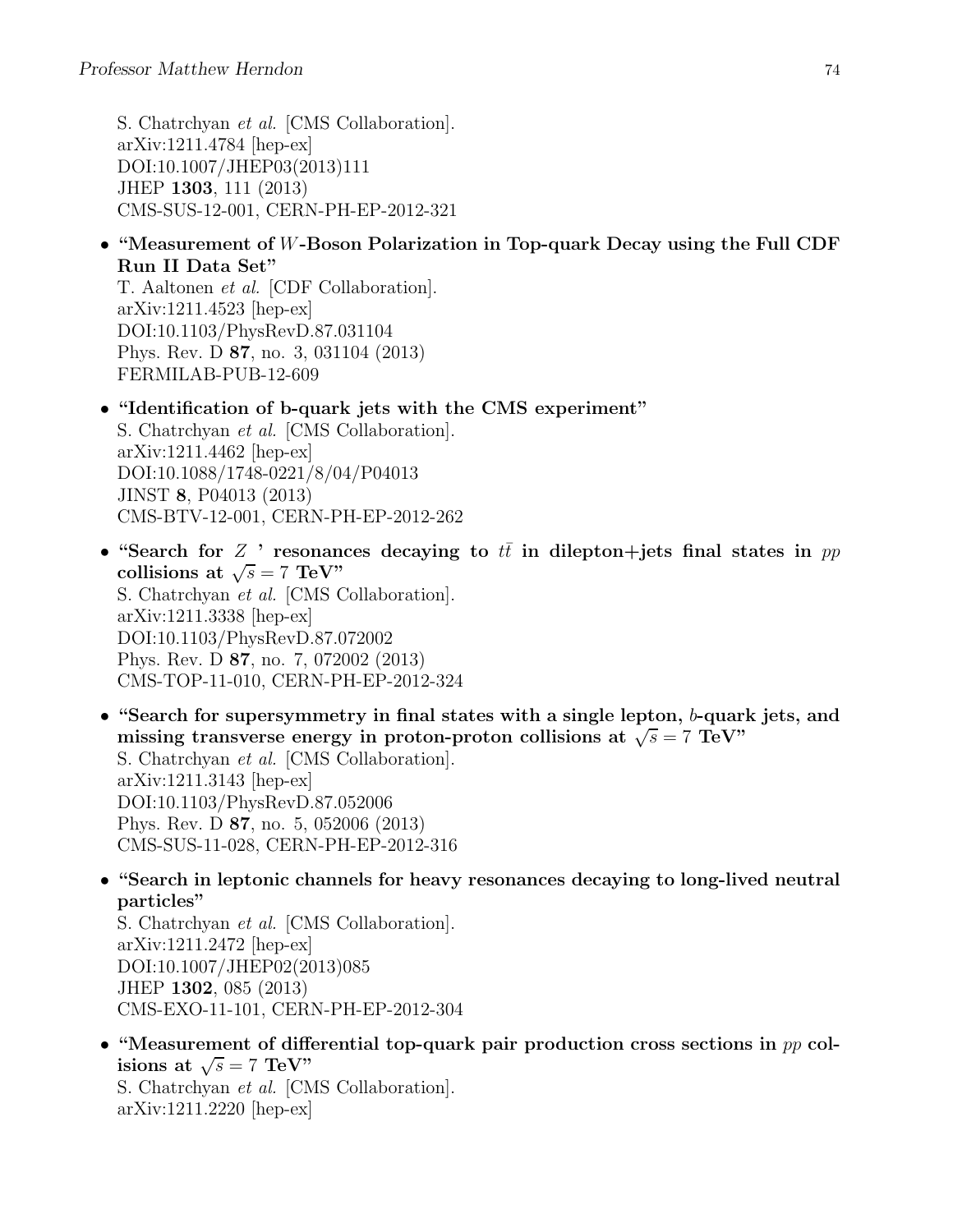S. Chatrchyan et al. [CMS Collaboration]. arXiv:1211.4784 [hep-ex] DOI:10.1007/JHEP03(2013)111 JHEP 1303, 111 (2013) CMS-SUS-12-001, CERN-PH-EP-2012-321

• "Measurement of W-Boson Polarization in Top-quark Decay using the Full CDF Run II Data Set"

T. Aaltonen et al. [CDF Collaboration]. arXiv:1211.4523 [hep-ex] DOI:10.1103/PhysRevD.87.031104 Phys. Rev. D 87, no. 3, 031104 (2013) FERMILAB-PUB-12-609

• "Identification of b-quark jets with the CMS experiment" S. Chatrchyan et al. [CMS Collaboration].

arXiv:1211.4462 [hep-ex] DOI:10.1088/1748-0221/8/04/P04013 JINST 8, P04013 (2013) CMS-BTV-12-001, CERN-PH-EP-2012-262

- "Search for Z ' resonances decaying to  $t\bar{t}$  in dilepton+jets final states in pp collisions at  $\sqrt{s} = 7 \text{ TeV}$ " S. Chatrchyan et al. [CMS Collaboration]. arXiv:1211.3338 [hep-ex] DOI:10.1103/PhysRevD.87.072002 Phys. Rev. D 87, no. 7, 072002 (2013) CMS-TOP-11-010, CERN-PH-EP-2012-324
- "Search for supersymmetry in final states with a single lepton, b-quark jets, and missing transverse energy in proton-proton collisions at  $\sqrt{s} = 7$  TeV" S. Chatrchyan et al. [CMS Collaboration]. arXiv:1211.3143 [hep-ex] DOI:10.1103/PhysRevD.87.052006 Phys. Rev. D 87, no. 5, 052006 (2013) CMS-SUS-11-028, CERN-PH-EP-2012-316
- "Search in leptonic channels for heavy resonances decaying to long-lived neutral particles"

S. Chatrchyan et al. [CMS Collaboration]. arXiv:1211.2472 [hep-ex] DOI:10.1007/JHEP02(2013)085 JHEP 1302, 085 (2013) CMS-EXO-11-101, CERN-PH-EP-2012-304

• "Measurement of differential top-quark pair production cross sections in pp colisions at  $\sqrt{s} = 7 \text{ TeV}$ " S. Chatrchyan et al. [CMS Collaboration]. arXiv:1211.2220 [hep-ex]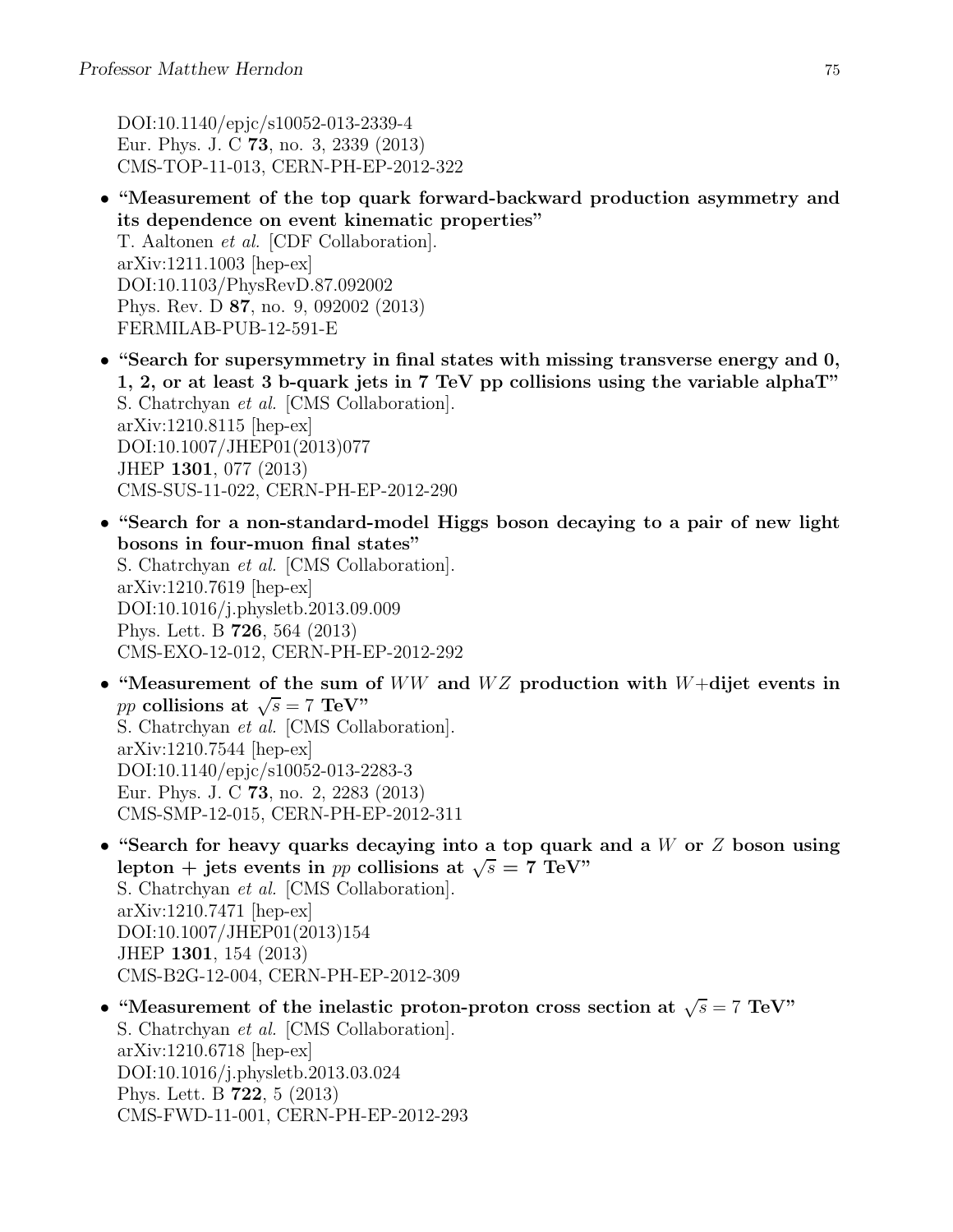DOI:10.1140/epjc/s10052-013-2339-4 Eur. Phys. J. C 73, no. 3, 2339 (2013) CMS-TOP-11-013, CERN-PH-EP-2012-322

- "Measurement of the top quark forward-backward production asymmetry and its dependence on event kinematic properties" T. Aaltonen et al. [CDF Collaboration]. arXiv:1211.1003 [hep-ex] DOI:10.1103/PhysRevD.87.092002 Phys. Rev. D 87, no. 9, 092002 (2013) FERMILAB-PUB-12-591-E
- "Search for supersymmetry in final states with missing transverse energy and 0, 1, 2, or at least 3 b-quark jets in 7 TeV pp collisions using the variable alphaT" S. Chatrchyan et al. [CMS Collaboration]. arXiv:1210.8115 [hep-ex] DOI:10.1007/JHEP01(2013)077 JHEP 1301, 077 (2013) CMS-SUS-11-022, CERN-PH-EP-2012-290
- "Search for a non-standard-model Higgs boson decaying to a pair of new light bosons in four-muon final states" S. Chatrchyan et al. [CMS Collaboration]. arXiv:1210.7619 [hep-ex] DOI:10.1016/j.physletb.2013.09.009 Phys. Lett. B 726, 564 (2013) CMS-EXO-12-012, CERN-PH-EP-2012-292
- "Measurement of the sum of  $WW$  and  $WZ$  production with  $W+\text{dijet}$  events in pp collisions at  $\sqrt{s} = 7 \text{ TeV}$ S. Chatrchyan et al. [CMS Collaboration]. arXiv:1210.7544 [hep-ex] DOI:10.1140/epjc/s10052-013-2283-3 Eur. Phys. J. C 73, no. 2, 2283 (2013) CMS-SMP-12-015, CERN-PH-EP-2012-311
- "Search for heavy quarks decaying into a top quark and a  $W$  or  $Z$  boson using lepton + jets events in pp collisions at  $\sqrt{s} = 7$  TeV" S. Chatrchyan et al. [CMS Collaboration]. arXiv:1210.7471 [hep-ex] DOI:10.1007/JHEP01(2013)154 JHEP 1301, 154 (2013) CMS-B2G-12-004, CERN-PH-EP-2012-309
- "Measurement of the inelastic proton-proton cross section at  $\sqrt{s} = 7 \text{ TeV}$ " S. Chatrchyan et al. [CMS Collaboration]. arXiv:1210.6718 [hep-ex] DOI:10.1016/j.physletb.2013.03.024 Phys. Lett. B 722, 5 (2013) CMS-FWD-11-001, CERN-PH-EP-2012-293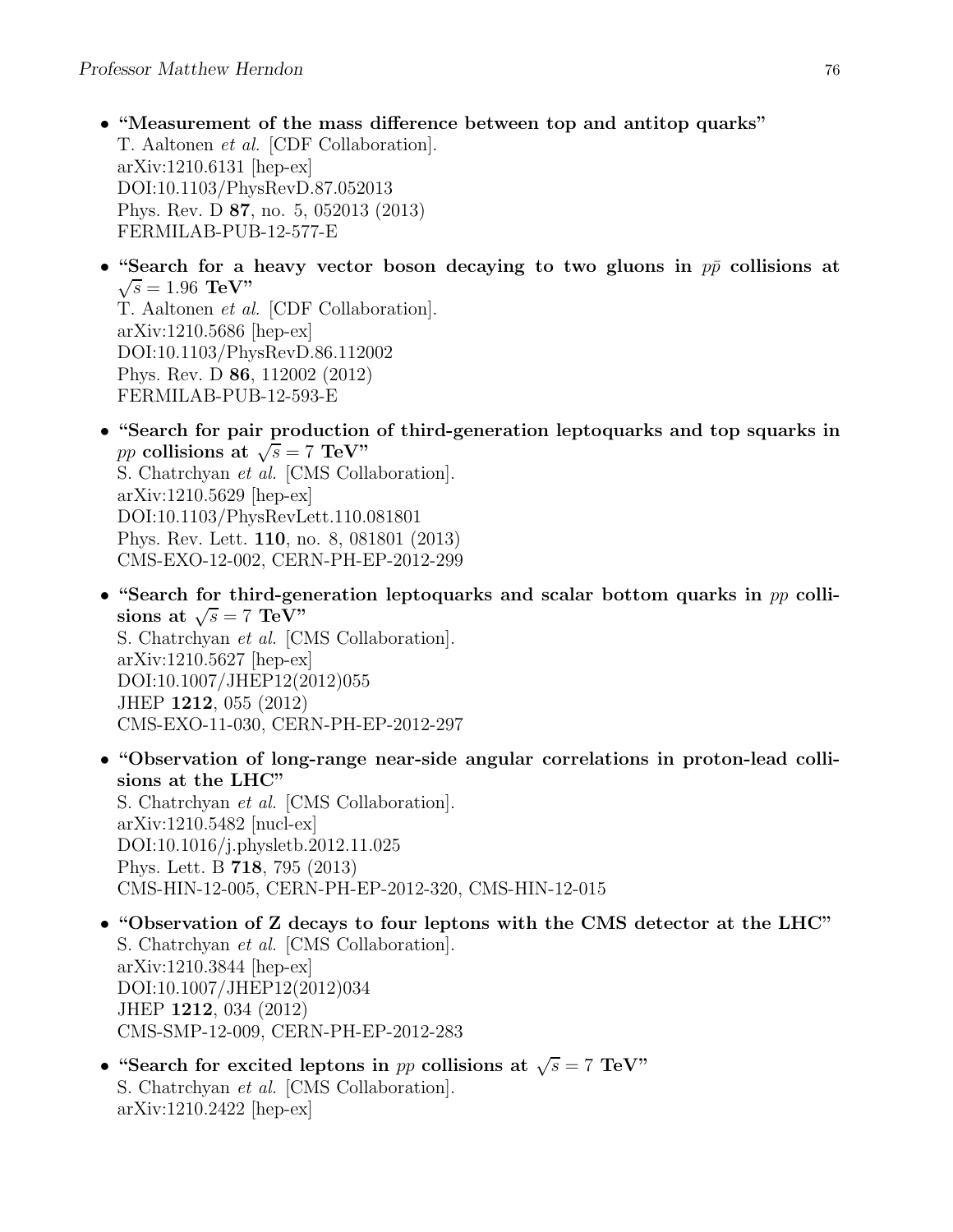- "Measurement of the mass difference between top and antitop quarks" T. Aaltonen et al. [CDF Collaboration]. arXiv:1210.6131 [hep-ex] DOI:10.1103/PhysRevD.87.052013 Phys. Rev. D 87, no. 5, 052013 (2013) FERMILAB-PUB-12-577-E
- "Search for a heavy vector boson decaying to two gluons in  $p\bar{p}$  collisions at  $\sqrt{s} = 1.96 \text{ TeV}$ " T. Aaltonen et al. [CDF Collaboration]. arXiv:1210.5686 [hep-ex] DOI:10.1103/PhysRevD.86.112002 Phys. Rev. D 86, 112002 (2012) FERMILAB-PUB-12-593-E
- "Search for pair production of third-generation leptoquarks and top squarks in pp collisions at  $\sqrt{s} = 7$  TeV" S. Chatrchyan et al. [CMS Collaboration]. arXiv:1210.5629 [hep-ex] DOI:10.1103/PhysRevLett.110.081801 Phys. Rev. Lett. 110, no. 8, 081801 (2013) CMS-EXO-12-002, CERN-PH-EP-2012-299
- "Search for third-generation leptoquarks and scalar bottom quarks in  $pp$  collisions at  $\sqrt{s} = 7 \text{ TeV}$ " S. Chatrchyan et al. [CMS Collaboration]. arXiv:1210.5627 [hep-ex] DOI:10.1007/JHEP12(2012)055 JHEP 1212, 055 (2012) CMS-EXO-11-030, CERN-PH-EP-2012-297
- "Observation of long-range near-side angular correlations in proton-lead collisions at the LHC" S. Chatrchyan et al. [CMS Collaboration]. arXiv:1210.5482 [nucl-ex] DOI:10.1016/j.physletb.2012.11.025 Phys. Lett. B 718, 795 (2013) CMS-HIN-12-005, CERN-PH-EP-2012-320, CMS-HIN-12-015
- "Observation of Z decays to four leptons with the CMS detector at the LHC" S. Chatrchyan et al. [CMS Collaboration]. arXiv:1210.3844 [hep-ex] DOI:10.1007/JHEP12(2012)034 JHEP 1212, 034 (2012) CMS-SMP-12-009, CERN-PH-EP-2012-283
- "Search for excited leptons in pp collisions at  $\sqrt{s} = 7$  TeV" S. Chatrchyan et al. [CMS Collaboration]. arXiv:1210.2422 [hep-ex]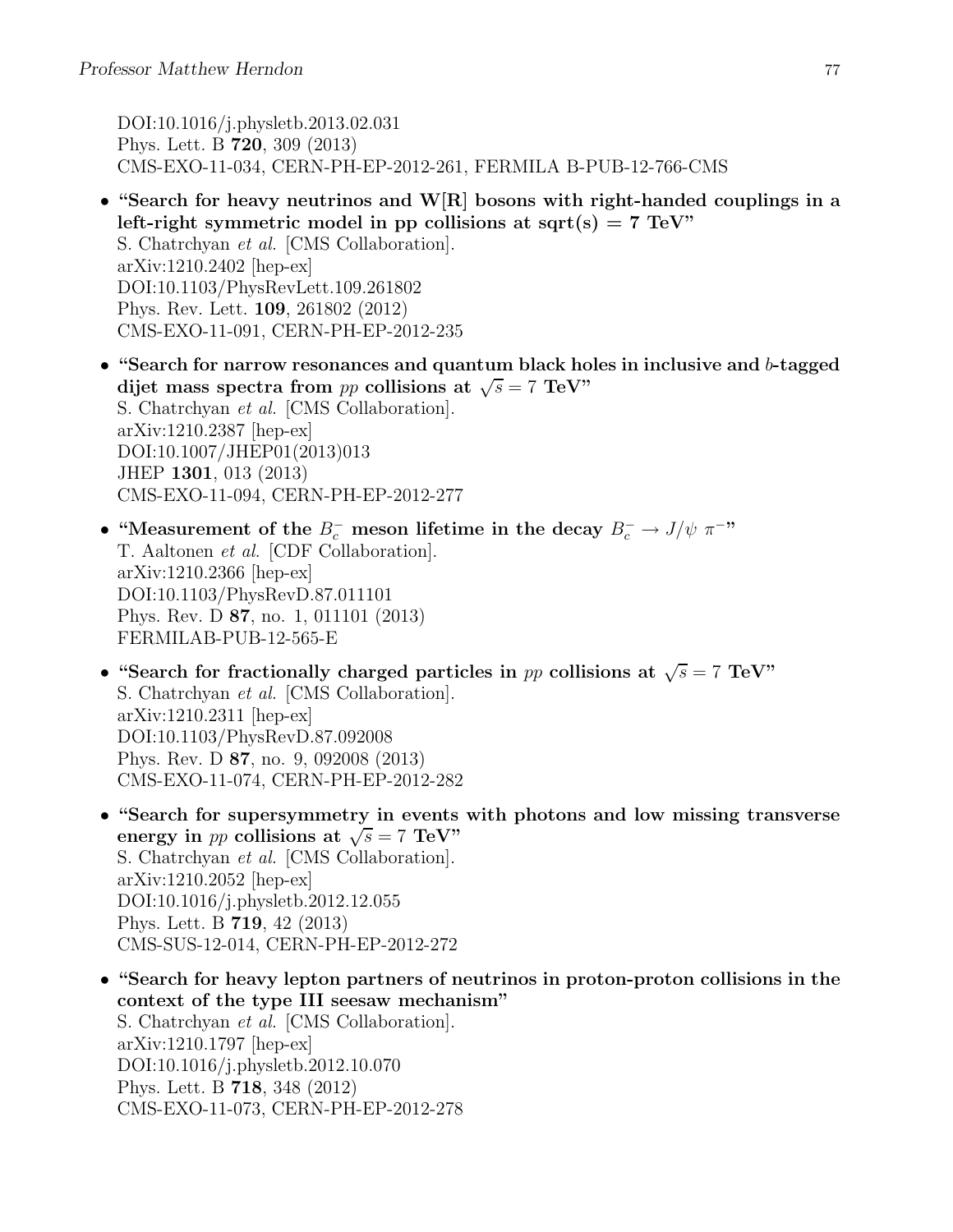DOI:10.1016/j.physletb.2013.02.031 Phys. Lett. B 720, 309 (2013) CMS-EXO-11-034, CERN-PH-EP-2012-261, FERMILA B-PUB-12-766-CMS

- "Search for heavy neutrinos and W[R] bosons with right-handed couplings in a left-right symmetric model in pp collisions at sqrt(s) =  $7 \text{ TeV}$ " S. Chatrchyan et al. [CMS Collaboration]. arXiv:1210.2402 [hep-ex] DOI:10.1103/PhysRevLett.109.261802 Phys. Rev. Lett. 109, 261802 (2012) CMS-EXO-11-091, CERN-PH-EP-2012-235
- "Search for narrow resonances and quantum black holes in inclusive and b-tagged dijet mass spectra from pp collisions at  $\sqrt{s} = 7$  TeV" S. Chatrchyan et al. [CMS Collaboration]. arXiv:1210.2387 [hep-ex] DOI:10.1007/JHEP01(2013)013 JHEP 1301, 013 (2013) CMS-EXO-11-094, CERN-PH-EP-2012-277
- "Measurement of the  $B_c^-$  meson lifetime in the decay  $B_c^- \to J/\psi \pi^{-\gamma}$ T. Aaltonen et al. [CDF Collaboration]. arXiv:1210.2366 [hep-ex] DOI:10.1103/PhysRevD.87.011101 Phys. Rev. D 87, no. 1, 011101 (2013) FERMILAB-PUB-12-565-E
- "Search for fractionally charged particles in pp collisions at  $\sqrt{s} = 7$  TeV" S. Chatrchyan et al. [CMS Collaboration]. arXiv:1210.2311 [hep-ex] DOI:10.1103/PhysRevD.87.092008 Phys. Rev. D 87, no. 9, 092008 (2013) CMS-EXO-11-074, CERN-PH-EP-2012-282
- "Search for supersymmetry in events with photons and low missing transverse energy in *pp* collisions at  $\sqrt{s} = 7$  TeV" S. Chatrchyan et al. [CMS Collaboration]. arXiv:1210.2052 [hep-ex] DOI:10.1016/j.physletb.2012.12.055 Phys. Lett. B 719, 42 (2013) CMS-SUS-12-014, CERN-PH-EP-2012-272
- "Search for heavy lepton partners of neutrinos in proton-proton collisions in the context of the type III seesaw mechanism" S. Chatrchyan et al. [CMS Collaboration]. arXiv:1210.1797 [hep-ex] DOI:10.1016/j.physletb.2012.10.070 Phys. Lett. B 718, 348 (2012) CMS-EXO-11-073, CERN-PH-EP-2012-278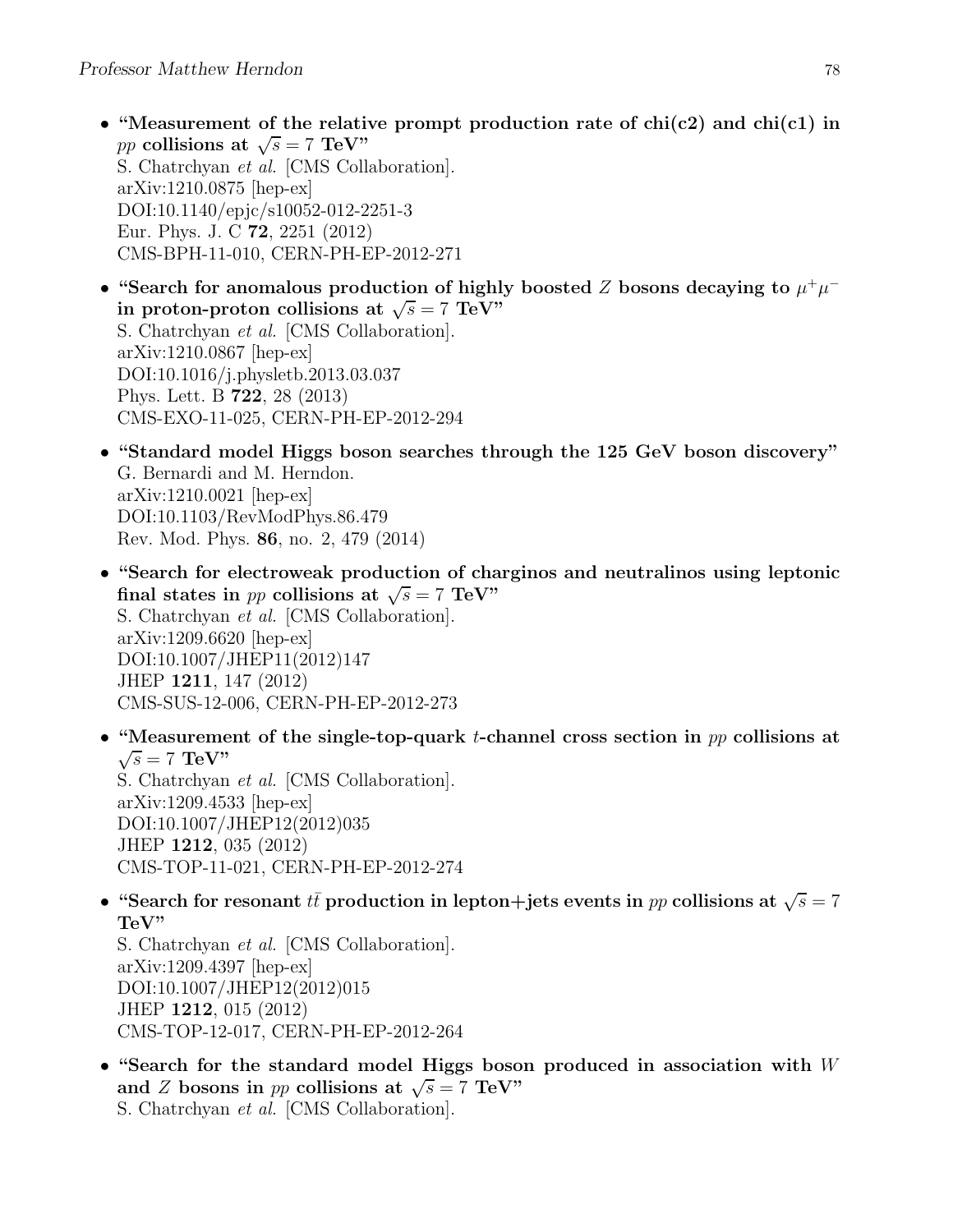- "Measurement of the relative prompt production rate of  $\text{chi}(c2)$  and  $\text{chi}(c1)$  in pp collisions at  $\sqrt{s} = 7$  TeV" S. Chatrchyan et al. [CMS Collaboration]. arXiv:1210.0875 [hep-ex] DOI:10.1140/epjc/s10052-012-2251-3 Eur. Phys. J. C 72, 2251 (2012) CMS-BPH-11-010, CERN-PH-EP-2012-271
- "Search for anomalous production of highly boosted Z bosons decaying to  $\mu^+\mu^$ in proton-proton collisions at  $\sqrt{s} = 7 \text{ TeV}^{\frac{3}{2}}$ S. Chatrchyan et al. [CMS Collaboration]. arXiv:1210.0867 [hep-ex] DOI:10.1016/j.physletb.2013.03.037 Phys. Lett. B 722, 28 (2013) CMS-EXO-11-025, CERN-PH-EP-2012-294
- "Standard model Higgs boson searches through the 125 GeV boson discovery" G. Bernardi and M. Herndon. arXiv:1210.0021 [hep-ex] DOI:10.1103/RevModPhys.86.479 Rev. Mod. Phys. 86, no. 2, 479 (2014)
- "Search for electroweak production of charginos and neutralinos using leptonic final states in *pp* collisions at  $\sqrt{s} = 7$  TeV" S. Chatrchyan et al. [CMS Collaboration]. arXiv:1209.6620 [hep-ex] DOI:10.1007/JHEP11(2012)147 JHEP 1211, 147 (2012) CMS-SUS-12-006, CERN-PH-EP-2012-273
- "Measurement of the single-top-quark t-channel cross section in  $pp$  collisions at  $\sqrt{s} = 7 \text{ TeV}$ " S. Chatrchyan et al. [CMS Collaboration]. arXiv:1209.4533 [hep-ex] DOI:10.1007/JHEP12(2012)035 JHEP 1212, 035 (2012) CMS-TOP-11-021, CERN-PH-EP-2012-274
- "Search for resonant  $t\bar{t}$  production in lepton+jets events in pp collisions at  $\sqrt{s} = 7$ TeV"

S. Chatrchyan et al. [CMS Collaboration]. arXiv:1209.4397 [hep-ex] DOI:10.1007/JHEP12(2012)015 JHEP 1212, 015 (2012) CMS-TOP-12-017, CERN-PH-EP-2012-264

• "Search for the standard model Higgs boson produced in association with  $W$ and Z bosons in pp collisions at  $\sqrt{s} = 7$  TeV" S. Chatrchyan et al. [CMS Collaboration].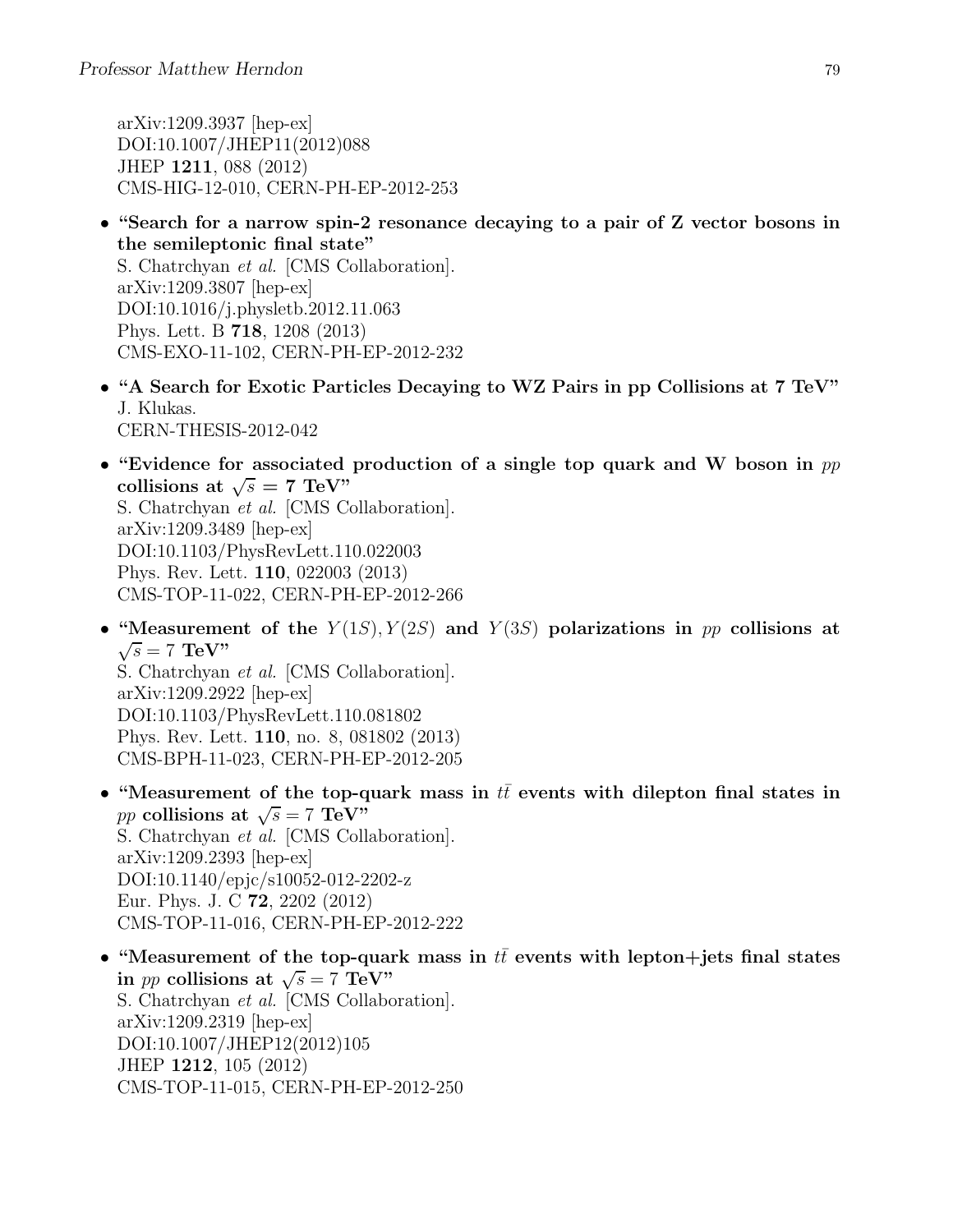arXiv:1209.3937 [hep-ex] DOI:10.1007/JHEP11(2012)088 JHEP 1211, 088 (2012) CMS-HIG-12-010, CERN-PH-EP-2012-253

- "Search for a narrow spin-2 resonance decaying to a pair of Z vector bosons in the semileptonic final state" S. Chatrchyan et al. [CMS Collaboration]. arXiv:1209.3807 [hep-ex] DOI:10.1016/j.physletb.2012.11.063 Phys. Lett. B 718, 1208 (2013) CMS-EXO-11-102, CERN-PH-EP-2012-232
- "A Search for Exotic Particles Decaying to WZ Pairs in pp Collisions at 7 TeV" J. Klukas. CERN-THESIS-2012-042
- "Evidence for associated production of a single top quark and W boson in  $pp$ collisions at  $\sqrt{s} = 7 \text{ TeV}$ " S. Chatrchyan et al. [CMS Collaboration]. arXiv:1209.3489 [hep-ex] DOI:10.1103/PhysRevLett.110.022003 Phys. Rev. Lett. 110, 022003 (2013) CMS-TOP-11-022, CERN-PH-EP-2012-266
- "Measurement of the  $Y(1S)$ ,  $Y(2S)$  and  $Y(3S)$  polarizations in pp collisions at  $\sqrt{s} = 7$  TeV" S. Chatrchyan et al. [CMS Collaboration]. arXiv:1209.2922 [hep-ex] DOI:10.1103/PhysRevLett.110.081802 Phys. Rev. Lett. 110, no. 8, 081802 (2013) CMS-BPH-11-023, CERN-PH-EP-2012-205
- "Measurement of the top-quark mass in  $t\bar{t}$  events with dilepton final states in pp collisions at  $\sqrt{s} = 7 \text{ TeV}^{\prime\prime}$ S. Chatrchyan et al. [CMS Collaboration]. arXiv:1209.2393 [hep-ex] DOI:10.1140/epjc/s10052-012-2202-z Eur. Phys. J. C 72, 2202 (2012) CMS-TOP-11-016, CERN-PH-EP-2012-222
- "Measurement of the top-quark mass in  $t\bar{t}$  events with lepton+jets final states in *pp* collisions at  $\sqrt{s} = 7 \text{ TeV}$ " S. Chatrchyan et al. [CMS Collaboration]. arXiv:1209.2319 [hep-ex] DOI:10.1007/JHEP12(2012)105 JHEP 1212, 105 (2012) CMS-TOP-11-015, CERN-PH-EP-2012-250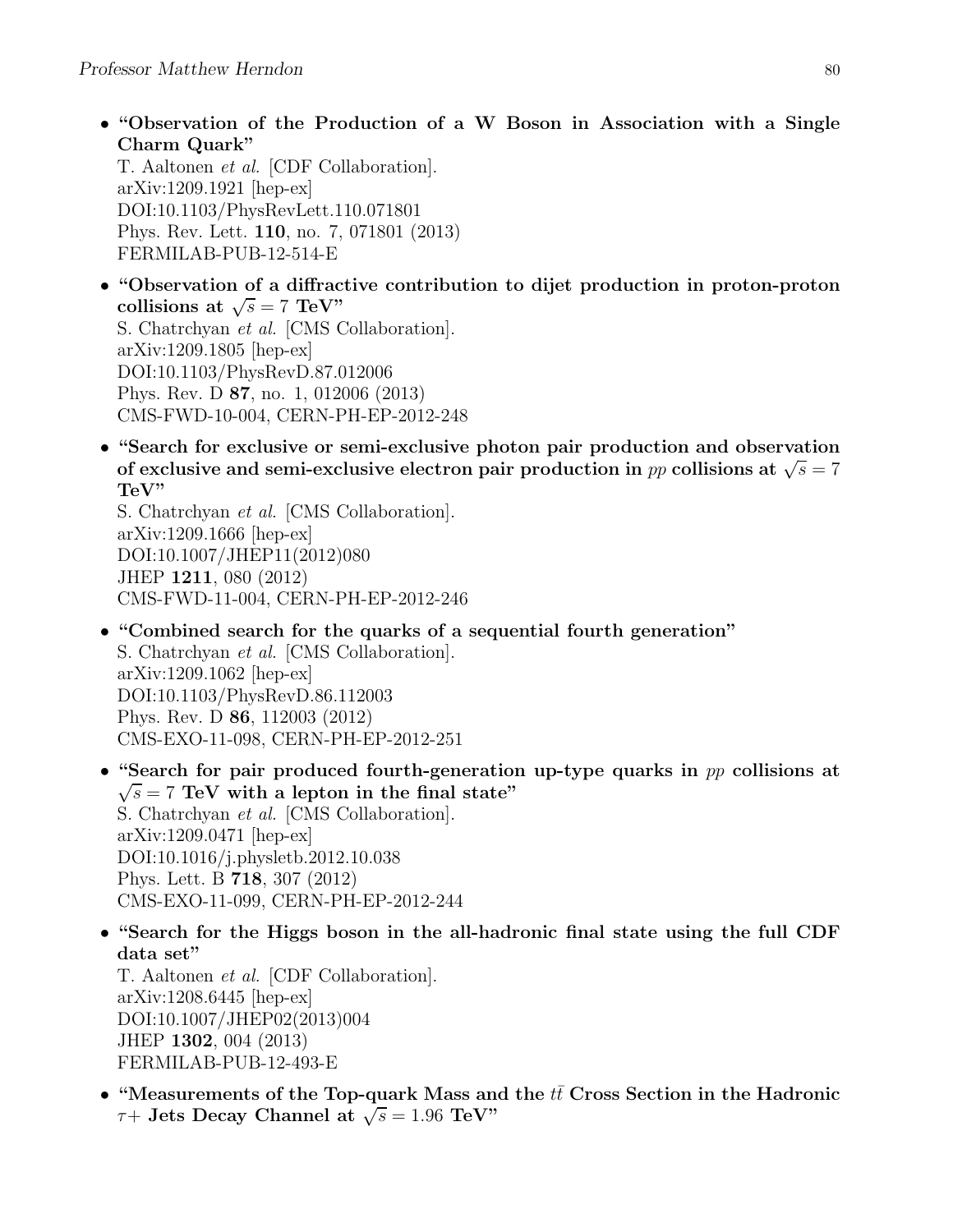• "Observation of the Production of a W Boson in Association with a Single Charm Quark"

T. Aaltonen et al. [CDF Collaboration]. arXiv:1209.1921 [hep-ex] DOI:10.1103/PhysRevLett.110.071801 Phys. Rev. Lett. 110, no. 7, 071801 (2013) FERMILAB-PUB-12-514-E

- "Observation of a diffractive contribution to dijet production in proton-proton collisions at  $\sqrt{s} = 7 \text{ TeV}$ " S. Chatrchyan et al. [CMS Collaboration]. arXiv:1209.1805 [hep-ex] DOI:10.1103/PhysRevD.87.012006 Phys. Rev. D 87, no. 1, 012006 (2013) CMS-FWD-10-004, CERN-PH-EP-2012-248
- "Search for exclusive or semi-exclusive photon pair production and observation of exclusive and semi-exclusive electron pair production in pp collisions at  $\sqrt{s} = 7$ TeV"

S. Chatrchyan et al. [CMS Collaboration]. arXiv:1209.1666 [hep-ex] DOI:10.1007/JHEP11(2012)080 JHEP 1211, 080 (2012) CMS-FWD-11-004, CERN-PH-EP-2012-246

- "Combined search for the quarks of a sequential fourth generation" S. Chatrchyan et al. [CMS Collaboration]. arXiv:1209.1062 [hep-ex] DOI:10.1103/PhysRevD.86.112003 Phys. Rev. D 86, 112003 (2012) CMS-EXO-11-098, CERN-PH-EP-2012-251
- "Search for pair produced fourth-generation up-type quarks in pp collisions at  $\sqrt{s}$  = 7 TeV with a lepton in the final state" S. Chatrchyan et al. [CMS Collaboration]. arXiv:1209.0471 [hep-ex] DOI:10.1016/j.physletb.2012.10.038 Phys. Lett. B 718, 307 (2012) CMS-EXO-11-099, CERN-PH-EP-2012-244
- "Search for the Higgs boson in the all-hadronic final state using the full CDF data set"

T. Aaltonen et al. [CDF Collaboration]. arXiv:1208.6445 [hep-ex] DOI:10.1007/JHEP02(2013)004 JHEP 1302, 004 (2013) FERMILAB-PUB-12-493-E

• "Measurements of the Top-quark Mass and the  $t\bar{t}$  Cross Section in the Hadronic  $\tau$ + Jets Decay Channel at  $\sqrt{s} = 1.96 \text{ TeV}$ "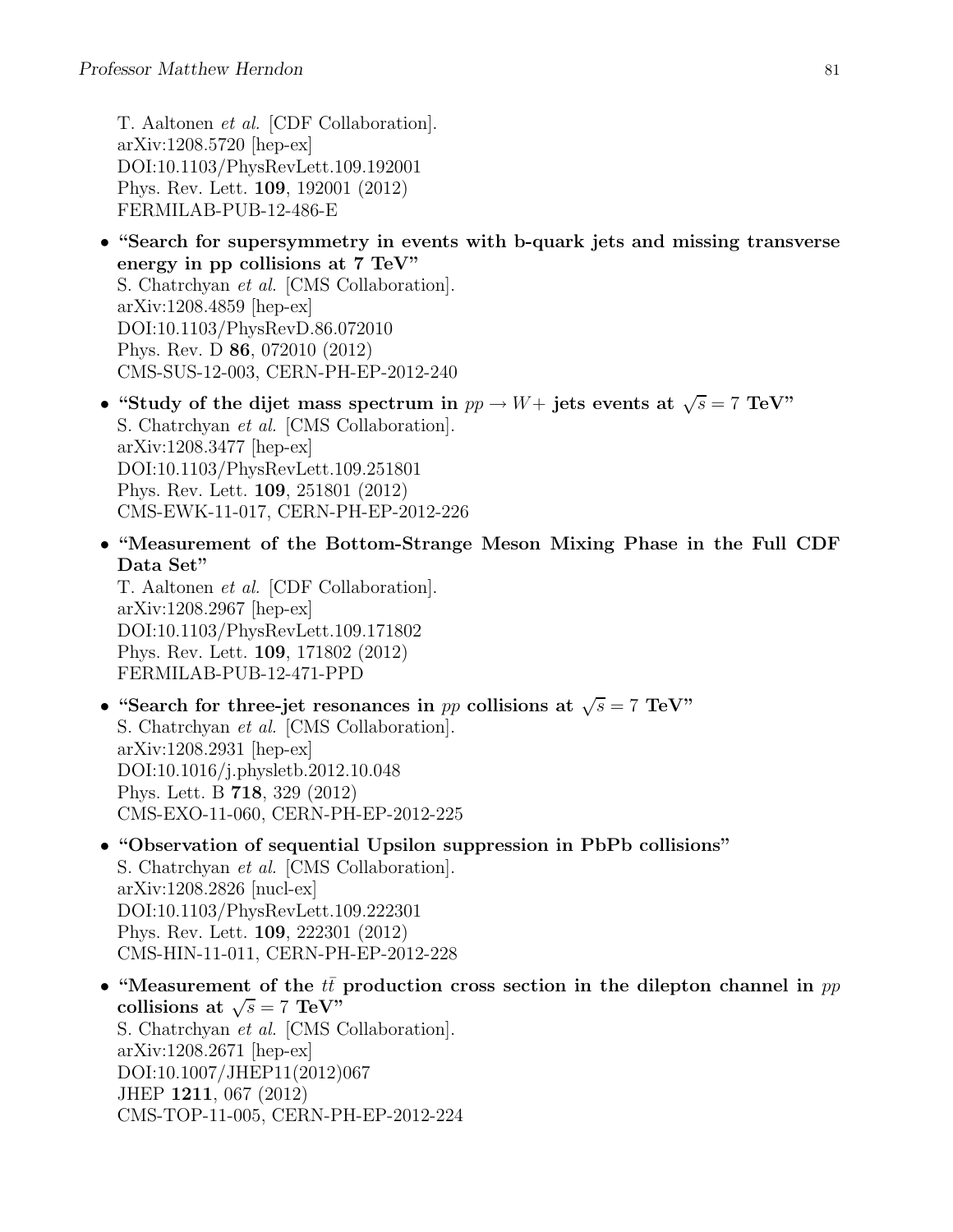T. Aaltonen et al. [CDF Collaboration]. arXiv:1208.5720 [hep-ex] DOI:10.1103/PhysRevLett.109.192001 Phys. Rev. Lett. 109, 192001 (2012) FERMILAB-PUB-12-486-E

- "Search for supersymmetry in events with b-quark jets and missing transverse energy in pp collisions at 7 TeV" S. Chatrchyan et al. [CMS Collaboration]. arXiv:1208.4859 [hep-ex] DOI:10.1103/PhysRevD.86.072010 Phys. Rev. D 86, 072010 (2012) CMS-SUS-12-003, CERN-PH-EP-2012-240
- "Study of the dijet mass spectrum in  $pp \to W+$  jets events at  $\sqrt{s} = 7$  TeV" S. Chatrchyan et al. [CMS Collaboration]. arXiv:1208.3477 [hep-ex] DOI:10.1103/PhysRevLett.109.251801 Phys. Rev. Lett. 109, 251801 (2012) CMS-EWK-11-017, CERN-PH-EP-2012-226
- "Measurement of the Bottom-Strange Meson Mixing Phase in the Full CDF Data Set"

T. Aaltonen et al. [CDF Collaboration]. arXiv:1208.2967 [hep-ex] DOI:10.1103/PhysRevLett.109.171802 Phys. Rev. Lett. 109, 171802 (2012) FERMILAB-PUB-12-471-PPD

- "Search for three-jet resonances in pp collisions at  $\sqrt{s} = 7$  TeV" S. Chatrchyan et al. [CMS Collaboration]. arXiv:1208.2931 [hep-ex] DOI:10.1016/j.physletb.2012.10.048 Phys. Lett. B 718, 329 (2012) CMS-EXO-11-060, CERN-PH-EP-2012-225
- "Observation of sequential Upsilon suppression in PbPb collisions" S. Chatrchyan et al. [CMS Collaboration]. arXiv:1208.2826 [nucl-ex] DOI:10.1103/PhysRevLett.109.222301 Phys. Rev. Lett. 109, 222301 (2012) CMS-HIN-11-011, CERN-PH-EP-2012-228
- "Measurement of the  $t\bar{t}$  production cross section in the dilepton channel in pp collisions at  $\sqrt{s} = 7 \text{ TeV}$ . S. Chatrchyan et al. [CMS Collaboration]. arXiv:1208.2671 [hep-ex] DOI:10.1007/JHEP11(2012)067 JHEP 1211, 067 (2012) CMS-TOP-11-005, CERN-PH-EP-2012-224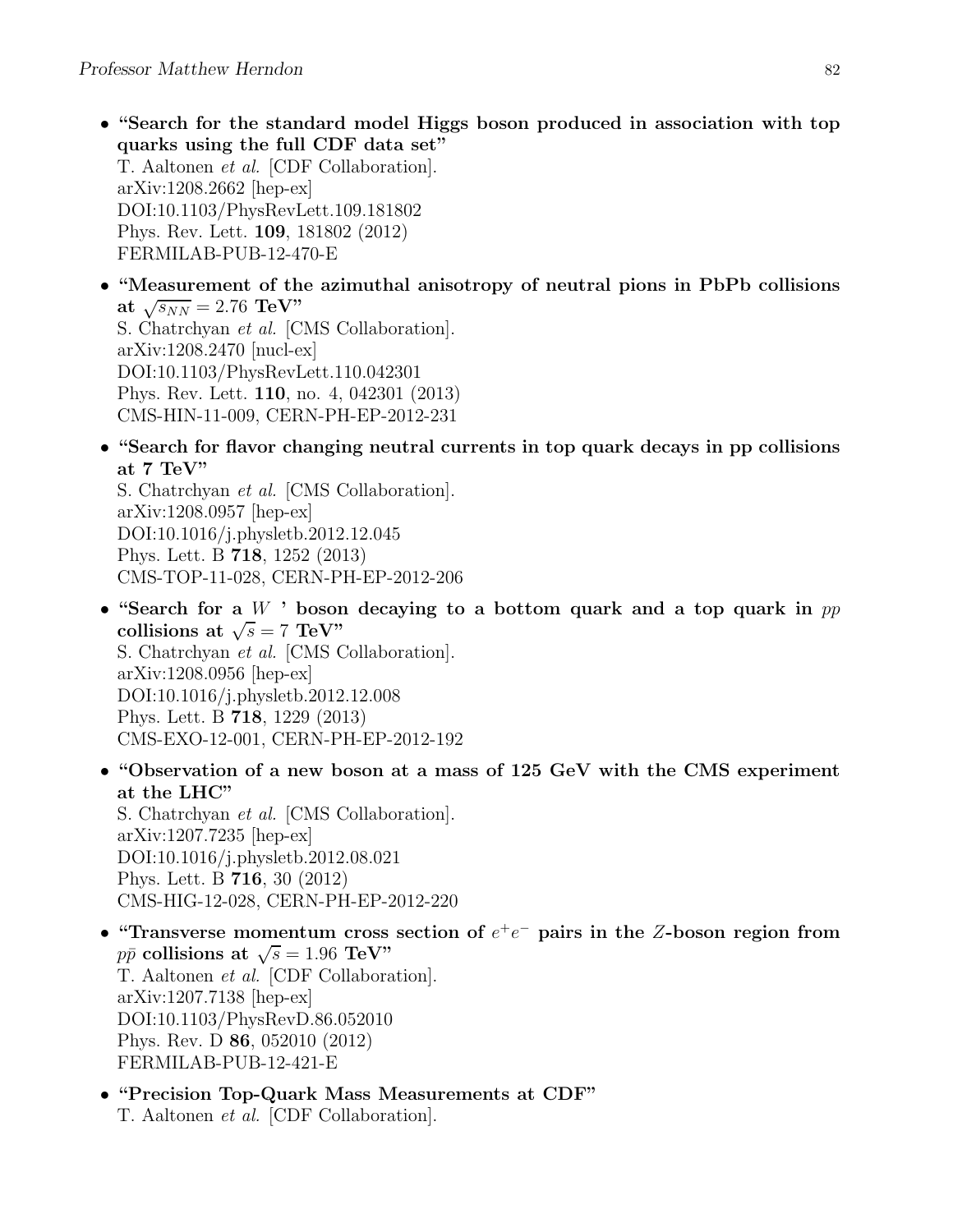- "Search for the standard model Higgs boson produced in association with top quarks using the full CDF data set" T. Aaltonen et al. [CDF Collaboration]. arXiv:1208.2662 [hep-ex] DOI:10.1103/PhysRevLett.109.181802 Phys. Rev. Lett. 109, 181802 (2012) FERMILAB-PUB-12-470-E
- "Measurement of the azimuthal anisotropy of neutral pions in PbPb collisions at  $\sqrt{s_{NN}} = 2.76 \text{ TeV}$ " S. Chatrchyan et al. [CMS Collaboration]. arXiv:1208.2470 [nucl-ex] DOI:10.1103/PhysRevLett.110.042301 Phys. Rev. Lett. 110, no. 4, 042301 (2013) CMS-HIN-11-009, CERN-PH-EP-2012-231
- "Search for flavor changing neutral currents in top quark decays in pp collisions at 7 TeV"

S. Chatrchyan et al. [CMS Collaboration]. arXiv:1208.0957 [hep-ex] DOI:10.1016/j.physletb.2012.12.045 Phys. Lett. B 718, 1252 (2013) CMS-TOP-11-028, CERN-PH-EP-2012-206

- "Search for a  $W$  ' boson decaying to a bottom quark and a top quark in  $pp$ collisions at  $\sqrt{s} = 7 \text{ TeV}$ " S. Chatrchyan et al. [CMS Collaboration]. arXiv:1208.0956 [hep-ex] DOI:10.1016/j.physletb.2012.12.008 Phys. Lett. B 718, 1229 (2013) CMS-EXO-12-001, CERN-PH-EP-2012-192
- "Observation of a new boson at a mass of 125 GeV with the CMS experiment at the LHC" S. Chatrchyan et al. [CMS Collaboration]. arXiv:1207.7235 [hep-ex]

DOI:10.1016/j.physletb.2012.08.021 Phys. Lett. B 716, 30 (2012) CMS-HIG-12-028, CERN-PH-EP-2012-220

- "Transverse momentum cross section of  $e^+e^-$  pairs in the Z-boson region from  $p\bar{p}$  collisions at  $\sqrt{s} = 1.96 \text{ TeV}$ " T. Aaltonen et al. [CDF Collaboration]. arXiv:1207.7138 [hep-ex] DOI:10.1103/PhysRevD.86.052010 Phys. Rev. D 86, 052010 (2012) FERMILAB-PUB-12-421-E
- "Precision Top-Quark Mass Measurements at CDF" T. Aaltonen et al. [CDF Collaboration].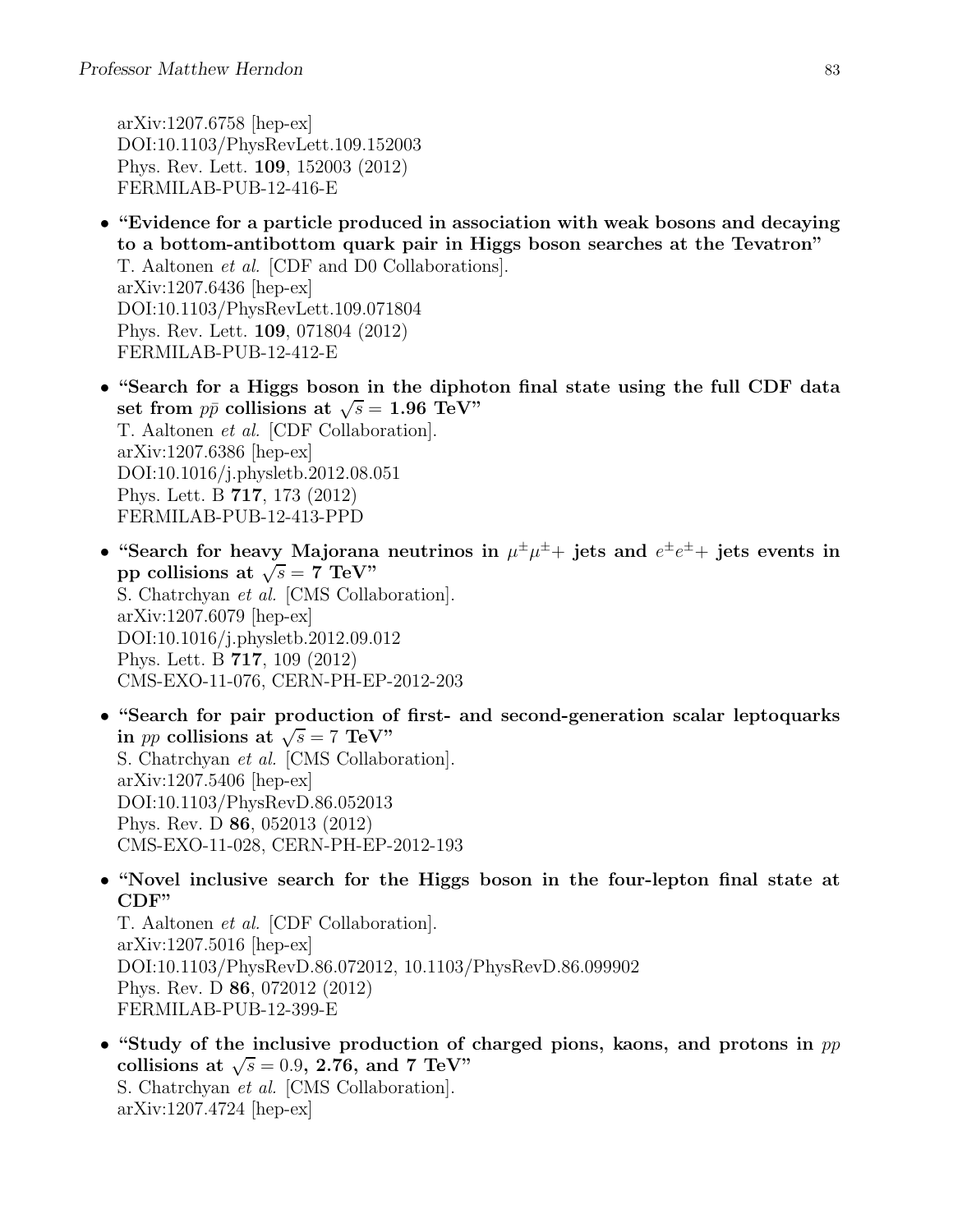arXiv:1207.6758 [hep-ex] DOI:10.1103/PhysRevLett.109.152003 Phys. Rev. Lett. 109, 152003 (2012) FERMILAB-PUB-12-416-E

- "Evidence for a particle produced in association with weak bosons and decaying to a bottom-antibottom quark pair in Higgs boson searches at the Tevatron" T. Aaltonen et al. [CDF and D0 Collaborations]. arXiv:1207.6436 [hep-ex] DOI:10.1103/PhysRevLett.109.071804 Phys. Rev. Lett. 109, 071804 (2012) FERMILAB-PUB-12-412-E
- "Search for a Higgs boson in the diphoton final state using the full CDF data set from  $p\bar{p}$  collisions at  $\sqrt{s} = 1.96 \text{ TeV}$ " T. Aaltonen et al. [CDF Collaboration]. arXiv:1207.6386 [hep-ex] DOI:10.1016/j.physletb.2012.08.051 Phys. Lett. B 717, 173 (2012) FERMILAB-PUB-12-413-PPD
- "Search for heavy Majorana neutrinos in  $\mu^{\pm} \mu^{\pm}$  jets and  $e^{\pm} e^{\pm}$  jets events in pp collisions at  $\sqrt{s} = 7$  TeV" S. Chatrchyan et al. [CMS Collaboration]. arXiv:1207.6079 [hep-ex] DOI:10.1016/j.physletb.2012.09.012 Phys. Lett. B 717, 109 (2012) CMS-EXO-11-076, CERN-PH-EP-2012-203
- "Search for pair production of first- and second-generation scalar leptoquarks in *pp* collisions at  $\sqrt{s} = 7$  TeV" S. Chatrchyan et al. [CMS Collaboration]. arXiv:1207.5406 [hep-ex] DOI:10.1103/PhysRevD.86.052013 Phys. Rev. D 86, 052013 (2012) CMS-EXO-11-028, CERN-PH-EP-2012-193
- "Novel inclusive search for the Higgs boson in the four-lepton final state at CDF"

T. Aaltonen et al. [CDF Collaboration]. arXiv:1207.5016 [hep-ex] DOI:10.1103/PhysRevD.86.072012, 10.1103/PhysRevD.86.099902 Phys. Rev. D 86, 072012 (2012) FERMILAB-PUB-12-399-E

• "Study of the inclusive production of charged pions, kaons, and protons in  $pp$ collisions at  $\sqrt{s} = 0.9$ , 2.76, and 7 TeV" S. Chatrchyan et al. [CMS Collaboration]. arXiv:1207.4724 [hep-ex]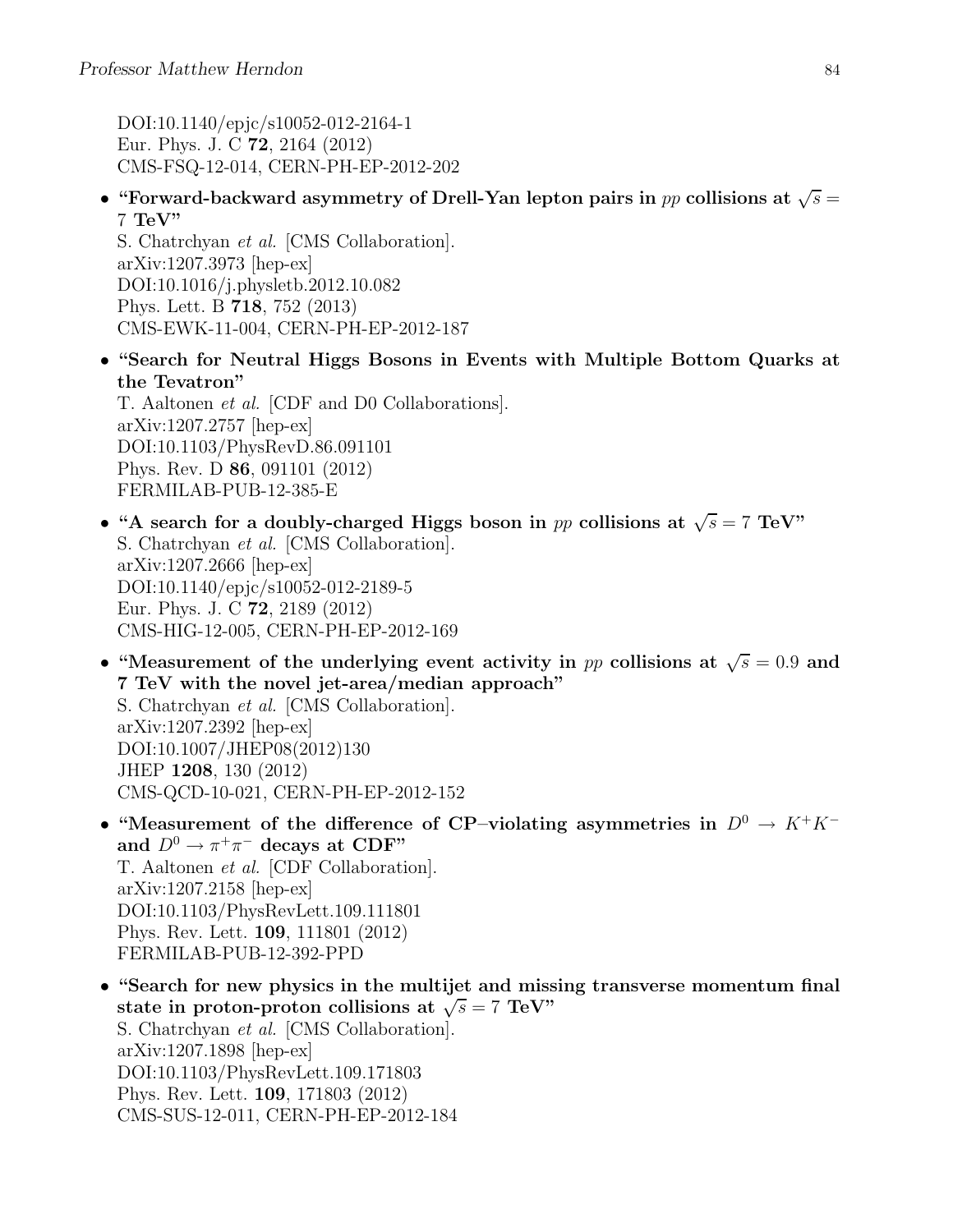DOI:10.1140/epjc/s10052-012-2164-1 Eur. Phys. J. C 72, 2164 (2012) CMS-FSQ-12-014, CERN-PH-EP-2012-202

• "Forward-backward asymmetry of Drell-Yan lepton pairs in  $pp$  collisions at  $\sqrt{s} =$  $7 \text{ TeV}$ 

S. Chatrchyan et al. [CMS Collaboration]. arXiv:1207.3973 [hep-ex] DOI:10.1016/j.physletb.2012.10.082 Phys. Lett. B 718, 752 (2013) CMS-EWK-11-004, CERN-PH-EP-2012-187

• "Search for Neutral Higgs Bosons in Events with Multiple Bottom Quarks at the Tevatron"

T. Aaltonen et al. [CDF and D0 Collaborations]. arXiv:1207.2757 [hep-ex] DOI:10.1103/PhysRevD.86.091101 Phys. Rev. D 86, 091101 (2012) FERMILAB-PUB-12-385-E

- "A search for a doubly-charged Higgs boson in pp collisions at  $\sqrt{s} = 7 \text{ TeV}$ " S. Chatrchyan et al. [CMS Collaboration]. arXiv:1207.2666 [hep-ex] DOI:10.1140/epjc/s10052-012-2189-5 Eur. Phys. J. C 72, 2189 (2012) CMS-HIG-12-005, CERN-PH-EP-2012-169
- "Measurement of the underlying event activity in pp collisions at  $\sqrt{s} = 0.9$  and 7 TeV with the novel jet-area/median approach" S. Chatrchyan et al. [CMS Collaboration]. arXiv:1207.2392 [hep-ex] DOI:10.1007/JHEP08(2012)130 JHEP 1208, 130 (2012) CMS-QCD-10-021, CERN-PH-EP-2012-152
- "Measurement of the difference of CP–violating asymmetries in  $D^0 \to K^+K^$ and  $D^0 \to \pi^+\pi^-$  decays at CDF" T. Aaltonen et al. [CDF Collaboration]. arXiv:1207.2158 [hep-ex] DOI:10.1103/PhysRevLett.109.111801 Phys. Rev. Lett. 109, 111801 (2012) FERMILAB-PUB-12-392-PPD
- "Search for new physics in the multijet and missing transverse momentum final state in proton-proton collisions at  $\sqrt{s} = 7$  TeV" S. Chatrchyan et al. [CMS Collaboration]. arXiv:1207.1898 [hep-ex] DOI:10.1103/PhysRevLett.109.171803 Phys. Rev. Lett. 109, 171803 (2012) CMS-SUS-12-011, CERN-PH-EP-2012-184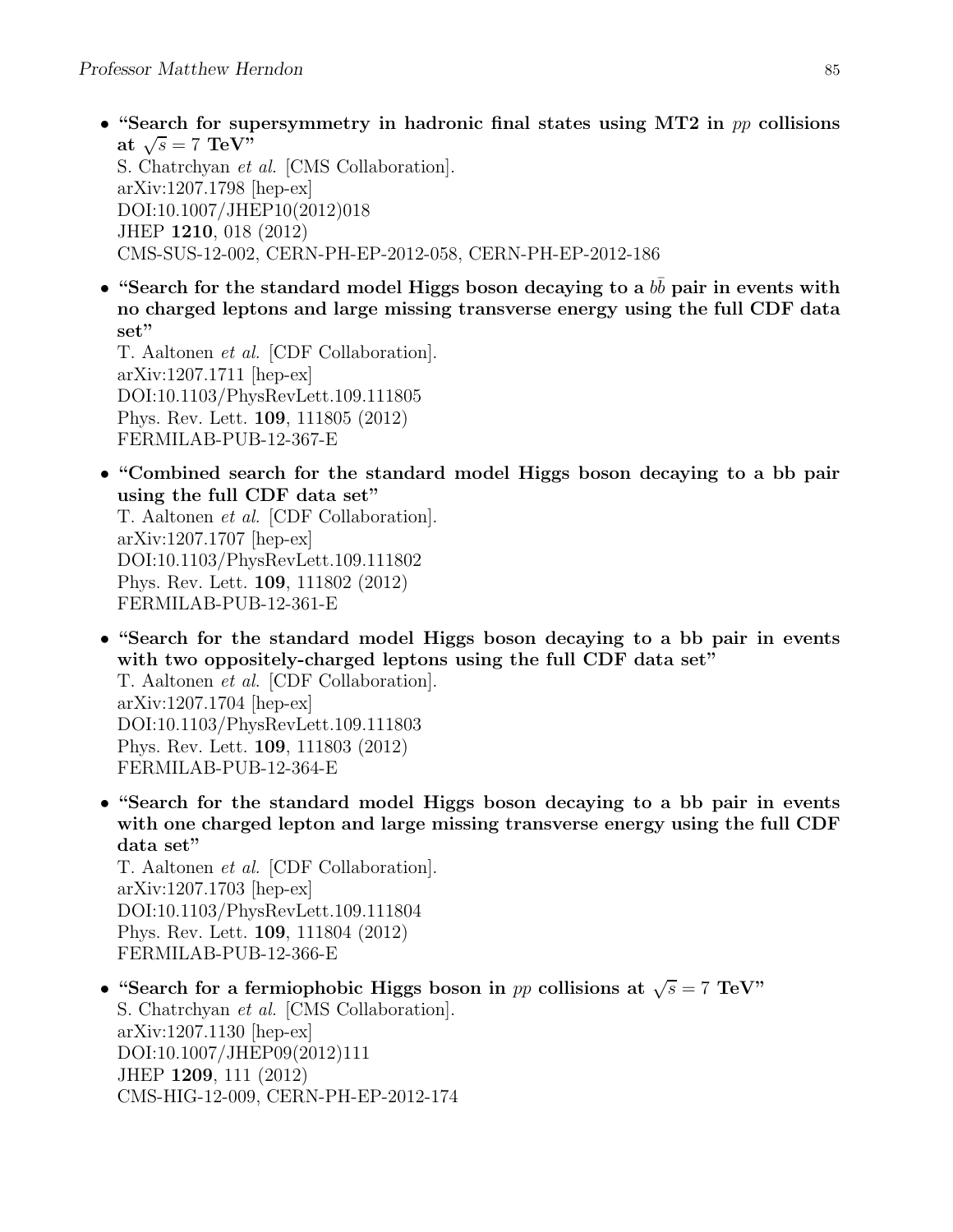- "Search for supersymmetry in hadronic final states using MT2 in  $pp$  collisions at  $\sqrt{s} = 7 \text{ TeV}^{\prime\prime}$ S. Chatrchyan et al. [CMS Collaboration]. arXiv:1207.1798 [hep-ex] DOI:10.1007/JHEP10(2012)018 JHEP 1210, 018 (2012) CMS-SUS-12-002, CERN-PH-EP-2012-058, CERN-PH-EP-2012-186
- "Search for the standard model Higgs boson decaying to a  $b\bar{b}$  pair in events with no charged leptons and large missing transverse energy using the full CDF data set"

T. Aaltonen et al. [CDF Collaboration]. arXiv:1207.1711 [hep-ex] DOI:10.1103/PhysRevLett.109.111805 Phys. Rev. Lett. 109, 111805 (2012) FERMILAB-PUB-12-367-E

• "Combined search for the standard model Higgs boson decaying to a bb pair using the full CDF data set"

T. Aaltonen et al. [CDF Collaboration]. arXiv:1207.1707 [hep-ex] DOI:10.1103/PhysRevLett.109.111802 Phys. Rev. Lett. 109, 111802 (2012) FERMILAB-PUB-12-361-E

- "Search for the standard model Higgs boson decaying to a bb pair in events with two oppositely-charged leptons using the full CDF data set" T. Aaltonen et al. [CDF Collaboration]. arXiv:1207.1704 [hep-ex] DOI:10.1103/PhysRevLett.109.111803 Phys. Rev. Lett. 109, 111803 (2012) FERMILAB-PUB-12-364-E
- "Search for the standard model Higgs boson decaying to a bb pair in events with one charged lepton and large missing transverse energy using the full CDF data set"

T. Aaltonen et al. [CDF Collaboration]. arXiv:1207.1703 [hep-ex] DOI:10.1103/PhysRevLett.109.111804 Phys. Rev. Lett. 109, 111804 (2012) FERMILAB-PUB-12-366-E

• "Search for a fermiophobic Higgs boson in pp collisions at  $\sqrt{s} = 7$  TeV" S. Chatrchyan et al. [CMS Collaboration]. arXiv:1207.1130 [hep-ex] DOI:10.1007/JHEP09(2012)111 JHEP 1209, 111 (2012) CMS-HIG-12-009, CERN-PH-EP-2012-174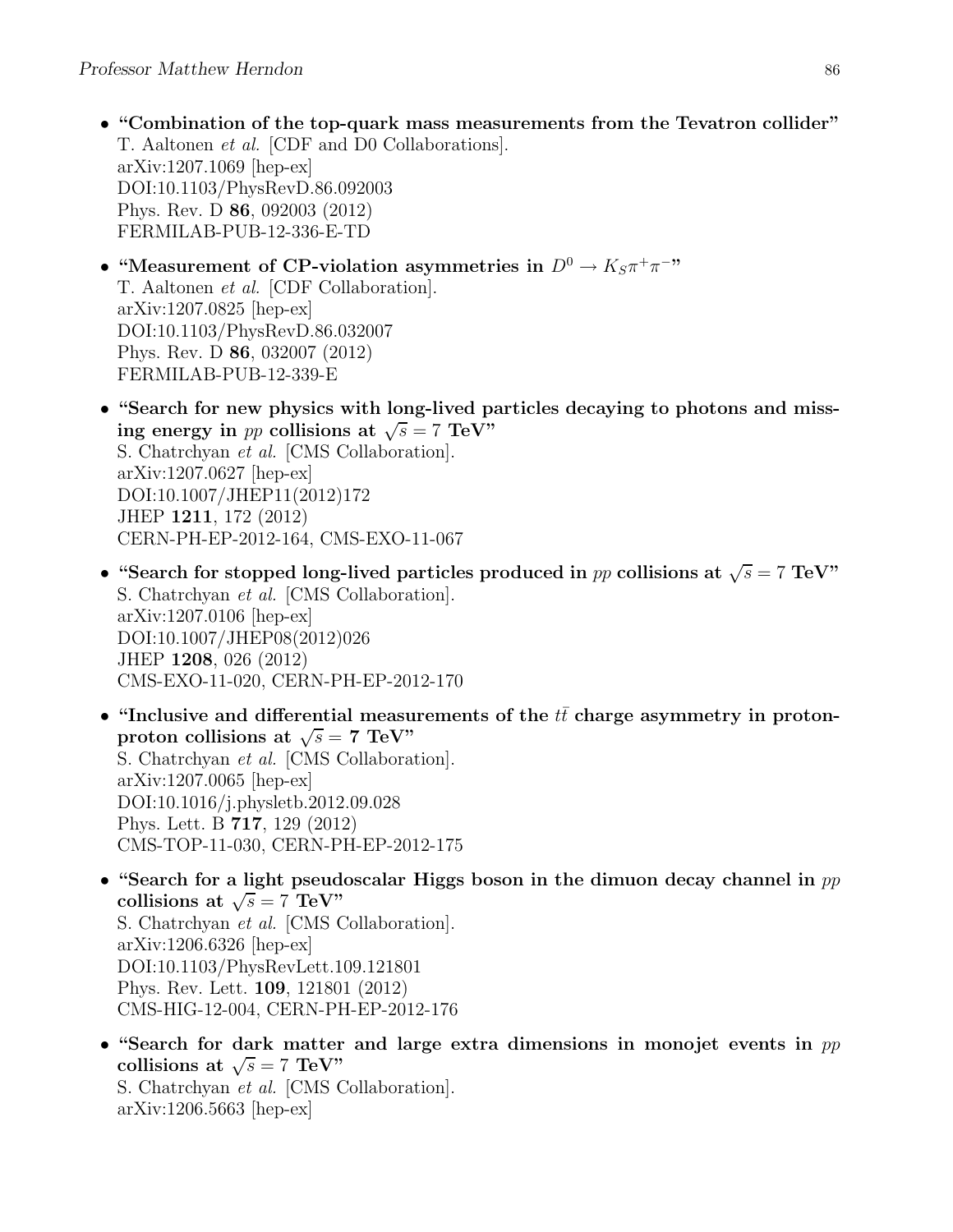- "Combination of the top-quark mass measurements from the Tevatron collider" T. Aaltonen et al. [CDF and D0 Collaborations]. arXiv:1207.1069 [hep-ex] DOI:10.1103/PhysRevD.86.092003 Phys. Rev. D 86, 092003 (2012) FERMILAB-PUB-12-336-E-TD
- "Measurement of CP-violation asymmetries in  $D^0 \to K_S \pi^+ \pi^-$ " T. Aaltonen et al. [CDF Collaboration]. arXiv:1207.0825 [hep-ex] DOI:10.1103/PhysRevD.86.032007 Phys. Rev. D 86, 032007 (2012) FERMILAB-PUB-12-339-E
- "Search for new physics with long-lived particles decaying to photons and missing energy in *pp* collisions at  $\sqrt{s} = 7$  TeV" S. Chatrchyan et al. [CMS Collaboration]. arXiv:1207.0627 [hep-ex] DOI:10.1007/JHEP11(2012)172 JHEP 1211, 172 (2012) CERN-PH-EP-2012-164, CMS-EXO-11-067
- "Search for stopped long-lived particles produced in pp collisions at  $\sqrt{s} = 7 \text{ TeV}$ " S. Chatrchyan et al. [CMS Collaboration]. arXiv:1207.0106 [hep-ex] DOI:10.1007/JHEP08(2012)026 JHEP 1208, 026 (2012) CMS-EXO-11-020, CERN-PH-EP-2012-170
- "Inclusive and differential measurements of the  $t\bar{t}$  charge asymmetry in protonproton collisions at  $\sqrt{s} = 7$  TeV" S. Chatrchyan et al. [CMS Collaboration]. arXiv:1207.0065 [hep-ex] DOI:10.1016/j.physletb.2012.09.028 Phys. Lett. B 717, 129 (2012) CMS-TOP-11-030, CERN-PH-EP-2012-175
- "Search for a light pseudoscalar Higgs boson in the dimuon decay channel in  $pp$ collisions at  $\sqrt{s} = 7 \text{ TeV}$ " S. Chatrchyan et al. [CMS Collaboration]. arXiv:1206.6326 [hep-ex] DOI:10.1103/PhysRevLett.109.121801 Phys. Rev. Lett. 109, 121801 (2012) CMS-HIG-12-004, CERN-PH-EP-2012-176
- "Search for dark matter and large extra dimensions in monojet events in  $pp$ collisions at  $\sqrt{s} = 7 \text{ TeV}$ " S. Chatrchyan et al. [CMS Collaboration]. arXiv:1206.5663 [hep-ex]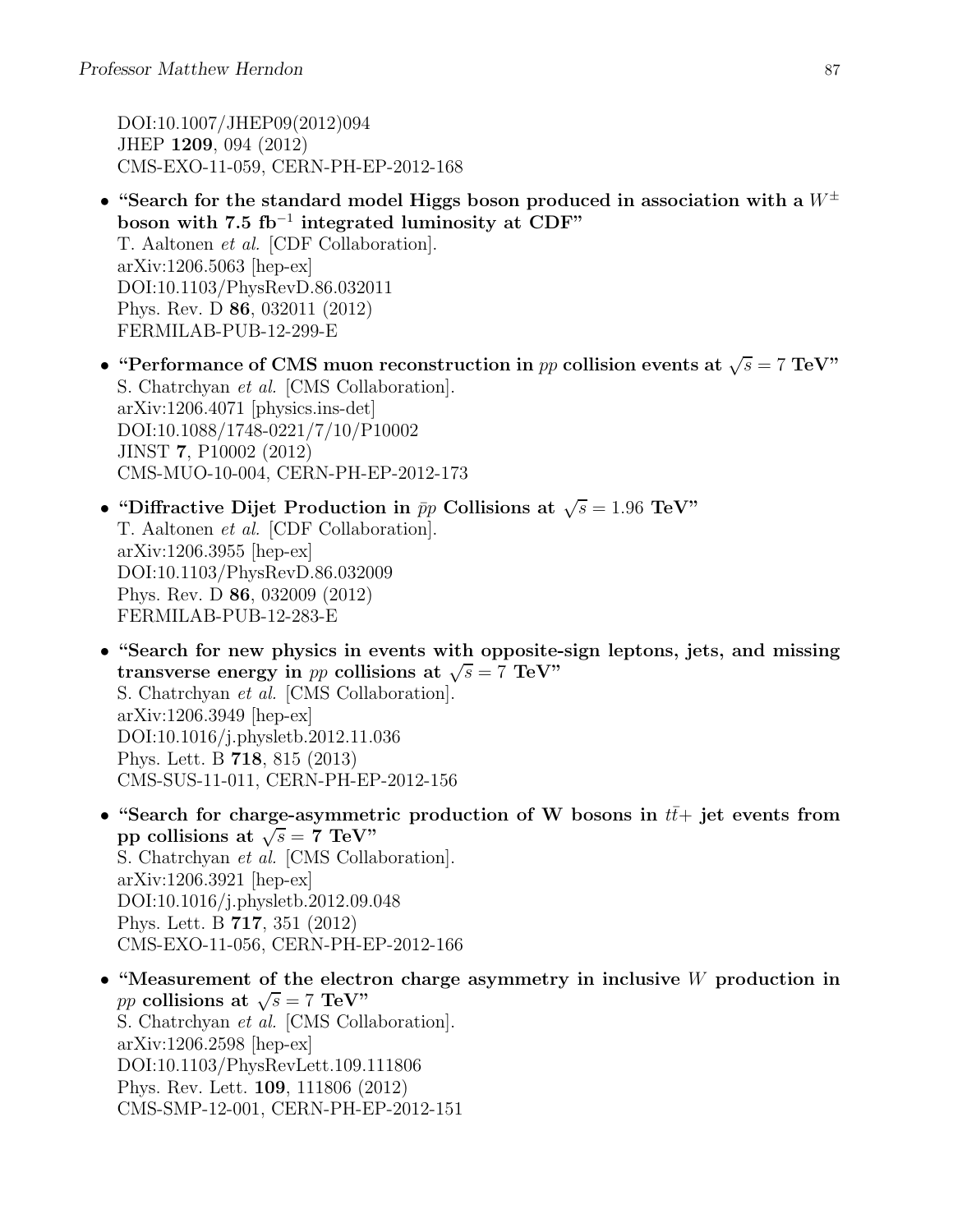DOI:10.1007/JHEP09(2012)094 JHEP 1209, 094 (2012) CMS-EXO-11-059, CERN-PH-EP-2012-168

- "Search for the standard model Higgs boson produced in association with a  $W^{\pm}$ boson with  $7.5 \text{ fb}^{-1}$  integrated luminosity at CDF" T. Aaltonen et al. [CDF Collaboration]. arXiv:1206.5063 [hep-ex] DOI:10.1103/PhysRevD.86.032011 Phys. Rev. D 86, 032011 (2012) FERMILAB-PUB-12-299-E
- "Performance of CMS muon reconstruction in pp collision events at  $\sqrt{s} = 7 \text{ TeV}$ " S. Chatrchyan et al. [CMS Collaboration]. arXiv:1206.4071 [physics.ins-det] DOI:10.1088/1748-0221/7/10/P10002 JINST 7, P10002 (2012) CMS-MUO-10-004, CERN-PH-EP-2012-173
- "Diffractive Dijet Production in  $\bar{p}p$  Collisions at  $\sqrt{s} = 1.96 \text{ TeV}$ " T. Aaltonen et al. [CDF Collaboration]. arXiv:1206.3955 [hep-ex] DOI:10.1103/PhysRevD.86.032009 Phys. Rev. D 86, 032009 (2012) FERMILAB-PUB-12-283-E
- "Search for new physics in events with opposite-sign leptons, jets, and missing transverse energy in pp collisions at  $\sqrt{s} = 7$  TeV" S. Chatrchyan et al. [CMS Collaboration]. arXiv:1206.3949 [hep-ex] DOI:10.1016/j.physletb.2012.11.036 Phys. Lett. B 718, 815 (2013) CMS-SUS-11-011, CERN-PH-EP-2012-156
- "Search for charge-asymmetric production of W bosons in  $t\bar{t}+$  jet events from pp collisions at  $\sqrt{s} = 7$  TeV" S. Chatrchyan et al. [CMS Collaboration]. arXiv:1206.3921 [hep-ex] DOI:10.1016/j.physletb.2012.09.048 Phys. Lett. B 717, 351 (2012) CMS-EXO-11-056, CERN-PH-EP-2012-166
- "Measurement of the electron charge asymmetry in inclusive W production in pp collisions at  $\sqrt{s} = 7$  TeV" S. Chatrchyan et al. [CMS Collaboration]. arXiv:1206.2598 [hep-ex] DOI:10.1103/PhysRevLett.109.111806 Phys. Rev. Lett. 109, 111806 (2012) CMS-SMP-12-001, CERN-PH-EP-2012-151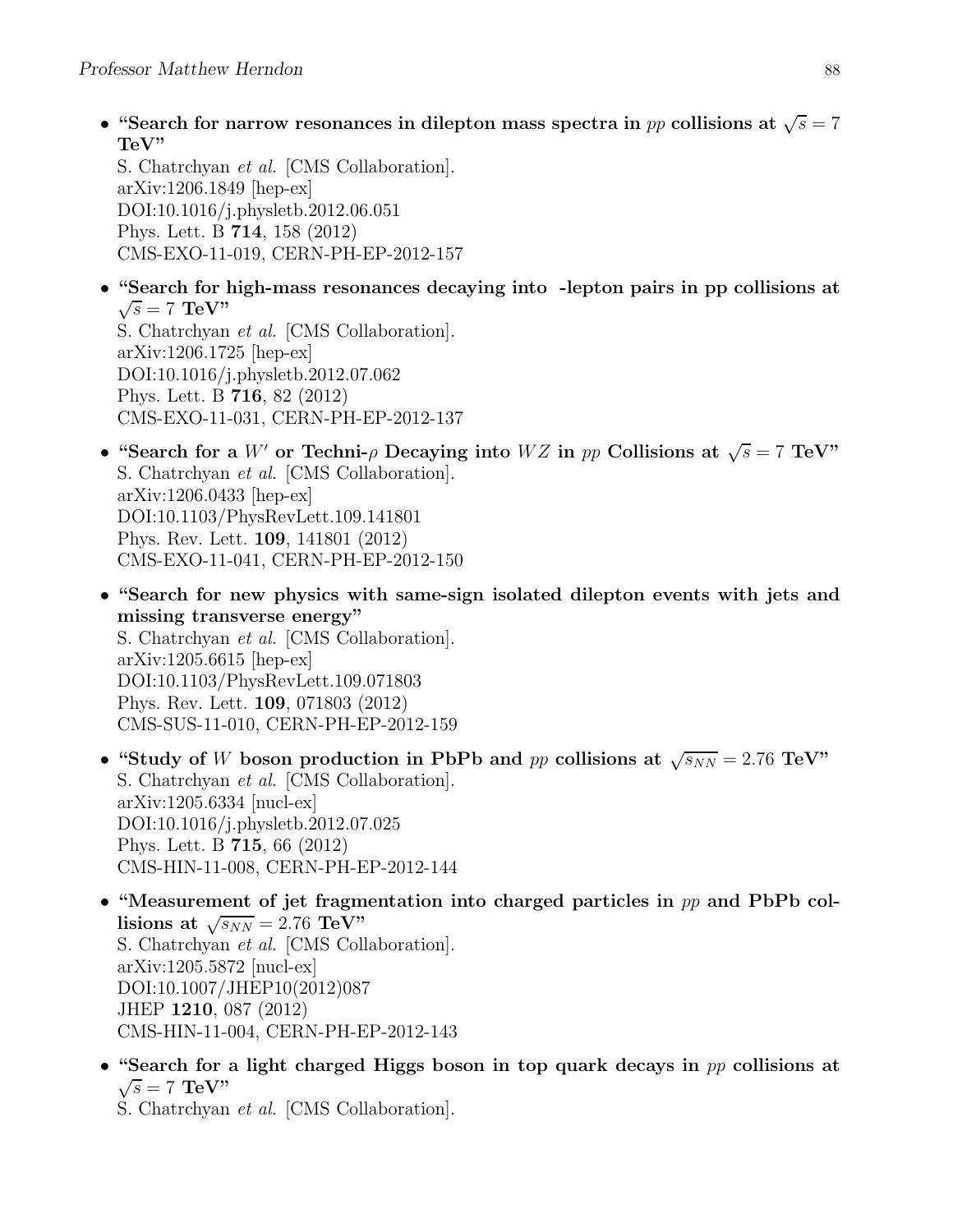• "Search for narrow resonances in dilepton mass spectra in pp collisions at  $\sqrt{s} = 7$ TeV"

S. Chatrchyan et al. [CMS Collaboration]. arXiv:1206.1849 [hep-ex] DOI:10.1016/j.physletb.2012.06.051 Phys. Lett. B 714, 158 (2012) CMS-EXO-11-019, CERN-PH-EP-2012-157

- "Search for high-mass resonances decaying into -lepton pairs in pp collisions at  $\sqrt{s} = 7$  TeV" S. Chatrchyan et al. [CMS Collaboration]. arXiv:1206.1725 [hep-ex] DOI:10.1016/j.physletb.2012.07.062
	- Phys. Lett. B 716, 82 (2012) CMS-EXO-11-031, CERN-PH-EP-2012-137
- "Search for a W' or Techni- $\rho$  Decaying into WZ in pp Collisions at  $\sqrt{s} = 7$  TeV" S. Chatrchyan et al. [CMS Collaboration]. arXiv:1206.0433 [hep-ex] DOI:10.1103/PhysRevLett.109.141801 Phys. Rev. Lett. 109, 141801 (2012) CMS-EXO-11-041, CERN-PH-EP-2012-150
- "Search for new physics with same-sign isolated dilepton events with jets and missing transverse energy" S. Chatrchyan et al. [CMS Collaboration]. arXiv:1205.6615 [hep-ex] DOI:10.1103/PhysRevLett.109.071803 Phys. Rev. Lett. 109, 071803 (2012) CMS-SUS-11-010, CERN-PH-EP-2012-159
- "Study of W boson production in PbPb and pp collisions at  $\sqrt{s_{NN}} = 2.76 \text{ TeV}$ " S. Chatrchyan et al. [CMS Collaboration]. arXiv:1205.6334 [nucl-ex] DOI:10.1016/j.physletb.2012.07.025 Phys. Lett. B 715, 66 (2012) CMS-HIN-11-008, CERN-PH-EP-2012-144
- "Measurement of jet fragmentation into charged particles in  $pp$  and PbPb collisions at  $\sqrt{s_{NN}} = 2.76 \text{ TeV}$ " S. Chatrchyan et al. [CMS Collaboration]. arXiv:1205.5872 [nucl-ex] DOI:10.1007/JHEP10(2012)087 JHEP 1210, 087 (2012) CMS-HIN-11-004, CERN-PH-EP-2012-143
- "Search for a light charged Higgs boson in top quark decays in pp collisions at  $\sqrt{s} = 7$  TeV"

S. Chatrchyan et al. [CMS Collaboration].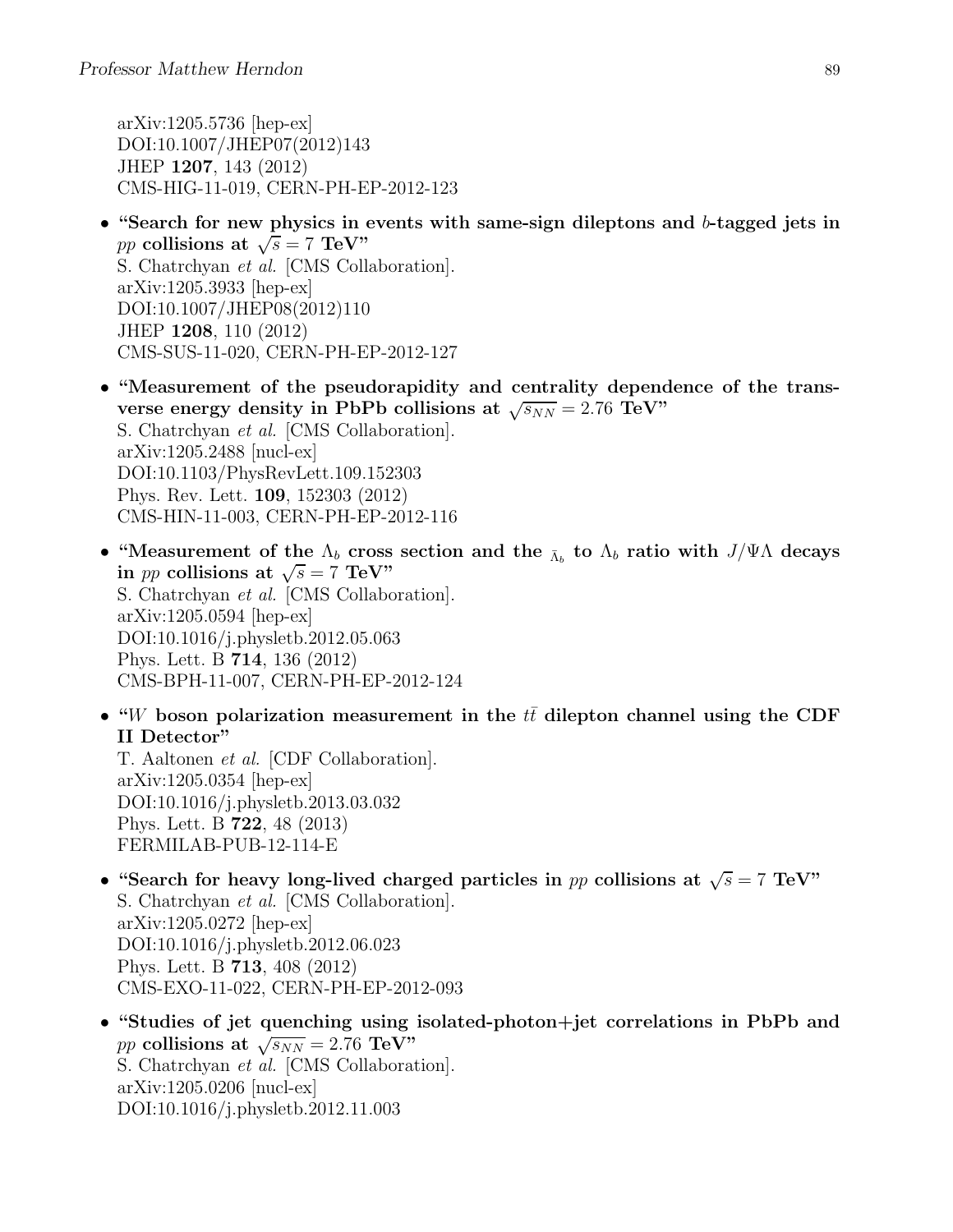arXiv:1205.5736 [hep-ex] DOI:10.1007/JHEP07(2012)143 JHEP 1207, 143 (2012) CMS-HIG-11-019, CERN-PH-EP-2012-123

- "Search for new physics in events with same-sign dileptons and b-tagged jets in pp collisions at  $\sqrt{s} = 7$  TeV" S. Chatrchyan et al. [CMS Collaboration]. arXiv:1205.3933 [hep-ex] DOI:10.1007/JHEP08(2012)110 JHEP 1208, 110 (2012) CMS-SUS-11-020, CERN-PH-EP-2012-127
- "Measurement of the pseudorapidity and centrality dependence of the transverse energy density in PbPb collisions at  $\sqrt{s_{NN}} = 2.76$  TeV" S. Chatrchyan et al. [CMS Collaboration]. arXiv:1205.2488 [nucl-ex] DOI:10.1103/PhysRevLett.109.152303 Phys. Rev. Lett. 109, 152303 (2012) CMS-HIN-11-003, CERN-PH-EP-2012-116
- "Measurement of the  $\Lambda_b$  cross section and the  $\overline{\Lambda}_b$  to  $\Lambda_b$  ratio with  $J/\Psi\Lambda$  decays in *pp* collisions at  $\sqrt{s} = 7$  TeV" S. Chatrchyan et al. [CMS Collaboration]. arXiv:1205.0594 [hep-ex] DOI:10.1016/j.physletb.2012.05.063 Phys. Lett. B 714, 136 (2012) CMS-BPH-11-007, CERN-PH-EP-2012-124
- "W boson polarization measurement in the  $t\bar{t}$  dilepton channel using the CDF II Detector"

T. Aaltonen et al. [CDF Collaboration]. arXiv:1205.0354 [hep-ex] DOI:10.1016/j.physletb.2013.03.032 Phys. Lett. B 722, 48 (2013) FERMILAB-PUB-12-114-E

- "Search for heavy long-lived charged particles in pp collisions at  $\sqrt{s} = 7$  TeV" S. Chatrchyan et al. [CMS Collaboration]. arXiv:1205.0272 [hep-ex] DOI:10.1016/j.physletb.2012.06.023 Phys. Lett. B 713, 408 (2012) CMS-EXO-11-022, CERN-PH-EP-2012-093
- "Studies of jet quenching using isolated-photon+jet correlations in PbPb and pp collisions at  $\sqrt{s_{NN}} = 2.76 \text{ TeV}$ " S. Chatrchyan et al. [CMS Collaboration]. arXiv:1205.0206 [nucl-ex] DOI:10.1016/j.physletb.2012.11.003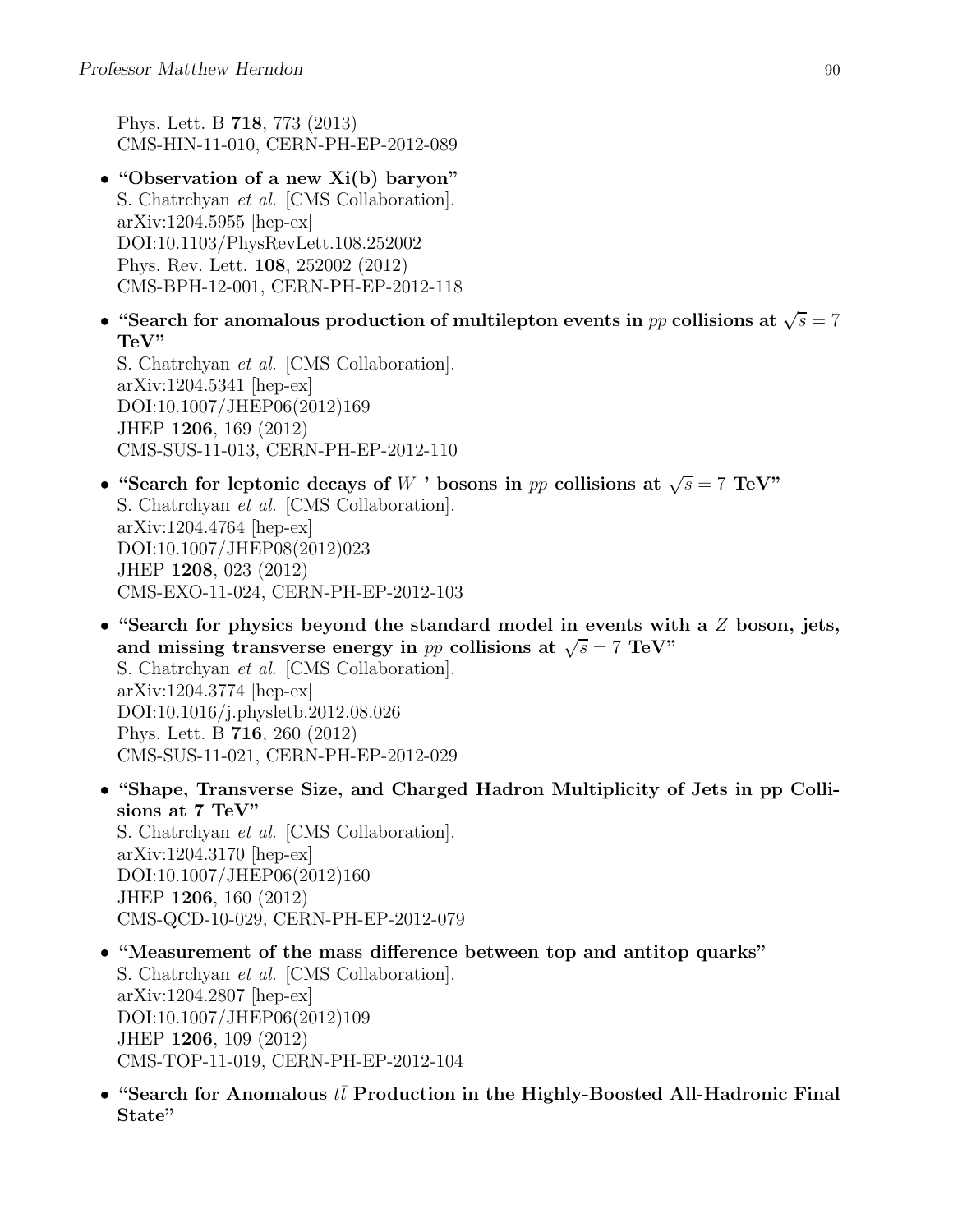Phys. Lett. B 718, 773 (2013) CMS-HIN-11-010, CERN-PH-EP-2012-089

- "Observation of a new Xi(b) baryon" S. Chatrchyan et al. [CMS Collaboration]. arXiv:1204.5955 [hep-ex] DOI:10.1103/PhysRevLett.108.252002 Phys. Rev. Lett. 108, 252002 (2012) CMS-BPH-12-001, CERN-PH-EP-2012-118
- "Search for anomalous production of multilepton events in  $pp$  collisions at  $\sqrt{s} = 7$ TeV"

S. Chatrchyan et al. [CMS Collaboration]. arXiv:1204.5341 [hep-ex] DOI:10.1007/JHEP06(2012)169 JHEP 1206, 169 (2012) CMS-SUS-11-013, CERN-PH-EP-2012-110

- "Search for leptonic decays of W ' bosons in pp collisions at  $\sqrt{s} = 7$  TeV" S. Chatrchyan et al. [CMS Collaboration]. arXiv:1204.4764 [hep-ex] DOI:10.1007/JHEP08(2012)023 JHEP 1208, 023 (2012) CMS-EXO-11-024, CERN-PH-EP-2012-103
- "Search for physics beyond the standard model in events with a  $Z$  boson, jets, and missing transverse energy in pp collisions at  $\sqrt{s} = 7$  TeV" S. Chatrchyan et al. [CMS Collaboration]. arXiv:1204.3774 [hep-ex] DOI:10.1016/j.physletb.2012.08.026 Phys. Lett. B 716, 260 (2012) CMS-SUS-11-021, CERN-PH-EP-2012-029
- "Shape, Transverse Size, and Charged Hadron Multiplicity of Jets in pp Collisions at 7 TeV" S. Chatrchyan et al. [CMS Collaboration]. arXiv:1204.3170 [hep-ex] DOI:10.1007/JHEP06(2012)160 JHEP 1206, 160 (2012) CMS-QCD-10-029, CERN-PH-EP-2012-079
- "Measurement of the mass difference between top and antitop quarks" S. Chatrchyan et al. [CMS Collaboration]. arXiv:1204.2807 [hep-ex] DOI:10.1007/JHEP06(2012)109 JHEP 1206, 109 (2012) CMS-TOP-11-019, CERN-PH-EP-2012-104
- "Search for Anomalous  $t\bar{t}$  Production in the Highly-Boosted All-Hadronic Final State"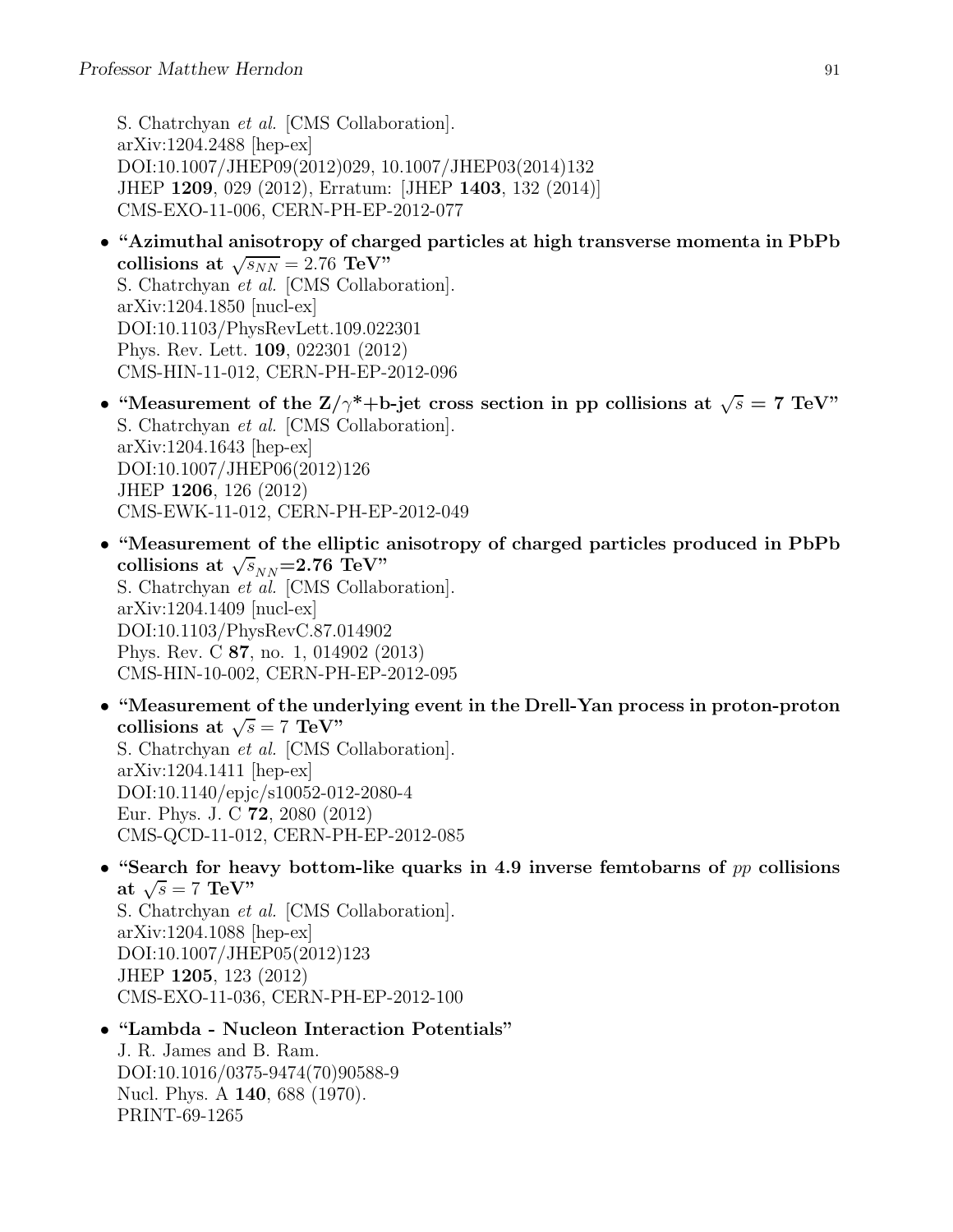S. Chatrchyan et al. [CMS Collaboration]. arXiv:1204.2488 [hep-ex] DOI:10.1007/JHEP09(2012)029, 10.1007/JHEP03(2014)132 JHEP 1209, 029 (2012), Erratum: [JHEP 1403, 132 (2014)] CMS-EXO-11-006, CERN-PH-EP-2012-077

- "Azimuthal anisotropy of charged particles at high transverse momenta in PbPb collisions at  $\sqrt{s_{NN}} = 2.76 \text{ TeV}$ " S. Chatrchyan et al. [CMS Collaboration]. arXiv:1204.1850 [nucl-ex] DOI:10.1103/PhysRevLett.109.022301 Phys. Rev. Lett. 109, 022301 (2012) CMS-HIN-11-012, CERN-PH-EP-2012-096
- "Measurement of the  $Z/\gamma^*+b$ -jet cross section in pp collisions at  $\sqrt{s} = 7$  TeV" S. Chatrchyan et al. [CMS Collaboration]. arXiv:1204.1643 [hep-ex] DOI:10.1007/JHEP06(2012)126 JHEP 1206, 126 (2012) CMS-EWK-11-012, CERN-PH-EP-2012-049
- "Measurement of the elliptic anisotropy of charged particles produced in PbPb collisions at  $\sqrt{s}_{NN}$ =2.76 TeV" S. Chatrchyan et al. [CMS Collaboration]. arXiv:1204.1409 [nucl-ex] DOI:10.1103/PhysRevC.87.014902 Phys. Rev. C 87, no. 1, 014902 (2013) CMS-HIN-10-002, CERN-PH-EP-2012-095
- "Measurement of the underlying event in the Drell-Yan process in proton-proton collisions at  $\sqrt{s} = 7 \text{ TeV}$ " S. Chatrchyan et al. [CMS Collaboration]. arXiv:1204.1411 [hep-ex] DOI:10.1140/epjc/s10052-012-2080-4 Eur. Phys. J. C 72, 2080 (2012) CMS-QCD-11-012, CERN-PH-EP-2012-085
- "Search for heavy bottom-like quarks in 4.9 inverse femtobarns of  $pp$  collisions at  $\sqrt{s} = 7 \text{ TeV}$ " S. Chatrchyan et al. [CMS Collaboration]. arXiv:1204.1088 [hep-ex]

DOI:10.1007/JHEP05(2012)123 JHEP 1205, 123 (2012) CMS-EXO-11-036, CERN-PH-EP-2012-100

## • "Lambda - Nucleon Interaction Potentials" J. R. James and B. Ram. DOI:10.1016/0375-9474(70)90588-9 Nucl. Phys. A 140, 688 (1970).

PRINT-69-1265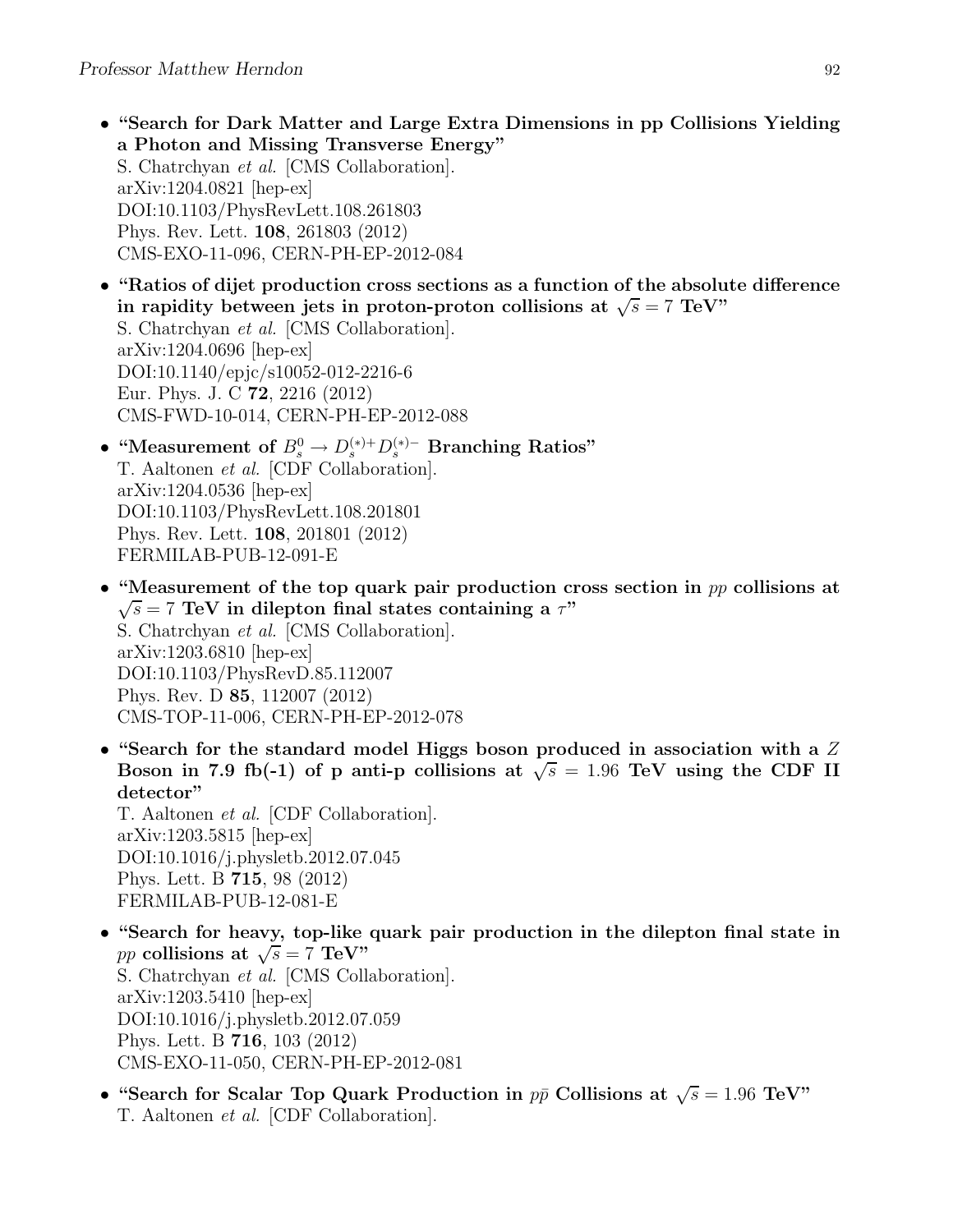- "Search for Dark Matter and Large Extra Dimensions in pp Collisions Yielding a Photon and Missing Transverse Energy" S. Chatrchyan et al. [CMS Collaboration]. arXiv:1204.0821 [hep-ex] DOI:10.1103/PhysRevLett.108.261803 Phys. Rev. Lett. 108, 261803 (2012) CMS-EXO-11-096, CERN-PH-EP-2012-084
- "Ratios of dijet production cross sections as a function of the absolute difference in rapidity between jets in proton-proton collisions at  $\sqrt{s} = 7$  TeV" S. Chatrchyan et al. [CMS Collaboration]. arXiv:1204.0696 [hep-ex] DOI:10.1140/epjc/s10052-012-2216-6 Eur. Phys. J. C 72, 2216 (2012) CMS-FWD-10-014, CERN-PH-EP-2012-088
- "Measurement of  $B^0_s \to D_s^{(*)+} D_s^{(*)-}$  Branching Ratios" T. Aaltonen et al. [CDF Collaboration]. arXiv:1204.0536 [hep-ex] DOI:10.1103/PhysRevLett.108.201801 Phys. Rev. Lett. 108, 201801 (2012) FERMILAB-PUB-12-091-E
- "Measurement of the top quark pair production cross section in  $pp$  collisions at  $\sqrt{s}$  = 7 TeV in dilepton final states containing a  $\tau$ " S. Chatrchyan et al. [CMS Collaboration]. arXiv:1203.6810 [hep-ex] DOI:10.1103/PhysRevD.85.112007 Phys. Rev. D 85, 112007 (2012) CMS-TOP-11-006, CERN-PH-EP-2012-078
- "Search for the standard model Higgs boson produced in association with a  $Z$ Boson in 7.9 fb(-1) of p anti-p collisions at  $\sqrt{s} = 1.96$  TeV using the CDF II detector"

T. Aaltonen et al. [CDF Collaboration]. arXiv:1203.5815 [hep-ex] DOI:10.1016/j.physletb.2012.07.045 Phys. Lett. B 715, 98 (2012) FERMILAB-PUB-12-081-E

- "Search for heavy, top-like quark pair production in the dilepton final state in pp collisions at  $\sqrt{s} = 7$  TeV" S. Chatrchyan et al. [CMS Collaboration]. arXiv:1203.5410 [hep-ex] DOI:10.1016/j.physletb.2012.07.059 Phys. Lett. B 716, 103 (2012) CMS-EXO-11-050, CERN-PH-EP-2012-081
- "Search for Scalar Top Quark Production in  $p\bar{p}$  Collisions at  $\sqrt{s} = 1.96$  TeV" T. Aaltonen et al. [CDF Collaboration].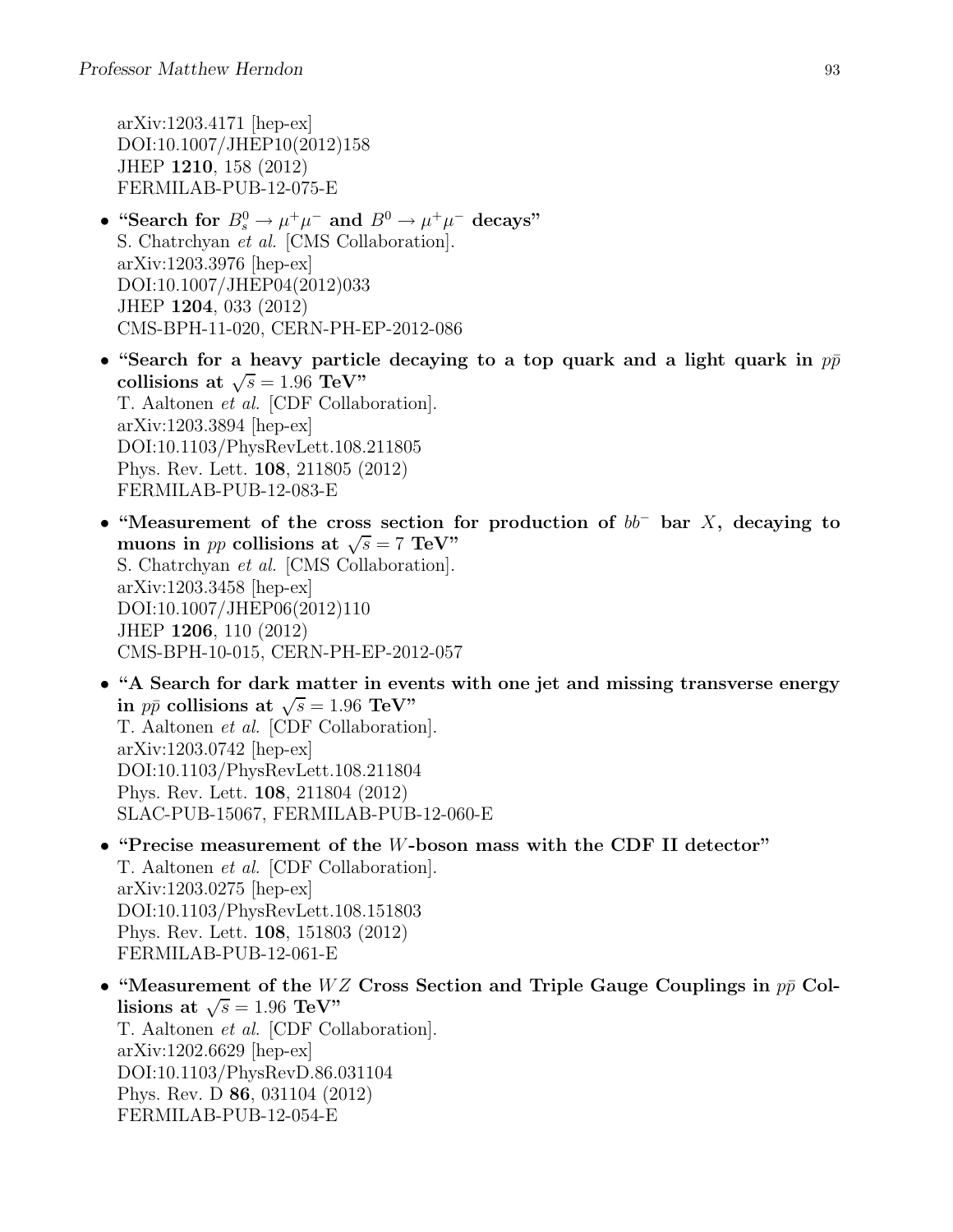arXiv:1203.4171 [hep-ex] DOI:10.1007/JHEP10(2012)158 JHEP 1210, 158 (2012) FERMILAB-PUB-12-075-E

- "Search for  $B_s^0 \to \mu^+\mu^-$  and  $B^0 \to \mu^+\mu^-$  decays" S. Chatrchyan et al. [CMS Collaboration]. arXiv:1203.3976 [hep-ex] DOI:10.1007/JHEP04(2012)033 JHEP 1204, 033 (2012) CMS-BPH-11-020, CERN-PH-EP-2012-086
- "Search for a heavy particle decaying to a top quark and a light quark in  $p\bar{p}$ collisions at  $\sqrt{s} = 1.96 \text{ TeV}$ " T. Aaltonen et al. [CDF Collaboration]. arXiv:1203.3894 [hep-ex] DOI:10.1103/PhysRevLett.108.211805 Phys. Rev. Lett. 108, 211805 (2012) FERMILAB-PUB-12-083-E
- "Measurement of the cross section for production of  $bb^-$  bar X, decaying to muons in *pp* collisions at  $\sqrt{s} = 7$  TeV" S. Chatrchyan et al. [CMS Collaboration]. arXiv:1203.3458 [hep-ex] DOI:10.1007/JHEP06(2012)110 JHEP 1206, 110 (2012) CMS-BPH-10-015, CERN-PH-EP-2012-057
- "A Search for dark matter in events with one jet and missing transverse energy in  $p\bar{p}$  collisions at  $\sqrt{s} = 1.96$  TeV" T. Aaltonen et al. [CDF Collaboration]. arXiv:1203.0742 [hep-ex] DOI:10.1103/PhysRevLett.108.211804 Phys. Rev. Lett. 108, 211804 (2012) SLAC-PUB-15067, FERMILAB-PUB-12-060-E
- "Precise measurement of the W-boson mass with the CDF II detector" T. Aaltonen et al. [CDF Collaboration]. arXiv:1203.0275 [hep-ex] DOI:10.1103/PhysRevLett.108.151803 Phys. Rev. Lett. 108, 151803 (2012) FERMILAB-PUB-12-061-E
- "Measurement of the WZ Cross Section and Triple Gauge Couplings in  $p\bar{p}$  Collisions at  $\sqrt{s} = 1.96 \text{ TeV}$ " T. Aaltonen et al. [CDF Collaboration]. arXiv:1202.6629 [hep-ex] DOI:10.1103/PhysRevD.86.031104 Phys. Rev. D 86, 031104 (2012) FERMILAB-PUB-12-054-E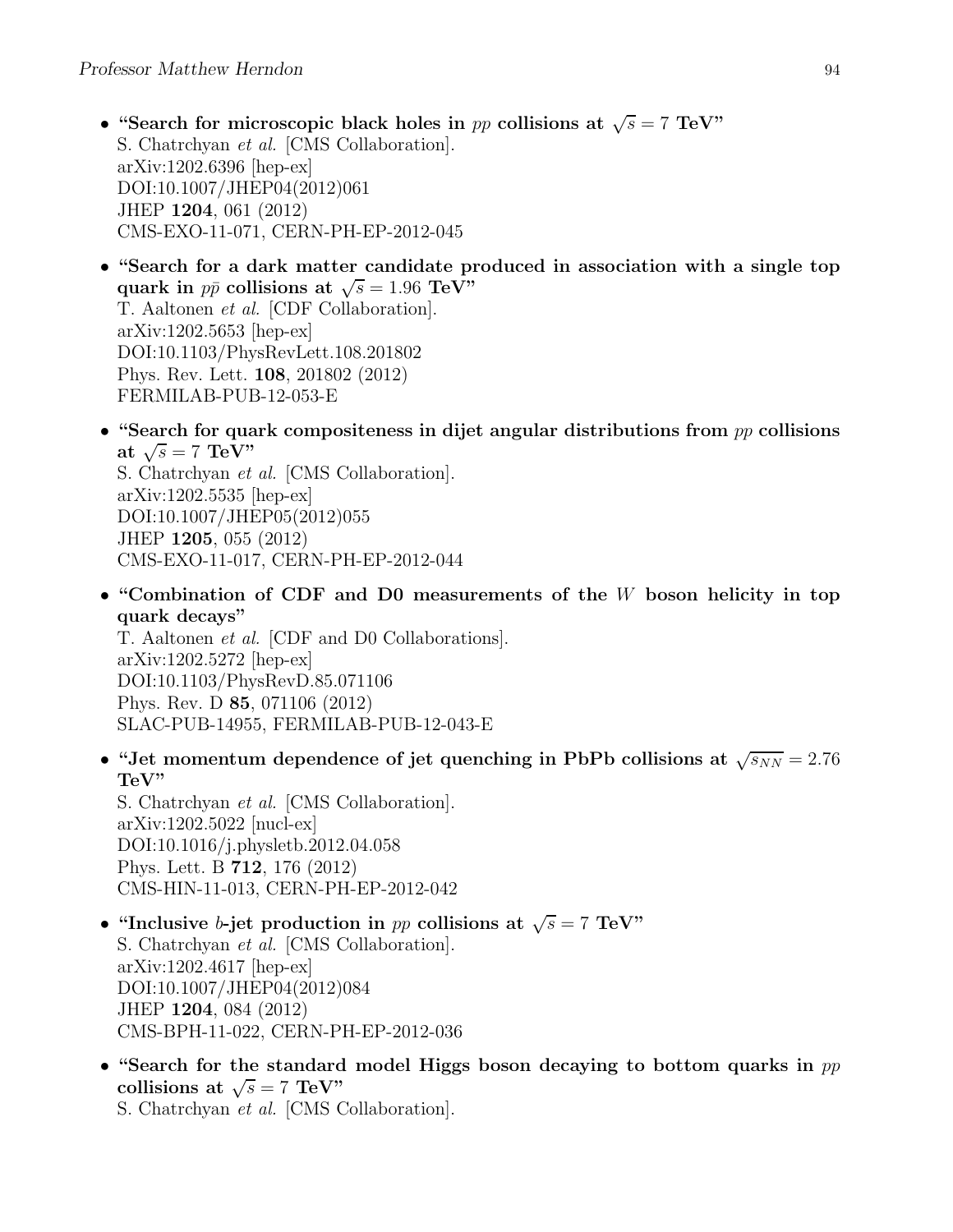- "Search for microscopic black holes in pp collisions at  $\sqrt{s} = 7$  TeV" S. Chatrchyan et al. [CMS Collaboration]. arXiv:1202.6396 [hep-ex] DOI:10.1007/JHEP04(2012)061 JHEP 1204, 061 (2012) CMS-EXO-11-071, CERN-PH-EP-2012-045
- "Search for a dark matter candidate produced in association with a single top quark in  $p\bar{p}$  collisions at  $\sqrt{s} = 1.96 \text{ TeV}$ " T. Aaltonen et al. [CDF Collaboration]. arXiv:1202.5653 [hep-ex] DOI:10.1103/PhysRevLett.108.201802 Phys. Rev. Lett. 108, 201802 (2012) FERMILAB-PUB-12-053-E
- "Search for quark compositeness in dijet angular distributions from  $pp$  collisions at  $\sqrt{s} = 7 \text{ TeV}$ " S. Chatrchyan et al. [CMS Collaboration]. arXiv:1202.5535 [hep-ex] DOI:10.1007/JHEP05(2012)055 JHEP 1205, 055 (2012) CMS-EXO-11-017, CERN-PH-EP-2012-044
- "Combination of CDF and D0 measurements of the W boson helicity in top quark decays"

T. Aaltonen et al. [CDF and D0 Collaborations]. arXiv:1202.5272 [hep-ex] DOI:10.1103/PhysRevD.85.071106 Phys. Rev. D 85, 071106 (2012) SLAC-PUB-14955, FERMILAB-PUB-12-043-E

• "Jet momentum dependence of jet quenching in PbPb collisions at  $\sqrt{s_{NN}} = 2.76$ TeV"

S. Chatrchyan et al. [CMS Collaboration]. arXiv:1202.5022 [nucl-ex] DOI:10.1016/j.physletb.2012.04.058 Phys. Lett. B 712, 176 (2012) CMS-HIN-11-013, CERN-PH-EP-2012-042

- "Inclusive b-jet production in pp collisions at  $\sqrt{s} = 7$  TeV" S. Chatrchyan et al. [CMS Collaboration]. arXiv:1202.4617 [hep-ex] DOI:10.1007/JHEP04(2012)084 JHEP 1204, 084 (2012) CMS-BPH-11-022, CERN-PH-EP-2012-036
- "Search for the standard model Higgs boson decaying to bottom quarks in  $pp$ collisions at  $\sqrt{s} = 7 \text{ TeV}$ "

S. Chatrchyan et al. [CMS Collaboration].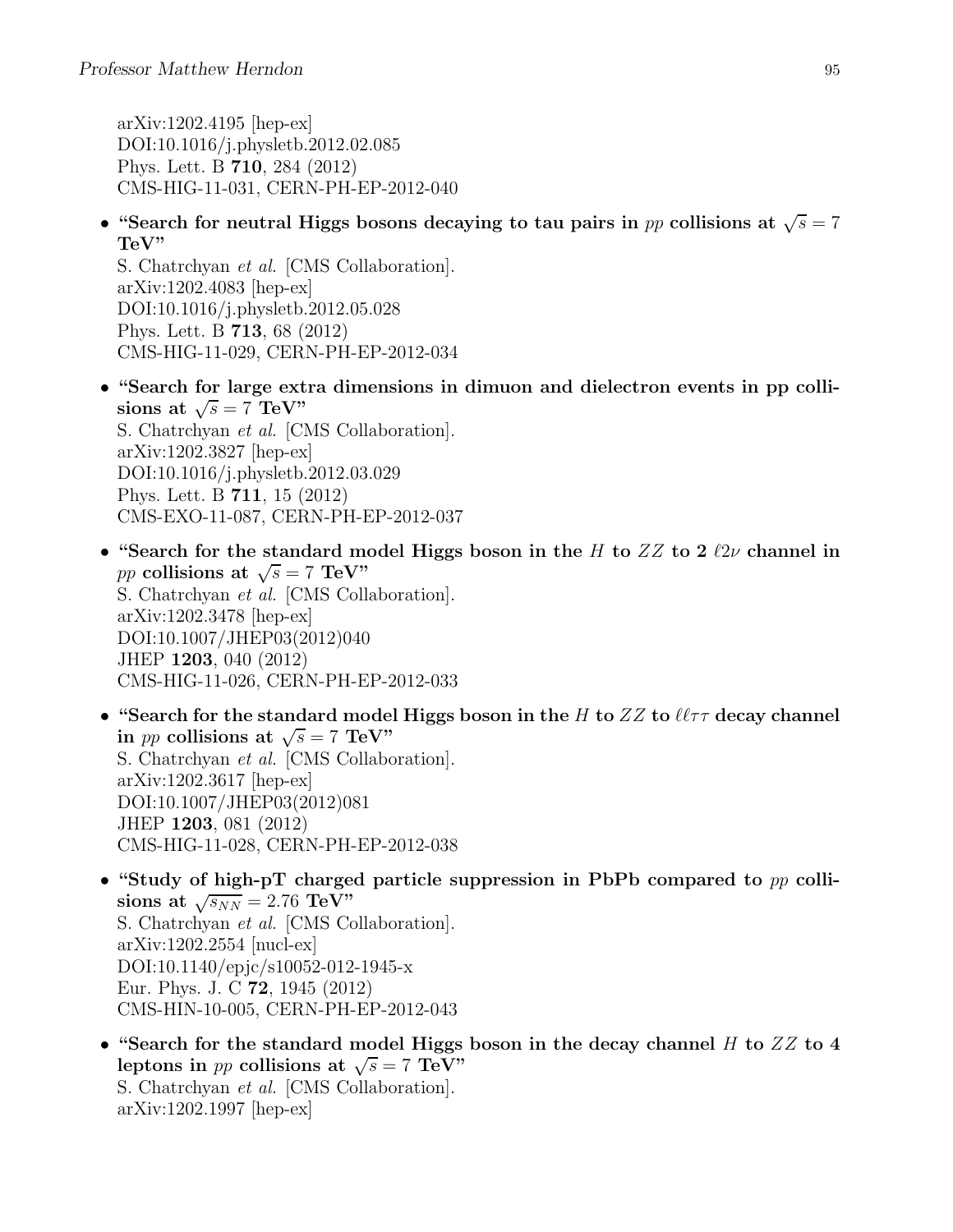arXiv:1202.4195 [hep-ex] DOI:10.1016/j.physletb.2012.02.085 Phys. Lett. B 710, 284 (2012) CMS-HIG-11-031, CERN-PH-EP-2012-040

• "Search for neutral Higgs bosons decaying to tau pairs in pp collisions at  $\sqrt{s} = 7$ TeV"

S. Chatrchyan et al. [CMS Collaboration]. arXiv:1202.4083 [hep-ex] DOI:10.1016/j.physletb.2012.05.028 Phys. Lett. B 713, 68 (2012) CMS-HIG-11-029, CERN-PH-EP-2012-034

- "Search for large extra dimensions in dimuon and dielectron events in pp collisions at  $\sqrt{s} = 7 \text{ TeV}$ " S. Chatrchyan et al. [CMS Collaboration]. arXiv:1202.3827 [hep-ex] DOI:10.1016/j.physletb.2012.03.029 Phys. Lett. B 711, 15 (2012) CMS-EXO-11-087, CERN-PH-EP-2012-037
- "Search for the standard model Higgs boson in the H to  $ZZ$  to 2  $\ell 2\nu$  channel in pp collisions at  $\sqrt{s} = 7$  TeV" S. Chatrchyan et al. [CMS Collaboration]. arXiv:1202.3478 [hep-ex] DOI:10.1007/JHEP03(2012)040 JHEP 1203, 040 (2012) CMS-HIG-11-026, CERN-PH-EP-2012-033
- "Search for the standard model Higgs boson in the H to  $ZZ$  to  $\ell\ell\tau\tau$  decay channel in *pp* collisions at  $\sqrt{s} = 7$  TeV" S. Chatrchyan et al. [CMS Collaboration]. arXiv:1202.3617 [hep-ex] DOI:10.1007/JHEP03(2012)081 JHEP 1203, 081 (2012) CMS-HIG-11-028, CERN-PH-EP-2012-038
- "Study of high-pT charged particle suppression in PbPb compared to  $pp$  collisions at  $\sqrt{s_{NN}} = 2.76 \text{ TeV}$ " S. Chatrchyan et al. [CMS Collaboration]. arXiv:1202.2554 [nucl-ex] DOI:10.1140/epjc/s10052-012-1945-x Eur. Phys. J. C 72, 1945 (2012) CMS-HIN-10-005, CERN-PH-EP-2012-043
- "Search for the standard model Higgs boson in the decay channel  $H$  to  $ZZ$  to  $4$ leptons in *pp* collisions at  $\sqrt{s} = 7$  TeV" S. Chatrchyan et al. [CMS Collaboration]. arXiv:1202.1997 [hep-ex]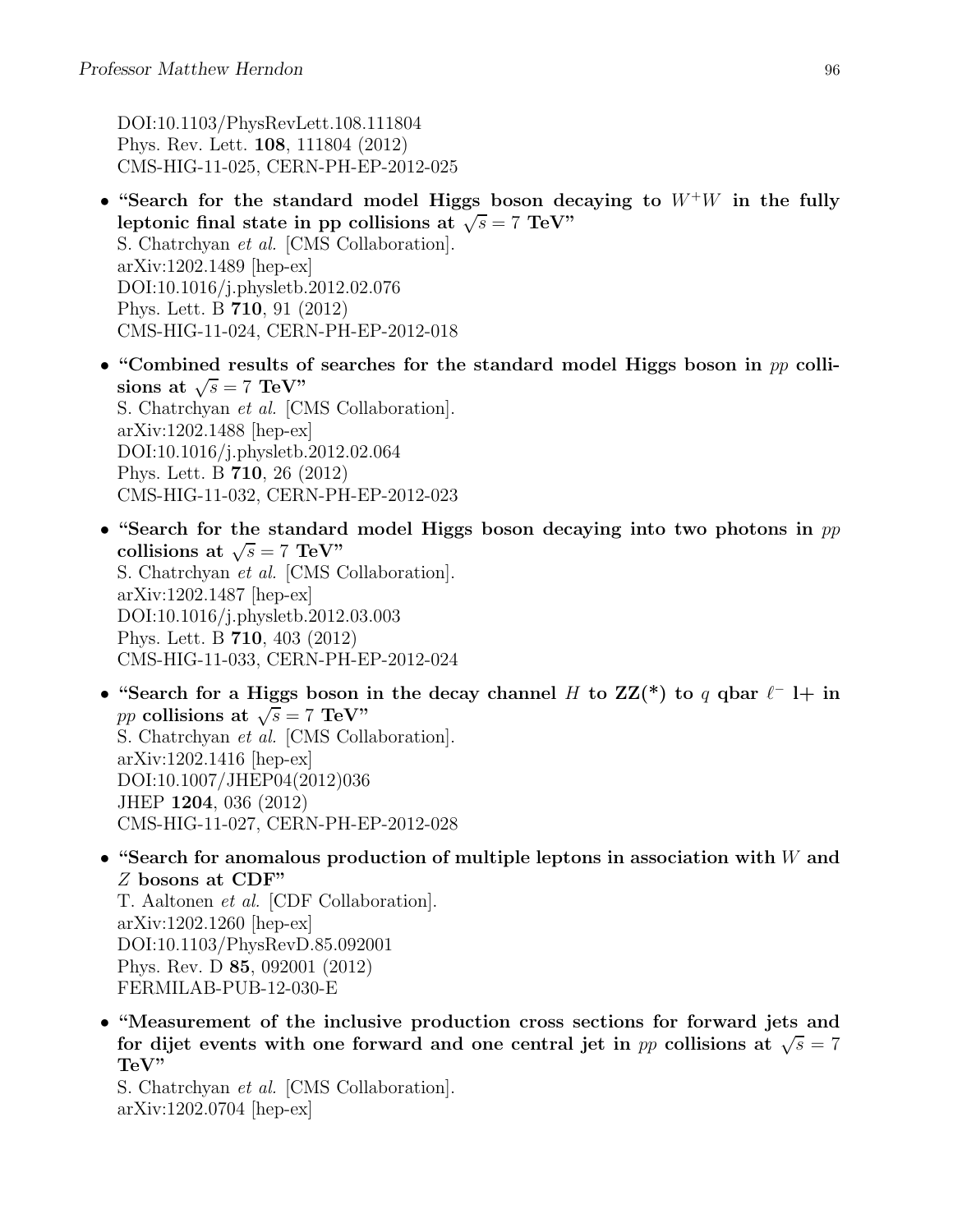DOI:10.1103/PhysRevLett.108.111804 Phys. Rev. Lett. 108, 111804 (2012) CMS-HIG-11-025, CERN-PH-EP-2012-025

- "Search for the standard model Higgs boson decaying to  $W^+W$  in the fully leptonic final state in pp collisions at  $\sqrt{s} = 7$  TeV" S. Chatrchyan et al. [CMS Collaboration]. arXiv:1202.1489 [hep-ex] DOI:10.1016/j.physletb.2012.02.076 Phys. Lett. B 710, 91 (2012) CMS-HIG-11-024, CERN-PH-EP-2012-018
- "Combined results of searches for the standard model Higgs boson in  $pp$  collisions at  $\sqrt{s} = 7 \text{ TeV}$ " S. Chatrchyan et al. [CMS Collaboration]. arXiv:1202.1488 [hep-ex] DOI:10.1016/j.physletb.2012.02.064 Phys. Lett. B 710, 26 (2012) CMS-HIG-11-032, CERN-PH-EP-2012-023
- "Search for the standard model Higgs boson decaying into two photons in  $pp$ collisions at  $\sqrt{s} = 7 \text{ TeV}$ " S. Chatrchyan et al. [CMS Collaboration]. arXiv:1202.1487 [hep-ex] DOI:10.1016/j.physletb.2012.03.003 Phys. Lett. B 710, 403 (2012) CMS-HIG-11-033, CERN-PH-EP-2012-024
- "Search for a Higgs boson in the decay channel H to  $ZZ(*)$  to q qbar  $\ell^-$  l+ in pp collisions at  $\sqrt{s}$  = 7 TeV" S. Chatrchyan et al. [CMS Collaboration]. arXiv:1202.1416 [hep-ex] DOI:10.1007/JHEP04(2012)036 JHEP 1204, 036 (2012) CMS-HIG-11-027, CERN-PH-EP-2012-028
- "Search for anomalous production of multiple leptons in association with  $W$  and Z bosons at CDF"

T. Aaltonen et al. [CDF Collaboration]. arXiv:1202.1260 [hep-ex] DOI:10.1103/PhysRevD.85.092001 Phys. Rev. D 85, 092001 (2012) FERMILAB-PUB-12-030-E

• "Measurement of the inclusive production cross sections for forward jets and for dijet events with one forward and one central jet in pp collisions at  $\sqrt{s} = 7$ TeV"

S. Chatrchyan et al. [CMS Collaboration]. arXiv:1202.0704 [hep-ex]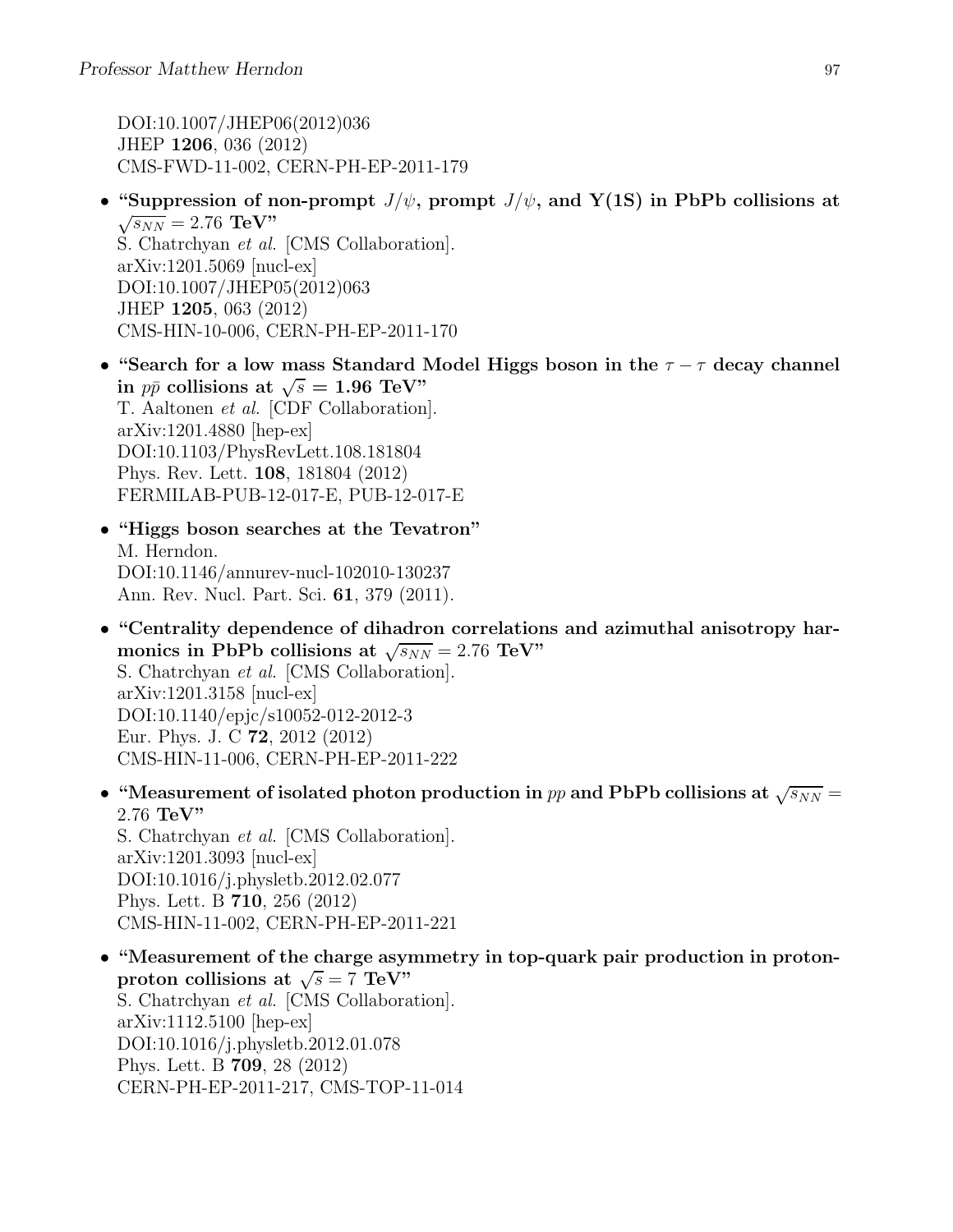DOI:10.1007/JHEP06(2012)036 JHEP 1206, 036 (2012) CMS-FWD-11-002, CERN-PH-EP-2011-179

- "Suppression of non-prompt  $J/\psi$ , prompt  $J/\psi$ , and Y(1S) in PbPb collisions at  $\sqrt{s_{NN}}$  = 2.76 TeV" S. Chatrchyan et al. [CMS Collaboration]. arXiv:1201.5069 [nucl-ex] DOI:10.1007/JHEP05(2012)063 JHEP 1205, 063 (2012) CMS-HIN-10-006, CERN-PH-EP-2011-170
- "Search for a low mass Standard Model Higgs boson in the  $\tau \tau$  decay channel in  $p\bar{p}$  collisions at  $\sqrt{s} = 1.96 \text{ TeV}$ " T. Aaltonen et al. [CDF Collaboration]. arXiv:1201.4880 [hep-ex] DOI:10.1103/PhysRevLett.108.181804 Phys. Rev. Lett. 108, 181804 (2012) FERMILAB-PUB-12-017-E, PUB-12-017-E
- "Higgs boson searches at the Tevatron" M. Herndon. DOI:10.1146/annurev-nucl-102010-130237 Ann. Rev. Nucl. Part. Sci. 61, 379 (2011).
- "Centrality dependence of dihadron correlations and azimuthal anisotropy harmonics in PbPb collisions at  $\sqrt{s_{NN}} = 2.76 \text{ TeV}$ " S. Chatrchyan et al. [CMS Collaboration]. arXiv:1201.3158 [nucl-ex] DOI:10.1140/epjc/s10052-012-2012-3 Eur. Phys. J. C 72, 2012 (2012) CMS-HIN-11-006, CERN-PH-EP-2011-222
- "Measurement of isolated photon production in pp and PbPb collisions at  $\sqrt{s_{NN}}$  = 2.76 TeV" S. Chatrchyan et al. [CMS Collaboration]. arXiv:1201.3093 [nucl-ex] DOI:10.1016/j.physletb.2012.02.077

Phys. Lett. B 710, 256 (2012) CMS-HIN-11-002, CERN-PH-EP-2011-221

• "Measurement of the charge asymmetry in top-quark pair production in protonproton collisions at  $\sqrt{s} = 7 \text{ TeV}$ " S. Chatrchyan et al. [CMS Collaboration]. arXiv:1112.5100 [hep-ex] DOI:10.1016/j.physletb.2012.01.078 Phys. Lett. B 709, 28 (2012) CERN-PH-EP-2011-217, CMS-TOP-11-014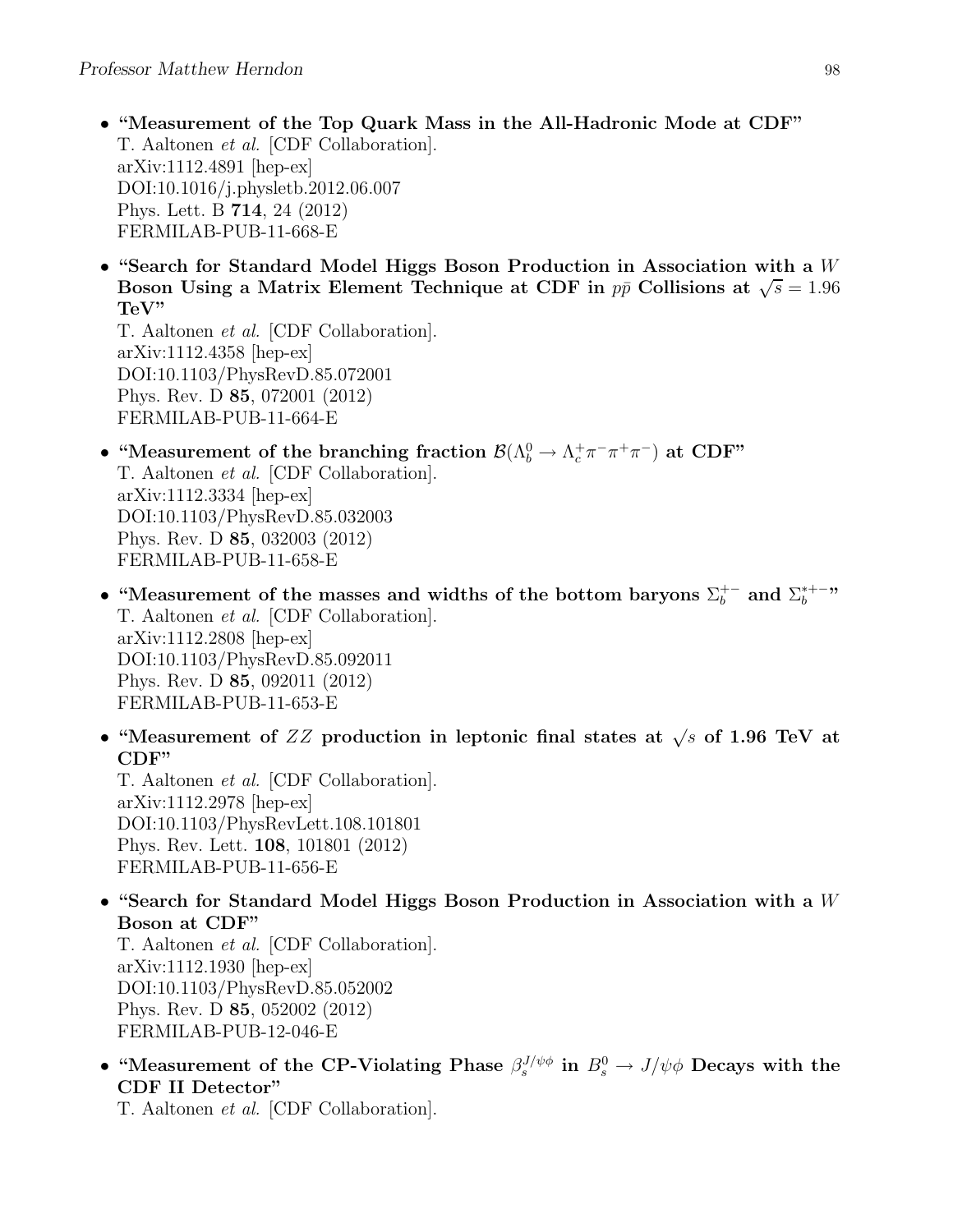- "Measurement of the Top Quark Mass in the All-Hadronic Mode at CDF" T. Aaltonen et al. [CDF Collaboration]. arXiv:1112.4891 [hep-ex] DOI:10.1016/j.physletb.2012.06.007 Phys. Lett. B 714, 24 (2012) FERMILAB-PUB-11-668-E
- "Search for Standard Model Higgs Boson Production in Association with a  $W$ Boson Using a Matrix Element Technique at CDF in  $p\bar{p}$  Collisions at  $\sqrt{s} = 1.96$ TeV"

T. Aaltonen et al. [CDF Collaboration]. arXiv:1112.4358 [hep-ex] DOI:10.1103/PhysRevD.85.072001 Phys. Rev. D 85, 072001 (2012) FERMILAB-PUB-11-664-E

- "Measurement of the branching fraction  $\mathcal{B}(\Lambda_b^0 \to \Lambda_c^+ \pi^- \pi^+ \pi^-)$  at CDF" T. Aaltonen et al. [CDF Collaboration]. arXiv:1112.3334 [hep-ex] DOI:10.1103/PhysRevD.85.032003 Phys. Rev. D 85, 032003 (2012) FERMILAB-PUB-11-658-E
- "Measurement of the masses and widths of the bottom baryons  $\Sigma_b^{+-}$  and  $\Sigma_b^{*+-}$ " T. Aaltonen et al. [CDF Collaboration]. arXiv:1112.2808 [hep-ex] DOI:10.1103/PhysRevD.85.092011 Phys. Rev. D 85, 092011 (2012) FERMILAB-PUB-11-653-E
- "Measurement of ZZ production in leptonic final states at  $\sqrt{s}$  of 1.96 TeV at CDF"

T. Aaltonen et al. [CDF Collaboration]. arXiv:1112.2978 [hep-ex] DOI:10.1103/PhysRevLett.108.101801 Phys. Rev. Lett. 108, 101801 (2012) FERMILAB-PUB-11-656-E

• "Search for Standard Model Higgs Boson Production in Association with a  $W$ Boson at CDF"

T. Aaltonen et al. [CDF Collaboration]. arXiv:1112.1930 [hep-ex] DOI:10.1103/PhysRevD.85.052002 Phys. Rev. D 85, 052002 (2012) FERMILAB-PUB-12-046-E

• "Measurement of the CP-Violating Phase  $\beta_s^{J/\psi\phi}$  in  $B_s^0 \to J/\psi\phi$  Decays with the CDF II Detector"

T. Aaltonen et al. [CDF Collaboration].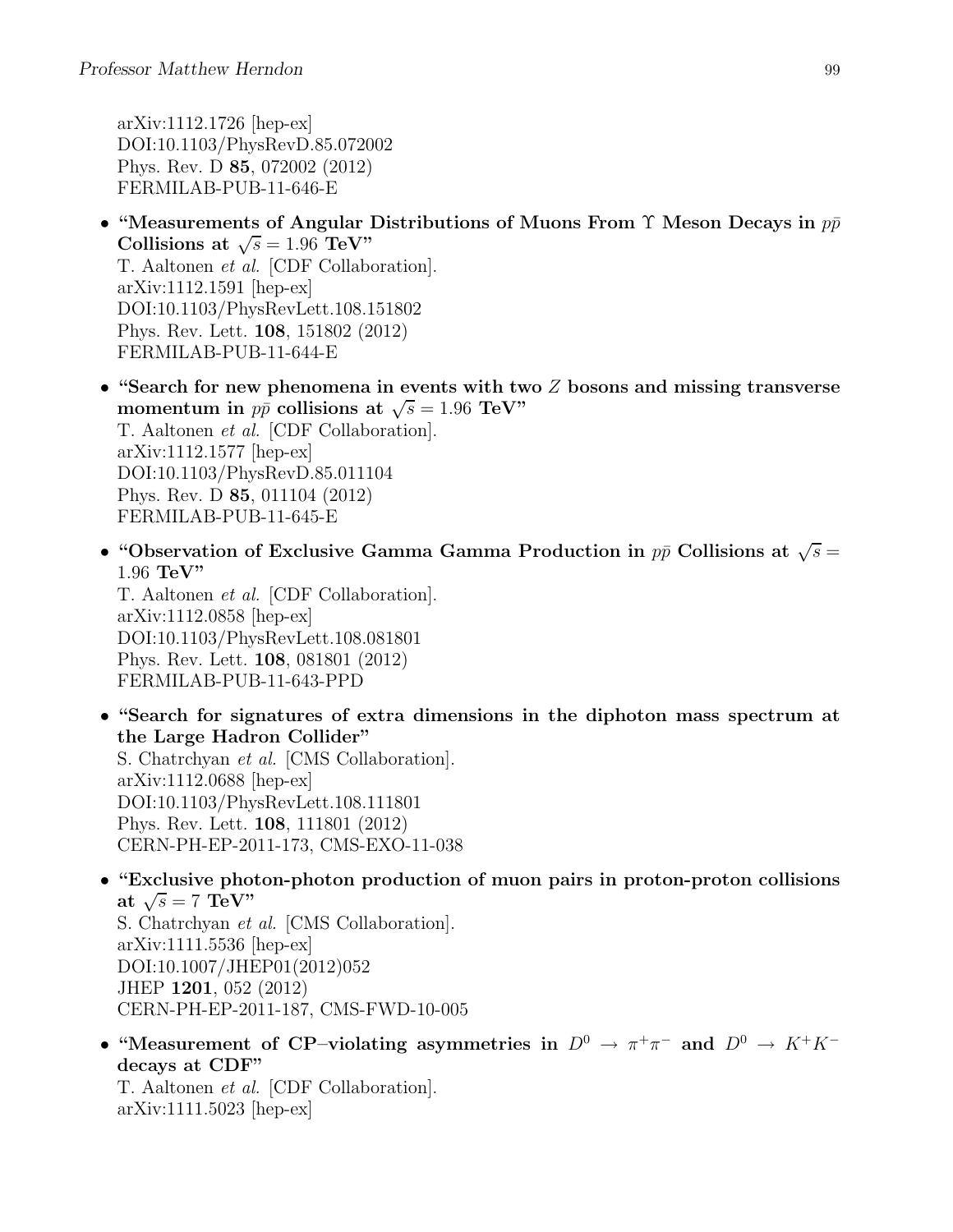arXiv:1112.1726 [hep-ex] DOI:10.1103/PhysRevD.85.072002 Phys. Rev. D 85, 072002 (2012) FERMILAB-PUB-11-646-E

- "Measurements of Angular Distributions of Muons From  $\Upsilon$  Meson Decays in  $p\bar{p}$ Collisions at  $\sqrt{s} = 1.96 \text{ TeV}$ " T. Aaltonen et al. [CDF Collaboration]. arXiv:1112.1591 [hep-ex] DOI:10.1103/PhysRevLett.108.151802 Phys. Rev. Lett. 108, 151802 (2012) FERMILAB-PUB-11-644-E
- "Search for new phenomena in events with two  $Z$  bosons and missing transverse momentum in  $p\bar{p}$  collisions at  $\sqrt{s} = 1.96 \text{ TeV}$ " T. Aaltonen et al. [CDF Collaboration]. arXiv:1112.1577 [hep-ex] DOI:10.1103/PhysRevD.85.011104 Phys. Rev. D 85, 011104 (2012) FERMILAB-PUB-11-645-E
- "Observation of Exclusive Gamma Gamma Production in  $p\bar{p}$  Collisions at  $\sqrt{s} =$ 1.96 TeV"

T. Aaltonen et al. [CDF Collaboration]. arXiv:1112.0858 [hep-ex] DOI:10.1103/PhysRevLett.108.081801 Phys. Rev. Lett. 108, 081801 (2012) FERMILAB-PUB-11-643-PPD

- "Search for signatures of extra dimensions in the diphoton mass spectrum at the Large Hadron Collider" S. Chatrchyan et al. [CMS Collaboration]. arXiv:1112.0688 [hep-ex] DOI:10.1103/PhysRevLett.108.111801 Phys. Rev. Lett. 108, 111801 (2012) CERN-PH-EP-2011-173, CMS-EXO-11-038
- "Exclusive photon-photon production of muon pairs in proton-proton collisions at  $\sqrt{s} = 7$  TeV" S. Chatrchyan et al. [CMS Collaboration]. arXiv:1111.5536 [hep-ex] DOI:10.1007/JHEP01(2012)052 JHEP 1201, 052 (2012) CERN-PH-EP-2011-187, CMS-FWD-10-005
- "Measurement of CP-violating asymmetries in  $D^0 \to \pi^+\pi^-$  and  $D^0 \to K^+K^$ decays at CDF" T. Aaltonen et al. [CDF Collaboration]. arXiv:1111.5023 [hep-ex]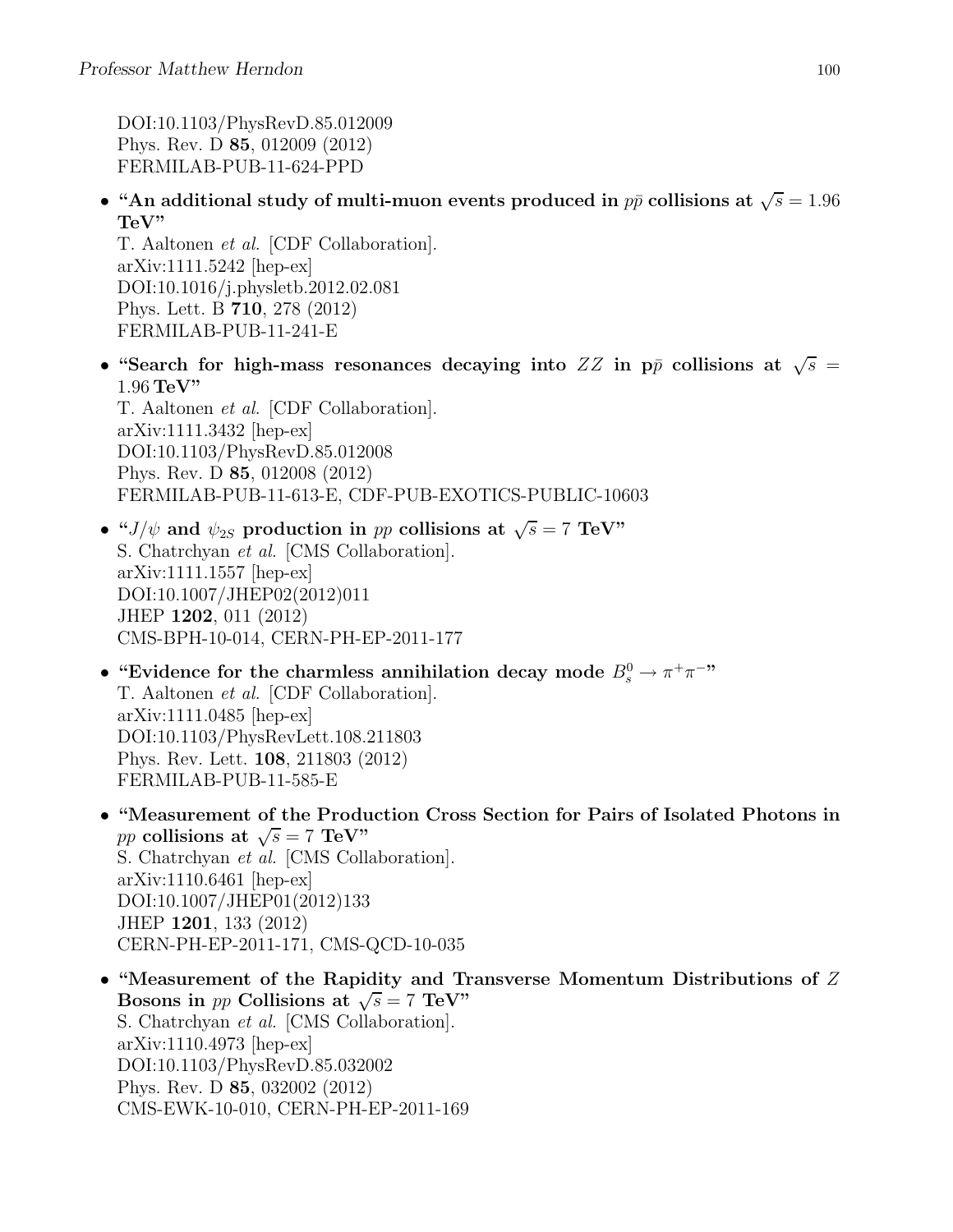DOI:10.1103/PhysRevD.85.012009 Phys. Rev. D 85, 012009 (2012) FERMILAB-PUB-11-624-PPD

• "An additional study of multi-muon events produced in  $p\bar{p}$  collisions at  $\sqrt{s} = 1.96$ TeV"

T. Aaltonen et al. [CDF Collaboration]. arXiv:1111.5242 [hep-ex] DOI:10.1016/j.physletb.2012.02.081 Phys. Lett. B 710, 278 (2012) FERMILAB-PUB-11-241-E

• "Search for high-mass resonances decaying into  $ZZ$  in pp collisions at  $\sqrt{s}$  =  $1.96$  TeV"

T. Aaltonen et al. [CDF Collaboration]. arXiv:1111.3432 [hep-ex] DOI:10.1103/PhysRevD.85.012008 Phys. Rev. D 85, 012008 (2012) FERMILAB-PUB-11-613-E, CDF-PUB-EXOTICS-PUBLIC-10603

- " $J/\psi$  and  $\psi_{2S}$  production in pp collisions at  $\sqrt{s} = 7$  TeV" S. Chatrchyan et al. [CMS Collaboration]. arXiv:1111.1557 [hep-ex] DOI:10.1007/JHEP02(2012)011 JHEP 1202, 011 (2012) CMS-BPH-10-014, CERN-PH-EP-2011-177
- "Evidence for the charmless annihilation decay mode  $B_s^0 \to \pi^+\pi^-$ " T. Aaltonen et al. [CDF Collaboration]. arXiv:1111.0485 [hep-ex] DOI:10.1103/PhysRevLett.108.211803 Phys. Rev. Lett. 108, 211803 (2012) FERMILAB-PUB-11-585-E
- "Measurement of the Production Cross Section for Pairs of Isolated Photons in pp collisions at  $\sqrt{s} = 7$  TeV" S. Chatrchyan et al. [CMS Collaboration]. arXiv:1110.6461 [hep-ex] DOI:10.1007/JHEP01(2012)133 JHEP 1201, 133 (2012) CERN-PH-EP-2011-171, CMS-QCD-10-035
- "Measurement of the Rapidity and Transverse Momentum Distributions of Z Bosons in *pp* Collisions at  $\sqrt{s} = 7$  TeV" S. Chatrchyan et al. [CMS Collaboration]. arXiv:1110.4973 [hep-ex] DOI:10.1103/PhysRevD.85.032002 Phys. Rev. D 85, 032002 (2012) CMS-EWK-10-010, CERN-PH-EP-2011-169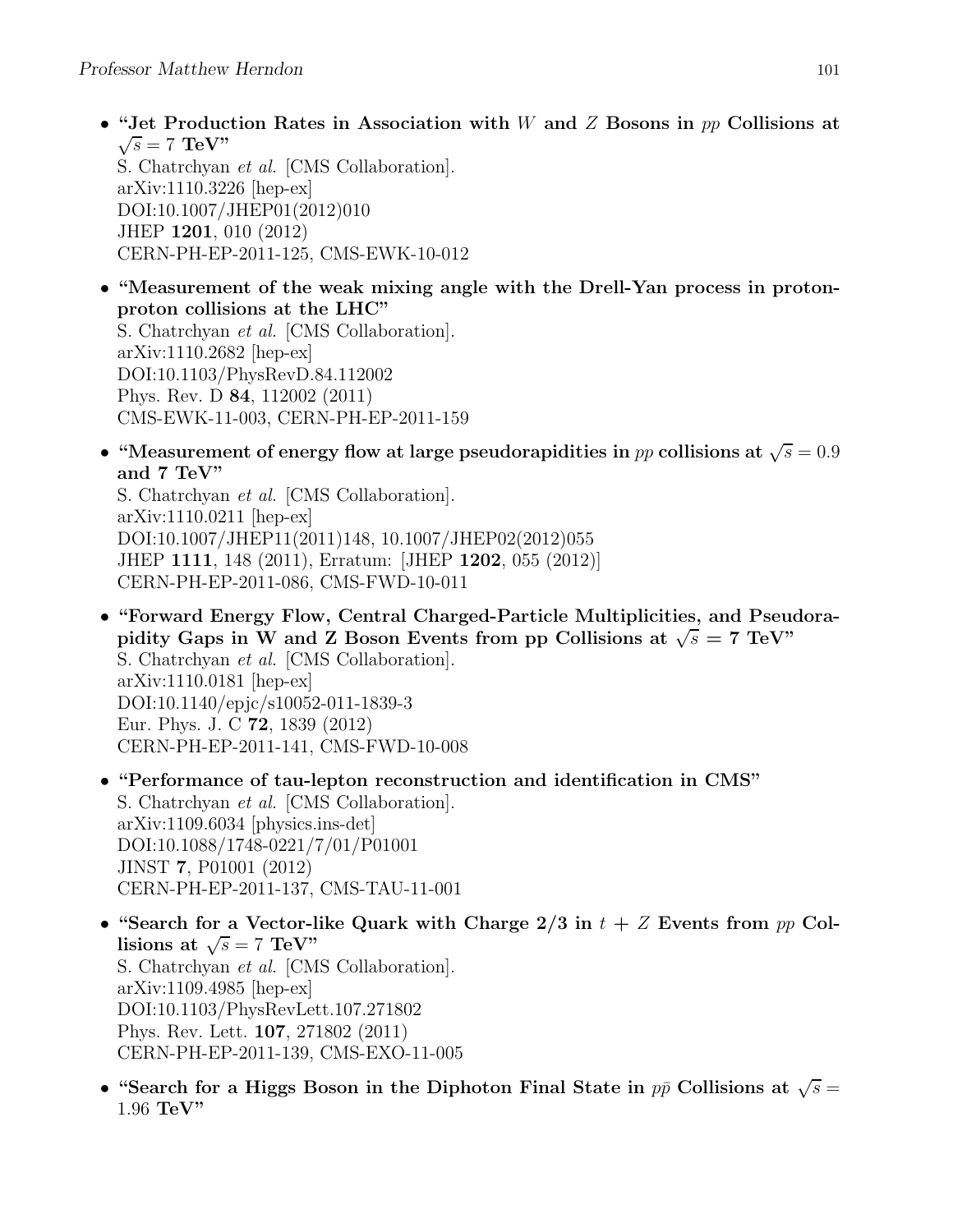JHEP 1201, 010 (2012)

CERN-PH-EP-2011-125, CMS-EWK-10-012

• "Jet Production Rates in Association with W and Z Bosons in  $pp$  Collisions at  $\sqrt{s} = 7$  TeV" S. Chatrchyan et al. [CMS Collaboration]. arXiv:1110.3226 [hep-ex] DOI:10.1007/JHEP01(2012)010

• "Measurement of the weak mixing angle with the Drell-Yan process in protonproton collisions at the LHC" S. Chatrchyan et al. [CMS Collaboration]. arXiv:1110.2682 [hep-ex] DOI:10.1103/PhysRevD.84.112002 Phys. Rev. D 84, 112002 (2011) CMS-EWK-11-003, CERN-PH-EP-2011-159

• "Measurement of energy flow at large pseudorapidities in pp collisions at  $\sqrt{s} = 0.9$ and 7 TeV"

S. Chatrchyan et al. [CMS Collaboration]. arXiv:1110.0211 [hep-ex] DOI:10.1007/JHEP11(2011)148, 10.1007/JHEP02(2012)055 JHEP 1111, 148 (2011), Erratum: [JHEP 1202, 055 (2012)] CERN-PH-EP-2011-086, CMS-FWD-10-011

- "Forward Energy Flow, Central Charged-Particle Multiplicities, and Pseudorapidity Gaps in W and Z Boson Events from pp Collisions at  $\sqrt{s} = 7$  TeV" S. Chatrchyan et al. [CMS Collaboration]. arXiv:1110.0181 [hep-ex] DOI:10.1140/epjc/s10052-011-1839-3 Eur. Phys. J. C 72, 1839 (2012) CERN-PH-EP-2011-141, CMS-FWD-10-008
- "Performance of tau-lepton reconstruction and identification in CMS" S. Chatrchyan et al. [CMS Collaboration]. arXiv:1109.6034 [physics.ins-det] DOI:10.1088/1748-0221/7/01/P01001 JINST 7, P01001 (2012) CERN-PH-EP-2011-137, CMS-TAU-11-001
- "Search for a Vector-like Quark with Charge  $2/3$  in  $t + Z$  Events from pp Collisions at  $\sqrt{s} = 7 \text{ TeV}$ " S. Chatrchyan et al. [CMS Collaboration]. arXiv:1109.4985 [hep-ex] DOI:10.1103/PhysRevLett.107.271802 Phys. Rev. Lett. 107, 271802 (2011) CERN-PH-EP-2011-139, CMS-EXO-11-005
- "Search for a Higgs Boson in the Diphoton Final State in  $p\bar{p}$  Collisions at  $\sqrt{s} =$ 1.96 TeV"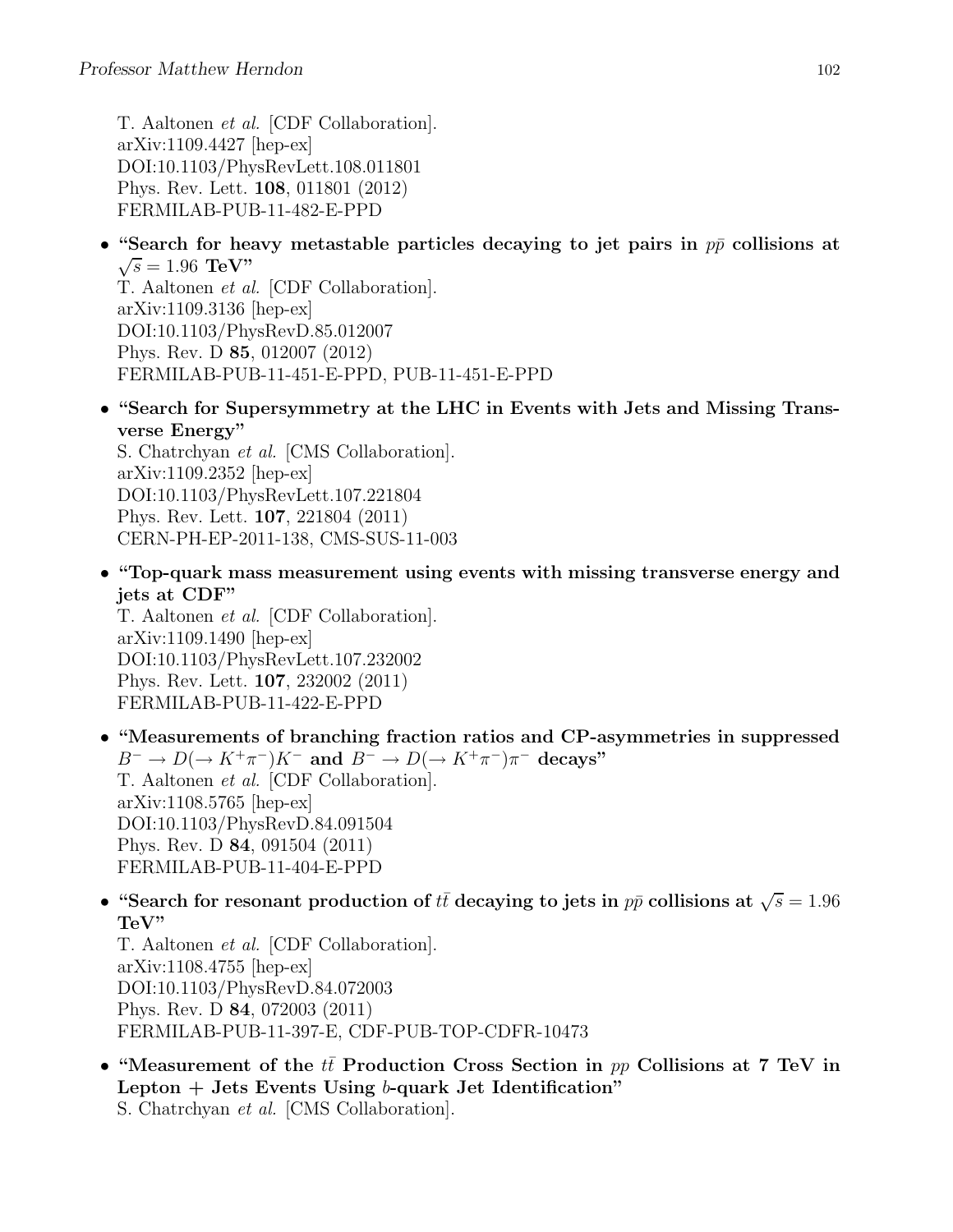T. Aaltonen et al. [CDF Collaboration]. arXiv:1109.4427 [hep-ex] DOI:10.1103/PhysRevLett.108.011801 Phys. Rev. Lett. 108, 011801 (2012) FERMILAB-PUB-11-482-E-PPD

• "Search for heavy metastable particles decaying to jet pairs in  $p\bar{p}$  collisions at  $\sqrt{s} = 1.96 \text{ TeV}$ " T. Aaltonen et al. [CDF Collaboration].

arXiv:1109.3136 [hep-ex] DOI:10.1103/PhysRevD.85.012007 Phys. Rev. D 85, 012007 (2012) FERMILAB-PUB-11-451-E-PPD, PUB-11-451-E-PPD

• "Search for Supersymmetry at the LHC in Events with Jets and Missing Transverse Energy"

S. Chatrchyan et al. [CMS Collaboration]. arXiv:1109.2352 [hep-ex] DOI:10.1103/PhysRevLett.107.221804 Phys. Rev. Lett. 107, 221804 (2011) CERN-PH-EP-2011-138, CMS-SUS-11-003

• "Top-quark mass measurement using events with missing transverse energy and jets at CDF"

T. Aaltonen et al. [CDF Collaboration]. arXiv:1109.1490 [hep-ex] DOI:10.1103/PhysRevLett.107.232002 Phys. Rev. Lett. 107, 232002 (2011) FERMILAB-PUB-11-422-E-PPD

- "Measurements of branching fraction ratios and CP-asymmetries in suppressed  $B^- \to D(\to K^+\pi^-)K^-$  and  $B^- \to D(\to K^+\pi^-)\pi^-$  decays" T. Aaltonen et al. [CDF Collaboration]. arXiv:1108.5765 [hep-ex] DOI:10.1103/PhysRevD.84.091504 Phys. Rev. D 84, 091504 (2011) FERMILAB-PUB-11-404-E-PPD
- "Search for resonant production of  $t\bar{t}$  decaying to jets in  $p\bar{p}$  collisions at  $\sqrt{s} = 1.96$ TeV"

T. Aaltonen et al. [CDF Collaboration]. arXiv:1108.4755 [hep-ex] DOI:10.1103/PhysRevD.84.072003 Phys. Rev. D 84, 072003 (2011) FERMILAB-PUB-11-397-E, CDF-PUB-TOP-CDFR-10473

• "Measurement of the tt Production Cross Section in  $pp$  Collisions at 7 TeV in Lepton  $+$  Jets Events Using b-quark Jet Identification" S. Chatrchyan et al. [CMS Collaboration].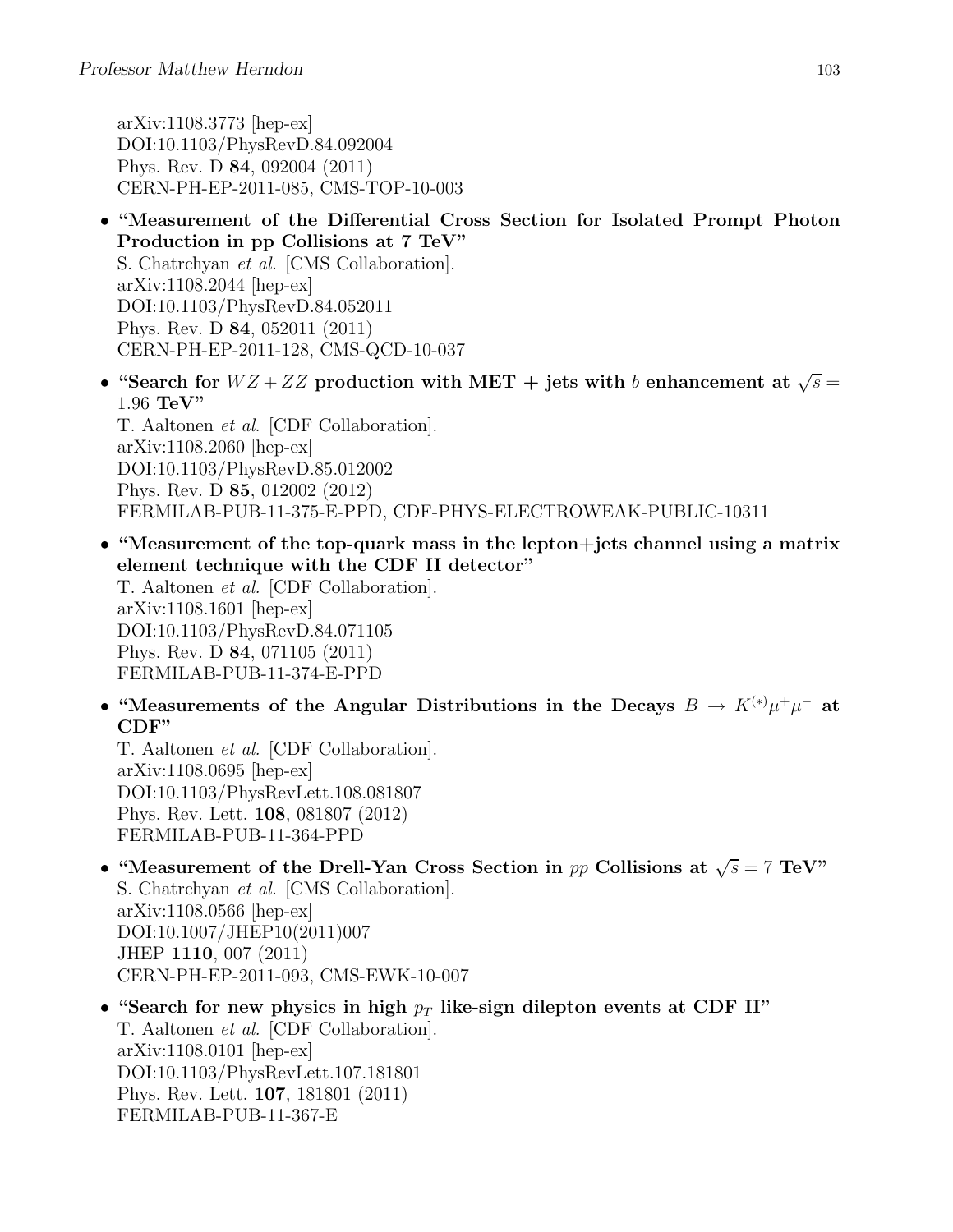arXiv:1108.3773 [hep-ex] DOI:10.1103/PhysRevD.84.092004 Phys. Rev. D 84, 092004 (2011) CERN-PH-EP-2011-085, CMS-TOP-10-003

- "Measurement of the Differential Cross Section for Isolated Prompt Photon Production in pp Collisions at 7 TeV" S. Chatrchyan et al. [CMS Collaboration]. arXiv:1108.2044 [hep-ex] DOI:10.1103/PhysRevD.84.052011 Phys. Rev. D 84, 052011 (2011) CERN-PH-EP-2011-128, CMS-QCD-10-037
- "Search for  $WZ + ZZ$  production with MET + jets with b enhancement at  $\sqrt{s} =$ 1.96 TeV" T. Aaltonen et al. [CDF Collaboration]. arXiv:1108.2060 [hep-ex] DOI:10.1103/PhysRevD.85.012002 Phys. Rev. D 85, 012002 (2012) FERMILAB-PUB-11-375-E-PPD, CDF-PHYS-ELECTROWEAK-PUBLIC-10311
- "Measurement of the top-quark mass in the lepton+jets channel using a matrix element technique with the CDF II detector" T. Aaltonen et al. [CDF Collaboration]. arXiv:1108.1601 [hep-ex] DOI:10.1103/PhysRevD.84.071105 Phys. Rev. D 84, 071105 (2011) FERMILAB-PUB-11-374-E-PPD
- "Measurements of the Angular Distributions in the Decays  $B \to K^{(*)} \mu^+ \mu^-$  at CDF"

T. Aaltonen et al. [CDF Collaboration]. arXiv:1108.0695 [hep-ex] DOI:10.1103/PhysRevLett.108.081807 Phys. Rev. Lett. 108, 081807 (2012) FERMILAB-PUB-11-364-PPD

- "Measurement of the Drell-Yan Cross Section in pp Collisions at  $\sqrt{s} = 7 \text{ TeV}$ " S. Chatrchyan et al. [CMS Collaboration]. arXiv:1108.0566 [hep-ex] DOI:10.1007/JHEP10(2011)007 JHEP 1110, 007 (2011) CERN-PH-EP-2011-093, CMS-EWK-10-007
- "Search for new physics in high  $p_T$  like-sign dilepton events at CDF II" T. Aaltonen et al. [CDF Collaboration]. arXiv:1108.0101 [hep-ex] DOI:10.1103/PhysRevLett.107.181801 Phys. Rev. Lett. 107, 181801 (2011) FERMILAB-PUB-11-367-E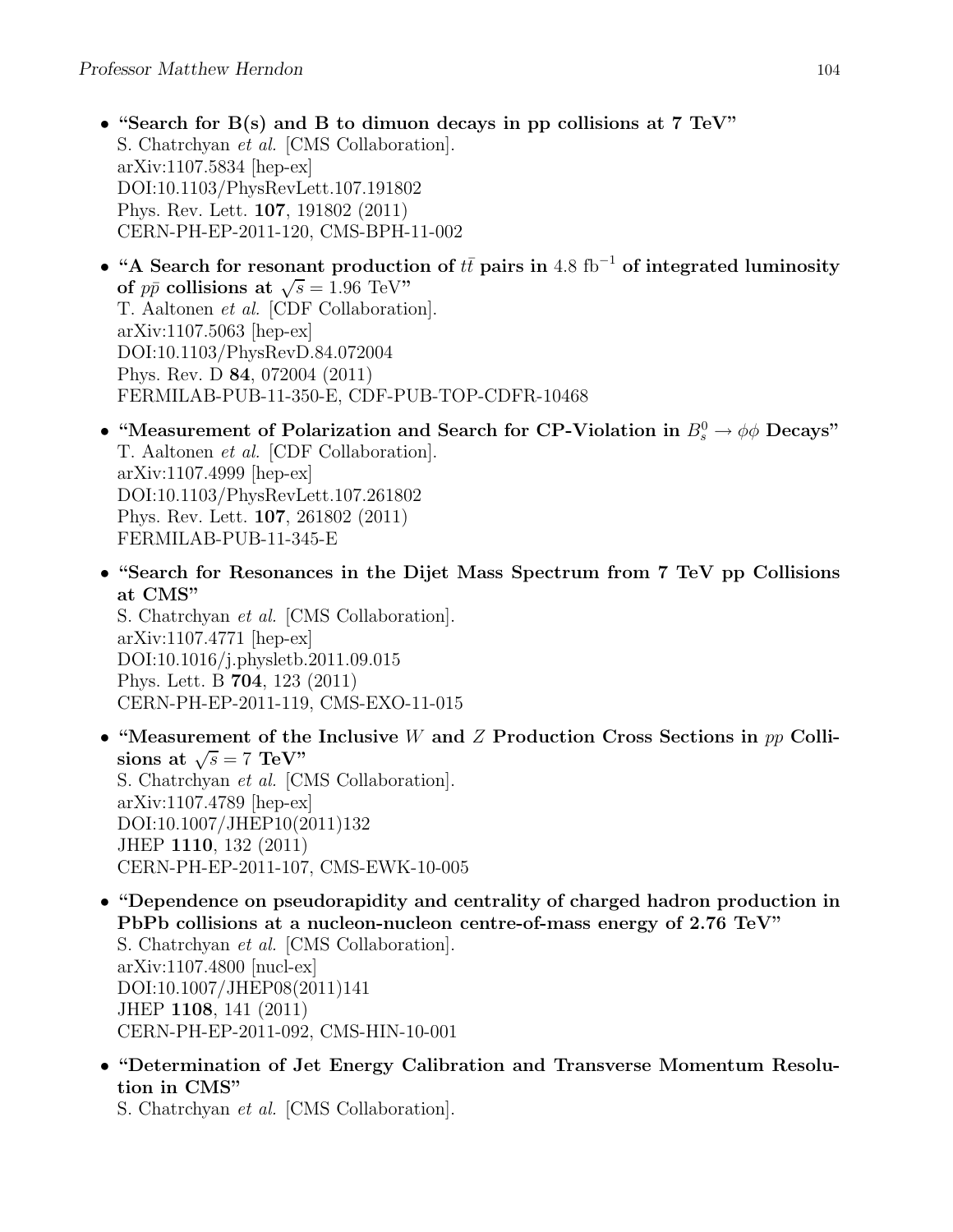- "Search for  $B(s)$  and B to dimuon decays in pp collisions at 7 TeV" S. Chatrchyan et al. [CMS Collaboration]. arXiv:1107.5834 [hep-ex] DOI:10.1103/PhysRevLett.107.191802 Phys. Rev. Lett. 107, 191802 (2011) CERN-PH-EP-2011-120, CMS-BPH-11-002
- "A Search for resonant production of  $t\bar{t}$  pairs in 4.8 fb<sup>-1</sup> of integrated luminosity of  $p\bar{p}$  collisions at  $\sqrt{s} = 1.96$  TeV" T. Aaltonen et al. [CDF Collaboration]. arXiv:1107.5063 [hep-ex] DOI:10.1103/PhysRevD.84.072004 Phys. Rev. D 84, 072004 (2011) FERMILAB-PUB-11-350-E, CDF-PUB-TOP-CDFR-10468
- "Measurement of Polarization and Search for CP-Violation in  $B_s^0 \to \phi \phi$  Decays" T. Aaltonen et al. [CDF Collaboration]. arXiv:1107.4999 [hep-ex] DOI:10.1103/PhysRevLett.107.261802 Phys. Rev. Lett. 107, 261802 (2011) FERMILAB-PUB-11-345-E
- "Search for Resonances in the Dijet Mass Spectrum from 7 TeV pp Collisions at CMS"

S. Chatrchyan et al. [CMS Collaboration]. arXiv:1107.4771 [hep-ex] DOI:10.1016/j.physletb.2011.09.015 Phys. Lett. B 704, 123 (2011) CERN-PH-EP-2011-119, CMS-EXO-11-015

- "Measurement of the Inclusive W and  $Z$  Production Cross Sections in  $pp$  Collisions at  $\sqrt{s} = 7 \text{ TeV}$ " S. Chatrchyan et al. [CMS Collaboration]. arXiv:1107.4789 [hep-ex] DOI:10.1007/JHEP10(2011)132 JHEP 1110, 132 (2011) CERN-PH-EP-2011-107, CMS-EWK-10-005
- "Dependence on pseudorapidity and centrality of charged hadron production in PbPb collisions at a nucleon-nucleon centre-of-mass energy of 2.76 TeV" S. Chatrchyan et al. [CMS Collaboration]. arXiv:1107.4800 [nucl-ex] DOI:10.1007/JHEP08(2011)141 JHEP 1108, 141 (2011) CERN-PH-EP-2011-092, CMS-HIN-10-001
- "Determination of Jet Energy Calibration and Transverse Momentum Resolution in CMS"

S. Chatrchyan et al. [CMS Collaboration].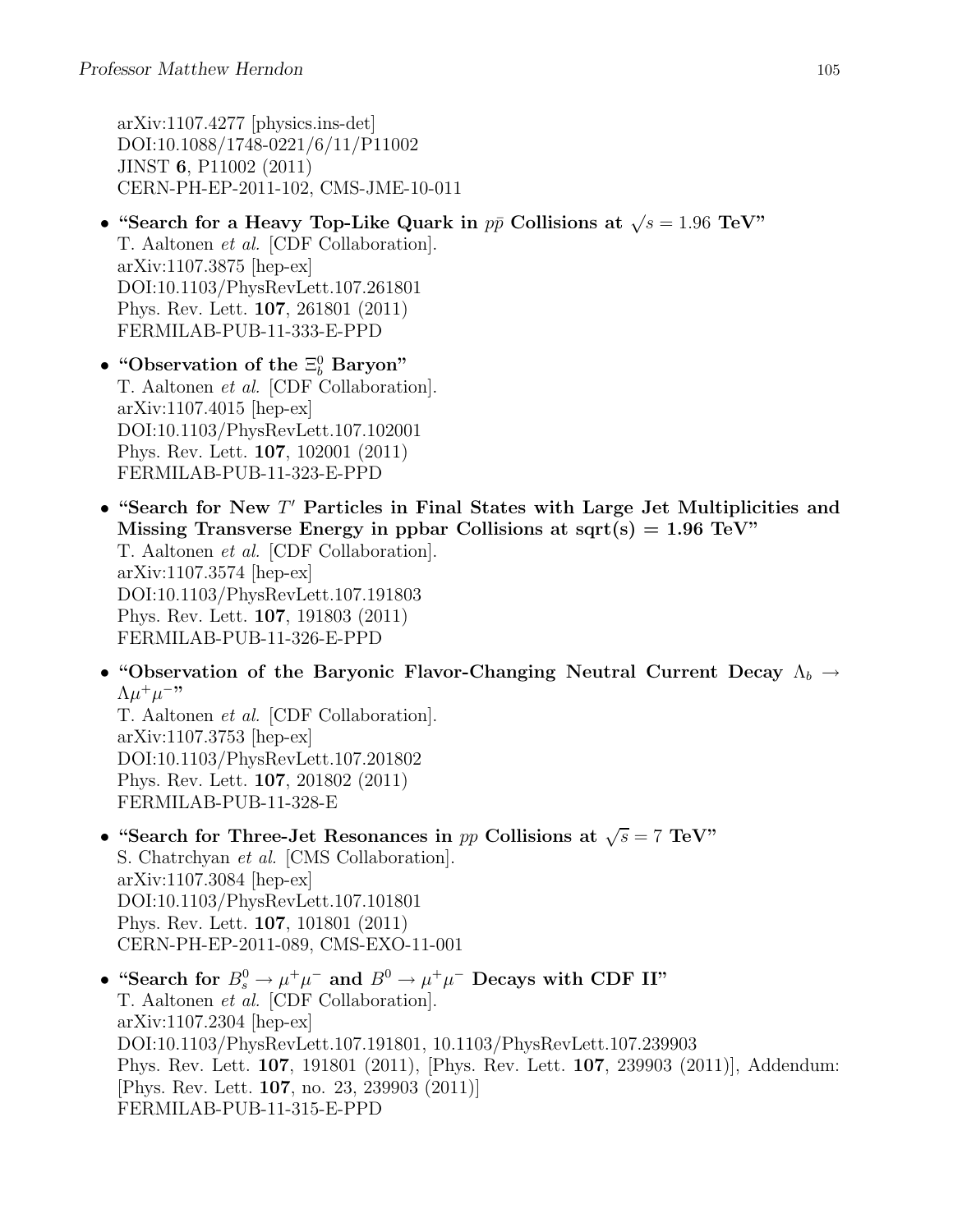arXiv:1107.4277 [physics.ins-det] DOI:10.1088/1748-0221/6/11/P11002 JINST 6, P11002 (2011) CERN-PH-EP-2011-102, CMS-JME-10-011

• "Search for a Heavy Top-Like Quark in  $p\bar{p}$  Collisions at  $\sqrt{s} = 1.96$  TeV" T. Aaltonen et al. [CDF Collaboration]. arXiv:1107.3875 [hep-ex] DOI:10.1103/PhysRevLett.107.261801 Phys. Rev. Lett. 107, 261801 (2011) FERMILAB-PUB-11-333-E-PPD

• "Observation of the  $\Xi_b^0$  Baryon" T. Aaltonen et al. [CDF Collaboration]. arXiv:1107.4015 [hep-ex] DOI:10.1103/PhysRevLett.107.102001 Phys. Rev. Lett. 107, 102001 (2011) FERMILAB-PUB-11-323-E-PPD

- "Search for New  $T'$  Particles in Final States with Large Jet Multiplicities and Missing Transverse Energy in ppbar Collisions at sqrt(s) =  $1.96$  TeV" T. Aaltonen et al. [CDF Collaboration]. arXiv:1107.3574 [hep-ex] DOI:10.1103/PhysRevLett.107.191803 Phys. Rev. Lett. 107, 191803 (2011) FERMILAB-PUB-11-326-E-PPD
- "Observation of the Baryonic Flavor-Changing Neutral Current Decay  $\Lambda_b \to$  $\Lambda \mu^+ \mu^{-,}$

T. Aaltonen et al. [CDF Collaboration]. arXiv:1107.3753 [hep-ex] DOI:10.1103/PhysRevLett.107.201802 Phys. Rev. Lett. 107, 201802 (2011) FERMILAB-PUB-11-328-E

- "Search for Three-Jet Resonances in pp Collisions at  $\sqrt{s} = 7$  TeV" S. Chatrchyan et al. [CMS Collaboration]. arXiv:1107.3084 [hep-ex] DOI:10.1103/PhysRevLett.107.101801 Phys. Rev. Lett. 107, 101801 (2011) CERN-PH-EP-2011-089, CMS-EXO-11-001
- "Search for  $B_s^0 \to \mu^+\mu^-$  and  $B^0 \to \mu^+\mu^-$  Decays with CDF II" T. Aaltonen et al. [CDF Collaboration]. arXiv:1107.2304 [hep-ex] DOI:10.1103/PhysRevLett.107.191801, 10.1103/PhysRevLett.107.239903 Phys. Rev. Lett. 107, 191801 (2011), [Phys. Rev. Lett. 107, 239903 (2011)], Addendum: [Phys. Rev. Lett. 107, no. 23, 239903 (2011)] FERMILAB-PUB-11-315-E-PPD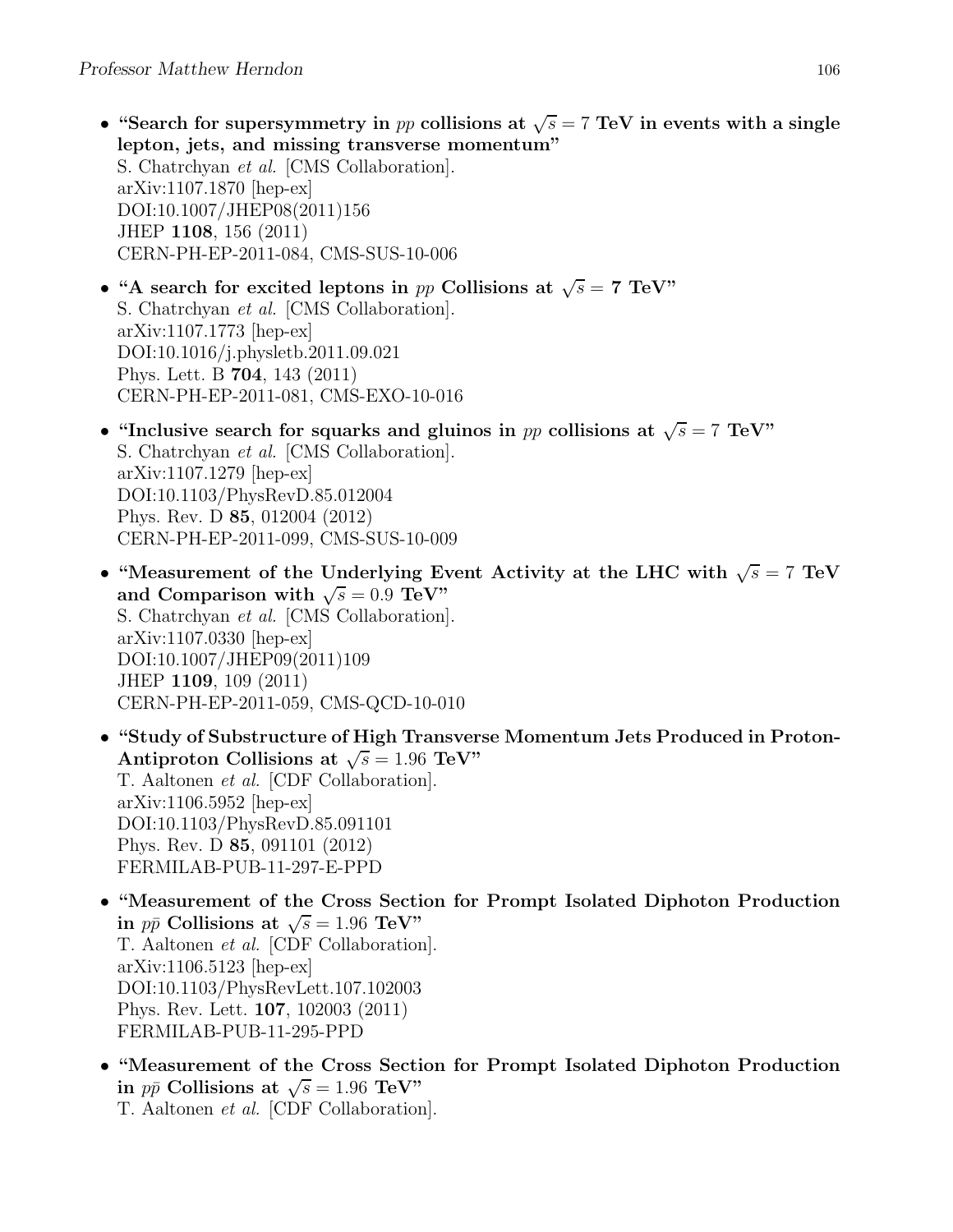- "Search for supersymmetry in pp collisions at  $\sqrt{s} = 7$  TeV in events with a single lepton, jets, and missing transverse momentum" S. Chatrchyan et al. [CMS Collaboration]. arXiv:1107.1870 [hep-ex] DOI:10.1007/JHEP08(2011)156 JHEP 1108, 156 (2011) CERN-PH-EP-2011-084, CMS-SUS-10-006
- "A search for excited leptons in pp Collisions at  $\sqrt{s} = 7$  TeV" S. Chatrchyan et al. [CMS Collaboration]. arXiv:1107.1773 [hep-ex] DOI:10.1016/j.physletb.2011.09.021 Phys. Lett. B 704, 143 (2011) CERN-PH-EP-2011-081, CMS-EXO-10-016
- "Inclusive search for squarks and gluinos in pp collisions at  $\sqrt{s} = 7$  TeV" S. Chatrchyan et al. [CMS Collaboration]. arXiv:1107.1279 [hep-ex] DOI:10.1103/PhysRevD.85.012004 Phys. Rev. D 85, 012004 (2012) CERN-PH-EP-2011-099, CMS-SUS-10-009
- "Measurement of the Underlying Event Activity at the LHC with  $\sqrt{s} = 7$  TeV and Comparison with  $\sqrt{s} = 0.9$  TeV" S. Chatrchyan et al. [CMS Collaboration]. arXiv:1107.0330 [hep-ex] DOI:10.1007/JHEP09(2011)109 JHEP 1109, 109 (2011) CERN-PH-EP-2011-059, CMS-QCD-10-010
- "Study of Substructure of High Transverse Momentum Jets Produced in Proton-Antiproton Collisions at  $\sqrt{s} = 1.96 \text{ TeV}$ " T. Aaltonen et al. [CDF Collaboration]. arXiv:1106.5952 [hep-ex] DOI:10.1103/PhysRevD.85.091101 Phys. Rev. D 85, 091101 (2012) FERMILAB-PUB-11-297-E-PPD
- "Measurement of the Cross Section for Prompt Isolated Diphoton Production in  $p\bar{p}$  Collisions at  $\sqrt{s} = 1.96$  TeV" T. Aaltonen et al. [CDF Collaboration]. arXiv:1106.5123 [hep-ex] DOI:10.1103/PhysRevLett.107.102003 Phys. Rev. Lett. 107, 102003 (2011) FERMILAB-PUB-11-295-PPD
- "Measurement of the Cross Section for Prompt Isolated Diphoton Production in  $p\bar{p}$  Collisions at  $\sqrt{s} = 1.96$  TeV" T. Aaltonen et al. [CDF Collaboration].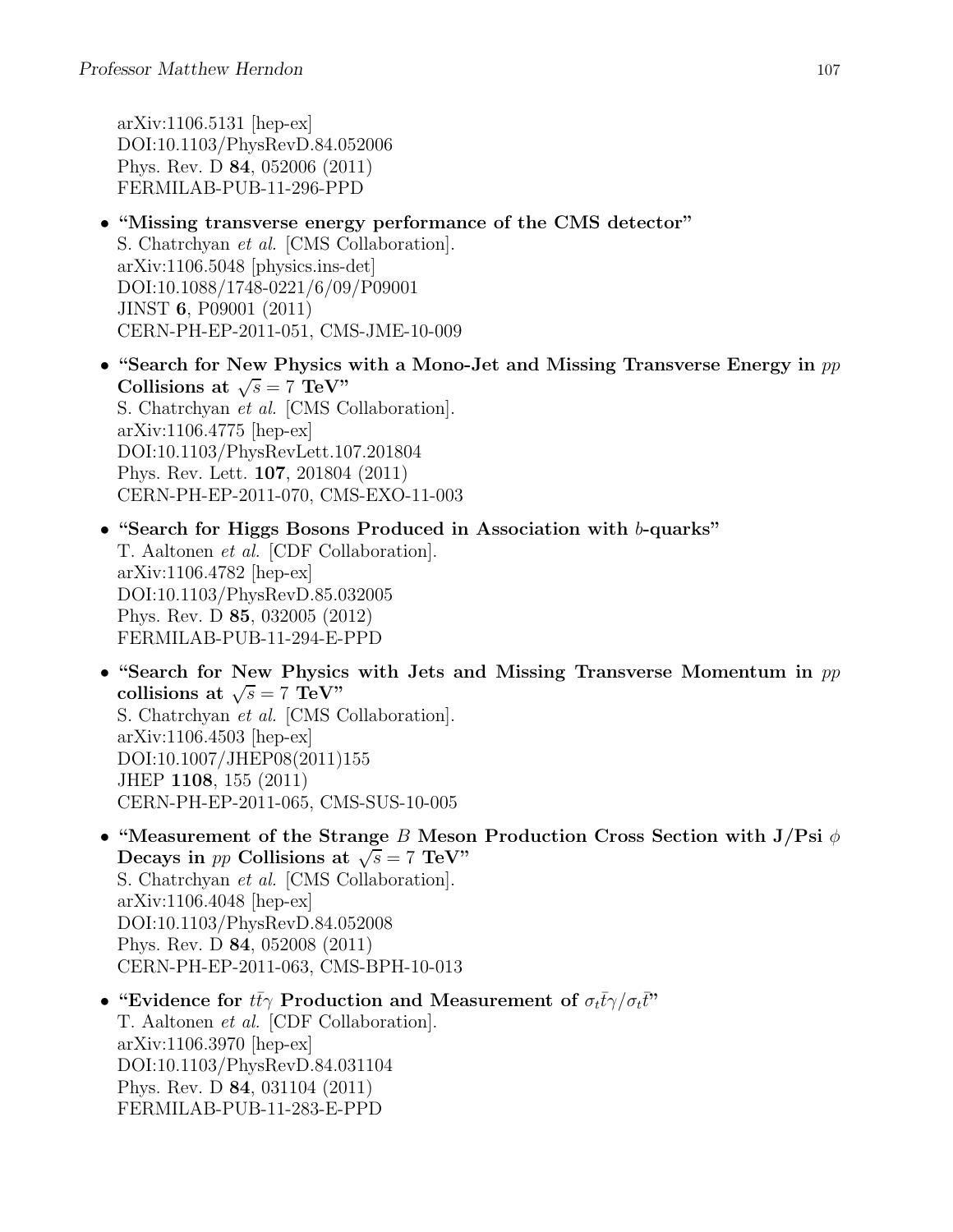arXiv:1106.5131 [hep-ex] DOI:10.1103/PhysRevD.84.052006 Phys. Rev. D 84, 052006 (2011) FERMILAB-PUB-11-296-PPD

- "Missing transverse energy performance of the CMS detector" S. Chatrchyan et al. [CMS Collaboration]. arXiv:1106.5048 [physics.ins-det] DOI:10.1088/1748-0221/6/09/P09001 JINST 6, P09001 (2011) CERN-PH-EP-2011-051, CMS-JME-10-009
- "Search for New Physics with a Mono-Jet and Missing Transverse Energy in  $pp$ Collisions at  $\sqrt{s} = 7 \text{ TeV}$ " S. Chatrchyan et al. [CMS Collaboration]. arXiv:1106.4775 [hep-ex] DOI:10.1103/PhysRevLett.107.201804 Phys. Rev. Lett. 107, 201804 (2011) CERN-PH-EP-2011-070, CMS-EXO-11-003
- "Search for Higgs Bosons Produced in Association with b-quarks" T. Aaltonen et al. [CDF Collaboration]. arXiv:1106.4782 [hep-ex] DOI:10.1103/PhysRevD.85.032005 Phys. Rev. D 85, 032005 (2012) FERMILAB-PUB-11-294-E-PPD
- "Search for New Physics with Jets and Missing Transverse Momentum in  $pp$ collisions at  $\sqrt{s} = 7 \text{ TeV}$ " S. Chatrchyan et al. [CMS Collaboration]. arXiv:1106.4503 [hep-ex] DOI:10.1007/JHEP08(2011)155 JHEP 1108, 155 (2011) CERN-PH-EP-2011-065, CMS-SUS-10-005
- "Measurement of the Strange B Meson Production Cross Section with J/Psi  $\phi$ Decays in pp Collisions at  $\sqrt{s} = 7$  TeV" S. Chatrchyan et al. [CMS Collaboration]. arXiv:1106.4048 [hep-ex] DOI:10.1103/PhysRevD.84.052008 Phys. Rev. D 84, 052008 (2011) CERN-PH-EP-2011-063, CMS-BPH-10-013
- "Evidence for  $t\bar{t}\gamma$  Production and Measurement of  $\sigma_t\bar{t}\gamma/\sigma_t\bar{t}$ " T. Aaltonen et al. [CDF Collaboration]. arXiv:1106.3970 [hep-ex] DOI:10.1103/PhysRevD.84.031104 Phys. Rev. D 84, 031104 (2011) FERMILAB-PUB-11-283-E-PPD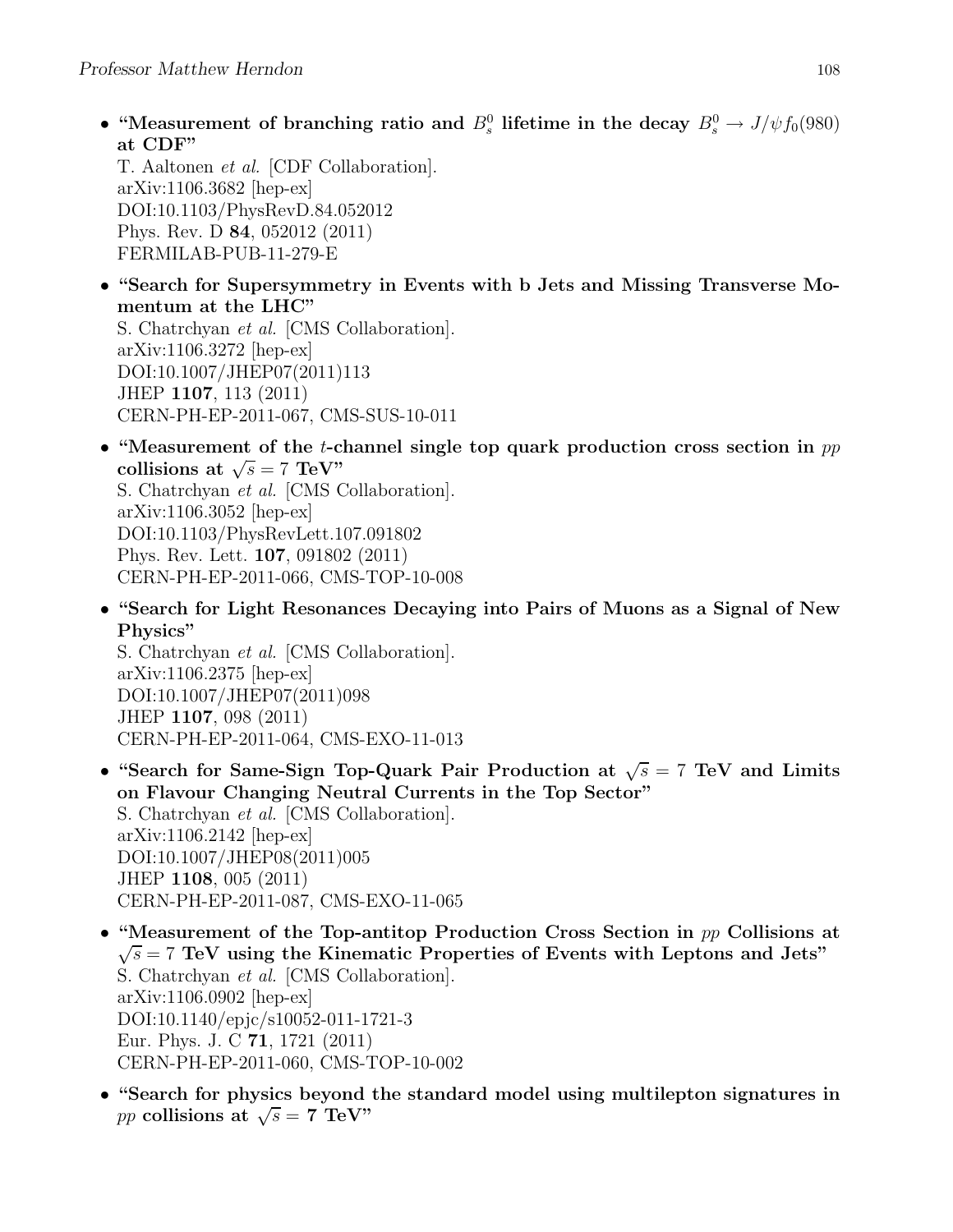• "Measurement of branching ratio and  $B_s^0$  lifetime in the decay  $B_s^0 \to J/\psi f_0(980)$ at CDF"

T. Aaltonen et al. [CDF Collaboration]. arXiv:1106.3682 [hep-ex] DOI:10.1103/PhysRevD.84.052012 Phys. Rev. D 84, 052012 (2011) FERMILAB-PUB-11-279-E

• "Search for Supersymmetry in Events with b Jets and Missing Transverse Momentum at the LHC"

S. Chatrchyan et al. [CMS Collaboration]. arXiv:1106.3272 [hep-ex] DOI:10.1007/JHEP07(2011)113 JHEP 1107, 113 (2011) CERN-PH-EP-2011-067, CMS-SUS-10-011

- "Measurement of the *t*-channel single top quark production cross section in  $pp$ collisions at  $\sqrt{s} = 7 \text{ TeV}$ " S. Chatrchyan et al. [CMS Collaboration]. arXiv:1106.3052 [hep-ex] DOI:10.1103/PhysRevLett.107.091802 Phys. Rev. Lett. 107, 091802 (2011) CERN-PH-EP-2011-066, CMS-TOP-10-008
- "Search for Light Resonances Decaying into Pairs of Muons as a Signal of New Physics"

S. Chatrchyan et al. [CMS Collaboration]. arXiv:1106.2375 [hep-ex] DOI:10.1007/JHEP07(2011)098 JHEP 1107, 098 (2011) CERN-PH-EP-2011-064, CMS-EXO-11-013

- "Search for Same-Sign Top-Quark Pair Production at  $\sqrt{s} = 7$  TeV and Limits on Flavour Changing Neutral Currents in the Top Sector" S. Chatrchyan et al. [CMS Collaboration]. arXiv:1106.2142 [hep-ex] DOI:10.1007/JHEP08(2011)005 JHEP 1108, 005 (2011) CERN-PH-EP-2011-087, CMS-EXO-11-065
- "Measurement of the Top-antitop Production Cross Section in pp Collisions at  $\sqrt{s}$  = 7 TeV using the Kinematic Properties of Events with Leptons and Jets" S. Chatrchyan et al. [CMS Collaboration]. arXiv:1106.0902 [hep-ex] DOI:10.1140/epjc/s10052-011-1721-3 Eur. Phys. J. C 71, 1721 (2011) CERN-PH-EP-2011-060, CMS-TOP-10-002
- "Search for physics beyond the standard model using multilepton signatures in pp collisions at  $\sqrt{s} = 7$  TeV"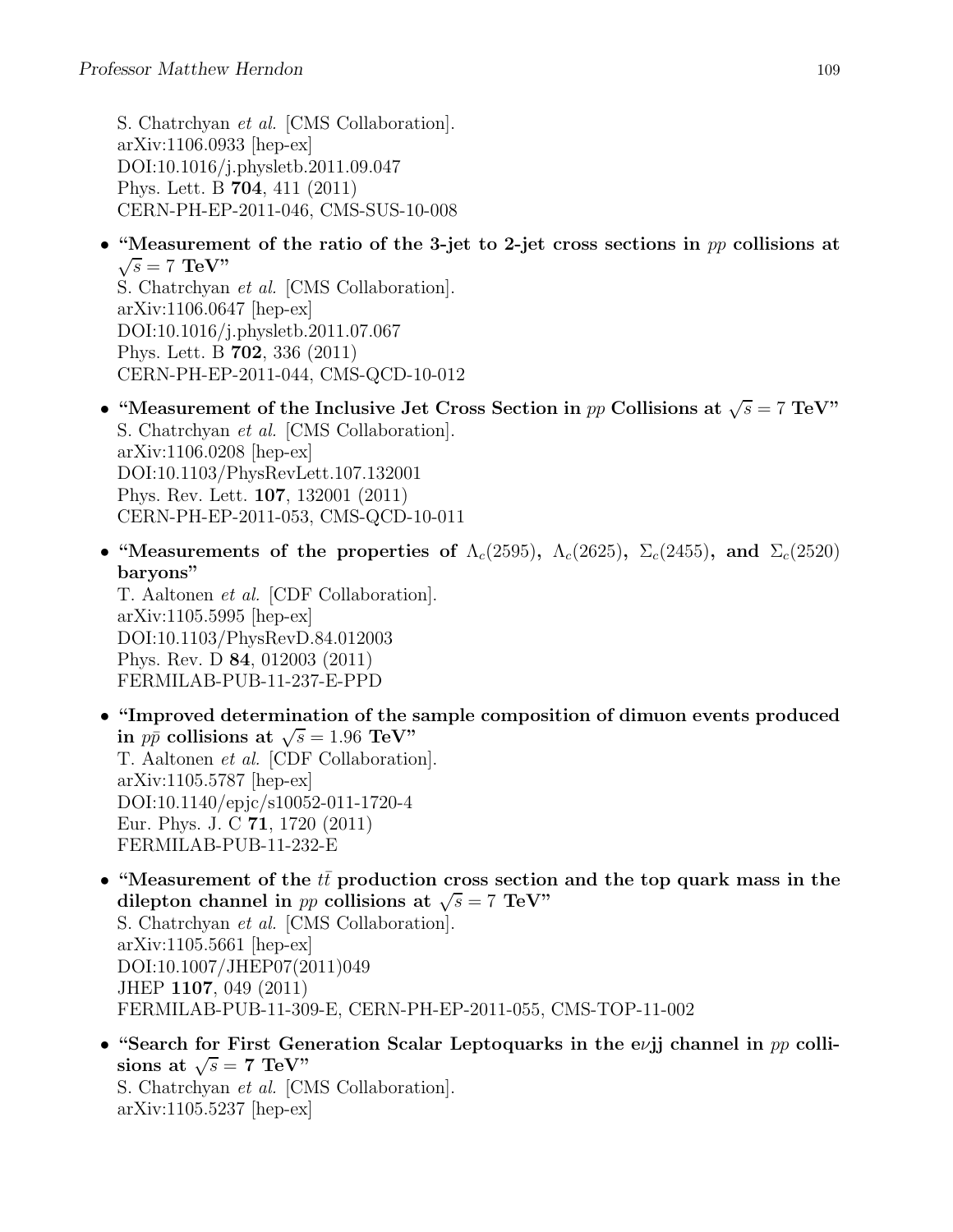S. Chatrchyan et al. [CMS Collaboration]. arXiv:1106.0933 [hep-ex] DOI:10.1016/j.physletb.2011.09.047 Phys. Lett. B 704, 411 (2011) CERN-PH-EP-2011-046, CMS-SUS-10-008

• "Measurement of the ratio of the 3-jet to 2-jet cross sections in  $pp$  collisions at  $\sqrt{s} = 7$  TeV"

S. Chatrchyan et al. [CMS Collaboration]. arXiv:1106.0647 [hep-ex] DOI:10.1016/j.physletb.2011.07.067 Phys. Lett. B 702, 336 (2011) CERN-PH-EP-2011-044, CMS-QCD-10-012

- "Measurement of the Inclusive Jet Cross Section in pp Collisions at  $\sqrt{s} = 7 \text{ TeV}$ " S. Chatrchyan et al. [CMS Collaboration]. arXiv:1106.0208 [hep-ex] DOI:10.1103/PhysRevLett.107.132001 Phys. Rev. Lett. 107, 132001 (2011) CERN-PH-EP-2011-053, CMS-QCD-10-011
- "Measurements of the properties of  $\Lambda_c(2595)$ ,  $\Lambda_c(2625)$ ,  $\Sigma_c(2455)$ , and  $\Sigma_c(2520)$ baryons"

T. Aaltonen et al. [CDF Collaboration]. arXiv:1105.5995 [hep-ex] DOI:10.1103/PhysRevD.84.012003 Phys. Rev. D 84, 012003 (2011) FERMILAB-PUB-11-237-E-PPD

- "Improved determination of the sample composition of dimuon events produced in  $p\bar{p}$  collisions at  $\sqrt{s} = 1.96$  TeV" T. Aaltonen et al. [CDF Collaboration]. arXiv:1105.5787 [hep-ex] DOI:10.1140/epjc/s10052-011-1720-4 Eur. Phys. J. C 71, 1720 (2011) FERMILAB-PUB-11-232-E
- "Measurement of the  $tt$  production cross section and the top quark mass in the dilepton channel in pp collisions at  $\sqrt{s} = 7$  TeV" S. Chatrchyan et al. [CMS Collaboration]. arXiv:1105.5661 [hep-ex] DOI:10.1007/JHEP07(2011)049
	- JHEP 1107, 049 (2011) FERMILAB-PUB-11-309-E, CERN-PH-EP-2011-055, CMS-TOP-11-002
- "Search for First Generation Scalar Leptoquarks in the evil channel in  $pp$  collisions at  $\sqrt{s} = 7$  TeV" S. Chatrchyan et al. [CMS Collaboration]. arXiv:1105.5237 [hep-ex]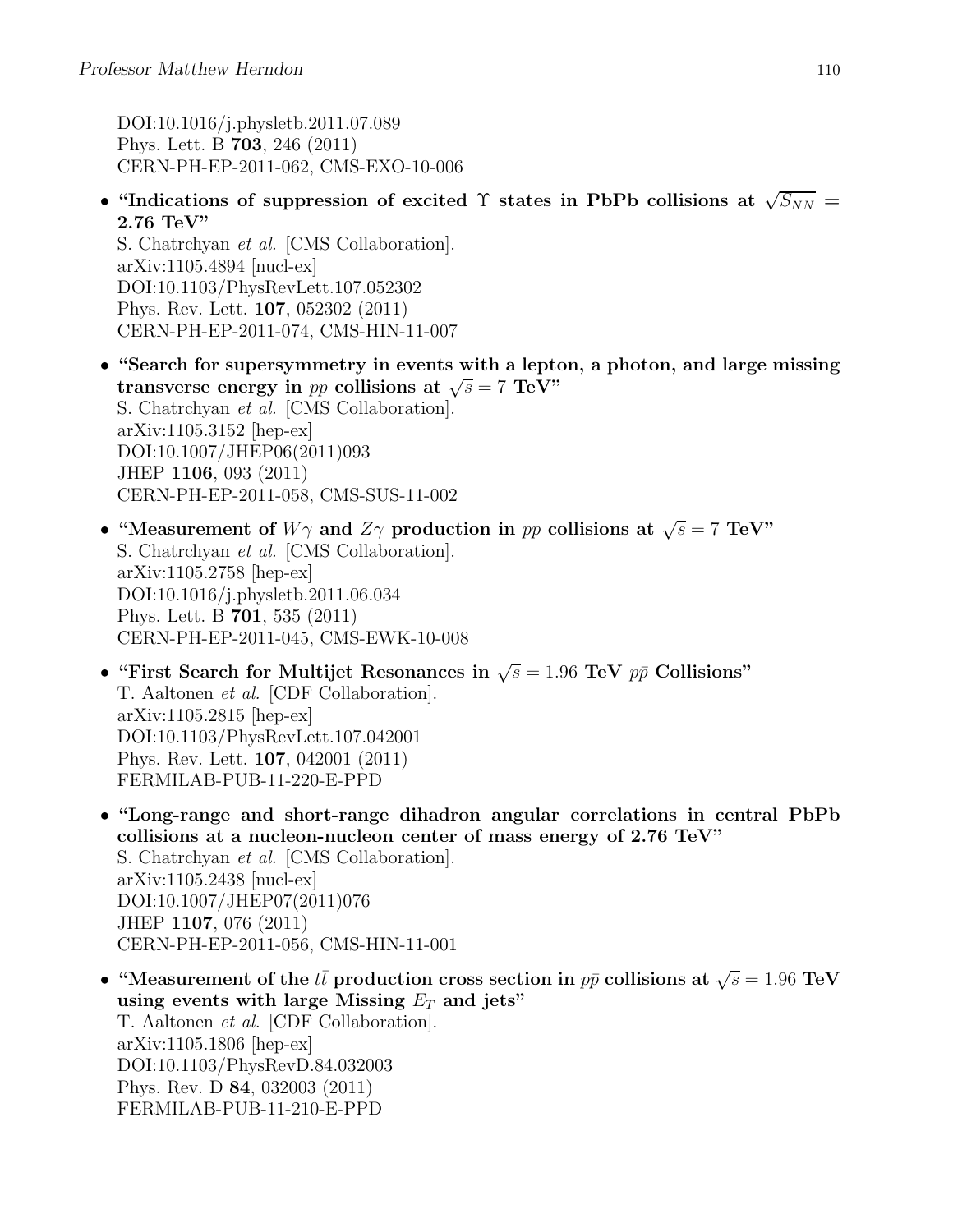DOI:10.1016/j.physletb.2011.07.089 Phys. Lett. B 703, 246 (2011) CERN-PH-EP-2011-062, CMS-EXO-10-006

• "Indications of suppression of excited  $\Upsilon$  states in PbPb collisions at  $\sqrt{S_{NN}}$  = 2.76 TeV"

S. Chatrchyan et al. [CMS Collaboration]. arXiv:1105.4894 [nucl-ex] DOI:10.1103/PhysRevLett.107.052302 Phys. Rev. Lett. 107, 052302 (2011) CERN-PH-EP-2011-074, CMS-HIN-11-007

- "Search for supersymmetry in events with a lepton, a photon, and large missing transverse energy in pp collisions at  $\sqrt{s} = 7$  TeV" S. Chatrchyan et al. [CMS Collaboration]. arXiv:1105.3152 [hep-ex] DOI:10.1007/JHEP06(2011)093 JHEP 1106, 093 (2011) CERN-PH-EP-2011-058, CMS-SUS-11-002
- "Measurement of  $W\gamma$  and  $Z\gamma$  production in pp collisions at  $\sqrt{s} = 7$  TeV" S. Chatrchyan et al. [CMS Collaboration]. arXiv:1105.2758 [hep-ex] DOI:10.1016/j.physletb.2011.06.034 Phys. Lett. B 701, 535 (2011) CERN-PH-EP-2011-045, CMS-EWK-10-008
- "First Search for Multijet Resonances in  $\sqrt{s} = 1.96$  TeV  $p\bar{p}$  Collisions" T. Aaltonen et al. [CDF Collaboration]. arXiv:1105.2815 [hep-ex] DOI:10.1103/PhysRevLett.107.042001 Phys. Rev. Lett. 107, 042001 (2011) FERMILAB-PUB-11-220-E-PPD
- "Long-range and short-range dihadron angular correlations in central PbPb collisions at a nucleon-nucleon center of mass energy of 2.76 TeV" S. Chatrchyan et al. [CMS Collaboration]. arXiv:1105.2438 [nucl-ex] DOI:10.1007/JHEP07(2011)076 JHEP 1107, 076 (2011) CERN-PH-EP-2011-056, CMS-HIN-11-001
- "Measurement of the  $t\bar{t}$  production cross section in  $p\bar{p}$  collisions at  $\sqrt{s} = 1.96 \text{ TeV}$ using events with large Missing  $E_T$  and jets" T. Aaltonen et al. [CDF Collaboration]. arXiv:1105.1806 [hep-ex] DOI:10.1103/PhysRevD.84.032003 Phys. Rev. D 84, 032003 (2011) FERMILAB-PUB-11-210-E-PPD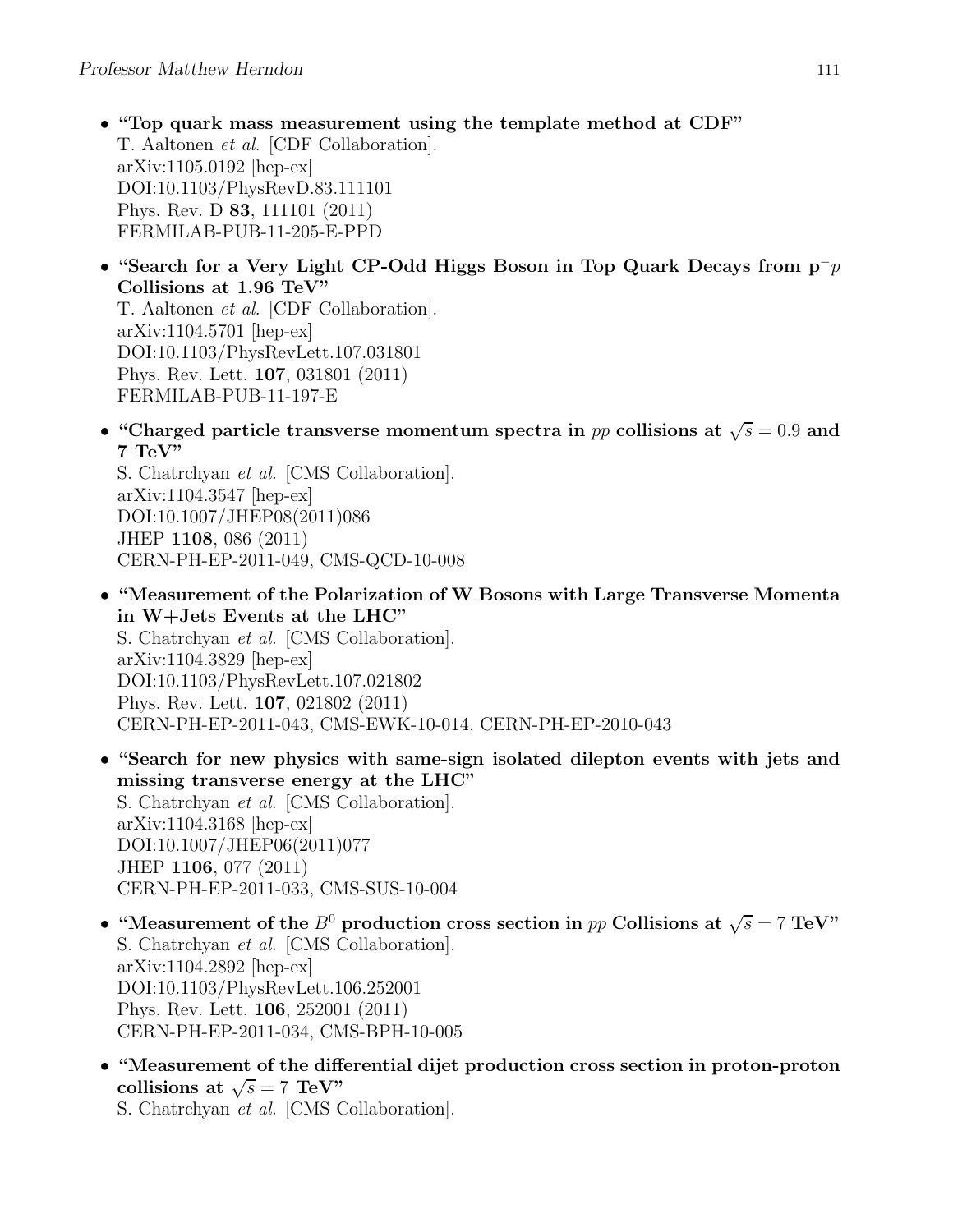- "Top quark mass measurement using the template method at CDF" T. Aaltonen et al. [CDF Collaboration]. arXiv:1105.0192 [hep-ex] DOI:10.1103/PhysRevD.83.111101 Phys. Rev. D 83, 111101 (2011) FERMILAB-PUB-11-205-E-PPD
- "Search for a Very Light CP-Odd Higgs Boson in Top Quark Decays from  $p^-p$ Collisions at 1.96 TeV" T. Aaltonen et al. [CDF Collaboration]. arXiv:1104.5701 [hep-ex] DOI:10.1103/PhysRevLett.107.031801 Phys. Rev. Lett. 107, 031801 (2011) FERMILAB-PUB-11-197-E
- "Charged particle transverse momentum spectra in pp collisions at  $\sqrt{s} = 0.9$  and 7 TeV"

S. Chatrchyan et al. [CMS Collaboration]. arXiv:1104.3547 [hep-ex] DOI:10.1007/JHEP08(2011)086 JHEP 1108, 086 (2011) CERN-PH-EP-2011-049, CMS-QCD-10-008

- "Measurement of the Polarization of W Bosons with Large Transverse Momenta in W+Jets Events at the LHC" S. Chatrchyan et al. [CMS Collaboration]. arXiv:1104.3829 [hep-ex] DOI:10.1103/PhysRevLett.107.021802 Phys. Rev. Lett. 107, 021802 (2011) CERN-PH-EP-2011-043, CMS-EWK-10-014, CERN-PH-EP-2010-043
- "Search for new physics with same-sign isolated dilepton events with jets and missing transverse energy at the LHC" S. Chatrchyan et al. [CMS Collaboration]. arXiv:1104.3168 [hep-ex] DOI:10.1007/JHEP06(2011)077 JHEP 1106, 077 (2011) CERN-PH-EP-2011-033, CMS-SUS-10-004
- "Measurement of the  $B^0$  production cross section in pp Collisions at  $\sqrt{s} = 7 \text{ TeV}$ " S. Chatrchyan et al. [CMS Collaboration]. arXiv:1104.2892 [hep-ex] DOI:10.1103/PhysRevLett.106.252001 Phys. Rev. Lett. 106, 252001 (2011) CERN-PH-EP-2011-034, CMS-BPH-10-005
- "Measurement of the differential dijet production cross section in proton-proton collisions at  $\sqrt{s} = 7 \text{ TeV}$ "

S. Chatrchyan et al. [CMS Collaboration].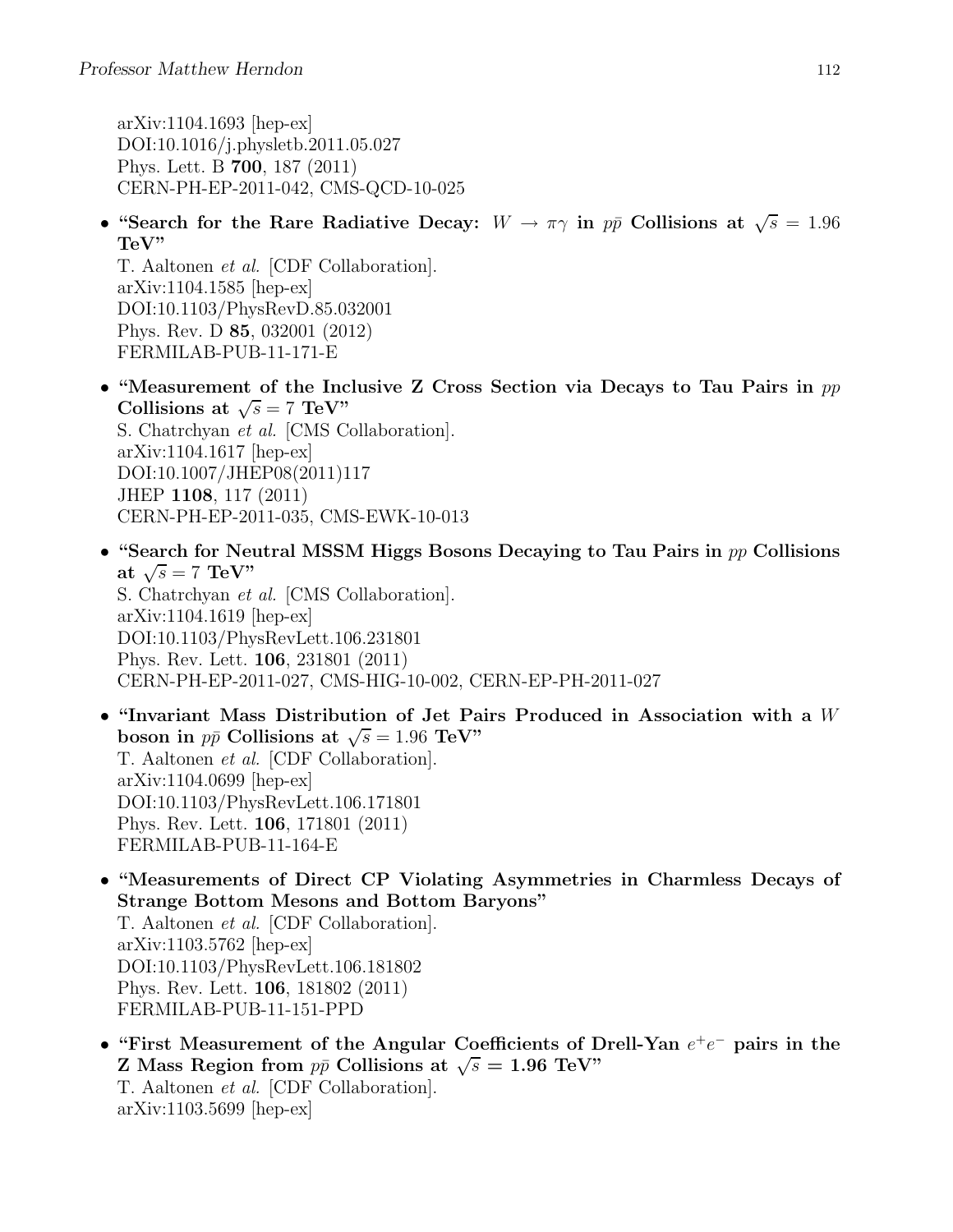arXiv:1104.1693 [hep-ex] DOI:10.1016/j.physletb.2011.05.027 Phys. Lett. B 700, 187 (2011) CERN-PH-EP-2011-042, CMS-QCD-10-025

• "Search for the Rare Radiative Decay:  $W \to \pi \gamma$  in  $p\bar{p}$  Collisions at  $\sqrt{s} = 1.96$ TeV"

T. Aaltonen et al. [CDF Collaboration]. arXiv:1104.1585 [hep-ex] DOI:10.1103/PhysRevD.85.032001 Phys. Rev. D 85, 032001 (2012) FERMILAB-PUB-11-171-E

- "Measurement of the Inclusive Z Cross Section via Decays to Tau Pairs in  $pp$ Collisions at  $\sqrt{s} = 7 \text{ TeV}$ " S. Chatrchyan et al. [CMS Collaboration]. arXiv:1104.1617 [hep-ex] DOI:10.1007/JHEP08(2011)117 JHEP 1108, 117 (2011) CERN-PH-EP-2011-035, CMS-EWK-10-013
- "Search for Neutral MSSM Higgs Bosons Decaying to Tau Pairs in  $pp$  Collisions at  $\sqrt{s} = 7 \text{ TeV}$ " S. Chatrchyan et al. [CMS Collaboration]. arXiv:1104.1619 [hep-ex] DOI:10.1103/PhysRevLett.106.231801 Phys. Rev. Lett. 106, 231801 (2011) CERN-PH-EP-2011-027, CMS-HIG-10-002, CERN-EP-PH-2011-027
- "Invariant Mass Distribution of Jet Pairs Produced in Association with a W boson in  $p\bar{p}$  Collisions at  $\sqrt{s} = 1.96$  TeV" T. Aaltonen et al. [CDF Collaboration]. arXiv:1104.0699 [hep-ex] DOI:10.1103/PhysRevLett.106.171801 Phys. Rev. Lett. 106, 171801 (2011) FERMILAB-PUB-11-164-E
- "Measurements of Direct CP Violating Asymmetries in Charmless Decays of Strange Bottom Mesons and Bottom Baryons" T. Aaltonen et al. [CDF Collaboration]. arXiv:1103.5762 [hep-ex] DOI:10.1103/PhysRevLett.106.181802 Phys. Rev. Lett. 106, 181802 (2011) FERMILAB-PUB-11-151-PPD
- "First Measurement of the Angular Coefficients of Drell-Yan  $e^+e^-$  pairs in the Z Mass Region from  $p\bar{p}$  Collisions at  $\sqrt{s} = 1.96$  TeV" T. Aaltonen et al. [CDF Collaboration]. arXiv:1103.5699 [hep-ex]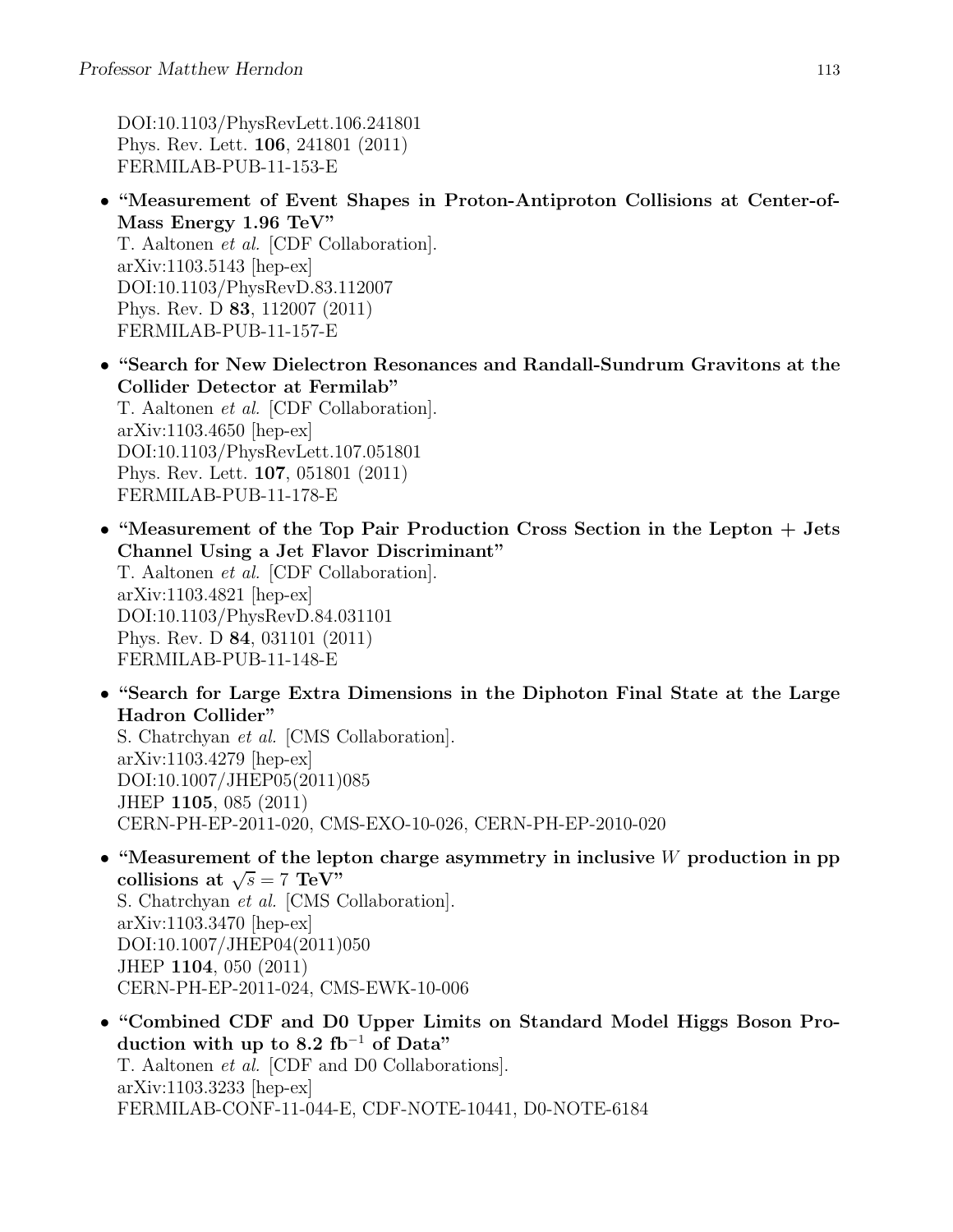DOI:10.1103/PhysRevLett.106.241801 Phys. Rev. Lett. 106, 241801 (2011) FERMILAB-PUB-11-153-E

• "Measurement of Event Shapes in Proton-Antiproton Collisions at Center-of-Mass Energy 1.96 TeV" T. Aaltonen et al. [CDF Collaboration]. arXiv:1103.5143 [hep-ex] DOI:10.1103/PhysRevD.83.112007 Phys. Rev. D 83, 112007 (2011)

FERMILAB-PUB-11-157-E

- "Search for New Dielectron Resonances and Randall-Sundrum Gravitons at the Collider Detector at Fermilab" T. Aaltonen et al. [CDF Collaboration]. arXiv:1103.4650 [hep-ex] DOI:10.1103/PhysRevLett.107.051801 Phys. Rev. Lett. 107, 051801 (2011) FERMILAB-PUB-11-178-E
- "Measurement of the Top Pair Production Cross Section in the Lepton + Jets Channel Using a Jet Flavor Discriminant"

T. Aaltonen et al. [CDF Collaboration]. arXiv:1103.4821 [hep-ex] DOI:10.1103/PhysRevD.84.031101 Phys. Rev. D 84, 031101 (2011) FERMILAB-PUB-11-148-E

• "Search for Large Extra Dimensions in the Diphoton Final State at the Large Hadron Collider"

S. Chatrchyan et al. [CMS Collaboration]. arXiv:1103.4279 [hep-ex] DOI:10.1007/JHEP05(2011)085 JHEP 1105, 085 (2011) CERN-PH-EP-2011-020, CMS-EXO-10-026, CERN-PH-EP-2010-020

- "Measurement of the lepton charge asymmetry in inclusive  $W$  production in pp collisions at  $\sqrt{s} = 7 \text{ TeV}^{\prime\prime}$ S. Chatrchyan et al. [CMS Collaboration]. arXiv:1103.3470 [hep-ex] DOI:10.1007/JHEP04(2011)050 JHEP 1104, 050 (2011) CERN-PH-EP-2011-024, CMS-EWK-10-006
- "Combined CDF and D0 Upper Limits on Standard Model Higgs Boson Production with up to 8.2 fb<sup>-1</sup> of Data" T. Aaltonen et al. [CDF and D0 Collaborations]. arXiv:1103.3233 [hep-ex] FERMILAB-CONF-11-044-E, CDF-NOTE-10441, D0-NOTE-6184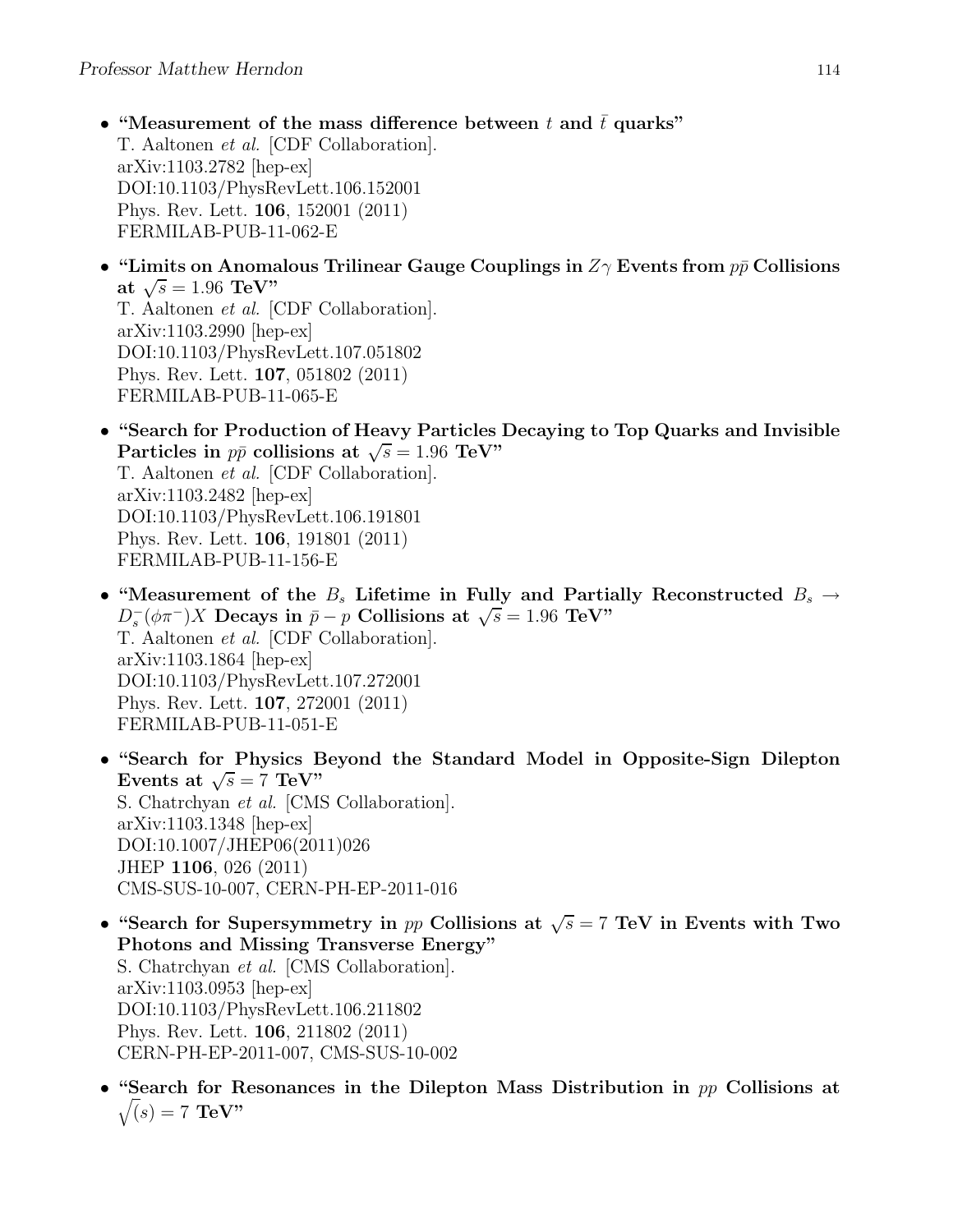- "Measurement of the mass difference between t and  $\bar{t}$  quarks" T. Aaltonen et al. [CDF Collaboration]. arXiv:1103.2782 [hep-ex] DOI:10.1103/PhysRevLett.106.152001 Phys. Rev. Lett. 106, 152001 (2011) FERMILAB-PUB-11-062-E
- "Limits on Anomalous Trilinear Gauge Couplings in  $Z_{\gamma}$  Events from  $p\bar{p}$  Collisions at  $\sqrt{s} = 1.96 \text{ TeV}$ " T. Aaltonen et al. [CDF Collaboration]. arXiv:1103.2990 [hep-ex] DOI:10.1103/PhysRevLett.107.051802 Phys. Rev. Lett. 107, 051802 (2011) FERMILAB-PUB-11-065-E
- "Search for Production of Heavy Particles Decaying to Top Quarks and Invisible Particles in  $p\bar{p}$  collisions at  $\sqrt{s} = 1.96 \text{ TeV}$ " T. Aaltonen et al. [CDF Collaboration]. arXiv:1103.2482 [hep-ex] DOI:10.1103/PhysRevLett.106.191801 Phys. Rev. Lett. 106, 191801 (2011) FERMILAB-PUB-11-156-E
- "Measurement of the  $B_s$  Lifetime in Fully and Partially Reconstructed  $B_s \rightarrow$  $D_s^-(\phi \pi^-)X$  Decays in  $\bar{p}-p$  Collisions at  $\sqrt{s}=1.96$  TeV" T. Aaltonen et al. [CDF Collaboration]. arXiv:1103.1864 [hep-ex] DOI:10.1103/PhysRevLett.107.272001 Phys. Rev. Lett. 107, 272001 (2011) FERMILAB-PUB-11-051-E
- "Search for Physics Beyond the Standard Model in Opposite-Sign Dilepton Events at  $\sqrt{s} = 7$  TeV" S. Chatrchyan et al. [CMS Collaboration]. arXiv:1103.1348 [hep-ex] DOI:10.1007/JHEP06(2011)026 JHEP 1106, 026 (2011) CMS-SUS-10-007, CERN-PH-EP-2011-016
- "Search for Supersymmetry in pp Collisions at  $\sqrt{s} = 7$  TeV in Events with Two Photons and Missing Transverse Energy" S. Chatrchyan et al. [CMS Collaboration]. arXiv:1103.0953 [hep-ex] DOI:10.1103/PhysRevLett.106.211802 Phys. Rev. Lett. 106, 211802 (2011) CERN-PH-EP-2011-007, CMS-SUS-10-002
- "Search for Resonances in the Dilepton Mass Distribution in  $pp$  Collisions at  $\sqrt(s) = 7$  TeV"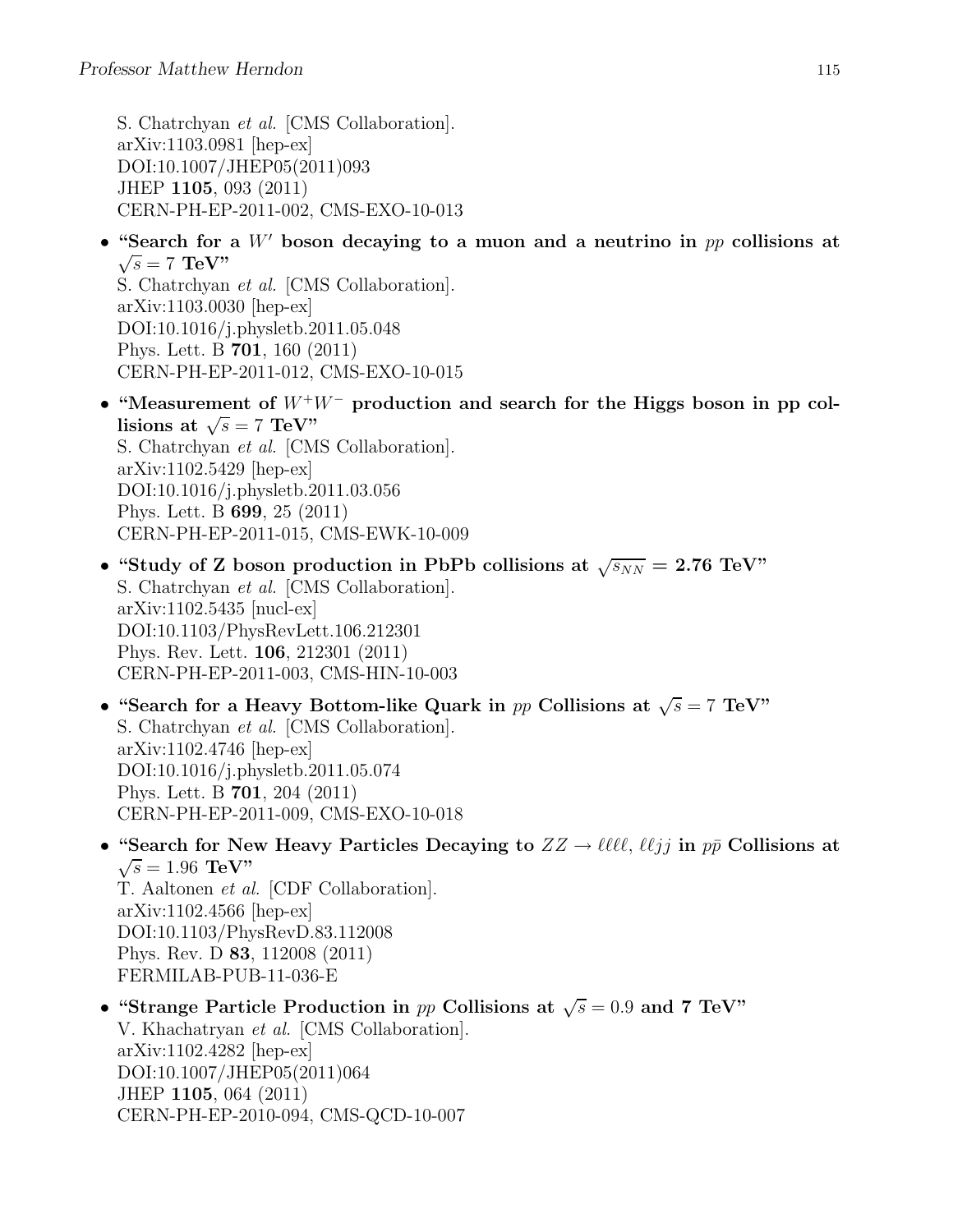S. Chatrchyan et al. [CMS Collaboration]. arXiv:1103.0981 [hep-ex] DOI:10.1007/JHEP05(2011)093 JHEP 1105, 093 (2011) CERN-PH-EP-2011-002, CMS-EXO-10-013

• "Search for a  $W'$  boson decaying to a muon and a neutrino in  $pp$  collisions at  $\sqrt{s} = 7$  TeV"

S. Chatrchyan et al. [CMS Collaboration]. arXiv:1103.0030 [hep-ex] DOI:10.1016/j.physletb.2011.05.048 Phys. Lett. B 701, 160 (2011) CERN-PH-EP-2011-012, CMS-EXO-10-015

- "Measurement of  $W^+W^-$  production and search for the Higgs boson in pp collisions at  $\sqrt{s} = 7 \text{ TeV}$ . S. Chatrchyan et al. [CMS Collaboration]. arXiv:1102.5429 [hep-ex] DOI:10.1016/j.physletb.2011.03.056 Phys. Lett. B 699, 25 (2011) CERN-PH-EP-2011-015, CMS-EWK-10-009
- "Study of Z boson production in PbPb collisions at  $\sqrt{s_{NN}} = 2.76 \text{ TeV}$ " S. Chatrchyan et al. [CMS Collaboration]. arXiv:1102.5435 [nucl-ex] DOI:10.1103/PhysRevLett.106.212301 Phys. Rev. Lett. 106, 212301 (2011) CERN-PH-EP-2011-003, CMS-HIN-10-003
- "Search for a Heavy Bottom-like Quark in pp Collisions at  $\sqrt{s} = 7$  TeV" S. Chatrchyan et al. [CMS Collaboration].  $arXiv:1102.4746$  |hep-ex| DOI:10.1016/j.physletb.2011.05.074 Phys. Lett. B 701, 204 (2011) CERN-PH-EP-2011-009, CMS-EXO-10-018
- "Search for New Heavy Particles Decaying to  $ZZ \to \ell \ell \ell \ell$ ,  $\ell \ell j j$  in  $p\bar{p}$  Collisions at  $\sqrt{s} = 1.96 \text{ TeV}$ " T. Aaltonen et al. [CDF Collaboration]. arXiv:1102.4566 [hep-ex] DOI:10.1103/PhysRevD.83.112008 Phys. Rev. D 83, 112008 (2011) FERMILAB-PUB-11-036-E
- "Strange Particle Production in pp Collisions at  $\sqrt{s} = 0.9$  and 7 TeV" V. Khachatryan et al. [CMS Collaboration]. arXiv:1102.4282 [hep-ex] DOI:10.1007/JHEP05(2011)064 JHEP 1105, 064 (2011) CERN-PH-EP-2010-094, CMS-QCD-10-007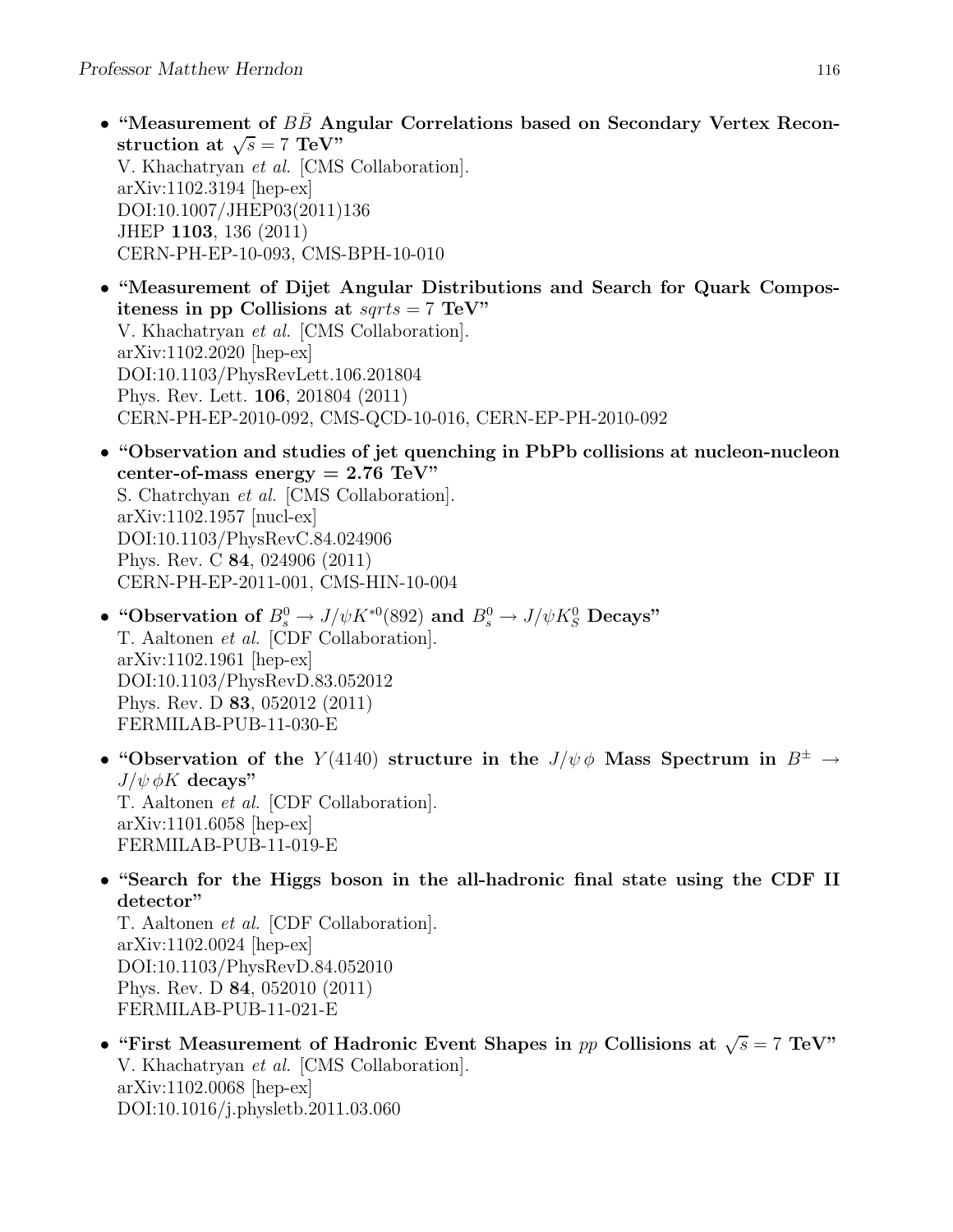• "Measurement of  $BB$  Angular Correlations based on Secondary Vertex Reconstruction at  $\sqrt{s} = 7 \text{ TeV}$ " V. Khachatryan et al. [CMS Collaboration]. arXiv:1102.3194 [hep-ex] DOI:10.1007/JHEP03(2011)136 JHEP 1103, 136 (2011) CERN-PH-EP-10-093, CMS-BPH-10-010

• "Measurement of Dijet Angular Distributions and Search for Quark Compositeness in pp Collisions at  $sqrt{s} = 7$  TeV" V. Khachatryan et al. [CMS Collaboration]. arXiv:1102.2020 [hep-ex] DOI:10.1103/PhysRevLett.106.201804 Phys. Rev. Lett. 106, 201804 (2011) CERN-PH-EP-2010-092, CMS-QCD-10-016, CERN-EP-PH-2010-092

• "Observation and studies of jet quenching in PbPb collisions at nucleon-nucleon center-of-mass energy  $= 2.76$  TeV" S. Chatrchyan et al. [CMS Collaboration]. arXiv:1102.1957 [nucl-ex] DOI:10.1103/PhysRevC.84.024906

Phys. Rev. C 84, 024906 (2011) CERN-PH-EP-2011-001, CMS-HIN-10-004

- "Observation of  $B^0_s \to J/\psi K^{*0}$ (892) and  $B^0_s \to J/\psi K^0_s$  Decays" T. Aaltonen et al. [CDF Collaboration]. arXiv:1102.1961 [hep-ex] DOI:10.1103/PhysRevD.83.052012 Phys. Rev. D 83, 052012 (2011) FERMILAB-PUB-11-030-E
- "Observation of the  $Y(4140)$  structure in the  $J/\psi \phi$  Mass Spectrum in  $B^{\pm} \rightarrow$  $J/\psi \phi K$  decays" T. Aaltonen et al. [CDF Collaboration]. arXiv:1101.6058 [hep-ex] FERMILAB-PUB-11-019-E
- "Search for the Higgs boson in the all-hadronic final state using the CDF II detector"

T. Aaltonen et al. [CDF Collaboration]. arXiv:1102.0024 [hep-ex] DOI:10.1103/PhysRevD.84.052010 Phys. Rev. D 84, 052010 (2011) FERMILAB-PUB-11-021-E

• "First Measurement of Hadronic Event Shapes in pp Collisions at  $\sqrt{s} = 7$  TeV" V. Khachatryan et al. [CMS Collaboration]. arXiv:1102.0068 [hep-ex] DOI:10.1016/j.physletb.2011.03.060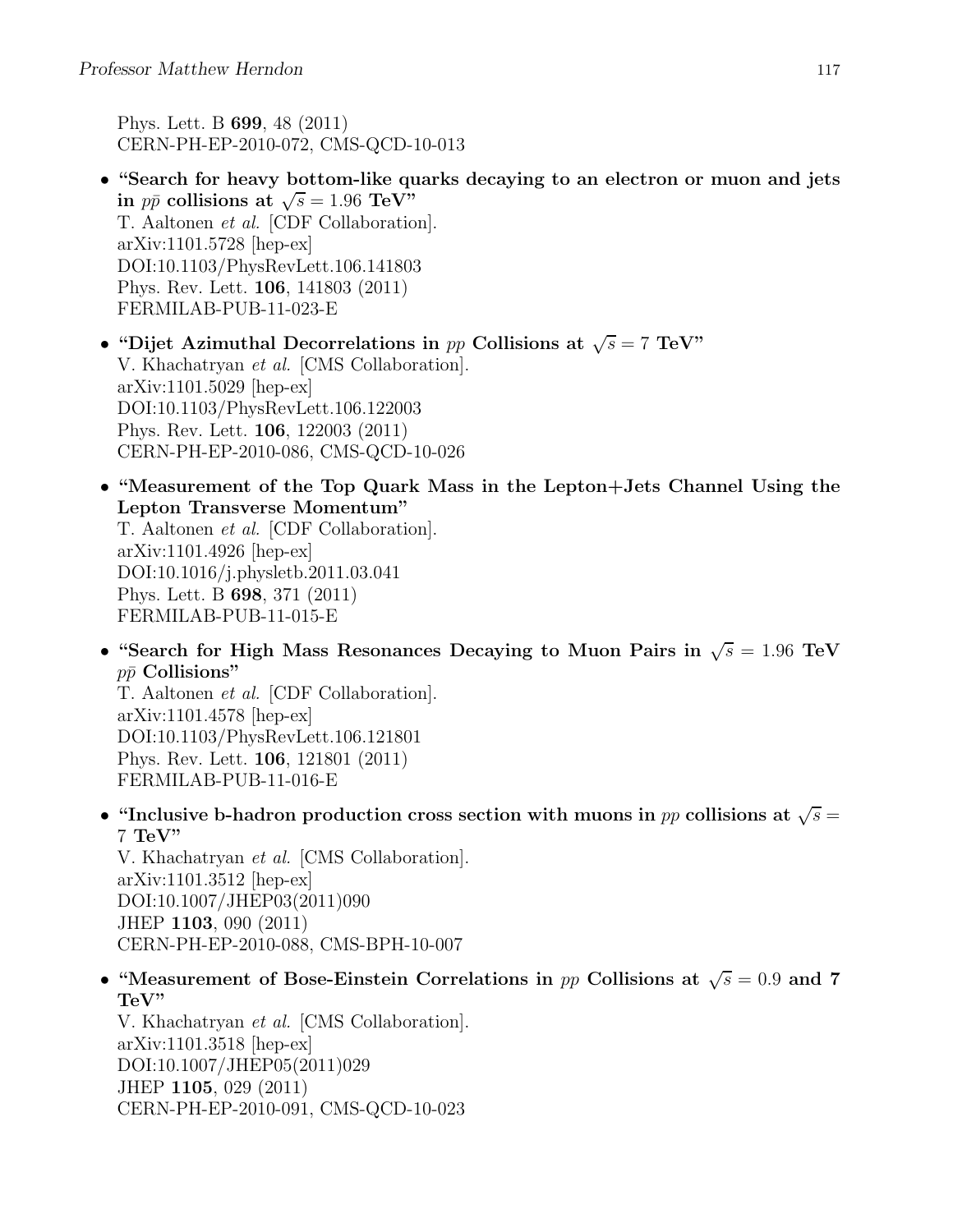Phys. Lett. B 699, 48 (2011) CERN-PH-EP-2010-072, CMS-QCD-10-013

- "Search for heavy bottom-like quarks decaying to an electron or muon and jets in  $p\bar{p}$  collisions at  $\sqrt{s} = 1.96 \text{ TeV}$ " T. Aaltonen et al. [CDF Collaboration]. arXiv:1101.5728 [hep-ex] DOI:10.1103/PhysRevLett.106.141803 Phys. Rev. Lett. 106, 141803 (2011) FERMILAB-PUB-11-023-E
- "Dijet Azimuthal Decorrelations in pp Collisions at  $\sqrt{s} = 7 \text{ TeV}$ " V. Khachatryan et al. [CMS Collaboration]. arXiv:1101.5029 [hep-ex] DOI:10.1103/PhysRevLett.106.122003 Phys. Rev. Lett. 106, 122003 (2011) CERN-PH-EP-2010-086, CMS-QCD-10-026
- "Measurement of the Top Quark Mass in the Lepton+Jets Channel Using the Lepton Transverse Momentum"

T. Aaltonen et al. [CDF Collaboration]. arXiv:1101.4926 [hep-ex] DOI:10.1016/j.physletb.2011.03.041 Phys. Lett. B 698, 371 (2011) FERMILAB-PUB-11-015-E

• "Search for High Mass Resonances Decaying to Muon Pairs in  $\sqrt{s} = 1.96$  TeV  $p\bar{p}$  Collisions"

T. Aaltonen et al. [CDF Collaboration]. arXiv:1101.4578 [hep-ex] DOI:10.1103/PhysRevLett.106.121801 Phys. Rev. Lett. 106, 121801 (2011) FERMILAB-PUB-11-016-E

• "Inclusive b-hadron production cross section with muons in pp collisions at  $\sqrt{s} =$ 7 TeV"

V. Khachatryan et al. [CMS Collaboration]. arXiv:1101.3512 [hep-ex] DOI:10.1007/JHEP03(2011)090 JHEP 1103, 090 (2011) CERN-PH-EP-2010-088, CMS-BPH-10-007

• "Measurement of Bose-Einstein Correlations in pp Collisions at  $\sqrt{s} = 0.9$  and 7 TeV"

V. Khachatryan et al. [CMS Collaboration]. arXiv:1101.3518 [hep-ex] DOI:10.1007/JHEP05(2011)029 JHEP 1105, 029 (2011) CERN-PH-EP-2010-091, CMS-QCD-10-023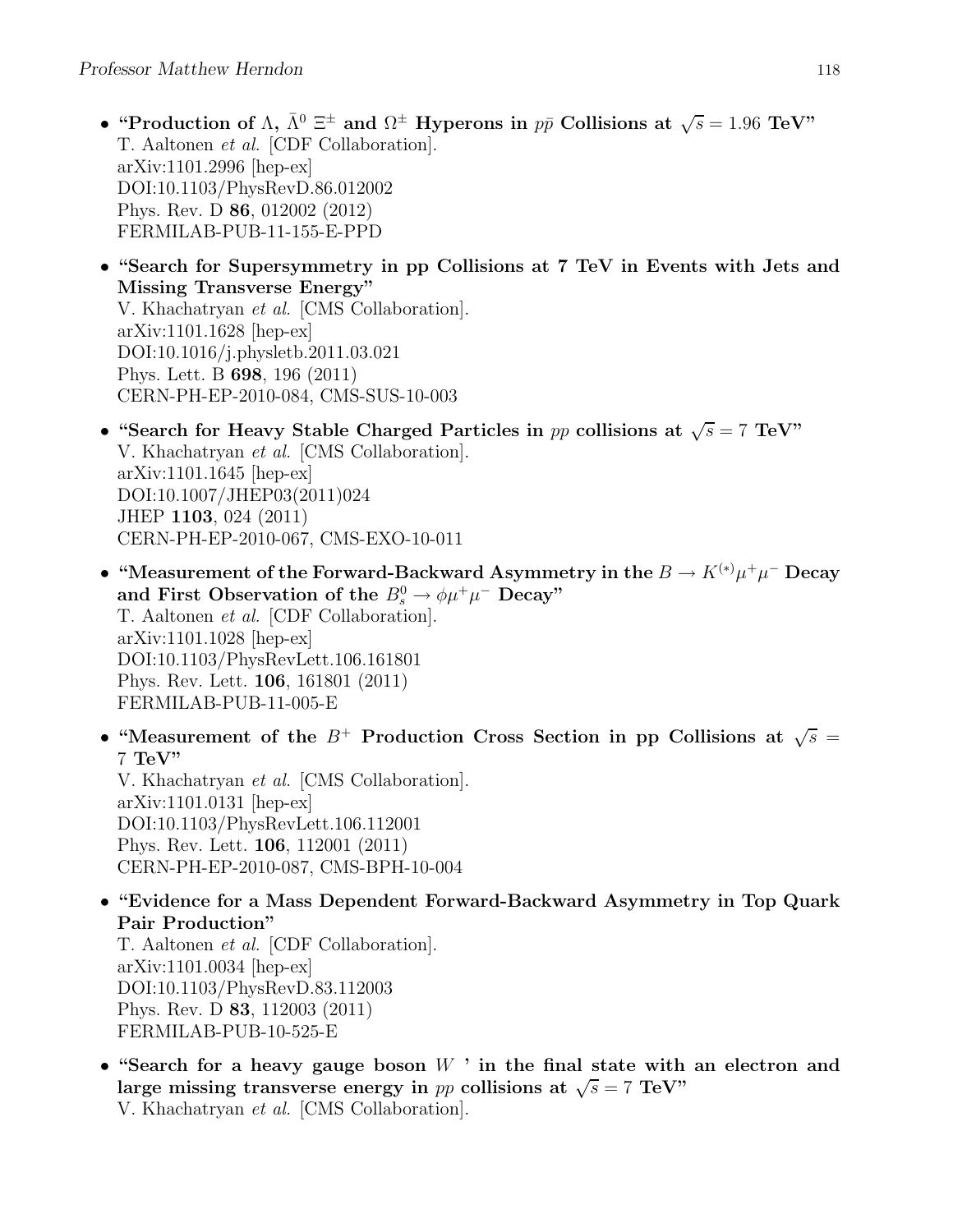- "Production of  $\Lambda$ ,  $\bar{\Lambda}^0 \equiv \pm$  and  $\Omega^{\pm}$  Hyperons in  $p\bar{p}$  Collisions at  $\sqrt{s} = 1.96$  TeV" T. Aaltonen et al. [CDF Collaboration]. arXiv:1101.2996 [hep-ex] DOI:10.1103/PhysRevD.86.012002 Phys. Rev. D 86, 012002 (2012) FERMILAB-PUB-11-155-E-PPD
- "Search for Supersymmetry in pp Collisions at 7 TeV in Events with Jets and Missing Transverse Energy" V. Khachatryan et al. [CMS Collaboration]. arXiv:1101.1628 [hep-ex] DOI:10.1016/j.physletb.2011.03.021 Phys. Lett. B 698, 196 (2011) CERN-PH-EP-2010-084, CMS-SUS-10-003
- "Search for Heavy Stable Charged Particles in pp collisions at  $\sqrt{s} = 7$  TeV" V. Khachatryan et al. [CMS Collaboration]. arXiv:1101.1645 [hep-ex] DOI:10.1007/JHEP03(2011)024 JHEP 1103, 024 (2011) CERN-PH-EP-2010-067, CMS-EXO-10-011
- "Measurement of the Forward-Backward Asymmetry in the  $B \to K^{(*)} \mu^+ \mu^-$  Decay and First Observation of the  $B_s^0 \to \phi \mu^+ \mu^-$  Decay" T. Aaltonen et al. [CDF Collaboration]. arXiv:1101.1028 [hep-ex] DOI:10.1103/PhysRevLett.106.161801 Phys. Rev. Lett. 106, 161801 (2011) FERMILAB-PUB-11-005-E
- "Measurement of the  $B^+$  Production Cross Section in pp Collisions at  $\sqrt{s}$  =  $7 \text{ TeV}$ " V. Khachatryan et al. [CMS Collaboration].

arXiv:1101.0131 [hep-ex] DOI:10.1103/PhysRevLett.106.112001 Phys. Rev. Lett. 106, 112001 (2011) CERN-PH-EP-2010-087, CMS-BPH-10-004

• "Evidence for a Mass Dependent Forward-Backward Asymmetry in Top Quark Pair Production" T. Aaltonen et al. [CDF Collaboration]. arXiv:1101.0034 [hep-ex] DOI:10.1103/PhysRevD.83.112003

Phys. Rev. D 83, 112003 (2011) FERMILAB-PUB-10-525-E

• "Search for a heavy gauge boson  $W$  ' in the final state with an electron and large missing transverse energy in pp collisions at  $\sqrt{s} = 7$  TeV" V. Khachatryan et al. [CMS Collaboration].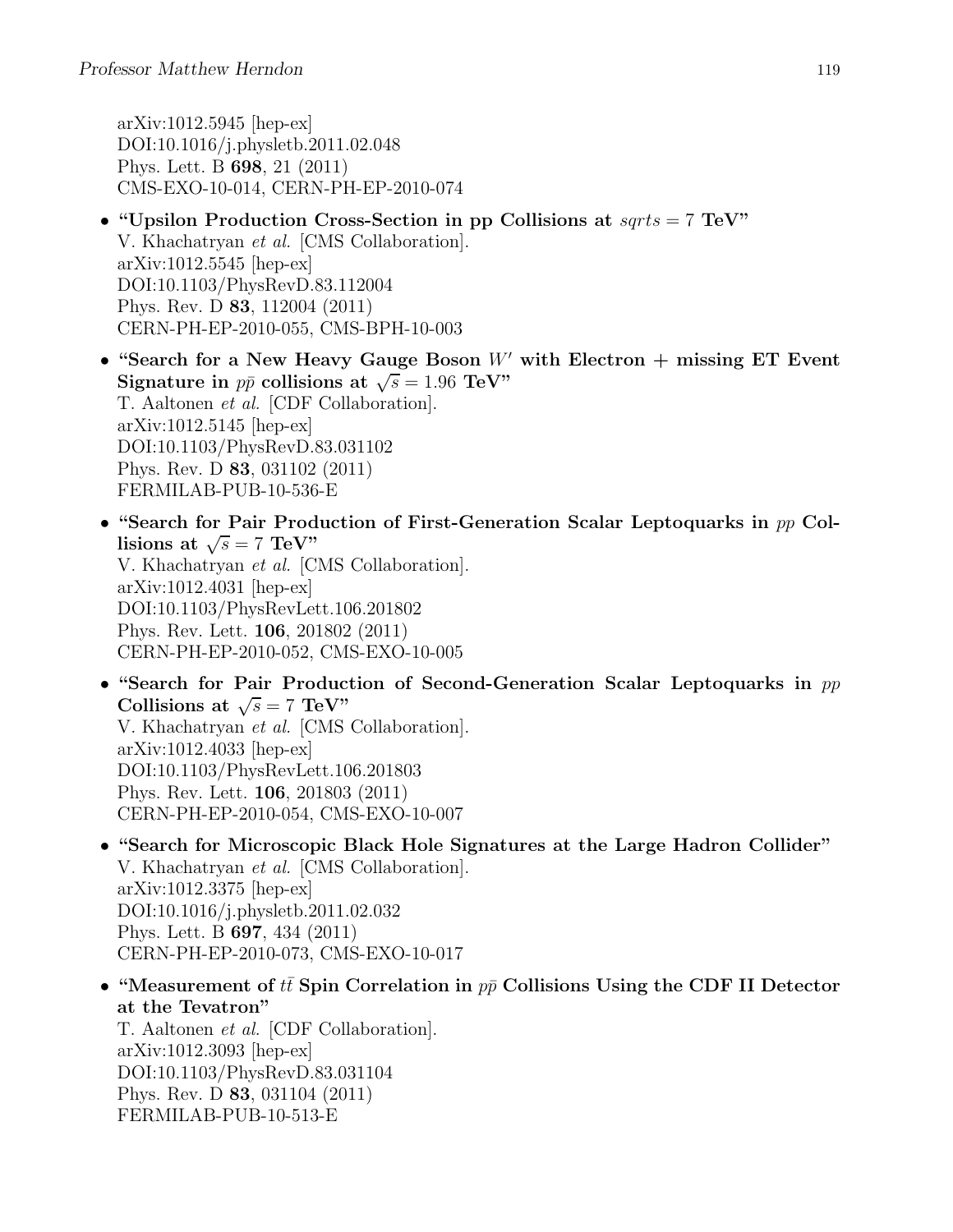arXiv:1012.5945 [hep-ex] DOI:10.1016/j.physletb.2011.02.048 Phys. Lett. B 698, 21 (2011) CMS-EXO-10-014, CERN-PH-EP-2010-074

- "Upsilon Production Cross-Section in pp Collisions at  $sqrts = 7$  TeV" V. Khachatryan et al. [CMS Collaboration]. arXiv:1012.5545 [hep-ex] DOI:10.1103/PhysRevD.83.112004 Phys. Rev. D 83, 112004 (2011) CERN-PH-EP-2010-055, CMS-BPH-10-003
- "Search for a New Heavy Gauge Boson  $W'$  with Electron  $+$  missing ET Event Signature in  $p\bar{p}$  collisions at  $\sqrt{s} = 1.96$  TeV" T. Aaltonen et al. [CDF Collaboration]. arXiv:1012.5145 [hep-ex] DOI:10.1103/PhysRevD.83.031102 Phys. Rev. D 83, 031102 (2011) FERMILAB-PUB-10-536-E
- "Search for Pair Production of First-Generation Scalar Leptoquarks in pp Collisions at  $\sqrt{s} = 7 \text{ TeV}$ " V. Khachatryan et al. [CMS Collaboration]. arXiv:1012.4031 [hep-ex] DOI:10.1103/PhysRevLett.106.201802 Phys. Rev. Lett. 106, 201802 (2011) CERN-PH-EP-2010-052, CMS-EXO-10-005
- "Search for Pair Production of Second-Generation Scalar Leptoquarks in pp Collisions at  $\sqrt{s} = 7 \text{ TeV}$ " V. Khachatryan et al. [CMS Collaboration]. arXiv:1012.4033 [hep-ex] DOI:10.1103/PhysRevLett.106.201803 Phys. Rev. Lett. 106, 201803 (2011) CERN-PH-EP-2010-054, CMS-EXO-10-007
- "Search for Microscopic Black Hole Signatures at the Large Hadron Collider" V. Khachatryan et al. [CMS Collaboration]. arXiv:1012.3375 [hep-ex] DOI:10.1016/j.physletb.2011.02.032 Phys. Lett. B 697, 434 (2011) CERN-PH-EP-2010-073, CMS-EXO-10-017
- "Measurement of tt Spin Correlation in  $p\bar{p}$  Collisions Using the CDF II Detector at the Tevatron"

T. Aaltonen et al. [CDF Collaboration]. arXiv:1012.3093 [hep-ex] DOI:10.1103/PhysRevD.83.031104 Phys. Rev. D 83, 031104 (2011) FERMILAB-PUB-10-513-E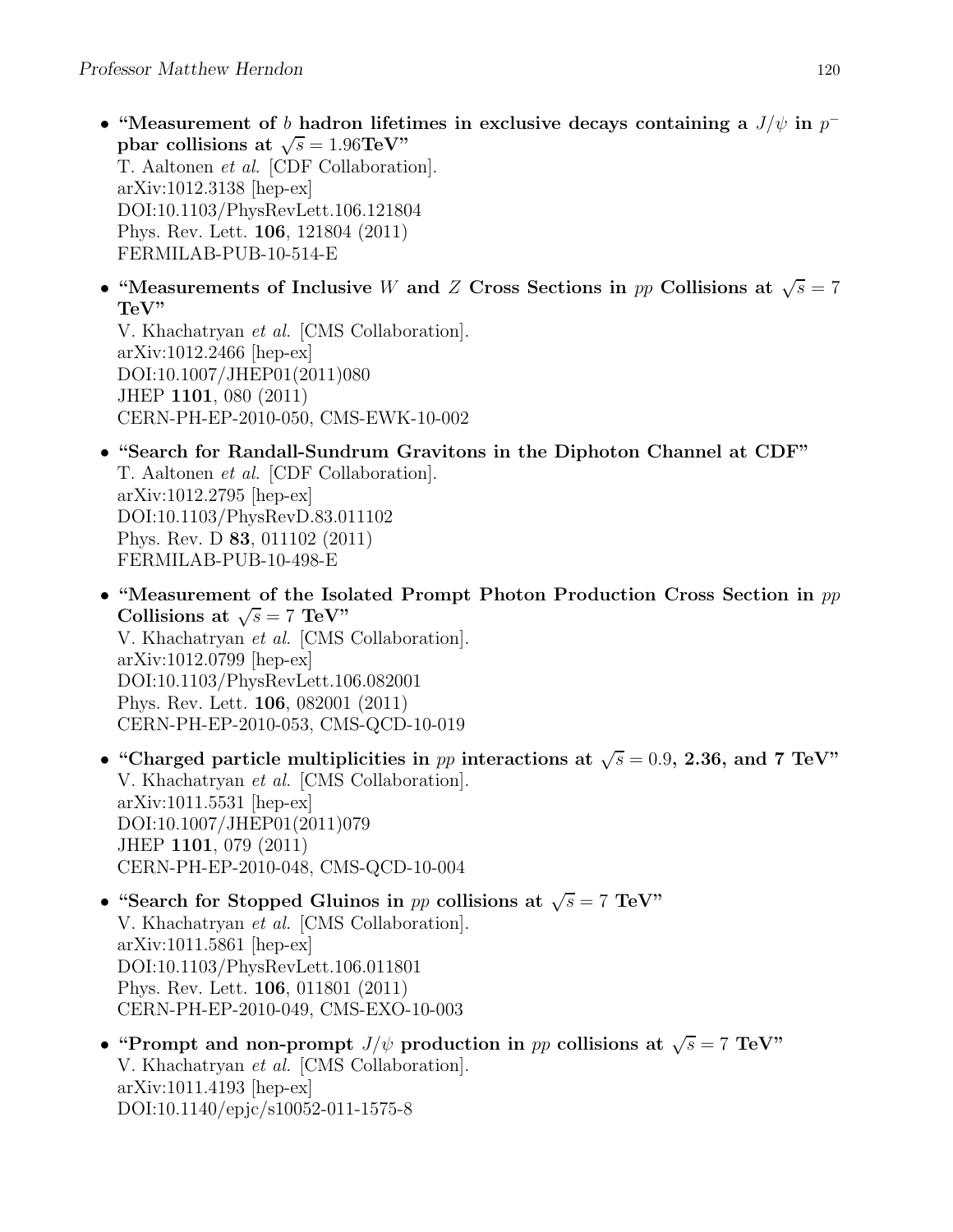FERMILAB-PUB-10-514-E

- "Measurement of b hadron lifetimes in exclusive decays containing a  $J/\psi$  in  $p^$ pbar collisions at  $\sqrt{s} = 1.96 \text{TeV}$ " T. Aaltonen et al. [CDF Collaboration]. arXiv:1012.3138 [hep-ex] DOI:10.1103/PhysRevLett.106.121804 Phys. Rev. Lett. 106, 121804 (2011)
- "Measurements of Inclusive W and Z Cross Sections in pp Collisions at  $\sqrt{s} = 7$ TeV"

V. Khachatryan et al. [CMS Collaboration]. arXiv:1012.2466 [hep-ex] DOI:10.1007/JHEP01(2011)080 JHEP 1101, 080 (2011) CERN-PH-EP-2010-050, CMS-EWK-10-002

- "Search for Randall-Sundrum Gravitons in the Diphoton Channel at CDF" T. Aaltonen et al. [CDF Collaboration]. arXiv:1012.2795 [hep-ex] DOI:10.1103/PhysRevD.83.011102 Phys. Rev. D 83, 011102 (2011) FERMILAB-PUB-10-498-E
- "Measurement of the Isolated Prompt Photon Production Cross Section in  $pp$ Collisions at  $\sqrt{s} = 7 \text{ TeV}$ " V. Khachatryan et al. [CMS Collaboration]. arXiv:1012.0799 [hep-ex] DOI:10.1103/PhysRevLett.106.082001 Phys. Rev. Lett. 106, 082001 (2011) CERN-PH-EP-2010-053, CMS-QCD-10-019
- "Charged particle multiplicities in pp interactions at  $\sqrt{s} = 0.9$ , 2.36, and 7 TeV" V. Khachatryan et al. [CMS Collaboration]. arXiv:1011.5531 [hep-ex] DOI:10.1007/JHEP01(2011)079 JHEP 1101, 079 (2011) CERN-PH-EP-2010-048, CMS-QCD-10-004
- "Search for Stopped Gluinos in pp collisions at  $\sqrt{s} = 7$  TeV" V. Khachatryan et al. [CMS Collaboration]. arXiv:1011.5861 [hep-ex] DOI:10.1103/PhysRevLett.106.011801 Phys. Rev. Lett. 106, 011801 (2011) CERN-PH-EP-2010-049, CMS-EXO-10-003
- "Prompt and non-prompt  $J/\psi$  production in pp collisions at  $\sqrt{s} = 7$  TeV" V. Khachatryan et al. [CMS Collaboration]. arXiv:1011.4193 [hep-ex] DOI:10.1140/epjc/s10052-011-1575-8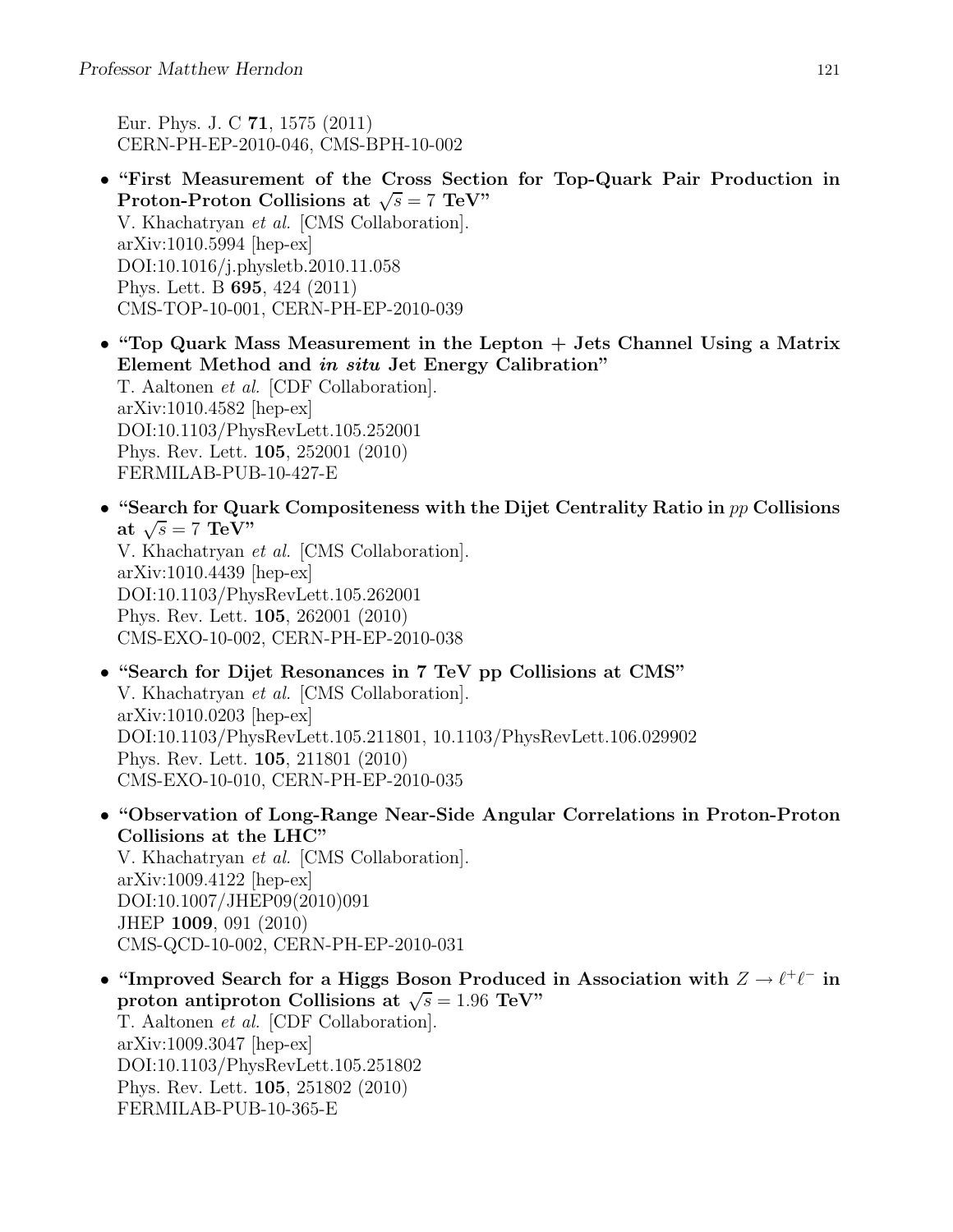Eur. Phys. J. C 71, 1575 (2011) CERN-PH-EP-2010-046, CMS-BPH-10-002

- "First Measurement of the Cross Section for Top-Quark Pair Production in Proton-Proton Collisions at  $\sqrt{s} = 7 \text{ TeV}^{\prime\prime}$ V. Khachatryan et al. [CMS Collaboration]. arXiv:1010.5994 [hep-ex] DOI:10.1016/j.physletb.2010.11.058 Phys. Lett. B 695, 424 (2011) CMS-TOP-10-001, CERN-PH-EP-2010-039
- "Top Quark Mass Measurement in the Lepton + Jets Channel Using a Matrix Element Method and in situ Jet Energy Calibration" T. Aaltonen et al. [CDF Collaboration]. arXiv:1010.4582 [hep-ex] DOI:10.1103/PhysRevLett.105.252001 Phys. Rev. Lett. 105, 252001 (2010) FERMILAB-PUB-10-427-E
- "Search for Quark Compositeness with the Dijet Centrality Ratio in  $pp$  Collisions at  $\sqrt{s} = 7 \text{ TeV}$ " V. Khachatryan et al. [CMS Collaboration].

arXiv:1010.4439 [hep-ex] DOI:10.1103/PhysRevLett.105.262001 Phys. Rev. Lett. 105, 262001 (2010) CMS-EXO-10-002, CERN-PH-EP-2010-038

- "Search for Dijet Resonances in 7 TeV pp Collisions at CMS" V. Khachatryan et al. [CMS Collaboration]. arXiv:1010.0203 [hep-ex] DOI:10.1103/PhysRevLett.105.211801, 10.1103/PhysRevLett.106.029902 Phys. Rev. Lett. 105, 211801 (2010) CMS-EXO-10-010, CERN-PH-EP-2010-035
- "Observation of Long-Range Near-Side Angular Correlations in Proton-Proton Collisions at the LHC" V. Khachatryan et al. [CMS Collaboration]. arXiv:1009.4122 [hep-ex] DOI:10.1007/JHEP09(2010)091 JHEP 1009, 091 (2010) CMS-QCD-10-002, CERN-PH-EP-2010-031
- "Improved Search for a Higgs Boson Produced in Association with  $Z \to \ell^+\ell^-$  in proton antiproton Collisions at  $\sqrt{s} = 1.96 \text{ TeV}$ " T. Aaltonen et al. [CDF Collaboration]. arXiv:1009.3047 [hep-ex] DOI:10.1103/PhysRevLett.105.251802 Phys. Rev. Lett. 105, 251802 (2010) FERMILAB-PUB-10-365-E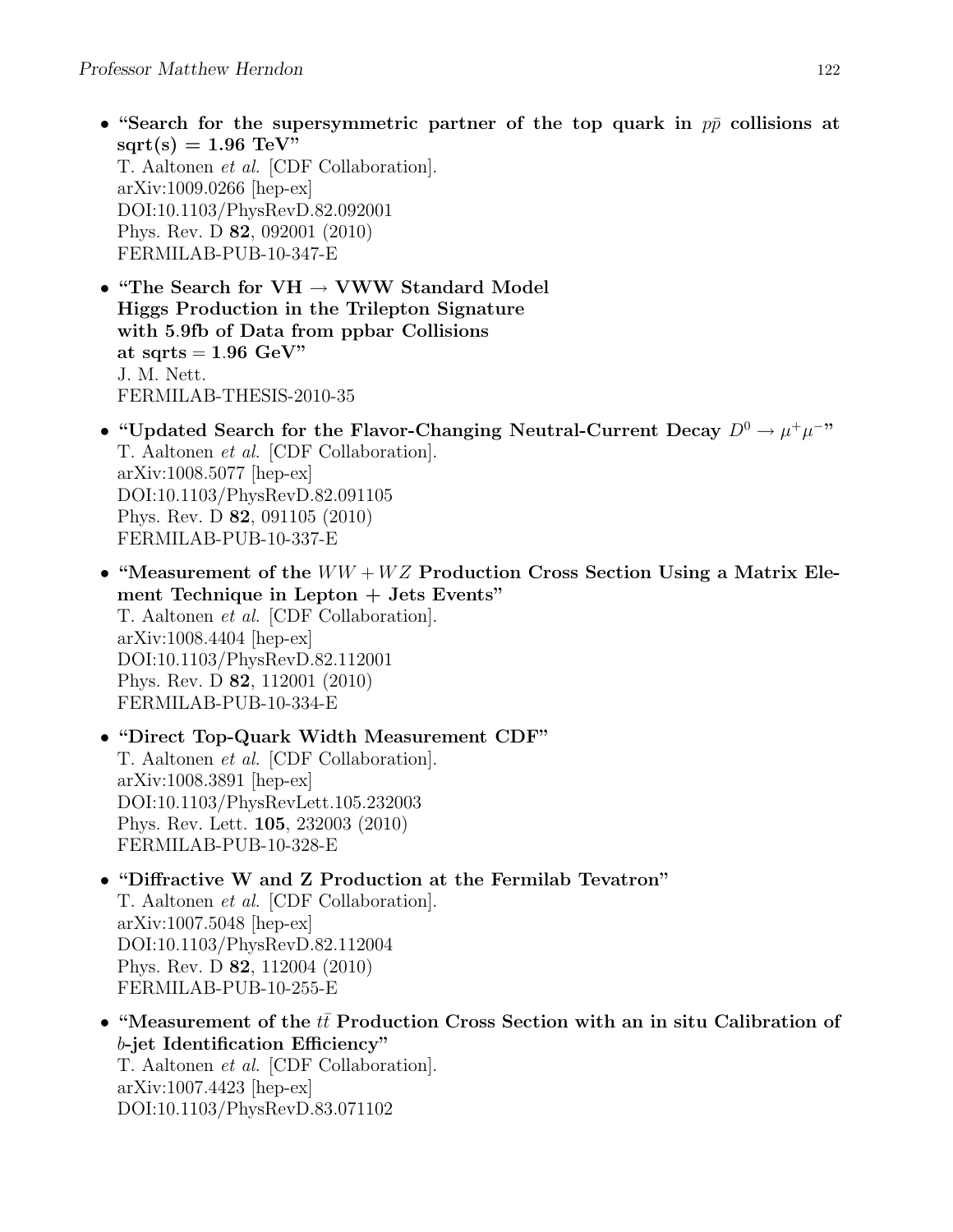- "Search for the supersymmetric partner of the top quark in  $p\bar{p}$  collisions at  $sqrt(s) = 1.96$  TeV" T. Aaltonen et al. [CDF Collaboration]. arXiv:1009.0266 [hep-ex] DOI:10.1103/PhysRevD.82.092001 Phys. Rev. D 82, 092001 (2010) FERMILAB-PUB-10-347-E
- "The Search for  $VH \rightarrow VWW$  Standard Model Higgs Production in the Trilepton Signature with 5.9fb of Data from ppbar Collisions at sqrts  $= 1.96$  GeV" J. M. Nett. FERMILAB-THESIS-2010-35
- "Updated Search for the Flavor-Changing Neutral-Current Decay  $D^0 \to \mu^+\mu^-$ " T. Aaltonen et al. [CDF Collaboration]. arXiv:1008.5077 [hep-ex] DOI:10.1103/PhysRevD.82.091105 Phys. Rev. D 82, 091105 (2010) FERMILAB-PUB-10-337-E
- "Measurement of the  $WW + WZ$  Production Cross Section Using a Matrix Element Technique in Lepton + Jets Events" T. Aaltonen et al. [CDF Collaboration]. arXiv:1008.4404 [hep-ex] DOI:10.1103/PhysRevD.82.112001 Phys. Rev. D 82, 112001 (2010) FERMILAB-PUB-10-334-E
- "Direct Top-Quark Width Measurement CDF" T. Aaltonen et al. [CDF Collaboration]. arXiv:1008.3891 [hep-ex] DOI:10.1103/PhysRevLett.105.232003 Phys. Rev. Lett. 105, 232003 (2010) FERMILAB-PUB-10-328-E
- "Diffractive W and Z Production at the Fermilab Tevatron" T. Aaltonen et al. [CDF Collaboration]. arXiv:1007.5048 [hep-ex] DOI:10.1103/PhysRevD.82.112004 Phys. Rev. D 82, 112004 (2010) FERMILAB-PUB-10-255-E
- "Measurement of the  $t\bar{t}$  Production Cross Section with an in situ Calibration of b-jet Identification Efficiency" T. Aaltonen et al. [CDF Collaboration]. arXiv:1007.4423 [hep-ex] DOI:10.1103/PhysRevD.83.071102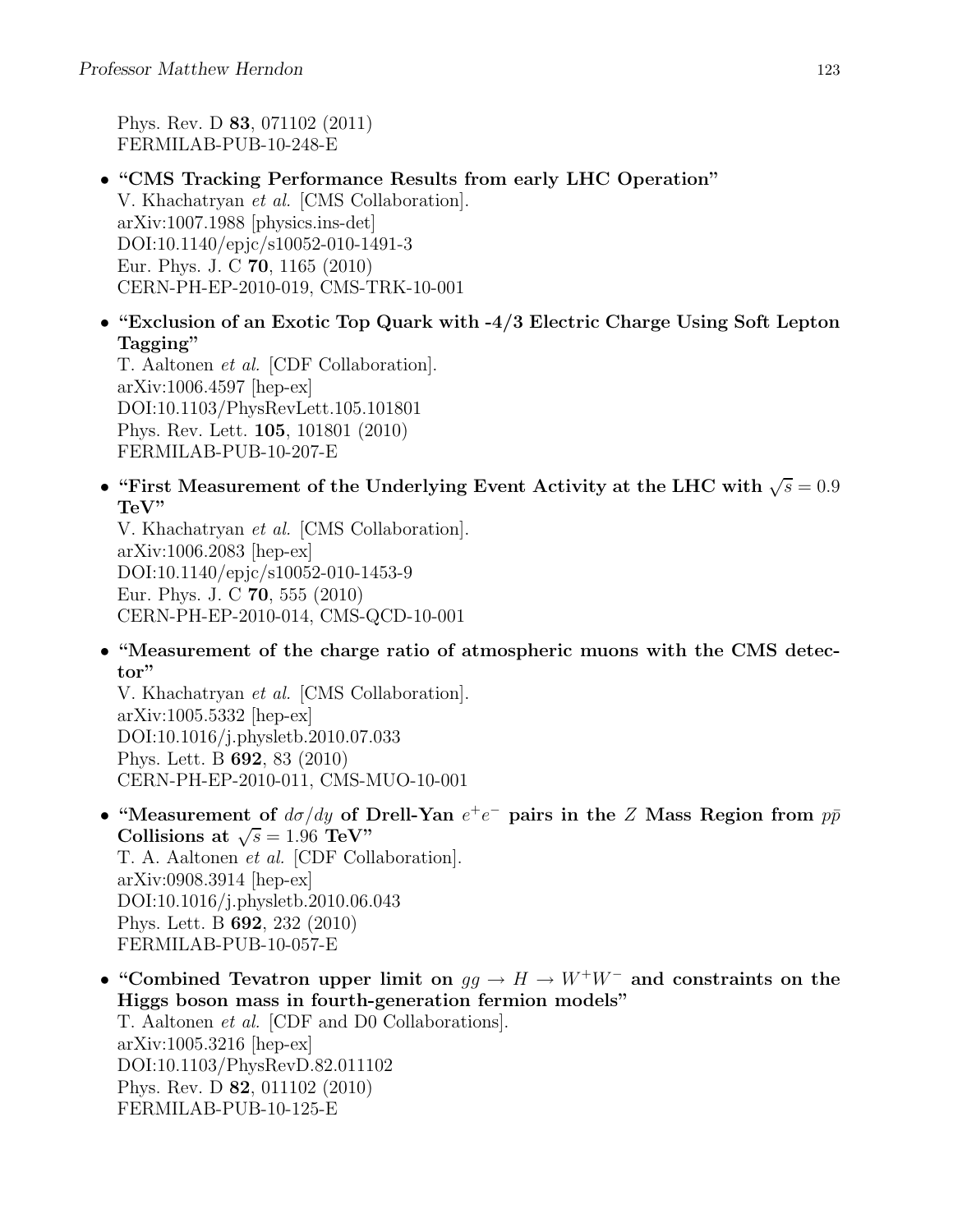Phys. Rev. D 83, 071102 (2011) FERMILAB-PUB-10-248-E

- "CMS Tracking Performance Results from early LHC Operation" V. Khachatryan et al. [CMS Collaboration]. arXiv:1007.1988 [physics.ins-det] DOI:10.1140/epjc/s10052-010-1491-3 Eur. Phys. J. C 70, 1165 (2010) CERN-PH-EP-2010-019, CMS-TRK-10-001
- "Exclusion of an Exotic Top Quark with -4/3 Electric Charge Using Soft Lepton Tagging"

T. Aaltonen et al. [CDF Collaboration]. arXiv:1006.4597 [hep-ex] DOI:10.1103/PhysRevLett.105.101801 Phys. Rev. Lett. 105, 101801 (2010) FERMILAB-PUB-10-207-E

• "First Measurement of the Underlying Event Activity at the LHC with  $\sqrt{s} = 0.9$ TeV"

V. Khachatryan et al. [CMS Collaboration]. arXiv:1006.2083 [hep-ex] DOI:10.1140/epjc/s10052-010-1453-9 Eur. Phys. J. C 70, 555 (2010) CERN-PH-EP-2010-014, CMS-QCD-10-001

• "Measurement of the charge ratio of atmospheric muons with the CMS detector"

V. Khachatryan et al. [CMS Collaboration]. arXiv:1005.5332 [hep-ex] DOI:10.1016/j.physletb.2010.07.033 Phys. Lett. B 692, 83 (2010) CERN-PH-EP-2010-011, CMS-MUO-10-001

- "Measurement of  $d\sigma/dy$  of Drell-Yan  $e^+e^-$  pairs in the Z Mass Region from  $p\bar{p}$ Collisions at  $\sqrt{s} = 1.96$  TeV" T. A. Aaltonen et al. [CDF Collaboration]. arXiv:0908.3914 [hep-ex] DOI:10.1016/j.physletb.2010.06.043 Phys. Lett. B 692, 232 (2010) FERMILAB-PUB-10-057-E
- "Combined Tevatron upper limit on  $gg \to H \to W^+W^-$  and constraints on the Higgs boson mass in fourth-generation fermion models" T. Aaltonen et al. [CDF and D0 Collaborations]. arXiv:1005.3216 [hep-ex] DOI:10.1103/PhysRevD.82.011102 Phys. Rev. D 82, 011102 (2010) FERMILAB-PUB-10-125-E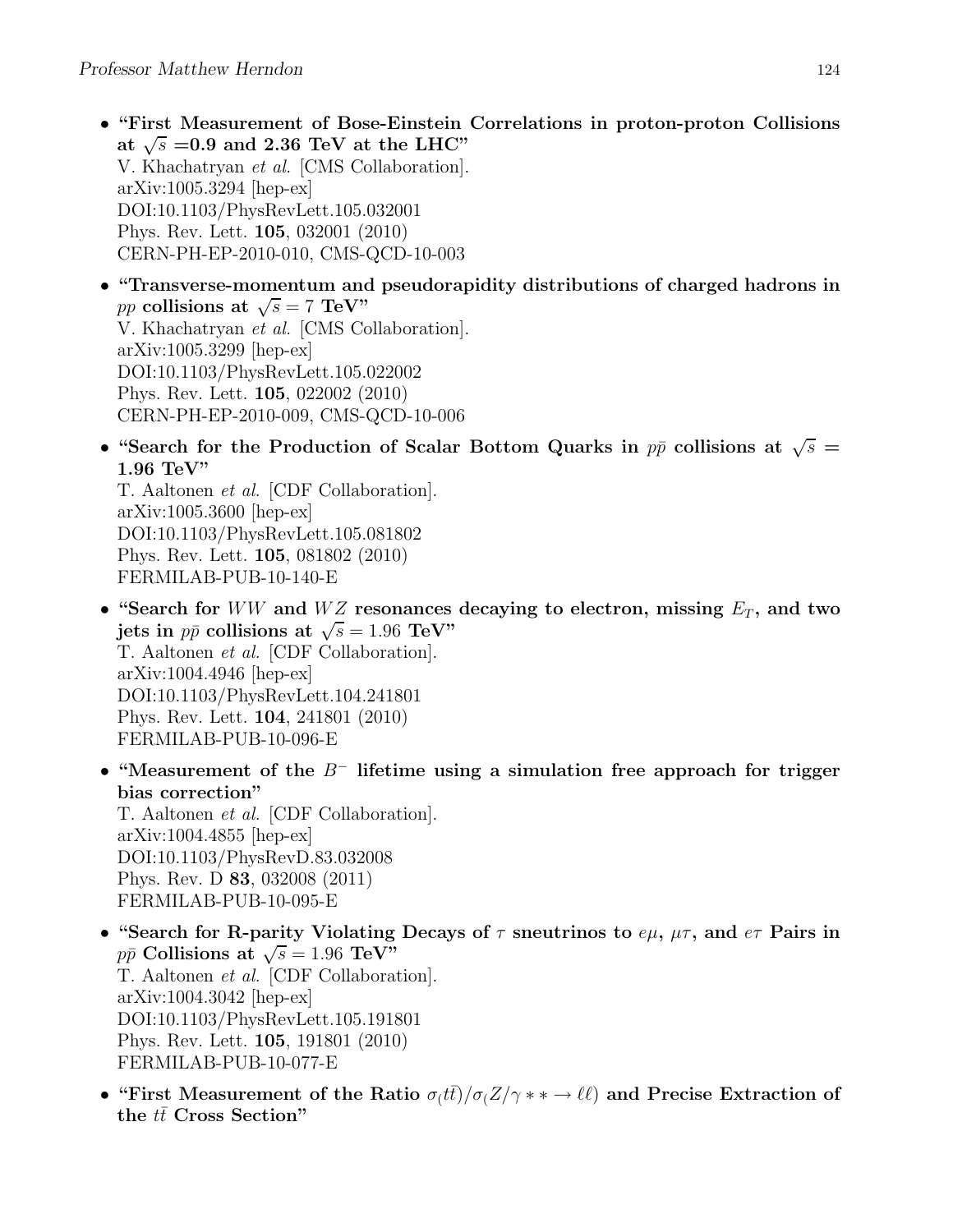- "First Measurement of Bose-Einstein Correlations in proton-proton Collisions at  $\sqrt{s}$  =0.9 and 2.36 TeV at the LHC" V. Khachatryan et al. [CMS Collaboration]. arXiv:1005.3294 [hep-ex] DOI:10.1103/PhysRevLett.105.032001 Phys. Rev. Lett. 105, 032001 (2010) CERN-PH-EP-2010-010, CMS-QCD-10-003
- "Transverse-momentum and pseudorapidity distributions of charged hadrons in pp collisions at  $\sqrt{s} = 7$  TeV" V. Khachatryan et al. [CMS Collaboration]. arXiv:1005.3299 [hep-ex] DOI:10.1103/PhysRevLett.105.022002 Phys. Rev. Lett. 105, 022002 (2010) CERN-PH-EP-2010-009, CMS-QCD-10-006
- "Search for the Production of Scalar Bottom Quarks in  $p\bar{p}$  collisions at  $\sqrt{s}$  = 1.96 TeV"

T. Aaltonen et al. [CDF Collaboration]. arXiv:1005.3600 [hep-ex] DOI:10.1103/PhysRevLett.105.081802 Phys. Rev. Lett. 105, 081802 (2010) FERMILAB-PUB-10-140-E

- "Search for WW and WZ resonances decaying to electron, missing  $E_T$ , and two jets in  $p\bar{p}$  collisions at  $\sqrt{s} = 1.96 \text{ TeV}$ " T. Aaltonen et al. [CDF Collaboration]. arXiv:1004.4946 [hep-ex] DOI:10.1103/PhysRevLett.104.241801 Phys. Rev. Lett. 104, 241801 (2010) FERMILAB-PUB-10-096-E
- "Measurement of the  $B^-$  lifetime using a simulation free approach for trigger bias correction"

T. Aaltonen et al. [CDF Collaboration]. arXiv:1004.4855 [hep-ex] DOI:10.1103/PhysRevD.83.032008 Phys. Rev. D 83, 032008 (2011) FERMILAB-PUB-10-095-E

- "Search for R-parity Violating Decays of  $\tau$  sneutrinos to  $e\mu$ ,  $\mu\tau$ , and  $e\tau$  Pairs in  $p\bar{p}$  Collisions at  $\sqrt{s} = 1.96 \text{ TeV}^{\prime\prime}$ T. Aaltonen et al. [CDF Collaboration]. arXiv:1004.3042 [hep-ex] DOI:10.1103/PhysRevLett.105.191801 Phys. Rev. Lett. 105, 191801 (2010) FERMILAB-PUB-10-077-E
- "First Measurement of the Ratio  $\sigma_l t\bar{t}/\sigma_l Z/\gamma * * \to \ell\ell$  and Precise Extraction of the  $t\bar{t}$  Cross Section"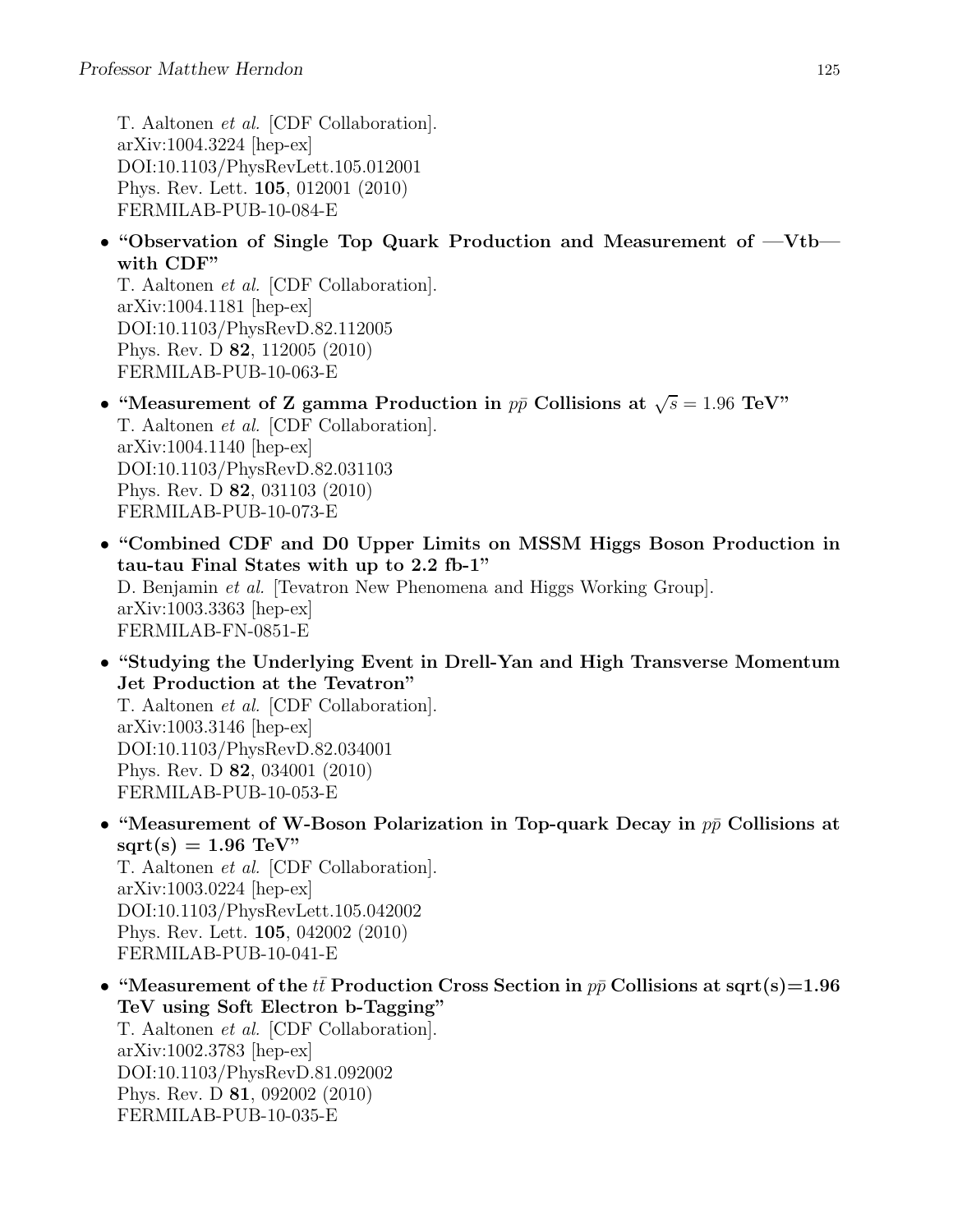T. Aaltonen et al. [CDF Collaboration]. arXiv:1004.3224 [hep-ex] DOI:10.1103/PhysRevLett.105.012001 Phys. Rev. Lett. 105, 012001 (2010) FERMILAB-PUB-10-084-E

• "Observation of Single Top Quark Production and Measurement of —Vtb with CDF"

T. Aaltonen et al. [CDF Collaboration]. arXiv:1004.1181 [hep-ex] DOI:10.1103/PhysRevD.82.112005 Phys. Rev. D 82, 112005 (2010) FERMILAB-PUB-10-063-E

- "Measurement of Z gamma Production in  $p\bar{p}$  Collisions at  $\sqrt{s} = 1.96$  TeV" T. Aaltonen et al. [CDF Collaboration]. arXiv:1004.1140 [hep-ex] DOI:10.1103/PhysRevD.82.031103 Phys. Rev. D 82, 031103 (2010) FERMILAB-PUB-10-073-E
- "Combined CDF and D0 Upper Limits on MSSM Higgs Boson Production in tau-tau Final States with up to 2.2 fb-1" D. Benjamin et al. [Tevatron New Phenomena and Higgs Working Group]. arXiv:1003.3363 [hep-ex] FERMILAB-FN-0851-E
- "Studying the Underlying Event in Drell-Yan and High Transverse Momentum Jet Production at the Tevatron" T. Aaltonen et al. [CDF Collaboration]. arXiv:1003.3146 [hep-ex] DOI:10.1103/PhysRevD.82.034001 Phys. Rev. D 82, 034001 (2010) FERMILAB-PUB-10-053-E
- "Measurement of W-Boson Polarization in Top-quark Decay in  $p\bar{p}$  Collisions at  $sqrt(s) = 1.96$  TeV" T. Aaltonen et al. [CDF Collaboration]. arXiv:1003.0224 [hep-ex] DOI:10.1103/PhysRevLett.105.042002 Phys. Rev. Lett. 105, 042002 (2010) FERMILAB-PUB-10-041-E
- "Measurement of the  $t\bar{t}$  Production Cross Section in  $p\bar{p}$  Collisions at sqrt(s)=1.96 TeV using Soft Electron b-Tagging" T. Aaltonen et al. [CDF Collaboration]. arXiv:1002.3783 [hep-ex] DOI:10.1103/PhysRevD.81.092002 Phys. Rev. D 81, 092002 (2010) FERMILAB-PUB-10-035-E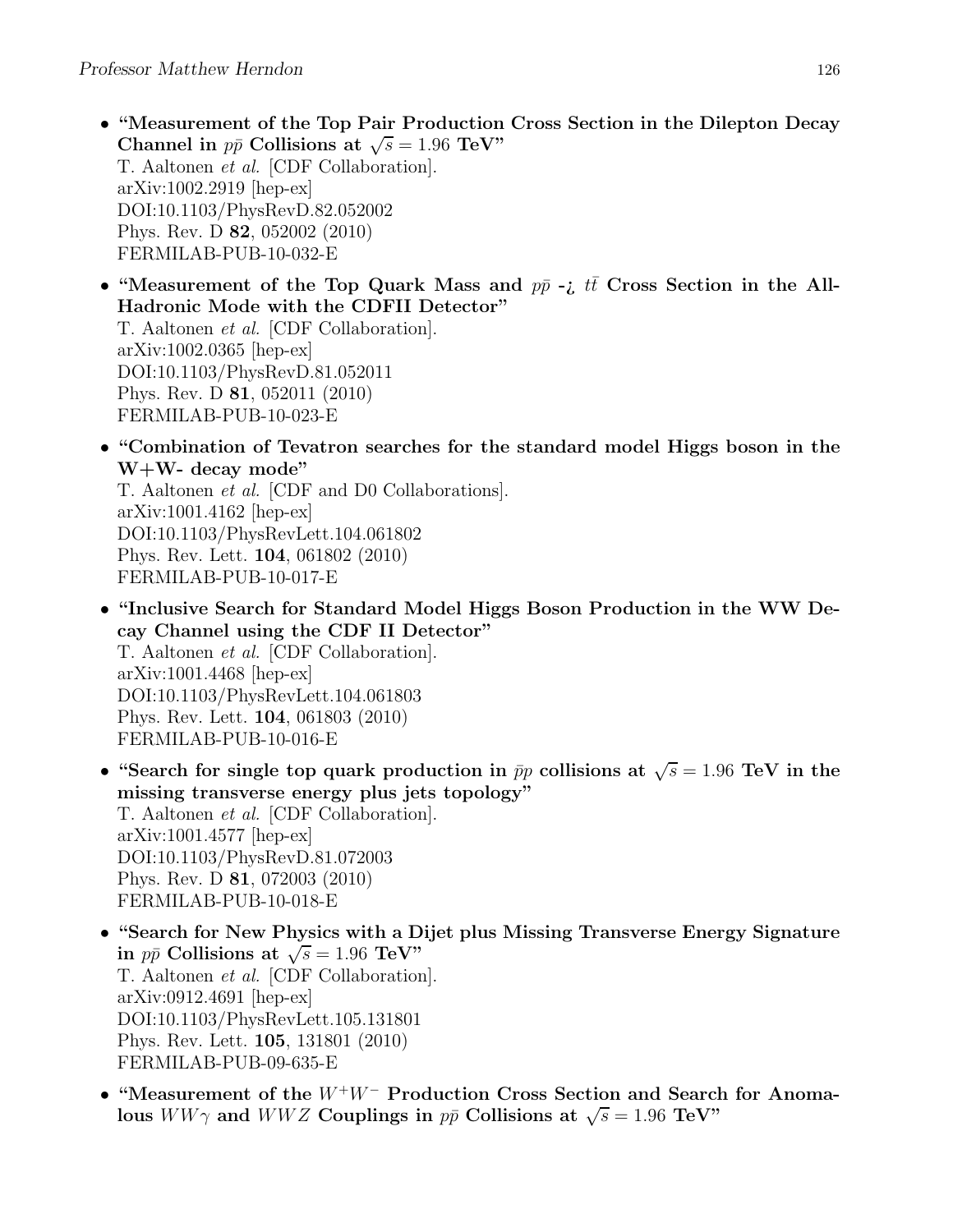- "Measurement of the Top Pair Production Cross Section in the Dilepton Decay Channel in  $p\bar{p}$  Collisions at  $\sqrt{s} = 1.96$  TeV" T. Aaltonen et al. [CDF Collaboration]. arXiv:1002.2919 [hep-ex] DOI:10.1103/PhysRevD.82.052002 Phys. Rev. D 82, 052002 (2010) FERMILAB-PUB-10-032-E
- "Measurement of the Top Quark Mass and  $p\bar{p}$  -*i*  $t\bar{t}$  Cross Section in the All-Hadronic Mode with the CDFII Detector" T. Aaltonen et al. [CDF Collaboration]. arXiv:1002.0365 [hep-ex] DOI:10.1103/PhysRevD.81.052011

Phys. Rev. D 81, 052011 (2010) FERMILAB-PUB-10-023-E

• "Combination of Tevatron searches for the standard model Higgs boson in the W+W- decay mode"

T. Aaltonen et al. [CDF and D0 Collaborations]. arXiv:1001.4162 [hep-ex] DOI:10.1103/PhysRevLett.104.061802 Phys. Rev. Lett. 104, 061802 (2010) FERMILAB-PUB-10-017-E

- "Inclusive Search for Standard Model Higgs Boson Production in the WW Decay Channel using the CDF II Detector" T. Aaltonen et al. [CDF Collaboration]. arXiv:1001.4468 [hep-ex] DOI:10.1103/PhysRevLett.104.061803 Phys. Rev. Lett. 104, 061803 (2010) FERMILAB-PUB-10-016-E
- "Search for single top quark production in  $\bar{p}p$  collisions at  $\sqrt{s} = 1.96$  TeV in the missing transverse energy plus jets topology" T. Aaltonen et al. [CDF Collaboration]. arXiv:1001.4577 [hep-ex] DOI:10.1103/PhysRevD.81.072003 Phys. Rev. D 81, 072003 (2010) FERMILAB-PUB-10-018-E
- "Search for New Physics with a Dijet plus Missing Transverse Energy Signature in  $p\bar{p}$  Collisions at  $\sqrt{s} = 1.96$  TeV" T. Aaltonen et al. [CDF Collaboration]. arXiv:0912.4691 [hep-ex] DOI:10.1103/PhysRevLett.105.131801 Phys. Rev. Lett. 105, 131801 (2010) FERMILAB-PUB-09-635-E
- "Measurement of the <sup>W</sup><sup>+</sup>W<sup>−</sup> Production Cross Section and Search for Anomalous  $WW\gamma$  and  $WWZ$  Couplings in  $p\bar{p}$  Collisions at  $\sqrt{s} = 1.96$  TeV"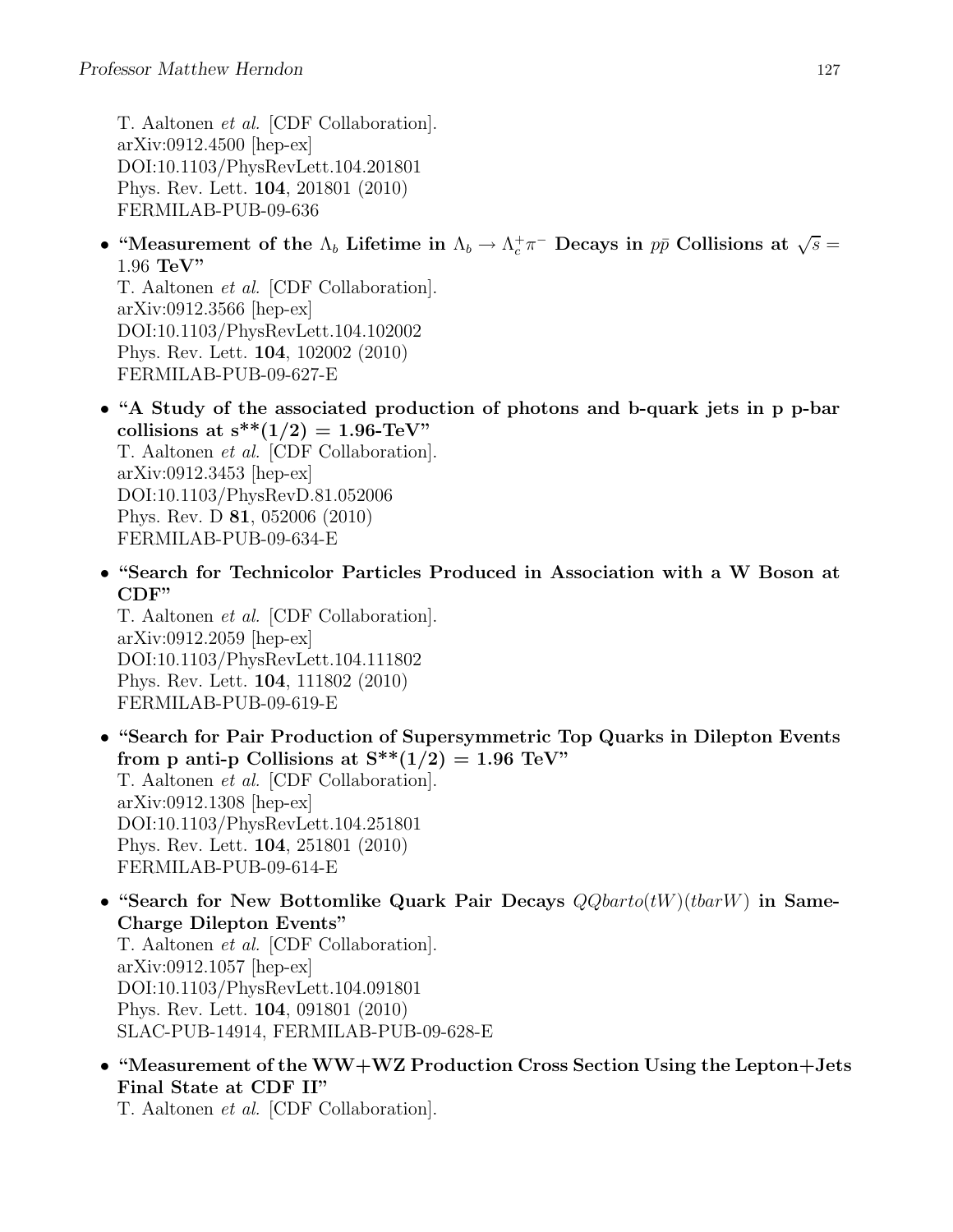T. Aaltonen et al. [CDF Collaboration]. arXiv:0912.4500 [hep-ex] DOI:10.1103/PhysRevLett.104.201801 Phys. Rev. Lett. 104, 201801 (2010) FERMILAB-PUB-09-636

• "Measurement of the  $\Lambda_b$  Lifetime in  $\Lambda_b \to \Lambda_c^+\pi^-$  Decays in  $p\bar{p}$  Collisions at  $\sqrt{s} =$ 1.96 TeV"

T. Aaltonen et al. [CDF Collaboration]. arXiv:0912.3566 [hep-ex] DOI:10.1103/PhysRevLett.104.102002 Phys. Rev. Lett. 104, 102002 (2010) FERMILAB-PUB-09-627-E

- "A Study of the associated production of photons and b-quark jets in p p-bar collisions at  $s^{**}(1/2) = 1.96$ -TeV" T. Aaltonen et al. [CDF Collaboration]. arXiv:0912.3453 [hep-ex] DOI:10.1103/PhysRevD.81.052006 Phys. Rev. D 81, 052006 (2010) FERMILAB-PUB-09-634-E
- "Search for Technicolor Particles Produced in Association with a W Boson at CDF"

T. Aaltonen et al. [CDF Collaboration]. arXiv:0912.2059 [hep-ex] DOI:10.1103/PhysRevLett.104.111802 Phys. Rev. Lett. 104, 111802 (2010) FERMILAB-PUB-09-619-E

- "Search for Pair Production of Supersymmetric Top Quarks in Dilepton Events from p anti-p Collisions at  $S^{**}(1/2) = 1.96$  TeV" T. Aaltonen et al. [CDF Collaboration]. arXiv:0912.1308 [hep-ex] DOI:10.1103/PhysRevLett.104.251801 Phys. Rev. Lett. 104, 251801 (2010) FERMILAB-PUB-09-614-E
- "Search for New Bottomlike Quark Pair Decays  $Q\mathit{Qbarto}(tW)(tbarW)$  in Same-Charge Dilepton Events" T. Aaltonen et al. [CDF Collaboration]. arXiv:0912.1057 [hep-ex] DOI:10.1103/PhysRevLett.104.091801 Phys. Rev. Lett. 104, 091801 (2010) SLAC-PUB-14914, FERMILAB-PUB-09-628-E
- "Measurement of the WW+WZ Production Cross Section Using the Lepton+Jets Final State at CDF II"

T. Aaltonen et al. [CDF Collaboration].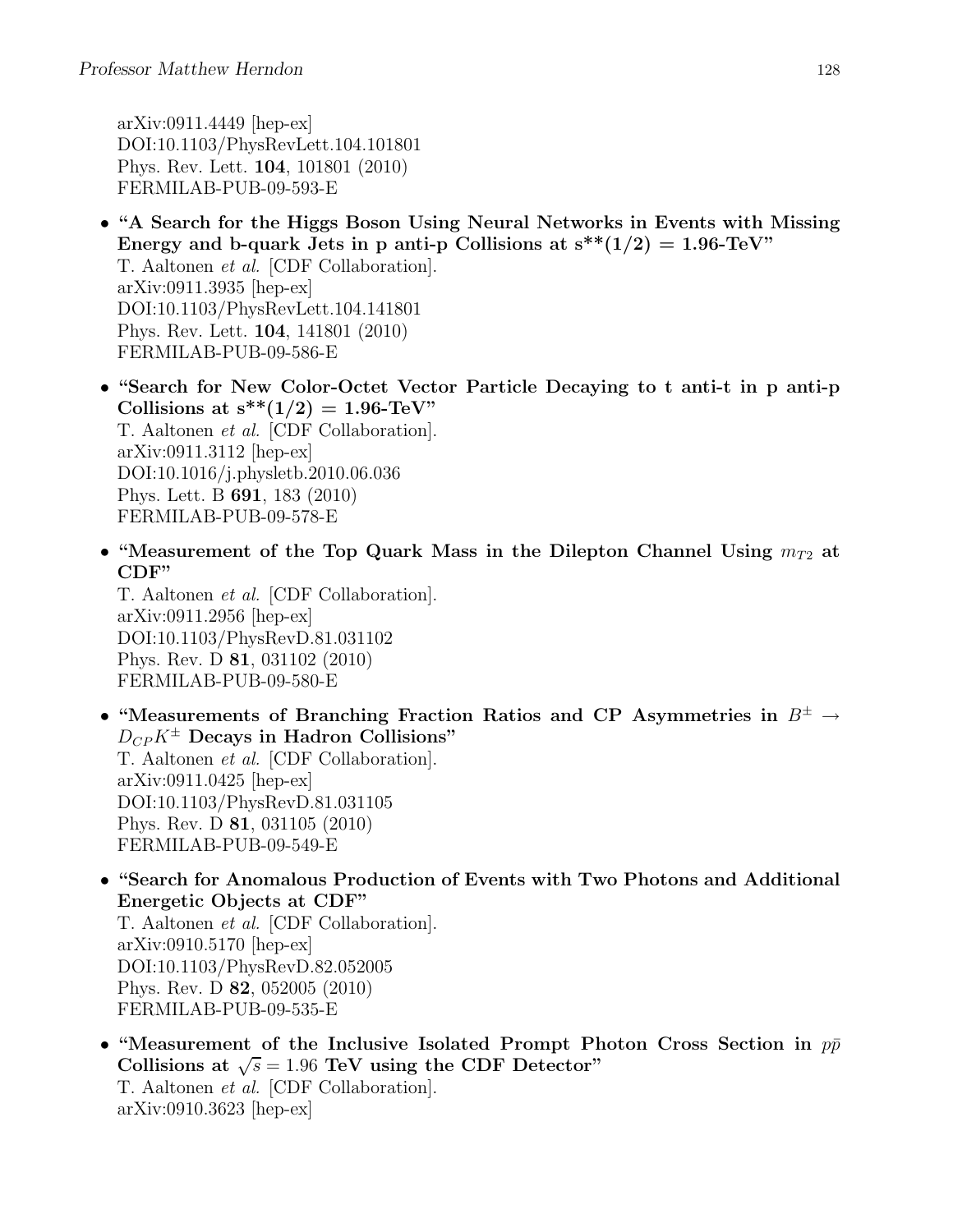arXiv:0911.4449 [hep-ex] DOI:10.1103/PhysRevLett.104.101801 Phys. Rev. Lett. 104, 101801 (2010) FERMILAB-PUB-09-593-E

- "A Search for the Higgs Boson Using Neural Networks in Events with Missing Energy and b-quark Jets in p anti-p Collisions at  $s^{**}(1/2) = 1.96$ -TeV" T. Aaltonen et al. [CDF Collaboration]. arXiv:0911.3935 [hep-ex] DOI:10.1103/PhysRevLett.104.141801 Phys. Rev. Lett. 104, 141801 (2010) FERMILAB-PUB-09-586-E
- "Search for New Color-Octet Vector Particle Decaying to t anti-t in p anti-p Collisions at  $s^{**}(1/2) = 1.96$ -TeV" T. Aaltonen et al. [CDF Collaboration]. arXiv:0911.3112 [hep-ex] DOI:10.1016/j.physletb.2010.06.036 Phys. Lett. B 691, 183 (2010) FERMILAB-PUB-09-578-E
- "Measurement of the Top Quark Mass in the Dilepton Channel Using  $m_{T2}$  at CDF"

T. Aaltonen et al. [CDF Collaboration]. arXiv:0911.2956 [hep-ex] DOI:10.1103/PhysRevD.81.031102 Phys. Rev. D 81, 031102 (2010) FERMILAB-PUB-09-580-E

- "Measurements of Branching Fraction Ratios and CP Asymmetries in  $B^{\pm} \rightarrow$  $D_{CP}K^{\pm}$  Decays in Hadron Collisions" T. Aaltonen et al. [CDF Collaboration]. arXiv:0911.0425 [hep-ex] DOI:10.1103/PhysRevD.81.031105 Phys. Rev. D 81, 031105 (2010) FERMILAB-PUB-09-549-E
- "Search for Anomalous Production of Events with Two Photons and Additional Energetic Objects at CDF" T. Aaltonen et al. [CDF Collaboration]. arXiv:0910.5170 [hep-ex] DOI:10.1103/PhysRevD.82.052005 Phys. Rev. D 82, 052005 (2010) FERMILAB-PUB-09-535-E
- "Measurement of the Inclusive Isolated Prompt Photon Cross Section in  $p\bar{p}$ Collisions at  $\sqrt{s} = 1.96$  TeV using the CDF Detector" T. Aaltonen et al. [CDF Collaboration]. arXiv:0910.3623 [hep-ex]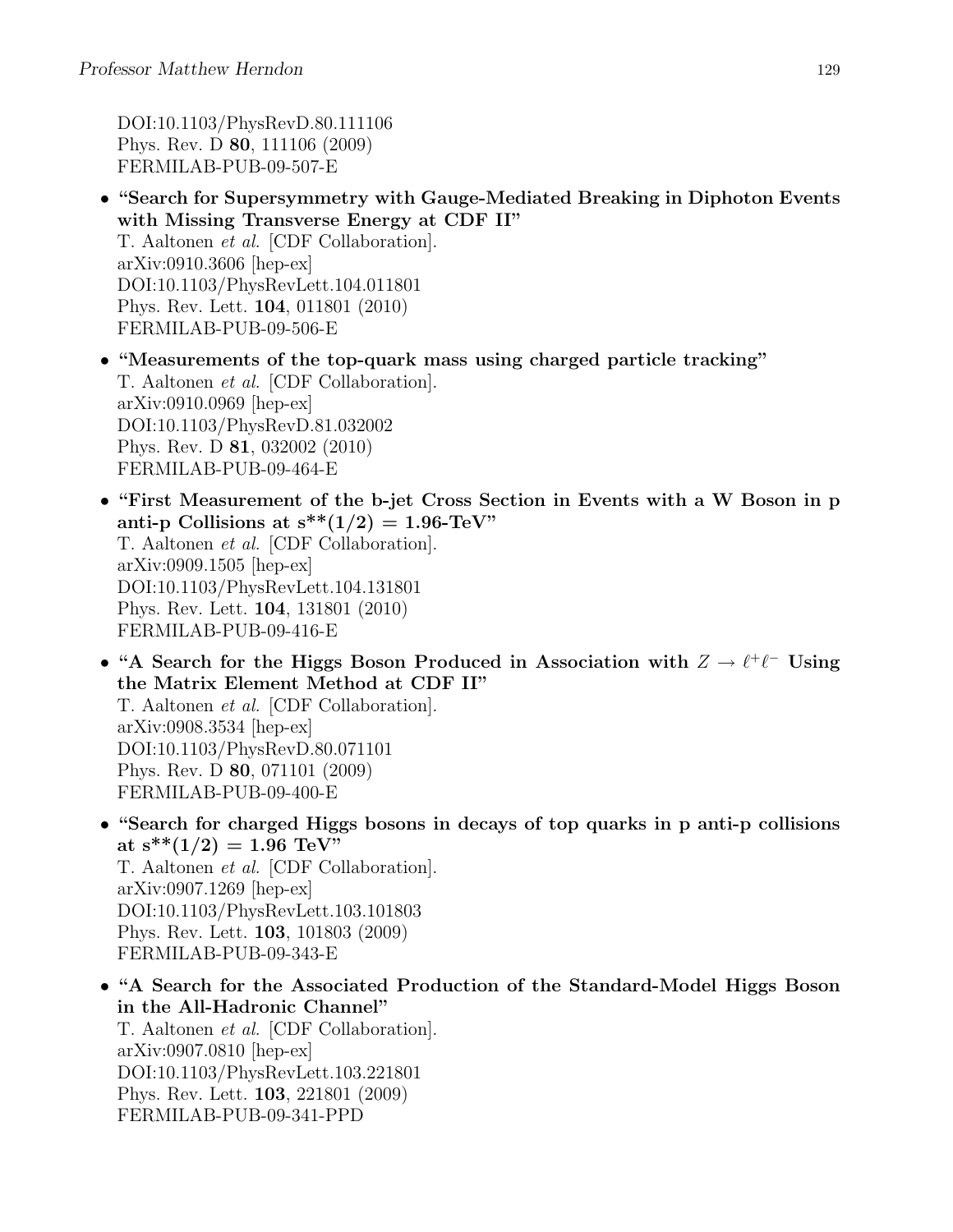DOI:10.1103/PhysRevD.80.111106 Phys. Rev. D 80, 111106 (2009) FERMILAB-PUB-09-507-E

- "Search for Supersymmetry with Gauge-Mediated Breaking in Diphoton Events with Missing Transverse Energy at CDF II" T. Aaltonen et al. [CDF Collaboration]. arXiv:0910.3606 [hep-ex] DOI:10.1103/PhysRevLett.104.011801 Phys. Rev. Lett. 104, 011801 (2010) FERMILAB-PUB-09-506-E
- "Measurements of the top-quark mass using charged particle tracking" T. Aaltonen et al. [CDF Collaboration]. arXiv:0910.0969 [hep-ex] DOI:10.1103/PhysRevD.81.032002 Phys. Rev. D 81, 032002 (2010) FERMILAB-PUB-09-464-E
- "First Measurement of the b-jet Cross Section in Events with a W Boson in p anti-p Collisions at  $s^{**}(1/2) = 1.96$ -TeV" T. Aaltonen et al. [CDF Collaboration]. arXiv:0909.1505 [hep-ex] DOI:10.1103/PhysRevLett.104.131801 Phys. Rev. Lett. 104, 131801 (2010) FERMILAB-PUB-09-416-E
- "A Search for the Higgs Boson Produced in Association with  $Z \to \ell^+ \ell^-$  Using the Matrix Element Method at CDF II" T. Aaltonen et al. [CDF Collaboration]. arXiv:0908.3534 [hep-ex] DOI:10.1103/PhysRevD.80.071101 Phys. Rev. D 80, 071101 (2009) FERMILAB-PUB-09-400-E
- "Search for charged Higgs bosons in decays of top quarks in p anti-p collisions at  $s^{**}(1/2) = 1.96$  TeV" T. Aaltonen et al. [CDF Collaboration]. arXiv:0907.1269 [hep-ex] DOI:10.1103/PhysRevLett.103.101803 Phys. Rev. Lett. 103, 101803 (2009) FERMILAB-PUB-09-343-E
- "A Search for the Associated Production of the Standard-Model Higgs Boson in the All-Hadronic Channel" T. Aaltonen et al. [CDF Collaboration]. arXiv:0907.0810 [hep-ex] DOI:10.1103/PhysRevLett.103.221801 Phys. Rev. Lett. 103, 221801 (2009) FERMILAB-PUB-09-341-PPD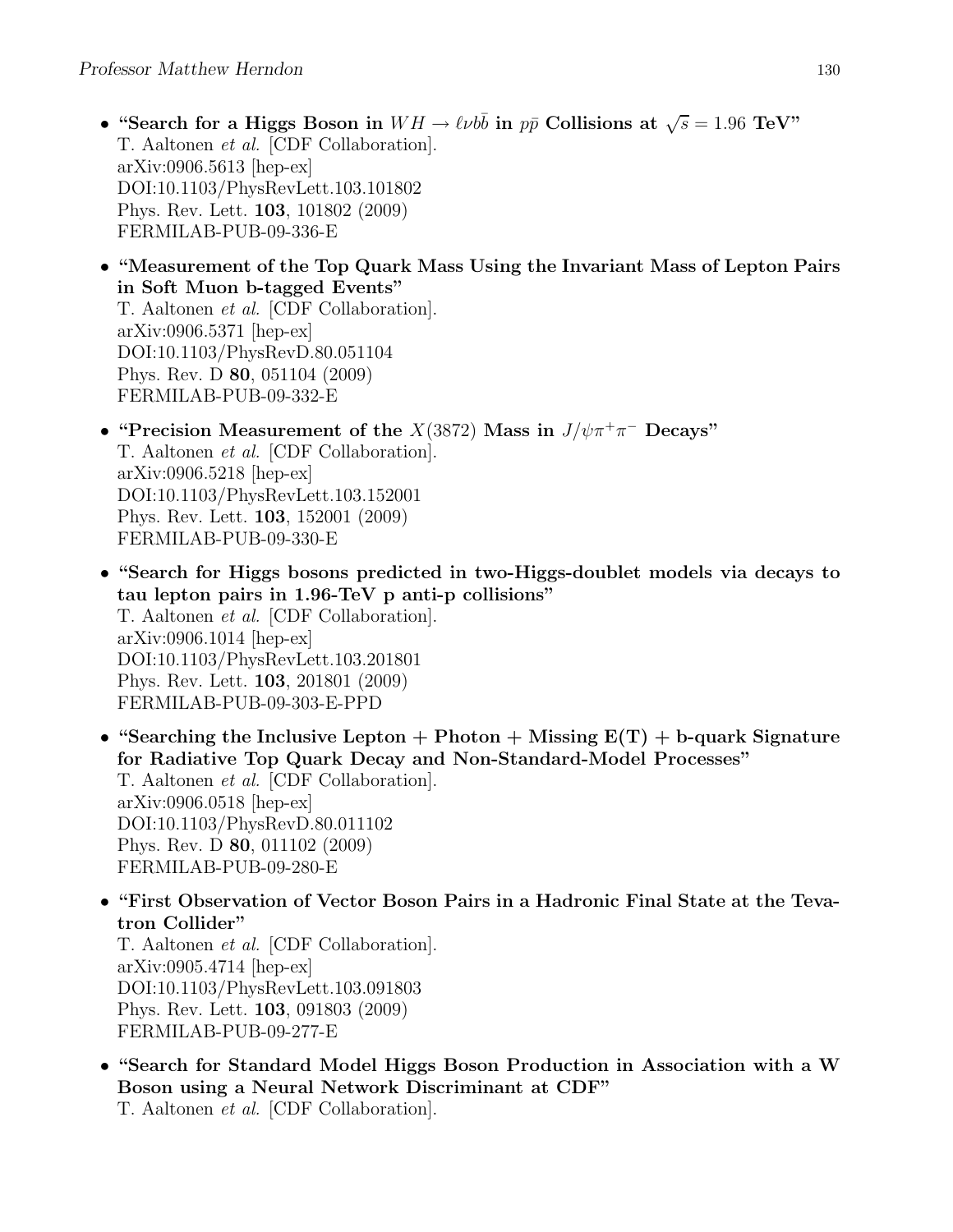- "Search for a Higgs Boson in  $WH \to \ell \nu b\bar{b}$  in  $p\bar{p}$  Collisions at  $\sqrt{s} = 1.96$  TeV" T. Aaltonen et al. [CDF Collaboration]. arXiv:0906.5613 [hep-ex] DOI:10.1103/PhysRevLett.103.101802 Phys. Rev. Lett. 103, 101802 (2009) FERMILAB-PUB-09-336-E
- "Measurement of the Top Quark Mass Using the Invariant Mass of Lepton Pairs in Soft Muon b-tagged Events" T. Aaltonen et al. [CDF Collaboration]. arXiv:0906.5371 [hep-ex] DOI:10.1103/PhysRevD.80.051104 Phys. Rev. D 80, 051104 (2009) FERMILAB-PUB-09-332-E
- "Precision Measurement of the  $X(3872)$  Mass in  $J/\psi \pi^+ \pi^-$  Decays" T. Aaltonen et al. [CDF Collaboration]. arXiv:0906.5218 [hep-ex] DOI:10.1103/PhysRevLett.103.152001 Phys. Rev. Lett. 103, 152001 (2009) FERMILAB-PUB-09-330-E
- "Search for Higgs bosons predicted in two-Higgs-doublet models via decays to tau lepton pairs in 1.96-TeV p anti-p collisions" T. Aaltonen et al. [CDF Collaboration]. arXiv:0906.1014 [hep-ex] DOI:10.1103/PhysRevLett.103.201801 Phys. Rev. Lett. 103, 201801 (2009) FERMILAB-PUB-09-303-E-PPD
- "Searching the Inclusive Lepton + Photon + Missing  $E(T)$  + b-quark Signature for Radiative Top Quark Decay and Non-Standard-Model Processes" T. Aaltonen et al. [CDF Collaboration]. arXiv:0906.0518 [hep-ex] DOI:10.1103/PhysRevD.80.011102 Phys. Rev. D 80, 011102 (2009) FERMILAB-PUB-09-280-E
- "First Observation of Vector Boson Pairs in a Hadronic Final State at the Tevatron Collider"

T. Aaltonen et al. [CDF Collaboration]. arXiv:0905.4714 [hep-ex] DOI:10.1103/PhysRevLett.103.091803 Phys. Rev. Lett. 103, 091803 (2009) FERMILAB-PUB-09-277-E

• "Search for Standard Model Higgs Boson Production in Association with a W Boson using a Neural Network Discriminant at CDF"

T. Aaltonen et al. [CDF Collaboration].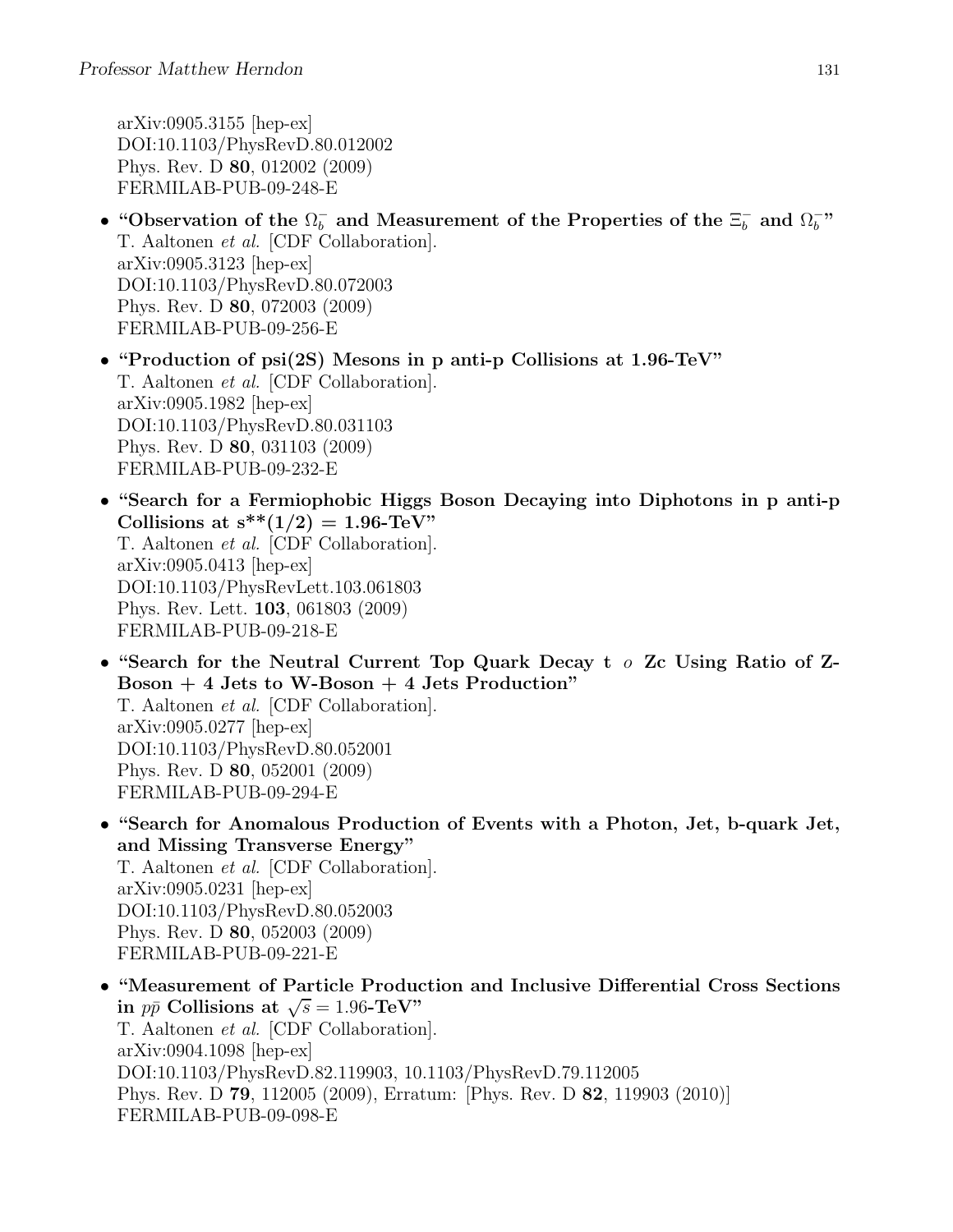arXiv:0905.3155 [hep-ex] DOI:10.1103/PhysRevD.80.012002 Phys. Rev. D 80, 012002 (2009) FERMILAB-PUB-09-248-E

- "Observation of the  $\Omega_b^-$  and Measurement of the Properties of the  $\Xi_b^-$  and  $\Omega_b^-$ " T. Aaltonen et al. [CDF Collaboration]. arXiv:0905.3123 [hep-ex] DOI:10.1103/PhysRevD.80.072003 Phys. Rev. D 80, 072003 (2009) FERMILAB-PUB-09-256-E
- "Production of psi(2S) Mesons in p anti-p Collisions at 1.96-TeV" T. Aaltonen et al. [CDF Collaboration]. arXiv:0905.1982 [hep-ex] DOI:10.1103/PhysRevD.80.031103 Phys. Rev. D 80, 031103 (2009) FERMILAB-PUB-09-232-E
- "Search for a Fermiophobic Higgs Boson Decaying into Diphotons in p anti-p Collisions at  $s^{**}(1/2) = 1.96$ -TeV" T. Aaltonen et al. [CDF Collaboration]. arXiv:0905.0413 [hep-ex] DOI:10.1103/PhysRevLett.103.061803 Phys. Rev. Lett. 103, 061803 (2009) FERMILAB-PUB-09-218-E
- "Search for the Neutral Current Top Quark Decay t o Zc Using Ratio of Z- $Boson + 4$  Jets to W-Boson  $+ 4$  Jets Production" T. Aaltonen et al. [CDF Collaboration]. arXiv:0905.0277 [hep-ex] DOI:10.1103/PhysRevD.80.052001 Phys. Rev. D 80, 052001 (2009) FERMILAB-PUB-09-294-E
- "Search for Anomalous Production of Events with a Photon, Jet, b-quark Jet, and Missing Transverse Energy" T. Aaltonen et al. [CDF Collaboration]. arXiv:0905.0231 [hep-ex] DOI:10.1103/PhysRevD.80.052003 Phys. Rev. D 80, 052003 (2009) FERMILAB-PUB-09-221-E
- "Measurement of Particle Production and Inclusive Differential Cross Sections in  $p\bar{p}$  Collisions at  $\sqrt{s} = 1.96$ -TeV" T. Aaltonen et al. [CDF Collaboration]. arXiv:0904.1098 [hep-ex] DOI:10.1103/PhysRevD.82.119903, 10.1103/PhysRevD.79.112005 Phys. Rev. D 79, 112005 (2009), Erratum: [Phys. Rev. D 82, 119903 (2010)] FERMILAB-PUB-09-098-E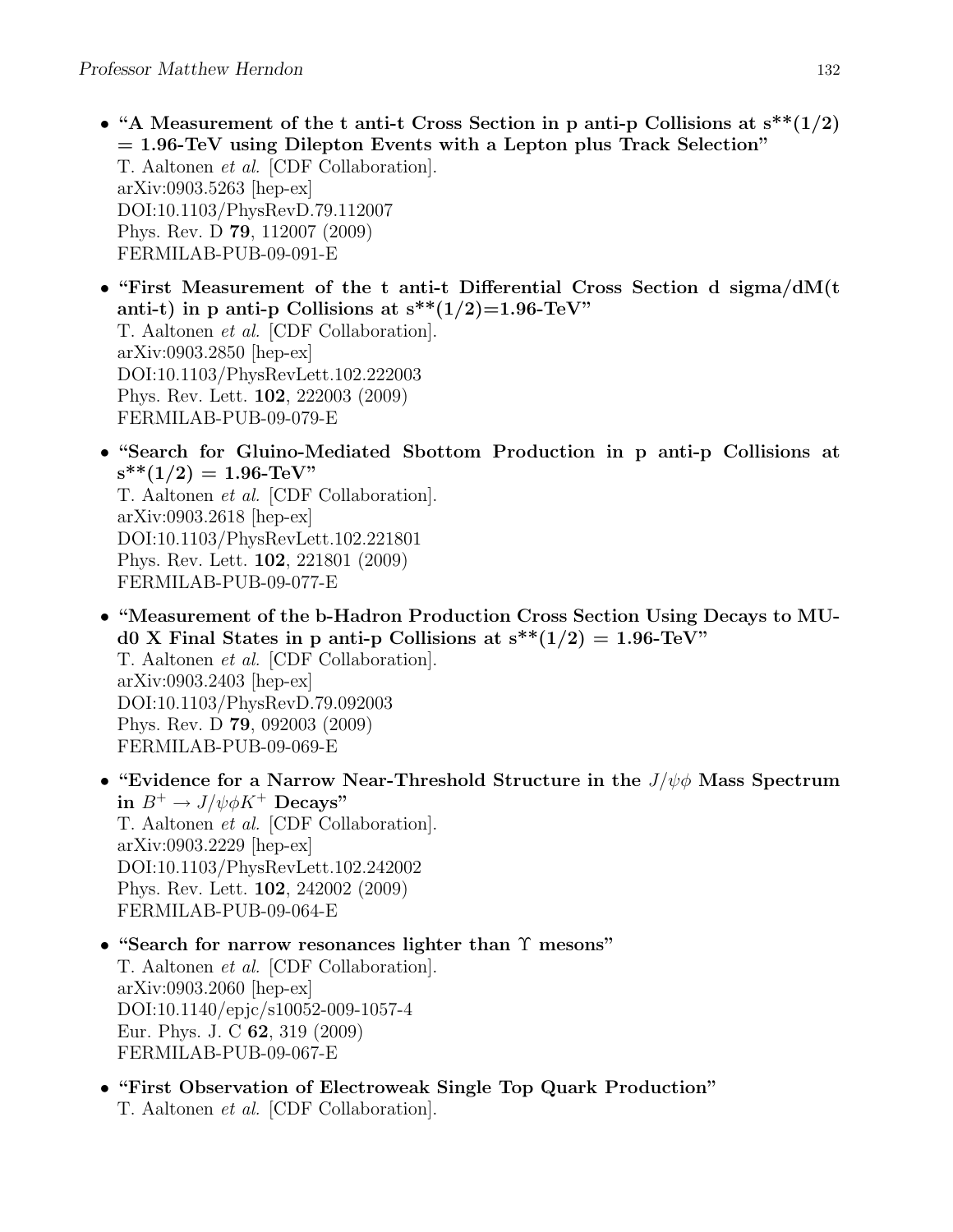- "A Measurement of the t anti-t Cross Section in p anti-p Collisions at  $s^{**}(1/2)$  $= 1.96$ -TeV using Dilepton Events with a Lepton plus Track Selection" T. Aaltonen et al. [CDF Collaboration]. arXiv:0903.5263 [hep-ex] DOI:10.1103/PhysRevD.79.112007 Phys. Rev. D 79, 112007 (2009) FERMILAB-PUB-09-091-E
- "First Measurement of the t anti-t Differential Cross Section d sigma/dM(t anti-t) in p anti-p Collisions at  $s^{**}(1/2)=1.96$ -TeV" T. Aaltonen et al. [CDF Collaboration]. arXiv:0903.2850 [hep-ex] DOI:10.1103/PhysRevLett.102.222003 Phys. Rev. Lett. 102, 222003 (2009) FERMILAB-PUB-09-079-E
- "Search for Gluino-Mediated Sbottom Production in p anti-p Collisions at  $s^{**}(1/2) = 1.96$ -TeV" T. Aaltonen et al. [CDF Collaboration]. arXiv:0903.2618 [hep-ex] DOI:10.1103/PhysRevLett.102.221801
	- Phys. Rev. Lett. 102, 221801 (2009) FERMILAB-PUB-09-077-E
- "Measurement of the b-Hadron Production Cross Section Using Decays to MUd0 X Final States in p anti-p Collisions at  $s^{**}(1/2) = 1.96$ -TeV" T. Aaltonen et al. [CDF Collaboration]. arXiv:0903.2403 [hep-ex] DOI:10.1103/PhysRevD.79.092003 Phys. Rev. D 79, 092003 (2009) FERMILAB-PUB-09-069-E
- "Evidence for a Narrow Near-Threshold Structure in the  $J/\psi \phi$  Mass Spectrum in  $B^+ \to J/\psi \phi K^+$  Decays" T. Aaltonen et al. [CDF Collaboration]. arXiv:0903.2229 [hep-ex] DOI:10.1103/PhysRevLett.102.242002 Phys. Rev. Lett. 102, 242002 (2009) FERMILAB-PUB-09-064-E
- "Search for narrow resonances lighter than Υ mesons" T. Aaltonen et al. [CDF Collaboration]. arXiv:0903.2060 [hep-ex] DOI:10.1140/epjc/s10052-009-1057-4 Eur. Phys. J. C 62, 319 (2009) FERMILAB-PUB-09-067-E
- "First Observation of Electroweak Single Top Quark Production" T. Aaltonen et al. [CDF Collaboration].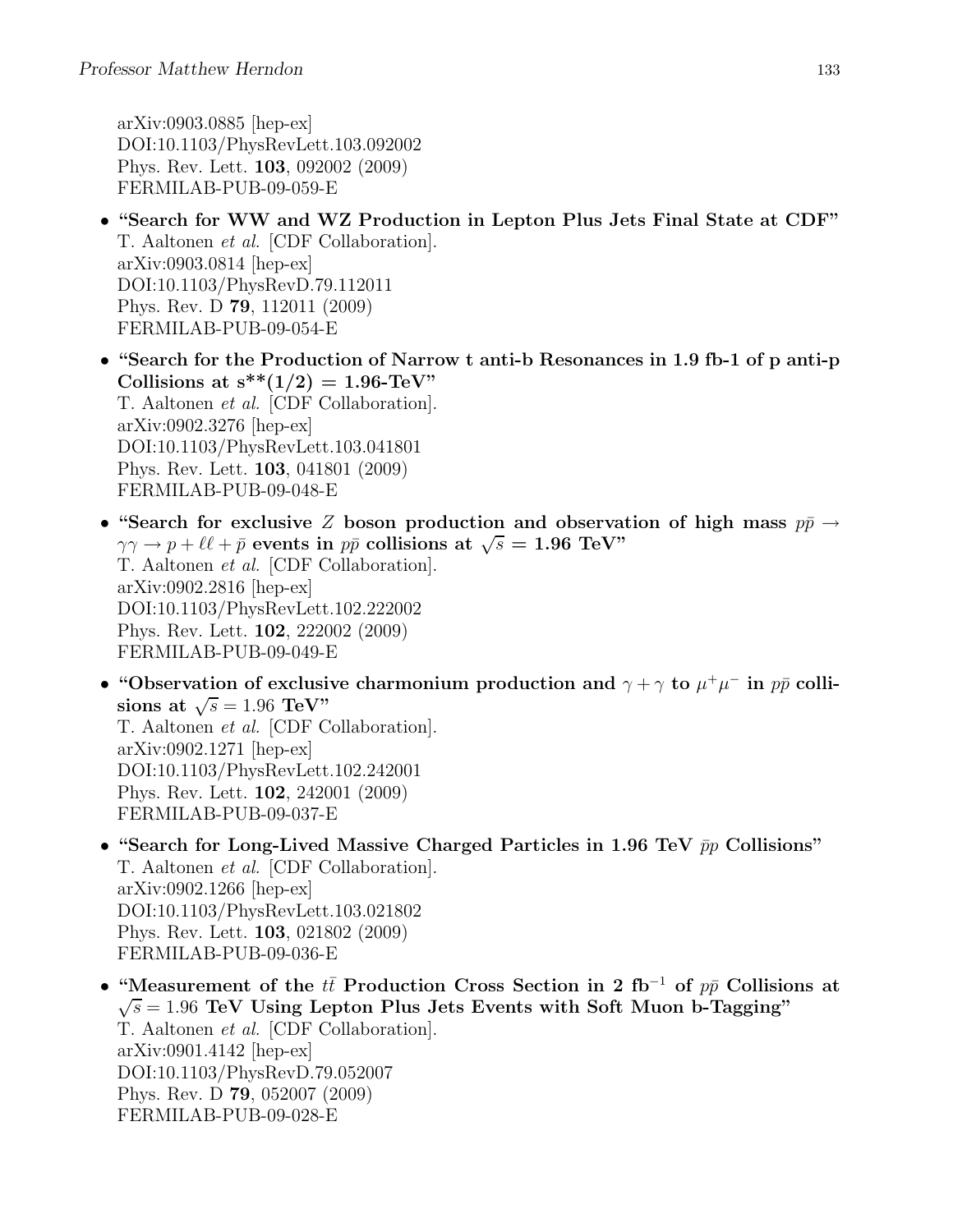arXiv:0903.0885 [hep-ex] DOI:10.1103/PhysRevLett.103.092002 Phys. Rev. Lett. 103, 092002 (2009) FERMILAB-PUB-09-059-E

- "Search for WW and WZ Production in Lepton Plus Jets Final State at CDF" T. Aaltonen et al. [CDF Collaboration]. arXiv:0903.0814 [hep-ex] DOI:10.1103/PhysRevD.79.112011 Phys. Rev. D 79, 112011 (2009) FERMILAB-PUB-09-054-E
- "Search for the Production of Narrow t anti-b Resonances in 1.9 fb-1 of p anti-p Collisions at  $s^{**}(1/2) = 1.96$ -TeV" T. Aaltonen et al. [CDF Collaboration]. arXiv:0902.3276 [hep-ex] DOI:10.1103/PhysRevLett.103.041801 Phys. Rev. Lett. 103, 041801 (2009) FERMILAB-PUB-09-048-E
- "Search for exclusive Z boson production and observation of high mass  $p\bar{p} \rightarrow$  $\gamma \gamma \rightarrow p + \ell \ell + \bar{p}$  events in  $p\bar{p}$  collisions at  $\sqrt{s} = 1.96 \text{ TeV}$ " T. Aaltonen et al. [CDF Collaboration]. arXiv:0902.2816 [hep-ex] DOI:10.1103/PhysRevLett.102.222002 Phys. Rev. Lett. 102, 222002 (2009) FERMILAB-PUB-09-049-E
- "Observation of exclusive charmonium production and  $\gamma + \gamma$  to  $\mu^+ \mu^-$  in  $p\bar{p}$  collisions at  $\sqrt{s} = 1.96 \text{ TeV}$ " T. Aaltonen et al. [CDF Collaboration]. arXiv:0902.1271 [hep-ex] DOI:10.1103/PhysRevLett.102.242001 Phys. Rev. Lett. 102, 242001 (2009) FERMILAB-PUB-09-037-E
- "Search for Long-Lived Massive Charged Particles in 1.96 TeV  $\bar{p}p$  Collisions" T. Aaltonen et al. [CDF Collaboration]. arXiv:0902.1266 [hep-ex] DOI:10.1103/PhysRevLett.103.021802 Phys. Rev. Lett. 103, 021802 (2009) FERMILAB-PUB-09-036-E
- "Measurement of the  $t\bar{t}$  Production Cross Section in 2 fb<sup>-1</sup> of  $p\bar{p}$  Collisions at  $\sqrt{s} = 1.96$  TeV Using Lepton Plus Jets Events with Soft Muon b-Tagging" T. Aaltonen et al. [CDF Collaboration]. arXiv:0901.4142 [hep-ex] DOI:10.1103/PhysRevD.79.052007 Phys. Rev. D 79, 052007 (2009) FERMILAB-PUB-09-028-E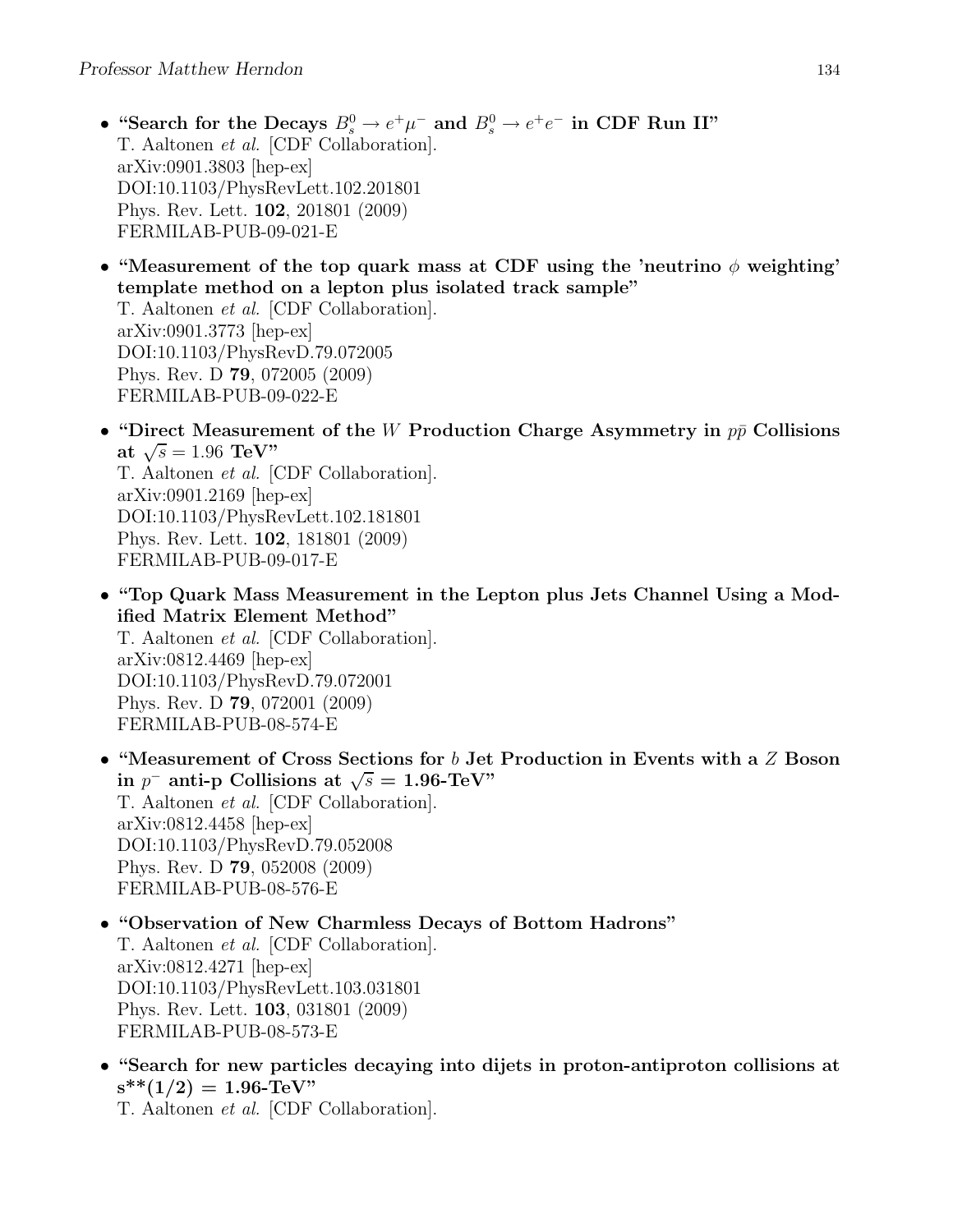- "Search for the Decays  $B_s^0 \to e^+ \mu^-$  and  $B_s^0 \to e^+ e^-$  in CDF Run II" T. Aaltonen et al. [CDF Collaboration]. arXiv:0901.3803 [hep-ex] DOI:10.1103/PhysRevLett.102.201801 Phys. Rev. Lett. 102, 201801 (2009) FERMILAB-PUB-09-021-E
- "Measurement of the top quark mass at CDF using the 'neutrino  $\phi$  weighting' template method on a lepton plus isolated track sample"

T. Aaltonen et al. [CDF Collaboration]. arXiv:0901.3773 [hep-ex] DOI:10.1103/PhysRevD.79.072005 Phys. Rev. D 79, 072005 (2009) FERMILAB-PUB-09-022-E

- "Direct Measurement of the W Production Charge Asymmetry in  $p\bar{p}$  Collisions at  $\sqrt{s} = 1.96 \text{ TeV}$ " T. Aaltonen et al. [CDF Collaboration]. arXiv:0901.2169 [hep-ex] DOI:10.1103/PhysRevLett.102.181801 Phys. Rev. Lett. 102, 181801 (2009) FERMILAB-PUB-09-017-E
- "Top Quark Mass Measurement in the Lepton plus Jets Channel Using a Modified Matrix Element Method" T. Aaltonen et al. [CDF Collaboration]. arXiv:0812.4469 [hep-ex] DOI:10.1103/PhysRevD.79.072001 Phys. Rev. D 79, 072001 (2009) FERMILAB-PUB-08-574-E
- "Measurement of Cross Sections for  $b$  Jet Production in Events with a  $Z$  Boson in  $p^-$  anti-p Collisions at  $\sqrt{s} = 1.96$ -TeV" T. Aaltonen et al. [CDF Collaboration]. arXiv:0812.4458 [hep-ex] DOI:10.1103/PhysRevD.79.052008 Phys. Rev. D 79, 052008 (2009) FERMILAB-PUB-08-576-E
- "Observation of New Charmless Decays of Bottom Hadrons" T. Aaltonen et al. [CDF Collaboration]. arXiv:0812.4271 [hep-ex] DOI:10.1103/PhysRevLett.103.031801 Phys. Rev. Lett. 103, 031801 (2009) FERMILAB-PUB-08-573-E
- "Search for new particles decaying into dijets in proton-antiproton collisions at  $s^{**}(1/2) = 1.96$ -TeV"

T. Aaltonen et al. [CDF Collaboration].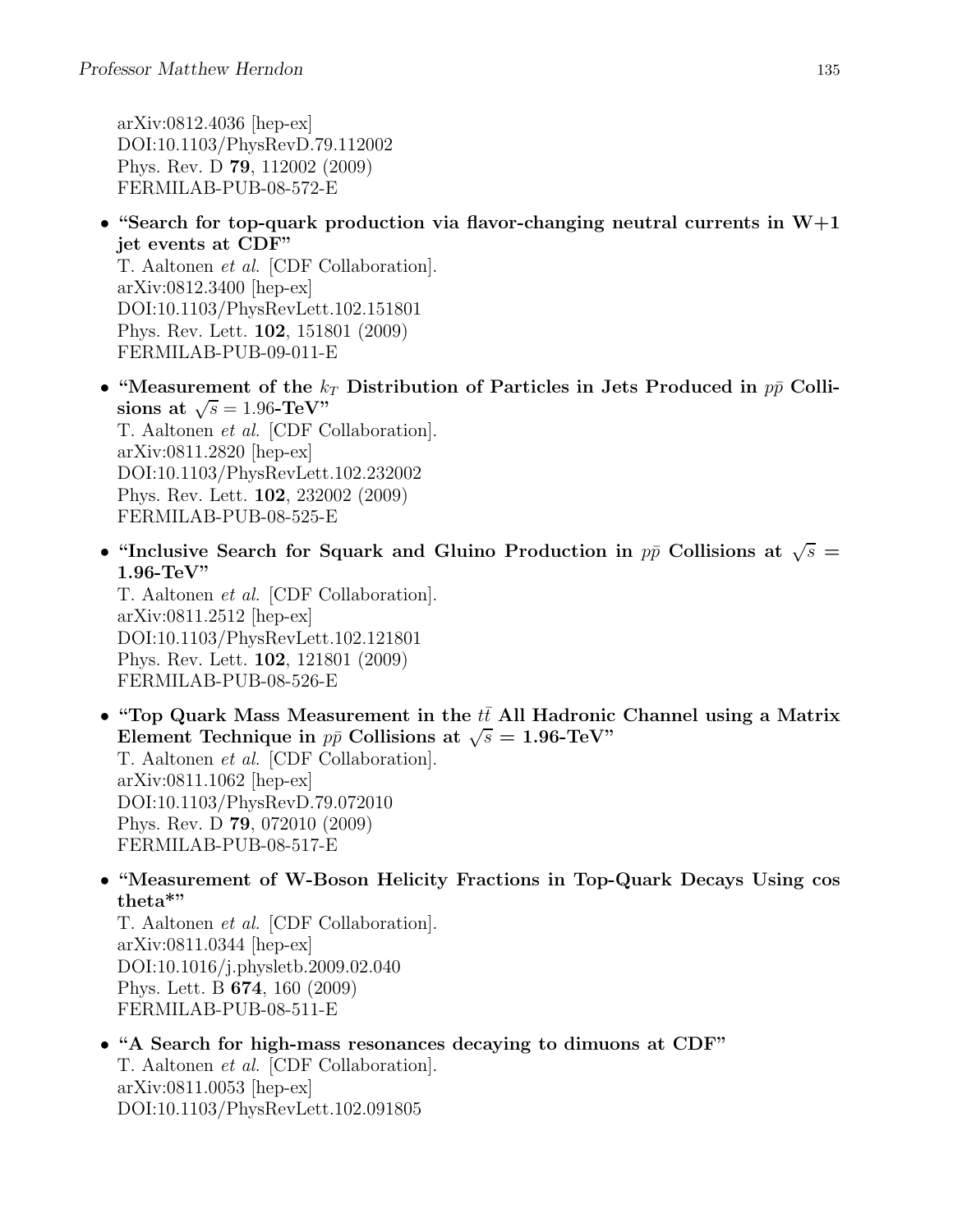arXiv:0812.4036 [hep-ex] DOI:10.1103/PhysRevD.79.112002 Phys. Rev. D 79, 112002 (2009) FERMILAB-PUB-08-572-E

• "Search for top-quark production via flavor-changing neutral currents in  $W+1$ jet events at CDF"

T. Aaltonen et al. [CDF Collaboration]. arXiv:0812.3400 [hep-ex] DOI:10.1103/PhysRevLett.102.151801 Phys. Rev. Lett. 102, 151801 (2009) FERMILAB-PUB-09-011-E

- "Measurement of the  $k_T$  Distribution of Particles in Jets Produced in  $p\bar{p}$  Collisions at  $\sqrt{s} = 1.96$ -TeV" T. Aaltonen et al. [CDF Collaboration]. arXiv:0811.2820 [hep-ex] DOI:10.1103/PhysRevLett.102.232002 Phys. Rev. Lett. 102, 232002 (2009) FERMILAB-PUB-08-525-E
- "Inclusive Search for Squark and Gluino Production in  $p\bar{p}$  Collisions at  $\sqrt{s}$  = 1.96-TeV"

T. Aaltonen et al. [CDF Collaboration]. arXiv:0811.2512 [hep-ex] DOI:10.1103/PhysRevLett.102.121801 Phys. Rev. Lett. 102, 121801 (2009) FERMILAB-PUB-08-526-E

- "Top Quark Mass Measurement in the  $t\bar{t}$  All Hadronic Channel using a Matrix Element Technique in  $p\bar{p}$  Collisions at  $\sqrt{s} = 1.96$ -TeV" T. Aaltonen et al. [CDF Collaboration]. arXiv:0811.1062 [hep-ex] DOI:10.1103/PhysRevD.79.072010 Phys. Rev. D 79, 072010 (2009) FERMILAB-PUB-08-517-E
- "Measurement of W-Boson Helicity Fractions in Top-Quark Decays Using cos theta\*"

T. Aaltonen et al. [CDF Collaboration]. arXiv:0811.0344 [hep-ex] DOI:10.1016/j.physletb.2009.02.040 Phys. Lett. B 674, 160 (2009) FERMILAB-PUB-08-511-E

• "A Search for high-mass resonances decaying to dimuons at CDF" T. Aaltonen et al. [CDF Collaboration]. arXiv:0811.0053 [hep-ex] DOI:10.1103/PhysRevLett.102.091805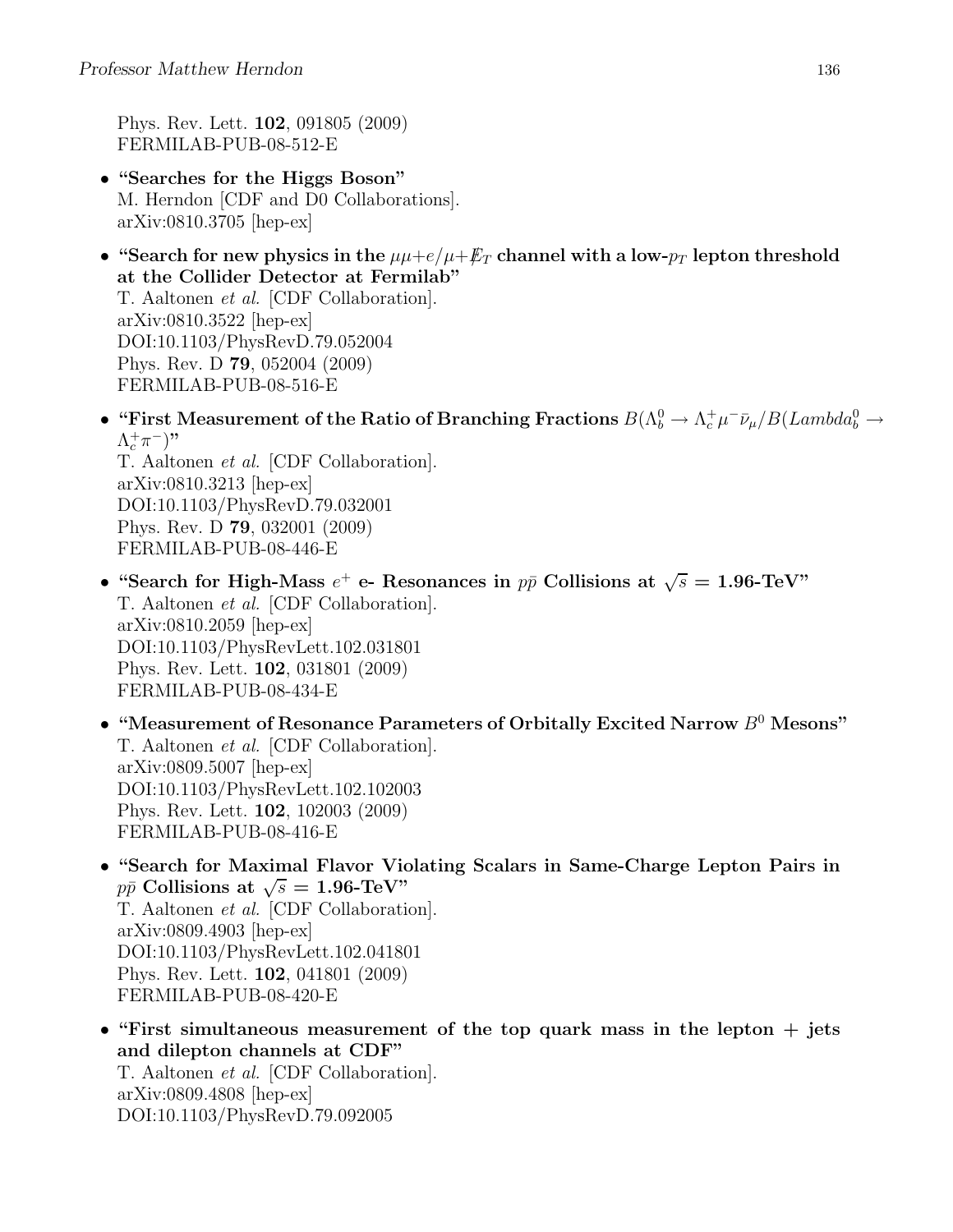Phys. Rev. Lett. 102, 091805 (2009) FERMILAB-PUB-08-512-E

DOI:10.1103/PhysRevD.79.092005

- "Searches for the Higgs Boson" M. Herndon [CDF and D0 Collaborations]. arXiv:0810.3705 [hep-ex]
- "Search for new physics in the  $\mu\mu + e/\mu + \not{E}_T$  channel with a low- $p_T$  lepton threshold at the Collider Detector at Fermilab" T. Aaltonen et al. [CDF Collaboration]. arXiv:0810.3522 [hep-ex] DOI:10.1103/PhysRevD.79.052004 Phys. Rev. D 79, 052004 (2009) FERMILAB-PUB-08-516-E
- "First Measurement of the Ratio of Branching Fractions  $B(\Lambda_b^0 \to \Lambda_c^+ \mu^- \bar{\nu}_\mu / B(Lambda_b^0 \to \Lambda_c^+ \mu^- \bar{\nu}_\mu)$  $(\Lambda_c^+\pi^-)$ " T. Aaltonen et al. [CDF Collaboration]. arXiv:0810.3213 [hep-ex] DOI:10.1103/PhysRevD.79.032001 Phys. Rev. D 79, 032001 (2009) FERMILAB-PUB-08-446-E
- "Search for High-Mass  $e^+$  e- Resonances in  $p\bar{p}$  Collisions at  $\sqrt{s} = 1.96$ -TeV" T. Aaltonen et al. [CDF Collaboration]. arXiv:0810.2059 [hep-ex] DOI:10.1103/PhysRevLett.102.031801 Phys. Rev. Lett. 102, 031801 (2009) FERMILAB-PUB-08-434-E
- "Measurement of Resonance Parameters of Orbitally Excited Narrow  $B^0$  Mesons" T. Aaltonen et al. [CDF Collaboration]. arXiv:0809.5007 [hep-ex] DOI:10.1103/PhysRevLett.102.102003 Phys. Rev. Lett. 102, 102003 (2009) FERMILAB-PUB-08-416-E
- "Search for Maximal Flavor Violating Scalars in Same-Charge Lepton Pairs in  $p\bar{p}$  Collisions at  $\sqrt{s} = 1.96$ -TeV" T. Aaltonen et al. [CDF Collaboration]. arXiv:0809.4903 [hep-ex] DOI:10.1103/PhysRevLett.102.041801 Phys. Rev. Lett. 102, 041801 (2009) FERMILAB-PUB-08-420-E
- "First simultaneous measurement of the top quark mass in the lepton  $+$  jets and dilepton channels at CDF" T. Aaltonen et al. [CDF Collaboration]. arXiv:0809.4808 [hep-ex]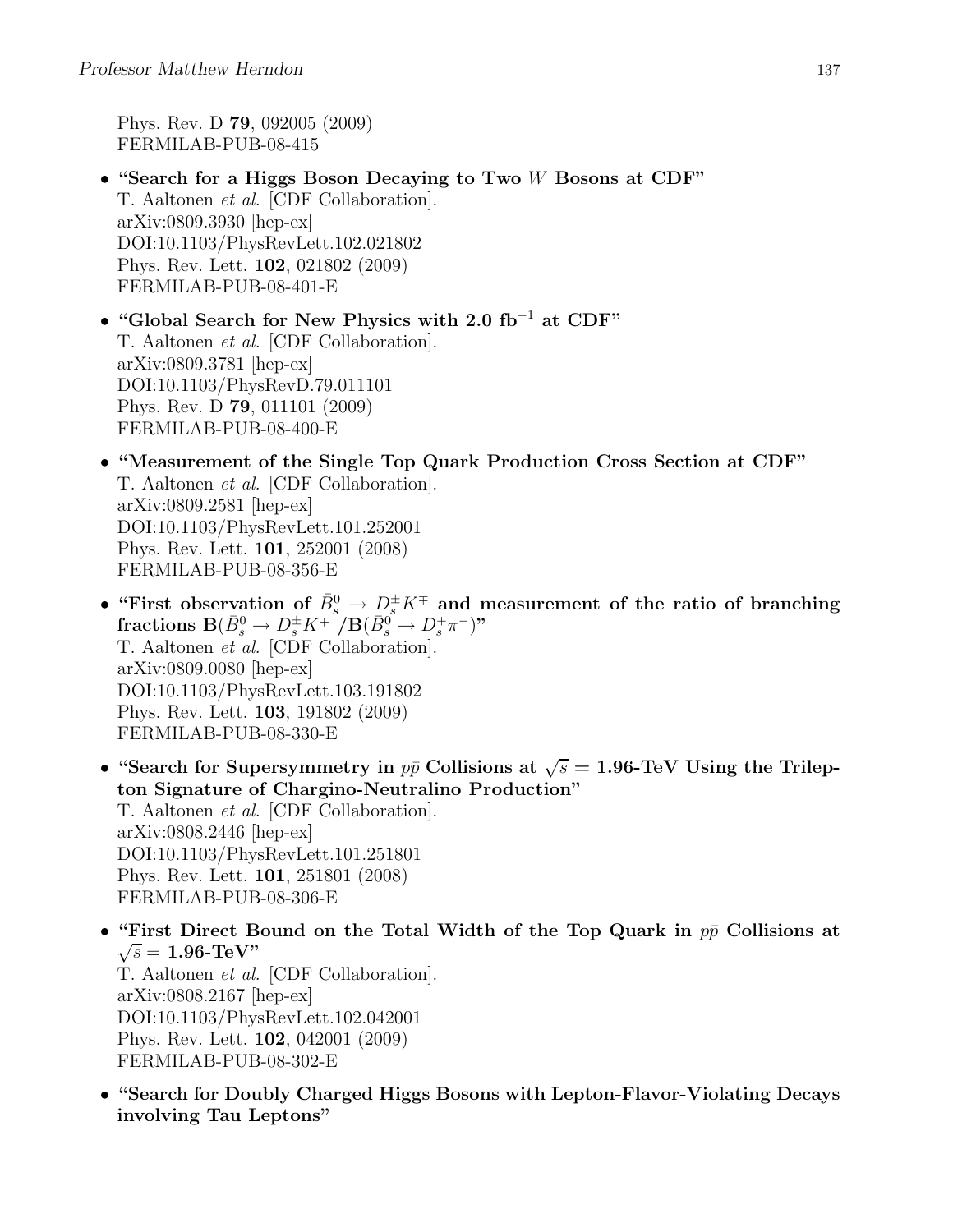Phys. Rev. D 79, 092005 (2009) FERMILAB-PUB-08-415

- "Search for a Higgs Boson Decaying to Two W Bosons at CDF" T. Aaltonen et al. [CDF Collaboration]. arXiv:0809.3930 [hep-ex] DOI:10.1103/PhysRevLett.102.021802 Phys. Rev. Lett. 102, 021802 (2009) FERMILAB-PUB-08-401-E
- "Global Search for New Physics with 2.0 fb<sup>−</sup><sup>1</sup> at CDF" T. Aaltonen et al. [CDF Collaboration]. arXiv:0809.3781 [hep-ex] DOI:10.1103/PhysRevD.79.011101 Phys. Rev. D 79, 011101 (2009) FERMILAB-PUB-08-400-E
- "Measurement of the Single Top Quark Production Cross Section at CDF" T. Aaltonen et al. [CDF Collaboration]. arXiv:0809.2581 [hep-ex] DOI:10.1103/PhysRevLett.101.252001 Phys. Rev. Lett. 101, 252001 (2008) FERMILAB-PUB-08-356-E
- "First observation of  $\bar{B}^0_s \to D_s^{\pm} K^{\mp}$  and measurement of the ratio of branching  ${\bf fractions}\; {\bf B}(\bar B^0_s\to D_s^{\pm} K^{\mp\top}/ {\bf B}(\bar B^0_s\to D_s^+ \pi^-)$ " T. Aaltonen et al. [CDF Collaboration]. arXiv:0809.0080 [hep-ex] DOI:10.1103/PhysRevLett.103.191802 Phys. Rev. Lett. 103, 191802 (2009) FERMILAB-PUB-08-330-E
- "Search for Supersymmetry in  $p\bar{p}$  Collisions at  $\sqrt{s} = 1.96$ -TeV Using the Trilepton Signature of Chargino-Neutralino Production" T. Aaltonen et al. [CDF Collaboration]. arXiv:0808.2446 [hep-ex] DOI:10.1103/PhysRevLett.101.251801 Phys. Rev. Lett. 101, 251801 (2008) FERMILAB-PUB-08-306-E
- "First Direct Bound on the Total Width of the Top Quark in  $p\bar{p}$  Collisions at  $\sqrt{s} = 1.96$ -TeV" T. Aaltonen et al. [CDF Collaboration]. arXiv:0808.2167 [hep-ex] DOI:10.1103/PhysRevLett.102.042001
	- Phys. Rev. Lett. 102, 042001 (2009) FERMILAB-PUB-08-302-E
- "Search for Doubly Charged Higgs Bosons with Lepton-Flavor-Violating Decays involving Tau Leptons"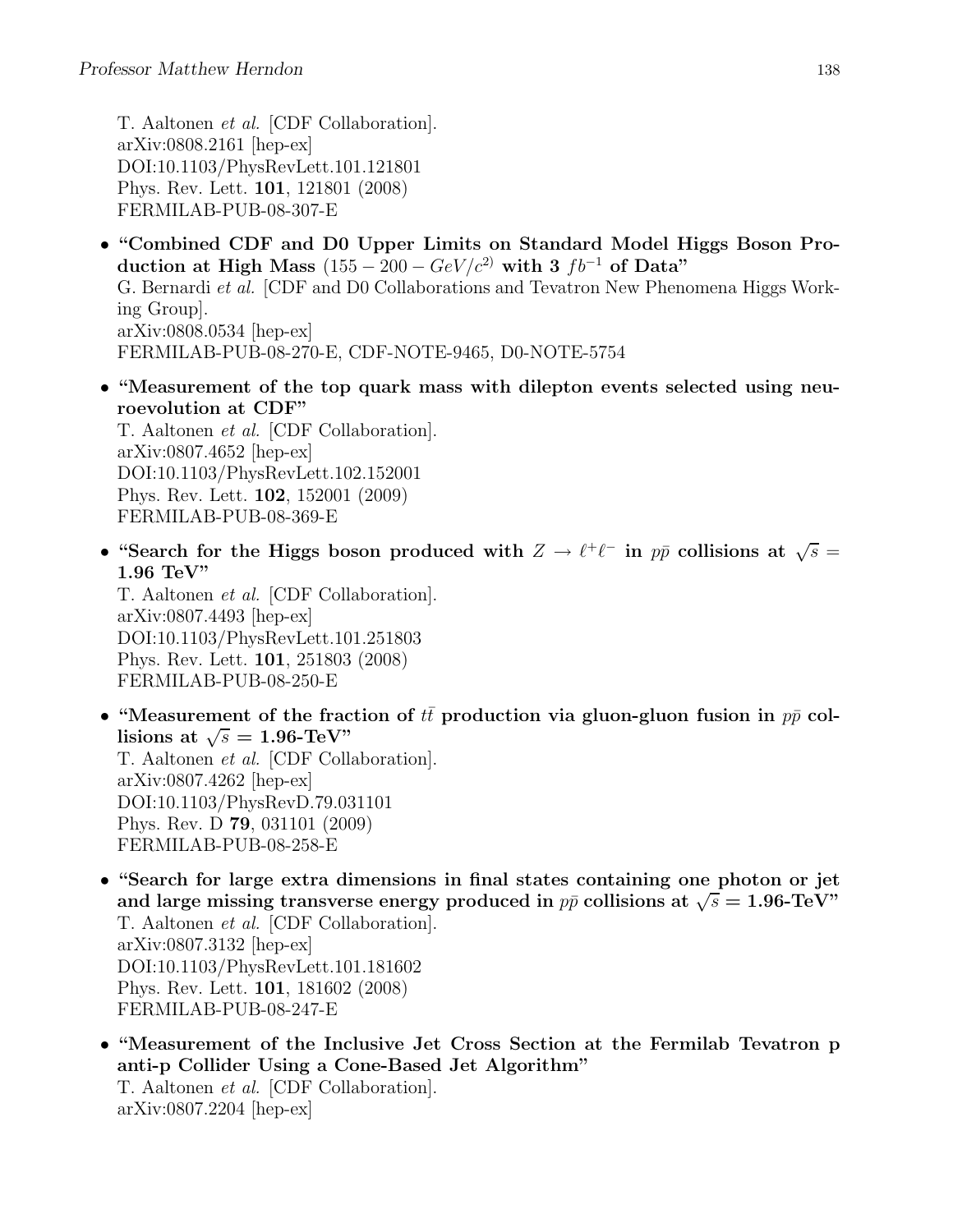T. Aaltonen et al. [CDF Collaboration]. arXiv:0808.2161 [hep-ex] DOI:10.1103/PhysRevLett.101.121801 Phys. Rev. Lett. 101, 121801 (2008) FERMILAB-PUB-08-307-E

- "Combined CDF and D0 Upper Limits on Standard Model Higgs Boson Production at High Mass  $(155 - 200 - GeV/c^2)$  with 3  $fb^{-1}$  of Data" G. Bernardi et al. [CDF and D0 Collaborations and Tevatron New Phenomena Higgs Working Group]. arXiv:0808.0534 [hep-ex] FERMILAB-PUB-08-270-E, CDF-NOTE-9465, D0-NOTE-5754
- "Measurement of the top quark mass with dilepton events selected using neuroevolution at CDF"

T. Aaltonen et al. [CDF Collaboration]. arXiv:0807.4652 [hep-ex] DOI:10.1103/PhysRevLett.102.152001 Phys. Rev. Lett. 102, 152001 (2009) FERMILAB-PUB-08-369-E

• "Search for the Higgs boson produced with  $Z \to \ell^+ \ell^-$  in  $p\bar{p}$  collisions at  $\sqrt{s} =$ 1.96 TeV"

T. Aaltonen et al. [CDF Collaboration]. arXiv:0807.4493 [hep-ex] DOI:10.1103/PhysRevLett.101.251803 Phys. Rev. Lett. 101, 251803 (2008) FERMILAB-PUB-08-250-E

- "Measurement of the fraction of  $t\bar{t}$  production via gluon-gluon fusion in  $p\bar{p}$  collisions at  $\sqrt{s} = 1.96$ -TeV" T. Aaltonen et al. [CDF Collaboration]. arXiv:0807.4262 [hep-ex] DOI:10.1103/PhysRevD.79.031101 Phys. Rev. D 79, 031101 (2009) FERMILAB-PUB-08-258-E
- "Search for large extra dimensions in final states containing one photon or jet and large missing transverse energy produced in  $p\bar{p}$  collisions at  $\sqrt{s} = 1.96$ -TeV" T. Aaltonen et al. [CDF Collaboration]. arXiv:0807.3132 [hep-ex] DOI:10.1103/PhysRevLett.101.181602 Phys. Rev. Lett. 101, 181602 (2008) FERMILAB-PUB-08-247-E
- "Measurement of the Inclusive Jet Cross Section at the Fermilab Tevatron p anti-p Collider Using a Cone-Based Jet Algorithm" T. Aaltonen et al. [CDF Collaboration]. arXiv:0807.2204 [hep-ex]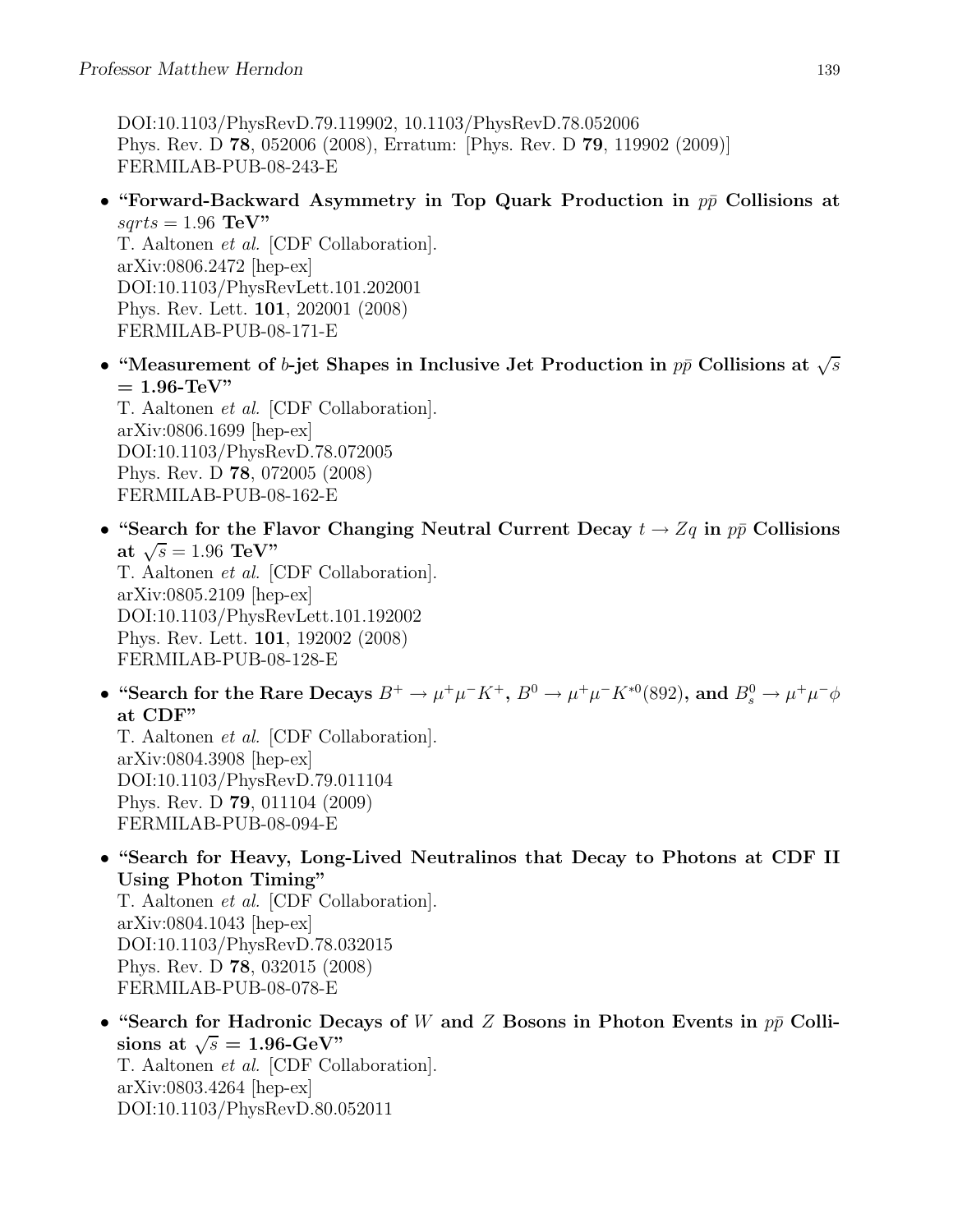DOI:10.1103/PhysRevD.79.119902, 10.1103/PhysRevD.78.052006 Phys. Rev. D 78, 052006 (2008), Erratum: [Phys. Rev. D 79, 119902 (2009)] FERMILAB-PUB-08-243-E

• "Forward-Backward Asymmetry in Top Quark Production in  $p\bar{p}$  Collisions at  $sqrts = 1.96$  TeV" T. Aaltonen et al. [CDF Collaboration].

arXiv:0806.2472 [hep-ex] DOI:10.1103/PhysRevLett.101.202001 Phys. Rev. Lett. 101, 202001 (2008) FERMILAB-PUB-08-171-E

• "Measurement of b-jet Shapes in Inclusive Jet Production in  $p\bar{p}$  Collisions at  $\sqrt{s}$  $= 1.96$ -TeV" T. Aaltonen et al. [CDF Collaboration].

arXiv:0806.1699 [hep-ex] DOI:10.1103/PhysRevD.78.072005 Phys. Rev. D 78, 072005 (2008) FERMILAB-PUB-08-162-E

• "Search for the Flavor Changing Neutral Current Decay  $t \to Zq$  in  $p\bar{p}$  Collisions at  $\sqrt{s} = 1.96 \text{ TeV}$ " T. Aaltonen et al. [CDF Collaboration]. arXiv:0805.2109 [hep-ex]

DOI:10.1103/PhysRevLett.101.192002 Phys. Rev. Lett. 101, 192002 (2008) FERMILAB-PUB-08-128-E

• "Search for the Rare Decays  $B^+ \to \mu^+\mu^- K^+$ ,  $B^0 \to \mu^+\mu^- K^{*0}$  (892), and  $B^0_s \to \mu^+\mu^- \phi$ at CDF"

T. Aaltonen et al. [CDF Collaboration]. arXiv:0804.3908 [hep-ex] DOI:10.1103/PhysRevD.79.011104 Phys. Rev. D 79, 011104 (2009) FERMILAB-PUB-08-094-E

• "Search for Heavy, Long-Lived Neutralinos that Decay to Photons at CDF II Using Photon Timing"

T. Aaltonen et al. [CDF Collaboration]. arXiv:0804.1043 [hep-ex] DOI:10.1103/PhysRevD.78.032015 Phys. Rev. D 78, 032015 (2008) FERMILAB-PUB-08-078-E

• "Search for Hadronic Decays of W and Z Bosons in Photon Events in  $p\bar{p}$  Collisions at  $\sqrt{s} = 1.96$ -GeV" T. Aaltonen et al. [CDF Collaboration]. arXiv:0803.4264 [hep-ex] DOI:10.1103/PhysRevD.80.052011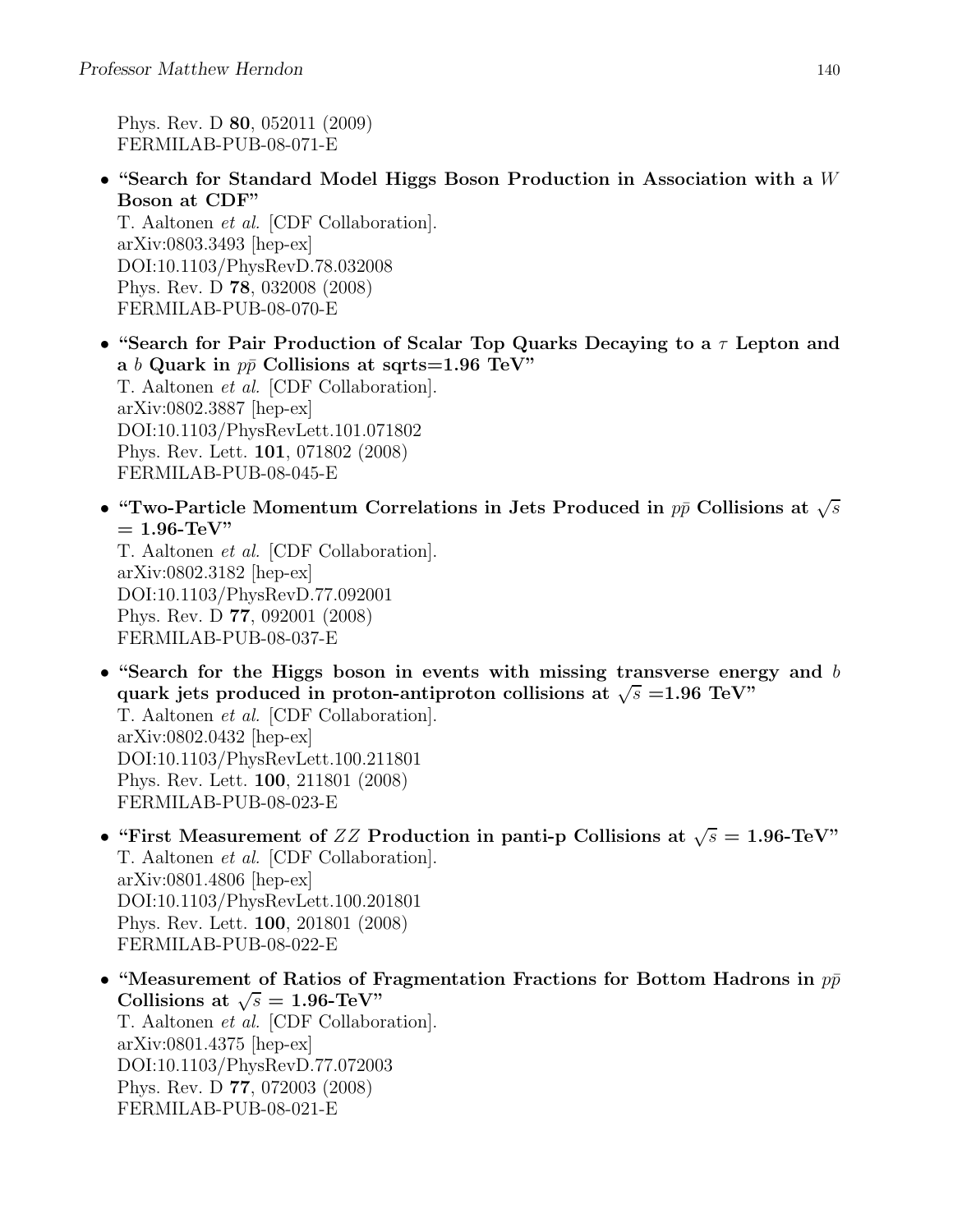Phys. Rev. D 80, 052011 (2009) FERMILAB-PUB-08-071-E

• "Search for Standard Model Higgs Boson Production in Association with a  $W$ Boson at CDF"

T. Aaltonen et al. [CDF Collaboration]. arXiv:0803.3493 [hep-ex] DOI:10.1103/PhysRevD.78.032008 Phys. Rev. D 78, 032008 (2008) FERMILAB-PUB-08-070-E

- "Search for Pair Production of Scalar Top Quarks Decaying to a  $\tau$  Lepton and a b Quark in  $p\bar{p}$  Collisions at sqrts=1.96 TeV" T. Aaltonen et al. [CDF Collaboration]. arXiv:0802.3887 [hep-ex] DOI:10.1103/PhysRevLett.101.071802 Phys. Rev. Lett. 101, 071802 (2008) FERMILAB-PUB-08-045-E
- "Two-Particle Momentum Correlations in Jets Produced in  $p\bar{p}$  Collisions at  $\sqrt{s}$  $= 1.96$ -TeV"

T. Aaltonen et al. [CDF Collaboration]. arXiv:0802.3182 [hep-ex] DOI:10.1103/PhysRevD.77.092001 Phys. Rev. D 77, 092001 (2008) FERMILAB-PUB-08-037-E

• "Search for the Higgs boson in events with missing transverse energy and  $b$ quark jets produced in proton-antiproton collisions at  $\sqrt{s}$  =1.96 TeV"

T. Aaltonen et al. [CDF Collaboration]. arXiv:0802.0432 [hep-ex] DOI:10.1103/PhysRevLett.100.211801 Phys. Rev. Lett. 100, 211801 (2008) FERMILAB-PUB-08-023-E

- "First Measurement of  $ZZ$  Production in panti-p Collisions at  $\sqrt{s} = 1.96$ -TeV" T. Aaltonen et al. [CDF Collaboration]. arXiv:0801.4806 [hep-ex] DOI:10.1103/PhysRevLett.100.201801 Phys. Rev. Lett. 100, 201801 (2008) FERMILAB-PUB-08-022-E
- "Measurement of Ratios of Fragmentation Fractions for Bottom Hadrons in  $p\bar{p}$ Collisions at  $\sqrt{s} = 1.96$ -TeV" T. Aaltonen et al. [CDF Collaboration]. arXiv:0801.4375 [hep-ex] DOI:10.1103/PhysRevD.77.072003 Phys. Rev. D 77, 072003 (2008) FERMILAB-PUB-08-021-E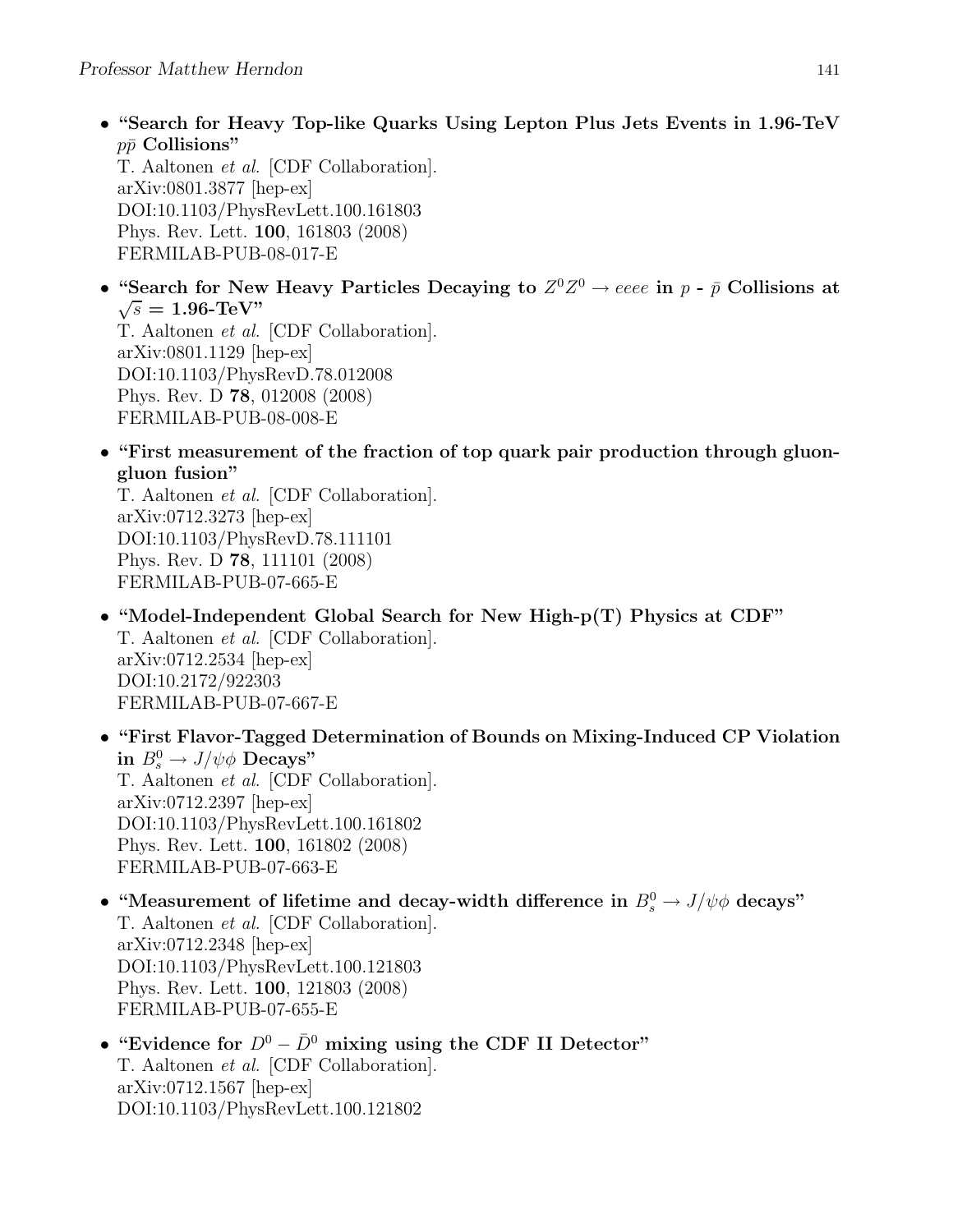• "Search for Heavy Top-like Quarks Using Lepton Plus Jets Events in 1.96-TeV  $p\bar{p}$  Collisions"

T. Aaltonen et al. [CDF Collaboration]. arXiv:0801.3877 [hep-ex] DOI:10.1103/PhysRevLett.100.161803 Phys. Rev. Lett. 100, 161803 (2008) FERMILAB-PUB-08-017-E

• "Search for New Heavy Particles Decaying to  $Z^0 Z^0 \to eeee$  in  $p$  -  $\bar{p}$  Collisions at  $\sqrt{s} = 1.96$ -TeV"

T. Aaltonen et al. [CDF Collaboration]. arXiv:0801.1129 [hep-ex] DOI:10.1103/PhysRevD.78.012008 Phys. Rev. D 78, 012008 (2008) FERMILAB-PUB-08-008-E

• "First measurement of the fraction of top quark pair production through gluongluon fusion"

T. Aaltonen et al. [CDF Collaboration]. arXiv:0712.3273 [hep-ex] DOI:10.1103/PhysRevD.78.111101 Phys. Rev. D 78, 111101 (2008) FERMILAB-PUB-07-665-E

- "Model-Independent Global Search for New High-p(T) Physics at CDF" T. Aaltonen et al. [CDF Collaboration]. arXiv:0712.2534 [hep-ex] DOI:10.2172/922303 FERMILAB-PUB-07-667-E
- "First Flavor-Tagged Determination of Bounds on Mixing-Induced CP Violation in  $B_s^0 \to J/\psi \phi$  Decays" T. Aaltonen et al. [CDF Collaboration]. arXiv:0712.2397 [hep-ex] DOI:10.1103/PhysRevLett.100.161802 Phys. Rev. Lett. 100, 161802 (2008) FERMILAB-PUB-07-663-E
- "Measurement of lifetime and decay-width difference in  $B_s^0 \to J/\psi \phi$  decays" T. Aaltonen et al. [CDF Collaboration]. arXiv:0712.2348 [hep-ex] DOI:10.1103/PhysRevLett.100.121803 Phys. Rev. Lett. 100, 121803 (2008) FERMILAB-PUB-07-655-E
- "Evidence for  $D^0 \bar{D}^0$  mixing using the CDF II Detector" T. Aaltonen et al. [CDF Collaboration]. arXiv:0712.1567 [hep-ex] DOI:10.1103/PhysRevLett.100.121802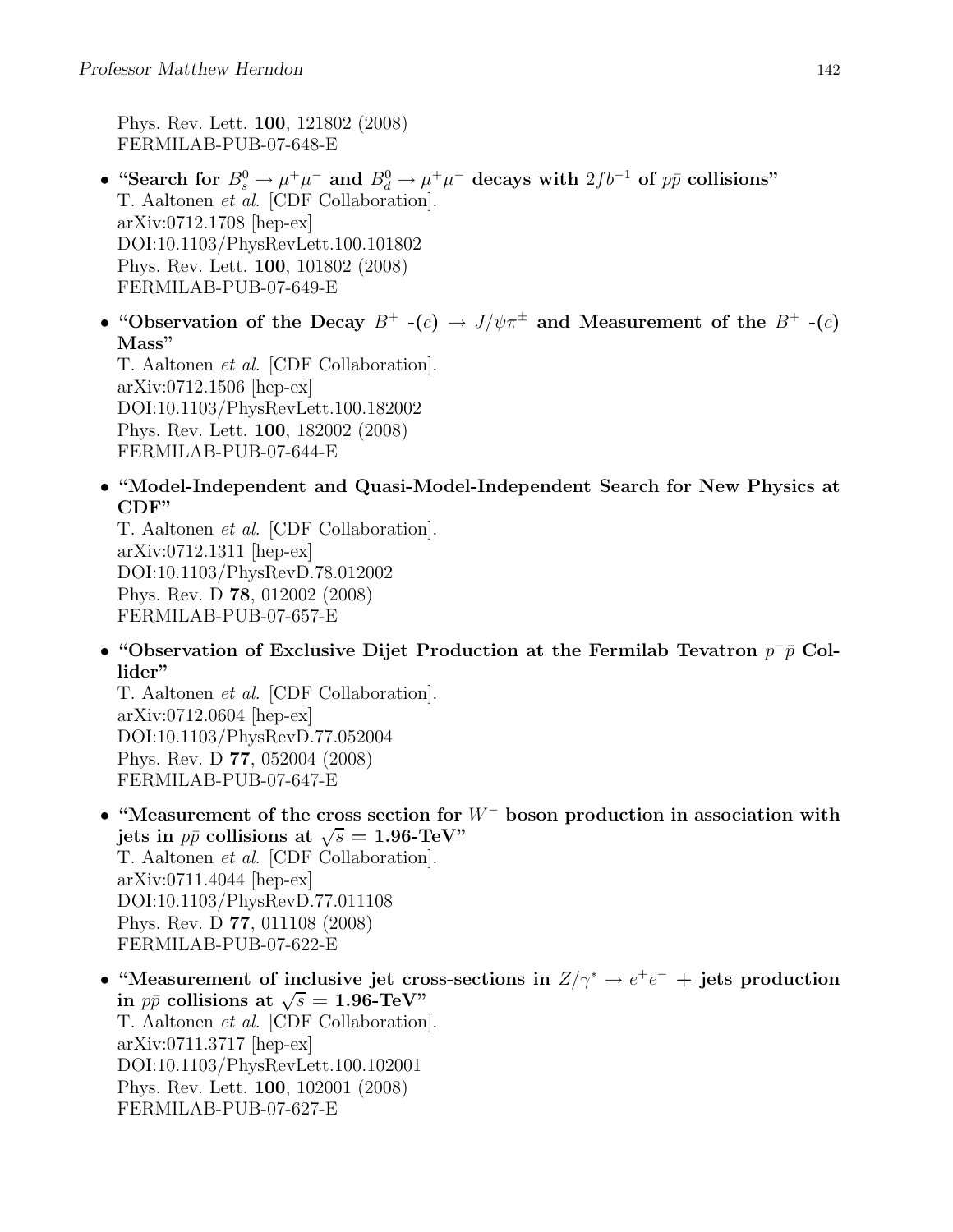Phys. Rev. Lett. 100, 121802 (2008) FERMILAB-PUB-07-648-E

- "Search for  $B_s^0 \to \mu^+\mu^-$  and  $B_d^0 \to \mu^+\mu^-$  decays with  $2fb^{-1}$  of  $p\bar{p}$  collisions" T. Aaltonen et al. [CDF Collaboration]. arXiv:0712.1708 [hep-ex] DOI:10.1103/PhysRevLett.100.101802 Phys. Rev. Lett. 100, 101802 (2008) FERMILAB-PUB-07-649-E
- "Observation of the Decay  $B^+$  -(c)  $\rightarrow J/\psi \pi^{\pm}$  and Measurement of the  $B^+$  -(c) Mass"

T. Aaltonen et al. [CDF Collaboration]. arXiv:0712.1506 [hep-ex] DOI:10.1103/PhysRevLett.100.182002 Phys. Rev. Lett. 100, 182002 (2008) FERMILAB-PUB-07-644-E

• "Model-Independent and Quasi-Model-Independent Search for New Physics at CDF"

T. Aaltonen et al. [CDF Collaboration]. arXiv:0712.1311 [hep-ex] DOI:10.1103/PhysRevD.78.012002 Phys. Rev. D 78, 012002 (2008) FERMILAB-PUB-07-657-E

• "Observation of Exclusive Dijet Production at the Fermilab Tevatron  $p^-\bar{p}$  Collider"

T. Aaltonen et al. [CDF Collaboration]. arXiv:0712.0604 [hep-ex] DOI:10.1103/PhysRevD.77.052004 Phys. Rev. D 77, 052004 (2008) FERMILAB-PUB-07-647-E

• "Measurement of the cross section for  $W^-$  boson production in association with jets in  $p\bar{p}$  collisions at  $\sqrt{s} = 1.96$ -TeV" T. Aaltonen et al. [CDF Collaboration].

arXiv:0711.4044 [hep-ex] DOI:10.1103/PhysRevD.77.011108 Phys. Rev. D 77, 011108 (2008) FERMILAB-PUB-07-622-E

• "Measurement of inclusive jet cross-sections in  $Z/\gamma^* \to e^+e^-$  + jets production in  $p\bar{p}$  collisions at  $\sqrt{s} = 1.96$ -TeV" T. Aaltonen et al. [CDF Collaboration]. arXiv:0711.3717 [hep-ex] DOI:10.1103/PhysRevLett.100.102001 Phys. Rev. Lett. 100, 102001 (2008) FERMILAB-PUB-07-627-E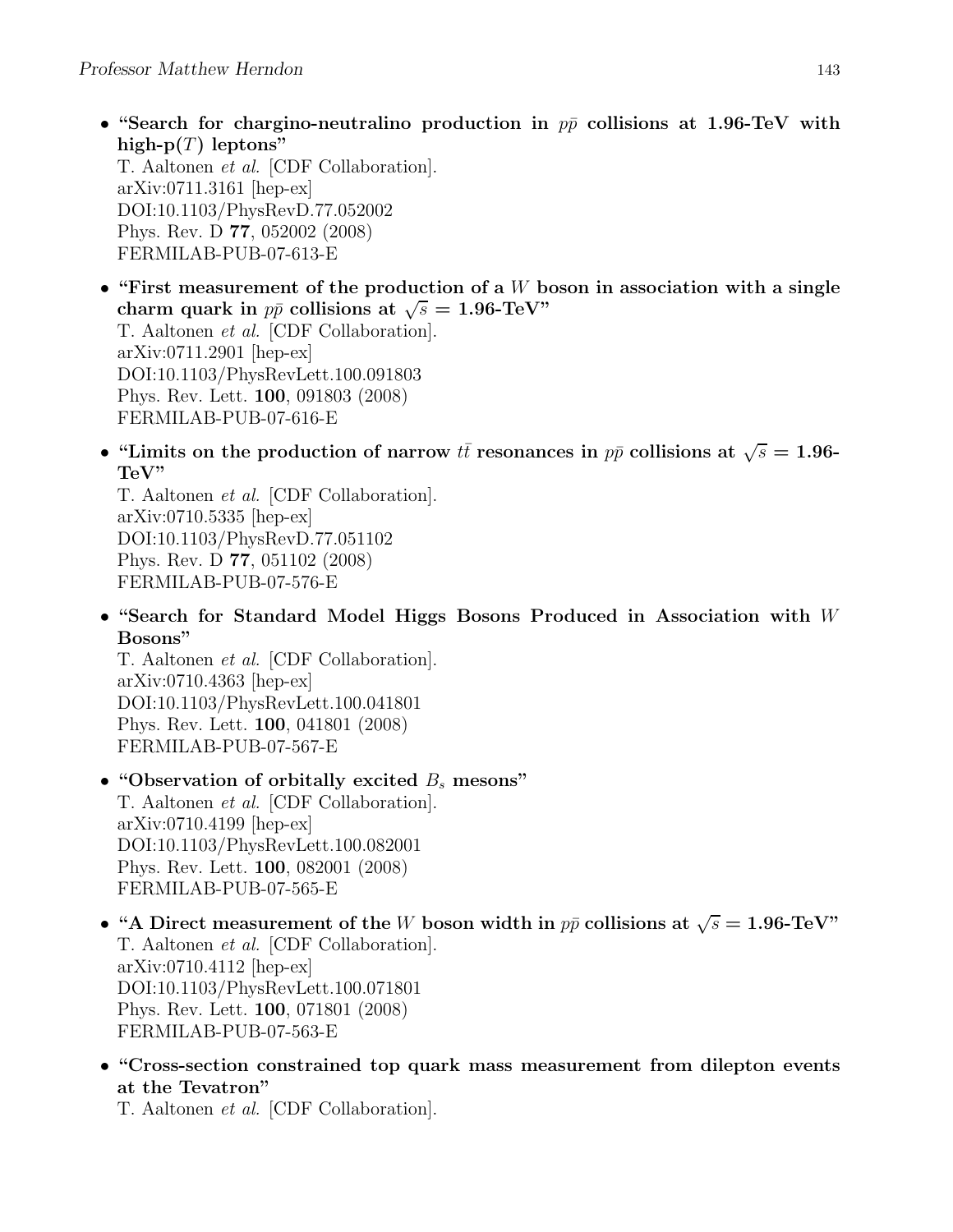• "Search for chargino-neutralino production in  $p\bar{p}$  collisions at 1.96-TeV with high- $p(T)$  leptons" T. Aaltonen et al. [CDF Collaboration]. arXiv:0711.3161 [hep-ex]

DOI:10.1103/PhysRevD.77.052002 Phys. Rev. D 77, 052002 (2008) FERMILAB-PUB-07-613-E

- "First measurement of the production of a  $W$  boson in association with a single charm quark in  $p\bar{p}$  collisions at  $\sqrt{s} = 1.96$ -TeV" T. Aaltonen et al. [CDF Collaboration]. arXiv:0711.2901 [hep-ex] DOI:10.1103/PhysRevLett.100.091803 Phys. Rev. Lett. 100, 091803 (2008) FERMILAB-PUB-07-616-E
- "Limits on the production of narrow  $t\bar{t}$  resonances in  $p\bar{p}$  collisions at  $\sqrt{s} = 1.96$ -TeV"

T. Aaltonen et al. [CDF Collaboration]. arXiv:0710.5335 [hep-ex] DOI:10.1103/PhysRevD.77.051102 Phys. Rev. D 77, 051102 (2008) FERMILAB-PUB-07-576-E

• "Search for Standard Model Higgs Bosons Produced in Association with W Bosons"

T. Aaltonen et al. [CDF Collaboration].  $arXiv:0710.4363$  [hep-ex] DOI:10.1103/PhysRevLett.100.041801 Phys. Rev. Lett. 100, 041801 (2008) FERMILAB-PUB-07-567-E

- "Observation of orbitally excited  $B_s$  mesons" T. Aaltonen et al. [CDF Collaboration]. arXiv:0710.4199 [hep-ex] DOI:10.1103/PhysRevLett.100.082001 Phys. Rev. Lett. 100, 082001 (2008) FERMILAB-PUB-07-565-E
- "A Direct measurement of the W boson width in  $p\bar{p}$  collisions at  $\sqrt{s} = 1.96$ -TeV" T. Aaltonen et al. [CDF Collaboration]. arXiv:0710.4112 [hep-ex] DOI:10.1103/PhysRevLett.100.071801 Phys. Rev. Lett. 100, 071801 (2008) FERMILAB-PUB-07-563-E
- "Cross-section constrained top quark mass measurement from dilepton events at the Tevatron"

T. Aaltonen et al. [CDF Collaboration].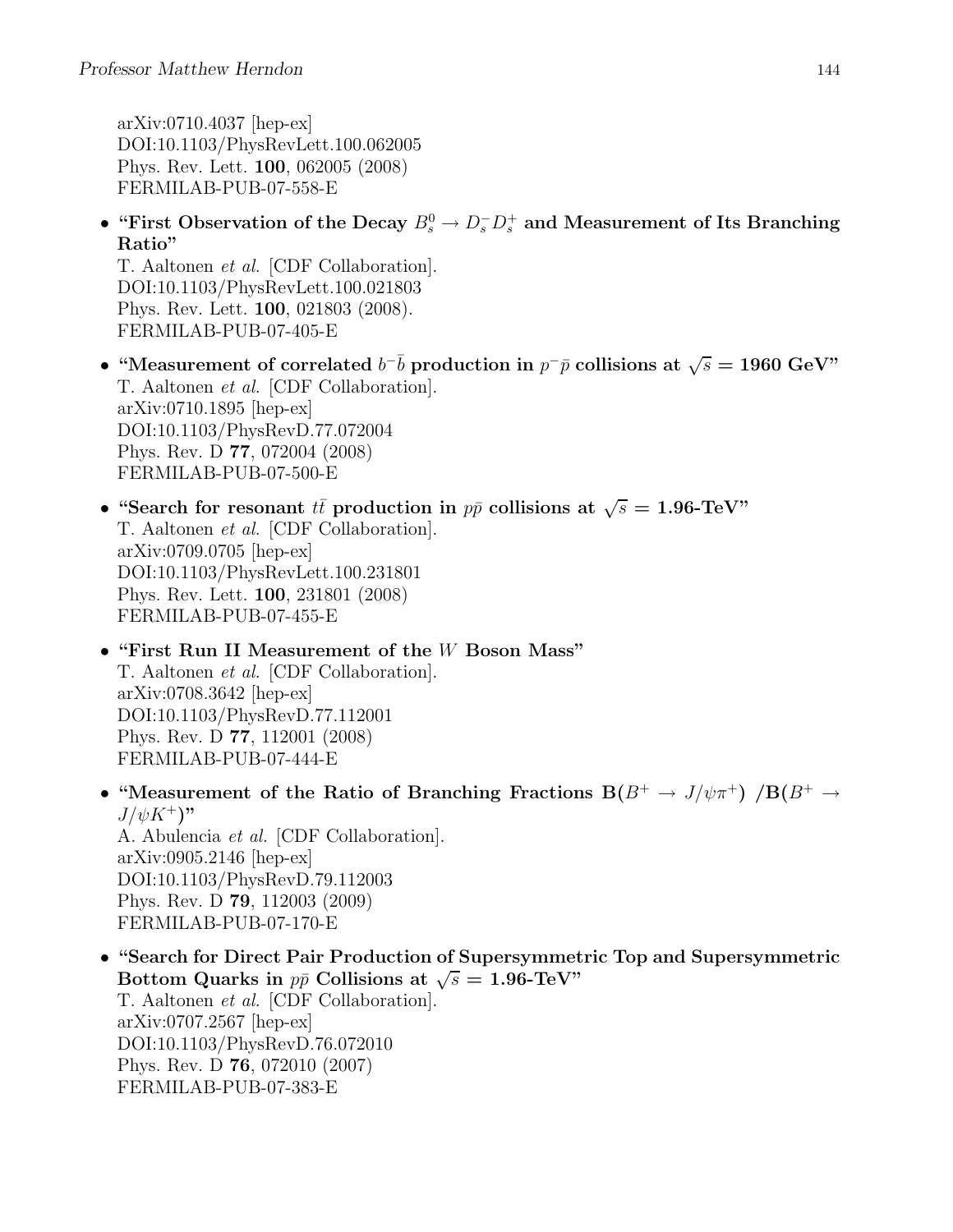arXiv:0710.4037 [hep-ex] DOI:10.1103/PhysRevLett.100.062005 Phys. Rev. Lett. 100, 062005 (2008) FERMILAB-PUB-07-558-E

• "First Observation of the Decay  $B_s^0 \to D_s^- D_s^+$  and Measurement of Its Branching Ratio"

T. Aaltonen et al. [CDF Collaboration]. DOI:10.1103/PhysRevLett.100.021803 Phys. Rev. Lett. 100, 021803 (2008). FERMILAB-PUB-07-405-E

- "Measurement of correlated  $b^{-}b$  production in  $p^{-}\bar{p}$  collisions at  $\sqrt{s} = 1960 \text{ GeV}$ " T. Aaltonen et al. [CDF Collaboration]. arXiv:0710.1895 [hep-ex] DOI:10.1103/PhysRevD.77.072004 Phys. Rev. D 77, 072004 (2008) FERMILAB-PUB-07-500-E
- "Search for resonant  $t\bar{t}$  production in  $p\bar{p}$  collisions at  $\sqrt{s} = 1.96$ -TeV" T. Aaltonen et al. [CDF Collaboration]. arXiv:0709.0705 [hep-ex] DOI:10.1103/PhysRevLett.100.231801 Phys. Rev. Lett. 100, 231801 (2008) FERMILAB-PUB-07-455-E
- "First Run II Measurement of the W Boson Mass" T. Aaltonen et al. [CDF Collaboration]. arXiv:0708.3642 [hep-ex] DOI:10.1103/PhysRevD.77.112001 Phys. Rev. D 77, 112001 (2008) FERMILAB-PUB-07-444-E
- "Measurement of the Ratio of Branching Fractions  $B(B^+ \to J/\psi \pi^+)$  / $B(B^+ \to J/\psi \pi^+)$  $J/\psi K^+$ " A. Abulencia et al. [CDF Collaboration]. arXiv:0905.2146 [hep-ex] DOI:10.1103/PhysRevD.79.112003 Phys. Rev. D 79, 112003 (2009)

FERMILAB-PUB-07-170-E

• "Search for Direct Pair Production of Supersymmetric Top and Supersymmetric Bottom Quarks in  $p\bar{p}$  Collisions at  $\sqrt{s} = 1.96$ -TeV" T. Aaltonen et al. [CDF Collaboration]. arXiv:0707.2567 [hep-ex] DOI:10.1103/PhysRevD.76.072010 Phys. Rev. D 76, 072010 (2007) FERMILAB-PUB-07-383-E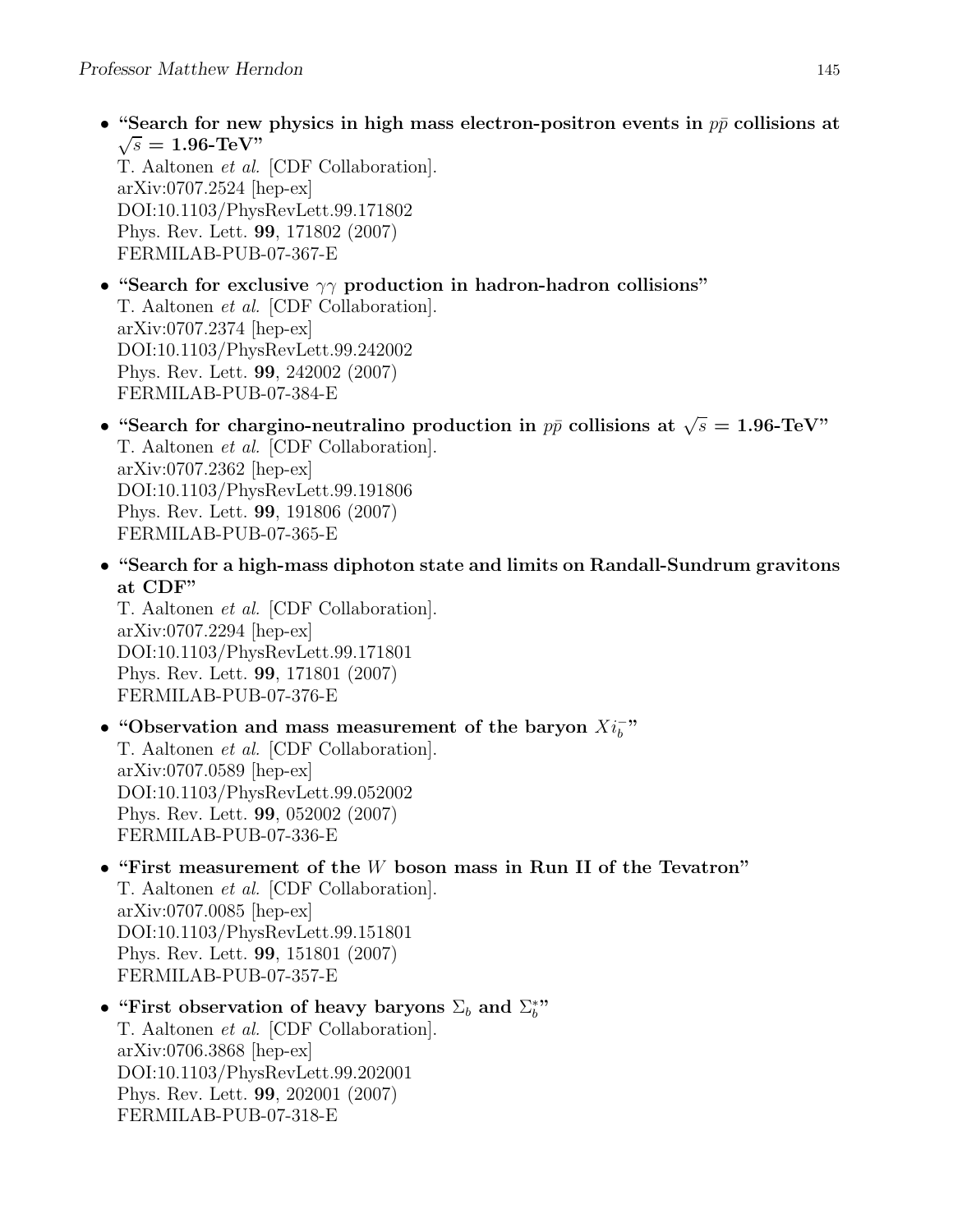• "Search for new physics in high mass electron-positron events in  $p\bar{p}$  collisions at  $\sqrt{s} = 1.96$ -TeV"

T. Aaltonen et al. [CDF Collaboration]. arXiv:0707.2524 [hep-ex] DOI:10.1103/PhysRevLett.99.171802 Phys. Rev. Lett. 99, 171802 (2007) FERMILAB-PUB-07-367-E

- "Search for exclusive  $\gamma\gamma$  production in hadron-hadron collisions" T. Aaltonen et al. [CDF Collaboration]. arXiv:0707.2374 [hep-ex] DOI:10.1103/PhysRevLett.99.242002 Phys. Rev. Lett. 99, 242002 (2007) FERMILAB-PUB-07-384-E
- "Search for chargino-neutralino production in  $p\bar{p}$  collisions at  $\sqrt{s} = 1.96$ -TeV" T. Aaltonen et al. [CDF Collaboration]. arXiv:0707.2362 [hep-ex] DOI:10.1103/PhysRevLett.99.191806 Phys. Rev. Lett. 99, 191806 (2007) FERMILAB-PUB-07-365-E
- "Search for a high-mass diphoton state and limits on Randall-Sundrum gravitons at CDF"

T. Aaltonen et al. [CDF Collaboration]. arXiv:0707.2294 [hep-ex] DOI:10.1103/PhysRevLett.99.171801 Phys. Rev. Lett. 99, 171801 (2007) FERMILAB-PUB-07-376-E

## • "Observation and mass measurement of the baryon  $Xi_b$ " T. Aaltonen et al. [CDF Collaboration]. arXiv:0707.0589 [hep-ex] DOI:10.1103/PhysRevLett.99.052002 Phys. Rev. Lett. 99, 052002 (2007) FERMILAB-PUB-07-336-E

- "First measurement of the W boson mass in Run II of the Tevatron" T. Aaltonen et al. [CDF Collaboration]. arXiv:0707.0085 [hep-ex] DOI:10.1103/PhysRevLett.99.151801 Phys. Rev. Lett. 99, 151801 (2007) FERMILAB-PUB-07-357-E
- "First observation of heavy baryons  $\Sigma_b$  and  $\Sigma_b^*$ " T. Aaltonen et al. [CDF Collaboration]. arXiv:0706.3868 [hep-ex] DOI:10.1103/PhysRevLett.99.202001 Phys. Rev. Lett. 99, 202001 (2007) FERMILAB-PUB-07-318-E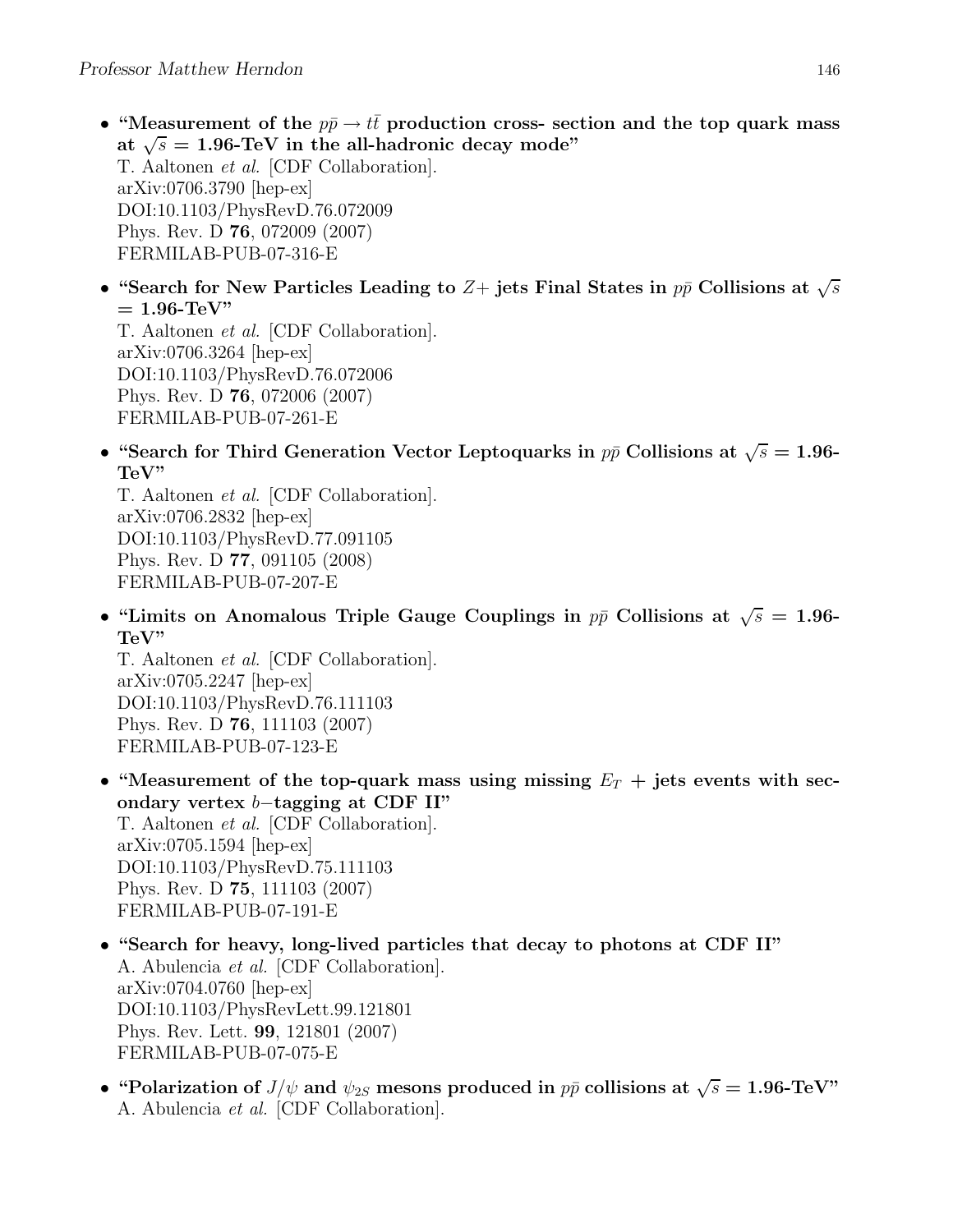- "Measurement of the  $p\bar{p} \rightarrow t\bar{t}$  production cross- section and the top quark mass at  $\sqrt{s} = 1.96$ -TeV in the all-hadronic decay mode" T. Aaltonen et al. [CDF Collaboration]. arXiv:0706.3790 [hep-ex] DOI:10.1103/PhysRevD.76.072009 Phys. Rev. D 76, 072009 (2007) FERMILAB-PUB-07-316-E
- "Search for New Particles Leading to  $Z+$  jets Final States in  $p\bar{p}$  Collisions at  $\sqrt{s}$  $= 1.96$ -TeV"

T. Aaltonen et al. [CDF Collaboration]. arXiv:0706.3264 [hep-ex] DOI:10.1103/PhysRevD.76.072006 Phys. Rev. D 76, 072006 (2007) FERMILAB-PUB-07-261-E

• "Search for Third Generation Vector Leptoquarks in  $p\bar{p}$  Collisions at  $\sqrt{s} = 1.96$ -TeV"

T. Aaltonen et al. [CDF Collaboration]. arXiv:0706.2832 [hep-ex] DOI:10.1103/PhysRevD.77.091105 Phys. Rev. D 77, 091105 (2008) FERMILAB-PUB-07-207-E

• "Limits on Anomalous Triple Gauge Couplings in  $p\bar{p}$  Collisions at  $\sqrt{s} = 1.96$ -TeV"

T. Aaltonen et al. [CDF Collaboration]. arXiv:0705.2247 [hep-ex] DOI:10.1103/PhysRevD.76.111103 Phys. Rev. D 76, 111103 (2007) FERMILAB-PUB-07-123-E

- "Measurement of the top-quark mass using missing  $E_T$  + jets events with secondary vertex b−tagging at CDF II" T. Aaltonen et al. [CDF Collaboration]. arXiv:0705.1594 [hep-ex] DOI:10.1103/PhysRevD.75.111103 Phys. Rev. D 75, 111103 (2007) FERMILAB-PUB-07-191-E
- "Search for heavy, long-lived particles that decay to photons at CDF II" A. Abulencia et al. [CDF Collaboration]. arXiv:0704.0760 [hep-ex] DOI:10.1103/PhysRevLett.99.121801 Phys. Rev. Lett. 99, 121801 (2007) FERMILAB-PUB-07-075-E
- "Polarization of  $J/\psi$  and  $\psi_{2S}$  mesons produced in  $p\bar{p}$  collisions at  $\sqrt{s} = 1.96$ -TeV" A. Abulencia et al. [CDF Collaboration].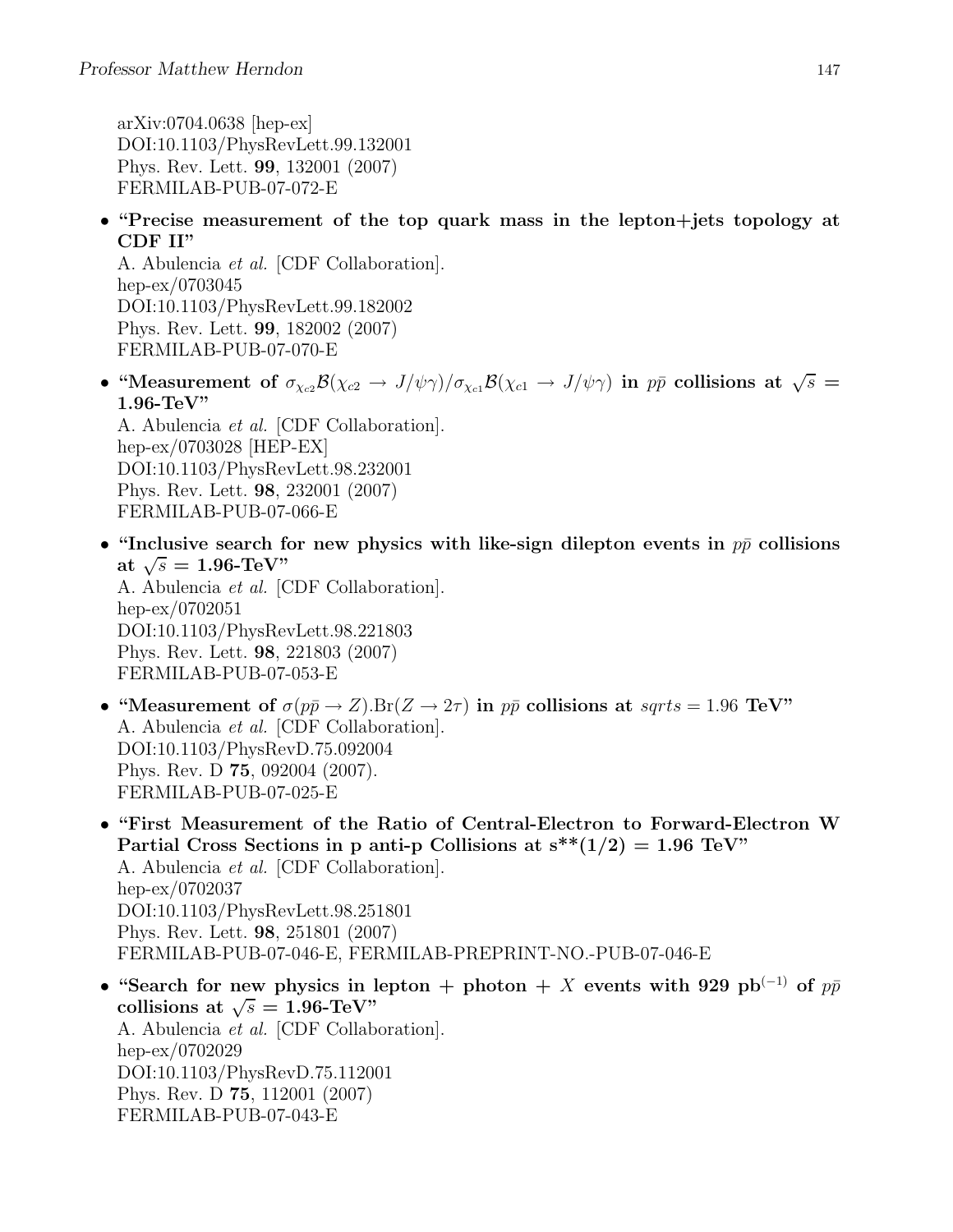arXiv:0704.0638 [hep-ex] DOI:10.1103/PhysRevLett.99.132001 Phys. Rev. Lett. 99, 132001 (2007) FERMILAB-PUB-07-072-E

• "Precise measurement of the top quark mass in the lepton+jets topology at CDF II"

A. Abulencia et al. [CDF Collaboration]. hep-ex/0703045 DOI:10.1103/PhysRevLett.99.182002 Phys. Rev. Lett. 99, 182002 (2007) FERMILAB-PUB-07-070-E

• "Measurement of  $\sigma_{\chi_{c2}} \mathcal{B}(\chi_{c2} \to J/\psi \gamma)/\sigma_{\chi_{c1}} \mathcal{B}(\chi_{c1} \to J/\psi \gamma)$  in  $p\bar{p}$  collisions at  $\sqrt{s} =$ 1.96-TeV"

A. Abulencia et al. [CDF Collaboration]. hep-ex/0703028 [HEP-EX] DOI:10.1103/PhysRevLett.98.232001 Phys. Rev. Lett. 98, 232001 (2007) FERMILAB-PUB-07-066-E

• "Inclusive search for new physics with like-sign dilepton events in  $p\bar{p}$  collisions at  $\sqrt{s} = 1.96$ -TeV" A. Abulencia et al. [CDF Collaboration]. hep-ex/0702051 DOI:10.1103/PhysRevLett.98.221803

Phys. Rev. Lett. 98, 221803 (2007) FERMILAB-PUB-07-053-E

- "Measurement of  $\sigma(p\bar{p}\to Z)$ . Br $(Z\to 2\tau)$  in  $p\bar{p}$  collisions at sqrts = 1.96 TeV" A. Abulencia et al. [CDF Collaboration]. DOI:10.1103/PhysRevD.75.092004 Phys. Rev. D 75, 092004 (2007). FERMILAB-PUB-07-025-E
- "First Measurement of the Ratio of Central-Electron to Forward-Electron W Partial Cross Sections in p anti-p Collisions at  $s^{**}(1/2) = 1.96$  TeV" A. Abulencia et al. [CDF Collaboration]. hep-ex/0702037 DOI:10.1103/PhysRevLett.98.251801 Phys. Rev. Lett. 98, 251801 (2007) FERMILAB-PUB-07-046-E, FERMILAB-PREPRINT-NO.-PUB-07-046-E
- "Search for new physics in lepton + photon + X events with 929 pb<sup>(-1)</sup> of  $p\bar{p}$ collisions at  $\sqrt{s} = 1.96$ -TeV" A. Abulencia et al. [CDF Collaboration]. hep-ex/0702029 DOI:10.1103/PhysRevD.75.112001 Phys. Rev. D 75, 112001 (2007) FERMILAB-PUB-07-043-E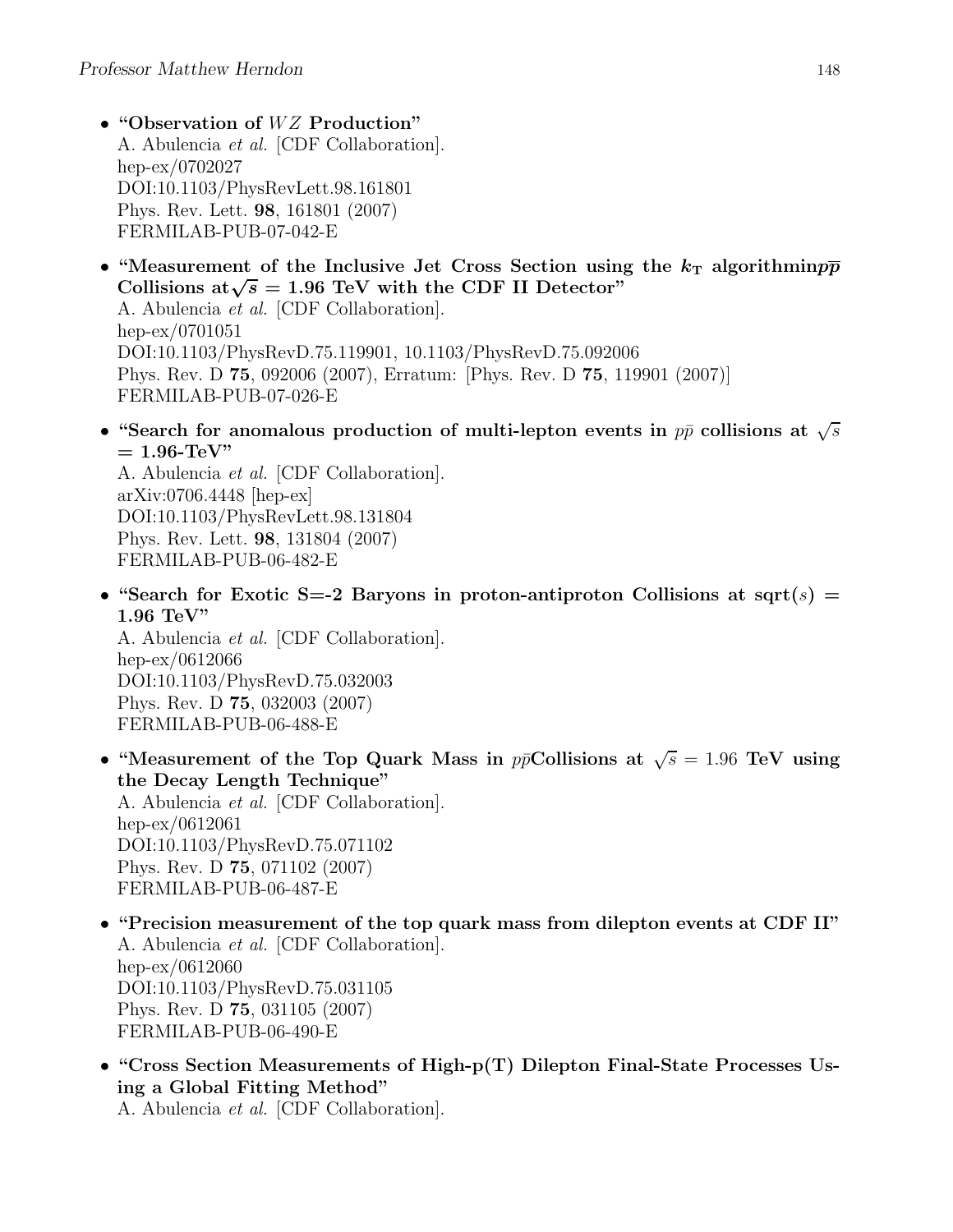- "Observation of WZ Production" A. Abulencia et al. [CDF Collaboration]. hep-ex/0702027 DOI:10.1103/PhysRevLett.98.161801 Phys. Rev. Lett. 98, 161801 (2007) FERMILAB-PUB-07-042-E
- "Measurement of the Inclusive Jet Cross Section using the  $k_T$  algorithmin $p\bar{p}$ Collisions at $\sqrt{s} = 1.96$  TeV with the CDF II Detector" A. Abulencia et al. [CDF Collaboration]. hep-ex/0701051

DOI:10.1103/PhysRevD.75.119901, 10.1103/PhysRevD.75.092006 Phys. Rev. D 75, 092006 (2007), Erratum: [Phys. Rev. D 75, 119901 (2007)] FERMILAB-PUB-07-026-E

• "Search for anomalous production of multi-lepton events in  $p\bar{p}$  collisions at  $\sqrt{s}$  $= 1.96$ -TeV"

A. Abulencia et al. [CDF Collaboration]. arXiv:0706.4448 [hep-ex] DOI:10.1103/PhysRevLett.98.131804 Phys. Rev. Lett. 98, 131804 (2007) FERMILAB-PUB-06-482-E

• "Search for Exotic S=-2 Baryons in proton-antiproton Collisions at sqrt(s) = 1.96 TeV"

A. Abulencia et al. [CDF Collaboration]. hep-ex/0612066 DOI:10.1103/PhysRevD.75.032003 Phys. Rev. D 75, 032003 (2007) FERMILAB-PUB-06-488-E

• "Measurement of the Top Quark Mass in  $p\bar{p}$ Collisions at  $\sqrt{s} = 1.96$  TeV using the Decay Length Technique"

A. Abulencia et al. [CDF Collaboration]. hep-ex/0612061 DOI:10.1103/PhysRevD.75.071102 Phys. Rev. D 75, 071102 (2007) FERMILAB-PUB-06-487-E

- "Precision measurement of the top quark mass from dilepton events at CDF II" A. Abulencia et al. [CDF Collaboration]. hep-ex/0612060 DOI:10.1103/PhysRevD.75.031105 Phys. Rev. D 75, 031105 (2007) FERMILAB-PUB-06-490-E
- "Cross Section Measurements of High-p(T) Dilepton Final-State Processes Using a Global Fitting Method"

A. Abulencia et al. [CDF Collaboration].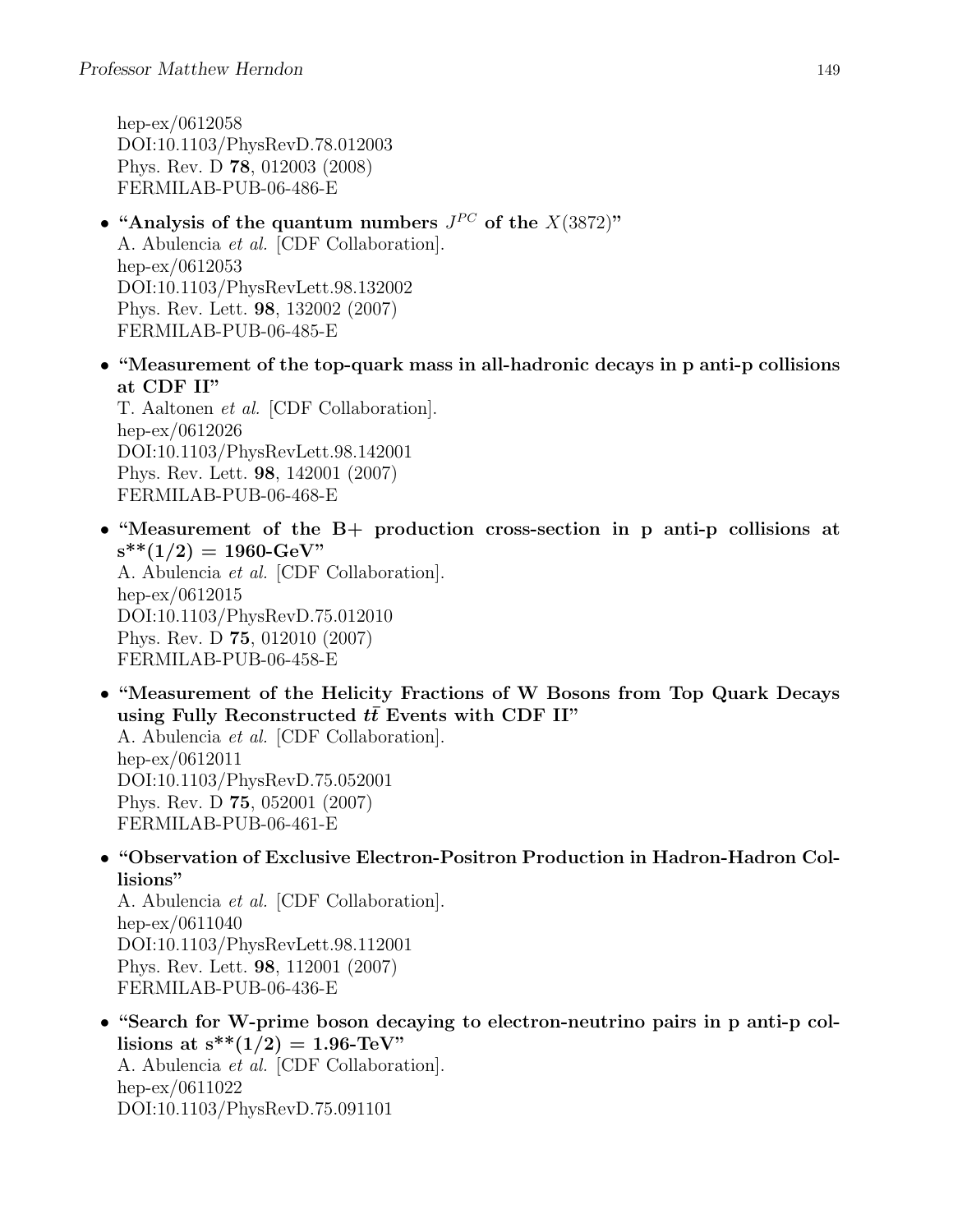hep-ex/0612058 DOI:10.1103/PhysRevD.78.012003 Phys. Rev. D 78, 012003 (2008) FERMILAB-PUB-06-486-E

- "Analysis of the quantum numbers  $J^{PC}$  of the  $X(3872)$ " A. Abulencia et al. [CDF Collaboration]. hep-ex/0612053 DOI:10.1103/PhysRevLett.98.132002 Phys. Rev. Lett. 98, 132002 (2007) FERMILAB-PUB-06-485-E
- "Measurement of the top-quark mass in all-hadronic decays in p anti-p collisions at CDF II"

T. Aaltonen et al. [CDF Collaboration]. hep-ex/0612026 DOI:10.1103/PhysRevLett.98.142001 Phys. Rev. Lett. 98, 142001 (2007) FERMILAB-PUB-06-468-E

• "Measurement of the B+ production cross-section in p anti-p collisions at  $s^{**}(1/2) = 1960 \text{-} GeV$ A. Abulencia et al. [CDF Collaboration]. hep-ex/0612015 DOI:10.1103/PhysRevD.75.012010

Phys. Rev. D 75, 012010 (2007) FERMILAB-PUB-06-458-E

• "Measurement of the Helicity Fractions of W Bosons from Top Quark Decays using Fully Reconstructed  $t\bar{t}$  Events with CDF II" A. Abulencia et al. [CDF Collaboration]. hep-ex/0612011 DOI:10.1103/PhysRevD.75.052001 Phys. Rev. D 75, 052001 (2007)

FERMILAB-PUB-06-461-E

• "Observation of Exclusive Electron-Positron Production in Hadron-Hadron Collisions"

A. Abulencia et al. [CDF Collaboration]. hep-ex/0611040 DOI:10.1103/PhysRevLett.98.112001 Phys. Rev. Lett. 98, 112001 (2007) FERMILAB-PUB-06-436-E

• "Search for W-prime boson decaying to electron-neutrino pairs in p anti-p collisions at  $s^{**}(1/2) = 1.96$ -TeV" A. Abulencia et al. [CDF Collaboration]. hep-ex/0611022 DOI:10.1103/PhysRevD.75.091101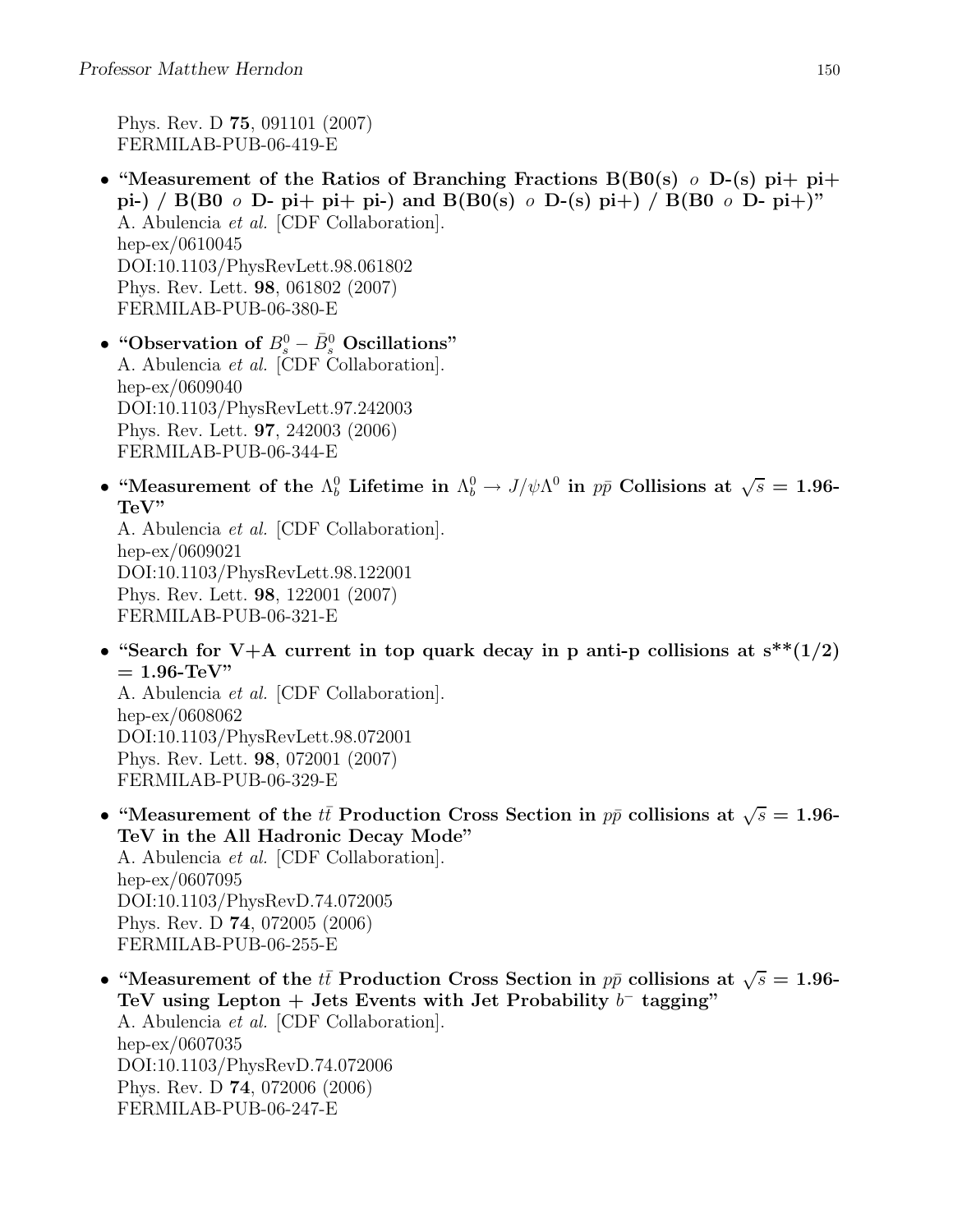Phys. Rev. D 75, 091101 (2007) FERMILAB-PUB-06-419-E

• "Measurement of the Ratios of Branching Fractions  $B(B0(s) \ o \ D-(s)$  pi+ pi+ pi-) / B(B0  $\circ$  D- pi+ pi+ pi-) and B(B0(s)  $\circ$  D-(s) pi+) / B(B0  $\circ$  D- pi+)" A. Abulencia et al. [CDF Collaboration]. hep-ex/0610045 DOI:10.1103/PhysRevLett.98.061802 Phys. Rev. Lett. 98, 061802 (2007) FERMILAB-PUB-06-380-E

• "Observation of  $B^0_s - \bar{B}^0_s$  Oscillations" A. Abulencia et al. [CDF Collaboration]. hep-ex/0609040 DOI:10.1103/PhysRevLett.97.242003 Phys. Rev. Lett. 97, 242003 (2006) FERMILAB-PUB-06-344-E

• "Measurement of the  $\Lambda_b^0$  Lifetime in  $\Lambda_b^0 \to J/\psi \Lambda^0$  in  $p\bar{p}$  Collisions at  $\sqrt{s} = 1.96$ -TeV"

A. Abulencia et al. [CDF Collaboration]. hep-ex/0609021 DOI:10.1103/PhysRevLett.98.122001 Phys. Rev. Lett. 98, 122001 (2007) FERMILAB-PUB-06-321-E

• "Search for V+A current in top quark decay in p anti-p collisions at  $s^{**}(1/2)$  $= 1.96$ -TeV"

A. Abulencia et al. [CDF Collaboration]. hep-ex/0608062 DOI:10.1103/PhysRevLett.98.072001 Phys. Rev. Lett. 98, 072001 (2007) FERMILAB-PUB-06-329-E

- "Measurement of the  $t\bar{t}$  Production Cross Section in  $p\bar{p}$  collisions at  $\sqrt{s} = 1.96$ -TeV in the All Hadronic Decay Mode" A. Abulencia et al. [CDF Collaboration]. hep-ex/0607095 DOI:10.1103/PhysRevD.74.072005 Phys. Rev. D 74, 072005 (2006) FERMILAB-PUB-06-255-E
- "Measurement of the  $t\bar{t}$  Production Cross Section in  $p\bar{p}$  collisions at  $\sqrt{s} = 1.96-$ TeV using Lepton + Jets Events with Jet Probability  $b^-$  tagging" A. Abulencia et al. [CDF Collaboration]. hep-ex/0607035 DOI:10.1103/PhysRevD.74.072006 Phys. Rev. D 74, 072006 (2006) FERMILAB-PUB-06-247-E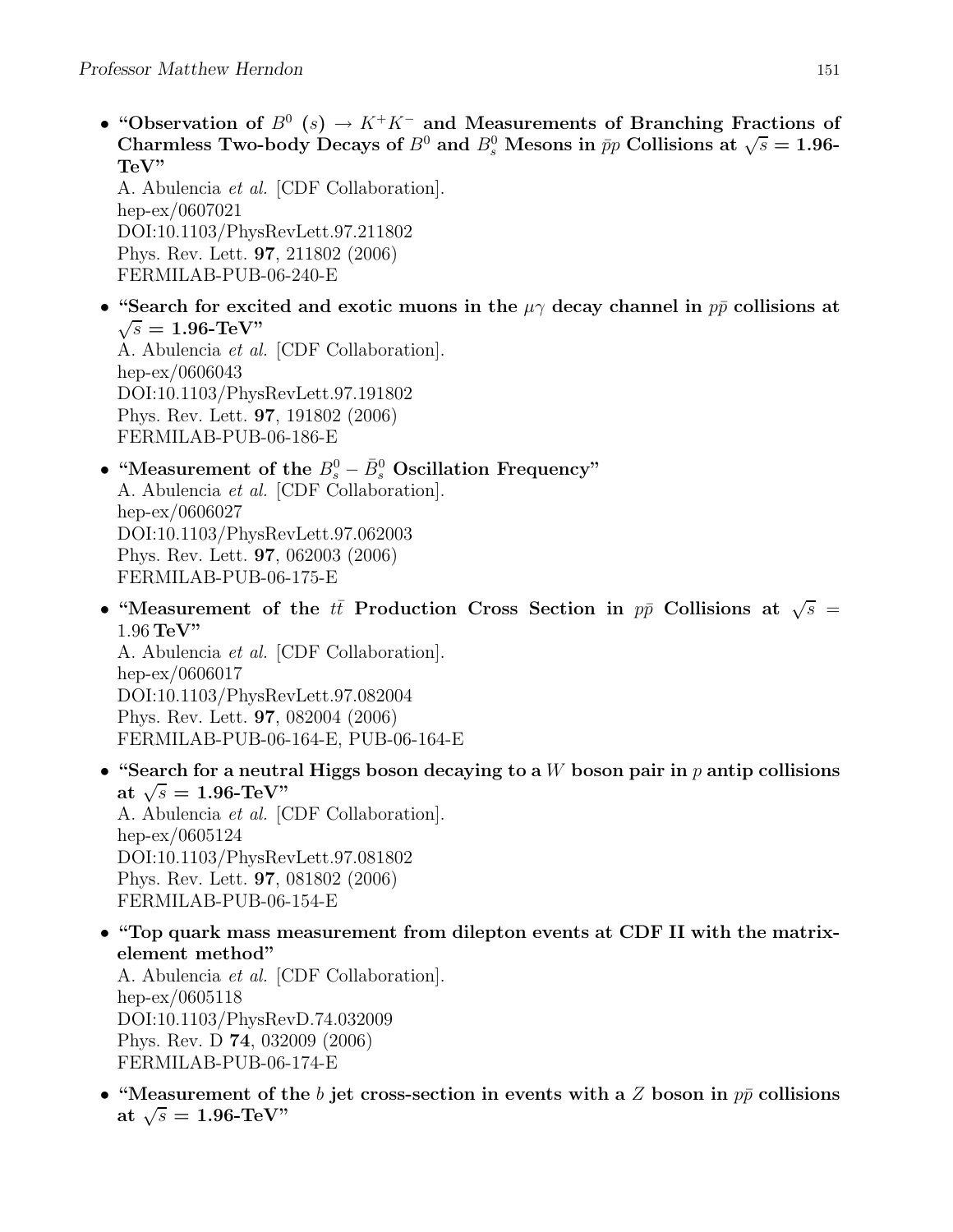• "Observation of  $B^0$  (s)  $\rightarrow K^+K^-$  and Measurements of Branching Fractions of Charmless Two-body Decays of  $B^0$  and  $B_s^0$  Mesons in  $\bar{p}p$  Collisions at  $\sqrt{s} = 1.96$ -TeV"

A. Abulencia et al. [CDF Collaboration]. hep-ex/0607021 DOI:10.1103/PhysRevLett.97.211802 Phys. Rev. Lett. 97, 211802 (2006) FERMILAB-PUB-06-240-E

• "Search for excited and exotic muons in the  $\mu\gamma$  decay channel in  $p\bar{p}$  collisions at  $\sqrt{s} = 1.96$ -TeV"

A. Abulencia et al. [CDF Collaboration]. hep-ex/0606043 DOI:10.1103/PhysRevLett.97.191802 Phys. Rev. Lett. 97, 191802 (2006) FERMILAB-PUB-06-186-E

## • "Measurement of the  $B_s^0 - \bar{B}_s^0$  Oscillation Frequency" A. Abulencia et al. [CDF Collaboration]. hep-ex/0606027 DOI:10.1103/PhysRevLett.97.062003 Phys. Rev. Lett. 97, 062003 (2006) FERMILAB-PUB-06-175-E

• "Measurement of the  $t\bar{t}$  Production Cross Section in  $p\bar{p}$  Collisions at  $\sqrt{s}$  = 1.96 TeV" A. Abulencia et al. [CDF Collaboration].

hep-ex/0606017 DOI:10.1103/PhysRevLett.97.082004 Phys. Rev. Lett. 97, 082004 (2006) FERMILAB-PUB-06-164-E, PUB-06-164-E

• "Search for a neutral Higgs boson decaying to a W boson pair in  $p$  antip collisions at  $\sqrt{s} = 1.96$ -TeV"

A. Abulencia et al. [CDF Collaboration]. hep-ex/0605124 DOI:10.1103/PhysRevLett.97.081802 Phys. Rev. Lett. 97, 081802 (2006) FERMILAB-PUB-06-154-E

• "Top quark mass measurement from dilepton events at CDF II with the matrixelement method"

A. Abulencia et al. [CDF Collaboration]. hep-ex/0605118 DOI:10.1103/PhysRevD.74.032009 Phys. Rev. D 74, 032009 (2006) FERMILAB-PUB-06-174-E

• "Measurement of the b jet cross-section in events with a Z boson in  $p\bar{p}$  collisions at  $\sqrt{s} = 1.96$ -TeV"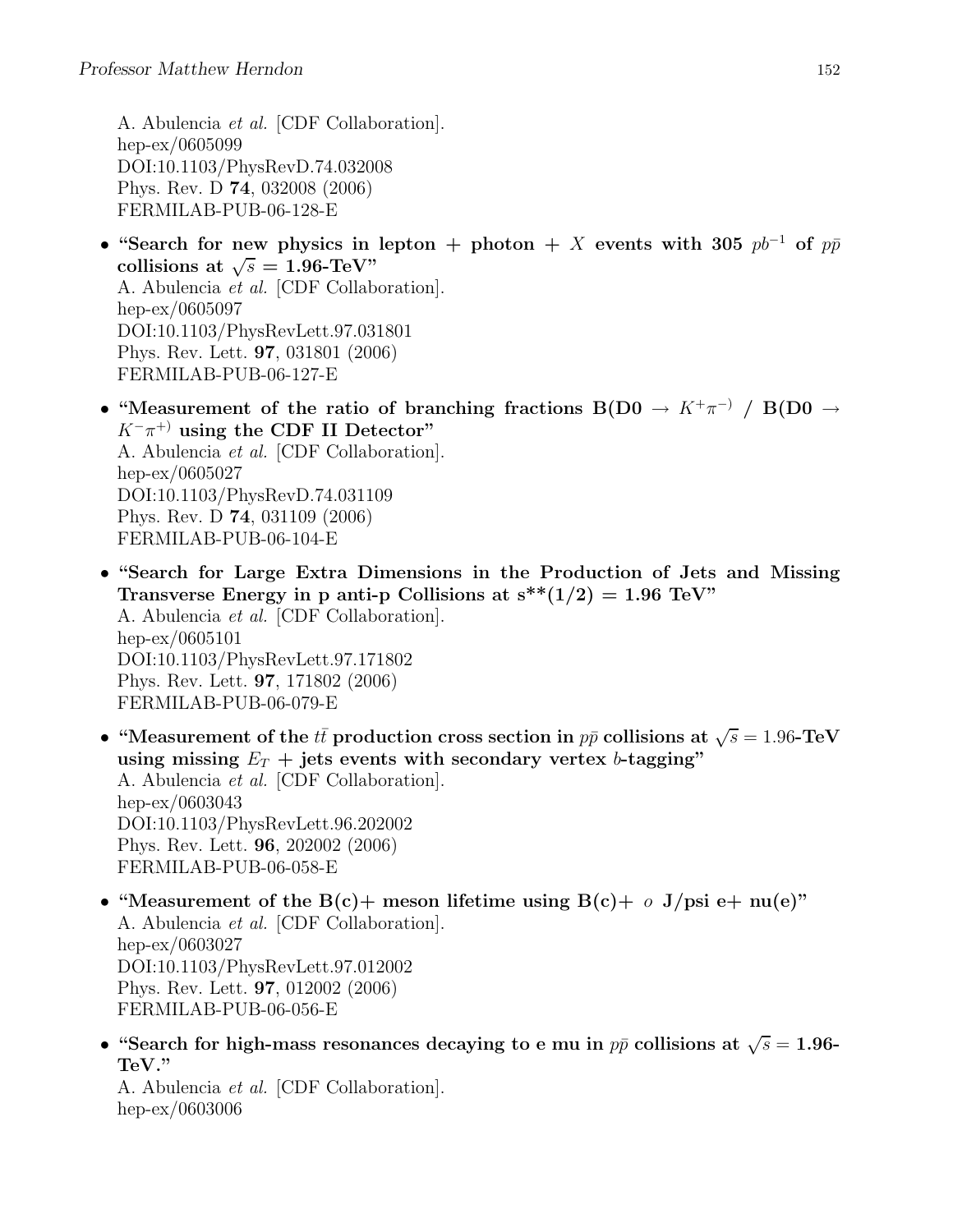A. Abulencia et al. [CDF Collaboration]. hep-ex/0605099 DOI:10.1103/PhysRevD.74.032008 Phys. Rev. D 74, 032008 (2006) FERMILAB-PUB-06-128-E

- "Search for new physics in lepton + photon + X events with 305  $pb^{-1}$  of  $p\bar{p}$ collisions at  $\sqrt{s} = 1.96$ -TeV" A. Abulencia et al. [CDF Collaboration]. hep-ex/0605097 DOI:10.1103/PhysRevLett.97.031801 Phys. Rev. Lett. 97, 031801 (2006) FERMILAB-PUB-06-127-E
- "Measurement of the ratio of branching fractions  $B(D0 \rightarrow K^+\pi^-) / B(D0 \rightarrow$  $K^-\pi^+$  using the CDF II Detector" A. Abulencia et al. [CDF Collaboration]. hep-ex/0605027 DOI:10.1103/PhysRevD.74.031109 Phys. Rev. D 74, 031109 (2006) FERMILAB-PUB-06-104-E
- "Search for Large Extra Dimensions in the Production of Jets and Missing Transverse Energy in p anti-p Collisions at  $s^{**}(1/2) = 1.96$  TeV" A. Abulencia et al. [CDF Collaboration]. hep-ex/0605101 DOI:10.1103/PhysRevLett.97.171802 Phys. Rev. Lett. 97, 171802 (2006) FERMILAB-PUB-06-079-E
- "Measurement of the  $t\bar{t}$  production cross section in  $p\bar{p}$  collisions at  $\sqrt{s} = 1.96$ -TeV using missing  $E_T$  + jets events with secondary vertex b-tagging" A. Abulencia et al. [CDF Collaboration]. hep-ex/0603043 DOI:10.1103/PhysRevLett.96.202002 Phys. Rev. Lett. 96, 202002 (2006) FERMILAB-PUB-06-058-E
- "Measurement of the B(c)+ meson lifetime using B(c)+  $o$  J/psi e+ nu(e)" A. Abulencia et al. [CDF Collaboration]. hep-ex/0603027 DOI:10.1103/PhysRevLett.97.012002 Phys. Rev. Lett. 97, 012002 (2006) FERMILAB-PUB-06-056-E
- "Search for high-mass resonances decaying to e mu in  $p\bar{p}$  collisions at  $\sqrt{s} = 1.96$ -TeV."

A. Abulencia et al. [CDF Collaboration]. hep-ex/0603006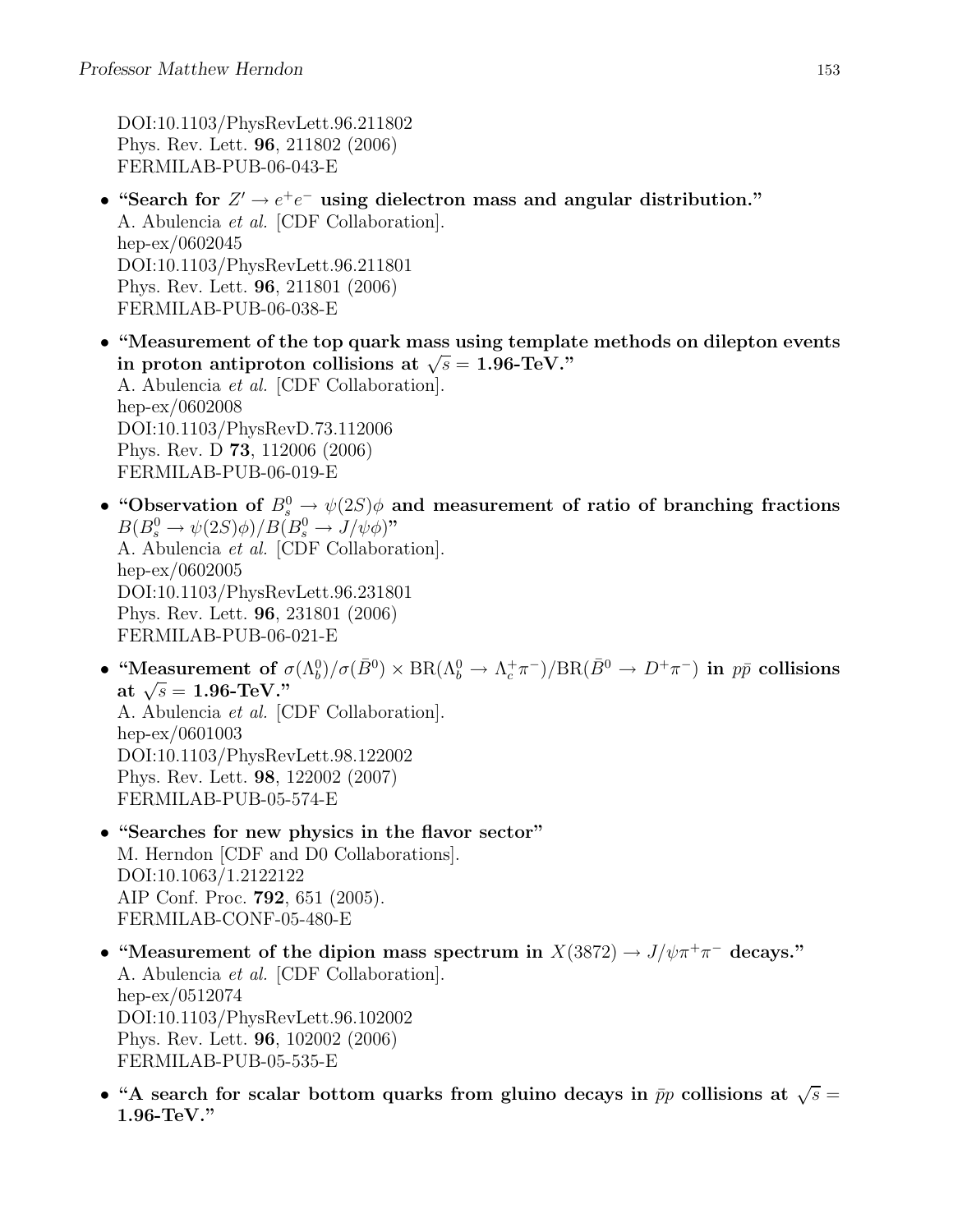DOI:10.1103/PhysRevLett.96.211802 Phys. Rev. Lett. 96, 211802 (2006) FERMILAB-PUB-06-043-E

- "Search for  $Z' \to e^+e^-$  using dielectron mass and angular distribution." A. Abulencia et al. [CDF Collaboration]. hep-ex/0602045 DOI:10.1103/PhysRevLett.96.211801 Phys. Rev. Lett. 96, 211801 (2006) FERMILAB-PUB-06-038-E
- "Measurement of the top quark mass using template methods on dilepton events in proton antiproton collisions at  $\sqrt{s} = 1.96$ -TeV." A. Abulencia et al. [CDF Collaboration]. hep-ex/0602008 DOI:10.1103/PhysRevD.73.112006 Phys. Rev. D 73, 112006 (2006) FERMILAB-PUB-06-019-E
- "Observation of  $B^0_s \to \psi(2S)\phi$  and measurement of ratio of branching fractions  $B(B_s^0 \to \psi(2S)\phi)/B(B_s^0 \to J/\psi\phi)$ " A. Abulencia et al. [CDF Collaboration]. hep-ex/0602005 DOI:10.1103/PhysRevLett.96.231801 Phys. Rev. Lett. 96, 231801 (2006) FERMILAB-PUB-06-021-E
- "Measurement of  $\sigma(\Lambda_b^0)/\sigma(\bar{B}^0) \times BR(\Lambda_b^0 \to \Lambda_c^+\pi^-)/BR(\bar{B}^0 \to D^+\pi^-)$  in  $p\bar{p}$  collisions at  $\sqrt{s} = 1.96$ -TeV." A. Abulencia et al. [CDF Collaboration]. hep-ex/0601003 DOI:10.1103/PhysRevLett.98.122002 Phys. Rev. Lett. 98, 122002 (2007) FERMILAB-PUB-05-574-E
- "Searches for new physics in the flavor sector" M. Herndon [CDF and D0 Collaborations]. DOI:10.1063/1.2122122 AIP Conf. Proc. 792, 651 (2005). FERMILAB-CONF-05-480-E
- "Measurement of the dipion mass spectrum in  $X(3872) \to J/\psi \pi^+ \pi^-$  decays." A. Abulencia et al. [CDF Collaboration]. hep-ex/0512074 DOI:10.1103/PhysRevLett.96.102002 Phys. Rev. Lett. 96, 102002 (2006) FERMILAB-PUB-05-535-E
- "A search for scalar bottom quarks from gluino decays in  $\bar{p}p$  collisions at  $\sqrt{s} =$ 1.96-TeV."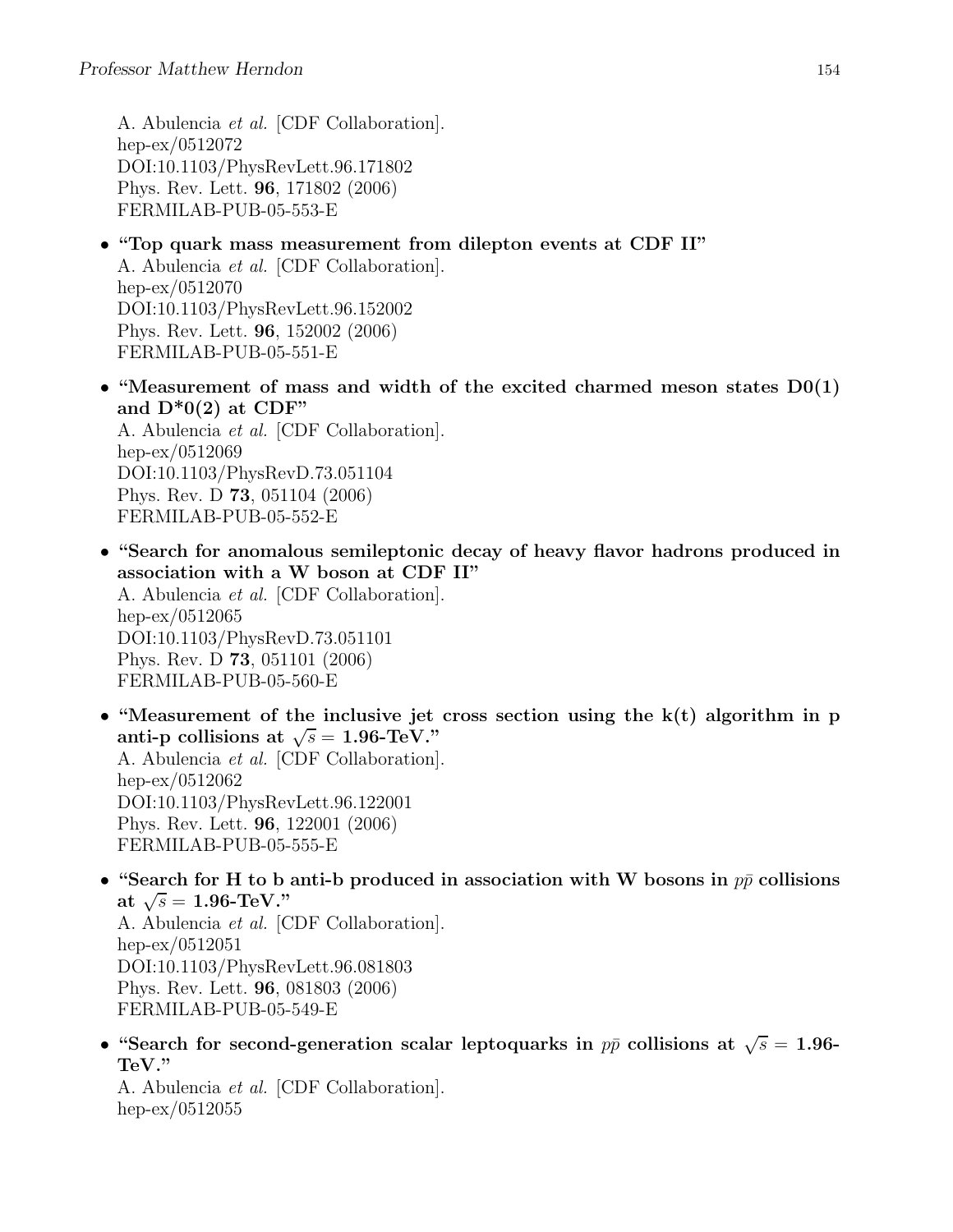A. Abulencia et al. [CDF Collaboration]. hep-ex/0512072 DOI:10.1103/PhysRevLett.96.171802 Phys. Rev. Lett. 96, 171802 (2006) FERMILAB-PUB-05-553-E

- "Top quark mass measurement from dilepton events at CDF II" A. Abulencia et al. [CDF Collaboration]. hep-ex/0512070 DOI:10.1103/PhysRevLett.96.152002 Phys. Rev. Lett. 96, 152002 (2006) FERMILAB-PUB-05-551-E
- "Measurement of mass and width of the excited charmed meson states  $D(1)$ and  $D^*0(2)$  at CDF" A. Abulencia et al. [CDF Collaboration].

hep-ex/0512069 DOI:10.1103/PhysRevD.73.051104 Phys. Rev. D 73, 051104 (2006) FERMILAB-PUB-05-552-E

- "Search for anomalous semileptonic decay of heavy flavor hadrons produced in association with a W boson at CDF II" A. Abulencia et al. [CDF Collaboration]. hep-ex/0512065 DOI:10.1103/PhysRevD.73.051101 Phys. Rev. D 73, 051101 (2006) FERMILAB-PUB-05-560-E
- "Measurement of the inclusive jet cross section using the  $k(t)$  algorithm in p anti-p collisions at  $\sqrt{s} = 1.96$ -TeV." A. Abulencia et al. [CDF Collaboration]. hep-ex/0512062 DOI:10.1103/PhysRevLett.96.122001 Phys. Rev. Lett. 96, 122001 (2006) FERMILAB-PUB-05-555-E
- "Search for H to b anti-b produced in association with W bosons in  $p\bar{p}$  collisions at  $\sqrt{s} = 1.96$ -TeV." A. Abulencia et al. [CDF Collaboration]. hep-ex/0512051 DOI:10.1103/PhysRevLett.96.081803 Phys. Rev. Lett. 96, 081803 (2006) FERMILAB-PUB-05-549-E
- "Search for second-generation scalar leptoquarks in  $p\bar{p}$  collisions at  $\sqrt{s} = 1.96$ -TeV."

A. Abulencia et al. [CDF Collaboration]. hep-ex/0512055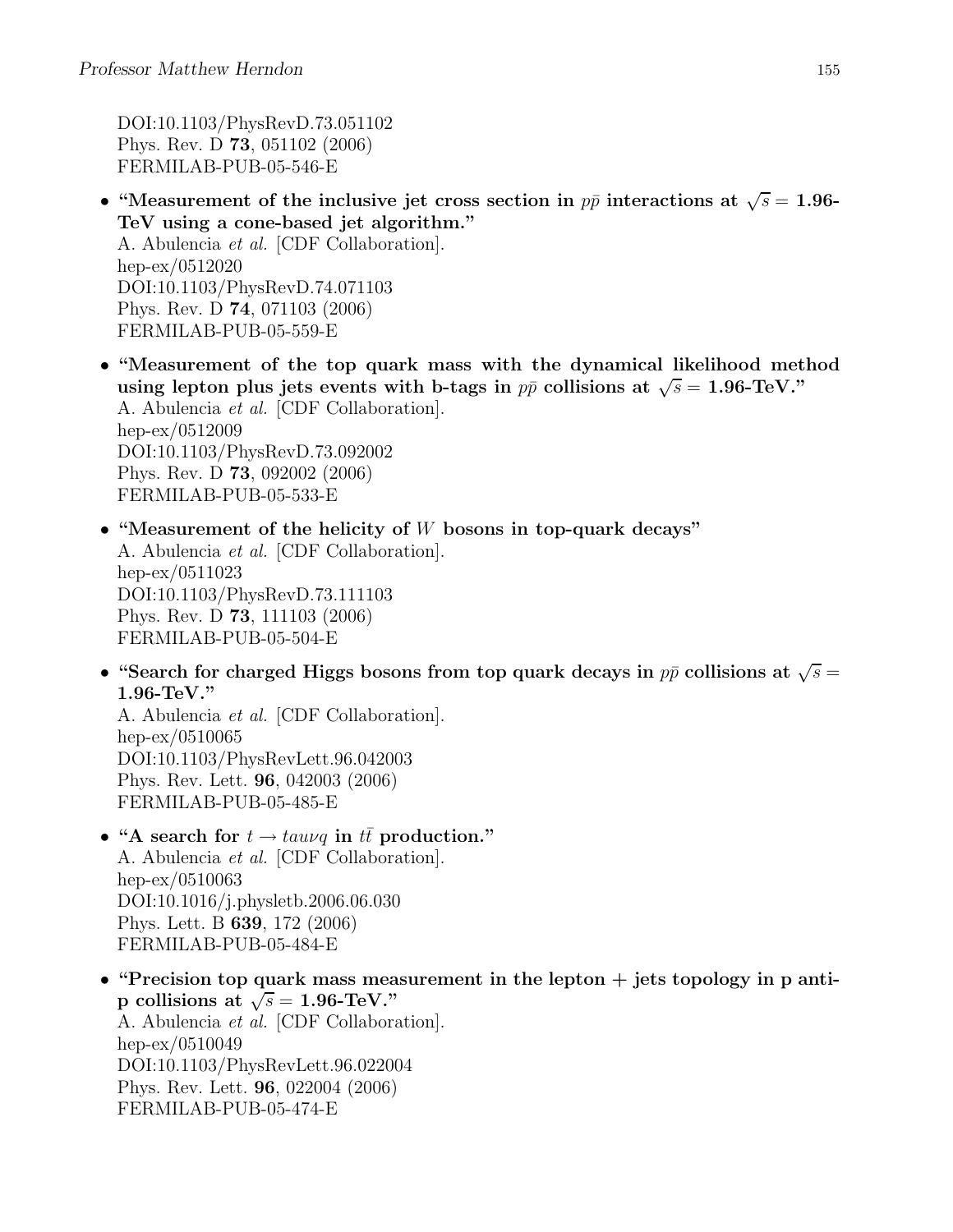DOI:10.1103/PhysRevD.73.051102 Phys. Rev. D 73, 051102 (2006) FERMILAB-PUB-05-546-E

- "Measurement of the inclusive jet cross section in  $p\bar{p}$  interactions at  $\sqrt{s} = 1.96$ -TeV using a cone-based jet algorithm." A. Abulencia et al. [CDF Collaboration]. hep-ex/0512020 DOI:10.1103/PhysRevD.74.071103 Phys. Rev. D 74, 071103 (2006) FERMILAB-PUB-05-559-E
- "Measurement of the top quark mass with the dynamical likelihood method using lepton plus jets events with b-tags in  $p\bar{p}$  collisions at  $\sqrt{s} = 1.96$ -TeV." A. Abulencia et al. [CDF Collaboration]. hep-ex/0512009 DOI:10.1103/PhysRevD.73.092002 Phys. Rev. D 73, 092002 (2006) FERMILAB-PUB-05-533-E
- "Measurement of the helicity of  $W$  bosons in top-quark decays" A. Abulencia et al. [CDF Collaboration]. hep-ex/0511023 DOI:10.1103/PhysRevD.73.111103 Phys. Rev. D 73, 111103 (2006) FERMILAB-PUB-05-504-E
- "Search for charged Higgs bosons from top quark decays in  $p\bar{p}$  collisions at  $\sqrt{s}$  = 1.96-TeV."

A. Abulencia et al. [CDF Collaboration]. hep-ex/0510065 DOI:10.1103/PhysRevLett.96.042003 Phys. Rev. Lett. 96, 042003 (2006) FERMILAB-PUB-05-485-E

- "A search for  $t \rightarrow tau\nu q$  in  $t\bar{t}$  production." A. Abulencia et al. [CDF Collaboration]. hep-ex/0510063 DOI:10.1016/j.physletb.2006.06.030 Phys. Lett. B 639, 172 (2006) FERMILAB-PUB-05-484-E
- "Precision top quark mass measurement in the lepton  $+$  jets topology in p antip collisions at  $\sqrt{s} = 1.96$ -TeV." A. Abulencia et al. [CDF Collaboration]. hep-ex/0510049 DOI:10.1103/PhysRevLett.96.022004 Phys. Rev. Lett. 96, 022004 (2006) FERMILAB-PUB-05-474-E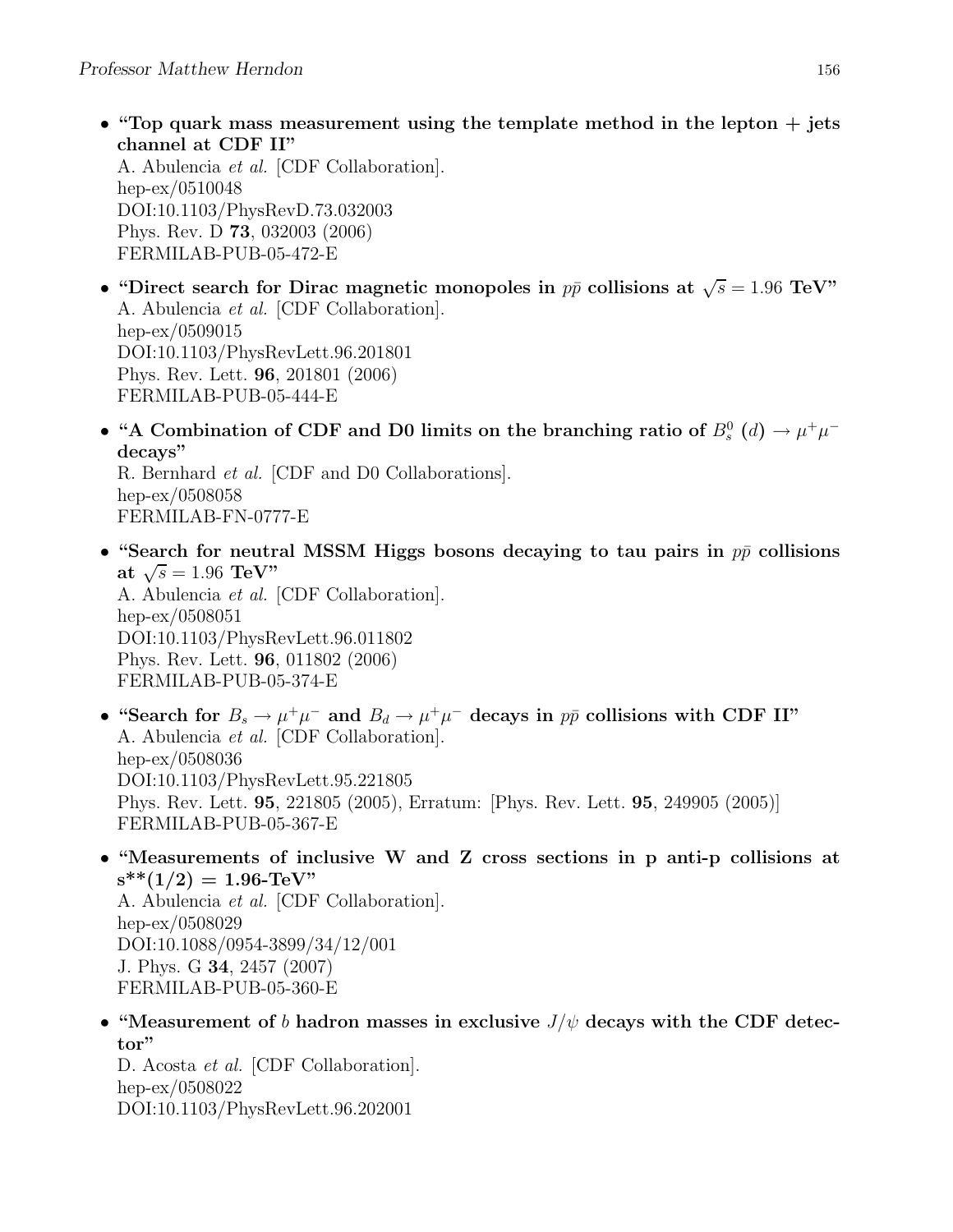• "Top quark mass measurement using the template method in the lepton  $+$  jets channel at CDF II"

A. Abulencia et al. [CDF Collaboration]. hep-ex/0510048 DOI:10.1103/PhysRevD.73.032003 Phys. Rev. D 73, 032003 (2006) FERMILAB-PUB-05-472-E

- "Direct search for Dirac magnetic monopoles in  $p\bar{p}$  collisions at  $\sqrt{s} = 1.96$  TeV" A. Abulencia et al. [CDF Collaboration]. hep-ex/0509015 DOI:10.1103/PhysRevLett.96.201801 Phys. Rev. Lett. 96, 201801 (2006) FERMILAB-PUB-05-444-E
- "A Combination of CDF and D0 limits on the branching ratio of  $B_s^0$  (d)  $\rightarrow \mu^+\mu^$ decays" R. Bernhard et al. [CDF and D0 Collaborations]. hep-ex/0508058

FERMILAB-FN-0777-E

• "Search for neutral MSSM Higgs bosons decaying to tau pairs in  $p\bar{p}$  collisions at  $\sqrt{s} = 1.96 \text{ TeV}$ " A. Abulencia et al. [CDF Collaboration].

hep-ex/0508051 DOI:10.1103/PhysRevLett.96.011802 Phys. Rev. Lett. 96, 011802 (2006) FERMILAB-PUB-05-374-E

- "Search for  $B_s \to \mu^+\mu^-$  and  $B_d \to \mu^+\mu^-$  decays in  $p\bar{p}$  collisions with CDF II" A. Abulencia et al. [CDF Collaboration]. hep-ex/0508036 DOI:10.1103/PhysRevLett.95.221805 Phys. Rev. Lett. 95, 221805 (2005), Erratum: [Phys. Rev. Lett. 95, 249905 (2005)] FERMILAB-PUB-05-367-E
- "Measurements of inclusive W and Z cross sections in p anti-p collisions at  $s^{**}(1/2) = 1.96$ -TeV"

A. Abulencia et al. [CDF Collaboration]. hep-ex/0508029 DOI:10.1088/0954-3899/34/12/001 J. Phys. G 34, 2457 (2007) FERMILAB-PUB-05-360-E

• "Measurement of b hadron masses in exclusive  $J/\psi$  decays with the CDF detector"

D. Acosta et al. [CDF Collaboration]. hep-ex/0508022 DOI:10.1103/PhysRevLett.96.202001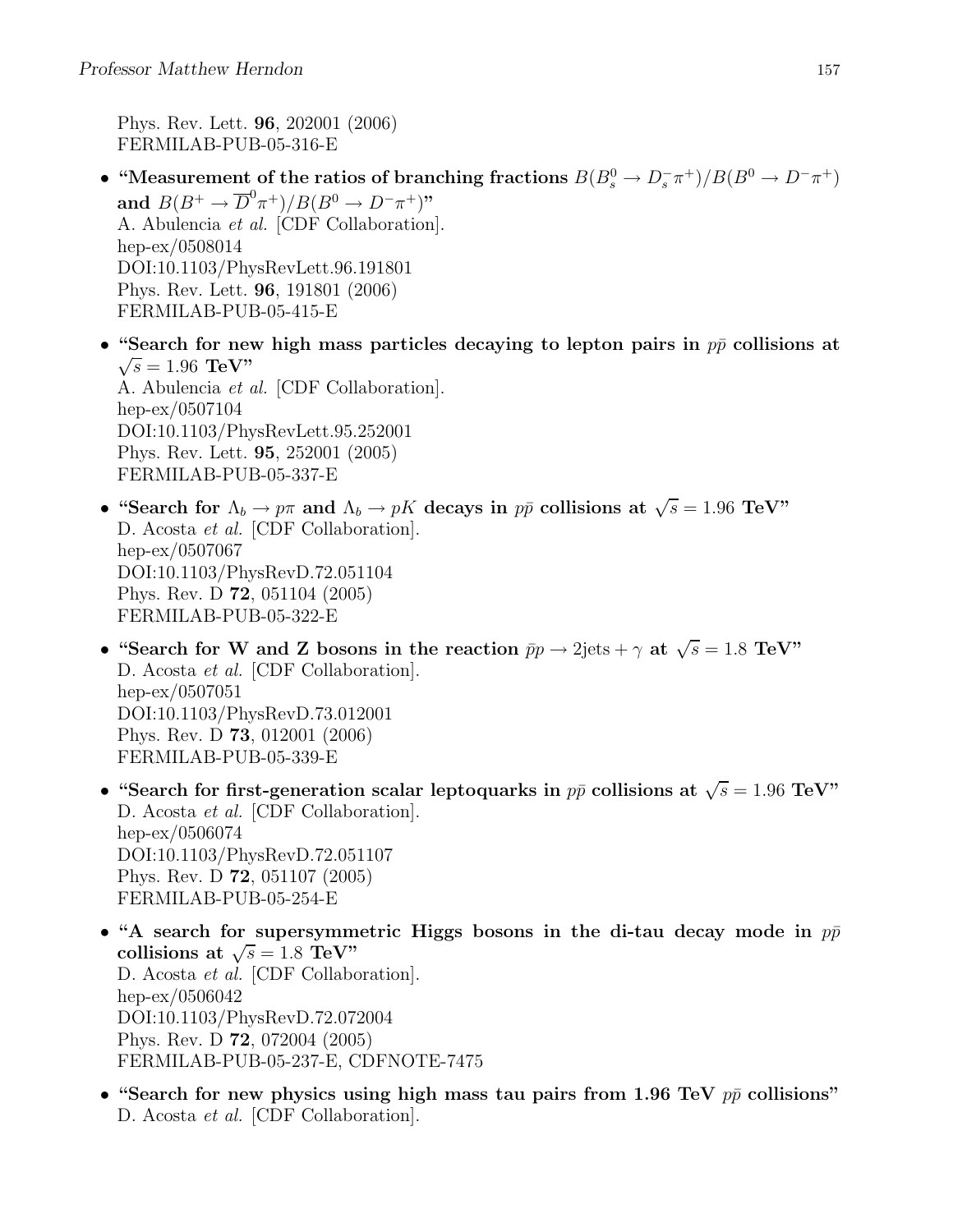Phys. Rev. Lett. 96, 202001 (2006) FERMILAB-PUB-05-316-E

FERMILAB-PUB-05-337-E

- "Measurement of the ratios of branching fractions  $B(B_s^0 \to D_s^- \pi^+)/B(B^0 \to D^- \pi^+)$ and  $B(B^+ \to \overline{D}^0 \pi^+)/B(B^0 \to D^- \pi^+)$ " A. Abulencia et al. [CDF Collaboration]. hep-ex/0508014 DOI:10.1103/PhysRevLett.96.191801 Phys. Rev. Lett. 96, 191801 (2006) FERMILAB-PUB-05-415-E
- "Search for new high mass particles decaying to lepton pairs in  $p\bar{p}$  collisions at  $\sqrt{s} = 1.96 \text{ TeV}$ " A. Abulencia et al. [CDF Collaboration]. hep-ex/0507104 DOI:10.1103/PhysRevLett.95.252001 Phys. Rev. Lett. 95, 252001 (2005)
- "Search for  $\Lambda_b \to p\pi$  and  $\Lambda_b \to pK$  decays in  $p\bar{p}$  collisions at  $\sqrt{s} = 1.96$  TeV" D. Acosta et al. [CDF Collaboration]. hep-ex/0507067 DOI:10.1103/PhysRevD.72.051104 Phys. Rev. D 72, 051104 (2005) FERMILAB-PUB-05-322-E
- "Search for W and Z bosons in the reaction  $\bar{p}p \to 2\text{jets} + \gamma$  at  $\sqrt{s} = 1.8 \text{ TeV}$ " D. Acosta et al. [CDF Collaboration]. hep-ex/0507051 DOI:10.1103/PhysRevD.73.012001 Phys. Rev. D 73, 012001 (2006) FERMILAB-PUB-05-339-E
- "Search for first-generation scalar leptoquarks in  $p\bar{p}$  collisions at  $\sqrt{s} = 1.96$  TeV" D. Acosta et al. [CDF Collaboration]. hep-ex/0506074 DOI:10.1103/PhysRevD.72.051107 Phys. Rev. D 72, 051107 (2005) FERMILAB-PUB-05-254-E
- "A search for supersymmetric Higgs bosons in the di-tau decay mode in  $p\bar{p}$ collisions at  $\sqrt{s} = 1.8 \text{ TeV}$ " D. Acosta et al. [CDF Collaboration]. hep-ex/0506042 DOI:10.1103/PhysRevD.72.072004 Phys. Rev. D 72, 072004 (2005) FERMILAB-PUB-05-237-E, CDFNOTE-7475
- "Search for new physics using high mass tau pairs from 1.96 TeV  $p\bar{p}$  collisions" D. Acosta et al. [CDF Collaboration].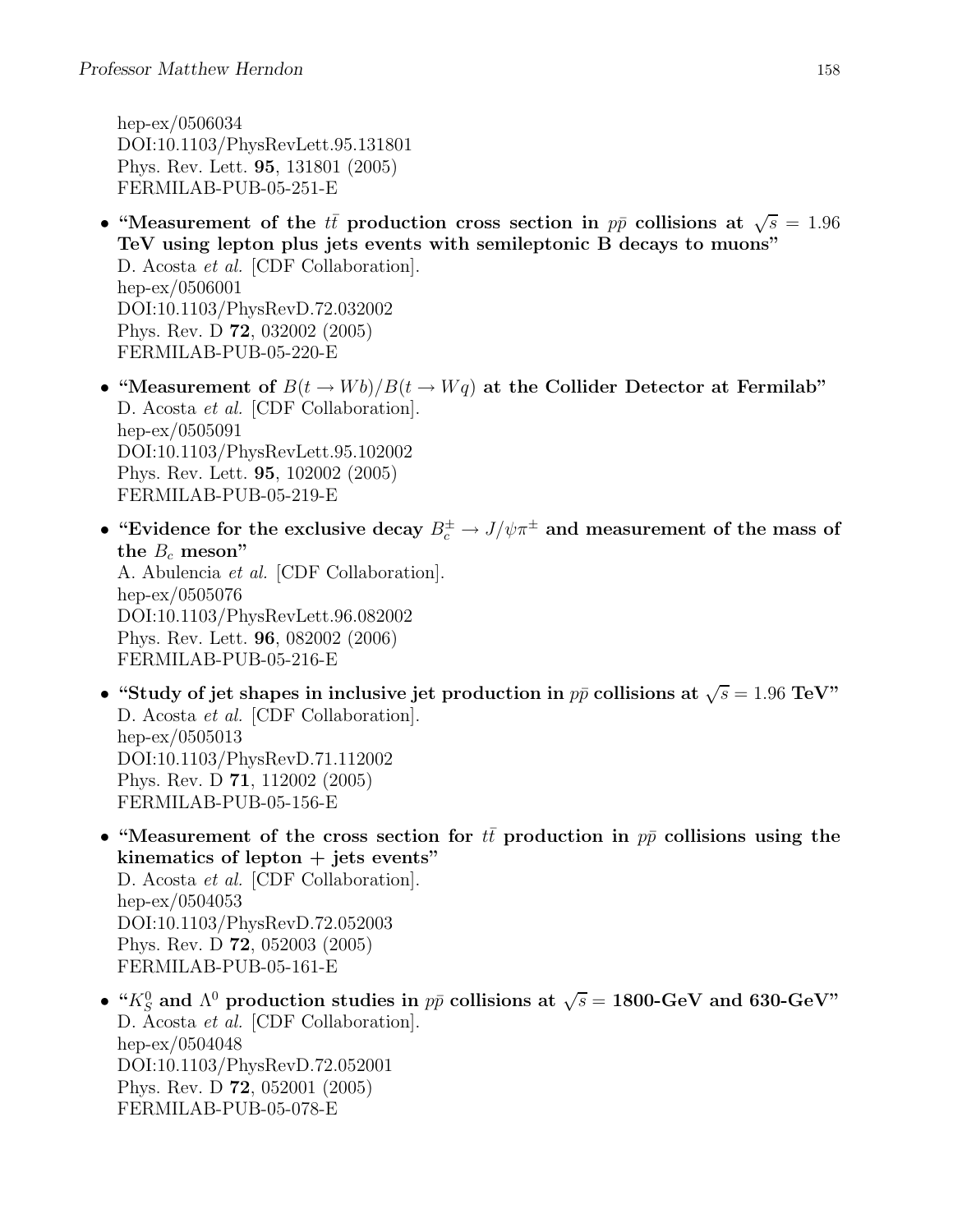hep-ex/0506034 DOI:10.1103/PhysRevLett.95.131801 Phys. Rev. Lett. 95, 131801 (2005) FERMILAB-PUB-05-251-E

- "Measurement of the  $t\bar{t}$  production cross section in  $p\bar{p}$  collisions at  $\sqrt{s} = 1.96$ TeV using lepton plus jets events with semileptonic B decays to muons" D. Acosta et al. [CDF Collaboration]. hep-ex/0506001 DOI:10.1103/PhysRevD.72.032002 Phys. Rev. D 72, 032002 (2005) FERMILAB-PUB-05-220-E
- "Measurement of  $B(t \to Wb)/B(t \to Wq)$  at the Collider Detector at Fermilab" D. Acosta et al. [CDF Collaboration]. hep-ex/0505091 DOI:10.1103/PhysRevLett.95.102002 Phys. Rev. Lett. 95, 102002 (2005) FERMILAB-PUB-05-219-E
- "Evidence for the exclusive decay  $B_c^{\pm} \to J/\psi \pi^{\pm}$  and measurement of the mass of the  $B_c$  meson" A. Abulencia et al. [CDF Collaboration]. hep-ex/0505076

DOI:10.1103/PhysRevLett.96.082002 Phys. Rev. Lett. 96, 082002 (2006) FERMILAB-PUB-05-216-E

- "Study of jet shapes in inclusive jet production in  $p\bar{p}$  collisions at  $\sqrt{s} = 1.96 \text{ TeV}$ " D. Acosta et al. [CDF Collaboration]. hep-ex/0505013 DOI:10.1103/PhysRevD.71.112002 Phys. Rev. D 71, 112002 (2005) FERMILAB-PUB-05-156-E
- "Measurement of the cross section for  $t\bar{t}$  production in  $p\bar{p}$  collisions using the kinematics of lepton  $+$  jets events" D. Acosta et al. [CDF Collaboration]. hep-ex/0504053 DOI:10.1103/PhysRevD.72.052003 Phys. Rev. D 72, 052003 (2005) FERMILAB-PUB-05-161-E
- " $K_S^0$  and  $\Lambda^0$  production studies in  $p\bar{p}$  collisions at  $\sqrt{s} = 1800$ -GeV and 630-GeV" D. Acosta et al. [CDF Collaboration]. hep-ex/0504048 DOI:10.1103/PhysRevD.72.052001 Phys. Rev. D 72, 052001 (2005) FERMILAB-PUB-05-078-E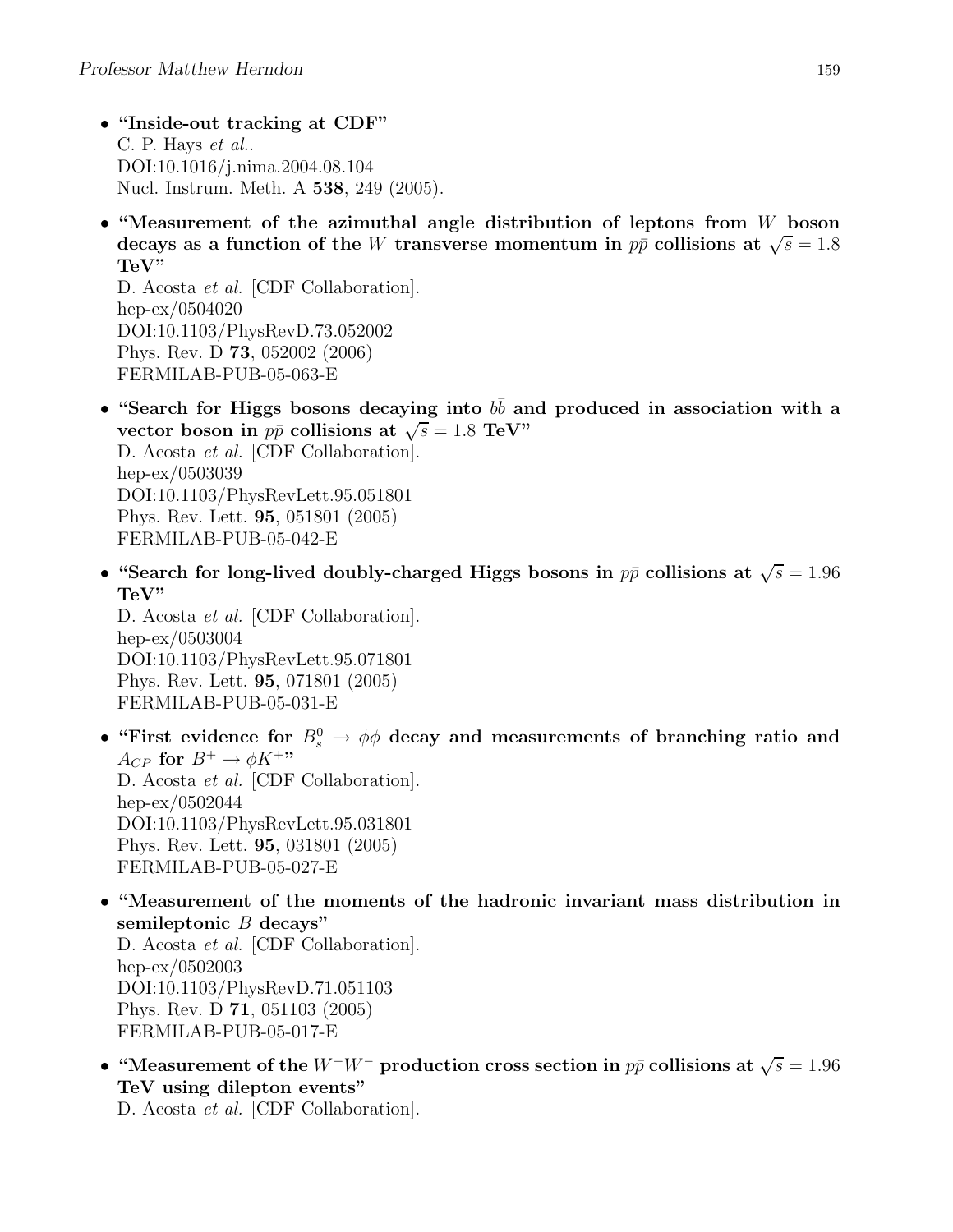- "Inside-out tracking at CDF" C. P. Hays et al.. DOI:10.1016/j.nima.2004.08.104 Nucl. Instrum. Meth. A 538, 249 (2005).
- "Measurement of the azimuthal angle distribution of leptons from  $W$  boson decays as a function of the W transverse momentum in  $p\bar{p}$  collisions at  $\sqrt{s} = 1.8$ TeV"

D. Acosta et al. [CDF Collaboration]. hep-ex/0504020 DOI:10.1103/PhysRevD.73.052002 Phys. Rev. D 73, 052002 (2006) FERMILAB-PUB-05-063-E

- "Search for Higgs bosons decaying into  $b\bar{b}$  and produced in association with a vector boson in  $p\bar{p}$  collisions at  $\sqrt{s} = 1.8$  TeV" D. Acosta et al. [CDF Collaboration]. hep-ex/0503039 DOI:10.1103/PhysRevLett.95.051801 Phys. Rev. Lett. 95, 051801 (2005) FERMILAB-PUB-05-042-E
- "Search for long-lived doubly-charged Higgs bosons in  $p\bar{p}$  collisions at  $\sqrt{s} = 1.96$ TeV"

D. Acosta et al. [CDF Collaboration]. hep-ex/0503004 DOI:10.1103/PhysRevLett.95.071801 Phys. Rev. Lett. 95, 071801 (2005) FERMILAB-PUB-05-031-E

- "First evidence for  $B^0_s \to \phi \phi$  decay and measurements of branching ratio and  $A_{CP}$  for  $B^+ \to \phi K^{+\prime\prime\prime}$ D. Acosta et al. [CDF Collaboration]. hep-ex/0502044 DOI:10.1103/PhysRevLett.95.031801 Phys. Rev. Lett. 95, 031801 (2005) FERMILAB-PUB-05-027-E
- "Measurement of the moments of the hadronic invariant mass distribution in semileptonic  $B$  decays" D. Acosta et al. [CDF Collaboration]. hep-ex/0502003 DOI:10.1103/PhysRevD.71.051103 Phys. Rev. D 71, 051103 (2005) FERMILAB-PUB-05-017-E
- "Measurement of the  $W^+W^-$  production cross section in  $p\bar{p}$  collisions at  $\sqrt{s} = 1.96$ TeV using dilepton events"

D. Acosta et al. [CDF Collaboration].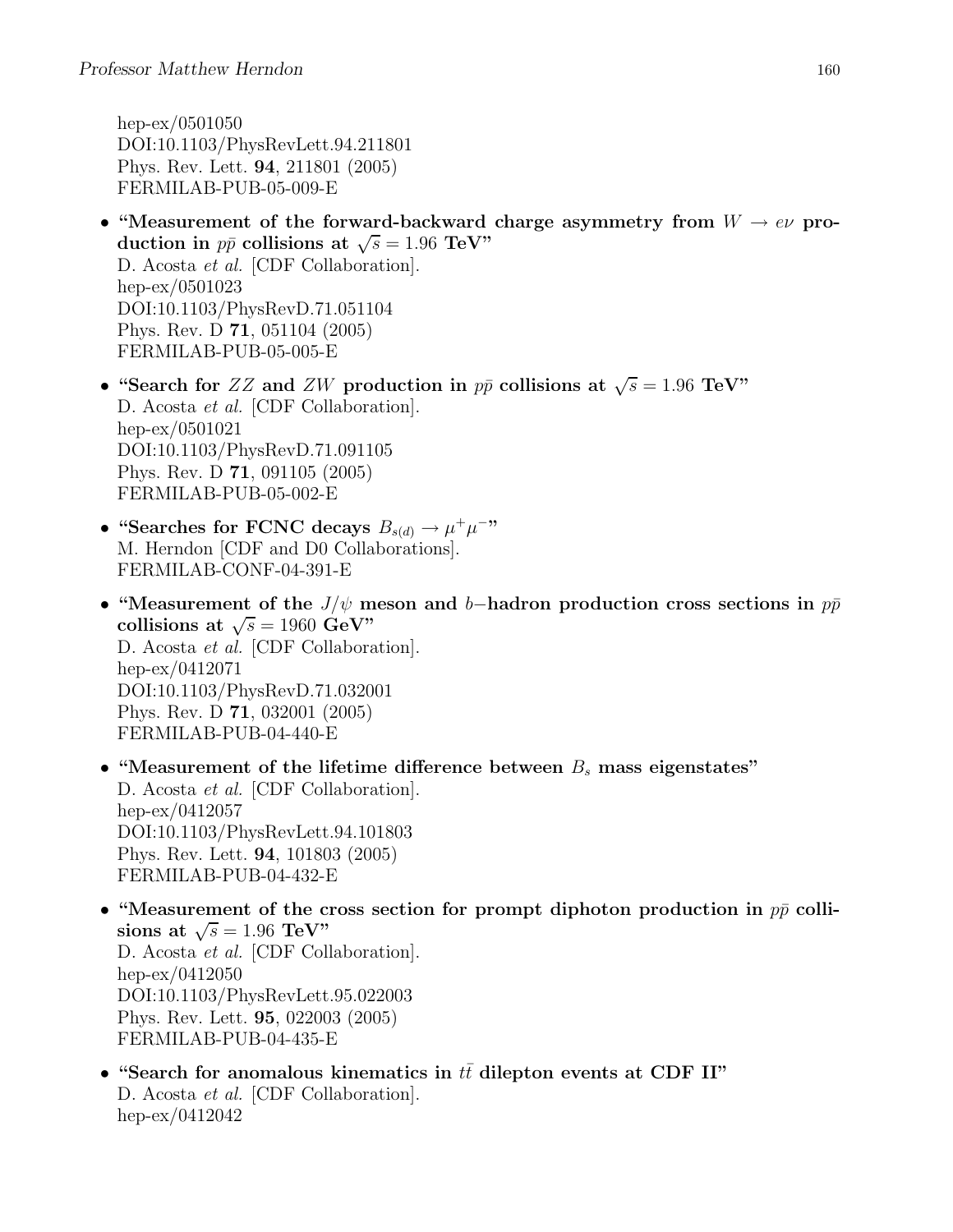hep-ex/0501050 DOI:10.1103/PhysRevLett.94.211801 Phys. Rev. Lett. 94, 211801 (2005) FERMILAB-PUB-05-009-E

- "Measurement of the forward-backward charge asymmetry from  $W \to e\nu$  production in  $p\bar{p}$  collisions at  $\sqrt{s} = 1.96 \text{ TeV}$ " D. Acosta et al. [CDF Collaboration]. hep-ex/0501023 DOI:10.1103/PhysRevD.71.051104 Phys. Rev. D 71, 051104 (2005) FERMILAB-PUB-05-005-E
- "Search for ZZ and ZW production in  $p\bar{p}$  collisions at  $\sqrt{s} = 1.96$  TeV" D. Acosta et al. [CDF Collaboration]. hep-ex/0501021 DOI:10.1103/PhysRevD.71.091105 Phys. Rev. D 71, 091105 (2005) FERMILAB-PUB-05-002-E
- "Searches for FCNC decays  $B_{s(d)} \to \mu^+ \mu^-$ " M. Herndon [CDF and D0 Collaborations]. FERMILAB-CONF-04-391-E
- "Measurement of the  $J/\psi$  meson and b–hadron production cross sections in  $p\bar{p}$ collisions at  $\sqrt{s} = 1960 \text{ GeV}$ " D. Acosta et al. [CDF Collaboration]. hep-ex/0412071 DOI:10.1103/PhysRevD.71.032001 Phys. Rev. D 71, 032001 (2005) FERMILAB-PUB-04-440-E
- "Measurement of the lifetime difference between  $B_s$  mass eigenstates" D. Acosta et al. [CDF Collaboration]. hep-ex/0412057 DOI:10.1103/PhysRevLett.94.101803 Phys. Rev. Lett. 94, 101803 (2005) FERMILAB-PUB-04-432-E
- "Measurement of the cross section for prompt diphoton production in  $p\bar{p}$  collisions at  $\sqrt{s} = 1.96 \text{ TeV}$ " D. Acosta et al. [CDF Collaboration]. hep-ex/0412050 DOI:10.1103/PhysRevLett.95.022003 Phys. Rev. Lett. 95, 022003 (2005) FERMILAB-PUB-04-435-E
- "Search for anomalous kinematics in  $t\bar{t}$  dilepton events at CDF II" D. Acosta et al. [CDF Collaboration]. hep-ex/0412042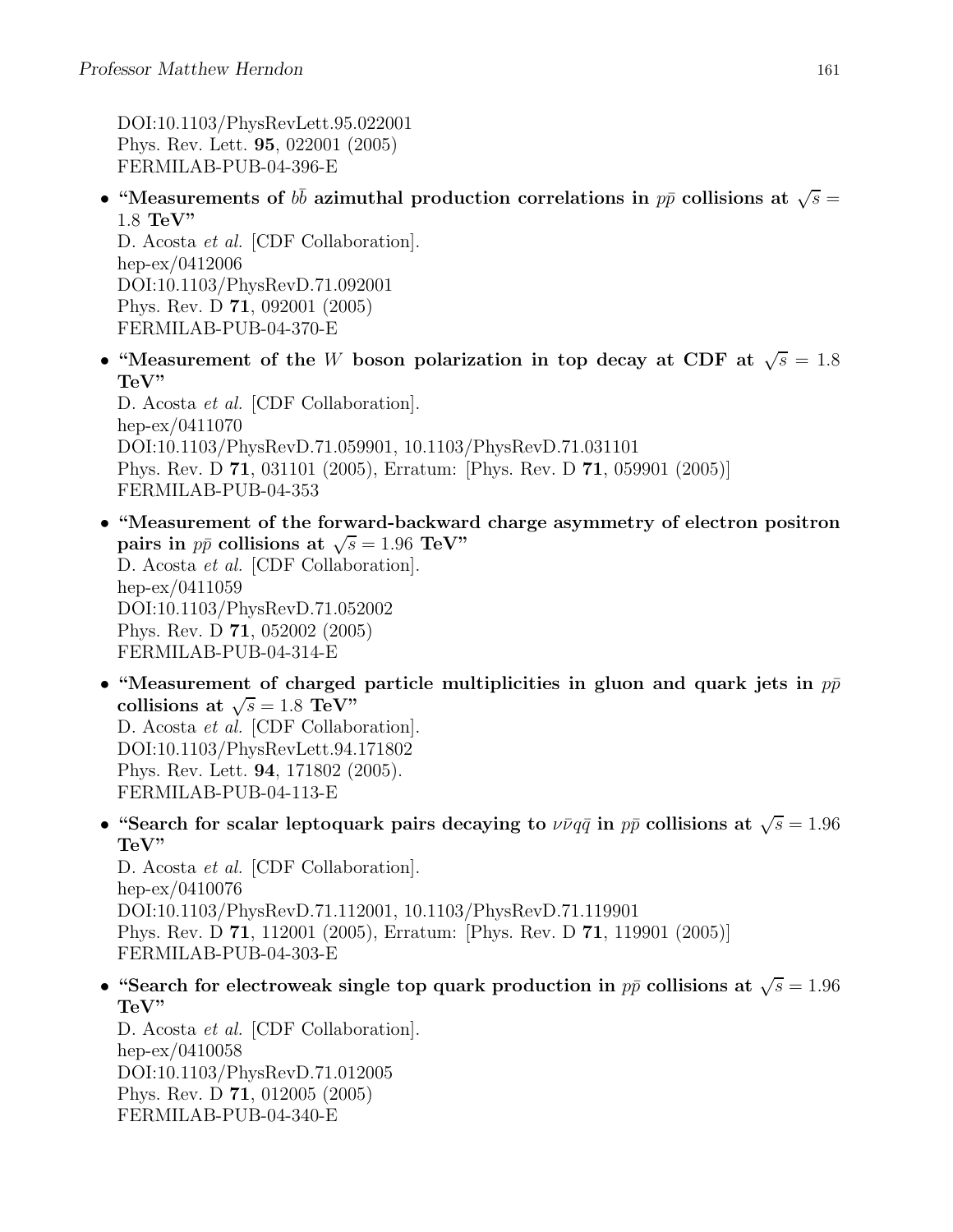DOI:10.1103/PhysRevLett.95.022001 Phys. Rev. Lett. 95, 022001 (2005) FERMILAB-PUB-04-396-E

• "Measurements of  $b\bar{b}$  azimuthal production correlations in  $p\bar{p}$  collisions at  $\sqrt{s} =$ 1.8 TeV"

D. Acosta et al. [CDF Collaboration]. hep-ex/0412006 DOI:10.1103/PhysRevD.71.092001 Phys. Rev. D 71, 092001 (2005) FERMILAB-PUB-04-370-E

• "Measurement of the W boson polarization in top decay at CDF at  $\sqrt{s} = 1.8$ TeV"

D. Acosta et al. [CDF Collaboration]. hep-ex/0411070 DOI:10.1103/PhysRevD.71.059901, 10.1103/PhysRevD.71.031101 Phys. Rev. D 71, 031101 (2005), Erratum: [Phys. Rev. D 71, 059901 (2005)] FERMILAB-PUB-04-353

- "Measurement of the forward-backward charge asymmetry of electron positron pairs in  $p\bar{p}$  collisions at  $\sqrt{s} = 1.96$  TeV" D. Acosta et al. [CDF Collaboration]. hep-ex/0411059 DOI:10.1103/PhysRevD.71.052002 Phys. Rev. D 71, 052002 (2005) FERMILAB-PUB-04-314-E
- "Measurement of charged particle multiplicities in gluon and quark jets in  $p\bar{p}$ collisions at  $\sqrt{s} = 1.8 \text{ TeV}$ " D. Acosta et al. [CDF Collaboration]. DOI:10.1103/PhysRevLett.94.171802 Phys. Rev. Lett. 94, 171802 (2005). FERMILAB-PUB-04-113-E
- "Search for scalar leptoquark pairs decaying to  $\nu \bar{\nu} q \bar{q}$  in  $p \bar{p}$  collisions at  $\sqrt{s} = 1.96$ TeV"

D. Acosta et al. [CDF Collaboration]. hep-ex/0410076 DOI:10.1103/PhysRevD.71.112001, 10.1103/PhysRevD.71.119901 Phys. Rev. D 71, 112001 (2005), Erratum: [Phys. Rev. D 71, 119901 (2005)] FERMILAB-PUB-04-303-E

• "Search for electroweak single top quark production in  $p\bar{p}$  collisions at  $\sqrt{s} = 1.96$ TeV"

D. Acosta et al. [CDF Collaboration]. hep-ex/0410058 DOI:10.1103/PhysRevD.71.012005 Phys. Rev. D 71, 012005 (2005) FERMILAB-PUB-04-340-E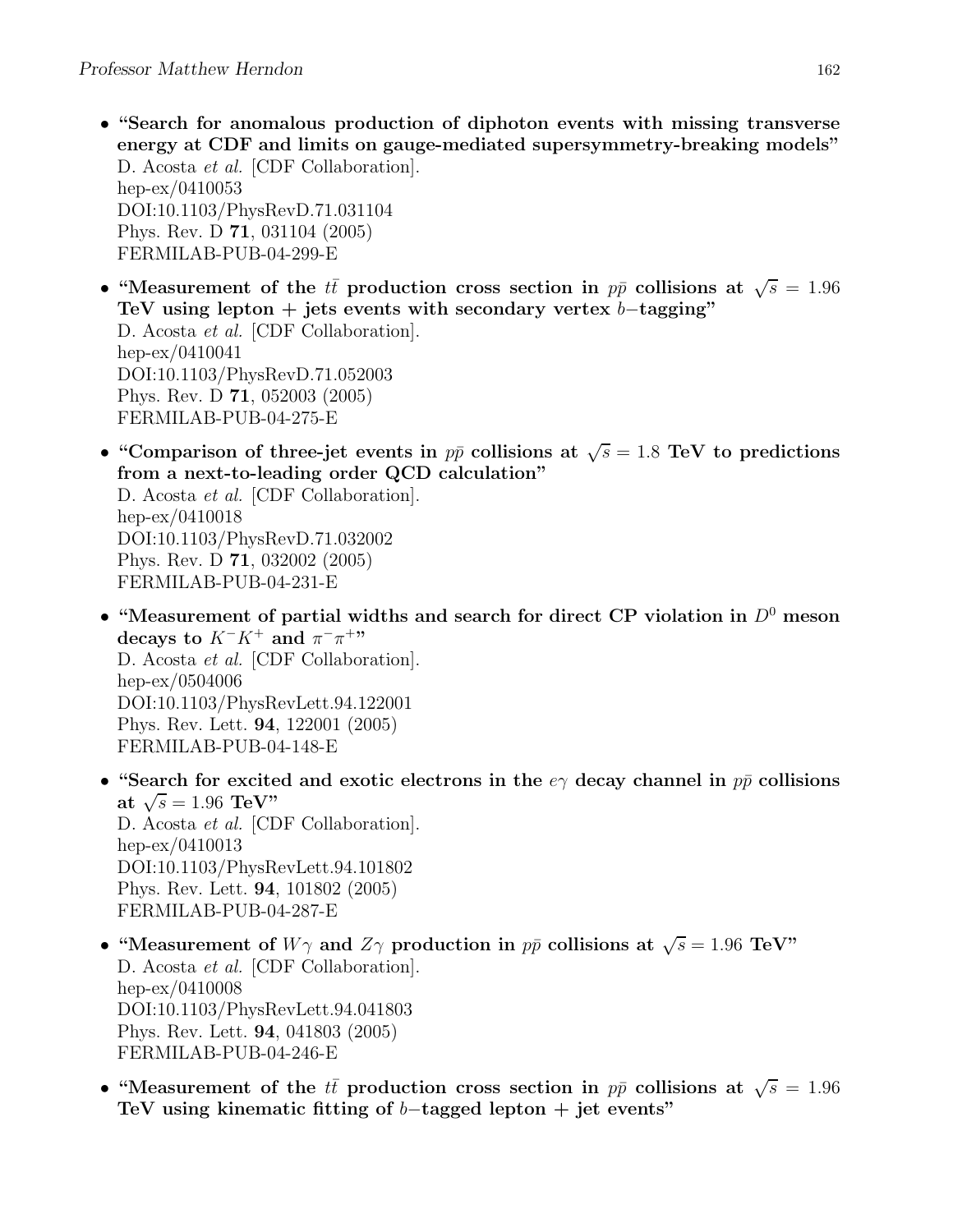- "Search for anomalous production of diphoton events with missing transverse energy at CDF and limits on gauge-mediated supersymmetry-breaking models" D. Acosta et al. [CDF Collaboration]. hep-ex/0410053 DOI:10.1103/PhysRevD.71.031104 Phys. Rev. D 71, 031104 (2005) FERMILAB-PUB-04-299-E
- "Measurement of the  $t\bar{t}$  production cross section in  $p\bar{p}$  collisions at  $\sqrt{s} = 1.96$ TeV using lepton + jets events with secondary vertex  $b$ -tagging" D. Acosta et al. [CDF Collaboration]. hep-ex/0410041 DOI:10.1103/PhysRevD.71.052003 Phys. Rev. D 71, 052003 (2005) FERMILAB-PUB-04-275-E
- "Comparison of three-jet events in  $p\bar{p}$  collisions at  $\sqrt{s} = 1.8$  TeV to predictions from a next-to-leading order QCD calculation"

D. Acosta et al. [CDF Collaboration]. hep-ex/0410018 DOI:10.1103/PhysRevD.71.032002 Phys. Rev. D 71, 032002 (2005) FERMILAB-PUB-04-231-E

- "Measurement of partial widths and search for direct CP violation in  $D^0$  meson decays to  $K^-K^+$  and  $\pi^-\pi^{+\prime\prime}$ D. Acosta et al. [CDF Collaboration]. hep-ex/0504006 DOI:10.1103/PhysRevLett.94.122001 Phys. Rev. Lett. 94, 122001 (2005) FERMILAB-PUB-04-148-E
- "Search for excited and exotic electrons in the  $e\gamma$  decay channel in  $p\bar{p}$  collisions at  $\sqrt{s} = 1.96 \text{ TeV}$ " D. Acosta et al. [CDF Collaboration]. hep-ex/0410013 DOI:10.1103/PhysRevLett.94.101802 Phys. Rev. Lett. 94, 101802 (2005) FERMILAB-PUB-04-287-E
- "Measurement of  $W\gamma$  and  $Z\gamma$  production in  $p\bar{p}$  collisions at  $\sqrt{s} = 1.96$  TeV" D. Acosta et al. [CDF Collaboration]. hep-ex/0410008 DOI:10.1103/PhysRevLett.94.041803 Phys. Rev. Lett. 94, 041803 (2005) FERMILAB-PUB-04-246-E
- "Measurement of the  $t\bar{t}$  production cross section in  $p\bar{p}$  collisions at  $\sqrt{s} = 1.96$ TeV using kinematic fitting of  $b$ -tagged lepton + jet events"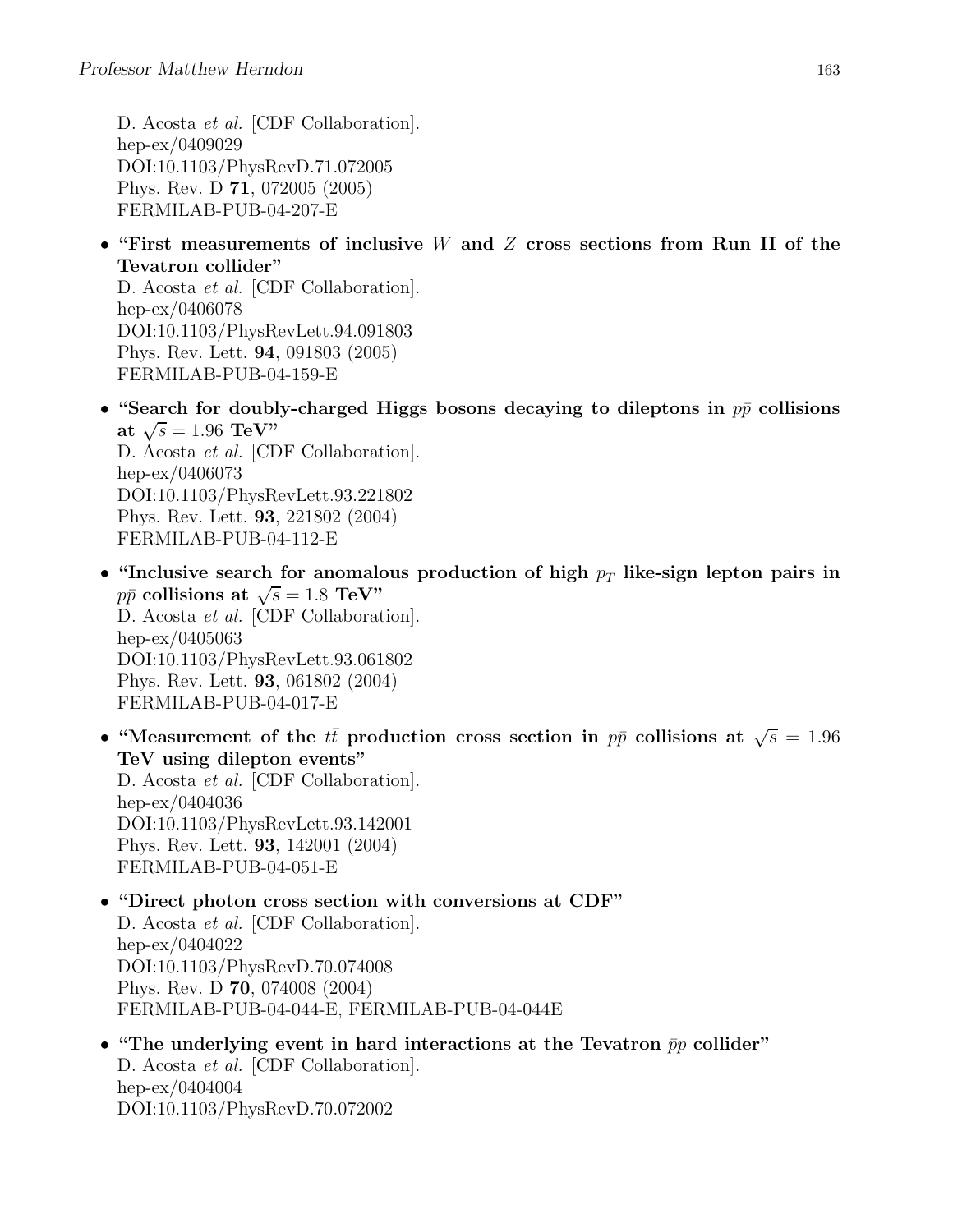D. Acosta et al. [CDF Collaboration]. hep-ex/0409029 DOI:10.1103/PhysRevD.71.072005 Phys. Rev. D 71, 072005 (2005) FERMILAB-PUB-04-207-E

• "First measurements of inclusive W and Z cross sections from Run II of the Tevatron collider"

D. Acosta et al. [CDF Collaboration]. hep-ex/0406078 DOI:10.1103/PhysRevLett.94.091803 Phys. Rev. Lett. 94, 091803 (2005) FERMILAB-PUB-04-159-E

• "Search for doubly-charged Higgs bosons decaying to dileptons in  $p\bar{p}$  collisions at  $\sqrt{s} = 1.96 \text{ TeV}$ "

D. Acosta et al. [CDF Collaboration]. hep-ex/0406073 DOI:10.1103/PhysRevLett.93.221802 Phys. Rev. Lett. 93, 221802 (2004) FERMILAB-PUB-04-112-E

- "Inclusive search for anomalous production of high  $p_T$  like-sign lepton pairs in  $p\bar{p}$  collisions at  $\sqrt{s} = 1.8$  TeV" D. Acosta et al. [CDF Collaboration]. hep-ex/0405063 DOI:10.1103/PhysRevLett.93.061802 Phys. Rev. Lett. 93, 061802 (2004) FERMILAB-PUB-04-017-E
- "Measurement of the  $t\bar{t}$  production cross section in  $p\bar{p}$  collisions at  $\sqrt{s} = 1.96$ TeV using dilepton events"

D. Acosta et al. [CDF Collaboration]. hep-ex/0404036 DOI:10.1103/PhysRevLett.93.142001 Phys. Rev. Lett. 93, 142001 (2004) FERMILAB-PUB-04-051-E

- "Direct photon cross section with conversions at CDF" D. Acosta et al. [CDF Collaboration]. hep-ex/0404022 DOI:10.1103/PhysRevD.70.074008 Phys. Rev. D 70, 074008 (2004) FERMILAB-PUB-04-044-E, FERMILAB-PUB-04-044E
- "The underlying event in hard interactions at the Tevatron  $\bar{p}p$  collider" D. Acosta et al. [CDF Collaboration]. hep-ex/0404004 DOI:10.1103/PhysRevD.70.072002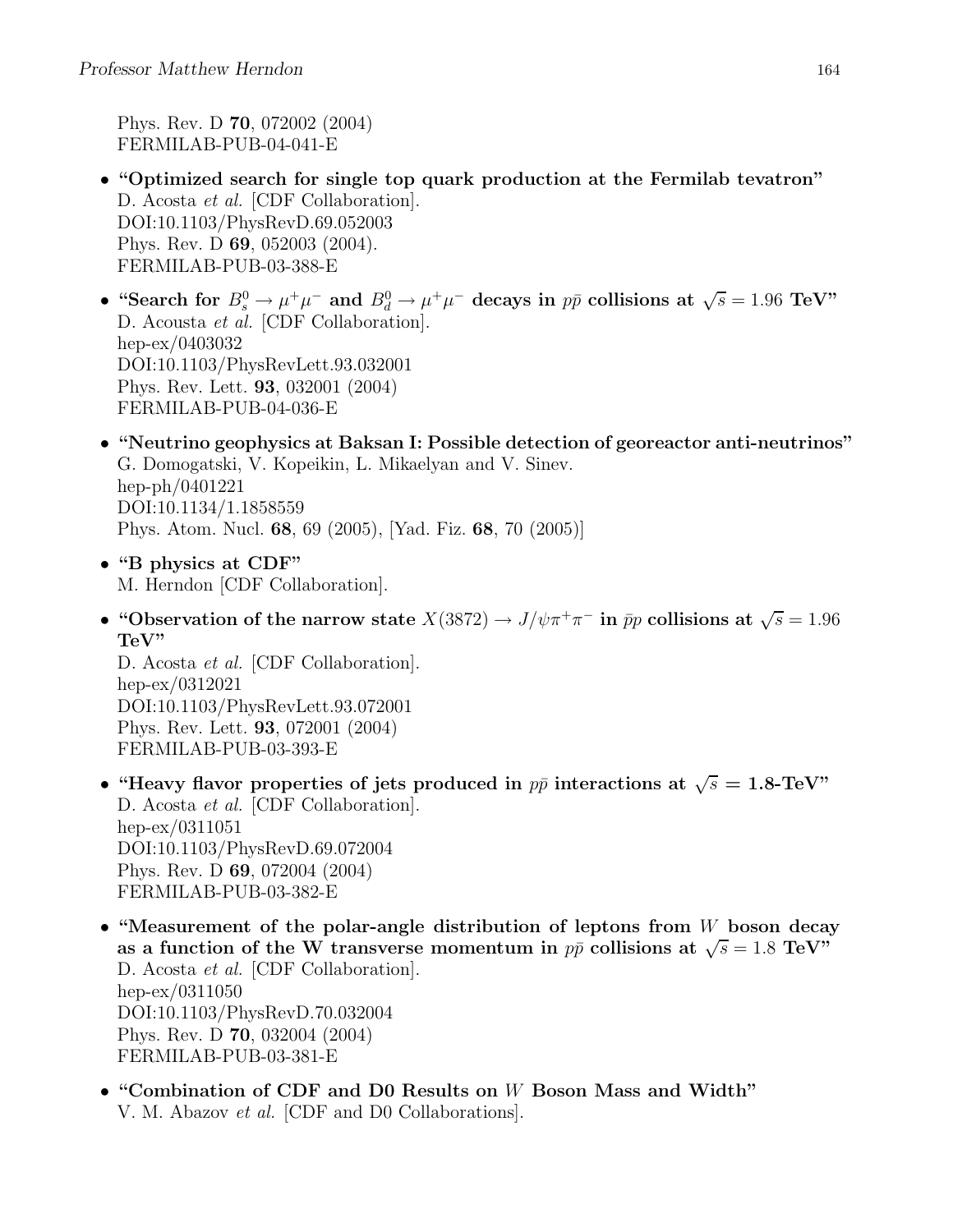Phys. Rev. D 70, 072002 (2004) FERMILAB-PUB-04-041-E

- "Optimized search for single top quark production at the Fermilab tevatron" D. Acosta *et al.* [CDF Collaboration]. DOI:10.1103/PhysRevD.69.052003 Phys. Rev. D 69, 052003 (2004). FERMILAB-PUB-03-388-E
- "Search for  $B_s^0 \to \mu^+\mu^-$  and  $B_d^0 \to \mu^+\mu^-$  decays in  $p\bar{p}$  collisions at  $\sqrt{s} = 1.96$  TeV" D. Acousta et al. [CDF Collaboration]. hep-ex/0403032 DOI:10.1103/PhysRevLett.93.032001 Phys. Rev. Lett. 93, 032001 (2004) FERMILAB-PUB-04-036-E
- "Neutrino geophysics at Baksan I: Possible detection of georeactor anti-neutrinos" G. Domogatski, V. Kopeikin, L. Mikaelyan and V. Sinev. hep-ph/0401221 DOI:10.1134/1.1858559 Phys. Atom. Nucl. 68, 69 (2005), [Yad. Fiz. 68, 70 (2005)]
- "B physics at CDF" M. Herndon [CDF Collaboration].
- "Observation of the narrow state  $X(3872) \to J/\psi \pi^+ \pi^-$  in  $\bar{p}p$  collisions at  $\sqrt{s} = 1.96$ TeV"

D. Acosta et al. [CDF Collaboration]. hep-ex/0312021 DOI:10.1103/PhysRevLett.93.072001 Phys. Rev. Lett. 93, 072001 (2004) FERMILAB-PUB-03-393-E

- "Heavy flavor properties of jets produced in  $p\bar{p}$  interactions at  $\sqrt{s} = 1.8$ -TeV" D. Acosta et al. [CDF Collaboration]. hep-ex/0311051 DOI:10.1103/PhysRevD.69.072004 Phys. Rev. D 69, 072004 (2004) FERMILAB-PUB-03-382-E
- "Measurement of the polar-angle distribution of leptons from  $W$  boson decay as a function of the W transverse momentum in  $p\bar{p}$  collisions at  $\sqrt{s} = 1.8 \text{ TeV}$ " D. Acosta et al. [CDF Collaboration]. hep-ex/0311050 DOI:10.1103/PhysRevD.70.032004 Phys. Rev. D 70, 032004 (2004) FERMILAB-PUB-03-381-E
- "Combination of CDF and D0 Results on W Boson Mass and Width" V. M. Abazov et al. [CDF and D0 Collaborations].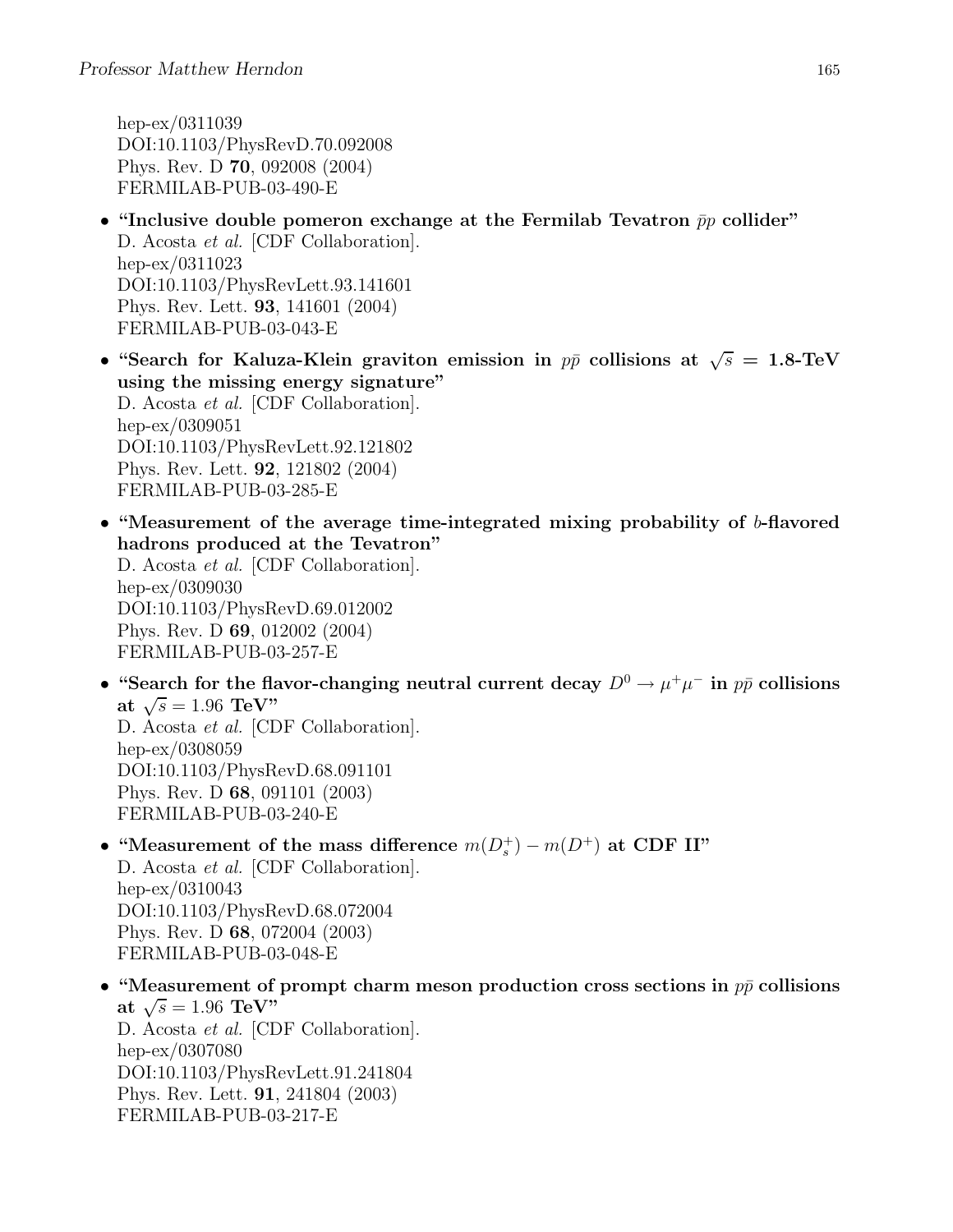hep-ex/0311039 DOI:10.1103/PhysRevD.70.092008 Phys. Rev. D 70, 092008 (2004) FERMILAB-PUB-03-490-E

- "Inclusive double pomeron exchange at the Fermilab Tevatron  $\bar{p}p$  collider" D. Acosta *et al.* [CDF Collaboration]. hep-ex/0311023 DOI:10.1103/PhysRevLett.93.141601 Phys. Rev. Lett. 93, 141601 (2004) FERMILAB-PUB-03-043-E
- "Search for Kaluza-Klein graviton emission in  $p\bar{p}$  collisions at  $\sqrt{s} = 1.8$ -TeV using the missing energy signature" D. Acosta *et al.* [CDF Collaboration]. hep-ex/0309051 DOI:10.1103/PhysRevLett.92.121802 Phys. Rev. Lett. 92, 121802 (2004) FERMILAB-PUB-03-285-E
- "Measurement of the average time-integrated mixing probability of b-flavored hadrons produced at the Tevatron"

D. Acosta et al. [CDF Collaboration]. hep-ex/0309030 DOI:10.1103/PhysRevD.69.012002 Phys. Rev. D 69, 012002 (2004) FERMILAB-PUB-03-257-E

• "Search for the flavor-changing neutral current decay  $D^0 \to \mu^+\mu^-$  in  $p\bar{p}$  collisions at  $\sqrt{s} = 1.96 \text{ TeV}$ " D. Acosta et al. [CDF Collaboration]. hep-ex/0308059 DOI:10.1103/PhysRevD.68.091101

Phys. Rev. D 68, 091101 (2003) FERMILAB-PUB-03-240-E

• "Measurement of the mass difference  $m(D_s^+) - m(D^+)$  at CDF II"

D. Acosta et al. [CDF Collaboration]. hep-ex/0310043 DOI:10.1103/PhysRevD.68.072004 Phys. Rev. D 68, 072004 (2003) FERMILAB-PUB-03-048-E

• "Measurement of prompt charm meson production cross sections in  $p\bar{p}$  collisions at  $\sqrt{s} = 1.96 \text{ TeV}$ " D. Acosta et al. [CDF Collaboration].

hep-ex/0307080 DOI:10.1103/PhysRevLett.91.241804 Phys. Rev. Lett. 91, 241804 (2003) FERMILAB-PUB-03-217-E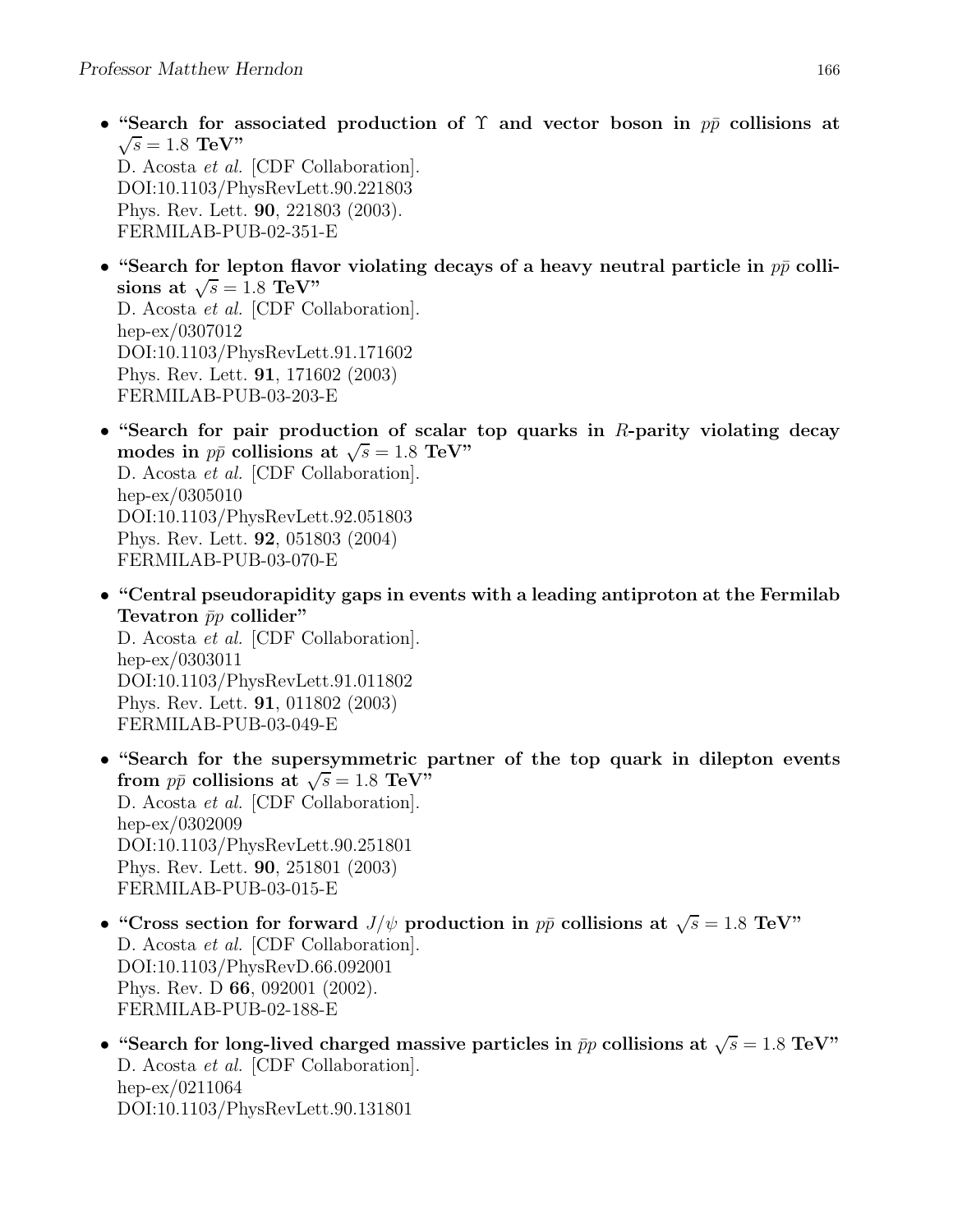• "Search for associated production of  $\Upsilon$  and vector boson in  $p\bar{p}$  collisions at  $\sqrt{s} = 1.8 \text{ TeV}$ "

D. Acosta et al. [CDF Collaboration]. DOI:10.1103/PhysRevLett.90.221803 Phys. Rev. Lett. 90, 221803 (2003). FERMILAB-PUB-02-351-E

- "Search for lepton flavor violating decays of a heavy neutral particle in  $p\bar{p}$  collisions at  $\sqrt{s} = 1.8$  TeV" D. Acosta et al. [CDF Collaboration]. hep-ex/0307012 DOI:10.1103/PhysRevLett.91.171602 Phys. Rev. Lett. 91, 171602 (2003)
	- FERMILAB-PUB-03-203-E
- "Search for pair production of scalar top quarks in  $R$ -parity violating decay modes in  $p\bar{p}$  collisions at  $\sqrt{s} = 1.8$  TeV" D. Acosta et al. [CDF Collaboration]. hep-ex/0305010 DOI:10.1103/PhysRevLett.92.051803 Phys. Rev. Lett. 92, 051803 (2004) FERMILAB-PUB-03-070-E
- "Central pseudorapidity gaps in events with a leading antiproton at the Fermilab Tevatron  $\bar{p}p$  collider"

D. Acosta et al. [CDF Collaboration]. hep-ex/0303011 DOI:10.1103/PhysRevLett.91.011802 Phys. Rev. Lett. 91, 011802 (2003) FERMILAB-PUB-03-049-E

- "Search for the supersymmetric partner of the top quark in dilepton events from  $p\bar{p}$  collisions at  $\sqrt{s} = 1.8 \text{ TeV}$ D. Acosta et al. [CDF Collaboration]. hep-ex/0302009 DOI:10.1103/PhysRevLett.90.251801 Phys. Rev. Lett. 90, 251801 (2003) FERMILAB-PUB-03-015-E
- "Cross section for forward  $J/\psi$  production in  $p\bar{p}$  collisions at  $\sqrt{s} = 1.8$  TeV" D. Acosta et al. [CDF Collaboration]. DOI:10.1103/PhysRevD.66.092001 Phys. Rev. D 66, 092001 (2002). FERMILAB-PUB-02-188-E
- "Search for long-lived charged massive particles in  $\bar{p}p$  collisions at  $\sqrt{s} = 1.8$  TeV" D. Acosta *et al.* [CDF Collaboration]. hep-ex/0211064 DOI:10.1103/PhysRevLett.90.131801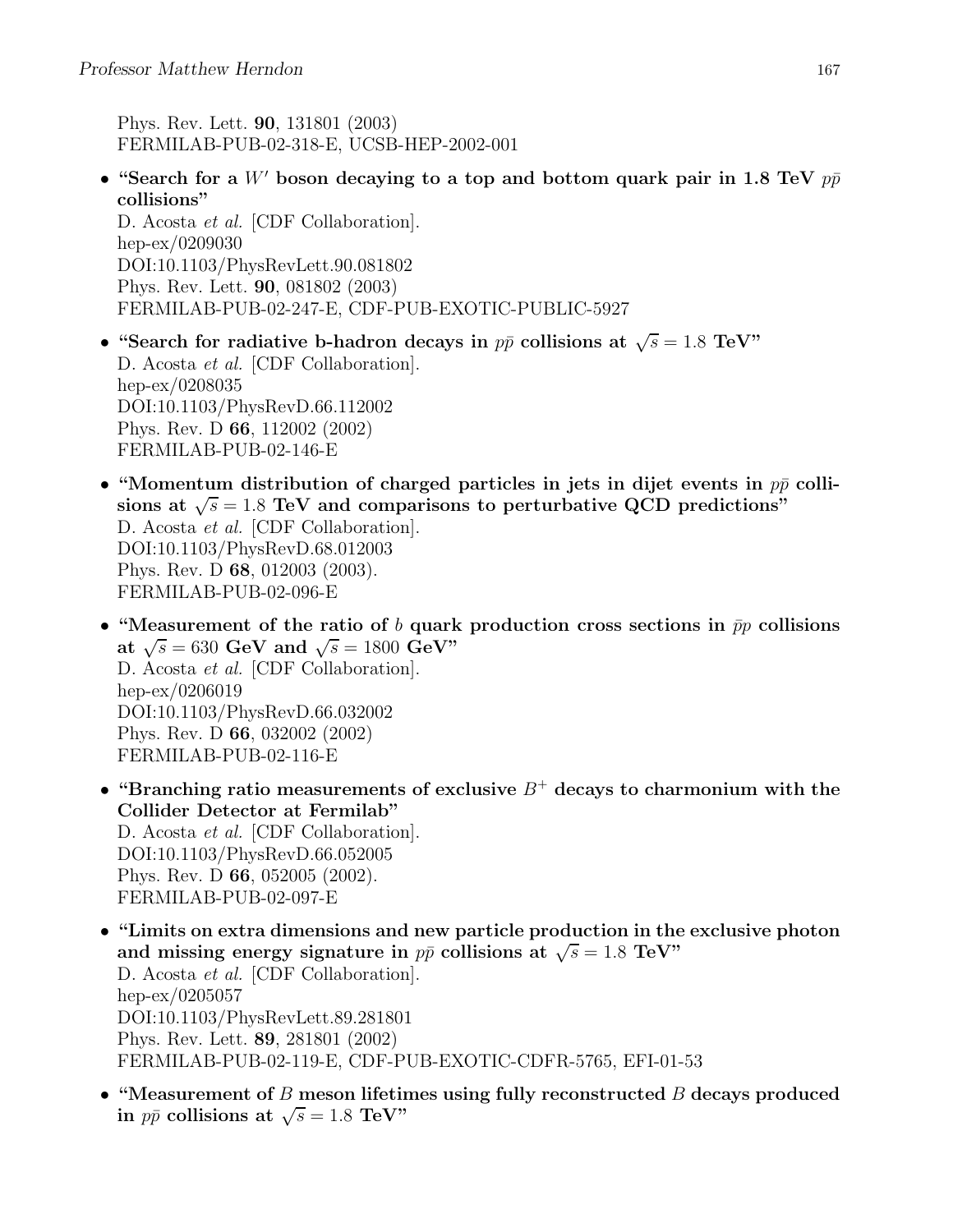Phys. Rev. Lett. 90, 131801 (2003) FERMILAB-PUB-02-318-E, UCSB-HEP-2002-001

• "Search for a W' boson decaying to a top and bottom quark pair in 1.8 TeV  $p\bar{p}$ collisions"

D. Acosta et al. [CDF Collaboration]. hep-ex/0209030 DOI:10.1103/PhysRevLett.90.081802 Phys. Rev. Lett. 90, 081802 (2003) FERMILAB-PUB-02-247-E, CDF-PUB-EXOTIC-PUBLIC-5927

- "Search for radiative b-hadron decays in  $p\bar{p}$  collisions at  $\sqrt{s} = 1.8$  TeV" D. Acosta et al. [CDF Collaboration]. hep-ex/0208035 DOI:10.1103/PhysRevD.66.112002 Phys. Rev. D 66, 112002 (2002) FERMILAB-PUB-02-146-E
- "Momentum distribution of charged particles in jets in dijet events in  $p\bar{p}$  collisions at  $\sqrt{s} = 1.8$  TeV and comparisons to perturbative QCD predictions" D. Acosta et al. [CDF Collaboration]. DOI:10.1103/PhysRevD.68.012003 Phys. Rev. D 68, 012003 (2003). FERMILAB-PUB-02-096-E
- "Measurement of the ratio of b quark production cross sections in  $\bar{p}p$  collisions at  $\sqrt{s} = 630$  GeV and  $\sqrt{s} = 1800$  GeV" D. Acosta et al. [CDF Collaboration]. hep-ex/0206019 DOI:10.1103/PhysRevD.66.032002 Phys. Rev. D 66, 032002 (2002) FERMILAB-PUB-02-116-E
- "Branching ratio measurements of exclusive  $B^+$  decays to charmonium with the Collider Detector at Fermilab" D. Acosta *et al.* [CDF Collaboration]. DOI:10.1103/PhysRevD.66.052005 Phys. Rev. D 66, 052005 (2002). FERMILAB-PUB-02-097-E
- "Limits on extra dimensions and new particle production in the exclusive photon and missing energy signature in  $p\bar{p}$  collisions at  $\sqrt{s} = 1.8$  TeV" D. Acosta et al. [CDF Collaboration]. hep-ex/0205057 DOI:10.1103/PhysRevLett.89.281801 Phys. Rev. Lett. 89, 281801 (2002) FERMILAB-PUB-02-119-E, CDF-PUB-EXOTIC-CDFR-5765, EFI-01-53
- "Measurement of  $B$  meson lifetimes using fully reconstructed  $B$  decays produced in  $p\bar{p}$  collisions at  $\sqrt{s} = 1.8$  TeV"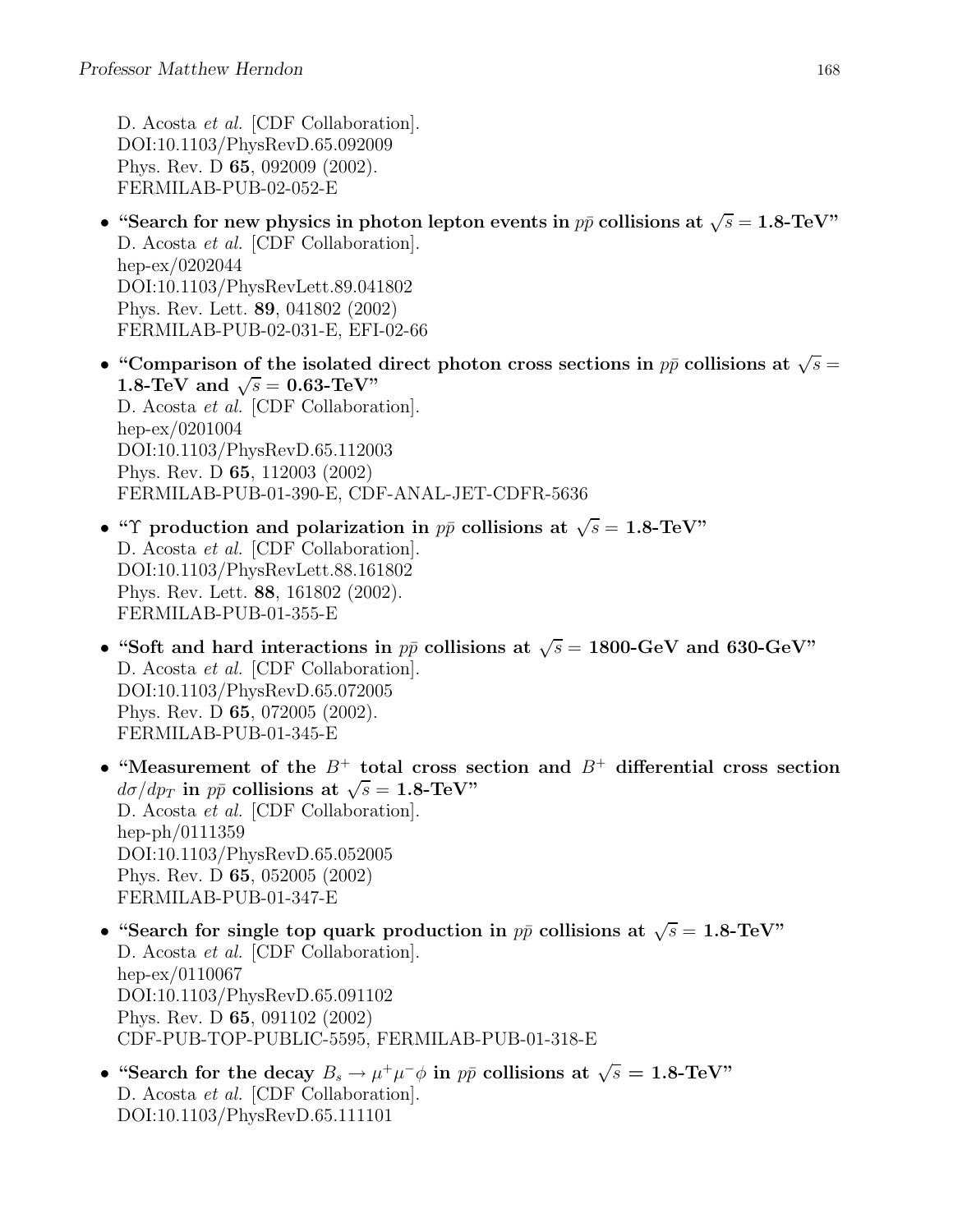D. Acosta et al. [CDF Collaboration]. DOI:10.1103/PhysRevD.65.092009 Phys. Rev. D 65, 092009 (2002). FERMILAB-PUB-02-052-E

- "Search for new physics in photon lepton events in  $p\bar{p}$  collisions at  $\sqrt{s} = 1.8$ -TeV" D. Acosta et al. [CDF Collaboration]. hep-ex/0202044 DOI:10.1103/PhysRevLett.89.041802 Phys. Rev. Lett. 89, 041802 (2002) FERMILAB-PUB-02-031-E, EFI-02-66
- "Comparison of the isolated direct photon cross sections in  $p\bar{p}$  collisions at  $\sqrt{s} =$ 1.8-TeV and  $\sqrt{s} = 0.63$ -TeV" D. Acosta et al. [CDF Collaboration]. hep-ex/0201004 DOI:10.1103/PhysRevD.65.112003 Phys. Rev. D 65, 112003 (2002) FERMILAB-PUB-01-390-E, CDF-ANAL-JET-CDFR-5636
- "Y production and polarization in  $p\bar{p}$  collisions at  $\sqrt{s} = 1.8$ -TeV" D. Acosta et al. [CDF Collaboration]. DOI:10.1103/PhysRevLett.88.161802 Phys. Rev. Lett. 88, 161802 (2002). FERMILAB-PUB-01-355-E
- "Soft and hard interactions in  $p\bar{p}$  collisions at  $\sqrt{s} = 1800$ -GeV and 630-GeV" D. Acosta et al. [CDF Collaboration]. DOI:10.1103/PhysRevD.65.072005 Phys. Rev. D 65, 072005 (2002). FERMILAB-PUB-01-345-E
- "Measurement of the  $B^+$  total cross section and  $B^+$  differential cross section  $d\sigma/dp_T$  in  $p\bar{p}$  collisions at  $\sqrt{s} = 1.8$ -TeV" D. Acosta et al. [CDF Collaboration]. hep-ph/0111359 DOI:10.1103/PhysRevD.65.052005 Phys. Rev. D 65, 052005 (2002) FERMILAB-PUB-01-347-E
- "Search for single top quark production in  $p\bar{p}$  collisions at  $\sqrt{s} = 1.8$ -TeV" D. Acosta et al. [CDF Collaboration]. hep-ex/0110067 DOI:10.1103/PhysRevD.65.091102 Phys. Rev. D 65, 091102 (2002) CDF-PUB-TOP-PUBLIC-5595, FERMILAB-PUB-01-318-E
- "Search for the decay  $B_s \to \mu^+ \mu^- \phi$  in  $p\bar{p}$  collisions at  $\sqrt{s} = 1.8$ -TeV" D. Acosta et al. [CDF Collaboration]. DOI:10.1103/PhysRevD.65.111101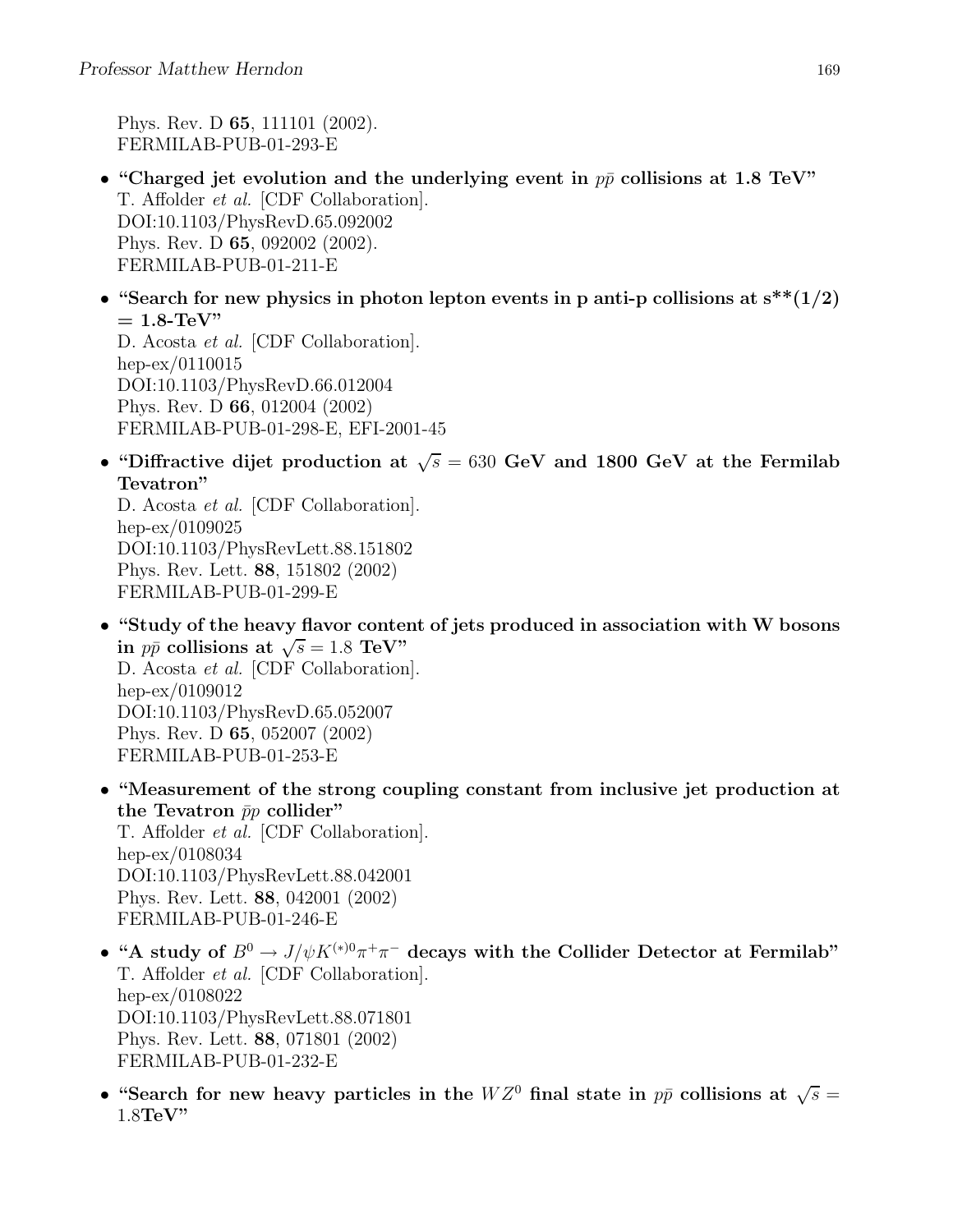Phys. Rev. D 65, 111101 (2002). FERMILAB-PUB-01-293-E

- "Charged jet evolution and the underlying event in  $p\bar{p}$  collisions at 1.8 TeV" T. Affolder et al. [CDF Collaboration]. DOI:10.1103/PhysRevD.65.092002 Phys. Rev. D 65, 092002 (2002). FERMILAB-PUB-01-211-E
- "Search for new physics in photon lepton events in p anti-p collisions at  $s^{**}(1/2)$  $= 1.8$ -TeV"

D. Acosta et al. [CDF Collaboration]. hep-ex/0110015 DOI:10.1103/PhysRevD.66.012004 Phys. Rev. D 66, 012004 (2002) FERMILAB-PUB-01-298-E, EFI-2001-45

• "Diffractive dijet production at  $\sqrt{s} = 630$  GeV and 1800 GeV at the Fermilab Tevatron"

D. Acosta et al. [CDF Collaboration]. hep-ex/0109025 DOI:10.1103/PhysRevLett.88.151802 Phys. Rev. Lett. 88, 151802 (2002) FERMILAB-PUB-01-299-E

- "Study of the heavy flavor content of jets produced in association with W bosons in  $p\bar{p}$  collisions at  $\sqrt{s} = 1.8$  TeV" D. Acosta et al. [CDF Collaboration]. hep-ex/0109012 DOI:10.1103/PhysRevD.65.052007 Phys. Rev. D 65, 052007 (2002) FERMILAB-PUB-01-253-E
- "Measurement of the strong coupling constant from inclusive jet production at the Tevatron  $\bar{p}p$  collider" T. Affolder et al. [CDF Collaboration]. hep-ex/0108034 DOI:10.1103/PhysRevLett.88.042001 Phys. Rev. Lett. 88, 042001 (2002) FERMILAB-PUB-01-246-E
- "A study of  $B^0 \to J/\psi K^{(*)0} \pi^+ \pi^-$  decays with the Collider Detector at Fermilab" T. Affolder et al. [CDF Collaboration]. hep-ex/0108022 DOI:10.1103/PhysRevLett.88.071801 Phys. Rev. Lett. 88, 071801 (2002) FERMILAB-PUB-01-232-E
- "Search for new heavy particles in the  $WZ^0$  final state in  $p\bar{p}$  collisions at  $\sqrt{s} =$ 1.8TeV"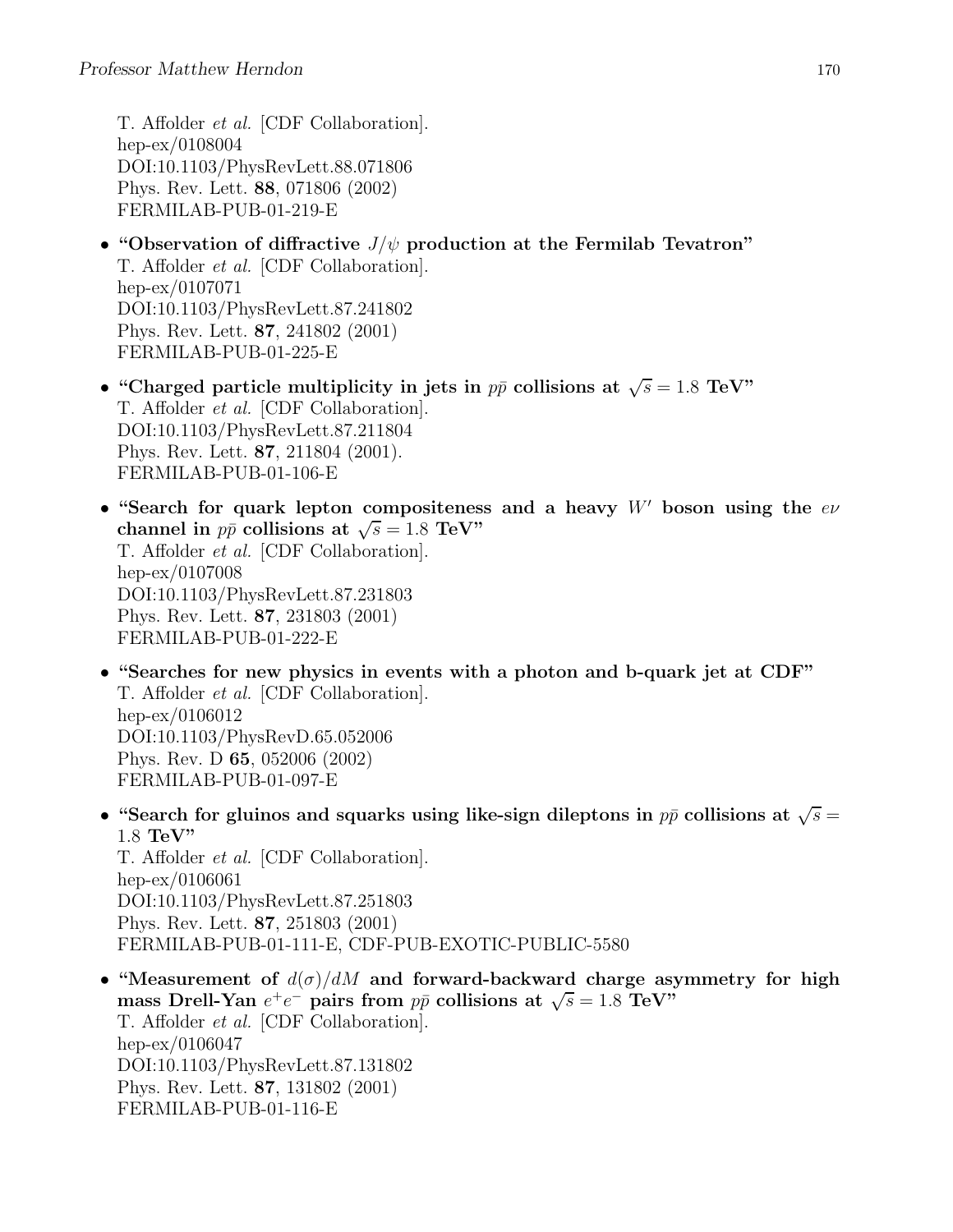T. Affolder et al. [CDF Collaboration]. hep-ex/0108004 DOI:10.1103/PhysRevLett.88.071806 Phys. Rev. Lett. 88, 071806 (2002) FERMILAB-PUB-01-219-E

- "Observation of diffractive  $J/\psi$  production at the Fermilab Tevatron" T. Affolder et al. [CDF Collaboration]. hep-ex/0107071 DOI:10.1103/PhysRevLett.87.241802 Phys. Rev. Lett. 87, 241802 (2001) FERMILAB-PUB-01-225-E
- "Charged particle multiplicity in jets in  $p\bar{p}$  collisions at  $\sqrt{s} = 1.8$  TeV" T. Affolder et al. [CDF Collaboration]. DOI:10.1103/PhysRevLett.87.211804 Phys. Rev. Lett. 87, 211804 (2001). FERMILAB-PUB-01-106-E
- "Search for quark lepton compositeness and a heavy  $W'$  boson using the  $e\nu$ channel in  $p\bar{p}$  collisions at  $\sqrt{s} = 1.8$  TeV" T. Affolder et al. [CDF Collaboration]. hep-ex/0107008 DOI:10.1103/PhysRevLett.87.231803 Phys. Rev. Lett. 87, 231803 (2001) FERMILAB-PUB-01-222-E
- "Searches for new physics in events with a photon and b-quark jet at CDF" T. Affolder et al. [CDF Collaboration]. hep-ex/0106012 DOI:10.1103/PhysRevD.65.052006 Phys. Rev. D 65, 052006 (2002) FERMILAB-PUB-01-097-E
- "Search for gluinos and squarks using like-sign dileptons in  $p\bar{p}$  collisions at  $\sqrt{s} =$ 1.8 TeV" T. Affolder et al. [CDF Collaboration]. hep-ex/0106061 DOI:10.1103/PhysRevLett.87.251803 Phys. Rev. Lett. 87, 251803 (2001) FERMILAB-PUB-01-111-E, CDF-PUB-EXOTIC-PUBLIC-5580
- "Measurement of  $d(\sigma)/dM$  and forward-backward charge asymmetry for high mass Drell-Yan  $e^+e^-$  pairs from  $p\bar{p}$  collisions at  $\sqrt{s} = 1.8$  TeV" T. Affolder et al. [CDF Collaboration]. hep-ex/0106047 DOI:10.1103/PhysRevLett.87.131802 Phys. Rev. Lett. 87, 131802 (2001) FERMILAB-PUB-01-116-E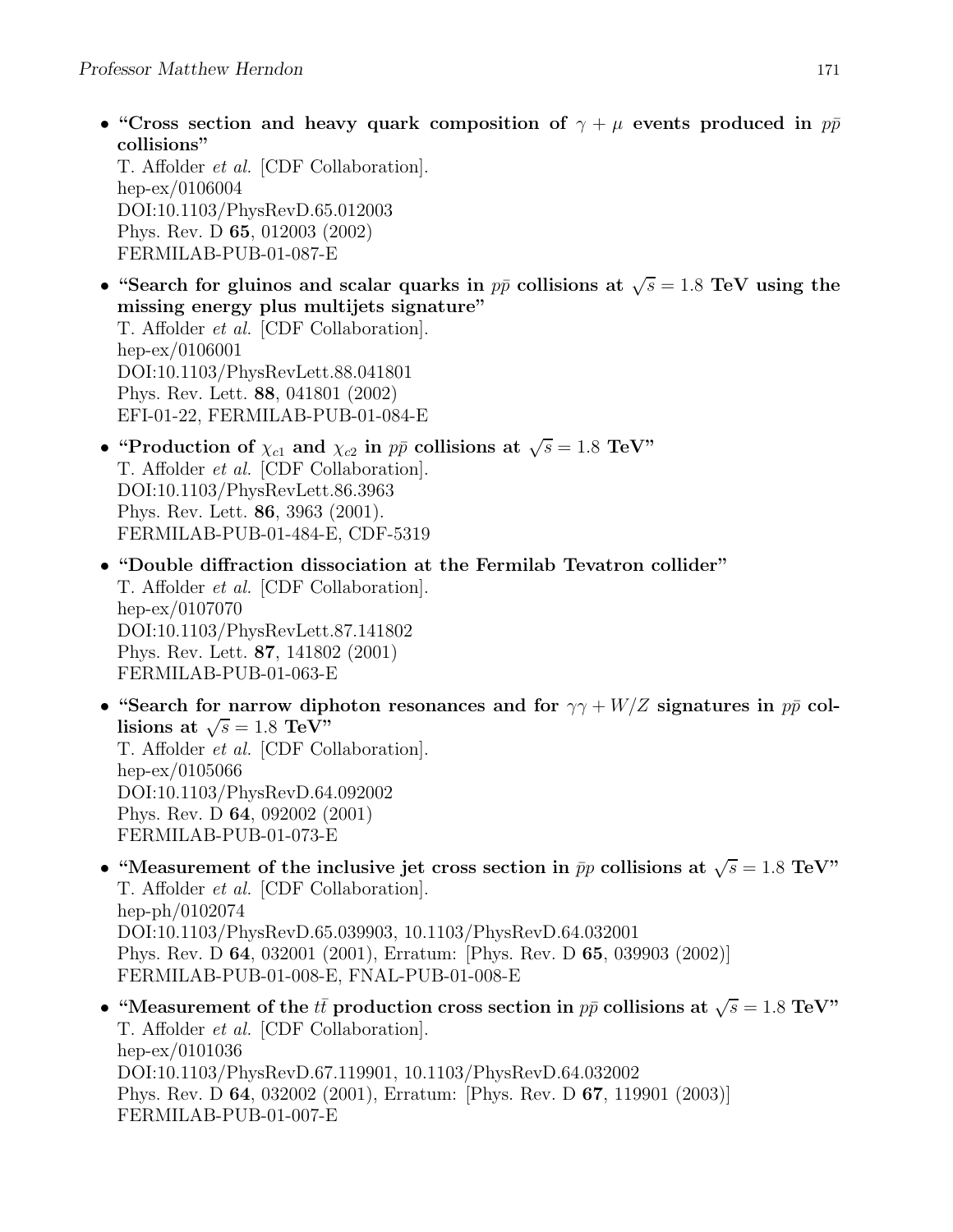• "Cross section and heavy quark composition of  $\gamma + \mu$  events produced in  $p\bar{p}$ collisions"

T. Affolder et al. [CDF Collaboration]. hep-ex/0106004 DOI:10.1103/PhysRevD.65.012003 Phys. Rev. D 65, 012003 (2002) FERMILAB-PUB-01-087-E

- "Search for gluinos and scalar quarks in  $p\bar{p}$  collisions at  $\sqrt{s} = 1.8$  TeV using the missing energy plus multijets signature" T. Affolder et al. [CDF Collaboration]. hep-ex/0106001 DOI:10.1103/PhysRevLett.88.041801 Phys. Rev. Lett. 88, 041801 (2002) EFI-01-22, FERMILAB-PUB-01-084-E
- "Production of  $\chi_{c1}$  and  $\chi_{c2}$  in  $p\bar{p}$  collisions at  $\sqrt{s} = 1.8$  TeV" T. Affolder et al. [CDF Collaboration]. DOI:10.1103/PhysRevLett.86.3963 Phys. Rev. Lett. 86, 3963 (2001). FERMILAB-PUB-01-484-E, CDF-5319
- "Double diffraction dissociation at the Fermilab Tevatron collider" T. Affolder et al. [CDF Collaboration]. hep-ex/0107070 DOI:10.1103/PhysRevLett.87.141802 Phys. Rev. Lett. 87, 141802 (2001) FERMILAB-PUB-01-063-E
- "Search for narrow diphoton resonances and for  $\gamma\gamma + W/Z$  signatures in  $p\bar{p}$  collisions at  $\sqrt{s} = 1.8 \text{ TeV}^{\cdot}$ T. Affolder et al. [CDF Collaboration]. hep-ex/0105066 DOI:10.1103/PhysRevD.64.092002 Phys. Rev. D 64, 092002 (2001) FERMILAB-PUB-01-073-E
- "Measurement of the inclusive jet cross section in  $\bar{p}p$  collisions at  $\sqrt{s} = 1.8$  TeV" T. Affolder et al. [CDF Collaboration]. hep-ph/0102074 DOI:10.1103/PhysRevD.65.039903, 10.1103/PhysRevD.64.032001 Phys. Rev. D 64, 032001 (2001), Erratum: [Phys. Rev. D 65, 039903 (2002)] FERMILAB-PUB-01-008-E, FNAL-PUB-01-008-E
- "Measurement of the  $t\bar{t}$  production cross section in  $p\bar{p}$  collisions at  $\sqrt{s} = 1.8 \text{ TeV}$ " T. Affolder et al. [CDF Collaboration]. hep-ex/0101036 DOI:10.1103/PhysRevD.67.119901, 10.1103/PhysRevD.64.032002 Phys. Rev. D 64, 032002 (2001), Erratum: [Phys. Rev. D 67, 119901 (2003)] FERMILAB-PUB-01-007-E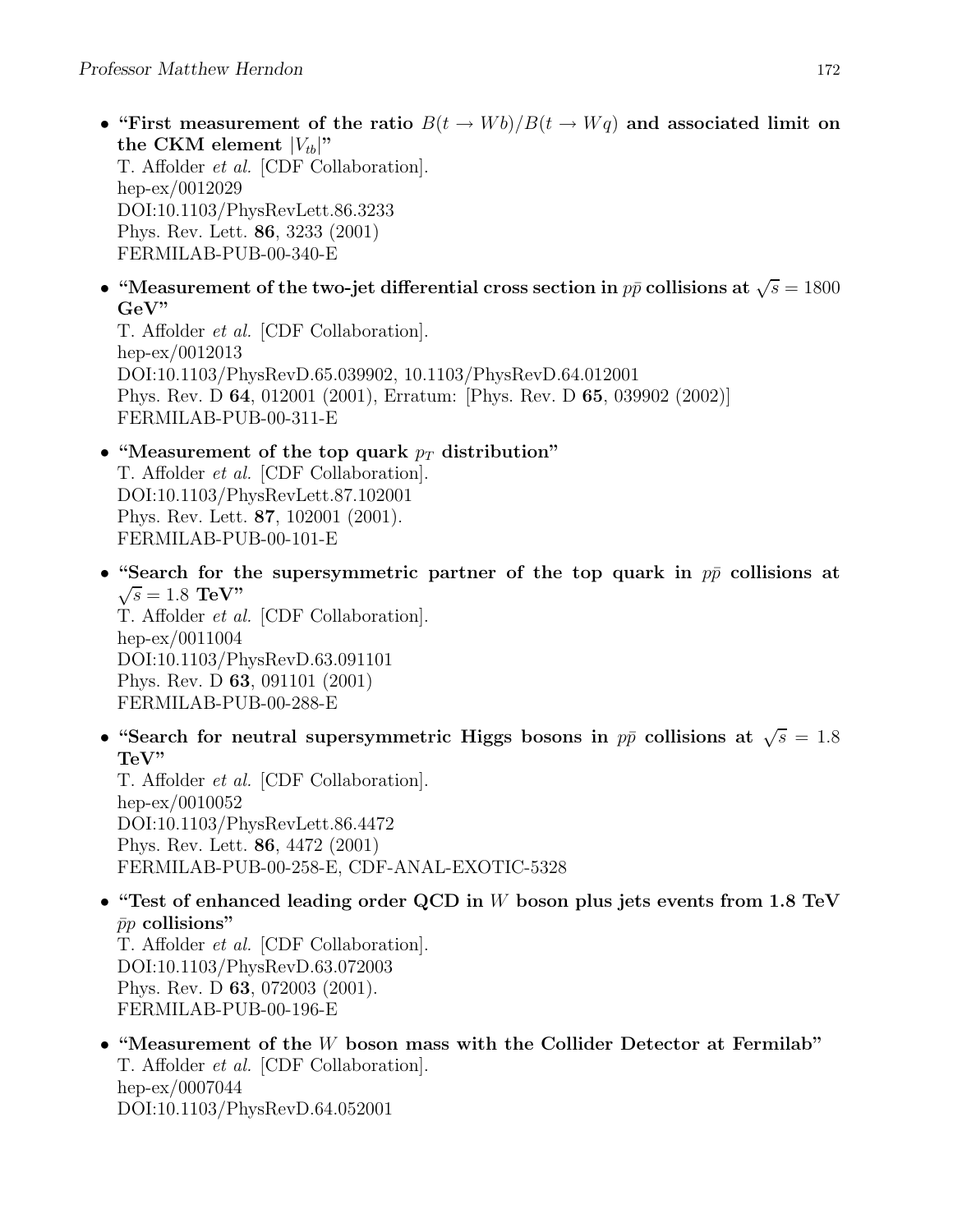- "First measurement of the ratio  $B(t \to Wb)/B(t \to Wq)$  and associated limit on the CKM element  $|V_{tb}|$ " T. Affolder et al. [CDF Collaboration]. hep-ex/0012029 DOI:10.1103/PhysRevLett.86.3233 Phys. Rev. Lett. 86, 3233 (2001) FERMILAB-PUB-00-340-E
- "Measurement of the two-jet differential cross section in  $p\bar{p}$  collisions at  $\sqrt{s} = 1800$ GeV"

T. Affolder et al. [CDF Collaboration]. hep-ex/0012013 DOI:10.1103/PhysRevD.65.039902, 10.1103/PhysRevD.64.012001 Phys. Rev. D 64, 012001 (2001), Erratum: [Phys. Rev. D 65, 039902 (2002)] FERMILAB-PUB-00-311-E

## • "Measurement of the top quark  $p_T$  distribution" T. Affolder et al. [CDF Collaboration]. DOI:10.1103/PhysRevLett.87.102001 Phys. Rev. Lett. 87, 102001 (2001). FERMILAB-PUB-00-101-E

- "Search for the supersymmetric partner of the top quark in  $p\bar{p}$  collisions at  $\sqrt{s} = 1.8 \text{ TeV}$ " T. Affolder et al. [CDF Collaboration]. hep-ex/0011004 DOI:10.1103/PhysRevD.63.091101 Phys. Rev. D 63, 091101 (2001)
- FERMILAB-PUB-00-288-E • "Search for neutral supersymmetric Higgs bosons in  $p\bar{p}$  collisions at  $\sqrt{s} = 1.8$

TeV" T. Affolder et al. [CDF Collaboration]. hep-ex/0010052 DOI:10.1103/PhysRevLett.86.4472 Phys. Rev. Lett. 86, 4472 (2001) FERMILAB-PUB-00-258-E, CDF-ANAL-EXOTIC-5328

• "Test of enhanced leading order QCD in W boson plus jets events from 1.8 TeV  $\bar{p}p$  collisions"

T. Affolder et al. [CDF Collaboration]. DOI:10.1103/PhysRevD.63.072003 Phys. Rev. D 63, 072003 (2001). FERMILAB-PUB-00-196-E

• "Measurement of the W boson mass with the Collider Detector at Fermilab" T. Affolder et al. [CDF Collaboration]. hep-ex/0007044 DOI:10.1103/PhysRevD.64.052001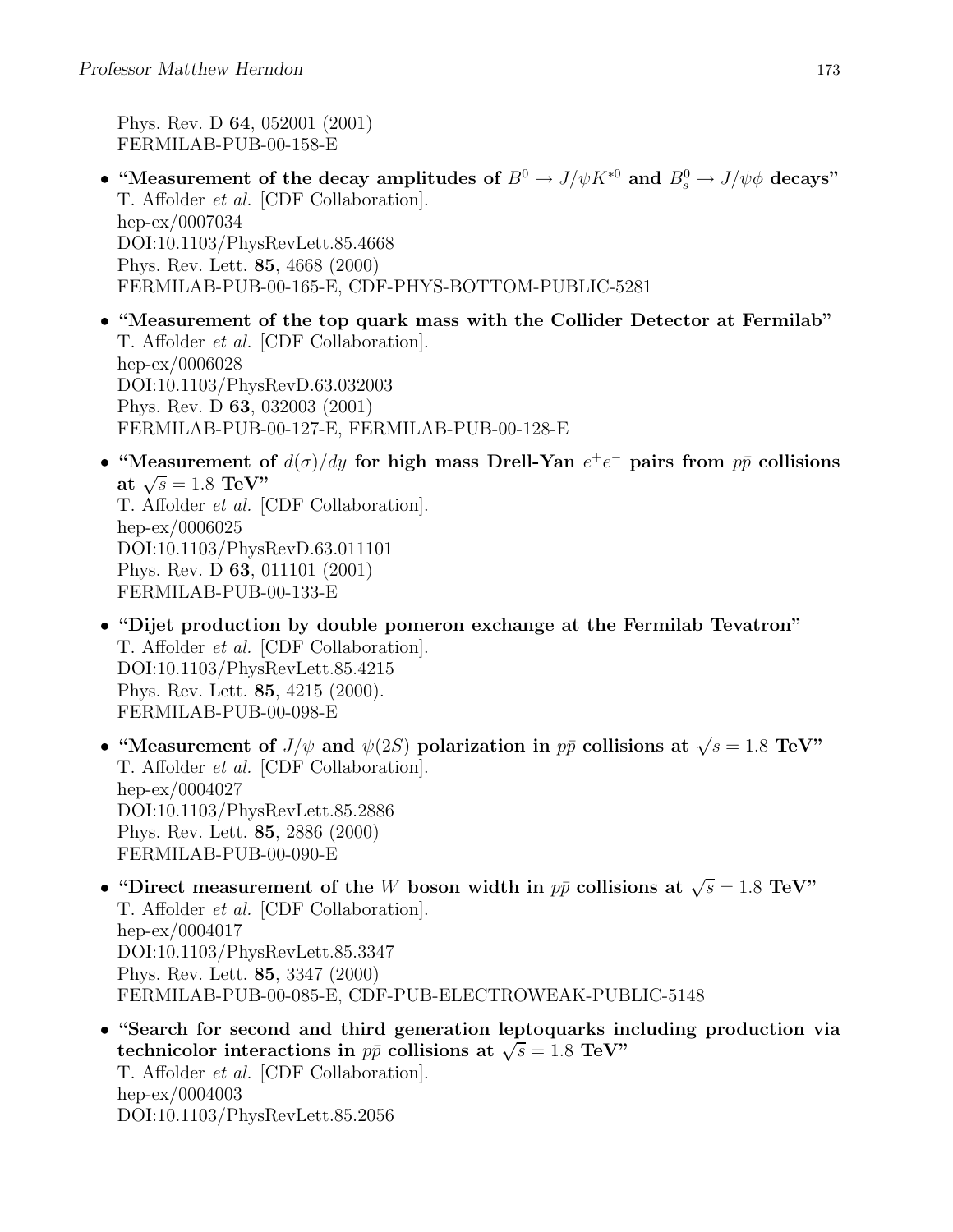Phys. Rev. D 64, 052001 (2001) FERMILAB-PUB-00-158-E

- "Measurement of the decay amplitudes of  $B^0 \to J/\psi K^{*0}$  and  $B_s^0 \to J/\psi \phi$  decays" T. Affolder et al. [CDF Collaboration]. hep-ex/0007034 DOI:10.1103/PhysRevLett.85.4668 Phys. Rev. Lett. 85, 4668 (2000) FERMILAB-PUB-00-165-E, CDF-PHYS-BOTTOM-PUBLIC-5281
- "Measurement of the top quark mass with the Collider Detector at Fermilab" T. Affolder et al. [CDF Collaboration]. hep-ex/0006028 DOI:10.1103/PhysRevD.63.032003 Phys. Rev. D 63, 032003 (2001) FERMILAB-PUB-00-127-E, FERMILAB-PUB-00-128-E
- "Measurement of  $d(\sigma)/dy$  for high mass Drell-Yan  $e^+e^-$  pairs from  $p\bar{p}$  collisions at  $\sqrt{s} = 1.8 \text{ TeV}$ " T. Affolder et al. [CDF Collaboration]. hep-ex/0006025 DOI:10.1103/PhysRevD.63.011101 Phys. Rev. D 63, 011101 (2001)
	- FERMILAB-PUB-00-133-E
- "Dijet production by double pomeron exchange at the Fermilab Tevatron" T. Affolder et al. [CDF Collaboration]. DOI:10.1103/PhysRevLett.85.4215 Phys. Rev. Lett. 85, 4215 (2000). FERMILAB-PUB-00-098-E
- "Measurement of  $J/\psi$  and  $\psi(2S)$  polarization in  $p\bar{p}$  collisions at  $\sqrt{s} = 1.8$  TeV" T. Affolder et al. [CDF Collaboration]. hep-ex/0004027 DOI:10.1103/PhysRevLett.85.2886 Phys. Rev. Lett. 85, 2886 (2000) FERMILAB-PUB-00-090-E
- "Direct measurement of the W boson width in  $p\bar{p}$  collisions at  $\sqrt{s} = 1.8$  TeV" T. Affolder et al. [CDF Collaboration]. hep-ex/0004017 DOI:10.1103/PhysRevLett.85.3347 Phys. Rev. Lett. 85, 3347 (2000) FERMILAB-PUB-00-085-E, CDF-PUB-ELECTROWEAK-PUBLIC-5148
- "Search for second and third generation leptoquarks including production via technicolor interactions in  $p\bar{p}$  collisions at  $\sqrt{s} = 1.8$  TeV" T. Affolder et al. [CDF Collaboration]. hep-ex/0004003 DOI:10.1103/PhysRevLett.85.2056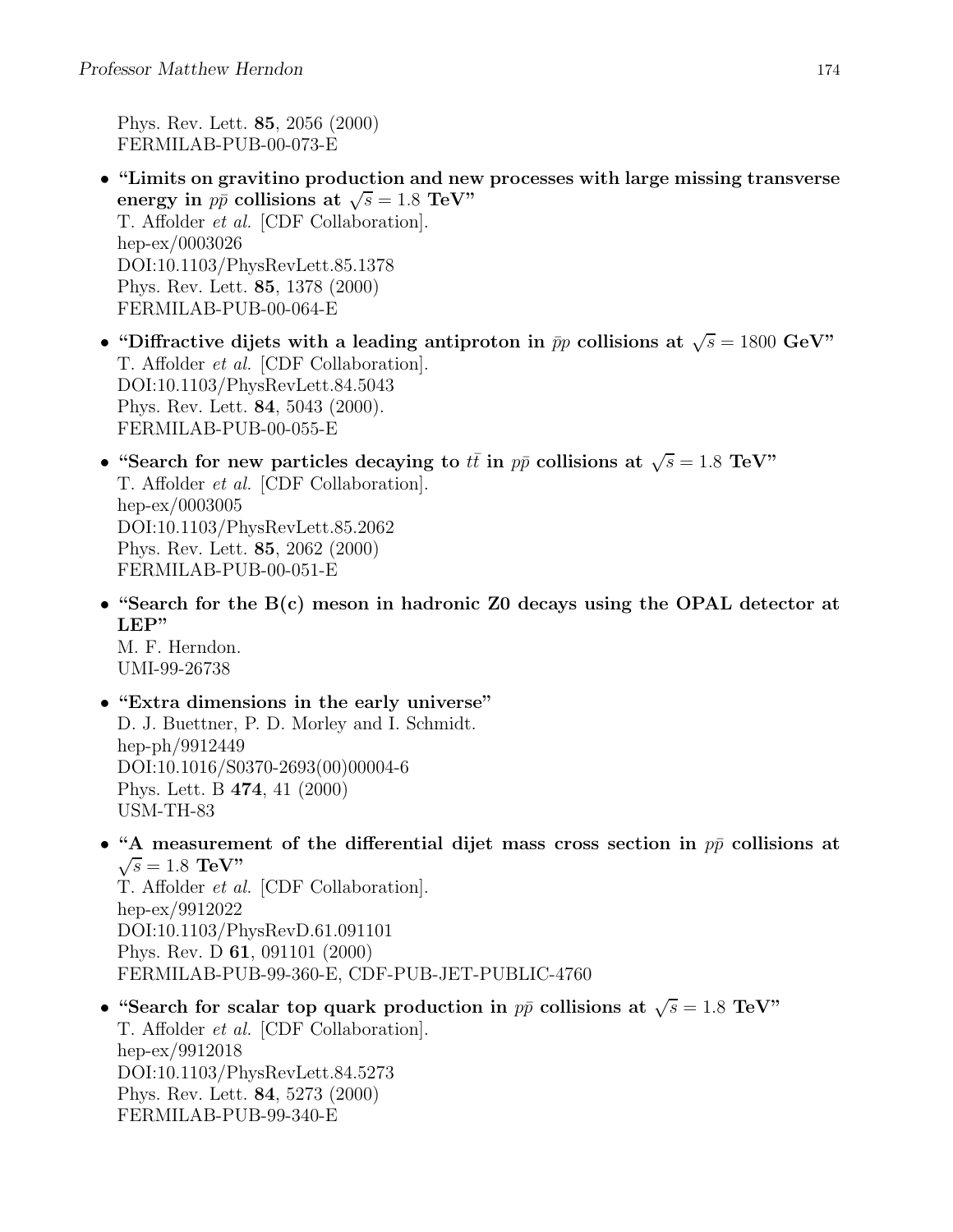Phys. Rev. Lett. 85, 2056 (2000) FERMILAB-PUB-00-073-E

- "Limits on gravitino production and new processes with large missing transverse energy in  $p\bar{p}$  collisions at  $\sqrt{s} = 1.8$  TeV" T. Affolder et al. [CDF Collaboration]. hep-ex/0003026 DOI:10.1103/PhysRevLett.85.1378 Phys. Rev. Lett. 85, 1378 (2000) FERMILAB-PUB-00-064-E
- "Diffractive dijets with a leading antiproton in  $\bar{p}p$  collisions at  $\sqrt{s} = 1800 \text{ GeV}$ " T. Affolder et al. [CDF Collaboration]. DOI:10.1103/PhysRevLett.84.5043 Phys. Rev. Lett. 84, 5043 (2000). FERMILAB-PUB-00-055-E
- "Search for new particles decaying to  $t\bar{t}$  in  $p\bar{p}$  collisions at  $\sqrt{s} = 1.8$  TeV" T. Affolder et al. [CDF Collaboration]. hep-ex/0003005 DOI:10.1103/PhysRevLett.85.2062 Phys. Rev. Lett. 85, 2062 (2000) FERMILAB-PUB-00-051-E
- "Search for the B(c) meson in hadronic Z0 decays using the OPAL detector at LEP"

M. F. Herndon. UMI-99-26738

- "Extra dimensions in the early universe" D. J. Buettner, P. D. Morley and I. Schmidt. hep-ph/9912449 DOI:10.1016/S0370-2693(00)00004-6 Phys. Lett. B 474, 41 (2000) USM-TH-83
- "A measurement of the differential dijet mass cross section in  $p\bar{p}$  collisions at  $\sqrt{s} = 1.8 \text{ TeV}$ "

T. Affolder et al. [CDF Collaboration]. hep-ex/9912022 DOI:10.1103/PhysRevD.61.091101 Phys. Rev. D 61, 091101 (2000) FERMILAB-PUB-99-360-E, CDF-PUB-JET-PUBLIC-4760

• "Search for scalar top quark production in  $p\bar{p}$  collisions at  $\sqrt{s} = 1.8$  TeV" T. Affolder et al. [CDF Collaboration]. hep-ex/9912018 DOI:10.1103/PhysRevLett.84.5273 Phys. Rev. Lett. 84, 5273 (2000) FERMILAB-PUB-99-340-E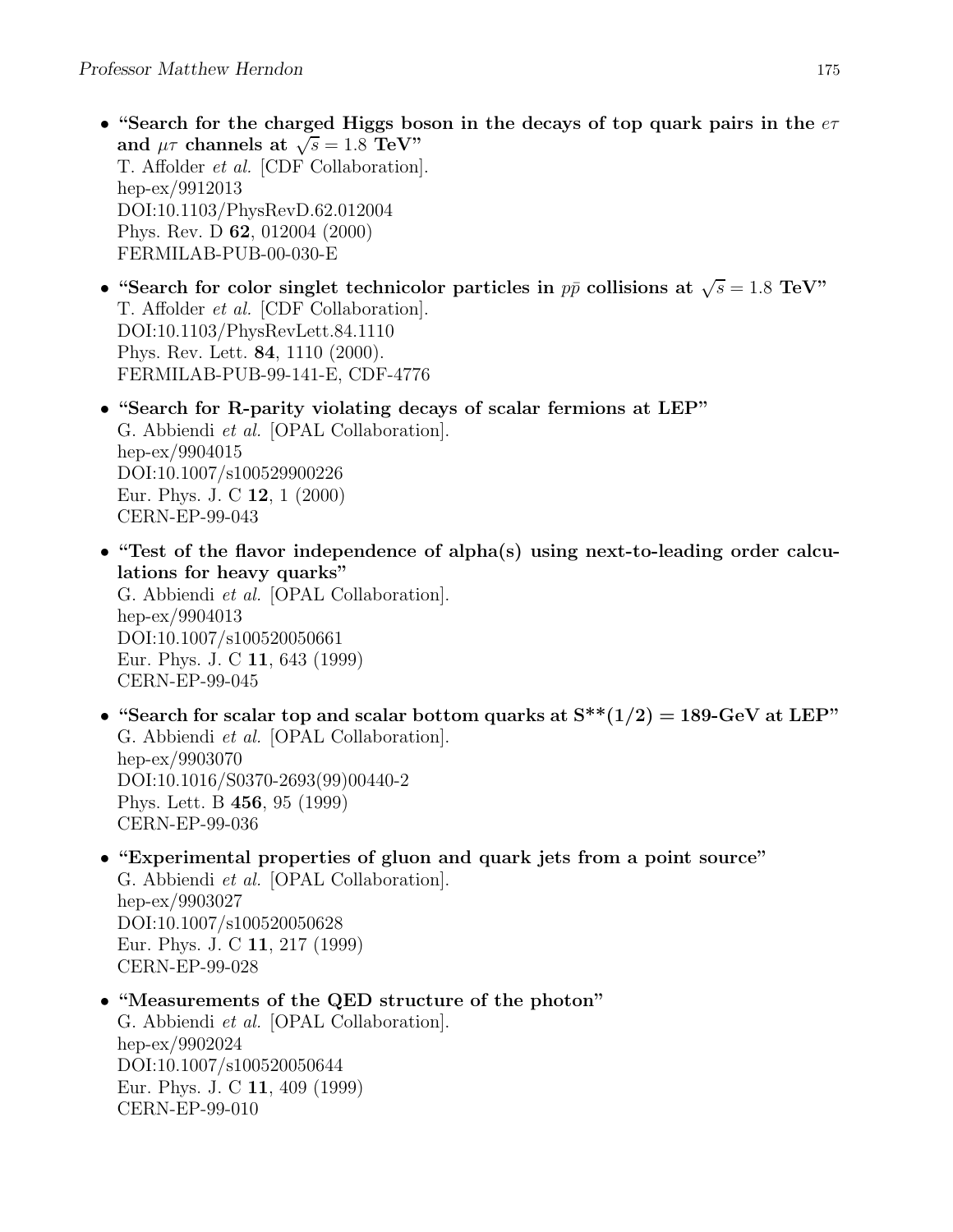- "Search for the charged Higgs boson in the decays of top quark pairs in the  $e\tau$ and  $\mu\tau$  channels at  $\sqrt{s} = 1.8$  TeV" T. Affolder et al. [CDF Collaboration]. hep-ex/9912013 DOI:10.1103/PhysRevD.62.012004 Phys. Rev. D 62, 012004 (2000) FERMILAB-PUB-00-030-E
- "Search for color singlet technicolor particles in  $p\bar{p}$  collisions at  $\sqrt{s} = 1.8$  TeV" T. Affolder et al. [CDF Collaboration]. DOI:10.1103/PhysRevLett.84.1110 Phys. Rev. Lett. 84, 1110 (2000). FERMILAB-PUB-99-141-E, CDF-4776
- "Search for R-parity violating decays of scalar fermions at LEP" G. Abbiendi et al. [OPAL Collaboration]. hep-ex/9904015 DOI:10.1007/s100529900226 Eur. Phys. J. C 12, 1 (2000) CERN-EP-99-043
- "Test of the flavor independence of alpha(s) using next-to-leading order calculations for heavy quarks" G. Abbiendi et al. [OPAL Collaboration]. hep-ex/9904013 DOI:10.1007/s100520050661 Eur. Phys. J. C 11, 643 (1999) CERN-EP-99-045
- "Search for scalar top and scalar bottom quarks at  $S^{**}(1/2) = 189$ -GeV at LEP" G. Abbiendi et al. [OPAL Collaboration]. hep-ex/9903070 DOI:10.1016/S0370-2693(99)00440-2 Phys. Lett. B 456, 95 (1999) CERN-EP-99-036
- "Experimental properties of gluon and quark jets from a point source" G. Abbiendi et al. [OPAL Collaboration]. hep-ex/9903027 DOI:10.1007/s100520050628 Eur. Phys. J. C 11, 217 (1999) CERN-EP-99-028
- "Measurements of the QED structure of the photon" G. Abbiendi et al. [OPAL Collaboration]. hep-ex/9902024 DOI:10.1007/s100520050644 Eur. Phys. J. C 11, 409 (1999) CERN-EP-99-010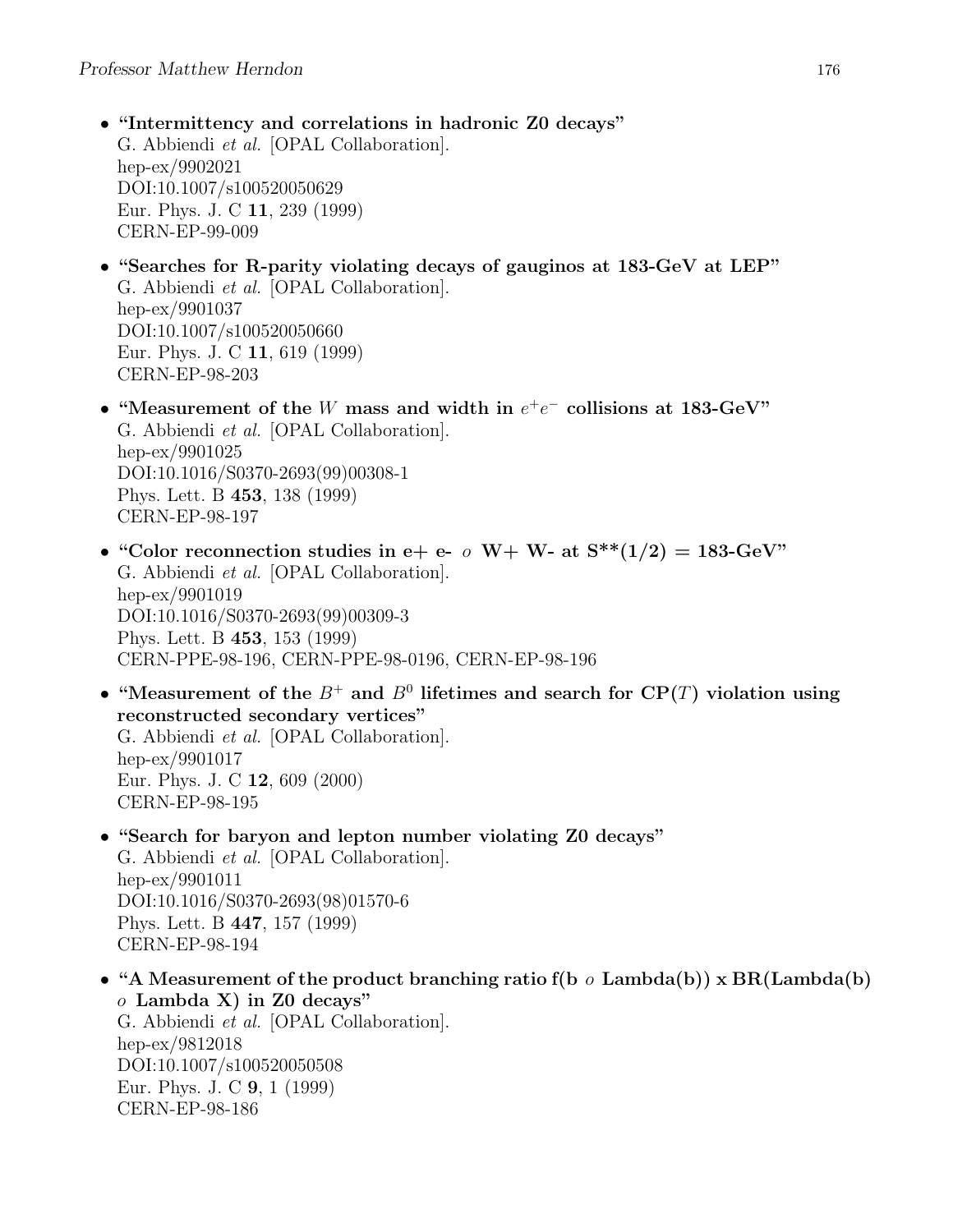- "Intermittency and correlations in hadronic Z0 decays" G. Abbiendi et al. [OPAL Collaboration]. hep-ex/9902021 DOI:10.1007/s100520050629 Eur. Phys. J. C 11, 239 (1999) CERN-EP-99-009
- "Searches for R-parity violating decays of gauginos at 183-GeV at LEP" G. Abbiendi et al. [OPAL Collaboration]. hep-ex/9901037 DOI:10.1007/s100520050660 Eur. Phys. J. C 11, 619 (1999) CERN-EP-98-203
- "Measurement of the W mass and width in  $e^+e^-$  collisions at 183-GeV" G. Abbiendi et al. [OPAL Collaboration]. hep-ex/9901025 DOI:10.1016/S0370-2693(99)00308-1 Phys. Lett. B 453, 138 (1999) CERN-EP-98-197
- "Color reconnection studies in e+ e-  $\sigma$  W+ W- at  $S^{**}(1/2) = 183$ -GeV" G. Abbiendi et al. [OPAL Collaboration]. hep-ex/9901019 DOI:10.1016/S0370-2693(99)00309-3 Phys. Lett. B 453, 153 (1999) CERN-PPE-98-196, CERN-PPE-98-0196, CERN-EP-98-196
- "Measurement of the  $B^+$  and  $B^0$  lifetimes and search for  $\mathbf{CP}(T)$  violation using reconstructed secondary vertices" G. Abbiendi et al. [OPAL Collaboration]. hep-ex/9901017 Eur. Phys. J. C 12, 609 (2000) CERN-EP-98-195
- "Search for baryon and lepton number violating Z0 decays" G. Abbiendi et al. [OPAL Collaboration]. hep-ex/9901011 DOI:10.1016/S0370-2693(98)01570-6 Phys. Lett. B 447, 157 (1999) CERN-EP-98-194
- "A Measurement of the product branching ratio f(b  $\sigma$  Lambda(b)) x BR(Lambda(b)  $o$  Lambda X) in Z0 decays" G. Abbiendi et al. [OPAL Collaboration]. hep-ex/9812018 DOI:10.1007/s100520050508 Eur. Phys. J. C 9, 1 (1999) CERN-EP-98-186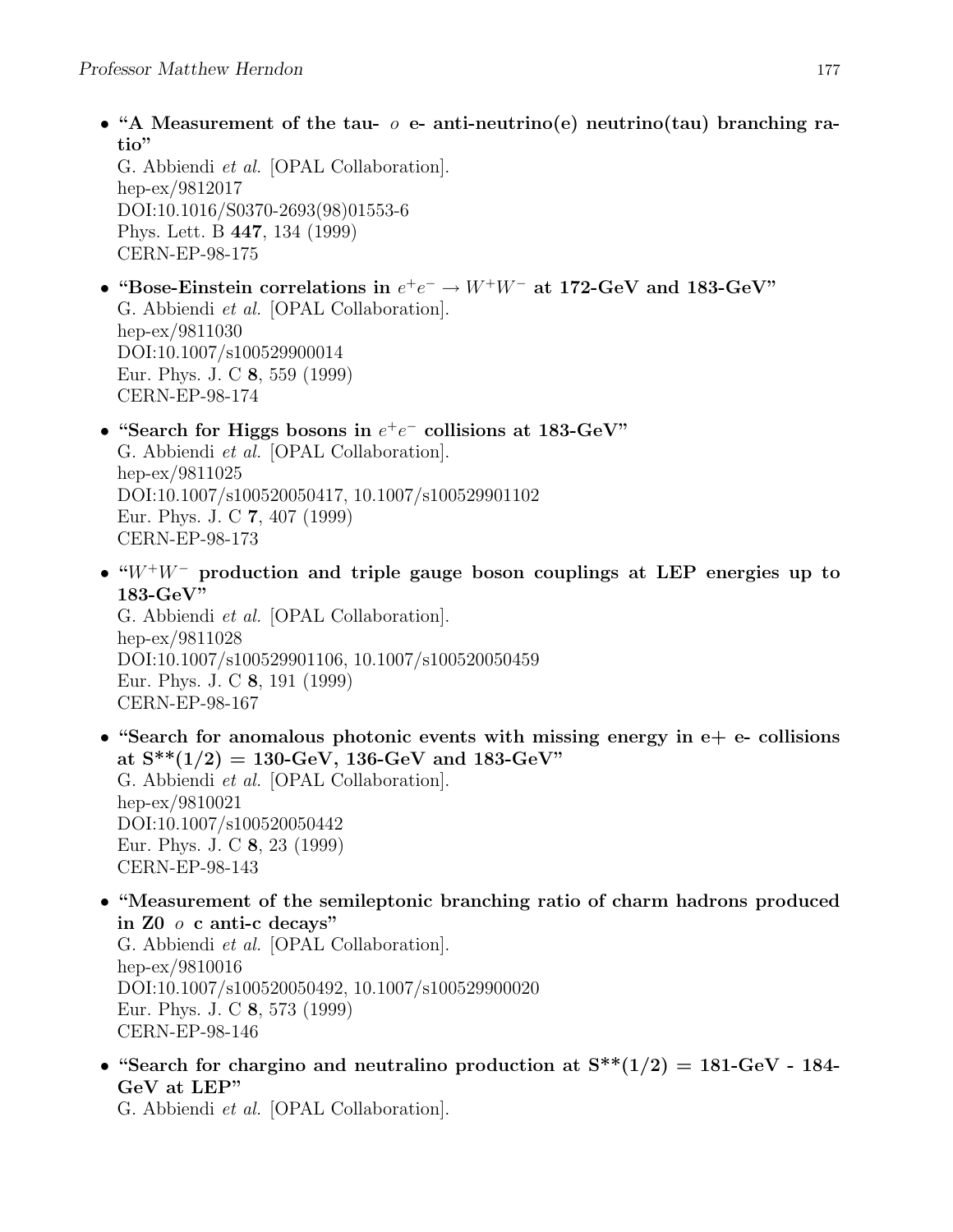• "A Measurement of the tau-  $o$  e- anti-neutrino(e) neutrino(tau) branching ratio"

G. Abbiendi et al. [OPAL Collaboration]. hep-ex/9812017 DOI:10.1016/S0370-2693(98)01553-6 Phys. Lett. B 447, 134 (1999) CERN-EP-98-175

- "Bose-Einstein correlations in  $e^+e^- \to W^+W^-$  at 172-GeV and 183-GeV" G. Abbiendi et al. [OPAL Collaboration]. hep-ex/9811030 DOI:10.1007/s100529900014 Eur. Phys. J. C 8, 559 (1999) CERN-EP-98-174
- "Search for Higgs bosons in  $e^+e^-$  collisions at 183-GeV" G. Abbiendi et al. [OPAL Collaboration]. hep-ex/9811025 DOI:10.1007/s100520050417, 10.1007/s100529901102 Eur. Phys. J. C 7, 407 (1999) CERN-EP-98-173
- " $W^+W^-$  production and triple gauge boson couplings at LEP energies up to 183-GeV"

G. Abbiendi et al. [OPAL Collaboration]. hep-ex/9811028 DOI:10.1007/s100529901106, 10.1007/s100520050459 Eur. Phys. J. C 8, 191 (1999) CERN-EP-98-167

- "Search for anomalous photonic events with missing energy in  $e+e-$  collisions at  $S^{**}(1/2) = 130$ -GeV, 136-GeV and 183-GeV" G. Abbiendi et al. [OPAL Collaboration]. hep-ex/9810021 DOI:10.1007/s100520050442 Eur. Phys. J. C 8, 23 (1999) CERN-EP-98-143
- "Measurement of the semileptonic branching ratio of charm hadrons produced in Z0 o c anti-c decays" G. Abbiendi et al. [OPAL Collaboration]. hep-ex/9810016 DOI:10.1007/s100520050492, 10.1007/s100529900020 Eur. Phys. J. C 8, 573 (1999) CERN-EP-98-146
- "Search for chargino and neutralino production at  $S^{**}(1/2) = 181$ -GeV 184-GeV at LEP"

G. Abbiendi et al. [OPAL Collaboration].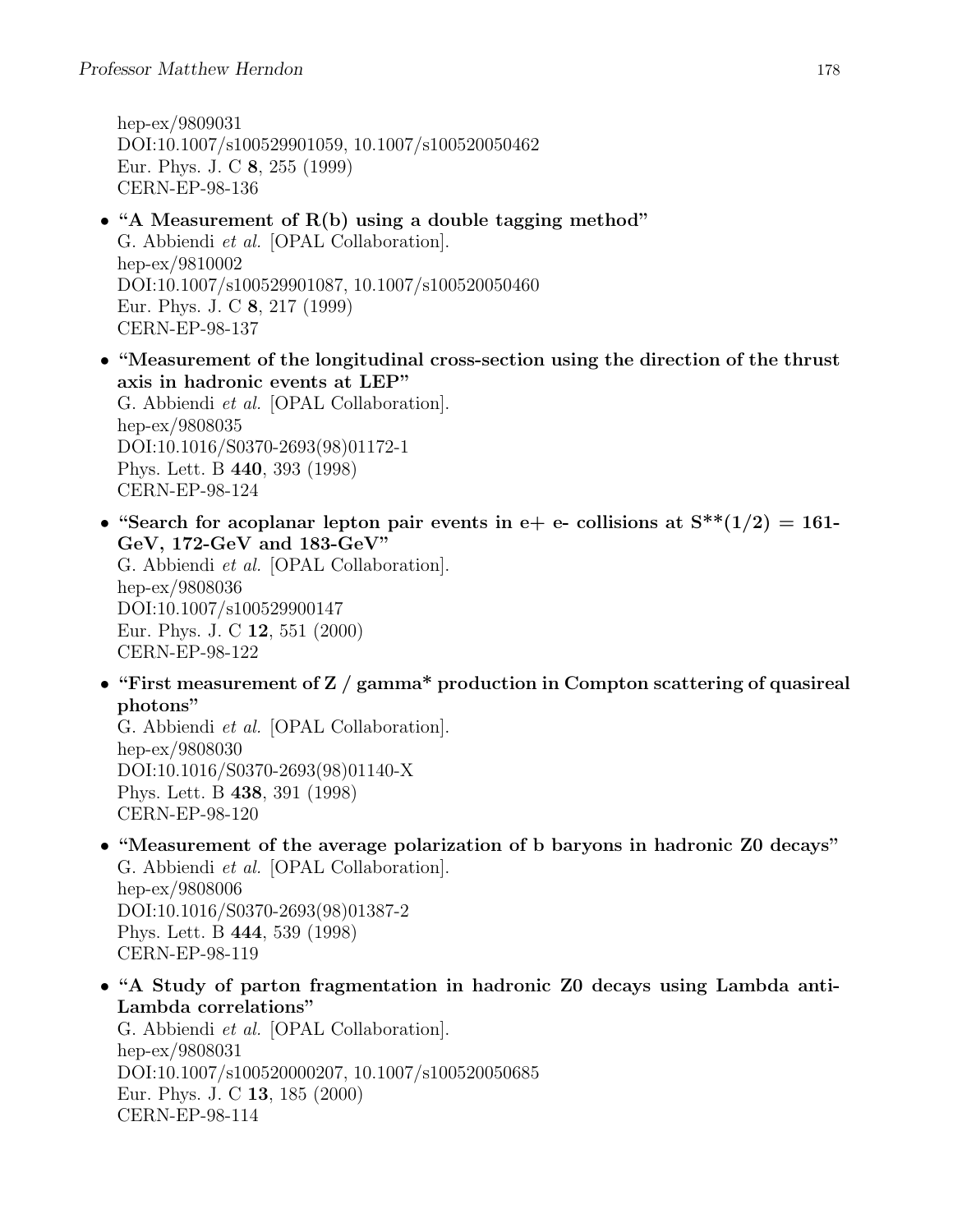hep-ex/9809031 DOI:10.1007/s100529901059, 10.1007/s100520050462 Eur. Phys. J. C 8, 255 (1999) CERN-EP-98-136

- "A Measurement of R(b) using a double tagging method" G. Abbiendi et al. [OPAL Collaboration]. hep-ex/9810002 DOI:10.1007/s100529901087, 10.1007/s100520050460 Eur. Phys. J. C 8, 217 (1999) CERN-EP-98-137
- "Measurement of the longitudinal cross-section using the direction of the thrust axis in hadronic events at LEP" G. Abbiendi et al. [OPAL Collaboration]. hep-ex/9808035 DOI:10.1016/S0370-2693(98)01172-1 Phys. Lett. B 440, 393 (1998) CERN-EP-98-124
- "Search for acoplanar lepton pair events in e+ e- collisions at  $S^{**}(1/2) = 161$ -GeV, 172-GeV and 183-GeV"

G. Abbiendi et al. [OPAL Collaboration]. hep-ex/9808036 DOI:10.1007/s100529900147 Eur. Phys. J. C 12, 551 (2000) CERN-EP-98-122

• "First measurement of Z / gamma\* production in Compton scattering of quasireal photons"

G. Abbiendi et al. [OPAL Collaboration]. hep-ex/9808030 DOI:10.1016/S0370-2693(98)01140-X Phys. Lett. B 438, 391 (1998) CERN-EP-98-120

• "Measurement of the average polarization of b baryons in hadronic Z0 decays" G. Abbiendi et al. [OPAL Collaboration].

hep-ex/9808006 DOI:10.1016/S0370-2693(98)01387-2 Phys. Lett. B 444, 539 (1998) CERN-EP-98-119

• "A Study of parton fragmentation in hadronic Z0 decays using Lambda anti-Lambda correlations"

G. Abbiendi et al. [OPAL Collaboration]. hep-ex/9808031 DOI:10.1007/s100520000207, 10.1007/s100520050685 Eur. Phys. J. C 13, 185 (2000) CERN-EP-98-114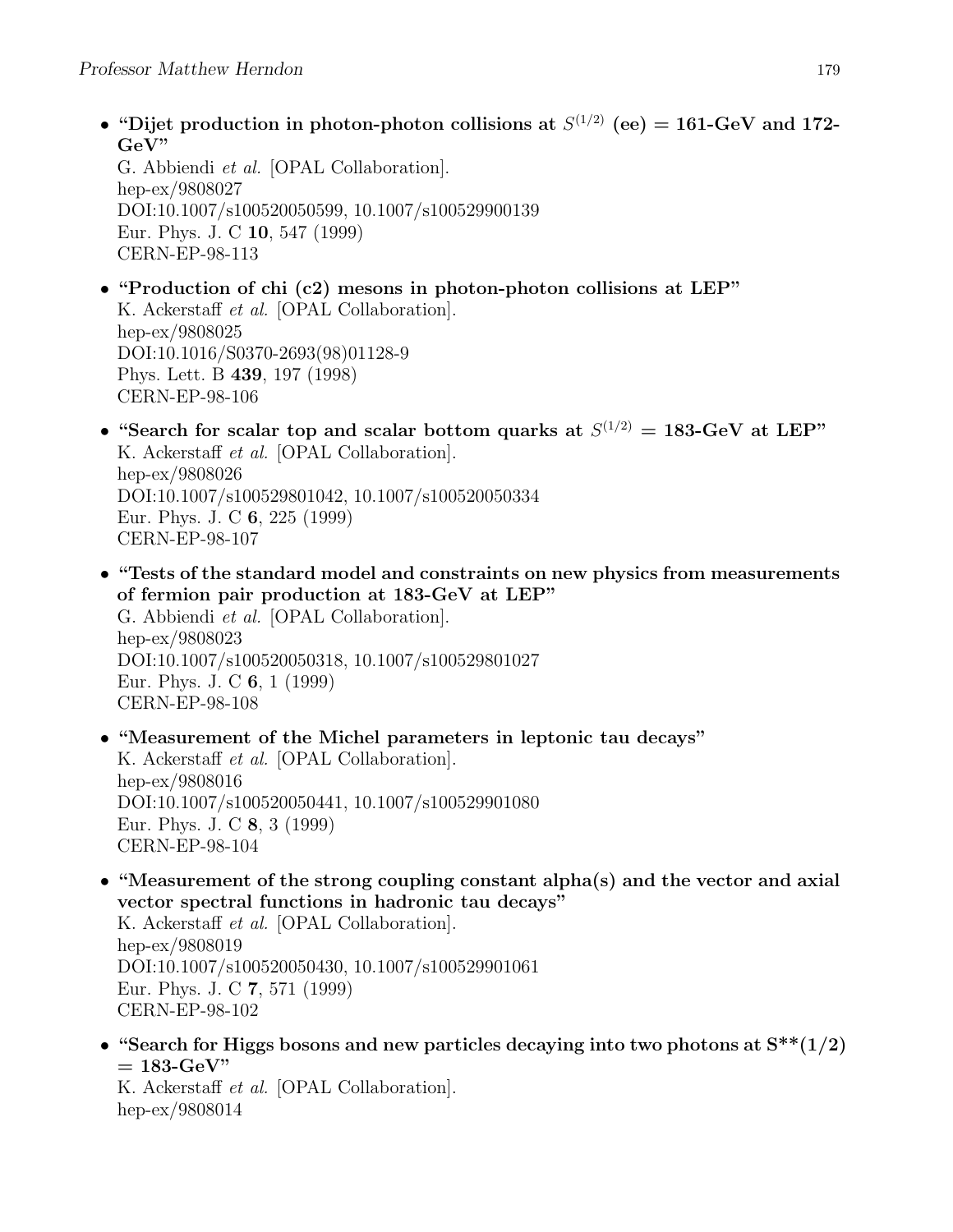• "Dijet production in photon-photon collisions at  $S^{(1/2)}$  (ee) = 161-GeV and 172-GeV"

G. Abbiendi et al. [OPAL Collaboration]. hep-ex/9808027 DOI:10.1007/s100520050599, 10.1007/s100529900139 Eur. Phys. J. C 10, 547 (1999) CERN-EP-98-113

- "Production of chi (c2) mesons in photon-photon collisions at LEP" K. Ackerstaff et al. [OPAL Collaboration]. hep-ex/9808025 DOI:10.1016/S0370-2693(98)01128-9 Phys. Lett. B 439, 197 (1998) CERN-EP-98-106
- "Search for scalar top and scalar bottom quarks at  $S^{(1/2)} = 183$ -GeV at LEP" K. Ackerstaff et al. [OPAL Collaboration]. hep-ex/9808026 DOI:10.1007/s100529801042, 10.1007/s100520050334 Eur. Phys. J. C 6, 225 (1999) CERN-EP-98-107
- "Tests of the standard model and constraints on new physics from measurements of fermion pair production at 183-GeV at LEP" G. Abbiendi et al. [OPAL Collaboration]. hep-ex/9808023 DOI:10.1007/s100520050318, 10.1007/s100529801027 Eur. Phys. J. C 6, 1 (1999) CERN-EP-98-108
- "Measurement of the Michel parameters in leptonic tau decays" K. Ackerstaff et al. [OPAL Collaboration]. hep-ex/9808016 DOI:10.1007/s100520050441, 10.1007/s100529901080 Eur. Phys. J. C 8, 3 (1999) CERN-EP-98-104
- "Measurement of the strong coupling constant alpha(s) and the vector and axial vector spectral functions in hadronic tau decays"

K. Ackerstaff et al. [OPAL Collaboration]. hep-ex/9808019 DOI:10.1007/s100520050430, 10.1007/s100529901061 Eur. Phys. J. C 7, 571 (1999) CERN-EP-98-102

• "Search for Higgs bosons and new particles decaying into two photons at  $S^{**}(1/2)$  $= 183$ -GeV"

K. Ackerstaff et al. [OPAL Collaboration]. hep-ex/9808014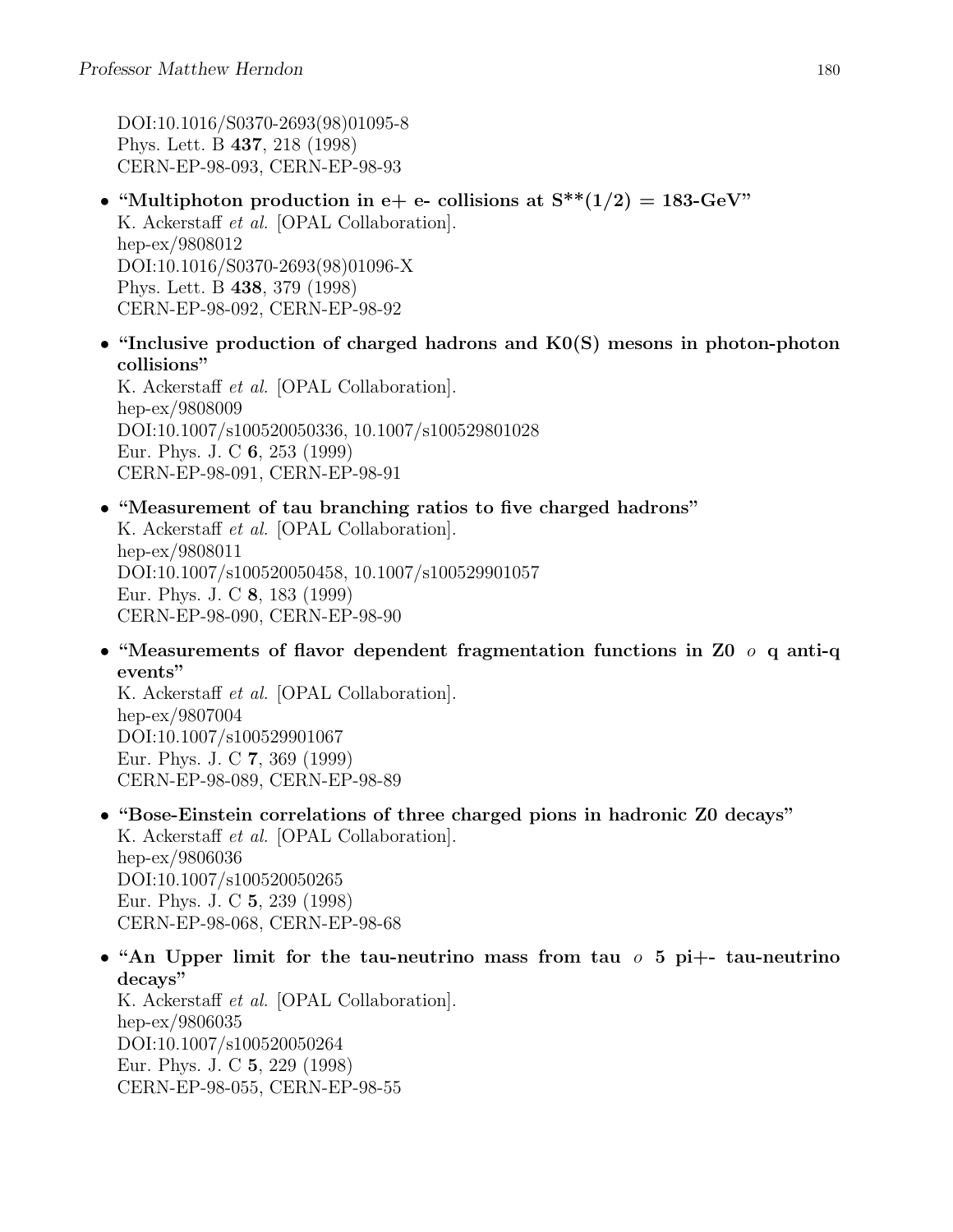DOI:10.1016/S0370-2693(98)01095-8 Phys. Lett. B 437, 218 (1998) CERN-EP-98-093, CERN-EP-98-93

- "Multiphoton production in e+ e- collisions at  $S^{**}(1/2) = 183$ -GeV" K. Ackerstaff et al. [OPAL Collaboration]. hep-ex/9808012 DOI:10.1016/S0370-2693(98)01096-X Phys. Lett. B 438, 379 (1998) CERN-EP-98-092, CERN-EP-98-92
- "Inclusive production of charged hadrons and K0(S) mesons in photon-photon collisions"

K. Ackerstaff et al. [OPAL Collaboration]. hep-ex/9808009 DOI:10.1007/s100520050336, 10.1007/s100529801028 Eur. Phys. J. C 6, 253 (1999) CERN-EP-98-091, CERN-EP-98-91

• "Measurement of tau branching ratios to five charged hadrons" K. Ackerstaff et al. [OPAL Collaboration].

hep-ex/9808011 DOI:10.1007/s100520050458, 10.1007/s100529901057 Eur. Phys. J. C 8, 183 (1999) CERN-EP-98-090, CERN-EP-98-90

• "Measurements of flavor dependent fragmentation functions in Z0  $\sigma$  q anti-q events"

K. Ackerstaff et al. [OPAL Collaboration]. hep-ex/9807004 DOI:10.1007/s100529901067 Eur. Phys. J. C 7, 369 (1999) CERN-EP-98-089, CERN-EP-98-89

- "Bose-Einstein correlations of three charged pions in hadronic Z0 decays" K. Ackerstaff et al. [OPAL Collaboration]. hep-ex/9806036 DOI:10.1007/s100520050265 Eur. Phys. J. C 5, 239 (1998) CERN-EP-98-068, CERN-EP-98-68
- "An Upper limit for the tau-neutrino mass from tau  $\sigma$  5 pi+- tau-neutrino decays"

K. Ackerstaff et al. [OPAL Collaboration]. hep-ex/9806035 DOI:10.1007/s100520050264 Eur. Phys. J. C 5, 229 (1998) CERN-EP-98-055, CERN-EP-98-55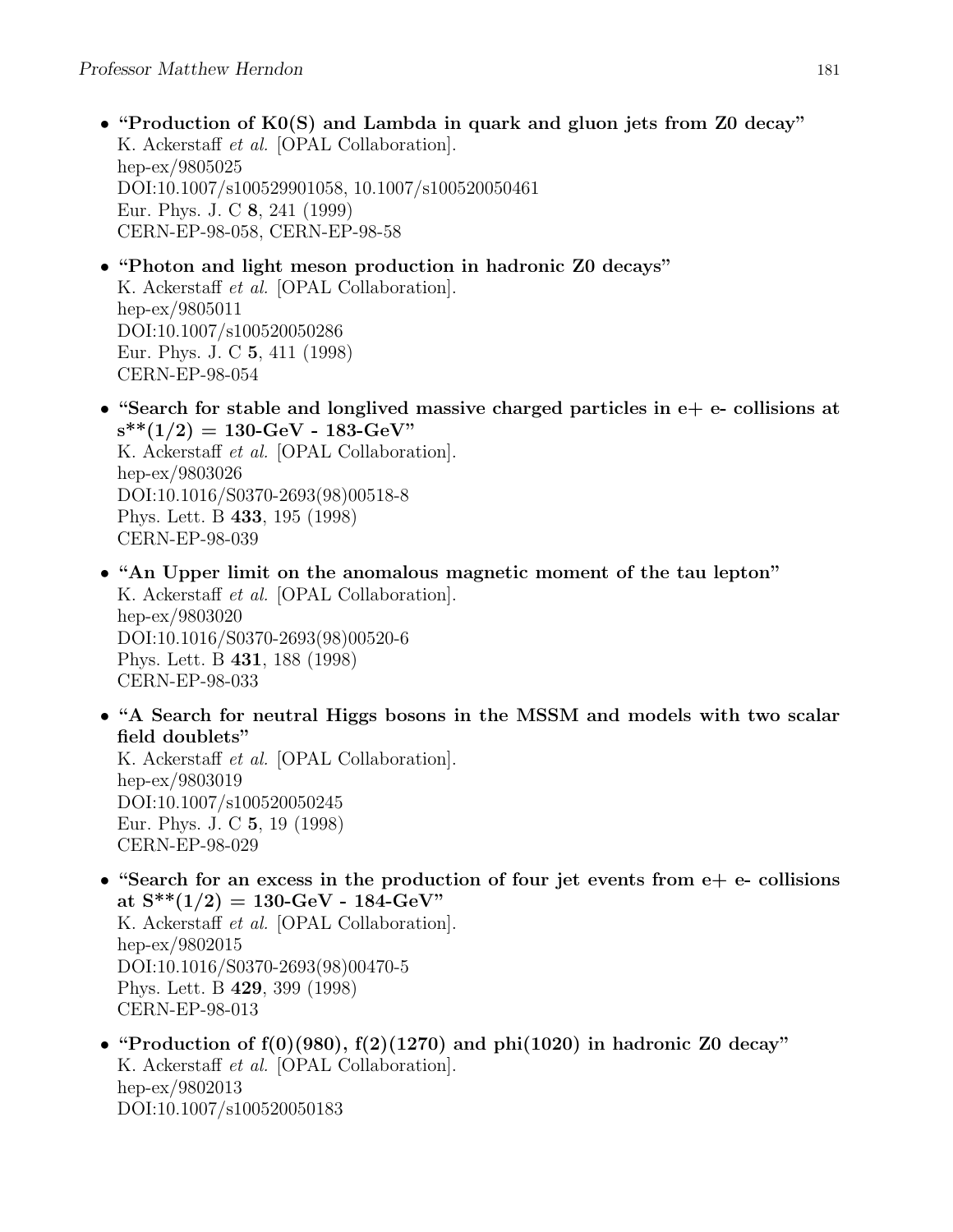- "Production of K0(S) and Lambda in quark and gluon jets from Z0 decay" K. Ackerstaff et al. [OPAL Collaboration]. hep-ex/9805025 DOI:10.1007/s100529901058, 10.1007/s100520050461 Eur. Phys. J. C 8, 241 (1999) CERN-EP-98-058, CERN-EP-98-58
- "Photon and light meson production in hadronic Z0 decays" K. Ackerstaff et al. [OPAL Collaboration]. hep-ex/9805011 DOI:10.1007/s100520050286 Eur. Phys. J. C 5, 411 (1998) CERN-EP-98-054
- "Search for stable and longlived massive charged particles in  $e+e-$  collisions at  $s^{**}(1/2) = 130$ -GeV - 183-GeV" K. Ackerstaff et al. [OPAL Collaboration]. hep-ex/9803026

DOI:10.1016/S0370-2693(98)00518-8 Phys. Lett. B 433, 195 (1998) CERN-EP-98-039

- "An Upper limit on the anomalous magnetic moment of the tau lepton" K. Ackerstaff et al. [OPAL Collaboration]. hep-ex/9803020 DOI:10.1016/S0370-2693(98)00520-6 Phys. Lett. B 431, 188 (1998) CERN-EP-98-033
- "A Search for neutral Higgs bosons in the MSSM and models with two scalar field doublets"

K. Ackerstaff et al. [OPAL Collaboration]. hep-ex/9803019 DOI:10.1007/s100520050245 Eur. Phys. J. C 5, 19 (1998) CERN-EP-98-029

• "Search for an excess in the production of four jet events from  $e + e$ - collisions at  $S^{**}(1/2) = 130$ -GeV - 184-GeV" K. Ackerstaff et al. [OPAL Collaboration]. hep-ex/9802015 DOI:10.1016/S0370-2693(98)00470-5

Phys. Lett. B 429, 399 (1998) CERN-EP-98-013

• "Production of  $f(0)(980)$ ,  $f(2)(1270)$  and  $phi(1020)$  in hadronic Z0 decay" K. Ackerstaff et al. [OPAL Collaboration]. hep-ex/9802013 DOI:10.1007/s100520050183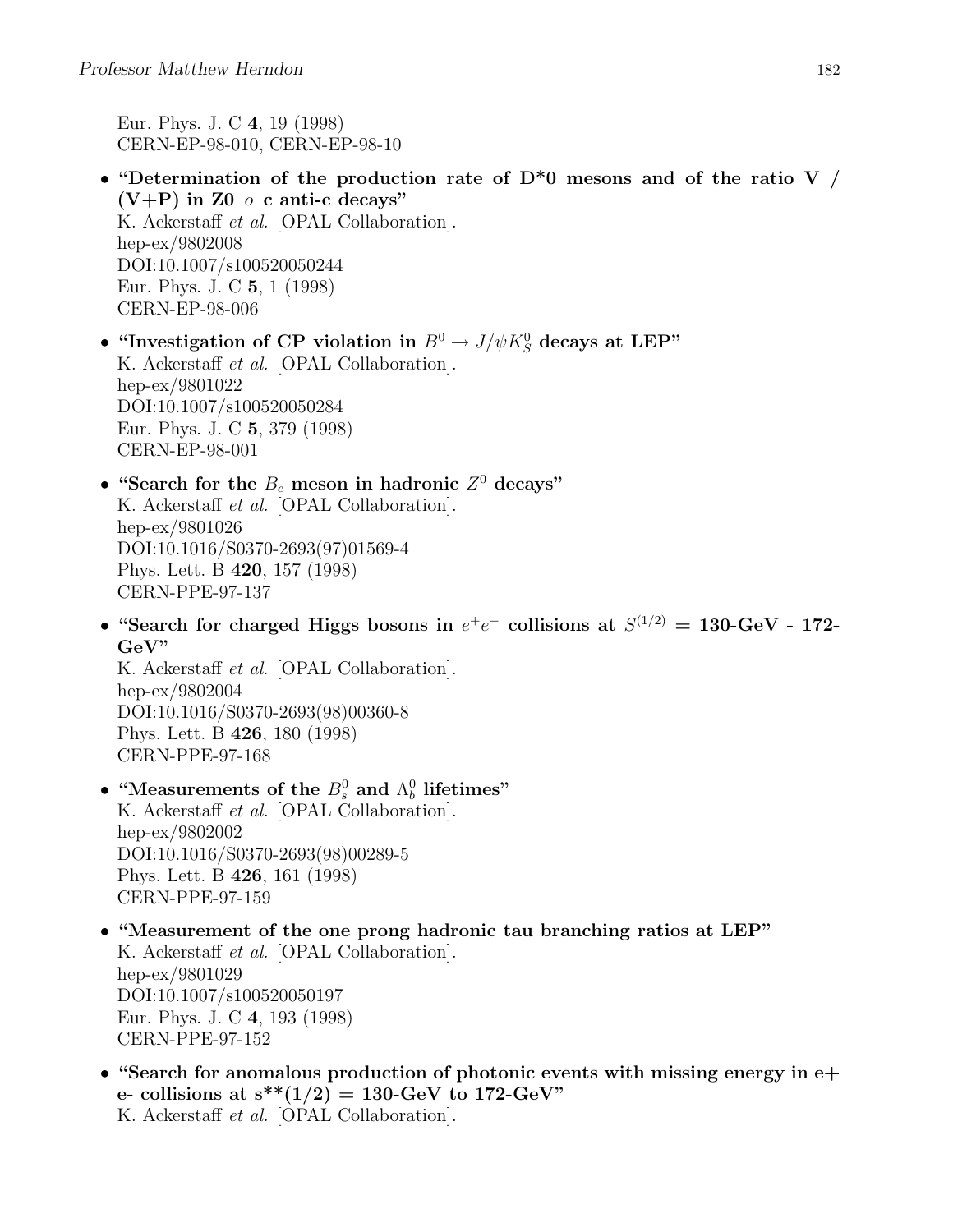Eur. Phys. J. C 4, 19 (1998) CERN-EP-98-010, CERN-EP-98-10

- "Determination of the production rate of  $D^*0$  mesons and of the ratio V /  $(V+P)$  in Z0  $\circ$  c anti-c decays" K. Ackerstaff et al. [OPAL Collaboration]. hep-ex/9802008 DOI:10.1007/s100520050244 Eur. Phys. J. C 5, 1 (1998) CERN-EP-98-006
- "Investigation of CP violation in  $B^0 \to J/\psi K_S^0$  decays at LEP" K. Ackerstaff et al. [OPAL Collaboration]. hep-ex/9801022 DOI:10.1007/s100520050284 Eur. Phys. J. C 5, 379 (1998) CERN-EP-98-001
- "Search for the  $B_c$  meson in hadronic  $Z<sup>0</sup>$  decays" K. Ackerstaff et al. [OPAL Collaboration]. hep-ex/9801026 DOI:10.1016/S0370-2693(97)01569-4 Phys. Lett. B 420, 157 (1998) CERN-PPE-97-137
- "Search for charged Higgs bosons in  $e^+e^-$  collisions at  $S^{(1/2)} = 130$ -GeV 172-GeV"

K. Ackerstaff et al. [OPAL Collaboration]. hep-ex/9802004 DOI:10.1016/S0370-2693(98)00360-8 Phys. Lett. B 426, 180 (1998) CERN-PPE-97-168

- "Measurements of the  $B_s^0$  and  $\Lambda_b^0$  lifetimes" K. Ackerstaff et al. [OPAL Collaboration]. hep-ex/9802002 DOI:10.1016/S0370-2693(98)00289-5 Phys. Lett. B 426, 161 (1998) CERN-PPE-97-159
- "Measurement of the one prong hadronic tau branching ratios at LEP" K. Ackerstaff et al. [OPAL Collaboration]. hep-ex/9801029 DOI:10.1007/s100520050197 Eur. Phys. J. C 4, 193 (1998) CERN-PPE-97-152
- "Search for anomalous production of photonic events with missing energy in e+ e- collisions at  $s^{**}(1/2) = 130$ -GeV to 172-GeV" K. Ackerstaff et al. [OPAL Collaboration].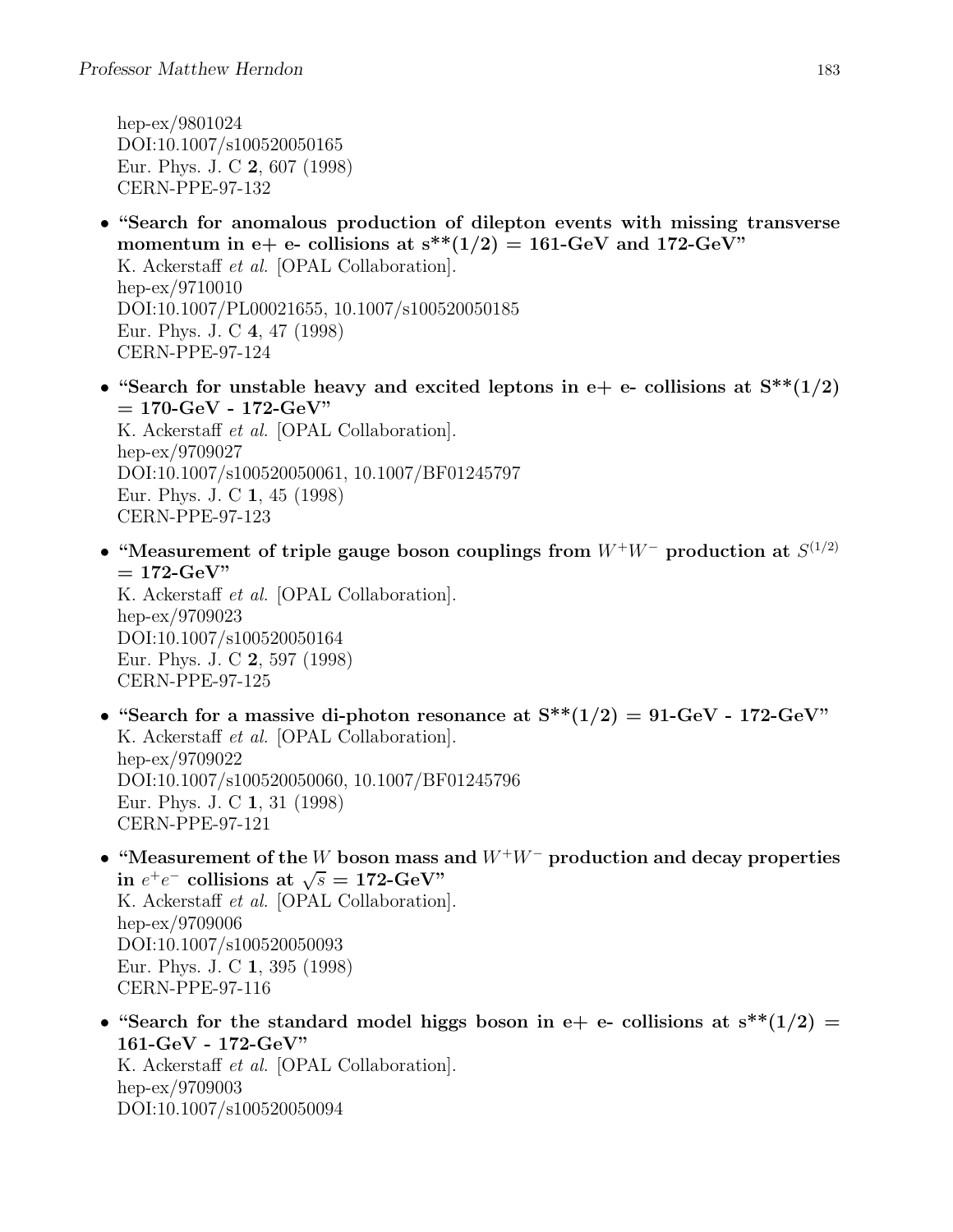hep-ex/9801024 DOI:10.1007/s100520050165 Eur. Phys. J. C 2, 607 (1998) CERN-PPE-97-132

- "Search for anomalous production of dilepton events with missing transverse momentum in e+ e- collisions at  $s^{**}(1/2) = 161$ -GeV and 172-GeV" K. Ackerstaff et al. [OPAL Collaboration]. hep-ex/9710010 DOI:10.1007/PL00021655, 10.1007/s100520050185 Eur. Phys. J. C 4, 47 (1998) CERN-PPE-97-124
- "Search for unstable heavy and excited leptons in e+ e- collisions at  $S^{**}(1/2)$  $= 170$ -GeV - 172-GeV" K. Ackerstaff et al. [OPAL Collaboration]. hep-ex/9709027 DOI:10.1007/s100520050061, 10.1007/BF01245797

Eur. Phys. J. C 1, 45 (1998) CERN-PPE-97-123

• "Measurement of triple gauge boson couplings from  $W^+W^-$  production at  $S^{(1/2)}$  $= 172$ -GeV" K. Ackerstaff et al. [OPAL Collaboration].

hep-ex/9709023 DOI:10.1007/s100520050164 Eur. Phys. J. C 2, 597 (1998) CERN-PPE-97-125

- "Search for a massive di-photon resonance at  $S^{**}(1/2) = 91$ -GeV 172-GeV" K. Ackerstaff et al. [OPAL Collaboration]. hep-ex/9709022 DOI:10.1007/s100520050060, 10.1007/BF01245796 Eur. Phys. J. C 1, 31 (1998) CERN-PPE-97-121
- "Measurement of the W boson mass and  $W^+W^-$  production and decay properties in  $e^+e^-$  collisions at  $\sqrt{s} = 172$ -GeV" K. Ackerstaff et al. [OPAL Collaboration]. hep-ex/9709006 DOI:10.1007/s100520050093 Eur. Phys. J. C 1, 395 (1998) CERN-PPE-97-116
- "Search for the standard model higgs boson in e+ e- collisions at  $s^{**}(1/2)$  = 161-GeV - 172-GeV" K. Ackerstaff et al. [OPAL Collaboration]. hep-ex/9709003 DOI:10.1007/s100520050094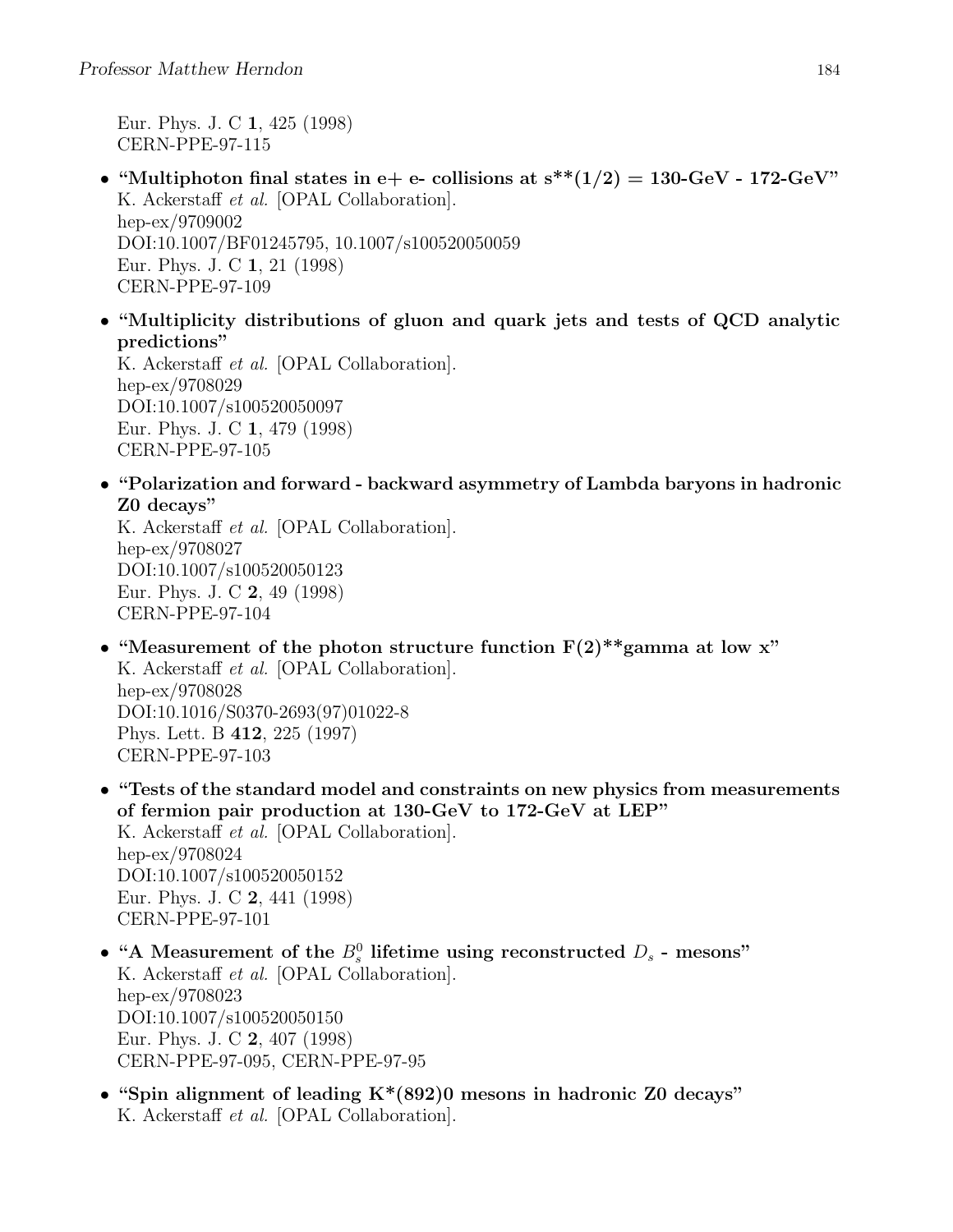Eur. Phys. J. C 1, 425 (1998) CERN-PPE-97-115

- "Multiphoton final states in e+ e- collisions at  $s^{**}(1/2) = 130$ -GeV 172-GeV" K. Ackerstaff et al. [OPAL Collaboration]. hep-ex/9709002 DOI:10.1007/BF01245795, 10.1007/s100520050059 Eur. Phys. J. C 1, 21 (1998) CERN-PPE-97-109
- "Multiplicity distributions of gluon and quark jets and tests of QCD analytic predictions"

K. Ackerstaff et al. [OPAL Collaboration]. hep-ex/9708029 DOI:10.1007/s100520050097 Eur. Phys. J. C 1, 479 (1998) CERN-PPE-97-105

• "Polarization and forward - backward asymmetry of Lambda baryons in hadronic Z0 decays"

K. Ackerstaff et al. [OPAL Collaboration]. hep-ex/9708027 DOI:10.1007/s100520050123 Eur. Phys. J. C 2, 49 (1998) CERN-PPE-97-104

CERN-PPE-97-103

- "Measurement of the photon structure function  $F(2)$ <sup>\*\*</sup>gamma at low x" K. Ackerstaff et al. [OPAL Collaboration]. hep-ex/9708028 DOI:10.1016/S0370-2693(97)01022-8 Phys. Lett. B 412, 225 (1997)
- "Tests of the standard model and constraints on new physics from measurements of fermion pair production at 130-GeV to 172-GeV at LEP" K. Ackerstaff et al. [OPAL Collaboration]. hep-ex/9708024 DOI:10.1007/s100520050152 Eur. Phys. J. C 2, 441 (1998) CERN-PPE-97-101
- "A Measurement of the  $B_s^0$  lifetime using reconstructed  $D_s$  mesons" K. Ackerstaff et al. [OPAL Collaboration]. hep-ex/9708023 DOI:10.1007/s100520050150 Eur. Phys. J. C 2, 407 (1998) CERN-PPE-97-095, CERN-PPE-97-95
- "Spin alignment of leading  $K^*(892)0$  mesons in hadronic Z0 decays" K. Ackerstaff et al. [OPAL Collaboration].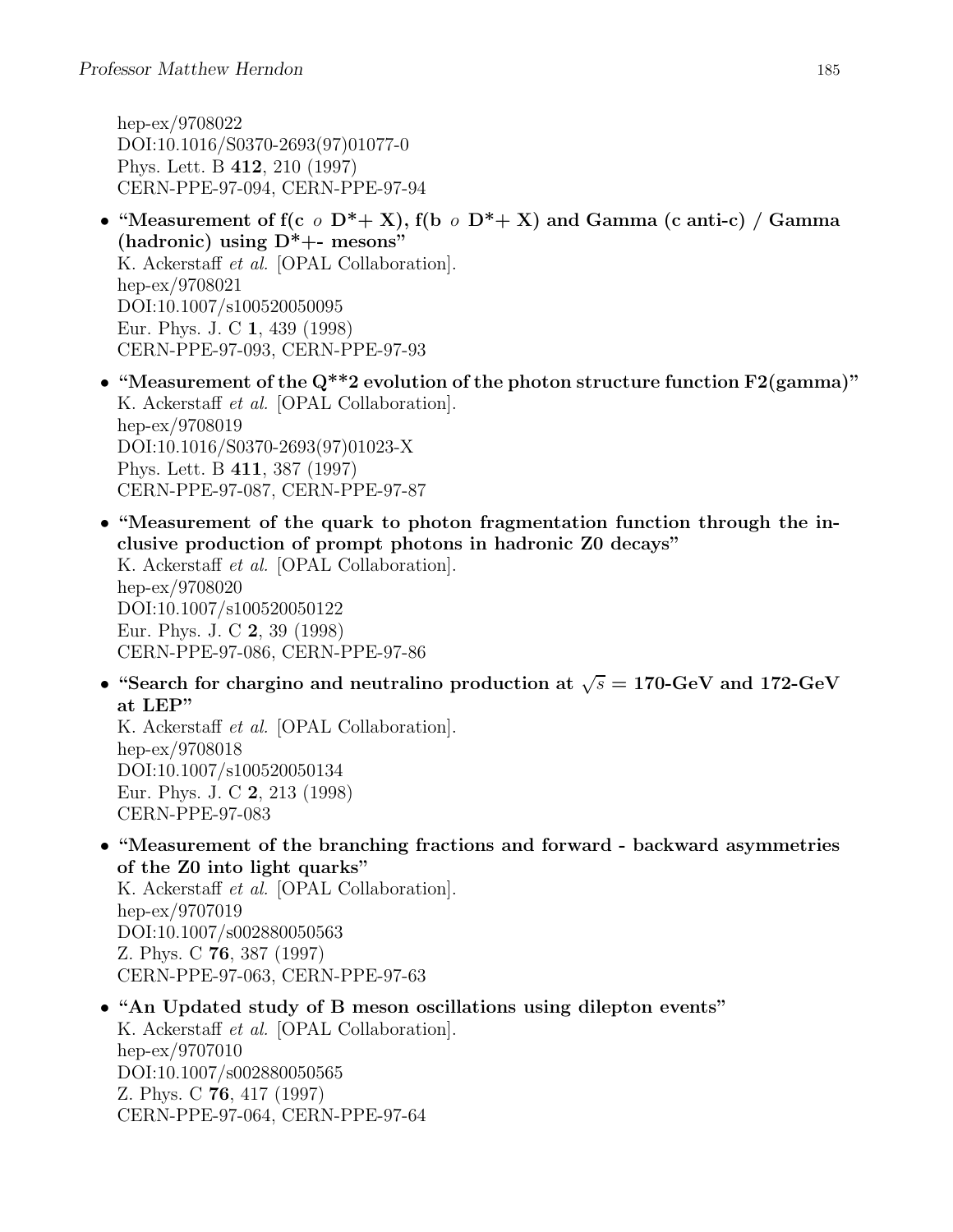hep-ex/9708022 DOI:10.1016/S0370-2693(97)01077-0 Phys. Lett. B 412, 210 (1997) CERN-PPE-97-094, CERN-PPE-97-94

- "Measurement of f(c  $\circ$  D<sup>\*</sup>+ X), f(b  $\circ$  D<sup>\*</sup>+ X) and Gamma (c anti-c) / Gamma (hadronic) using  $D^*$ +- mesons" K. Ackerstaff et al. [OPAL Collaboration]. hep-ex/9708021 DOI:10.1007/s100520050095 Eur. Phys. J. C 1, 439 (1998) CERN-PPE-97-093, CERN-PPE-97-93
- "Measurement of the Q\*\*2 evolution of the photon structure function F2(gamma)" K. Ackerstaff et al. [OPAL Collaboration]. hep-ex/9708019 DOI:10.1016/S0370-2693(97)01023-X Phys. Lett. B 411, 387 (1997) CERN-PPE-97-087, CERN-PPE-97-87
- "Measurement of the quark to photon fragmentation function through the inclusive production of prompt photons in hadronic Z0 decays"

K. Ackerstaff et al. [OPAL Collaboration]. hep-ex/9708020 DOI:10.1007/s100520050122 Eur. Phys. J. C 2, 39 (1998) CERN-PPE-97-086, CERN-PPE-97-86

• "Search for chargino and neutralino production at  $\sqrt{s} = 170$ -GeV and 172-GeV at LEP"

K. Ackerstaff et al. [OPAL Collaboration]. hep-ex/9708018 DOI:10.1007/s100520050134 Eur. Phys. J. C 2, 213 (1998) CERN-PPE-97-083

• "Measurement of the branching fractions and forward - backward asymmetries of the Z0 into light quarks"

K. Ackerstaff et al. [OPAL Collaboration]. hep-ex/9707019 DOI:10.1007/s002880050563 Z. Phys. C 76, 387 (1997) CERN-PPE-97-063, CERN-PPE-97-63

• "An Updated study of B meson oscillations using dilepton events" K. Ackerstaff et al. [OPAL Collaboration]. hep-ex/9707010 DOI:10.1007/s002880050565 Z. Phys. C 76, 417 (1997) CERN-PPE-97-064, CERN-PPE-97-64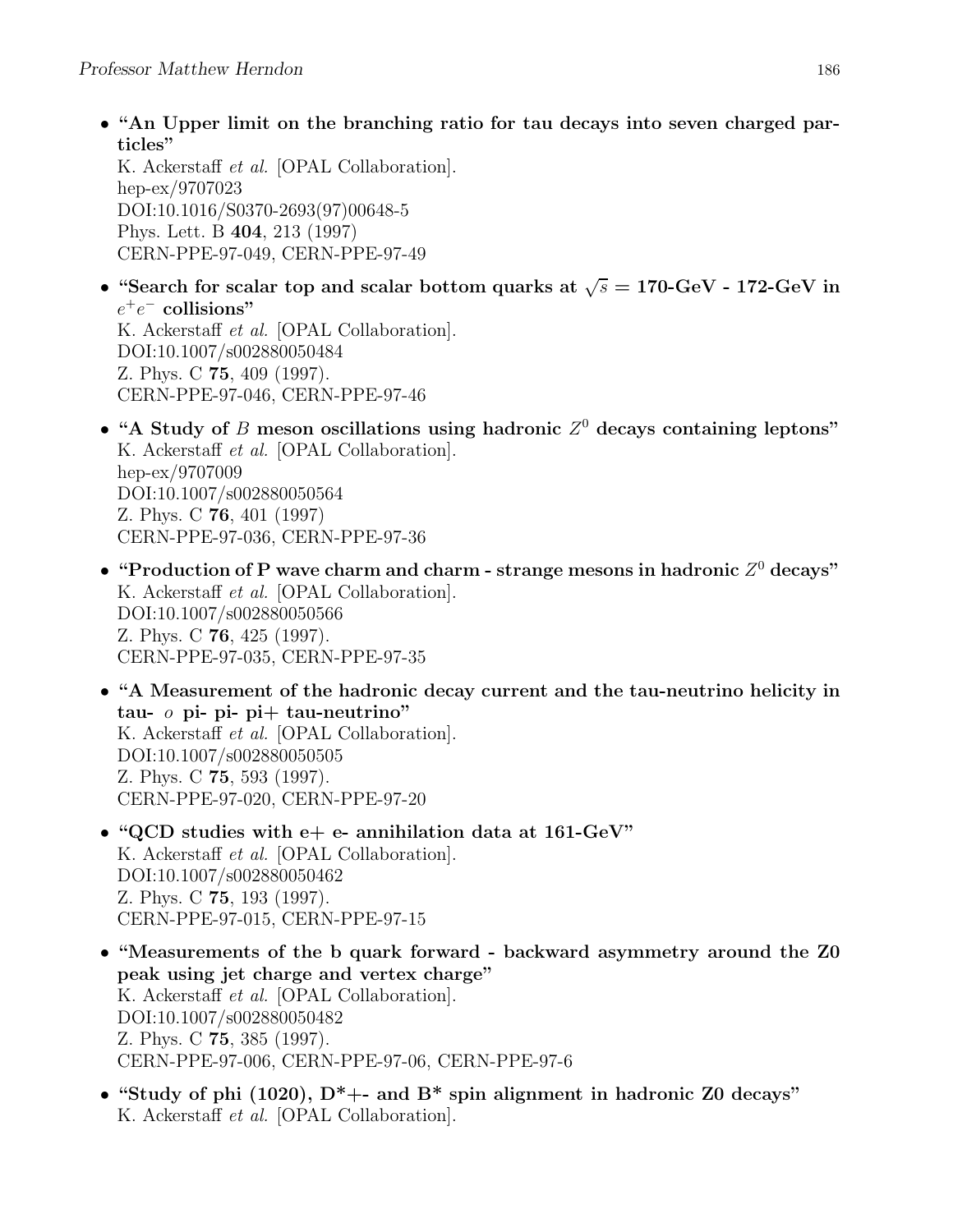• "An Upper limit on the branching ratio for tau decays into seven charged particles"

K. Ackerstaff et al. [OPAL Collaboration]. hep-ex/9707023 DOI:10.1016/S0370-2693(97)00648-5 Phys. Lett. B 404, 213 (1997) CERN-PPE-97-049, CERN-PPE-97-49

• "Search for scalar top and scalar bottom quarks at  $\sqrt{s} = 170$ -GeV - 172-GeV in  $e^+e^-$  collisions" K. Ackerstaff et al. [OPAL Collaboration].

DOI:10.1007/s002880050484 Z. Phys. C 75, 409 (1997). CERN-PPE-97-046, CERN-PPE-97-46

- "A Study of B meson oscillations using hadronic  $Z^0$  decays containing leptons" K. Ackerstaff et al. [OPAL Collaboration]. hep-ex/9707009 DOI:10.1007/s002880050564 Z. Phys. C 76, 401 (1997) CERN-PPE-97-036, CERN-PPE-97-36
- "Production of P wave charm and charm strange mesons in hadronic  $Z^0$  decays" K. Ackerstaff et al. [OPAL Collaboration]. DOI:10.1007/s002880050566 Z. Phys. C 76, 425 (1997). CERN-PPE-97-035, CERN-PPE-97-35
- "A Measurement of the hadronic decay current and the tau-neutrino helicity in tau-  $\sigma$  pi- pi- pi+ tau-neutrino" K. Ackerstaff et al. [OPAL Collaboration]. DOI:10.1007/s002880050505 Z. Phys. C 75, 593 (1997). CERN-PPE-97-020, CERN-PPE-97-20
- "QCD studies with  $e+e-$  annihilation data at 161-GeV" K. Ackerstaff et al. [OPAL Collaboration]. DOI:10.1007/s002880050462 Z. Phys. C 75, 193 (1997). CERN-PPE-97-015, CERN-PPE-97-15
- "Measurements of the b quark forward backward asymmetry around the Z0 peak using jet charge and vertex charge" K. Ackerstaff et al. [OPAL Collaboration]. DOI:10.1007/s002880050482 Z. Phys. C 75, 385 (1997). CERN-PPE-97-006, CERN-PPE-97-06, CERN-PPE-97-6
- "Study of phi (1020),  $D^*$  +- and  $B^*$  spin alignment in hadronic Z0 decays" K. Ackerstaff et al. [OPAL Collaboration].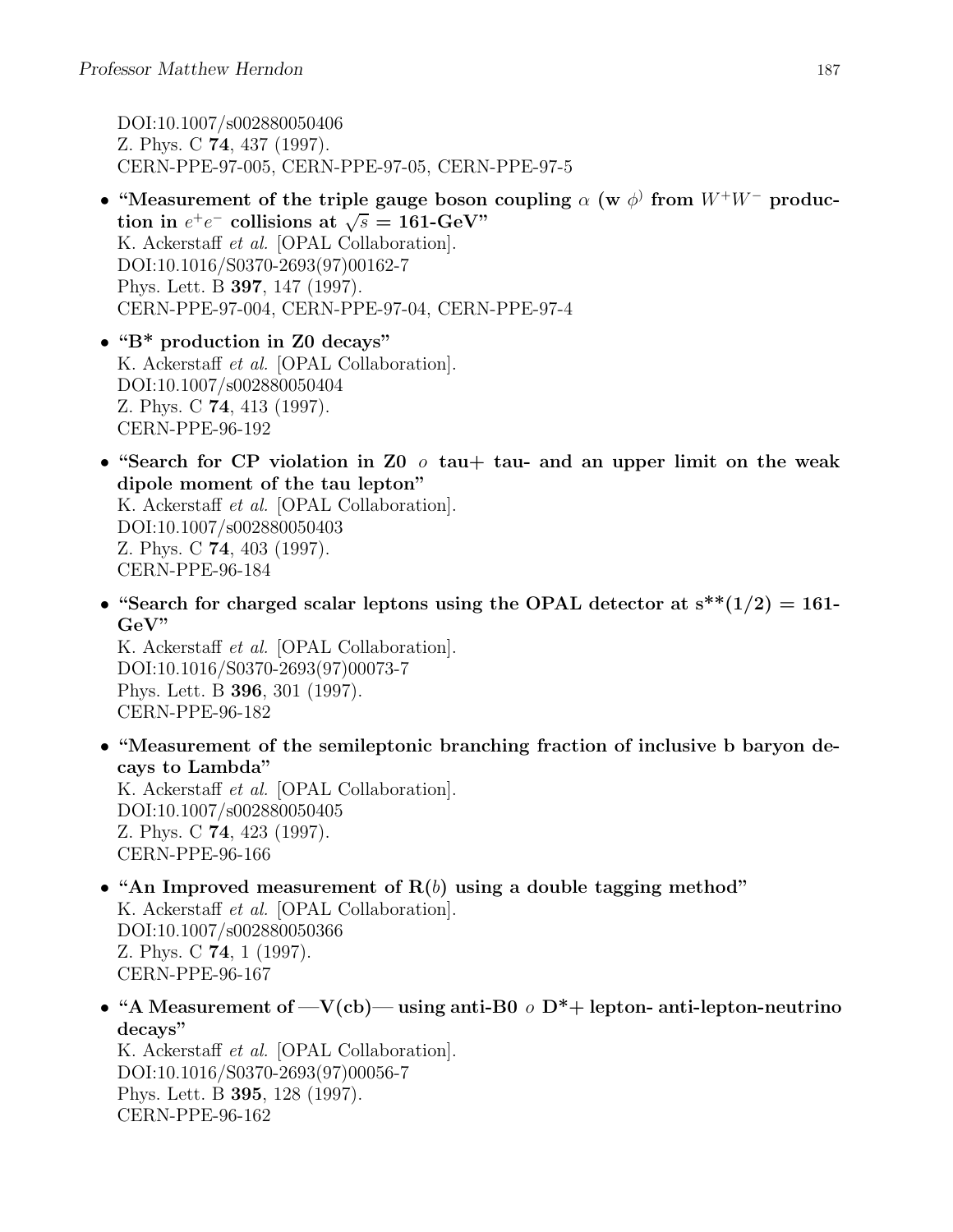DOI:10.1007/s002880050406 Z. Phys. C 74, 437 (1997). CERN-PPE-97-005, CERN-PPE-97-05, CERN-PPE-97-5

- "Measurement of the triple gauge boson coupling  $\alpha$  (w  $\phi$ ) from  $W^+W^-$  production in  $e^+e^-$  collisions at  $\sqrt{s} = 161$ -GeV" K. Ackerstaff et al. [OPAL Collaboration]. DOI:10.1016/S0370-2693(97)00162-7 Phys. Lett. B 397, 147 (1997). CERN-PPE-97-004, CERN-PPE-97-04, CERN-PPE-97-4
- "B\* production in Z0 decays" K. Ackerstaff et al. [OPAL Collaboration]. DOI:10.1007/s002880050404 Z. Phys. C 74, 413 (1997). CERN-PPE-96-192
- "Search for CP violation in Z0  $\sigma$  tau + tau and an upper limit on the weak dipole moment of the tau lepton" K. Ackerstaff et al. [OPAL Collaboration]. DOI:10.1007/s002880050403 Z. Phys. C 74, 403 (1997). CERN-PPE-96-184
- "Search for charged scalar leptons using the OPAL detector at  $s^{**}(1/2) = 161$ -GeV"

K. Ackerstaff et al. [OPAL Collaboration]. DOI:10.1016/S0370-2693(97)00073-7 Phys. Lett. B 396, 301 (1997). CERN-PPE-96-182

• "Measurement of the semileptonic branching fraction of inclusive b baryon decays to Lambda"

K. Ackerstaff et al. [OPAL Collaboration]. DOI:10.1007/s002880050405 Z. Phys. C 74, 423 (1997). CERN-PPE-96-166

- "An Improved measurement of  $R(b)$  using a double tagging method" K. Ackerstaff et al. [OPAL Collaboration]. DOI:10.1007/s002880050366 Z. Phys. C 74, 1 (1997). CERN-PPE-96-167
- "A Measurement of  $-V(cb)$  using anti-B0  $\sigma$  D<sup>\*</sup>+ lepton- anti-lepton-neutrino decays"

K. Ackerstaff et al. [OPAL Collaboration]. DOI:10.1016/S0370-2693(97)00056-7 Phys. Lett. B 395, 128 (1997). CERN-PPE-96-162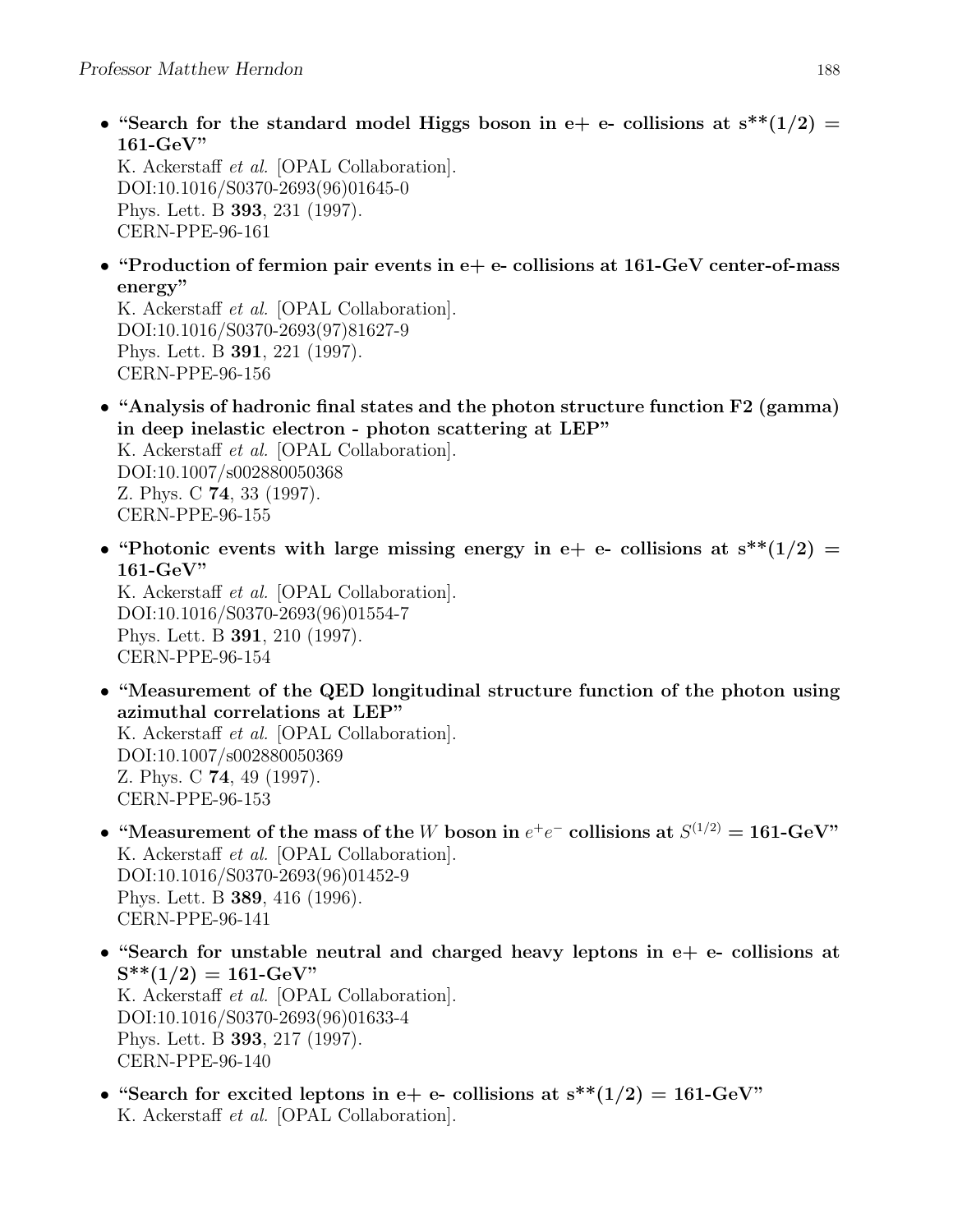• "Search for the standard model Higgs boson in e+ e- collisions at  $s^{**}(1/2)$  = 161-GeV"

K. Ackerstaff et al. [OPAL Collaboration]. DOI:10.1016/S0370-2693(96)01645-0 Phys. Lett. B 393, 231 (1997). CERN-PPE-96-161

• "Production of fermion pair events in  $e+e-$  collisions at 161-GeV center-of-mass energy"

K. Ackerstaff et al. [OPAL Collaboration]. DOI:10.1016/S0370-2693(97)81627-9 Phys. Lett. B 391, 221 (1997). CERN-PPE-96-156

- "Analysis of hadronic final states and the photon structure function F2 (gamma) in deep inelastic electron - photon scattering at LEP" K. Ackerstaff et al. [OPAL Collaboration]. DOI:10.1007/s002880050368 Z. Phys. C 74, 33 (1997). CERN-PPE-96-155
- "Photonic events with large missing energy in e+ e- collisions at  $s^{**}(1/2)$  =  $161$ -GeV"

K. Ackerstaff et al. [OPAL Collaboration]. DOI:10.1016/S0370-2693(96)01554-7 Phys. Lett. B 391, 210 (1997). CERN-PPE-96-154

• "Measurement of the QED longitudinal structure function of the photon using azimuthal correlations at LEP"

K. Ackerstaff et al. [OPAL Collaboration]. DOI:10.1007/s002880050369 Z. Phys. C 74, 49 (1997). CERN-PPE-96-153

- "Measurement of the mass of the W boson in  $e^+e^-$  collisions at  $S^{(1/2)} = 161$ -GeV" K. Ackerstaff et al. [OPAL Collaboration]. DOI:10.1016/S0370-2693(96)01452-9 Phys. Lett. B 389, 416 (1996). CERN-PPE-96-141
- "Search for unstable neutral and charged heavy leptons in  $e+e-$  collisions at  $S^{**}(1/2) = 161$ -GeV" K. Ackerstaff et al. [OPAL Collaboration]. DOI:10.1016/S0370-2693(96)01633-4 Phys. Lett. B 393, 217 (1997). CERN-PPE-96-140
- "Search for excited leptons in e+ e- collisions at  $s^{**}(1/2) = 161$ -GeV" K. Ackerstaff et al. [OPAL Collaboration].